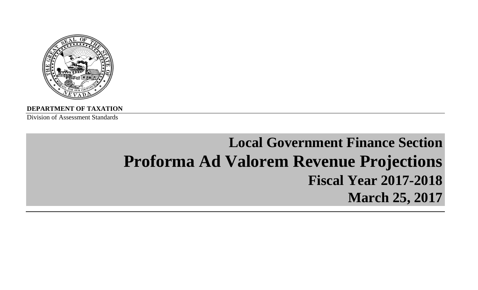

**DEPARTMENT OF TAXATION**

Division of Assessment Standards

# **Local Government Finance Section Proforma Ad Valorem Revenue Projections Fiscal Year 2017-2018March 25, 2017**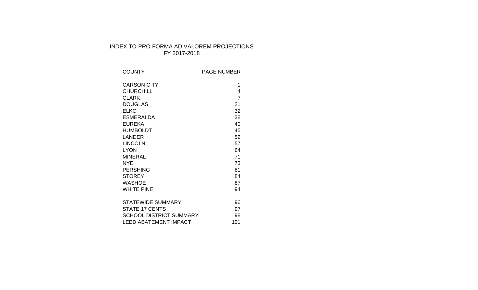# INDEX TO PRO FORMA AD VALOREM PROJECTIONS FY 2017-2018

| <b>COUNTY</b>                  | <b>PAGE NUMBER</b> |
|--------------------------------|--------------------|
| <b>CARSON CITY</b>             | 1                  |
| <b>CHURCHILL</b>               | 4                  |
| <b>CLARK</b>                   | $\overline{7}$     |
| <b>DOUGLAS</b>                 | 21                 |
| <b>ELKO</b>                    | 32                 |
| <b>ESMERALDA</b>               | 38                 |
| <b>EUREKA</b>                  | 40                 |
| <b>HUMBOLDT</b>                | 45                 |
| LANDER                         | 52                 |
| <b>LINCOLN</b>                 | 57                 |
| <b>LYON</b>                    | 64                 |
| <b>MINERAL</b>                 | 71                 |
| NYE                            | 73                 |
| <b>PERSHING</b>                | 81                 |
| <b>STOREY</b>                  | 84                 |
| <b>WASHOE</b>                  | 87                 |
| <b>WHITE PINE</b>              | 94                 |
| <b>STATEWIDE SUMMARY</b>       | 96                 |
| <b>STATE 17 CENTS</b>          | 97                 |
| <b>SCHOOL DISTRICT SUMMARY</b> | 98                 |
| <b>LEED ABATEMENT IMPACT</b>   | 101                |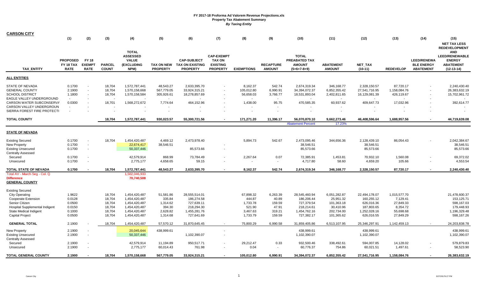| <b>CARSON CITY</b>             |                 |                          |               |                          |                 |                        |                   |                   |                  |                          |                  |                |                  |                    |                      |
|--------------------------------|-----------------|--------------------------|---------------|--------------------------|-----------------|------------------------|-------------------|-------------------|------------------|--------------------------|------------------|----------------|------------------|--------------------|----------------------|
|                                | (1)             | (2)                      | (3)           | (4)                      | (5)             | (6)                    | (7)               | (8)               | (9)              | (10)                     | (11)             | (12)           | (13)             | (14)               | (15)                 |
|                                |                 |                          |               |                          |                 |                        |                   |                   |                  |                          |                  |                |                  |                    | <b>NET TAX LESS</b>  |
|                                |                 |                          |               |                          |                 |                        |                   |                   |                  |                          |                  |                |                  |                    | <b>REDEVELOPMENT</b> |
|                                |                 |                          |               | <b>TOTAL</b>             |                 |                        |                   |                   |                  |                          |                  |                |                  |                    | <b>AND</b>           |
|                                |                 |                          |               | <b>ASSESSED</b>          |                 |                        | <b>CAP-EXEMPT</b> |                   |                  | <b>TOTAL</b>             |                  |                |                  |                    | LEED/RENEWABLE       |
|                                | <b>PROPOSED</b> | <b>FY 18</b>             |               | <b>VALUE</b>             |                 | <b>CAP-SUBJECT</b>     | <b>TAX ON</b>     |                   |                  | <b>PREABATED TAX</b>     |                  |                |                  | <b>LEED/RENEWA</b> | <b>ENERGY</b>        |
|                                | FY 18 TAX       | <b>EXEMPT</b>            | <b>PARCEL</b> | (EXCLUDING               | TAX ON NEW      | <b>TAX ON EXISTING</b> | <b>EXISTING</b>   |                   | <b>RECAPTURE</b> | <b>AMOUNT</b>            | <b>ABATEMENT</b> | <b>NET TAX</b> |                  | <b>BLE ENERGY</b>  | <b>ABATEMENT</b>     |
| <b>TAX ENTITY</b>              | <b>RATE</b>     | <b>RATE</b>              | <b>COUNT</b>  | NPM)                     | <b>PROPERTY</b> | <b>PROPERTY</b>        | <b>PROPERTY</b>   | <b>EXEMPTIONS</b> | <b>AMOUNT</b>    | $(5+6+7-8+9)$            | <b>AMOUNT</b>    | $(10-11)$      | <b>REDEVELOP</b> | <b>ABATEMENT</b>   | $(12-13-14)$         |
| <b>ALL ENTITIES</b>            |                 |                          |               |                          |                 |                        |                   |                   |                  |                          |                  |                |                  |                    |                      |
| STATE OF NEVADA                | 0.1700          | $\sim$                   | 18,704        | 1,572,787,441            | 48,543.27       | 2,633,395.70           |                   | 8,162.37          | 542.74           | 2,674,319.34             | 346,168.77       | 2,328,150.57   | 87,720.17        |                    | 2,240,430.40         |
| <b>GENERAL COUNTY</b>          | 2.1900          | $\sim$                   | 18,704        | 1,570,158,668            | 567,779.05      | 33,924,315.21          |                   | 105,012.80        | 6,990.91         | 34,394,072.37            | 6,852,355.42     | 27,541,716.95  | 1,158,084.76     |                    | 26,383,632.19        |
| <b>SCHOOL DISTRICT</b>         | 1.1800          | $\sim$                   | 18,704        | 1,570,158,584            | 305,926.61      | 18,278,857.69          |                   | 56,658.03         | 3,766.77         | 18,531,893.04            | 2,402,811.65     | 16,129,081.39  | 426,119.67       |                    | 15,702,961.72        |
| EAGLE VALLEY UNDERGROUND       | $\sim$          |                          |               | $\overline{\phantom{a}}$ | $\sim$          |                        |                   | $\sim$            | $\sim$           | $\sim$                   | $\sim$           | $\sim$         |                  |                    |                      |
| CARSON WATER SUBCONSERVA       | 0.0300          |                          | 18,701        | 1,568,272,672            | 7,774.64        | 464,152.96             |                   | 1,438.00          | 95.75            | 470,585.35               | 60,937.62        | 409,647.73     | 17,032.96        |                    | 392,614.77           |
| CARSON VALLEY UNDERGROUN       | $\sim$          |                          |               |                          | $\sim$          |                        |                   |                   |                  |                          |                  |                |                  |                    |                      |
| SIERRA FOREST FIRE PROTECTI    |                 |                          |               |                          |                 |                        |                   |                   |                  |                          | $\blacksquare$   |                |                  |                    |                      |
| <b>TOTAL COUNTY</b>            |                 |                          | 18,704        | 1,572,787,441            | 930,023.57      | 55,300,721.56          |                   | 171,271.20        | 11,396.17        | 56,070,870.10            | 9,662,273.46     | 46,408,596.64  | 1,688,957.56     |                    | 44,719,639.08        |
|                                |                 |                          |               |                          |                 |                        |                   |                   |                  | <b>Abatement Percent</b> | 17.23%           |                |                  |                    |                      |
| <b>STATE OF NEVADA</b>         |                 |                          |               |                          |                 |                        |                   |                   |                  |                          |                  |                |                  |                    |                      |
| <b>Existing Secured</b>        | 0.1700          | $\sim$                   | 18,704        | 1,454,420,487            | 4,469.12        | 2,473,978.40           |                   | 5,894.73          | 542.67           | 2,473,095.46             | 344,656.36       | 2,128,439.10   | 86,054.43        |                    | 2,042,384.67         |
| <b>New Property</b>            | 0.1700          | $\sim$                   |               | 22,674,417               | 38,546.51       |                        |                   |                   |                  | 38,546.51                |                  | 38,546.51      |                  |                    | 38,546.51            |
| <b>Existing Unsecured</b>      | 0.1700          | $\sim$                   |               | 50,337,446               |                 | 85,573.66              |                   |                   |                  | 85,573.66                |                  | 85,573.66      |                  |                    | 85,573.66            |
| <b>Centrally Assessed</b>      |                 |                          |               |                          |                 |                        |                   |                   |                  |                          |                  |                |                  |                    |                      |
| Secured                        | 0.1700          | $\sim$                   |               | 42,579,914               | 868.99          | 73,784.49              |                   | 2,267.64          | 0.07             | 72,385.91                | 1,453.81         | 70,932.10      | 1,560.08         |                    | 69,372.02            |
| Unsecured                      | 0.1700          | $\sim$                   |               | 2,775,177                | 4,658.65        | 59.15                  |                   |                   | $\sim$           | 4,717.80                 | 58.60            | 4,659.20       | 105.66           |                    | 4,553.54             |
| TOTAL STATE OF NEVADA          | 0.1700          |                          | 18,704        | 1,572,787,441            | 48,543.27       | 2,633,395.70           |                   | 8,162.37          | 542.74           | 2,674,319.34             | 346,168.77       | 2,328,150.57   | 87,720.17        |                    | 2,240,430.40         |
| Total AV - March Seg - Col. Q  |                 |                          |               | 1,502,046,933            |                 |                        |                   |                   |                  |                          |                  |                |                  |                    |                      |
| <b>Difference</b>              |                 |                          |               | 70,740,508               |                 |                        |                   |                   |                  |                          |                  |                |                  |                    |                      |
| <b>GENERAL COUNTY</b>          |                 |                          |               |                          |                 |                        |                   |                   |                  |                          |                  |                |                  |                    |                      |
|                                |                 |                          |               |                          |                 |                        |                   |                   |                  |                          |                  |                |                  |                    |                      |
| <b>Existing Secured</b>        |                 |                          |               |                          |                 |                        |                   |                   |                  |                          |                  |                |                  |                    |                      |
| <b>City Operating</b>          | 1.9622          |                          | 18,704        | 1,454,420,487            | 51,581.86       | 28,555,514.01          |                   | 67,898.32         | 6,263.39         | 28,545,460.94            | 6,051,282.87     | 22,494,178.07  | 1,015,577.70     |                    | 21,478,600.37        |
| Cooperate Extension            | 0.0128          |                          | 18,704        | 1,454,420,487            | 335.84          | 186,274.58             |                   | 444.87            | 40.89            | 186,206.44               | 25,951.32        | 160,255.12     | 7,129.41         |                    | 153,125.71           |
| Senior Citizen                 | 0.0500          |                          | 18,704        | 1,454,420,487            | 1,314.62        | 727,639.11             |                   | 1,733.78          | 159.59           | 727,379.54               | 101,363.18       | 626,016.36     | 27,849.33        |                    | 598,167.03           |
| Hospital Supplemental Indigent | 0.0150          |                          | 18,704        | 1,454,420,487            | 394.30          | 218,294.30             |                   | 521.90            | 47.91            | 218,214.61               | 30,410.96        | 187,803.65     | 8,354.72         |                    | 179,448.93           |
| <b>State Medical Indigent</b>  | 0.1000          |                          | 18,704        | 1,454,420,487            | 2,628.82        | 1,455,281.76           |                   | 3,467.63          | 319.21           | 1,454,762.16             | 202,734.00       | 1,252,028.16   | 55,698.68        |                    | 1,196,329.48         |
| <b>Capital Project</b>         | 0.0500          |                          | 18,704        | 1,454,420,487            | 1,314.68        | 727,641.69             |                   | 1,733.79          | 159.59           | 727,382.17               | 101,365.62       | 626,016.55     | 27,849.29        |                    | 598,167.26           |
|                                |                 |                          |               |                          |                 |                        |                   |                   |                  |                          |                  |                |                  |                    |                      |
| <b>GENERAL TOTAL</b>           | 2.1900          |                          | 18,704        | 1,454,420,487            | 57,570.12       | 31,870,645.45          |                   | 75,800.29         | 6,990.58         | 31,859,405.86            | 6,513,107.95     | 25,346,297.91  | 1,142,459.13     |                    | 24,203,838.78        |
| <b>New Property</b>            | 2.1900          | $\overline{\phantom{a}}$ |               | 20,045,644               | 438,999.61      |                        |                   |                   |                  | 438,999.61               |                  | 438,999.61     |                  |                    | 438,999.61           |
| <b>Existing Unsecured</b>      | 2.1900          | $\sim$                   |               | 50,337,446               |                 | 1,102,390.07           |                   |                   |                  | 1,102,390.07             |                  | 1,102,390.07   |                  |                    | 1,102,390.07         |
| <b>Centrally Assessed</b>      |                 |                          |               |                          |                 |                        |                   |                   |                  |                          |                  |                |                  |                    |                      |
| Secured                        | 2.1900          | $\overline{\phantom{a}}$ |               | 42,579,914               | 11,194.89       | 950,517.71             |                   | 29,212.47         | 0.33             | 932,500.46               | 338,492.61       | 594,007.85     | 14,128.02        |                    | 579,879.83           |
| Unsecured                      | 2.1900          |                          |               | 2,775,177                | 60,014.43       | 761.98                 |                   | 0.04              |                  | 60,776.37                | 754.86           | 60,021.51      | 1,497.61         |                    | 58,523.90            |
| <b>TOTAL GENERAL COUNTY</b>    | 2.1900          |                          | 18,704        | 1,570,158,668            | 567,779.05      | 33,924,315.21          |                   | 105,012.80        | 6,990.91         | 34,394,072.37            | 6,852,355.42     | 27,541,716.95  | 1,158,084.76     |                    | 26,383,632.19        |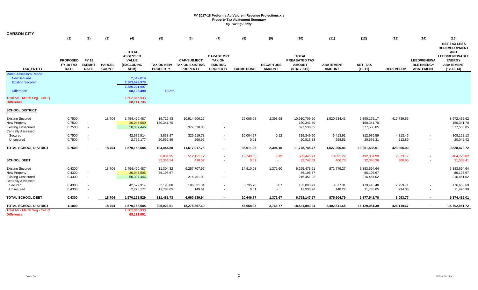| <b>CARSON CITY</b>                                                     | (1)                                         | (2)                                          | (3)                           | (4)                                                                   | (5)                                  | (6)                                                             | (7)                                                                      | (8)               | (9)                               | (10)                                                            | (11)                              | (12)                     | (13)               | (14)                                                        | (15)                                                                                                                                    |
|------------------------------------------------------------------------|---------------------------------------------|----------------------------------------------|-------------------------------|-----------------------------------------------------------------------|--------------------------------------|-----------------------------------------------------------------|--------------------------------------------------------------------------|-------------------|-----------------------------------|-----------------------------------------------------------------|-----------------------------------|--------------------------|--------------------|-------------------------------------------------------------|-----------------------------------------------------------------------------------------------------------------------------------------|
| <b>TAX ENTITY</b>                                                      | <b>PROPOSED</b><br>FY 18 TAX<br><b>RATE</b> | <b>FY 18</b><br><b>EXEMPT</b><br><b>RATE</b> | <b>PARCEL</b><br><b>COUNT</b> | <b>TOTAL</b><br><b>ASSESSED</b><br><b>VALUE</b><br>(EXCLUDING<br>NPM) | <b>TAX ON NEW</b><br><b>PROPERTY</b> | <b>CAP-SUBJECT</b><br><b>TAX ON EXISTING</b><br><b>PROPERTY</b> | <b>CAP-EXEMPT</b><br><b>TAX ON</b><br><b>EXISTING</b><br><b>PROPERTY</b> | <b>EXEMPTIONS</b> | <b>RECAPTURE</b><br><b>AMOUNT</b> | <b>TOTAL</b><br>PREABATED TAX<br><b>AMOUNT</b><br>$(5+6+7-8+9)$ | <b>ABATEMENT</b><br><b>AMOUNT</b> | NET_TAX<br>$(10-11)$     | <b>REDEVELOP</b>   | <b>LEED/RENEWA</b><br><b>BLE ENERGY</b><br><b>ABATEMENT</b> | <b>NET TAX LESS</b><br><b>REDEVELOPMENT</b><br><b>AND</b><br><b>LEED/RENEWABLE</b><br><b>ENERGY</b><br><b>ABATEMENT</b><br>$(12-13-14)$ |
| <b>March Assessors Report:</b><br><b>New secured</b>                   |                                             |                                              |                               | 2,542,019                                                             |                                      |                                                                 |                                                                          |                   |                                   |                                                                 |                                   |                          |                    |                                                             |                                                                                                                                         |
| <b>Existing Secured</b>                                                |                                             |                                              |                               | 1,383,679,978<br>1,386,221,997                                        |                                      |                                                                 |                                                                          |                   |                                   |                                                                 |                                   |                          |                    |                                                             |                                                                                                                                         |
| <b>Difference</b>                                                      |                                             |                                              |                               | 68,198,490                                                            | 4.92%                                |                                                                 |                                                                          |                   |                                   |                                                                 |                                   |                          |                    |                                                             |                                                                                                                                         |
| Total AV - March Seg - Col. Q<br><b>Difference</b>                     |                                             |                                              |                               | 1,502,046,933<br>68,111,735                                           |                                      |                                                                 |                                                                          |                   |                                   |                                                                 |                                   |                          |                    |                                                             |                                                                                                                                         |
| <b>SCHOOL DISTRICT</b>                                                 |                                             |                                              |                               |                                                                       |                                      |                                                                 |                                                                          |                   |                                   |                                                                 |                                   |                          |                    |                                                             |                                                                                                                                         |
| <b>Existing Secured</b>                                                | 0.7500                                      |                                              | 18,704                        | 1,454,420,487                                                         | 19,716.43                            | 10,914,606.17                                                   |                                                                          | 26,006.98         | 2,393.98                          | 10,910,709.60                                                   | 1,520,534.43                      | 9,390,175.17             | 417,739.55         |                                                             | 8,972,435.62                                                                                                                            |
| New Property<br><b>Existing Unsecured</b>                              | 0.7500<br>0.7500                            | $\blacksquare$<br>$\sim$                     |                               | 20,045,560<br>50,337,446                                              | 150,341.70                           | 377,530.85                                                      |                                                                          |                   |                                   | 150,341.70<br>377,530.85                                        |                                   | 150,341.70<br>377,530.85 |                    |                                                             | 150,341.70<br>377,530.85                                                                                                                |
| <b>Centrally Assessed</b><br>Secured                                   | 0.7500                                      | $\overline{\phantom{a}}$                     |                               | 42,579,914                                                            | 3,833.87                             | 325,519.78                                                      | $\sim$                                                                   | 10,004.27         | 0.12                              | 319,349.50                                                      | 6,413.91                          | 312,935.59               | 4,813.46           | $\sim$                                                      | 308,122.13                                                                                                                              |
| Unsecured                                                              | 0.7500                                      | $\sim$                                       |                               | 2,775,177                                                             | 20,552.89                            | 260.96                                                          |                                                                          | 0.01              | $\sim$                            | 20,813.83                                                       | 258.51                            | 20,555.31                | 512.89             | $\sim$                                                      | 20,042.42                                                                                                                               |
| <b>TOTAL SCHOOL DISTRICT</b>                                           | 0.7500                                      |                                              | 18,704                        | 1,570,158,584                                                         | 194,444.88                           | 11,617,917.75                                                   | $\sim$                                                                   | 36,011.26         | 2,394.10                          | 11,778,745.47                                                   | 1,527,206.86                      | 10,251,538.61            | 423,065.90         | $\sim$                                                      | 9,828,472.72                                                                                                                            |
| <b>SCHOOL DEBT</b>                                                     |                                             |                                              |                               |                                                                       | 6,031.95<br>32,336.54                | 512,151.12<br>410.57                                            | $\sim$                                                                   | 15,740.05<br>0.02 | 0.19<br>$\sim$                    | 502,443.21<br>32,747.09                                         | 10,091.22<br>406.73               | 492,351.99<br>32,340.36  | 7,573.17<br>806.95 | $\sim$                                                      | 484,778.82<br>31,533.41                                                                                                                 |
| <b>Existing Secured</b>                                                | 0.4300                                      |                                              | 18,704                        | 1,454,420,487                                                         | 11,304.32                            | 6,257,707.97                                                    |                                                                          | 14,910.98         | 1,372.60                          | 6,255,473.91                                                    | 871,779.27                        | 5,383,694.64             |                    |                                                             | 5,383,694.64                                                                                                                            |
| New Property<br><b>Existing Unsecured</b><br><b>Centrally Assessed</b> | 0.4300<br>0.4300                            | $\blacksquare$<br>$\sim$                     |                               | 20,045,505<br>50,337,446                                              | 86,195.67                            | 216,451.02                                                      |                                                                          |                   |                                   | 86,195.67<br>216,451.02                                         |                                   | 86,195.67<br>216,451.02  |                    |                                                             | 86,195.67<br>216,451.02                                                                                                                 |
| Secured                                                                | 0.4300                                      | $\blacksquare$                               |                               | 42,579,914                                                            | 2,198.08                             | 186,631.34                                                      |                                                                          | 5,735.78          | 0.07                              | 183,093.71                                                      | 3,677.31                          | 179,416.40               | 2,759.71           | $\sim$                                                      | 176,656.69                                                                                                                              |
| Unsecured                                                              | 0.4300                                      | $\blacksquare$                               |                               | 2,775,177                                                             | 11,783.65                            | 149.61                                                          |                                                                          | 0.01              | $\sim$                            | 11,933.26                                                       | 148.22                            | 11,785.05                | 294.06             | $\sim$                                                      | 11,490.99                                                                                                                               |
| <b>TOTAL SCHOOL DEBT</b>                                               | 0.4300                                      |                                              | 18,704                        | 1,570,158,529                                                         | 111,481.73                           | 6,660,939.94                                                    | $\blacksquare$                                                           | 20,646.77         | 1,372.67                          | 6,753,147.57                                                    | 875,604.79                        | 5,877,542.78             | 3,053.77           | $\sim$                                                      | 5,874,489.01                                                                                                                            |
| <b>TOTAL SCHOOL DISTRICT</b>                                           | 1.1800                                      |                                              | 18,704                        | 1,570,158,584                                                         | 305,926.61                           | 18,278,857.69                                                   | $\sim$                                                                   | 56,658.03         | 3,766.77                          | 18,531,893.04                                                   | 2,402,811.65                      | 16,129,081.39            | 426,119.67         | $\sim$                                                      | 15,702,961.72                                                                                                                           |
| Total AV - March Seq - Col. Q<br><b>Difference</b>                     |                                             |                                              |                               | 1,502,046,933<br>68,111,651                                           |                                      |                                                                 |                                                                          |                   |                                   |                                                                 |                                   |                          |                    |                                                             |                                                                                                                                         |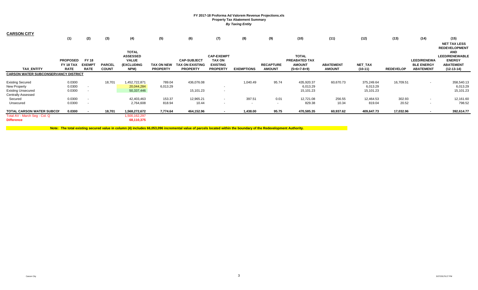| <b>CARSON CITY</b>                                                                                | (1)                                         | (2)                                          | (3)                           | (4)                                                                          | (5)                           | (6)                                                      | (7)                                                                      | (8)               | (9)                               | (10)                                                            | (11)                              | (12)                                | (13)             | (14)                                                        | (15)<br><b>NET TAX LESS</b><br><b>REDEVELOPMENT</b>                                      |
|---------------------------------------------------------------------------------------------------|---------------------------------------------|----------------------------------------------|-------------------------------|------------------------------------------------------------------------------|-------------------------------|----------------------------------------------------------|--------------------------------------------------------------------------|-------------------|-----------------------------------|-----------------------------------------------------------------|-----------------------------------|-------------------------------------|------------------|-------------------------------------------------------------|------------------------------------------------------------------------------------------|
| <b>TAX ENTITY</b>                                                                                 | <b>PROPOSED</b><br>FY 18 TAX<br><b>RATE</b> | <b>FY 18</b><br><b>EXEMPT</b><br><b>RATE</b> | <b>PARCEL</b><br><b>COUNT</b> | <b>TOTAL</b><br><b>ASSESSED</b><br><b>VALUE</b><br><b>(EXCLUDING</b><br>NPM) | TAX ON NEW<br><b>PROPERTY</b> | <b>CAP-SUBJECT</b><br>TAX ON EXISTING<br><b>PROPERTY</b> | <b>CAP-EXEMPT</b><br><b>TAX ON</b><br><b>EXISTING</b><br><b>PROPERTY</b> | <b>EXEMPTIONS</b> | <b>RECAPTURE</b><br><b>AMOUNT</b> | <b>TOTAL</b><br>PREABATED TAX<br><b>AMOUNT</b><br>$(5+6+7-8+9)$ | <b>ABATEMENT</b><br><b>AMOUNT</b> | NET_TAX<br>$(10-11)$                | <b>REDEVELOP</b> | <b>LEED/RENEWA</b><br><b>BLE ENERGY</b><br><b>ABATEMENT</b> | <b>AND</b><br><b>LEED/RENEWABLE</b><br><b>ENERGY</b><br><b>ABATEMENT</b><br>$(12-13-14)$ |
| <b>CARSON WATER SUBCONSERVANCY DISTRICT</b>                                                       |                                             |                                              |                               |                                                                              |                               |                                                          |                                                                          |                   |                                   |                                                                 |                                   |                                     |                  |                                                             |                                                                                          |
| <b>Existing Secured</b><br>New Property<br><b>Existing Unsecured</b><br><b>Centrally Assessed</b> | 0.0300<br>0.0300<br>0.0300                  | $\sim$                                       | 18,701                        | 1,452,722,871<br>20,044,284<br>50,337,446                                    | 789.04<br>6,013.29            | 436,076.08<br>15,101.23                                  | $\sim$<br>$\sim$                                                         | 1,040.49          | 95.74                             | 435,920.37<br>6,013.29<br>15,101.23                             | 60,670.73                         | 375,249.64<br>6,013.29<br>15,101.23 | 16,709.51        | $\sim$                                                      | 358,540.13<br>6,013.29<br>15,101.23                                                      |
| Secured<br>Unsecured                                                                              | 0.0300<br>0.0300                            |                                              |                               | 42,403,463<br>2,764,608                                                      | 153.37<br>818.94              | 12,965.21<br>10.44                                       | $\sim$<br>$\sim$                                                         | 397.51<br>$\sim$  | 0.01<br>$\overline{\phantom{a}}$  | 12,721.08<br>829.38                                             | 256.55<br>10.34                   | 12,464.53<br>819.04                 | 302.93<br>20.52  | $\sim$<br>$\sim$                                            | 12,161.60<br>798.52                                                                      |
| <b>TOTAL CARSON WATER SUBCOI</b><br>Total AV - March Seg - Col. Q<br><b>Difference</b>            | 0.0300                                      |                                              | 18,701                        | 1,568,272,672<br>1,500,162,297<br>68,110,375                                 | 7,774.64                      | 464,152.96                                               |                                                                          | 1,438.00          | 95.75                             | 470,585.35                                                      | 60,937.62                         | 409,647.73                          | 17,032.96        |                                                             | 392,614.77                                                                               |

**Note: The total existing secured value in column (4) includes 66,053,096 incremental value of parcels located within the boundary of the Redevelopment Authority.**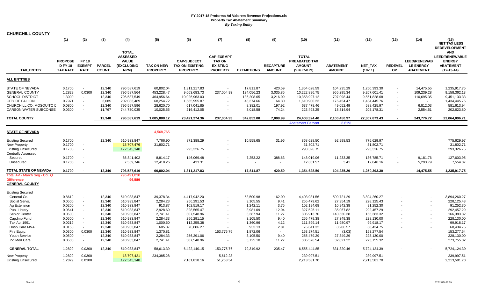| <b>CHURCHILL COUNTY</b>                                                                                                 |                                                     |                                                      |                                               |                                                                              |                                                                 |                                                                             |                                                                            |                                                                |                                                   |                                                                              |                                                                   |                                                                            |                                                                                                                                |                                                             |                                                                                          |
|-------------------------------------------------------------------------------------------------------------------------|-----------------------------------------------------|------------------------------------------------------|-----------------------------------------------|------------------------------------------------------------------------------|-----------------------------------------------------------------|-----------------------------------------------------------------------------|----------------------------------------------------------------------------|----------------------------------------------------------------|---------------------------------------------------|------------------------------------------------------------------------------|-------------------------------------------------------------------|----------------------------------------------------------------------------|--------------------------------------------------------------------------------------------------------------------------------|-------------------------------------------------------------|------------------------------------------------------------------------------------------|
|                                                                                                                         | (1)                                                 | (2)                                                  | (3)                                           | (4)                                                                          | (5)                                                             | (6)                                                                         | (7)                                                                        | (8)                                                            | (9)                                               | (10)                                                                         | (11)                                                              | (12)                                                                       | (13)                                                                                                                           | (14)                                                        | (15)<br><b>NET TAX LESS</b><br><b>REDEVELOPMENT</b>                                      |
| TAX_ENTITY                                                                                                              | <b>PROPOSE</b><br><b>D FY 18</b><br><b>TAX RATE</b> | <b>FY 18</b><br><b>EXEMPT</b><br><b>RATE</b>         | <b>PARCEL</b><br><b>COUNT</b>                 | <b>TOTAL</b><br><b>ASSESSED</b><br><b>VALUE</b><br><b>(EXCLUDING</b><br>NPM) | <b>TAX ON NEW</b><br><b>PROPERTY</b>                            | <b>CAP-SUBJECT</b><br><b>TAX ON EXISTING</b><br><b>PROPERTY</b>             | <b>CAP-EXEMPT</b><br><b>TAX ON</b><br><b>EXISTING</b><br><b>PROPERTY</b>   | <b>EXEMPTIONS</b>                                              | <b>RECAPTURE</b><br><b>AMOUNT</b>                 | <b>TOTAL</b><br>PREABATED TAX<br><b>AMOUNT</b><br>$(5+6+7-8+9)$              | <b>ABATEMENT</b><br><b>AMOUNT</b>                                 | NET_TAX<br>$(10-11)$                                                       | <b>REDEVEL</b><br><b>OP</b>                                                                                                    | <b>LEED/RENEWAB</b><br><b>LE ENERGY</b><br><b>ABATEMENT</b> | <b>AND</b><br><b>LEED/RENEWABLE</b><br><b>ENERGY</b><br><b>ABATEMENT</b><br>$(12-13-14)$ |
| <b>ALL ENTITIES</b>                                                                                                     |                                                     |                                                      |                                               |                                                                              |                                                                 |                                                                             |                                                                            |                                                                |                                                   |                                                                              |                                                                   |                                                                            |                                                                                                                                |                                                             |                                                                                          |
| STATE OF NEVADA<br><b>GENERAL COUNTY</b><br><b>SCHOOL DISTRICT</b><br><b>CITY OF FALLON</b><br>CHURCHILL CO. MOSQUITO D | 0.1700<br>1.2829<br>1.3000<br>0.7971<br>0.0800      | $\sim$<br>0.0300<br>$\sim$<br>$\sim$<br>$\sim$       | 12,340<br>12,340<br>12,340<br>3,685<br>12,340 | 796,587,619<br>796,587,564<br>796,587,549<br>202,083,489<br>796,597,596      | 60,802.04<br>453,228.47<br>464,956.64<br>68,254.72<br>28,620.70 | 1,311,217.83<br>9,663,683.73<br>10,026,963.03<br>1,585,955.87<br>617,041.85 | $\blacksquare$<br>237,004.93<br>$\overline{\phantom{a}}$<br>$\blacksquare$ | 17,811.87<br>134,056.23<br>136,208.65<br>43,374.66<br>8,382.01 | 420.59<br>3,035.85<br>3,216.09<br>64.30<br>197.92 | 1,354,628.59<br>10,222,896.75<br>10,358,927.12<br>1,610,900.23<br>637,478.46 | 104,235.29<br>955,295.34<br>797,098.44<br>176,454.47<br>49,052.49 | 1,250,393.30<br>9,267,601.41<br>9,561,828.68<br>1,434,445.76<br>588,425.97 | $\overline{\phantom{a}}$<br>$\blacksquare$<br>$\overline{\phantom{a}}$<br>$\overline{\phantom{a}}$<br>$\overline{\phantom{a}}$ | 14,475.55<br>109,239.28<br>110,695.35<br>$\sim$<br>6,812.03 | 1,235,917.75<br>9,158,362.13<br>9,451,133.33<br>1,434,445.76<br>581,613.94               |
| <b>CARSON WATER SUBCONSE</b>                                                                                            | 0.0300                                              | $\overline{\phantom{a}}$                             | 11,767                                        | 744,730,035                                                                  | 10,025.55                                                       | 216,412.05                                                                  | $\overline{\phantom{a}}$                                                   | 3,018.58                                                       | 74.24                                             | 223,493.25                                                                   | 18,314.94                                                         | 205,178.31                                                                 | $\overline{\phantom{a}}$                                                                                                       | 2,554.51                                                    | 202,623.80                                                                               |
| <b>TOTAL COUNTY</b>                                                                                                     |                                                     |                                                      | 12,340                                        | 796,587,619                                                                  | 1,085,888.12                                                    | 23,421,274.36                                                               | 237,004.93                                                                 | 342,852.00                                                     | 7,008.99                                          | 24,408,324.40<br><b>Abatement Percent</b>                                    | 2,100,450.97<br>8.61%                                             | 22,307,873.43                                                              |                                                                                                                                | 243,776.72                                                  | 22,064,096.71                                                                            |
| <b>STATE OF NEVADA</b>                                                                                                  |                                                     |                                                      |                                               |                                                                              | 4,568,765                                                       |                                                                             |                                                                            |                                                                |                                                   |                                                                              |                                                                   |                                                                            |                                                                                                                                |                                                             |                                                                                          |
|                                                                                                                         |                                                     |                                                      |                                               |                                                                              |                                                                 |                                                                             |                                                                            |                                                                |                                                   |                                                                              |                                                                   |                                                                            |                                                                                                                                |                                                             |                                                                                          |
| <b>Existing Secured</b><br>New Property<br><b>Existing Unsecured</b>                                                    | 0.1700<br>0.1700<br>0.1700                          | $\overline{\phantom{a}}$<br>$\overline{\phantom{a}}$ | 12,340                                        | 510,933,847<br>18,707,476<br>172,545,148                                     | 7,766.90<br>31,802.71                                           | 871,388.29<br>293,326.75                                                    |                                                                            | 10,558.65                                                      | 31.96                                             | 868,628.50<br>31,802.71<br>293,326.75                                        | 92,998.53                                                         | 775,629.97<br>31,802.71<br>293,326.75                                      |                                                                                                                                |                                                             | 775,629.97<br>31,802.71<br>293,326.75                                                    |
| <b>Centrally Assessed</b><br>Secured<br>Unsecured                                                                       | 0.1700<br>0.1700                                    | $\overline{\phantom{a}}$                             |                                               | 86,841,402<br>7,559,746                                                      | 8,814.17<br>12,418.26                                           | 146,069.48<br>433.31                                                        | $\blacksquare$<br>$\overline{\phantom{a}}$                                 | 7,253.22                                                       | 388.63<br>$\sim$                                  | 148,019.06<br>12,851.57                                                      | 11,233.35<br>3.41                                                 | 136,785.71<br>12,848.16                                                    | $\sim$<br>$\overline{\phantom{a}}$                                                                                             | 9,181.76<br>5,293.79                                        | 127,603.95<br>7,554.37                                                                   |
| TOTAL STATE OF NEVADA                                                                                                   | 0.1700                                              |                                                      | 12,340                                        | 796,587,619                                                                  | 60,802.04                                                       | 1,311,217.83                                                                | $\sim$                                                                     | 17,811.87                                                      | 420.59                                            | 1,354,628.59                                                                 | 104,235.29                                                        | 1,250,393.30                                                               | $\sim$                                                                                                                         | 14,475.55                                                   | 1,235,917.75                                                                             |
| Total AV - March Seg - Col. Q<br><b>Difference</b><br><b>GENERAL COUNTY</b>                                             |                                                     |                                                      |                                               | 796,491,030<br>96,589                                                        |                                                                 |                                                                             |                                                                            |                                                                |                                                   |                                                                              |                                                                   |                                                                            |                                                                                                                                |                                                             |                                                                                          |
| <b>Existing Secured</b><br>General Co.<br>Social Servs.                                                                 | 0.8619                                              | $\sim$                                               | 12,340<br>12,340                              | 510,933,847<br>510,933,847                                                   | 39,378.34<br>2,284.23                                           | 4,417,942.20<br>256,291.53                                                  |                                                                            | 53,500.98<br>3,105.55                                          | 162.00                                            | 4,403,981.56<br>255,479.62                                                   | 509,721.29<br>27,354.19                                           | 3,894,260.27<br>228,125.43                                                 |                                                                                                                                |                                                             | 3,894,260.27<br>228,125.43                                                               |
| Ag Extension<br>Pub. Library                                                                                            | 0.0500<br>0.0200<br>0.0641                          | $\overline{\phantom{a}}$<br>$\blacksquare$           | 12,340<br>12,340                              | 510,933,847<br>510,933,847                                                   | 913.87<br>2,928.69                                              | 102,519.17<br>328,565.47                                                    | $\overline{\phantom{a}}$                                                   | 1,242.11<br>3,981.09                                           | 9.41<br>3.75<br>12.04                             | 102,194.68<br>327,525.11                                                     | 10,942.38<br>35,067.82                                            | 91,252.30<br>292,457.29                                                    |                                                                                                                                |                                                             | 91,252.30<br>292,457.29                                                                  |
| Senior Center<br>Cap.Imp.Fund<br>Tax Act 1991                                                                           | 0.0600<br>0.0500<br>0.0219                          | $\overline{\phantom{a}}$<br>$\sim$                   | 12,340<br>12,340<br>12,340                    | 510,933,847<br>510,933,847<br>510,933,847                                    | 2,741.41<br>2,284.33<br>1,000.60                                | 307,548.96<br>256,291.15<br>112,255.38                                      |                                                                            | 3,387.94<br>3,105.50<br>1,360.96                               | 11.27<br>9.40<br>4.12                             | 306,913.70<br>255,479.38<br>111,899.14                                       | 140,530.38<br>27,349.38<br>11,980.97                              | 166,383.32<br>228,130.00<br>99,918.17                                      |                                                                                                                                |                                                             | 166,383.32<br>228,130.00<br>99,918.17                                                    |
| Hosp.Care MVA<br>Fire Equip.<br>Youth Service                                                                           | 0.0150<br>0.0300<br>0.0500                          | $\sim$<br>0.0300<br>$\sim$                           | 12,340<br>12,340<br>12,340                    | 510,933,847<br>510,933,847<br>510,933,847                                    | 685.37<br>1,370.81<br>2,284.33                                  | 76,886.27<br>$\overline{\phantom{a}}$<br>256,291.06                         | 153,775.76                                                                 | 933.13<br>1,872.06<br>3,105.50                                 | 2.81<br>$\overline{\phantom{a}}$<br>9.40          | 76,641.32<br>153,274.51<br>255,479.29                                        | 8,206.57<br>(3.03)<br>27,349.29                                   | 68,434.75<br>153,277.54<br>228,130.00                                      |                                                                                                                                |                                                             | 68,434.75<br>153,277.54<br>228,130.00                                                    |
| Ind Med Care                                                                                                            | 0.0600                                              | $\sim$                                               | 12,340                                        | 510,933,847                                                                  | 2,741.41                                                        | 307,548.96                                                                  | $\overline{\phantom{a}}$                                                   | 3,725.10                                                       | 11.27                                             | 306,576.54                                                                   | 32,821.22                                                         | 273,755.32                                                                 |                                                                                                                                |                                                             | 273,755.32                                                                               |
| <b>GENERAL TOTAL</b>                                                                                                    | 1.2829                                              | 0.0300                                               | 12,340                                        | 510,933,847                                                                  | 58,613.39                                                       | 6,422,140.15                                                                | 153,775.76                                                                 | 79,319.92                                                      | 235.47                                            | 6,555,444.85                                                                 | 831,320.46                                                        | 5,724,124.39                                                               |                                                                                                                                |                                                             | 5,724,124.39                                                                             |
| New Property<br><b>Existing Unsecured</b>                                                                               | 1.2829<br>1.2829                                    | 0.0300<br>0.0300                                     |                                               | 18,707,421<br>172,545,148                                                    | 234,385.28                                                      | 2,161,818.16                                                                | 5,612.23<br>51,763.54                                                      |                                                                |                                                   | 239,997.51<br>2,213,581.70                                                   |                                                                   | 239,997.51<br>2,213,581.70                                                 |                                                                                                                                |                                                             | 239,997.51<br>2,213,581.70                                                               |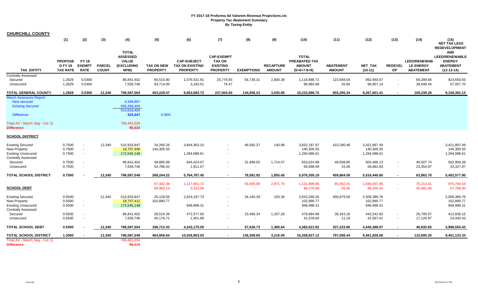| <b>CHURCHILL COUNTY</b>                                                                              |                                                   |                                                      |                               |                                                                              |                                      |                                                                 |                                                                          |                   |                                   |                                                                 |                                   |                                            |                             |                                                             |                                                                                          |
|------------------------------------------------------------------------------------------------------|---------------------------------------------------|------------------------------------------------------|-------------------------------|------------------------------------------------------------------------------|--------------------------------------|-----------------------------------------------------------------|--------------------------------------------------------------------------|-------------------|-----------------------------------|-----------------------------------------------------------------|-----------------------------------|--------------------------------------------|-----------------------------|-------------------------------------------------------------|------------------------------------------------------------------------------------------|
|                                                                                                      | (1)                                               | (2)                                                  | (3)                           | (4)                                                                          | (5)                                  | (6)                                                             | (7)                                                                      | (8)               | (9)                               | (10)                                                            | (11)                              | (12)                                       | (13)                        | (14)                                                        | (15)<br><b>NET TAX LESS</b><br><b>REDEVELOPMENT</b>                                      |
| <b>TAX ENTITY</b>                                                                                    | <b>PROPOSE</b><br><b>DFY18</b><br><b>TAX RATE</b> | <b>FY 18</b><br><b>EXEMPT</b><br><b>RATE</b>         | <b>PARCEL</b><br><b>COUNT</b> | <b>TOTAL</b><br><b>ASSESSED</b><br><b>VALUE</b><br><b>(EXCLUDING</b><br>NPM) | <b>TAX ON NEW</b><br><b>PROPERTY</b> | <b>CAP-SUBJECT</b><br><b>TAX ON EXISTING</b><br><b>PROPERTY</b> | <b>CAP-EXEMPT</b><br><b>TAX ON</b><br><b>EXISTING</b><br><b>PROPERTY</b> | <b>EXEMPTIONS</b> | <b>RECAPTURE</b><br><b>AMOUNT</b> | <b>TOTAL</b><br>PREABATED TAX<br><b>AMOUNT</b><br>$(5+6+7-8+9)$ | <b>ABATEMENT</b><br><b>AMOUNT</b> | <b>NET TAX</b><br>$(10-11)$                | <b>REDEVEL</b><br><b>OP</b> | <b>LEED/RENEWAB</b><br><b>LE ENERGY</b><br><b>ABATEMENT</b> | <b>AND</b><br><b>LEED/RENEWABLE</b><br><b>ENERGY</b><br><b>ABATEMENT</b><br>$(12-13-14)$ |
| <b>Centrally Assessed</b><br>Secured<br>Unsecured                                                    | 1.2829<br>1.2829                                  | 0.0300<br>0.0300                                     |                               | 86,841,402<br>7,559,746                                                      | 66,515.80<br>93,714.00               | 1,076,531.91<br>3,193.51                                        | 25,776.93<br>76.47                                                       | 54,736.31         | 2,800.38                          | 1,116,888.71<br>96,983.98                                       | 123,948.04<br>26.84               | 992,940.67<br>96,957.14                    | $\sim$<br>$\blacksquare$    | 69,289.84<br>39,949.44                                      | 923,650.83<br>57,007.70                                                                  |
| <b>TOTAL GENERAL COUNTY</b>                                                                          | 1.2829                                            | 0.0300                                               | 12,340                        | 796,587,564                                                                  | 453,228.47                           | 9,663,683.73                                                    | 237,004.93                                                               | 134,056.23        | 3,035.85                          | 10,222,896.75                                                   | 955,295.34                        | 9,267,601.41                               | $\sim$                      | 109,239.28                                                  | 9,158,362.13                                                                             |
| <b>March Assessors Report:</b><br><b>New secured</b><br><b>Existing Secured</b><br><b>Difference</b> |                                                   |                                                      |                               | 4,349,907<br>506,268,493<br>510,618,400<br>315,447                           | 0.06%                                |                                                                 |                                                                          |                   |                                   |                                                                 |                                   |                                            |                             |                                                             |                                                                                          |
| Total AV - March Seg - Col. Q<br><b>Difference</b>                                                   |                                                   |                                                      |                               | 796,491,030<br>96,534                                                        |                                      |                                                                 |                                                                          |                   |                                   |                                                                 |                                   |                                            |                             |                                                             |                                                                                          |
| <b>SCHOOL DISTRICT</b>                                                                               |                                                   |                                                      |                               |                                                                              |                                      |                                                                 |                                                                          |                   |                                   |                                                                 |                                   |                                            |                             |                                                             |                                                                                          |
| <b>Existing Secured</b><br>New Property<br><b>Existing Unsecured</b><br><b>Centrally Assessed</b>    | 0.7500<br>0.7500<br>0.7500                        | $\overline{\phantom{a}}$<br>$\overline{\phantom{a}}$ | 12,340                        | 510,933,847<br>18,707,406<br>172,545,148                                     | 34,266.26<br>140,305.55              | 3,844,363.10<br>1,294,088.61                                    |                                                                          | 46,582.37         | 140.98                            | 3,832,187.97<br>140,305.55<br>1,294,088.61                      | 410.290.48                        | 3,421,897.49<br>140,305.55<br>1,294,088.61 |                             |                                                             | 3.421.897.49<br>140,305.55<br>1,294,088.61                                               |
| Secured<br>Unsecured                                                                                 | 0.7500<br>0.7500                                  |                                                      |                               | 86,841,402<br>7,559,746                                                      | 38,885.99<br>54,786.42               | 644,424.07<br>1,911.67                                          |                                                                          | 31,999.55         | 1,714.47                          | 653,024.98<br>56,698.09                                         | 49,558.85<br>15.26                | 603,466.13<br>56,682.83                    | $\blacksquare$              | 40,507.74<br>23,354.97                                      | 562,958.39<br>33,327.87                                                                  |
| TOTAL SCHOOL DISTRICT                                                                                | 0.7500                                            |                                                      | 12,340                        | 796,587,549                                                                  | 268,244.22                           | 5,784,787.45                                                    |                                                                          | 78,581.92         | 1,855.45                          | 5,976,305.19                                                    | 459,864.59                        | 5,516,440.60                               | $\sim$                      | 63,862.70                                                   | 5,452,577.90                                                                             |
| <b>SCHOOL DEBT</b>                                                                                   |                                                   |                                                      |                               |                                                                              | 67,402.38<br>94,963.13               | 1,117,001.72<br>3,313.56                                        |                                                                          | 55,465.89         | 2,971.75                          | 1,131,909.96<br>98,276.69                                       | 85,902.01<br>26.45                | 1,046,007.95<br>98,250.24                  |                             | 70,213.41<br>40,481.94                                      | 975,794.54<br>57,768.30                                                                  |
| <b>Existing Secured</b><br>New Property<br><b>Existing Unsecured</b><br><b>Centrally Assessed</b>    | 0.5500<br>0.5500<br>0.5500                        | $\overline{\phantom{a}}$<br>$\sim$                   | 12,340                        | 510,933,847<br>18,707,412<br>172,545,148                                     | 25,128.56<br>102,890.77              | 2,819,197.73<br>948,998.31                                      |                                                                          | 34,160.39         | 103.36                            | 2,810,269.26<br>102,890.77<br>948,998.31                        | 300,879.50                        | 2,509,389.76<br>102,890.77<br>948,998.31   |                             |                                                             | 2,509,389.76<br>102,890.77<br>948,998.31                                                 |
| Secured<br>Unsecured                                                                                 | 0.5500<br>0.5500                                  |                                                      |                               | 86,841,402<br>7,559,746                                                      | 28,516.39<br>40,176.71               | 472,577.65<br>1,401.89                                          |                                                                          | 23,466.34         | 1,257.28                          | 478,884.98<br>41,578.60                                         | 36,343.16<br>11.19                | 442,541.83<br>41,567.41                    |                             | 29,705.67<br>17,126.97                                      | 412,836.15<br>24,440.43                                                                  |
| TOTAL SCHOOL DEBT                                                                                    | 0.5500                                            |                                                      | 12,340                        | 796,587,554                                                                  | 196,712.43                           | 4,242,175.59                                                    |                                                                          | 57,626.73         | 1,360.64                          | 4,382,621.92                                                    | 337,233.85                        | 4,045,388.07                               |                             | 46,832.65                                                   | 3,998,555.43                                                                             |
| <b>TOTAL SCHOOL DISTRICT</b>                                                                         | 1.3000                                            |                                                      | 12,340                        | 796,587,549                                                                  | 464,956.64                           | 10,026,963.03                                                   |                                                                          | 136,208.65        | 3,216.09                          | 10,358,927.12                                                   | 797,098.44                        | 9,561,828.68                               |                             | 110,695.35                                                  | 9,451,133.33                                                                             |
| Total AV - March Seg - Col. Q<br><b>Difference</b>                                                   |                                                   |                                                      |                               | 796,491,030<br>96,519                                                        |                                      |                                                                 |                                                                          |                   |                                   |                                                                 |                                   |                                            |                             |                                                             |                                                                                          |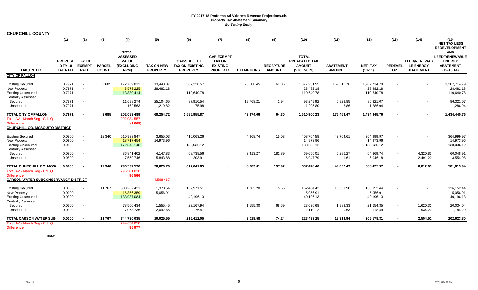| <b>CHURCHILL COUNTY</b>                                                                           |                                                     |                                                      |                               |                                                                              |                                      |                                                                 |                                                                          |                   |                                   |                                                                 |                                   |                                         |                             |                                                             |                                                                                          |
|---------------------------------------------------------------------------------------------------|-----------------------------------------------------|------------------------------------------------------|-------------------------------|------------------------------------------------------------------------------|--------------------------------------|-----------------------------------------------------------------|--------------------------------------------------------------------------|-------------------|-----------------------------------|-----------------------------------------------------------------|-----------------------------------|-----------------------------------------|-----------------------------|-------------------------------------------------------------|------------------------------------------------------------------------------------------|
|                                                                                                   | (1)                                                 | (2)                                                  | (3)                           | (4)                                                                          | (5)                                  | (6)                                                             | (7)                                                                      | (8)               | (9)                               | (10)                                                            | (11)                              | (12)                                    | (13)                        | (14)                                                        | (15)<br>NET TAX LESS<br><b>REDEVELOPMENT</b>                                             |
| <b>TAX ENTITY</b>                                                                                 | <b>PROPOSE</b><br><b>D FY 18</b><br><b>TAX RATE</b> | <b>FY 18</b><br><b>EXEMPT</b><br><b>RATE</b>         | <b>PARCEL</b><br><b>COUNT</b> | <b>TOTAL</b><br><b>ASSESSED</b><br><b>VALUE</b><br><b>(EXCLUDING</b><br>NPM) | <b>TAX ON NEW</b><br><b>PROPERTY</b> | <b>CAP-SUBJECT</b><br><b>TAX ON EXISTING</b><br><b>PROPERTY</b> | <b>CAP-EXEMPT</b><br><b>TAX ON</b><br><b>EXISTING</b><br><b>PROPERTY</b> | <b>EXEMPTIONS</b> | <b>RECAPTURE</b><br><b>AMOUNT</b> | <b>TOTAL</b><br>PREABATED TAX<br><b>AMOUNT</b><br>$(5+6+7-8+9)$ | <b>ABATEMENT</b><br><b>AMOUNT</b> | <b>NET_TAX</b><br>$(10-11)$             | <b>REDEVEL</b><br><b>OP</b> | <b>LEED/RENEWAB</b><br><b>LE ENERGY</b><br><b>ABATEMENT</b> | <b>AND</b><br><b>LEED/RENEWABLE</b><br><b>ENERGY</b><br><b>ABATEMENT</b><br>$(12-13-14)$ |
| <b>CITY OF FALLON</b>                                                                             |                                                     |                                                      |                               |                                                                              |                                      |                                                                 |                                                                          |                   |                                   |                                                                 |                                   |                                         |                             |                                                             |                                                                                          |
| <b>Existing Secured</b><br>New Property<br><b>Existing Unsecured</b>                              | 0.7971<br>0.7971<br>0.7971                          | $\overline{\phantom{a}}$<br>$\sim$<br>$\sim$         | 3,685                         | 172,769,013<br>3,573,225<br>13,880,414                                       | 13,448.07<br>28,482.18               | 1,387,328.57<br>110,640.78                                      |                                                                          | 23,606.45         | 61.36                             | 1,377,231.55<br>28,482.18<br>110,640.78                         | 169,516.76                        | 1,207,714.79<br>28,482.18<br>110,640.78 |                             |                                                             | 1,207,714.79<br>28,482.18<br>110,640.78                                                  |
| <b>Centrally Assessed</b><br>Secured<br>Unsecured                                                 | 0.7971<br>0.7971                                    | $\overline{\phantom{a}}$<br>$\overline{\phantom{a}}$ |                               | 11,698,274<br>162,563                                                        | 25,104.65<br>1,219.82                | 87,910.54<br>75.98                                              |                                                                          | 19,768.21         | 2.94<br>$\overline{\phantom{a}}$  | 93,249.92<br>1,295.80                                           | 6,928.85<br>8.86                  | 86,321.07<br>1,286.94                   |                             | $\sim$                                                      | 86,321.07<br>1,286.94                                                                    |
| TOTAL CITY OF FALLON                                                                              | 0.7971                                              | ٠.                                                   | 3,685                         | 202,083,489                                                                  | 68,254.72                            | 1,585,955.87                                                    | $\sim$                                                                   | 43,374.66         | 64.30                             | 1,610,900.23                                                    | 176,454.47                        | 1,434,445.76                            | $\sim$                      | $\sim$                                                      | 1,434,445.76                                                                             |
| Total AV - March Seg - Col. Q<br><b>Difference</b><br><b>CHURCHILL CO. MOSQUITO DISTRICT</b>      |                                                     |                                                      |                               | 202,084,557<br>(1,068)                                                       |                                      |                                                                 |                                                                          |                   |                                   |                                                                 |                                   |                                         |                             |                                                             |                                                                                          |
| <b>Existing Secured</b><br>New Property<br><b>Existing Unsecured</b><br><b>Centrally Assessed</b> | 0.0800<br>0.0800<br>0.0800                          | $\sim$<br>$\sim$<br>$\sim$                           | 12,340                        | 510,933,847<br>18,717,454<br>172,545,148                                     | 3,655.03<br>14,973.96                | 410,063.26<br>138,036.12                                        |                                                                          | 4,968.74          | 15.03                             | 408,764.58<br>14,973.96<br>138,036.12                           | 43,764.61                         | 364,999.97<br>14,973.96<br>138,036.12   |                             |                                                             | 364,999.97<br>14,973.96<br>138,036.12                                                    |
| Secured<br>Unsecured                                                                              | 0.0800<br>0.0800                                    | $\sim$<br>$\overline{\phantom{a}}$                   |                               | 86,841,402<br>7,559,746                                                      | 4,147.83<br>5,843.88                 | 68,738.56<br>203.91                                             |                                                                          | 3,413.27          | 182.89                            | 69,656.01<br>6,047.79                                           | 5,286.27<br>1.61                  | 64,369.74<br>6,046.18                   | $\overline{\phantom{a}}$    | 4,320.83<br>2,491.20                                        | 60,048.91<br>3,554.98                                                                    |
| TOTAL CHURCHILL CO. MOS(                                                                          | 0.0800                                              |                                                      | 12,340                        | 796,597,596                                                                  | 28,620.70                            | 617,041.85                                                      |                                                                          | 8,382.01          | 197.92                            | 637,478.46                                                      | 49,052.49                         | 588,425.97                              |                             | 6,812.03                                                    | 581,613.94                                                                               |
| Total AV - March Seg - Col. Q<br><b>Difference</b><br><b>CARSON WATER SUBCONSERVANCY DISTRICT</b> |                                                     |                                                      |                               | 796,501,030<br>96,566                                                        | 4,568,467                            |                                                                 |                                                                          |                   |                                   |                                                                 |                                   |                                         |                             |                                                             |                                                                                          |
| <b>Existing Secured</b><br>New Property<br><b>Existing Unsecured</b><br><b>Centrally Assessed</b> | 0.0300<br>0.0300<br>0.0300                          | $\sim$<br>$\sim$<br>$\sim$                           | 11,767                        | 508,262,421<br>16,856,359<br>133,987,084                                     | 1,370.54<br>5,056.91                 | 152,971.51<br>40,196.13                                         | $\overline{\phantom{a}}$                                                 | 1,863.28          | 5.65                              | 152,484.42<br>5,056.91<br>40,196.13                             | 16,331.98                         | 136,152.44<br>5,056.91<br>40,196.13     |                             |                                                             | 136,152.44<br>5,056.91<br>40,196.13                                                      |
| Secured<br>Unsecured                                                                              | 0.0300<br>0.0300                                    | $\overline{\phantom{a}}$<br>$\overline{\phantom{a}}$ |                               | 78,560,434<br>7,063,736                                                      | 1,555.45<br>2,042.65                 | 23,167.94<br>76.47                                              |                                                                          | 1,155.30          | 68.59<br>$\overline{\phantom{a}}$ | 23,636.68<br>2,119.12                                           | 1,982.33<br>0.63                  | 21,654.35<br>2,118.49                   | $\overline{\phantom{a}}$    | 1,620.31<br>934.20                                          | 20,034.04<br>1,184.29                                                                    |
| <b>TOTAL CARSON WATER SUB</b>                                                                     | 0.0300                                              |                                                      | 11,767                        | 744,730,035                                                                  | 10.025.55                            | 216,412.05                                                      |                                                                          | 3.018.58          | 74.24                             | 223.493.25                                                      | 18.314.94                         | 205,178.31                              |                             | 2,554.51                                                    | 202,623.80                                                                               |
| Total AV - March Seg - Col. Q<br><b>Difference</b>                                                |                                                     |                                                      |                               | 744,634,058<br>95,977                                                        |                                      |                                                                 |                                                                          |                   |                                   |                                                                 |                                   |                                         |                             |                                                             |                                                                                          |

**Note:**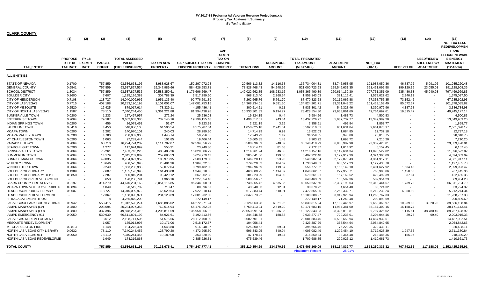| <b>CLARK COUNTY</b>                                                                                                                                                                                     |                                                                              |                                                                                               |                                                                                  |                                                                                                                                         |                                                                                                                           |                                                                                                                                          |                                                                              |                                                                                                                                |                                                                                              |                                                                                                                                          |                                                                                                                                  |                                                                                                                                        |                                                                                                      |                                                             |                                                                                                                                        |
|---------------------------------------------------------------------------------------------------------------------------------------------------------------------------------------------------------|------------------------------------------------------------------------------|-----------------------------------------------------------------------------------------------|----------------------------------------------------------------------------------|-----------------------------------------------------------------------------------------------------------------------------------------|---------------------------------------------------------------------------------------------------------------------------|------------------------------------------------------------------------------------------------------------------------------------------|------------------------------------------------------------------------------|--------------------------------------------------------------------------------------------------------------------------------|----------------------------------------------------------------------------------------------|------------------------------------------------------------------------------------------------------------------------------------------|----------------------------------------------------------------------------------------------------------------------------------|----------------------------------------------------------------------------------------------------------------------------------------|------------------------------------------------------------------------------------------------------|-------------------------------------------------------------|----------------------------------------------------------------------------------------------------------------------------------------|
|                                                                                                                                                                                                         | (1)                                                                          | (2)                                                                                           | (3)                                                                              | (4)                                                                                                                                     | (5)                                                                                                                       | (6)                                                                                                                                      | (7)                                                                          | (8)                                                                                                                            | (9)                                                                                          | (10)                                                                                                                                     | (11)                                                                                                                             | (12)                                                                                                                                   | (13)                                                                                                 | (14)                                                        | (15)<br><b>NET TAX LESS</b><br><b>REDEVELOPMEN</b>                                                                                     |
| <b>TAX ENTITY</b>                                                                                                                                                                                       | <b>PROPOSE</b><br><b>D FY 18</b><br><b>TAX RATE</b>                          | <b>FY 18</b><br><b>EXEMPT</b><br><b>RATE</b>                                                  | <b>PARCEL</b><br><b>COUNT</b>                                                    | <b>TOTAL ASSESSED</b><br><b>VALUE</b><br>(EXCLUDING NPM)                                                                                | <b>TAX ON NEW</b><br><b>PROPERTY</b>                                                                                      | <b>CAP-SUBJECT TAX ON</b><br><b>EXISTING PROPERTY</b>                                                                                    | CAP-<br><b>EXEMPT</b><br><b>TAX ON</b><br><b>EXISTING</b><br><b>PROPERTY</b> | <b>EXEMPTIONS</b>                                                                                                              | <b>RECAPTURE</b><br><b>AMOUNT</b>                                                            | <b>TOTAL PREABATED</b><br><b>TAX AMOUNT</b><br>$(5+6+7-8+9)$                                                                             | <b>ABATEMENT</b><br><b>AMOUNT</b>                                                                                                | <b>NET TAX</b><br>$(10-11)$                                                                                                            | <b>REDEVELOP</b>                                                                                     | <b>LEED/RENEW</b><br><b>ABLE ENERGY</b><br><b>ABATEMENT</b> | <b>T AND</b><br><b>LEED/RENEWABL</b><br><b>E ENERGY</b><br><b>ABATEMENT</b><br>$(12-13-14)$                                            |
| <b>ALL ENTITIES</b>                                                                                                                                                                                     |                                                                              |                                                                                               |                                                                                  |                                                                                                                                         |                                                                                                                           |                                                                                                                                          |                                                                              |                                                                                                                                |                                                                                              |                                                                                                                                          |                                                                                                                                  |                                                                                                                                        |                                                                                                      |                                                             |                                                                                                                                        |
| <b>STATE OF NEVADA</b><br><b>GENERAL COUNTY</b><br><b>SCHOOL DISTRICT</b><br><b>BOULDER CITY</b><br><b>CITY OF HENDERSON</b><br>CITY OF LAS VEGAS<br><b>CITY OF MESQUITE</b><br>CITY OF NORTH LAS VEGAS | 0.1700<br>0.6541<br>1.3034<br>0.2600<br>0.7108<br>0.7715<br>0.5520<br>1.1587 | . .<br>$\overline{\phantom{a}}$<br>$\sim$<br>$\overline{\phantom{a}}$<br>$\sim$<br>. <b>.</b> | 757,859<br>757,859<br>757,859<br>7,607<br>118,727<br>407,188<br>12,425<br>78,110 | 93,536,668,195<br>93,537,827,534<br>93,537,827,535<br>1,135,126,388<br>14,040,009,966<br>20,283,190,198<br>879,017,614<br>7,340,244,456 | 3,988,928.67<br>15,347,989.66<br>30,583,350.61<br>307,788.39<br>1,951,135.40<br>2,101,001.07<br>78,329.11<br>2,361,221.88 | 152,297,072.28<br>584,426,953.71<br>1,176,696,569.47<br>2,517,299.50<br>92,776,591.89<br>147,081,753.15<br>4,155,486.41<br>81,994,438.98 |                                                                              | 20,566,113.32<br>78,828,468.43<br>149,022,662.85<br>868,313.40<br>7,262,665.76<br>14,368,234.01<br>300,514.21<br>10,933,301.33 | 14,116.68<br>54,248.99<br>108,233.16<br>2,368.54<br>5,761.70<br>9,681.50<br>0.11<br>6,194.77 | 135,734,004.31<br>521,000,723.93<br>1,058,365,490.39<br>1,959,143.03<br>87,470,823.23<br>134,824,201.71<br>3,933,301.42<br>73,428,554.30 | 33,745,953.95<br>129,549,631.35<br>260,614,139.30<br>381,115.41<br>20,112,067.88<br>33,361,043.22<br>542,328.46<br>23,663,861.69 | 101,988,050.36<br>391,451,092.58<br>797,751,351.09<br>1,578,027.62<br>67,358,755.35<br>101,463,158.49<br>3,390,972.96<br>49,764,692.61 | 46,837.92<br>199,129.19<br>235,480.33<br>2,940.12<br>73,152.42<br>85,072.67<br>4,187.98<br>19,515.47 | 5,991.96<br>23,055.03<br>45,940.93                          | 101,935,220.48<br>391,228,908.36<br>797,469,929.83<br>1,575,087.50<br>67,285,602.93<br>101,378,085.82<br>3,386,784.98<br>49,745,177.14 |
| <b>BUNKERVILLE TOWN</b><br><b>ENTERPRISE TOWN</b><br><b>INDIAN SPRINGS TOWN</b><br><b>LAUGHLIN TOWN</b><br><b>MOAPA TOWN</b>                                                                            | 0.0200<br>0.2064<br>0.0200<br>0.8416<br>0.0200                               | $\overline{\phantom{a}}$<br>$\overline{\phantom{a}}$<br>$\overline{\phantom{a}}$<br>$\sim$    | 1,233<br>79,187<br>456<br>4,450<br>1,202                                         | 127,457,957<br>9,632,603,386<br>26,078,451<br>548,850,103<br>140,670,101                                                                | 272.24<br>737,145.16<br>52.67<br>64,506.54<br>240.03                                                                      | 25,536.03<br>19,196,155.48<br>5,223.98<br>4,575,287.64<br>28,289.30                                                                      |                                                                              | 19,824.15<br>1,496,517.51<br>2,921.19<br>1,050,025.18<br>14,714.29                                                             | 0.44<br>943.84<br>3.15<br>2,941.01<br>6.99                                                   | 5,984.56<br>18,437,726.97<br>2,358.61<br>3,592,710.01<br>13,822.03                                                                       | 1,483.73<br>5,087,737.77<br>499.84<br>931,631.84<br>1,084.85                                                                     | 4,500.83<br>13,349,989.20<br>1,858.77<br>2,661,078.17<br>12,737.18                                                                     |                                                                                                      |                                                             | 4,500.83<br>13,349,989.20<br>1,858.77<br>2,661,078.17<br>12,737.18                                                                     |
| <b>MOAPA VALLEY TOWN</b><br>MT CHARLESTON TOWN<br>PARADISE TOWN<br><b>SEARCHLIGHT TOWN</b><br>SPRING VALLEY TOWN                                                                                        | 0.0200<br>0.0200<br>0.2064<br>0.0200<br>0.2064                               | $\overline{\phantom{a}}$<br>$\overline{\phantom{a}}$<br>. .                                   | 4,780<br>1,063<br>63,710<br>1.277<br>75,261                                      | 258,002,900<br>97,282,444<br>16,274,724,287<br>117,624,099<br>7,453,743,223                                                             | 1,445.74<br>101.85<br>1,111,702.07<br>555.31<br>400,485.26                                                                | 50,756.05<br>19,406.44<br>32,534,656.99<br>23,249.80<br>15,029,586.79                                                                    | $\sim$                                                                       | 17,243.73<br>10,605.85<br>3,500,896.09<br>16,714.42<br>1,214,761.24                                                            | 1.49<br>1.48<br>948.02<br>81.68<br>846.35                                                    | 34,959.55<br>8,903.92<br>30,146,410.99<br>7,172.37<br>14,216,157.16                                                                      | 6,940.80<br>1,693.72<br>6,806,982.98<br>1,014.92<br>3,119,634.34                                                                 | 28,018.75<br>7,210.20<br>23,339,428.01<br>6,157.45<br>11,096,522.82                                                                    |                                                                                                      |                                                             | 28,018.75<br>7,210.20<br>23,339,428.01<br>6,157.45<br>11,096,522.82                                                                    |
| <b>SUMMERLIN TOWN</b><br>SUNRISE MANOR TOWN<br>WHITNEY TOWN<br>WINCHESTER TOWN<br><b>BOULDER CITY LIBRARY</b>                                                                                           | 0.2064<br>0.2064<br>0.2064<br>0.2064<br>0.1389                               | $\overline{\phantom{a}}$<br>. <b>.</b>                                                        | 14,179<br>49,035<br>13,646<br>9,249<br>7,607                                     | 2,845,239,087<br>3,704,827,952<br>968,525,995<br>1,863,235,983<br>1,135,126,390                                                         | 257,685.53<br>103,973.95<br>25,481.36<br>52,072.04<br>164,430.08                                                          | 5,624,979.43<br>7,583,179.80<br>1,984,322.55<br>3,799,482.00<br>1,344,818.85                                                             |                                                                              | 385,641.86<br>1,146,820.11<br>279,020.52<br>294,896.59<br>463,800.75                                                           | 199.38<br>653.90<br>164.62<br>119.57<br>1,414.39                                             | 5,497,222.48<br>6,540,987.54<br>1,730,948.01<br>3,556,777.02<br>1,046,862.57                                                             | 1,172,919.39<br>2,179,070.43<br>603,512.23<br>1,155,149.10<br>277,958.71                                                         | 4,324,303.09<br>4,361,917.11<br>1,127,435.78<br>2,401,627.92<br>768,903.86                                                             | 1,634.45<br>1,458.50                                                                                 |                                                             | 4,324,303.09<br>4,361,917.11<br>1,127,435.78<br>2,399,993.47<br>767,445.36                                                             |
| <b>BOULDER CITY LIBRARY DEBT</b><br>BOULDER CITY REDEVELOPMENT<br><b>CLARK COUNTY FIRE SERVICE</b><br>MOAPA TOWN VOTER OVERRIDE P<br>HENDERSON PUBLIC LIBRARY                                           | 0.0850<br>0.2197<br>0.0894<br>0.0607                                         | . <b>.</b>                                                                                    | 7,287<br>658<br>314,279<br>1,049<br>118,727                                      | 890,849,204<br>120,288,791<br>44,670,204,163<br>90,512,702<br>14,040,009,972                                                            | 93,429.12<br>1,366.16<br>3,051,116.85<br>710.47<br>166,620.64                                                             | 667,902.08<br>1,227,354.40<br>95,344,850.81<br>80,896.57<br>7,922,818.14                                                                 |                                                                              | 181,823.29<br>580,256.97<br>9,749,865.42<br>43,240.33<br>617,383.74                                                            | 154.00<br>4,535.36<br>12.01<br>510.91                                                        | 579,661.91<br>648,463.59<br>88,650,637.60<br>38,378.72<br>7,472,565.95                                                                   | 157,169.52<br>138,509.36<br>22,337,193.03<br>4,654.40<br>2,253,332.71                                                            | 422,492.39<br>509,954.23<br>66,313,444.57<br>33,724.32<br>5,219,233.24                                                                 | 37.04<br>1,739.78<br>6,958.90                                                                        |                                                             | 422,455.35<br>509,954.23<br>66,311,704.79<br>33,724.32<br>5,212,274.34                                                                 |
| HENDERSON REDEVELOPMENT<br>FF INC ABATEMENT TRUST<br>LAS VEGAS/CLARK COUNTY LIBRAI<br>LVMPD MANPOWER (LV)<br>LVMPD MANPOWER (CO)                                                                        | 0.0942<br>0.2800<br>0.2800                                                   | $\overline{\phantom{a}}$                                                                      | 12,367<br>-8<br>553,415<br>203,594<br>337,396                                    | 1,168,090,971<br>4,255,870,209<br>71,042,528,274<br>20,234,927,353<br>49,878,257,410                                                    | 234,128.69<br>1,686,886.02<br>762,514.94<br>4,206,811.59                                                                  | 17,601,932.80<br>272,149.17<br>64,272,971.24<br>55,176,062.25<br>135,958,256.92                                                          |                                                                              | 2,647,373.22<br>9,126,063.28<br>5,769,413.24<br>22,053,991.54                                                                  | $\sim$<br>$\sim$<br>6,021.96<br>2,519.20<br>11,266.86                                        | 15,188,688.27<br>272,149.17<br>56,839,815.94<br>50,171,683.15<br>118,122,343.83                                                          | 3,919,920.94<br>71,249.48<br>17,189,446.97<br>11,984,381.00<br>28,325,018.81                                                     | 11,268,767.33<br>200,899.69<br>39,650,368.97<br>38,187,302.15<br>89,797,325.02                                                         | 10,939.88<br>16,158.74<br>1,115.61                                                                   | 3,320.25<br>38,780.49                                       | 11,268,767.33<br>200,899.69<br>39,636,108.84<br>38,171,143.41<br>89,757,428.92                                                         |
| LVMPD EMERGENCY 911<br>LAS VEGAS REDEVELOPMENT<br>MESQUITE REDEVELOPMENT<br><b>MT CHARLESTON FIRE</b><br>NORTH LAS VEGAS CITY LIBRARY                                                                   | 0.0050<br>$\sim$<br>0.8813<br>0.0632                                         | $\overline{\phantom{a}}$                                                                      | 530,939<br>8,612<br>1,057<br>1,148<br>78,110                                     | 66,511,801,192<br>2,198,711,505<br>155,014,997<br>104,275,491<br>7,340,244,456                                                          | 84,921.61<br>51,575.56<br>10,171.06<br>4,548.80<br>128,790.20                                                             | 3,192,413.56<br>28,112,708.90<br>2,518,172.67<br>916,848.97<br>4,472,295.30                                                              |                                                                              | 344,246.58<br>8,082,701.01<br>104,956.44<br>525,800.62<br>596,343.95                                                           | 188.88<br>$\sim$<br>$\sim$<br>69.31<br>340.94                                                | 2,933,277.47<br>20,081,583.45<br>2,423,387.29<br>395,666.46<br>4,005,082.49                                                              | 729,233.01<br>5,593,650.94<br>368,544.64<br>75,228.35<br>1,292,454.10                                                            | 2,204,044.46<br>14,487,932.51<br>2,054,842.65<br>320,438.11<br>2,712,628.39                                                            | 29.73<br>1,247.55                                                                                    | 99.40                                                       | 2,203,915.33<br>14,487,932.51<br>2,054,842.65<br>320,438.11<br>2,711,380.84                                                            |
| <b>NORTH LAS VEGAS 911</b><br>NORTH LAS VEGAS REDEVELOPME<br><b>TOTAL COUNTY</b>                                                                                                                        | 0.0050                                                                       |                                                                                               | 78,110<br>1.949<br>757,859                                                       | 7,340,244,456<br>174,316,868<br>93,536,668,195                                                                                          | 10,189.08<br>70,133,675.41                                                                                                | 353,820.80<br>2,385,226.31<br>2,754,247,777.41                                                                                           |                                                                              | 47,178.41<br>675,539.46<br>353,210,854.29                                                                                      | 19.37<br>234,570.56                                                                          | 316,850.84<br>1,709,686.85<br>2,471,405,169.09                                                                                           | 98,364.48<br>299,025.12<br>618, 154, 832. 77                                                                                     | 218,486.36<br>1,410,661.73<br>1,853,250,336.32                                                                                         | 156.07<br>707,792.35                                                                                 |                                                             | 218,330.29<br>1,410,661.73<br>117,188.06 1,852,425,355.91                                                                              |
|                                                                                                                                                                                                         |                                                                              |                                                                                               |                                                                                  |                                                                                                                                         |                                                                                                                           |                                                                                                                                          |                                                                              |                                                                                                                                |                                                                                              | <b>Abatement Percent</b>                                                                                                                 | 25.01%                                                                                                                           |                                                                                                                                        |                                                                                                      |                                                             |                                                                                                                                        |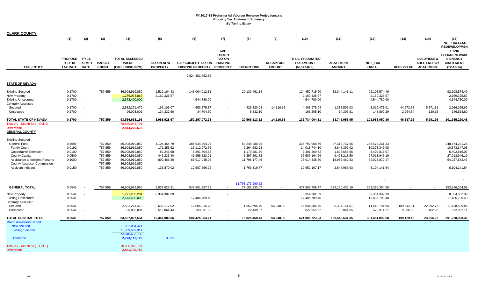| <b>CLARK COUNTY</b>                                                                                                                                                                                                        |                                                                    |                                    |                                                                           |                                                                                                                            |                                                                                   |                                                                                                    |                                                                              |                                                                                                |                                   |                                                                                                              |                                                                                                |                                                                                                   |                        |                                                             |                                                                                                   |
|----------------------------------------------------------------------------------------------------------------------------------------------------------------------------------------------------------------------------|--------------------------------------------------------------------|------------------------------------|---------------------------------------------------------------------------|----------------------------------------------------------------------------------------------------------------------------|-----------------------------------------------------------------------------------|----------------------------------------------------------------------------------------------------|------------------------------------------------------------------------------|------------------------------------------------------------------------------------------------|-----------------------------------|--------------------------------------------------------------------------------------------------------------|------------------------------------------------------------------------------------------------|---------------------------------------------------------------------------------------------------|------------------------|-------------------------------------------------------------|---------------------------------------------------------------------------------------------------|
|                                                                                                                                                                                                                            | (1)                                                                | (2)                                | (3)                                                                       | (4)                                                                                                                        | (5)                                                                               | (6)                                                                                                | (7)                                                                          | (8)                                                                                            | (9)                               | (10)                                                                                                         | (11)                                                                                           | (12)                                                                                              | (13)                   | (14)                                                        | (15)<br><b>NET TAX LESS</b><br><b>REDEVELOPMEN</b>                                                |
| TAX_ENTITY                                                                                                                                                                                                                 | PROPOSE FY 18<br>DFY 18 EXEMPT<br>TAX RATE RATE                    |                                    | <b>PARCEL</b><br><b>COUNT</b>                                             | <b>TOTAL ASSESSED</b><br><b>VALUE</b><br>(EXCLUDING NPM)                                                                   | <b>TAX ON NEW</b><br><b>PROPERTY</b>                                              | <b>CAP-SUBJECT TAX ON</b><br><b>EXISTING PROPERTY</b>                                              | CAP-<br><b>EXEMPT</b><br><b>TAX ON</b><br><b>EXISTING</b><br><b>PROPERTY</b> | <b>EXEMPTIONS</b>                                                                              | <b>RECAPTURE</b><br><b>AMOUNT</b> | <b>TOTAL PREABATED</b><br><b>TAX AMOUNT</b><br>$(5+6+7-8+9)$                                                 | <b>ABATEMENT</b><br><b>AMOUNT</b>                                                              | NET_TAX<br>$(10-11)$                                                                              | <b>REDEVELOP</b>       | <b>LEED/RENEW</b><br><b>ABLE ENERGY</b><br><b>ABATEMENT</b> | <b>T AND</b><br>LEED/RENEWABL<br><b>E ENERGY</b><br><b>ABATEMENT</b><br>$(12-13-14)$              |
|                                                                                                                                                                                                                            |                                                                    |                                    |                                                                           |                                                                                                                            |                                                                                   | 2,824,381,452.82                                                                                   |                                                                              |                                                                                                |                                   |                                                                                                              |                                                                                                |                                                                                                   |                        |                                                             |                                                                                                   |
| <b>STATE OF NEVADA</b>                                                                                                                                                                                                     |                                                                    |                                    |                                                                           |                                                                                                                            |                                                                                   |                                                                                                    |                                                                              |                                                                                                |                                   |                                                                                                              |                                                                                                |                                                                                                   |                        |                                                             |                                                                                                   |
| <b>Existing Secured</b><br>New Property<br><b>Existing Unsecured</b><br><b>Centrally Assessed</b>                                                                                                                          | 0.1700<br>0.1700<br>0.1700                                         | $\sim$<br>$\overline{\phantom{a}}$ | 757,859                                                                   | 86,908,919,850<br>1,276,073,865<br>2,673,400,000                                                                           | 1,519,164.43<br>2,169,325.57                                                      | 143,064,012.31<br>4,544,780.00                                                                     | $\overline{\phantom{a}}$                                                     | 20,130,461.14                                                                                  |                                   | 124,452,715.60<br>2,169,325.57<br>4,544,780.00                                                               | 32,344,141.11                                                                                  | 92,108,574.49<br>2,169,325.57<br>4,544,780.00                                                     |                        |                                                             | 92,108,574.49<br>2,169,325.57<br>4,544,780.00                                                     |
| Secured<br>Unsecured                                                                                                                                                                                                       | 0.1700<br>0.1700                                                   |                                    |                                                                           | 2,582,271,479<br>96,003,001                                                                                                | 166,106.07<br>134,332.60                                                          | 4,653,575.37<br>34,704.60                                                                          | $\sim$<br>$\sim$                                                             | 429,820.08<br>5,832.10                                                                         | 14,116.68                         | 4,403,978.04<br>163,205.10                                                                                   | 1,387,507.03<br>14,305.81                                                                      | 3,016,471.01<br>148,899.29                                                                        | 44,573.58<br>2,264.34  | 5,871.81<br>120.15                                          | 2,966,025.62<br>146,514.80                                                                        |
| TOTAL STATE OF NEVADA                                                                                                                                                                                                      | 0.1700                                                             |                                    | 757,859                                                                   | 93,536,668,195                                                                                                             | 3,988,928.67                                                                      | 152,297,072.28                                                                                     |                                                                              | 20,566,113.32                                                                                  | 14,116.68                         | 135,734,004.31                                                                                               | 33,745,953.95                                                                                  | 101,988,050.36                                                                                    | 46,837.92              | 5,991.96                                                    | 101,935,220.48                                                                                    |
| Total AV - March Seg - Col. Q<br><b>Difference</b><br><b>GENERAL COUNTY</b>                                                                                                                                                |                                                                    |                                    |                                                                           | 78,880,943,791<br>2,814,276,675                                                                                            |                                                                                   |                                                                                                    |                                                                              |                                                                                                |                                   |                                                                                                              |                                                                                                |                                                                                                   |                        |                                                             |                                                                                                   |
| <b>Existing Secured</b><br><b>General Fund</b><br><b>Family Court</b><br><b>Cooperative Extension</b><br><b>County Capital</b><br>Assistance to Indigent Persons<br><b>County Assessor Commission</b><br>Accident Indigent | 0.4599<br>0.0192<br>0.0100<br>0.0500<br>0.1000<br>$\sim$<br>0.0150 |                                    | 757,859<br>757,859<br>757,859<br>757,859<br>757,859<br>757,859<br>757,859 | 86,908,919,850<br>86,908,919,850<br>86,908,919,850<br>86,908,919,850<br>86,908,919,850<br>86,908,919,850<br>86,908,919,850 | 4,104,454.79<br>171,353.62<br>89,246.68<br>446,233.40<br>892,466.80<br>133,870.02 | 385,934,494.25<br>16,112,072.76<br>8,391,704.63<br>41,958,523.01<br>83,917,045.96<br>12,587,556.92 |                                                                              | 54,245,980.25<br>2,264,682.28<br>1,179,481.59<br>5,897,591.72<br>11,795,177.46<br>1,769,319.77 |                                   | 335,792,968.79<br>14,018,744.10<br>7,301,469.72<br>36,507,164.69<br>73,014,335.30<br>$\sim$<br>10,952,107.17 | 87,318,737.56<br>3,645,397.02<br>1,898,653.65<br>9,493,218.50<br>18,986,462.83<br>2,847,965.63 | 248,474,231.23<br>10,373,347.08<br>5,402,816.07<br>27,013,946.19<br>54,027,872.47<br>8,104,141.54 |                        |                                                             | 248,474,231.23<br>10,373,347.08<br>5,402,816.07<br>27,013,946.19<br>54,027,872.47<br>8,104,141.54 |
| <b>GENERAL TOTAL</b>                                                                                                                                                                                                       | 0.6541                                                             |                                    | 757,859                                                                   | 86,908,919,850                                                                                                             | 5,837,625.31                                                                      | 548,901,397.53                                                                                     | $\sim$                                                                       | 11,795,173,990.22<br>77,152,233.07                                                             | $\sim$                            | $\blacksquare$<br>$\blacksquare$<br>477,586,789.77                                                           | 124,190,435.19                                                                                 | 353,396,354.58                                                                                    |                        |                                                             | 353,396,354.58                                                                                    |
| New Property<br><b>Existing Unsecured</b><br><b>Centrally Assessed</b>                                                                                                                                                     | 0.6541<br>0.6541                                                   |                                    |                                                                           | 1,277,233,204<br>2,673,400,000                                                                                             | 8,354,382.39                                                                      | 17,486,709.40                                                                                      |                                                                              |                                                                                                |                                   | 8,354,382.39<br>17,486,709.40                                                                                |                                                                                                | 8,354,382.39<br>17,486,709.40                                                                     |                        |                                                             | 8,354,382.39<br>17,486,709.40                                                                     |
| Secured<br>Unsecured                                                                                                                                                                                                       | 0.6541<br>0.6541                                                   |                                    |                                                                           | 2,582,271,479<br>96,003,001                                                                                                | 639,117.52<br>516,864.44                                                          | 17,905,315.73<br>133,531.05                                                                        | $\sim$                                                                       | 1,653,795.49<br>22,439.87                                                                      | 54,248.99<br>$\sim$               | 16,944,886.75<br>627,955.62                                                                                  | 5,304,151.81<br>55,044.35                                                                      | 11,640,734.94<br>572,911.27                                                                       | 189,542.31<br>9,586.88 | 22,592.75<br>462.28                                         | 11,428,599.88<br>562,862.11                                                                       |
| <b>TOTAL GENERAL TOTAL</b><br><b>March Assessors Report:</b><br><b>New secured</b><br><b>Existing Secured</b><br><b>Difference</b><br>Total AV - March Seg - Col. Q<br><b>Difference</b>                                   | 0.6541                                                             |                                    | 757,859                                                                   | 93,537,827,534<br>981,064,421<br>71,359,569,311<br>72,340,633,732<br>2,773,112,128<br>78,880,943,791<br>2,861,709,753      | 15,347,989.66<br>3.83%                                                            | 584,426,953.71                                                                                     |                                                                              | 78,828,468.43                                                                                  | 54,248.99                         | 521,000,723.93                                                                                               | 129,549,631.35                                                                                 | 391,451,092.58                                                                                    | 199,129.19             | 23,055.03                                                   | 391,228,908.36                                                                                    |
|                                                                                                                                                                                                                            |                                                                    |                                    |                                                                           |                                                                                                                            |                                                                                   |                                                                                                    |                                                                              |                                                                                                |                                   |                                                                                                              |                                                                                                |                                                                                                   |                        |                                                             |                                                                                                   |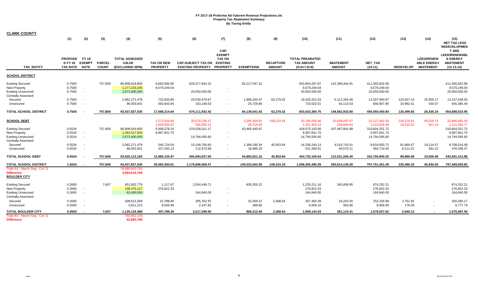| <b>CLARK COUNTY</b>                                                                                      |                                                 |                                                      |                               |                                                          |                                                   |                                                              |                                                                              |                                    |                                   |                                                              |                                                 |                                                                                                                                                                                                                                                                                                                                                                                                                                 |                         |                                                             |                                                                                                                                                                                                                                                                                                                                                                                                                                                                                                             |
|----------------------------------------------------------------------------------------------------------|-------------------------------------------------|------------------------------------------------------|-------------------------------|----------------------------------------------------------|---------------------------------------------------|--------------------------------------------------------------|------------------------------------------------------------------------------|------------------------------------|-----------------------------------|--------------------------------------------------------------|-------------------------------------------------|---------------------------------------------------------------------------------------------------------------------------------------------------------------------------------------------------------------------------------------------------------------------------------------------------------------------------------------------------------------------------------------------------------------------------------|-------------------------|-------------------------------------------------------------|-------------------------------------------------------------------------------------------------------------------------------------------------------------------------------------------------------------------------------------------------------------------------------------------------------------------------------------------------------------------------------------------------------------------------------------------------------------------------------------------------------------|
|                                                                                                          | (1)                                             | (2)                                                  | (3)                           | (4)                                                      | (5)                                               | (6)                                                          | (7)                                                                          | (8)                                | (9)                               | (10)                                                         | (11)                                            | (12)                                                                                                                                                                                                                                                                                                                                                                                                                            | (13)                    | (14)                                                        | (15)<br><b>NET TAX LESS</b>                                                                                                                                                                                                                                                                                                                                                                                                                                                                                 |
| <b>TAX ENTITY</b>                                                                                        | PROPOSE FY18<br><b>D FY 18</b><br>TAX RATE RATE | <b>EXEMPT</b>                                        | <b>PARCEL</b><br><b>COUNT</b> | <b>TOTAL ASSESSED</b><br><b>VALUE</b><br>(EXCLUDING NPM) | <b>TAX ON NEW</b><br><b>PROPERTY</b>              | <b>CAP-SUBJECT TAX ON</b><br><b>EXISTING PROPERTY</b>        | CAP-<br><b>EXEMPT</b><br><b>TAX ON</b><br><b>EXISTING</b><br><b>PROPERTY</b> | <b>EXEMPTIONS</b>                  | <b>RECAPTURE</b><br><b>AMOUNT</b> | <b>TOTAL PREABATED</b><br><b>TAX AMOUNT</b><br>$(5+6+7-8+9)$ | <b>ABATEMENT</b><br><b>AMOUNT</b>               | NET_TAX<br>$(10-11)$                                                                                                                                                                                                                                                                                                                                                                                                            | <b>REDEVELOP</b>        | <b>LEED/RENEW</b><br><b>ABLE ENERGY</b><br><b>ABATEMENT</b> | <b>REDEVELOPMEN</b><br><b>T AND</b><br><b>LEED/RENEWABL</b><br><b>E ENERGY</b><br><b>ABATEMENT</b><br>$(12-13-14)$                                                                                                                                                                                                                                                                                                                                                                                          |
| <b>SCHOOL DISTRICT</b>                                                                                   |                                                 |                                                      |                               |                                                          |                                                   |                                                              |                                                                              |                                    |                                   |                                                              |                                                 |                                                                                                                                                                                                                                                                                                                                                                                                                                 |                         |                                                             |                                                                                                                                                                                                                                                                                                                                                                                                                                                                                                             |
| <b>Existing Secured</b><br><b>New Property</b><br><b>Existing Unsecured</b><br><b>Centrally Assessed</b> | 0.7500<br>0.7500<br>0.7500                      |                                                      | 757,859                       | 86,908,919,850<br>1,277,233,205<br>2,673,400,000         | 6,693,500.96<br>9,579,249.04                      | 629,377,844.22<br>20,050,500.00                              |                                                                              | 82,217,047.31                      |                                   | 553,854,297.87<br>9,579,249.04<br>20,050,500.00              | 142,398,464.91                                  | 411,455,832.96<br>9,579,249.04<br>20,050,500.00                                                                                                                                                                                                                                                                                                                                                                                 |                         |                                                             | 411,455,832.96<br>9,579,249.04<br>20,050,500.00                                                                                                                                                                                                                                                                                                                                                                                                                                                             |
| Secured<br>Unsecured                                                                                     | 0.7500<br>0.7500                                |                                                      |                               | 2,582,271,479<br>96,003,001                              | 732,820.80<br>592,643.84                          | 20,530,479.67<br>153,108.53                                  | $\overline{\phantom{a}}$                                                     | 1,896,264.47<br>25,729.86          | 62,279.32                         | 19,429,315.33<br>720,022.51                                  | 6,121,354.46<br>63,114.53                       | 13,307,960.87<br>656,907.98                                                                                                                                                                                                                                                                                                                                                                                                     | 124,507.14<br>10,992.51 | 25,905.17<br>530.07                                         | 13,157,548.55<br>645,385.40                                                                                                                                                                                                                                                                                                                                                                                                                                                                                 |
| <b>TOTAL SCHOOL DISTRICT</b>                                                                             | 0.7500                                          |                                                      | 757,859                       | 93,537,827,535                                           | 17,598,214.64                                     | 670,111,932.42                                               | $\sim$                                                                       | 84,139,041.63                      | 62,279.32                         | 603,633,384.75                                               | 148,582,933.90                                  | 455,050,450.84                                                                                                                                                                                                                                                                                                                                                                                                                  | 135,499.65              | 26,435.24                                                   | 454,888,515.95                                                                                                                                                                                                                                                                                                                                                                                                                                                                                              |
| <b>SCHOOL DEBT</b>                                                                                       |                                                 |                                                      |                               |                                                          | متحامين ويستعيدون<br>1,273,544.84<br>1,029,935.97 | بالمتملم وبالمتوجب والمتحاورة<br>35,679,236.27<br>266,082.21 |                                                                              | . . ,<br>3,295,454.81<br>44,715.06 | 108,233.16                        | - , , , , , , , , , , , , ,<br>33,765,559.46<br>1,251,303.12 | - --,---,----- -<br>10,638,097.87<br>109,684.64 | $\frac{1}{2} \frac{1}{2} \frac{1}{2} \frac{1}{2} \frac{1}{2} \frac{1}{2} \frac{1}{2} \frac{1}{2} \frac{1}{2} \frac{1}{2} \frac{1}{2} \frac{1}{2} \frac{1}{2} \frac{1}{2} \frac{1}{2} \frac{1}{2} \frac{1}{2} \frac{1}{2} \frac{1}{2} \frac{1}{2} \frac{1}{2} \frac{1}{2} \frac{1}{2} \frac{1}{2} \frac{1}{2} \frac{1}{2} \frac{1}{2} \frac{1}{2} \frac{1}{2} \frac{1}{2} \frac{1}{2} \frac{$<br>23, 127, 461.59<br>1,141,618.48 | 216,376.81<br>19,103.52 | 45,019.74<br>921.19                                         | $\frac{1}{2} \left( \frac{1}{2} \right) \left( \frac{1}{2} \right) \left( \frac{1}{2} \right) \left( \frac{1}{2} \right) \left( \frac{1}{2} \right) \left( \frac{1}{2} \right) \left( \frac{1}{2} \right) \left( \frac{1}{2} \right) \left( \frac{1}{2} \right) \left( \frac{1}{2} \right) \left( \frac{1}{2} \right) \left( \frac{1}{2} \right) \left( \frac{1}{2} \right) \left( \frac{1}{2} \right) \left( \frac{1}{2} \right) \left( \frac{1}{2} \right) \left( \frac$<br>22,866,065.04<br>1,121,593.77 |
| <b>Existing Secured</b><br><b>New Property</b><br><b>Existing Unsecured</b>                              | 0.5534<br>0.5534<br>0.5534                      | $\overline{\phantom{a}}$<br>$\overline{\phantom{a}}$ | 757,859                       | 86,908,919,850<br>1,264,517,835<br>2,673,400,000         | 5,009,278.10<br>6,997,841.70                      | 476,528,311.17<br>14,794,595.60                              | $\overline{\phantom{a}}$                                                     | 63,465,445.67                      |                                   | 418,072,143.60<br>6,997,841.70<br>14,794,595.60              | 107,467,891.88                                  | 310,604,251.72<br>6,997,841.70<br>14,794,595.60                                                                                                                                                                                                                                                                                                                                                                                 |                         |                                                             | 310,604,251.72<br>6,997,841.70<br>14,794,595.60                                                                                                                                                                                                                                                                                                                                                                                                                                                             |
| <b>Centrally Assessed</b><br>Secured<br>Unsecured                                                        | 0.5534<br>0.5534                                |                                                      |                               | 2,582,271,479<br>96,003,001                              | 540,724.04<br>437,292.13                          | 15,148,756.60<br>112,973.68                                  | $\overline{\phantom{a}}$                                                     | 1,399,190.34<br>18,985.20          | 45,953.84<br>$\sim$               | 14,336,244.13<br>531,280.61                                  | 4,516,743.41<br>46,570.11                       | 9,819,500.72<br>484,710.50                                                                                                                                                                                                                                                                                                                                                                                                      | 91,869.67<br>8,111.01   | 19,114.57<br>391.12                                         | 9,708,516.49<br>476,208.37                                                                                                                                                                                                                                                                                                                                                                                                                                                                                  |
| <b>TOTAL SCHOOL DEBT</b>                                                                                 | 0.5534                                          |                                                      | 757,859                       | 93,525,112,165                                           | 12,985,135.97                                     | 506,584,637.05                                               | $\blacksquare$                                                               | 64,883,621.22                      | 45,953.84                         | 454,732,105.64                                               | 112,031,205.40                                  | 342,700,900.25                                                                                                                                                                                                                                                                                                                                                                                                                  | 99,980.68               | 19,505.69                                                   | 342,581,413.88                                                                                                                                                                                                                                                                                                                                                                                                                                                                                              |
| <b>TOTAL SCHOOL DISTRICT</b>                                                                             | 1.3034                                          |                                                      | 757,859                       | 93,537,827,535                                           | 30,583,350.61                                     | 1,176,696,569.47                                             |                                                                              | 149,022,662.85                     | 108,233.16                        | 1,058,365,490.39                                             | 260,614,139.30                                  | 797,751,351.09                                                                                                                                                                                                                                                                                                                                                                                                                  | 235,480.33              | 45,940.93                                                   | 797,469,929.83                                                                                                                                                                                                                                                                                                                                                                                                                                                                                              |
| Total AV - March Seg - Col. Q<br><b>Difference</b><br><b>BOULDER CITY</b>                                |                                                 |                                                      |                               | 78,880,943,791<br>3,694,610,769                          |                                                   |                                                              |                                                                              |                                    |                                   |                                                              |                                                 |                                                                                                                                                                                                                                                                                                                                                                                                                                 |                         |                                                             |                                                                                                                                                                                                                                                                                                                                                                                                                                                                                                             |
| <b>Existing Secured</b><br>New Property<br><b>Existing Unsecured</b><br><b>Centrally Assessed</b>        | 0.2600<br>0.2600<br>0.2600                      |                                                      | 7,607                         | 851,832,779<br>106,470,127<br>63,400,000                 | 1,117.67<br>276,822.33                            | 2,054,448.71<br>164,840.00                                   | $\overline{\phantom{a}}$                                                     | 835,355.22                         |                                   | 1,220,211.16<br>276,822.33<br>164,840.00                     | 345,958.95                                      | 874,252.21<br>276,822.33<br>164,840.00                                                                                                                                                                                                                                                                                                                                                                                          |                         |                                                             | 874,252.21<br>276,822.33<br>164,840.00                                                                                                                                                                                                                                                                                                                                                                                                                                                                      |
| Secured<br>Unsecured                                                                                     | 0.2600<br>0.2600                                |                                                      |                               | 109,612,269<br>3,811,213                                 | 21,798.40<br>8,049.99                             | 295,762.97<br>2,247.82                                       |                                                                              | 32,569.52<br>388.66                | 2,368.54<br>$\sim$                | 287,360.39<br>9,909.15                                       | 34,203.40<br>953.06                             | 253,156.99<br>8,956.09                                                                                                                                                                                                                                                                                                                                                                                                          | 2,761.82<br>178.30      |                                                             | 250,395.17<br>8,777.79                                                                                                                                                                                                                                                                                                                                                                                                                                                                                      |
| <b>TOTAL BOULDER CITY</b><br>Total AV - March Seg - Col. Q<br><b>Difference</b>                          | 0.2600                                          |                                                      | 7,607                         | 1,135,126,388<br>750,952,133<br>62,883,786               | 307,788.39                                        | 2,517,299.50                                                 |                                                                              | 868,313.40                         | 2,368.54                          | 1,959,143.03                                                 | 381,115.41                                      | 1,578,027.62                                                                                                                                                                                                                                                                                                                                                                                                                    | 2,940.12                |                                                             | 1,575,087.50                                                                                                                                                                                                                                                                                                                                                                                                                                                                                                |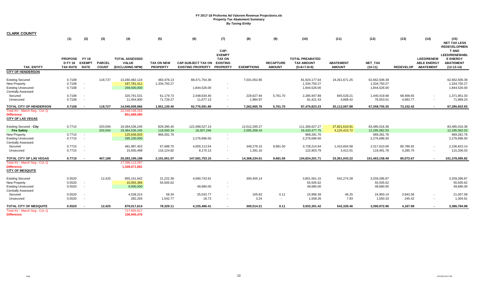| <b>CLARK COUNTY</b>                                                                                      |                               |                          |                               |                                                          |                                      |                               |                                                           |                        |                                   |                                               |                        |                                               |                       |                                                             |                                                                             |
|----------------------------------------------------------------------------------------------------------|-------------------------------|--------------------------|-------------------------------|----------------------------------------------------------|--------------------------------------|-------------------------------|-----------------------------------------------------------|------------------------|-----------------------------------|-----------------------------------------------|------------------------|-----------------------------------------------|-----------------------|-------------------------------------------------------------|-----------------------------------------------------------------------------|
|                                                                                                          | (1)                           | (2)                      | (3)                           | (4)                                                      | (5)                                  | (6)                           | (7)                                                       | (8)                    | (9)                               | (10)                                          | (11)                   | (12)                                          | (13)                  | (14)                                                        | (15)<br><b>NET TAX LESS</b><br><b>REDEVELOPMEN</b>                          |
| <b>TAX ENTITY</b>                                                                                        | PROPOSE FY18<br>DFY 18 EXEMPT |                          | <b>PARCEL</b><br><b>COUNT</b> | <b>TOTAL ASSESSED</b><br><b>VALUE</b><br>(EXCLUDING NPM) | <b>TAX ON NEW</b><br><b>PROPERTY</b> | <b>CAP-SUBJECT TAX ON</b>     | CAP-<br><b>EXEMPT</b><br><b>TAX ON</b><br><b>EXISTING</b> | <b>EXEMPTIONS</b>      | <b>RECAPTURE</b><br><b>AMOUNT</b> | <b>TOTAL PREABATED</b><br><b>TAX AMOUNT</b>   | <b>ABATEMENT</b>       | NET_TAX                                       | <b>REDEVELOP</b>      | <b>LEED/RENEW</b><br><b>ABLE ENERGY</b><br><b>ABATEMENT</b> | <b>T AND</b><br><b>LEED/RENEWABL</b><br><b>E ENERGY</b><br><b>ABATEMENT</b> |
| <b>CITY OF HENDERSON</b>                                                                                 | TAX RATE RATE                 |                          |                               |                                                          |                                      | <b>EXISTING PROPERTY</b>      | <b>PROPERTY</b>                                           |                        |                                   | $(5+6+7-8+9)$                                 | <b>AMOUNT</b>          | $(10-11)$                                     |                       |                                                             | $(12-13-14)$                                                                |
|                                                                                                          |                               |                          |                               |                                                          |                                      |                               |                                                           |                        |                                   |                                               |                        |                                               |                       |                                                             |                                                                             |
| <b>Existing Secured</b><br><b>New Property</b><br><b>Existing Unsecured</b><br><b>Centrally Assessed</b> | 0.7108<br>0.7108<br>0.7108    | $\sim$                   | 118,727                       | 13,260,482,124<br>187,781,411<br>259,500,000             | 483,476.13<br>1,334,750.27           | 88,471,754.36<br>1,844,526.00 | $\overline{\phantom{a}}$                                  | 7,031,052.85           |                                   | 81,924,177.64<br>1,334,750.27<br>1,844,526.00 | 19,261,671.25          | 62,662,506.39<br>1,334,750.27<br>1,844,526.00 |                       |                                                             | 62.662.506.39<br>1,334,750.27<br>1,844,526.00                               |
| Secured<br>Unsecured                                                                                     | 0.7108<br>0.7108              |                          |                               | 320,791,531<br>11,454,900                                | 61,179.73<br>71,729.27               | 2,448,634.40<br>11,677.13     | $\blacksquare$<br>$\overline{\phantom{a}}$                | 229,627.94<br>1,984.97 | 5,761.70                          | 2,285,947.89<br>81,421.43                     | 845,528.21<br>4,868.42 | 1,440,419.68<br>76,553.01                     | 68,468.65<br>4,683.77 | $\sim$                                                      | 1,371,951.03<br>71,869.24                                                   |
| TOTAL CITY OF HENDERSON                                                                                  | 0.7108                        |                          | 118,727                       | 14,040,009,966                                           | 1,951,135.40                         | 92,776,591.89                 | $\blacksquare$                                            | 7,262,665.76           | 5,761.70                          | 87,470,823.23                                 | 20,112,067.88          | 67,358,755.35                                 | 73,152.42             | $\blacksquare$                                              | 67,285,602.93                                                               |
| Total AV - March Seq - Col. Q<br><b>Difference</b><br><b>CITY OF LAS VEGAS</b>                           |                               |                          |                               | 12,249,146,315<br>801,689,080                            |                                      |                               |                                                           |                        |                                   |                                               |                        |                                               |                       |                                                             |                                                                             |
| <b>Existing Secured - City</b>                                                                           | 0.7715                        |                          | 203,594                       | 19,364,536,245                                           | 829,395.40                           | 122,489,527.14                |                                                           | 12,012,295.27          |                                   | 111,306,627.27                                | 27,821,610.91          | 83,485,016.36                                 |                       |                                                             | 83,485,016.36                                                               |
| <b>Fire Safety</b>                                                                                       |                               |                          | 203.594                       | 19,364,536,245                                           | 118,500.34                           | 18,307,246                    |                                                           | 2,005,268.43           |                                   | 16,420,477.75                                 | 4,125,415.72           | 12,295,062.03                                 |                       |                                                             | 12,295,062.03                                                               |
| <b>New Property</b><br><b>Existing Unsecured</b><br><b>Centrally Assessed</b>                            | 0.7715<br>0.7715              | $\sim$<br>$\sim$         |                               | 125,636,003<br>295,100,000                               | 969,281.76                           | 2,276,696.50                  | $\sim$<br>$\sim$                                          |                        |                                   | 969,281.76<br>2,276,696.50                    |                        | 969,281.76<br>2,276,696.50                    |                       |                                                             | 969,281.76<br>2,276,696.50                                                  |
| Secured                                                                                                  | 0.7715                        |                          |                               | 481,987,453                                              | 67,698.75                            | 4,000,113.54                  | $\sim$                                                    | 349,279.15             | 9,681.50                          | 3,728,214.64                                  | 1,410,604.58           | 2,317,610.06                                  | 80,786.92             | $\sim$                                                      | 2,236,823.14                                                                |
| Unsecured                                                                                                | 0.7715                        | $\overline{\phantom{a}}$ |                               | 15,930,498                                               | 116,124.82                           | 8,170.13                      | $\sim$                                                    | 1,391.16               |                                   | 122,903.79                                    | 3,412.01               | 119,491.78                                    | 4,285.75              |                                                             | 115,206.03                                                                  |
| TOTAL CITY OF LAS VEGAS                                                                                  | 0.7715                        |                          | 407,188                       | 20,283,190,198                                           | 2,101,001.07                         | 147,081,753.15                | $\sim$                                                    | 14,368,234.01          | 9,681.50                          | 134,824,201.71                                | 33,361,043.22          | 101,463,158.49                                | 85,072.67             | $\sim$                                                      | 101,378,085.82                                                              |
| Total AV - March Seg - Col. Q<br><b>Difference</b><br><b>CITY OF MESQUITE</b>                            |                               |                          |                               | 17,398,113,297<br>1,328,071,681                          |                                      |                               |                                                           |                        |                                   |                                               |                        |                                               |                       |                                                             |                                                                             |
| <b>Existing Secured</b>                                                                                  | 0.5520                        |                          | 12,425                        | 855,151,642                                              | 21,222.38                            | 4,080,743.91                  |                                                           | 300,405.14             |                                   | 3,801,561.15                                  | 542,274.28             | 3,259,286.87                                  |                       |                                                             | 3,259,286.87                                                                |
| New Property                                                                                             | 0.5520                        | $\sim$                   |                               | 10,055,366                                               | 55,505.62                            |                               | $\overline{\phantom{a}}$                                  |                        |                                   | 55,505.62                                     |                        | 55,505.62                                     |                       |                                                             | 55,505.62                                                                   |
| <b>Existing Unsecured</b><br><b>Centrally Assessed</b>                                                   | 0.5520                        | $\sim$                   |                               | 9,000,000                                                |                                      | 49,680.00                     | $\blacksquare$                                            |                        |                                   | 49,680.00                                     |                        | 49,680.00                                     |                       |                                                             | 49,680.00                                                                   |
| Secured<br>Unsecured                                                                                     | 0.5520<br>0.5520              |                          |                               | 4,528,313<br>282,293                                     | 58.34<br>1,542.77                    | 25,043.77<br>18.73            | $\sim$                                                    | 105.83<br>3.24         | 0.11<br>$\sim$                    | 24,996.39<br>1,558.26                         | 46.25<br>7.93          | 24,950.14<br>1,550.33                         | 3,942.56<br>245.42    | $\sim$                                                      | 21,007.58<br>1,304.91                                                       |
| TOTAL CITY OF MESQUITE                                                                                   | 0.5520                        |                          | 12,425                        | 879,017,614                                              | 78,329.11                            | 4,155,486.41                  |                                                           | 300,514.21             | 0.11                              | 3,933,301.42                                  | 542,328.46             | 3,390,972.96                                  | 4,187.98              |                                                             | 3,386,784.98                                                                |
| Total AV - March Seg - Col. Q<br><b>Difference</b>                                                       |                               |                          |                               | 717,650,917<br>106,945,476                               |                                      |                               |                                                           |                        |                                   |                                               |                        |                                               |                       |                                                             |                                                                             |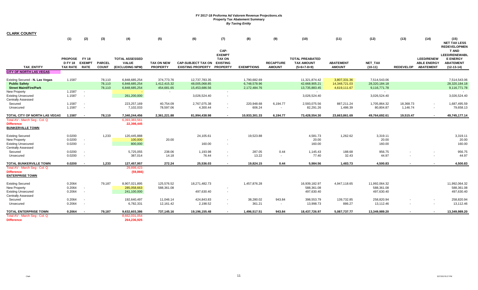| <b>CLARK COUNTY</b>                                                                      |                                                   |                               |                               |                                                          |                                          |                                                       |                                                                              |                                              |                                   |                                                              |                                               |                                               |                  |                                                             |                                                                                      |
|------------------------------------------------------------------------------------------|---------------------------------------------------|-------------------------------|-------------------------------|----------------------------------------------------------|------------------------------------------|-------------------------------------------------------|------------------------------------------------------------------------------|----------------------------------------------|-----------------------------------|--------------------------------------------------------------|-----------------------------------------------|-----------------------------------------------|------------------|-------------------------------------------------------------|--------------------------------------------------------------------------------------|
|                                                                                          | (1)                                               | (2)                           | (3)                           | (4)                                                      | (5)                                      | (6)                                                   | (7)                                                                          | (8)                                          | (9)                               | (10)                                                         | (11)                                          | (12)                                          | (13)             | (14)                                                        | (15)<br><b>NET TAX LESS</b><br><b>REDEVELOPMEN</b>                                   |
| <b>TAX ENTITY</b>                                                                        | <b>PROPOSE</b><br><b>D FY 18</b><br>TAX RATE RATE | <b>FY 18</b><br><b>EXEMPT</b> | <b>PARCEL</b><br><b>COUNT</b> | <b>TOTAL ASSESSED</b><br><b>VALUE</b><br>(EXCLUDING NPM) | <b>TAX ON NEW</b><br><b>PROPERTY</b>     | <b>CAP-SUBJECT TAX ON</b><br><b>EXISTING PROPERTY</b> | CAP-<br><b>EXEMPT</b><br><b>TAX ON</b><br><b>EXISTING</b><br><b>PROPERTY</b> | <b>EXEMPTIONS</b>                            | <b>RECAPTURE</b><br><b>AMOUNT</b> | <b>TOTAL PREABATED</b><br><b>TAX AMOUNT</b><br>$(5+6+7-8+9)$ | <b>ABATEMENT</b><br><b>AMOUNT</b>             | NET_TAX<br>$(10-11)$                          | <b>REDEVELOP</b> | <b>LEED/RENEW</b><br><b>ABLE ENERGY</b><br><b>ABATEMENT</b> | T AND<br><b>LEED/RENEWABL</b><br><b>E ENERGY</b><br><b>ABATEMENT</b><br>$(12-13-14)$ |
| <b>CITY OF NORTH LAS VEGAS</b>                                                           |                                                   |                               |                               |                                                          |                                          |                                                       |                                                                              |                                              |                                   |                                                              |                                               |                                               |                  |                                                             |                                                                                      |
| Existing Secured - N. Las Vegas<br><b>Public Safety</b><br><b>Street Maint/Fire/Park</b> | 1.1587                                            |                               | 78,110<br>78,110<br>78,110    | 6,848,685,254<br>6,848,685,254<br>6,848,685,254          | 374,773.76<br>1,412,415.32<br>454,681.65 | 12,737,783.35<br>48,005,068.85<br>15,453,686.56       |                                                                              | 1,790,682.69<br>6,748,578.96<br>2,172,484.76 |                                   | 11,321,874.42<br>42,668,905.21<br>13,735,883.45              | 3,807,331.36<br>14,348,721.03<br>4,619,111.67 | 7,514,543.06<br>28,320,184.18<br>9,116,771.78 |                  |                                                             | 7,514,543.06<br>28,320,184.18<br>9,116,771.78                                        |
| New Property                                                                             | 1.1587                                            | $\sim$                        |                               |                                                          |                                          |                                                       |                                                                              |                                              |                                   | $\sim$                                                       |                                               |                                               |                  |                                                             |                                                                                      |
| <b>Existing Unsecured</b><br><b>Centrally Assessed</b>                                   | 1.1587                                            | $\overline{\phantom{a}}$      |                               | 261,200,000                                              |                                          | 3,026,524.40                                          | $\overline{\phantom{a}}$                                                     |                                              |                                   | 3,026,524.40                                                 |                                               | 3,026,524.40                                  |                  |                                                             | 3,026,524.40                                                                         |
| Secured                                                                                  | 1.1587                                            | $\overline{\phantom{a}}$      |                               | 223,257,169                                              | 40,754.09                                | 2,767,075.38                                          |                                                                              | 220,948.68                                   | 6,194.77                          | 2,593,075.56                                                 | 887,211.24                                    | 1,705,864.32                                  | 18,368.73        |                                                             | 1,687,495.59                                                                         |
| Unsecured                                                                                | 1.1587                                            | $\sim$                        |                               | 7,102,033                                                | 78,597.06                                | 4,300.44                                              | $\overline{\phantom{a}}$                                                     | 606.24                                       | $\sim$                            | 82,291.26                                                    | 1,486.39                                      | 80,804.87                                     | 1,146.74         |                                                             | 79,658.13                                                                            |
| TOTAL CITY OF NORTH LAS VEGAS                                                            | 1.1587                                            | $\sim$                        | 78,110                        | 7,340,244,456                                            | 2,361,221.88                             | 81,994,438.98                                         |                                                                              | 10,933,301.33                                | 6,194.77                          | 73,428,554.30                                                | 23,663,861.69                                 | 49,764,692.61                                 | 19,515.47        |                                                             | 49,745,177.14                                                                        |
| Total AV - March Seg - Col. Q<br><b>Difference</b><br><b>BUNKERVILLE TOWN</b>            |                                                   |                               |                               | 6,393,383,561<br>22,398,445                              |                                          |                                                       |                                                                              |                                              |                                   |                                                              |                                               |                                               |                  |                                                             |                                                                                      |
| <b>Existing Secured</b><br><b>New Property</b>                                           | 0.0200<br>0.0200                                  |                               | 1,233                         | 120,445,888<br>100,000                                   | 20.00                                    | 24,105.61                                             |                                                                              | 19,523.88                                    |                                   | 4,581.73<br>20.00                                            | 1,262.62                                      | 3,319.11<br>20.00                             |                  |                                                             | 3,319.11<br>20.00                                                                    |
| <b>Existing Unsecured</b>                                                                | 0.0200                                            |                               |                               | 800,000                                                  |                                          | 160.00                                                |                                                                              |                                              |                                   | 160.00                                                       |                                               | 160.00                                        |                  |                                                             | 160.00                                                                               |
| <b>Centrally Assessed</b>                                                                |                                                   |                               |                               |                                                          |                                          |                                                       |                                                                              |                                              |                                   |                                                              |                                               |                                               |                  |                                                             |                                                                                      |
| Secured                                                                                  | 0.0200                                            |                               |                               | 5,725,055                                                | 238.06                                   | 1,193.98                                              |                                                                              | 287.05                                       | 0.44                              | 1,145.43                                                     | 188.68                                        | 956.75                                        |                  |                                                             | 956.75                                                                               |
| Unsecured                                                                                | 0.0200                                            |                               |                               | 387,014                                                  | 14.18                                    | 76.44                                                 |                                                                              | 13.22                                        | $\sim$                            | 77.40                                                        | 32.43                                         | 44.97                                         |                  |                                                             | 44.97                                                                                |
| <b>TOTAL BUNKERVILLE TOWN</b>                                                            | 0.0200                                            | $\overline{\phantom{a}}$      | 1,233                         | 127,457,957                                              | 272.24                                   | 25,536.03                                             | $\blacksquare$                                                               | 19,824.15                                    | 0.44                              | 5,984.56                                                     | 1,483.73                                      | 4,500.83                                      |                  |                                                             | 4,500.83                                                                             |
| Total AV - March Seg - Col. Q<br><b>Difference</b><br><b>ENTERPRISE TOWN</b>             |                                                   |                               |                               | 29,898,423<br>(59, 866)                                  |                                          |                                                       |                                                                              |                                              |                                   |                                                              |                                               |                                               |                  |                                                             |                                                                                      |
| <b>Existing Secured</b>                                                                  | 0.2064                                            |                               | 79,187                        | 8,907,021,895                                            | 125,576.52                               | 18,271,482.73                                         |                                                                              | 1,457,876.28                                 |                                   | 16,939,182.97                                                | 4,947,118.65                                  | 11,992,064.32                                 |                  |                                                             | 11,992,064.32                                                                        |
| <b>New Property</b>                                                                      | 0.2064                                            | . .                           |                               | 285,058,663                                              | 588,361.08                               |                                                       |                                                                              |                                              |                                   | 588,361.08                                                   |                                               | 588,361.08                                    |                  |                                                             | 588,361.08                                                                           |
| <b>Existing Unsecured</b><br><b>Centrally Assessed</b>                                   | 0.2064                                            |                               |                               | 241,100,000                                              |                                          | 497,630.40                                            |                                                                              |                                              |                                   | 497,630.40                                                   |                                               | 497,630.40                                    |                  |                                                             | 497,630.40                                                                           |
| Secured                                                                                  | 0.2064                                            |                               |                               | 192,640,497                                              | 11,046.14                                | 424,843.83                                            |                                                                              | 38,280.02                                    | 943.84                            | 398,553.79                                                   | 139,732.85                                    | 258,820.94                                    |                  |                                                             | 258,820.94                                                                           |
| Unsecured                                                                                | 0.2064                                            |                               |                               | 6,782,331                                                | 12,161.42                                | 2,198.52                                              |                                                                              | 361.21                                       | $\sim$                            | 13,998.73                                                    | 886.27                                        | 13,112.46                                     |                  |                                                             | 13,112.46                                                                            |
| <b>TOTAL ENTERPRISE TOWN</b>                                                             | 0.2064                                            | $\sim$                        | 79,187                        | 9,632,603,386                                            | 737,145.16                               | 19,196,155.48                                         |                                                                              | 1,496,517.51                                 | 943.84                            | 18,437,726.97                                                | 5,087,737.77                                  | 13,349,989.20                                 |                  |                                                             | 13,349,989.20                                                                        |
| Total AV - March Seg - Col. Q                                                            |                                                   |                               |                               | 8,662,031,054                                            |                                          |                                                       |                                                                              |                                              |                                   |                                                              |                                               |                                               |                  |                                                             |                                                                                      |
| <b>Difference</b>                                                                        |                                                   |                               |                               | 264,236,925                                              |                                          |                                                       |                                                                              |                                              |                                   |                                                              |                                               |                                               |                  |                                                             |                                                                                      |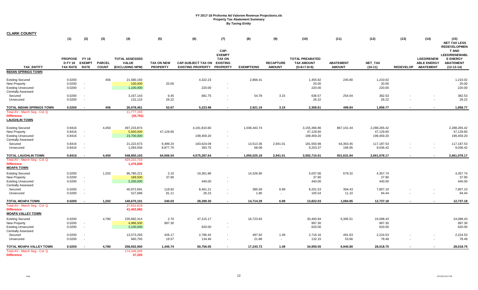| <b>CLARK COUNTY</b>           |                                   |                              |                               |                                 |                                      |                                                                |                                        |                          |                                   |                                    |                                   |                      |                  |                                        |                                                         |
|-------------------------------|-----------------------------------|------------------------------|-------------------------------|---------------------------------|--------------------------------------|----------------------------------------------------------------|----------------------------------------|--------------------------|-----------------------------------|------------------------------------|-----------------------------------|----------------------|------------------|----------------------------------------|---------------------------------------------------------|
|                               | (1)                               | (2)                          | (3)                           | (4)                             | (5)                                  | (6)                                                            | (7)                                    | (8)                      | (9)                               | (10)                               | (11)                              | (12)                 | (13)             | (14)                                   | (15)<br><b>NET TAX LESS</b><br><b>REDEVELOPMEN</b>      |
|                               | <b>PROPOSE</b>                    | FY 18                        |                               | <b>TOTAL ASSESSED</b>           |                                      |                                                                | CAP-<br><b>EXEMPT</b><br><b>TAX ON</b> |                          |                                   | <b>TOTAL PREABATED</b>             |                                   |                      |                  | <b>LEED/RENEW</b>                      | <b>T AND</b><br><b>LEED/RENEWABL</b><br><b>E ENERGY</b> |
| <b>TAX ENTITY</b>             | <b>D FY 18</b><br><b>TAX RATE</b> | <b>EXEMPT</b><br><b>RATE</b> | <b>PARCEL</b><br><b>COUNT</b> | <b>VALUE</b><br>(EXCLUDING NPM) | <b>TAX ON NEW</b><br><b>PROPERTY</b> | <b>CAP-SUBJECT TAX ON</b><br><b>EXISTING PROPERTY PROPERTY</b> | <b>EXISTING</b>                        | <b>EXEMPTIONS</b>        | <b>RECAPTURE</b><br><b>AMOUNT</b> | <b>TAX AMOUNT</b><br>$(5+6+7-8+9)$ | <b>ABATEMENT</b><br><b>AMOUNT</b> | NET_TAX<br>$(10-11)$ | <b>REDEVELOP</b> | <b>ABLE ENERGY</b><br><b>ABATEMENT</b> | <b>ABATEMENT</b><br>$(12-13-14)$                        |
| <b>INDIAN SPRINGS TOWN</b>    |                                   |                              |                               |                                 |                                      |                                                                |                                        |                          |                                   |                                    |                                   |                      |                  |                                        |                                                         |
|                               |                                   |                              |                               |                                 |                                      |                                                                |                                        |                          |                                   |                                    |                                   |                      |                  |                                        |                                                         |
| <b>Existing Secured</b>       | 0.0200                            |                              | 456                           | 21,580,193                      |                                      | 4,322.23                                                       |                                        | 2,866.41                 |                                   | 1,455.82                           | 245.80                            | 1,210.02             |                  |                                        | 1,210.02                                                |
| New Property                  | 0.0200                            | $\sim$                       |                               | 100,000                         | 20.00                                |                                                                |                                        |                          |                                   | 20.00                              |                                   | 20.00                |                  |                                        | 20.00                                                   |
| <b>Existing Unsecured</b>     | 0.0200                            | $\sim$                       |                               | 1,100,000                       |                                      | 220.00                                                         |                                        |                          |                                   | 220.00                             |                                   | 220.00               |                  |                                        | 220.00                                                  |
| <b>Centrally Assessed</b>     |                                   |                              |                               |                                 |                                      |                                                                |                                        |                          |                                   |                                    |                                   |                      |                  |                                        |                                                         |
| Secured                       | 0.0200                            | $\sim$                       |                               | 3,167,143                       | 6.45                                 | 681.75                                                         |                                        | 54.78                    | 3.15                              | 636.57                             | 254.04                            | 382.53               |                  |                                        | 382.53                                                  |
| Unsecured                     | 0.0200                            | $\overline{\phantom{a}}$     |                               | 131,115                         | 26.22                                |                                                                | $\overline{\phantom{a}}$               | $\overline{\phantom{a}}$ | $\sim$                            | 26.22                              |                                   | 26.22                |                  |                                        | 26.22                                                   |
| TOTAL INDIAN SPRINGS TOWN     | 0.0200                            | $\sim$                       | 456                           | 26,078,451                      | 52.67                                | 5,223.98                                                       |                                        | 2,921.19                 | 3.15                              | 2,358.61                           | 499.84                            | 1,858.77             |                  |                                        | 1,858.77                                                |
| Total AV - March Seg - Col. Q |                                   |                              |                               | 11,777,193                      |                                      |                                                                |                                        |                          |                                   |                                    |                                   |                      |                  |                                        |                                                         |
| <b>Difference</b>             |                                   |                              |                               | (30, 792)                       |                                      |                                                                |                                        |                          |                                   |                                    |                                   |                      |                  |                                        |                                                         |
| <b>LAUGHLIN TOWN</b>          |                                   |                              |                               |                                 |                                      |                                                                |                                        |                          |                                   |                                    |                                   |                      |                  |                                        |                                                         |
| <b>Existing Secured</b>       | 0.8416                            |                              | 4,450                         | 497,233,874                     |                                      | 4,191,810.60                                                   |                                        | 1,036,443.74             |                                   | 3,155,366.86                       | 867,101.44                        | 2,288,265.42         |                  |                                        | 2,288,265.42                                            |
| New Property                  | 0.8416                            | $\sim$                       |                               | 5,600,000                       | 47,129.60                            |                                                                |                                        |                          |                                   | 47,129.60                          |                                   | 47,129.60            |                  |                                        | 47,129.60                                               |
| <b>Existing Unsecured</b>     | 0.8416                            | $\sim$                       |                               | 23,700,000                      |                                      | 199,459.20                                                     | $\sim$                                 |                          |                                   | 199,459.20                         |                                   | 199,459.20           |                  |                                        | 199,459.20                                              |
| <b>Centrally Assessed</b>     |                                   |                              |                               |                                 |                                      |                                                                |                                        |                          |                                   |                                    |                                   |                      |                  |                                        |                                                         |
| Secured                       | 0.8416                            | $\sim$                       |                               | 21,222,673                      | 8,499.24                             | 183,624.09                                                     | $\sim$                                 | 13,513.36                | 2,941.01                          | 181,550.98                         | 64,363.45                         | 117,187.53           |                  |                                        | 117,187.53                                              |
| Unsecured                     | 0.8416                            | $\sim$                       |                               | 1,093,556                       | 8,877.70                             | 393.75                                                         | $\sim$                                 | 68.08                    | $\sim$                            | 9,203.37                           | 166.95                            | 9,036.42             |                  |                                        | 9,036.42                                                |
| <b>TOTAL LAUGHLIN TOWN</b>    | 0.8416                            | $\sim$                       | 4,450                         | 548,850,103                     | 64,506.54                            | 4,575,287.64                                                   | $\overline{\phantom{a}}$               | 1,050,025.18             | 2,941.01                          | 3,592,710.01                       | 931,631.84                        | 2,661,078.17         |                  |                                        | 2,661,078.17                                            |
| Total AV - March Seg - Col. Q |                                   |                              |                               | 424,221,710                     |                                      |                                                                |                                        |                          |                                   |                                    |                                   |                      |                  |                                        |                                                         |
| <b>Difference</b>             |                                   |                              |                               | 1,476,808                       |                                      |                                                                |                                        |                          |                                   |                                    |                                   |                      |                  |                                        |                                                         |
| <b>MOAPA TOWN</b>             |                                   |                              |                               |                                 |                                      |                                                                |                                        |                          |                                   |                                    |                                   |                      |                  |                                        |                                                         |
|                               |                                   |                              |                               |                                 |                                      |                                                                |                                        |                          |                                   |                                    |                                   |                      |                  |                                        |                                                         |
| <b>Existing Secured</b>       | 0.0200                            |                              | 1,202                         | 96,780,221                      | 2.10                                 | 19,361.86                                                      |                                        | 14,326.90                |                                   | 5,037.06                           | 679.32                            | 4,357.74             |                  |                                        | 4,357.74                                                |
| <b>New Property</b>           | 0.0200                            | $\sim$                       |                               | 189,500                         | 37.90                                |                                                                |                                        |                          |                                   | 37.90                              |                                   | 37.90                |                  |                                        | 37.90                                                   |
| <b>Existing Unsecured</b>     | 0.0200                            | $\sim$                       |                               | 2,200,000                       |                                      | 440.00                                                         | $\sim$                                 |                          |                                   | 440.00                             |                                   | 440.00               |                  |                                        | 440.00                                                  |
| <b>Centrally Assessed</b>     |                                   |                              |                               |                                 |                                      |                                                                |                                        |                          |                                   |                                    |                                   |                      |                  |                                        |                                                         |
| Secured                       | 0.0200                            | $\sim$                       |                               | 40,972,691                      | 118.92                               | 8,461.21                                                       | $\sim$                                 | 385.59                   | 6.99                              | 8,201.53                           | 394.43                            | 7,807.10             |                  |                                        | 7,807.10                                                |
| Unsecured                     | 0.0200                            | $\sim$                       |                               | 527,689                         | 81.11                                | 26.23                                                          | $\sim$                                 | 1.80                     | $\sim$                            | 105.54                             | 11.10                             | 94.44                |                  |                                        | 94.44                                                   |
| <b>TOTAL MOAPA TOWN</b>       | 0.0200                            |                              | 1,202                         | 140,670,101                     | 240.03                               | 28,289.30                                                      |                                        | 14,714.29                | 6.99                              | 13,822.03                          | 1,084.85                          | 12,737.18            |                  |                                        | 12,737.18                                               |
| Total AV - March Seq - Col. Q |                                   |                              |                               | 27,631,619                      |                                      |                                                                |                                        |                          |                                   |                                    |                                   |                      |                  |                                        |                                                         |
| <b>Difference</b>             |                                   |                              |                               | 41,403,982                      |                                      |                                                                |                                        |                          |                                   |                                    |                                   |                      |                  |                                        |                                                         |
| <b>MOAPA VALLEY TOWN</b>      |                                   |                              |                               |                                 |                                      |                                                                |                                        |                          |                                   |                                    |                                   |                      |                  |                                        |                                                         |
| <b>Existing Secured</b>       | 0.0200                            |                              | 4,780                         | 235,682,314                     | 2.70                                 | 47,215.17                                                      |                                        | 16,723.93                |                                   | 30,493.94                          | 6,395.51                          | 24,098.43            |                  |                                        | 24,098.43                                               |
| New Property                  | 0.0200                            | $\sim$                       |                               | 4,986,500                       | 997.30                               |                                                                |                                        |                          |                                   | 997.30                             |                                   | 997.30               |                  |                                        | 997.30                                                  |
| <b>Existing Unsecured</b>     | 0.0200                            | $\sim$                       |                               | 3,100,000                       |                                      | 620.00                                                         | $\sim$                                 |                          |                                   | 620.00                             |                                   | 620.00               |                  |                                        | 620.00                                                  |
| <b>Centrally Assessed</b>     |                                   |                              |                               |                                 |                                      |                                                                |                                        |                          |                                   |                                    |                                   |                      |                  |                                        |                                                         |
| Secured                       | 0.0200                            | $\sim$                       |                               | 13,573,293                      | 426.17                               | 2,786.42                                                       | $\sim$                                 | 497.92                   | 1.49                              | 2,716.16                           | 491.63                            | 2,224.53             |                  |                                        | 2,224.53                                                |
| Unsecured                     | 0.0200                            | $\sim$                       |                               | 660,793                         | 19.57                                | 134.46                                                         | $\sim$                                 | 21.88                    | $\sim$                            | 132.15                             | 53.66                             | 78.49                |                  |                                        | 78.49                                                   |
| TOTAL MOAPA VALLEY TOWN       | 0.0200                            |                              | 4,780                         | 258,002,900                     | 1,445.74                             | 50,756.05                                                      | $\sim$                                 | 17,243.73                | 1.49                              | 34,959.55                          | 6,940.80                          | 28,018.75            |                  |                                        | 28,018.75                                               |
| Total AV - March Seg - Col. Q |                                   |                              |                               | 174,346,045                     |                                      |                                                                |                                        |                          |                                   |                                    |                                   |                      |                  |                                        |                                                         |
| <b>Difference</b>             |                                   |                              |                               | 37,205                          |                                      |                                                                |                                        |                          |                                   |                                    |                                   |                      |                  |                                        |                                                         |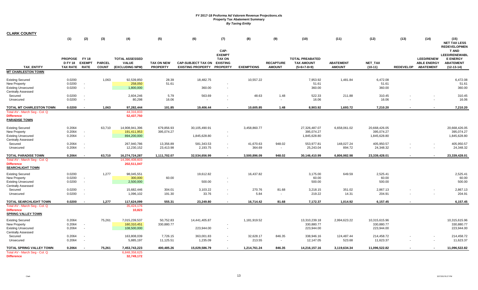| <b>CLARK COUNTY</b>                                                                                      |                                                   |              |                               |                                                          |                                      |                                                                |                                  |                     |                                   |                                                              |                                   |                                             |                  |                                                             |                                                     |
|----------------------------------------------------------------------------------------------------------|---------------------------------------------------|--------------|-------------------------------|----------------------------------------------------------|--------------------------------------|----------------------------------------------------------------|----------------------------------|---------------------|-----------------------------------|--------------------------------------------------------------|-----------------------------------|---------------------------------------------|------------------|-------------------------------------------------------------|-----------------------------------------------------|
|                                                                                                          | (1)                                               | (2)          | (3)                           | (4)                                                      | (5)                                  | (6)                                                            | (7)                              | (8)                 | (9)                               | (10)                                                         | (11)                              | (12)                                        | (13)             | (14)                                                        | (15)<br><b>NET TAX LESS</b>                         |
|                                                                                                          |                                                   |              |                               |                                                          |                                      |                                                                | CAP-<br><b>EXEMPT</b>            |                     |                                   |                                                              |                                   |                                             |                  |                                                             | <b>REDEVELOPMEN</b><br>T AND<br>LEED/RENEWABL       |
| <b>TAX ENTITY</b>                                                                                        | <b>PROPOSE</b><br>D FY 18 EXEMPT<br>TAX RATE RATE | <b>FY 18</b> | <b>PARCEL</b><br><b>COUNT</b> | <b>TOTAL ASSESSED</b><br><b>VALUE</b><br>(EXCLUDING NPM) | <b>TAX ON NEW</b><br><b>PROPERTY</b> | <b>CAP-SUBJECT TAX ON</b><br><b>EXISTING PROPERTY PROPERTY</b> | <b>TAX ON</b><br><b>EXISTING</b> | <b>EXEMPTIONS</b>   | <b>RECAPTURE</b><br><b>AMOUNT</b> | <b>TOTAL PREABATED</b><br><b>TAX AMOUNT</b><br>$(5+6+7-8+9)$ | <b>ABATEMENT</b><br><b>AMOUNT</b> | NET_TAX<br>$(10-11)$                        | <b>REDEVELOP</b> | <b>LEED/RENEW</b><br><b>ABLE ENERGY</b><br><b>ABATEMENT</b> | <b>E ENERGY</b><br><b>ABATEMENT</b><br>$(12-13-14)$ |
| <b>MT CHARLESTON TOWN</b>                                                                                |                                                   |              |                               |                                                          |                                      |                                                                |                                  |                     |                                   |                                                              |                                   |                                             |                  |                                                             |                                                     |
| <b>Existing Secured</b><br>New Property<br><b>Existing Unsecured</b>                                     | 0.0200<br>0.0200<br>0.0200                        |              | 1,063                         | 92,539,850<br>258,050<br>1,800,000                       | 28.39<br>51.61                       | 18,482.75<br>360.00                                            | ٠                                | 10,557.22           |                                   | 7,953.92<br>51.61<br>360.00                                  | 1,481.84                          | 6,472.08<br>51.61<br>360.00                 |                  |                                                             | 6,472.08<br>51.61<br>360.00                         |
| <b>Centrally Assessed</b><br>Secured                                                                     | 0.0200                                            |              |                               | 2,604,246                                                | 5.79                                 | 563.69                                                         | $\blacksquare$                   | 48.63               | 1.48                              | 522.33                                                       | 211.88                            | 310.45                                      |                  |                                                             | 310.45                                              |
| Unsecured                                                                                                | 0.0200                                            | $\sim$       |                               | 80,298                                                   | 16.06                                |                                                                | ٠                                |                     | $\sim$                            | 16.06                                                        | $\overline{\phantom{a}}$          | 16.06                                       |                  | $\overline{\phantom{a}}$                                    | 16.06                                               |
| TOTAL MT CHARLESTON TOWN                                                                                 | 0.0200                                            |              | 1,063                         | 97,282,444                                               | 101.85                               | 19,406.44                                                      | $\blacksquare$                   | 10,605.85           | 1.48                              | 8,903.92                                                     | 1,693.72                          | 7,210.20                                    |                  |                                                             | 7,210.20                                            |
| Total AV - March Seg - Col. Q<br><b>Difference</b><br><b>PARADISE TOWN</b>                               |                                                   |              |                               | 44,316,833<br>52,437,750                                 |                                      |                                                                |                                  |                     |                                   |                                                              |                                   |                                             |                  |                                                             |                                                     |
| <b>Existing Secured</b><br>New Property<br><b>Existing Unsecured</b><br><b>Centrally Assessed</b>        | 0.2064<br>0.2064<br>0.2064                        |              | 63,710                        | 14,908,941,396<br>191,411,953<br>894,200,000             | 679,856.93<br>395,074.27             | 30,105,490.91<br>1,845,628.80                                  |                                  | 3,458,860.77        |                                   | 27,326,487.07<br>395,074.27<br>1,845,628.80                  | 6,658,061.02                      | 20,668,426.05<br>395,074.27<br>1,845,628.80 |                  |                                                             | 20,668,426.05<br>395,074.27<br>1,845,628.80         |
| Secured<br>Unsecured                                                                                     | 0.2064<br>0.2064                                  |              |                               | 267,940,786<br>12,230,152                                | 13,356.89<br>23,413.98               | 581,343.53<br>2,193.75                                         | $\sim$<br>$\blacksquare$         | 41,670.63<br>364.69 | 948.02<br>$\sim$                  | 553,977.81<br>25,243.04                                      | 148,027.24<br>894.72              | 405,950.57<br>24,348.32                     |                  |                                                             | 405,950.57<br>24,348.32                             |
| <b>TOTAL PARADISE TOWN</b>                                                                               | 0.2064                                            |              | 63,710                        | 16,274,724,287                                           | 1,111,702.07                         | 32,534,656.99                                                  | $\overline{\phantom{a}}$         | 3,500,896.09        | 948.02                            | 30,146,410.99                                                | 6,806,982.98                      | 23,339,428.01                               |                  | $\blacksquare$                                              | 23,339,428.01                                       |
| Total AV - March Seg - Col. Q<br><b>Difference</b><br><b>SEARCHLIGHT TOWN</b>                            |                                                   |              |                               | 14.396.408.603<br>202,511,047                            |                                      |                                                                |                                  |                     |                                   |                                                              |                                   |                                             |                  |                                                             |                                                     |
| <b>Existing Secured</b><br><b>New Property</b><br><b>Existing Unsecured</b>                              | 0.0200<br>0.0200<br>0.0200                        | $\sim$       | 1,277                         | 98,045,551<br>300,000<br>2,500,000                       | 60.00                                | 19,612.82<br>500.00                                            | $\sim$                           | 16,437.82           |                                   | 3,175.00<br>60.00<br>500.00                                  | 649.59                            | 2,525.41<br>60.00<br>500.00                 |                  |                                                             | 2,525.41<br>60.00<br>500.00                         |
| <b>Centrally Assessed</b><br>Secured<br>Unsecured                                                        | 0.0200<br>0.0200                                  |              |                               | 15,682,446<br>1,096,102                                  | 304.01<br>191.30                     | 3,103.22<br>33.76                                              | $\blacksquare$                   | 270.76<br>5.84      | 81.68<br>$\sim$                   | 3,218.15<br>219.22                                           | 351.02<br>14.31                   | 2,867.13<br>204.91                          |                  |                                                             | 2,867.13<br>204.91                                  |
| TOTAL SEARCHLIGHT TOWN                                                                                   | 0.0200                                            |              | 1,277                         | 117,624,099                                              | 555.31                               | 23,249.80                                                      |                                  | 16,714.42           | 81.68                             | 7,172.37                                                     | 1,014.92                          | 6,157.45                                    |                  |                                                             | 6,157.45                                            |
| Total AV - March Seq - Col. Q<br><b>Difference</b><br><b>SPRING VALLEY TOWN</b>                          |                                                   |              |                               | 35,424,176<br>10,823                                     |                                      |                                                                |                                  |                     |                                   |                                                              |                                   |                                             |                  |                                                             |                                                     |
| <b>Existing Secured</b><br><b>New Property</b><br><b>Existing Unsecured</b><br><b>Centrally Assessed</b> | 0.2064<br>0.2064<br>0.2064                        |              | 75,261                        | 7,015,239,537<br>160,310,451<br>108,500,000              | 50,752.83<br>330,880.77              | 14,441,405.87<br>223,944.00                                    | $\blacksquare$                   | 1,181,919.52        |                                   | 13,310,239.18<br>330,880.77<br>223,944.00                    | 2,994,623.22                      | 10,315,615.96<br>330,880.77<br>223,944.00   |                  |                                                             | 10,315,615.96<br>330,880.77<br>223,944.00           |
| Secured<br>Unsecured                                                                                     | 0.2064<br>0.2064                                  |              |                               | 163,808,039<br>5,885,197                                 | 7,726.15<br>11,125.51                | 363,001.83<br>1,235.09                                         | $\sim$<br>$\sim$                 | 32,628.17<br>213.55 | 846.35<br>$\sim$                  | 338,946.16<br>12,147.05                                      | 124,487.44<br>523.68              | 214,458.72<br>11,623.37                     |                  |                                                             | 214,458.72<br>11,623.37                             |
| TOTAL SPRING VALLEY TOWN<br>Total AV - March Seg - Col. Q<br><b>Difference</b>                           | 0.2064                                            |              | 75,261                        | 7,453,743,223<br>6,848,358,625<br>32,749,172             | 400,485.26                           | 15,029,586.79                                                  | $\overline{\phantom{a}}$         | 1,214,761.24        | 846.35                            | 14,216,157.16                                                | 3,119,634.34                      | 11,096,522.82                               |                  |                                                             | 11,096,522.82                                       |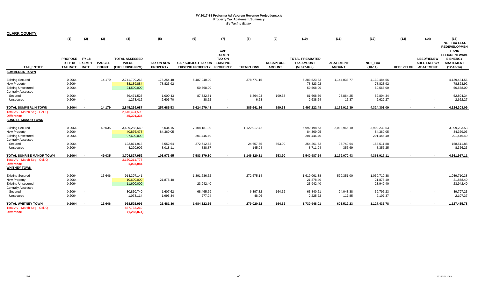| <b>CLARK COUNTY</b>                                                                                      |                                                 |                                                      |                               |                                                          |                                      |                                                                |                                                           |                     |                                   |                                                              |                                   |                                         |                          |                                                             |                                                                                             |
|----------------------------------------------------------------------------------------------------------|-------------------------------------------------|------------------------------------------------------|-------------------------------|----------------------------------------------------------|--------------------------------------|----------------------------------------------------------------|-----------------------------------------------------------|---------------------|-----------------------------------|--------------------------------------------------------------|-----------------------------------|-----------------------------------------|--------------------------|-------------------------------------------------------------|---------------------------------------------------------------------------------------------|
|                                                                                                          | (1)                                             | (2)                                                  | (3)                           | (4)                                                      | (5)                                  | (6)                                                            | (7)                                                       | (8)                 | (9)                               | (10)                                                         | (11)                              | (12)                                    | (13)                     | (14)                                                        | (15)<br><b>NET TAX LESS</b><br><b>REDEVELOPMEN</b>                                          |
| <b>TAX ENTITY</b>                                                                                        | PROPOSE FY18<br><b>D FY 18</b><br>TAX RATE RATE | <b>EXEMPT</b>                                        | <b>PARCEL</b><br><b>COUNT</b> | <b>TOTAL ASSESSED</b><br><b>VALUE</b><br>(EXCLUDING NPM) | <b>TAX ON NEW</b><br><b>PROPERTY</b> | <b>CAP-SUBJECT TAX ON</b><br><b>EXISTING PROPERTY PROPERTY</b> | CAP-<br><b>EXEMPT</b><br><b>TAX ON</b><br><b>EXISTING</b> | <b>EXEMPTIONS</b>   | <b>RECAPTURE</b><br><b>AMOUNT</b> | <b>TOTAL PREABATED</b><br><b>TAX AMOUNT</b><br>$(5+6+7-8+9)$ | <b>ABATEMENT</b><br><b>AMOUNT</b> | NET_TAX<br>$(10-11)$                    | <b>REDEVELOP</b>         | <b>LEED/RENEW</b><br><b>ABLE ENERGY</b><br><b>ABATEMENT</b> | <b>T AND</b><br><b>LEED/RENEWABL</b><br><b>E ENERGY</b><br><b>ABATEMENT</b><br>$(12-13-14)$ |
| <b>SUMMERLIN TOWN</b>                                                                                    |                                                 |                                                      |                               |                                                          |                                      |                                                                |                                                           |                     |                                   |                                                              |                                   |                                         |                          |                                                             |                                                                                             |
| <b>Existing Secured</b><br><b>New Property</b><br><b>Existing Unsecured</b><br><b>Centrally Assessed</b> | 0.2064<br>0.2064<br>0.2064                      | $\sim$<br>$\sim$                                     | 14,179                        | 2,741,799,268<br>38,189,884<br>24,500,000                | 175,254.48<br>78,823.92              | 5,487,040.00<br>50,568.00                                      | $\sim$                                                    | 378,771.15          |                                   | 5,283,523.33<br>78,823.92<br>50,568.00                       | 1,144,038.77                      | 4,139,484.56<br>78,823.92<br>50,568.00  |                          |                                                             | 4,139,484.56<br>78,823.92<br>50,568.00                                                      |
| Secured<br>Unsecured                                                                                     | 0.2064<br>0.2064                                | $\overline{\phantom{a}}$<br>$\sim$                   |                               | 39,471,523<br>1,278,412                                  | 1,000.43<br>2,606.70                 | 87,332.81<br>38.62                                             |                                                           | 6,864.03<br>6.68    | 199.38<br>$\sim$                  | 81,668.59<br>2,638.64                                        | 28,864.25<br>16.37                | 52,804.34<br>2,622.27                   | $\overline{\phantom{a}}$ |                                                             | 52,804.34<br>2,622.27                                                                       |
| <b>TOTAL SUMMERLIN TOWN</b>                                                                              | 0.2064                                          |                                                      | 14,179                        | 2,845,239,087                                            | 257,685.53                           | 5,624,979.43                                                   |                                                           | 385,641.86          | 199.38                            | 5,497,222.48                                                 | 1,172,919.39                      | 4,324,303.09                            | $\blacksquare$           |                                                             | 4,324,303.09                                                                                |
| Total AV - March Seg - Col. Q<br><b>Difference</b><br><b>SUNRISE MANOR TOWN</b>                          |                                                 |                                                      |                               | 2,616,424,599<br>45,301,334                              |                                      |                                                                |                                                           |                     |                                   |                                                              |                                   |                                         |                          |                                                             |                                                                                             |
| <b>Existing Secured</b><br>New Property<br><b>Existing Unsecured</b>                                     | 0.2064<br>0.2064<br>0.2064                      | $\overline{\phantom{a}}$<br>$\overline{\phantom{a}}$ | 49,035                        | 3,439,258,660<br>40,876,478<br>97,600,000                | 6,034.15<br>84,369.05                | 7,108,181.90<br>201,446.40                                     | $\sim$                                                    | 1,122,017.42        |                                   | 5,992,198.63<br>84,369.05<br>201,446.40                      | 2,082,965.10                      | 3,909,233.53<br>84,369.05<br>201,446.40 |                          |                                                             | 3,909,233.53<br>84,369.05<br>201,446.40                                                     |
| <b>Centrally Assessed</b><br>Secured<br>Unsecured                                                        | 0.2064<br>0.2064                                | $\overline{\phantom{a}}$<br>$\overline{\phantom{a}}$ |                               | 122,871,913<br>4,220,902                                 | 5,552.64<br>8,018.11                 | 272,712.63<br>838.87                                           | $\sim$<br>$\sim$                                          | 24,657.65<br>145.04 | 653.90<br>$\blacksquare$          | 254,261.52<br>8,711.94                                       | 95,749.64<br>355.69               | 158,511.88<br>8,356.25                  |                          |                                                             | 158,511.88<br>8,356.25                                                                      |
| TOTAL SUNRISE MANOR TOWN                                                                                 | 0.2064                                          | $\overline{\phantom{a}}$                             | 49,035                        | 3,704,827,952                                            | 103,973.95                           | 7,583,179.80                                                   |                                                           | 1,146,820.11        | 653.90                            | 6,540,987.54                                                 | 2,179,070.43                      | 4,361,917.11                            |                          |                                                             | 4,361,917.11                                                                                |
| Total AV - March Seg - Col. Q<br><b>Difference</b><br><b>WHITNEY TOWN</b>                                |                                                 |                                                      |                               | 3,160,211,777<br>1,003,084                               |                                      |                                                                |                                                           |                     |                                   |                                                              |                                   |                                         |                          |                                                             |                                                                                             |
| <b>Existing Secured</b><br>New Property<br><b>Existing Unsecured</b><br><b>Centrally Assessed</b>        | 0.2064<br>0.2064<br>0.2064                      | $\sim$<br>$\overline{\phantom{a}}$                   | 13,646                        | 914,397,141<br>10,600,000<br>11,600,000                  | 21,878.40                            | 1,891,636.52<br>23,942.40                                      | $\sim$                                                    | 272,575.14          |                                   | 1,619,061.38<br>21,878.40<br>23,942.40                       | 579,351.00                        | 1,039,710.38<br>21,878.40<br>23,942.40  |                          |                                                             | 1,039,710.38<br>21,878.40<br>23,942.40                                                      |
| Secured<br>Unsecured                                                                                     | 0.2064<br>0.2064                                | $\overline{\phantom{a}}$<br>$\overline{\phantom{a}}$ |                               | 30,850,740<br>1,078,114                                  | 1,607.62<br>1,995.34                 | 68,465.69<br>277.94                                            |                                                           | 6,397.32<br>48.06   | 164.62<br>$\sim$                  | 63,840.61<br>2,225.22                                        | 24,043.38<br>117.85               | 39,797.23<br>2,107.37                   |                          |                                                             | 39,797.23<br>2,107.37                                                                       |
| <b>TOTAL WHITNEY TOWN</b><br>Total AV - March Seg - Col. Q<br><b>Difference</b>                          | 0.2064                                          |                                                      | 13,646                        | 968,525,995<br>837,733,269<br>(1, 268, 874)              | 25,481.36                            | 1,984,322.55                                                   |                                                           | 279,020.52          | 164.62                            | 1,730,948.01                                                 | 603,512.23                        | 1,127,435.78                            | $\overline{\phantom{a}}$ |                                                             | 1,127,435.78                                                                                |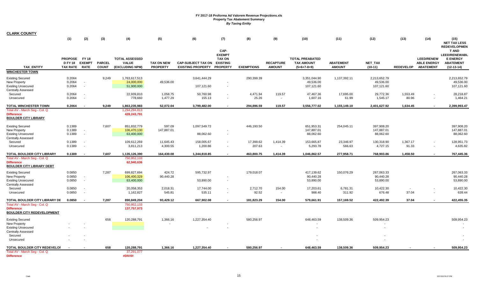| <b>CLARK COUNTY</b>                                                                                      |                                                  |                          |                               |                                                          |                                      |                                                       |                                                                              |                   |                                   |                                                              |                                   |                                         |                  |                                                             |                                                                                             |
|----------------------------------------------------------------------------------------------------------|--------------------------------------------------|--------------------------|-------------------------------|----------------------------------------------------------|--------------------------------------|-------------------------------------------------------|------------------------------------------------------------------------------|-------------------|-----------------------------------|--------------------------------------------------------------|-----------------------------------|-----------------------------------------|------------------|-------------------------------------------------------------|---------------------------------------------------------------------------------------------|
|                                                                                                          | (1)                                              | (2)                      | (3)                           | (4)                                                      | (5)                                  | (6)                                                   | (7)                                                                          | (8)               | (9)                               | (10)                                                         | (11)                              | (12)                                    | (13)             | (14)                                                        | (15)<br><b>NET TAX LESS</b><br><b>REDEVELOPMEN</b>                                          |
| <b>TAX ENTITY</b>                                                                                        | PROPOSE FY 18<br><b>D FY 18</b><br>TAX RATE RATE | <b>EXEMPT</b>            | <b>PARCEL</b><br><b>COUNT</b> | <b>TOTAL ASSESSED</b><br><b>VALUE</b><br>(EXCLUDING NPM) | <b>TAX ON NEW</b><br><b>PROPERTY</b> | <b>CAP-SUBJECT TAX ON</b><br><b>EXISTING PROPERTY</b> | CAP-<br><b>EXEMPT</b><br><b>TAX ON</b><br><b>EXISTING</b><br><b>PROPERTY</b> | <b>EXEMPTIONS</b> | <b>RECAPTURE</b><br><b>AMOUNT</b> | <b>TOTAL PREABATED</b><br><b>TAX AMOUNT</b><br>$(5+6+7-8+9)$ | <b>ABATEMENT</b><br><b>AMOUNT</b> | NET_TAX<br>$(10-11)$                    | <b>REDEVELOP</b> | <b>LEED/RENEW</b><br><b>ABLE ENERGY</b><br><b>ABATEMENT</b> | <b>T AND</b><br><b>LEED/RENEWABL</b><br><b>E ENERGY</b><br><b>ABATEMENT</b><br>$(12-13-14)$ |
| <b>WINCHESTER TOWN</b>                                                                                   |                                                  |                          |                               |                                                          |                                      |                                                       |                                                                              |                   |                                   |                                                              |                                   |                                         |                  |                                                             |                                                                                             |
| <b>Existing Secured</b><br><b>New Property</b><br><b>Existing Unsecured</b><br><b>Centrally Assessed</b> | 0.2064<br>0.2064<br>0.2064                       | $\overline{\phantom{a}}$ | 9,249                         | 1,763,617,513<br>24,000,000<br>51,900,000                | 49,536.00                            | 3,641,444.29<br>107,121.60                            |                                                                              | 290,399.39        |                                   | 3,351,044.90<br>49,536.00<br>107,121.60                      | 1,137,392.11                      | 2,213,652.79<br>49,536.00<br>107,121.60 |                  |                                                             | 2,213,652.79<br>49,536.00<br>107,121.60                                                     |
| Secured                                                                                                  | 0.2064                                           |                          |                               | 22,939,810                                               | 1,058.75                             | 50,760.98                                             | $\sim$                                                                       | 4,471.94          | 119.57                            | 47,467.36                                                    | 17,695.00                         | 29,772.36                               | 1,553.49         |                                                             | 28,218.87                                                                                   |
| Unsecured                                                                                                | 0.2064                                           | $\overline{\phantom{a}}$ |                               | 778,660                                                  | 1,477.29                             | 155.13                                                | $\sim$                                                                       | 25.26             | $\sim$                            | 1,607.16                                                     | 61.99                             | 1,545.17                                | 80.96            | $\overline{\phantom{a}}$                                    | 1,464.21                                                                                    |
| <b>TOTAL WINCHESTER TOWN</b>                                                                             | 0.2064                                           |                          | 9,249                         | 1,863,235,983                                            | 52,072.04                            | 3,799,482.00                                          |                                                                              | 294,896.59        | 119.57                            | 3,556,777.02                                                 | 1,155,149.10                      | 2,401,627.92                            | 1,634.45         |                                                             | 2,399,993.47                                                                                |
| Total AV - March Seg - Col. Q<br><b>Difference</b><br><b>BOULDER CITY LIBRARY</b>                        |                                                  |                          |                               | 1,294,294,813<br>428,243,791                             |                                      |                                                       |                                                                              |                   |                                   |                                                              |                                   |                                         |                  |                                                             |                                                                                             |
| <b>Existing Secured</b>                                                                                  | 0.1389                                           |                          | 7,607                         | 851,832,779                                              | 597.09                               | 1,097,549.72                                          |                                                                              | 446,193.50        |                                   | 651,953.31                                                   | 254,045.11                        | 397,908.20                              |                  |                                                             | 397,908.20                                                                                  |
| New Property                                                                                             | 0.1389                                           |                          |                               | 106,470,130                                              | 147,887.01                           |                                                       |                                                                              |                   |                                   | 147,887.01                                                   |                                   | 147,887.01                              |                  |                                                             | 147,887.01                                                                                  |
| <b>Existing Unsecured</b>                                                                                | 0.1389                                           | $\overline{\phantom{a}}$ |                               | 63,400,000                                               |                                      | 88,062.60                                             | $\overline{\phantom{a}}$                                                     |                   |                                   | 88,062.60                                                    |                                   | 88,062.60                               |                  |                                                             | 88,062.60                                                                                   |
| <b>Centrally Assessed</b><br>Secured                                                                     | 0.1389                                           |                          |                               | 109,612,269                                              | 11,645.43                            | 158,005.67                                            | $\sim$                                                                       | 17,399.62         | 1,414.39                          | 153,665.87                                                   | 23,346.97                         | 130,318.90                              | 1,367.17         |                                                             | 128,951.73                                                                                  |
| Unsecured                                                                                                | 0.1389                                           |                          |                               | 3,811,213                                                | 4,300.55                             | 1,200.86                                              | $\overline{\phantom{a}}$                                                     | 207.63            | $\blacksquare$                    | 5,293.78                                                     | 566.63                            | 4,727.15                                | 91.33            |                                                             | 4,635.82                                                                                    |
| TOTAL BOULDER CITY LIBRARY                                                                               | 0.1389                                           |                          | 7,607                         | 1,135,126,390                                            | 164,430.08                           | 1,344,818.85                                          | $\sim$                                                                       | 463,800.75        | 1,414.39                          | 1,046,862.57                                                 | 277,958.71                        | 768,903.86                              | 1,458.50         |                                                             | 767,445.36                                                                                  |
| Total AV - March Seg - Col. Q<br><b>Difference</b><br><b>BOULDER CITY LIBRARY DEBT</b>                   |                                                  |                          |                               | 750,952,133<br>62,940,636                                |                                      |                                                       |                                                                              |                   |                                   |                                                              |                                   |                                         |                  |                                                             |                                                                                             |
| <b>Existing Secured</b>                                                                                  | 0.0850                                           |                          | 7,287                         | 699,827,694                                              | 424.72                               | 595,732.97                                            |                                                                              | 179,018.07        |                                   | 417,139.62                                                   | 150,076.29                        | 267,063.33                              |                  |                                                             | 267,063.33                                                                                  |
| New Property                                                                                             | 0.0850                                           | $\sim$                   |                               | 106,400,329                                              | 90,440.28                            |                                                       |                                                                              |                   |                                   | 90,440.28                                                    |                                   | 90,440.28                               |                  |                                                             | 90,440.28                                                                                   |
| <b>Existing Unsecured</b>                                                                                | 0.0850                                           | $\overline{\phantom{a}}$ |                               | 63,400,000                                               |                                      | 53,890.00                                             | $\sim$                                                                       |                   |                                   | 53,890.00                                                    |                                   | 53,890.00                               |                  |                                                             | 53,890.00                                                                                   |
| <b>Centrally Assessed</b><br>Secured                                                                     | 0.0850                                           |                          |                               | 20,058,353                                               | 2,018.31                             | 17,744.00                                             |                                                                              | 2,712.70          | 154.00                            | 17,203.61                                                    | 6,781.31                          | 10,422.30                               |                  |                                                             | 10,422.30                                                                                   |
| Unsecured                                                                                                | 0.0850                                           |                          |                               | 1,162,827                                                | 545.81                               | 535.11                                                | $\sim$                                                                       | 92.52             | $\sim$                            | 988.40                                                       | 311.92                            | 676.48                                  | 37.04            |                                                             | 639.44                                                                                      |
| TOTAL BOULDER CITY LIBRARY DE                                                                            | 0.0850                                           |                          | 7,287                         | 890,849,204                                              | 93,429.12                            | 667,902.08                                            |                                                                              | 181,823.29        | 154.00                            | 579,661.91                                                   | 157,169.52                        | 422,492.39                              | 37.04            |                                                             | 422,455.35                                                                                  |
| Total AV - March Seg - Col. Q<br><b>Difference</b><br><b>BOULDER CITY REDEVELOPMENT</b>                  |                                                  |                          |                               | 750,952,133<br>137,757,973                               |                                      |                                                       |                                                                              |                   |                                   |                                                              |                                   |                                         |                  |                                                             |                                                                                             |
| <b>Existing Secured</b><br><b>New Property</b>                                                           |                                                  |                          | 658                           | 120,288,791                                              | 1,366.16                             | 1,227,354.40                                          |                                                                              | 580,256.97        |                                   | 648,463.59                                                   | 138,509.36                        | 509,954.23                              |                  |                                                             | 509,954.23                                                                                  |
| <b>Existing Unsecured</b>                                                                                |                                                  |                          |                               |                                                          |                                      |                                                       |                                                                              |                   |                                   |                                                              |                                   |                                         |                  |                                                             |                                                                                             |
| <b>Centrally Assessed</b>                                                                                |                                                  |                          |                               |                                                          |                                      |                                                       |                                                                              |                   |                                   |                                                              |                                   |                                         |                  |                                                             |                                                                                             |
| Secured<br>Unsecured                                                                                     |                                                  |                          |                               |                                                          |                                      |                                                       |                                                                              |                   |                                   |                                                              |                                   |                                         |                  |                                                             |                                                                                             |
| TOTAL BOULDER CITY REDEVELOI                                                                             |                                                  |                          | 658                           | 120,288,791                                              | 1,366.16                             | 1,227,354.40                                          |                                                                              | 580,256.97        |                                   | 648,463.59                                                   | 138,509.36                        | 509,954.23                              |                  |                                                             | 509,954.23                                                                                  |
| Total AV - March Seg - Col. Q<br><b>Difference</b>                                                       |                                                  |                          |                               | 37,291,077<br>#DIV/0!                                    |                                      |                                                       |                                                                              |                   |                                   |                                                              |                                   |                                         |                  |                                                             |                                                                                             |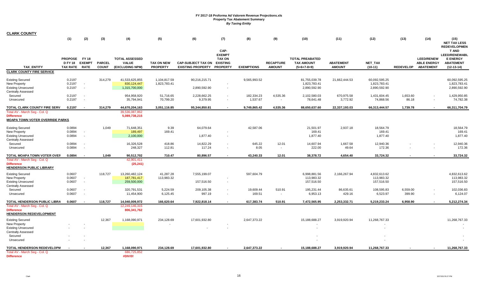| <b>CLARK COUNTY</b>                                                                               |                                                   |                                    |                               |                                                          |                                      |                                                       |                                                                              |                        |                                   |                                                              |                                   |                                               |                    |                                                             |                                                                                                 |
|---------------------------------------------------------------------------------------------------|---------------------------------------------------|------------------------------------|-------------------------------|----------------------------------------------------------|--------------------------------------|-------------------------------------------------------|------------------------------------------------------------------------------|------------------------|-----------------------------------|--------------------------------------------------------------|-----------------------------------|-----------------------------------------------|--------------------|-------------------------------------------------------------|-------------------------------------------------------------------------------------------------|
|                                                                                                   | (1)                                               | (2)                                | (3)                           | (4)                                                      | (5)                                  | (6)                                                   | (7)                                                                          | (8)                    | (9)                               | (10)                                                         | (11)                              | (12)                                          | (13)               | (14)                                                        | (15)<br><b>NET TAX LESS</b><br><b>REDEVELOPMEN</b>                                              |
| <b>TAX ENTITY</b>                                                                                 | <b>PROPOSE</b><br><b>D FY 18</b><br>TAX RATE RATE | FY 18<br><b>EXEMPT</b>             | <b>PARCEL</b><br><b>COUNT</b> | <b>TOTAL ASSESSED</b><br><b>VALUE</b><br>(EXCLUDING NPM) | <b>TAX ON NEW</b><br><b>PROPERTY</b> | <b>CAP-SUBJECT TAX ON</b><br><b>EXISTING PROPERTY</b> | CAP-<br><b>EXEMPT</b><br><b>TAX ON</b><br><b>EXISTING</b><br><b>PROPERTY</b> | <b>EXEMPTIONS</b>      | <b>RECAPTURE</b><br><b>AMOUNT</b> | <b>TOTAL PREABATED</b><br><b>TAX AMOUNT</b><br>$(5+6+7-8+9)$ | <b>ABATEMENT</b><br><b>AMOUNT</b> | NET_TAX<br>$(10-11)$                          | <b>REDEVELOP</b>   | <b>LEED/RENEW</b><br><b>ABLE ENERGY</b><br><b>ABATEMENT</b> | <b>T AND</b><br><b>LEED/RENEWABL</b><br><b>E ENERGY</b><br><b>ABATEMENT</b><br>$(12 - 13 - 14)$ |
| <b>CLARK COUNTY FIRE SERVICE</b>                                                                  |                                                   |                                    |                               |                                                          |                                      |                                                       |                                                                              |                        |                                   |                                                              |                                   |                                               |                    |                                                             |                                                                                                 |
| <b>Existing Secured</b><br>New Property<br><b>Existing Unsecured</b><br><b>Centrally Assessed</b> | 0.2197<br>0.2197<br>0.2197                        | $\sim$<br>$\sim$                   | 314,279                       | 41,533,625,855<br>830,124,447<br>1,315,700,000           | 1,104,817.59<br>1,823,783.41         | 90,216,215.71<br>2,890,592.90                         | $\sim$                                                                       | 9,565,993.52           |                                   | 81,755,039.78<br>1,823,783.41<br>2,890,592.90                | 21,662,444.53                     | 60,092,595.25<br>1,823,783.41<br>2,890,592.90 |                    |                                                             | 60,092,595.25<br>1,823,783.41<br>2,890,592.90                                                   |
| Secured<br>Unsecured                                                                              | 0.2197<br>0.2197                                  | $\sim$<br>$\overline{\phantom{a}}$ |                               | 954,958,920<br>35,794,941                                | 51,716.65<br>70,799.20               | 2,228,662.25<br>9,379.95                              |                                                                              | 182,334.23<br>1,537.67 | 4,535.36<br>$\blacksquare$        | 2,102,580.03<br>78,641.48                                    | 670,975.58<br>3,772.92            | 1,431,604.45<br>74,868.56                     | 1,653.60<br>86.18  |                                                             | 1,429,950.85<br>74,782.38                                                                       |
| TOTAL CLARK COUNTY FIRE SERV                                                                      | 0.2197                                            | $\sim$                             | 314,279                       | 44,670,204,163                                           | 3,051,116.85                         | 95,344,850.81                                         | $\blacksquare$                                                               | 9,749,865.42           | 4,535.36                          | 88,650,637.60                                                | 22,337,193.03                     | 66,313,444.57                                 | 1,739.78           | $\overline{\phantom{a}}$                                    | 66,311,704.79                                                                                   |
| Total AV - March Seg - Col. Q<br><b>Difference</b><br><b>MOAPA TOWN VOTER OVERRIDE PARKS</b>      |                                                   |                                    |                               | 39,536,087,862<br>5,089,738,215                          |                                      |                                                       |                                                                              |                        |                                   |                                                              |                                   |                                               |                    |                                                             |                                                                                                 |
| <b>Existing Secured</b><br><b>New Property</b><br><b>Existing Unsecured</b>                       | 0.0894<br>0.0894<br>0.0894                        | $\sim$<br>$\sim$                   | 1,049                         | 71,648,351<br>189,497<br>2,100,000                       | 9.39<br>169.41                       | 64,079.64<br>1,877.40                                 |                                                                              | 42,587.06              |                                   | 21,501.97<br>169.41<br>1,877.40                              | 2,937.18                          | 18,564.79<br>169.41<br>1,877.40               |                    |                                                             | 18,564.79<br>169.41<br>1,877.40                                                                 |
| <b>Centrally Assessed</b><br>Secured<br>Unsecured                                                 | 0.0894<br>0.0894                                  | $\sim$                             |                               | 16,326,528<br>248,327                                    | 418.86<br>112.81                     | 14,822.29<br>117.24                                   | $\sim$                                                                       | 645.22<br>8.05         | 12.01<br>$\blacksquare$           | 14,607.94<br>222.00                                          | 1,667.58<br>49.64                 | 12,940.36<br>172.36                           |                    |                                                             | 12,940.36<br>172.36                                                                             |
| TOTAL MOAPA TOWN VOTER OVEF                                                                       | 0.0894                                            | $\sim$                             | 1,049                         | 90,512,702                                               | 710.47                               | 80,896.57                                             |                                                                              | 43,240.33              | 12.01                             | 38,378.72                                                    | 4,654.40                          | 33,724.32                                     |                    |                                                             | 33,724.32                                                                                       |
| Total AV - March Seg - Col. Q<br><b>Difference</b><br><b>HENDERSON PUBLIC LIBRARY</b>             |                                                   |                                    |                               | 42,901,411<br>(25, 241)                                  |                                      |                                                       |                                                                              |                        |                                   |                                                              |                                   |                                               |                    |                                                             |                                                                                                 |
| <b>Existing Secured</b><br>New Property<br><b>Existing Unsecured</b><br><b>Centrally Assessed</b> | 0.0607<br>0.0607<br>0.0607                        | $\sim$<br>$\sim$                   | 118,727                       | 13,260,482,124<br>187,781,417<br>259,500,000             | 41,287.28<br>113,983.32              | 7,555,199.07<br>157,516.50                            | $\sim$                                                                       | 597,604.79             |                                   | 6,998,881.56<br>113,983.32<br>157,516.50                     | 2,166,267.94                      | 4,832,613.62<br>113,983.32<br>157,516.50      |                    |                                                             | 4,832,613.62<br>113,983.32<br>157,516.50                                                        |
| Secured<br>Unsecured                                                                              | 0.0607<br>0.0607                                  | $\sim$                             |                               | 320,791,531<br>11,454,900                                | 5,224.59<br>6,125.45                 | 209,105.38<br>997.19                                  | $\sim$                                                                       | 19,609.44<br>169.51    | 510.91<br>$\sim$                  | 195,231.44<br>6,953.13                                       | 86,635.61<br>429.16               | 108,595.83<br>6,523.97                        | 6,559.00<br>399.90 |                                                             | 102,036.83<br>6,124.07                                                                          |
| TOTAL HENDERSON PUBLIC LIBRA                                                                      | 0.0607                                            |                                    | 118,727                       | 14,040,009,972                                           | 166,620.64                           | 7,922,818.14                                          |                                                                              | 617,383.74             | 510.91                            | 7,472,565.95                                                 | 2,253,332.71                      | 5,219,233.24                                  | 6,958.90           |                                                             | 5,212,274.34                                                                                    |
| Total AV - March Seg - Col. Q<br><b>Difference</b><br>HENDERSON REDEVELOPMENT                     |                                                   |                                    |                               | 12,249,146,315<br>806,341,762                            |                                      |                                                       |                                                                              |                        |                                   |                                                              |                                   |                                               |                    |                                                             |                                                                                                 |
| <b>Existing Secured</b><br>New Property                                                           |                                                   |                                    | 12,367                        | 1,168,090,971                                            | 234,128.69                           | 17,601,932.80                                         |                                                                              | 2,647,373.22           |                                   | 15,188,688.27                                                | 3,919,920.94                      | 11,268,767.33                                 |                    |                                                             | 11,268,767.33                                                                                   |
| <b>Existing Unsecured</b><br><b>Centrally Assessed</b><br>Secured                                 |                                                   |                                    |                               |                                                          |                                      |                                                       |                                                                              |                        |                                   |                                                              |                                   |                                               |                    |                                                             |                                                                                                 |
| Unsecured                                                                                         |                                                   |                                    |                               |                                                          |                                      |                                                       |                                                                              |                        |                                   |                                                              |                                   |                                               |                    |                                                             |                                                                                                 |
| TOTAL HENDERSON REDEVELOPN<br>Total AV - March Seg - Col. Q                                       |                                                   |                                    | 12,367                        | 1,168,090,971<br>686,725,852                             | 234,128.69                           | 17,601,932.80                                         |                                                                              | 2,647,373.22           |                                   | 15,188,688.27                                                | 3,919,920.94                      | 11,268,767.33                                 |                    |                                                             | 11,268,767.33                                                                                   |
| <b>Difference</b>                                                                                 |                                                   |                                    |                               | #DIV/0!                                                  |                                      |                                                       |                                                                              |                        |                                   |                                                              |                                   |                                               |                    |                                                             |                                                                                                 |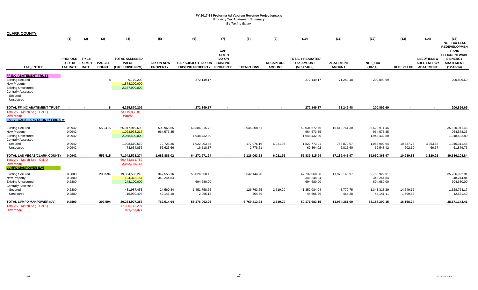| <b>CLARK COUNTY</b>                                                              | (1)                                             | (2)           | (3)                           | (4)                                                      | (5)                                  | (6)                                                            | (7)                                                       | (8)               | (9)                               | (10)                                                         | (11)                              | (12)                     | (13)             | (14)                                                        | (15)                                                                                                                                          |
|----------------------------------------------------------------------------------|-------------------------------------------------|---------------|-------------------------------|----------------------------------------------------------|--------------------------------------|----------------------------------------------------------------|-----------------------------------------------------------|-------------------|-----------------------------------|--------------------------------------------------------------|-----------------------------------|--------------------------|------------------|-------------------------------------------------------------|-----------------------------------------------------------------------------------------------------------------------------------------------|
| <b>TAX ENTITY</b>                                                                | PROPOSE FY18<br><b>D FY 18</b><br>TAX RATE RATE | <b>EXEMPT</b> | <b>PARCEL</b><br><b>COUNT</b> | <b>TOTAL ASSESSED</b><br><b>VALUE</b><br>(EXCLUDING NPM) | <b>TAX ON NEW</b><br><b>PROPERTY</b> | <b>CAP-SUBJECT TAX ON</b><br><b>EXISTING PROPERTY PROPERTY</b> | CAP-<br><b>EXEMPT</b><br><b>TAX ON</b><br><b>EXISTING</b> | <b>EXEMPTIONS</b> | <b>RECAPTURE</b><br><b>AMOUNT</b> | <b>TOTAL PREABATED</b><br><b>TAX AMOUNT</b><br>$(5+6+7-8+9)$ | <b>ABATEMENT</b><br><b>AMOUNT</b> | NET_TAX<br>$(10-11)$     | <b>REDEVELOP</b> | <b>LEED/RENEW</b><br><b>ABLE ENERGY</b><br><b>ABATEMENT</b> | <b>NET TAX LESS</b><br><b>REDEVELOPMEN</b><br><b>T AND</b><br><b>LEED/RENEWABL</b><br><b>E ENERGY</b><br><b>ABATEMENT</b><br>$(12 - 13 - 14)$ |
| FF INC ABATEMENT TRUST                                                           |                                                 |               |                               |                                                          |                                      |                                                                |                                                           |                   |                                   |                                                              |                                   |                          |                  |                                                             |                                                                                                                                               |
| <b>Existing Secured</b>                                                          |                                                 |               | 8                             | 9,770,209                                                |                                      | 272,149.17                                                     |                                                           |                   |                                   | 272,149.17                                                   | 71,249.48                         | 200,899.69               |                  |                                                             | 200,899.69                                                                                                                                    |
| <b>New Property</b>                                                              |                                                 |               |                               | 1,878,200,000                                            |                                      |                                                                |                                                           |                   |                                   |                                                              |                                   | $\sim$                   |                  |                                                             |                                                                                                                                               |
| <b>Existing Unsecured</b><br><b>Centrally Assessed</b>                           |                                                 |               |                               | 2,367,900,000                                            |                                      |                                                                |                                                           |                   |                                   |                                                              |                                   | $\overline{\phantom{a}}$ |                  |                                                             |                                                                                                                                               |
| Secured                                                                          |                                                 |               |                               |                                                          |                                      |                                                                |                                                           |                   |                                   |                                                              |                                   |                          |                  |                                                             |                                                                                                                                               |
| Unsecured                                                                        |                                                 |               |                               |                                                          |                                      |                                                                |                                                           |                   |                                   |                                                              |                                   |                          |                  |                                                             |                                                                                                                                               |
| TOTAL FF INC ABATEMENT TRUST                                                     |                                                 |               |                               | 4,255,870,209                                            |                                      | 272,149.17                                                     |                                                           |                   |                                   | 272,149.17                                                   | 71,249.48                         | 200,899.69               |                  |                                                             | 200,899.69                                                                                                                                    |
| Total AV - March Seq - Col. Q                                                    |                                                 |               |                               | 73,119,838,813                                           |                                      |                                                                |                                                           |                   |                                   |                                                              |                                   |                          |                  |                                                             |                                                                                                                                               |
| <b>Difference</b><br><b>LAS VEGAS/CLARK COUNTY LIBRARY</b>                       |                                                 |               |                               | #DIV/0!                                                  |                                      |                                                                |                                                           |                   |                                   |                                                              |                                   |                          |                  |                                                             |                                                                                                                                               |
| <b>Existing Secured</b>                                                          | 0.0942                                          |               | 553,415                       | 65,947,919,693                                           | 593,965.65                           | 60,386,015.72                                                  |                                                           | 8,945,308.61      |                                   | 52,034,672.76                                                | 16,413,761.30                     | 35,620,911.46            |                  |                                                             | 35,620,911.46                                                                                                                                 |
| <b>New Property</b>                                                              | 0.0942                                          |               |                               | 1,023,963,217                                            | 964,573.35                           |                                                                | $\overline{\phantom{a}}$                                  |                   |                                   | 964,573.35                                                   |                                   | 964,573.35               |                  |                                                             | 964,573.35                                                                                                                                    |
| <b>Existing Unsecured</b><br><b>Centrally Assessed</b>                           | 0.0942                                          |               |                               | 2,068,400,000                                            |                                      | 1,948,432.80                                                   | $\overline{\phantom{a}}$                                  |                   |                                   | 1,948,432.80                                                 |                                   | 1,948,432.80             |                  |                                                             | 1,948,432.80                                                                                                                                  |
| Secured                                                                          | 0.0942                                          |               |                               | 1,928,610,510                                            | 72,723.36                            | 1,922,003.85                                                   | $\overline{\phantom{a}}$                                  | 177,976.16        | 6,021.96                          | 1,822,773.01                                                 | 768,870.07                        | 1,053,902.94             | 10,337.78        | 3,253.68                                                    | 1,040,311.48                                                                                                                                  |
| Unsecured                                                                        | 0.0942                                          |               |                               | 73,634,855                                               | 55,623.66                            | 16,518.87                                                      | $\blacksquare$                                            | 2,778.51          | $\sim$                            | 69,364.02                                                    | 6,815.60                          | 62,548.42                | 602.10           | 66.57                                                       | 61,879.75                                                                                                                                     |
| TOTAL LAS VEGAS/CLARK COUNT                                                      | 0.0942                                          |               | 553,415                       | 71,042,528,274                                           | 1,686,886.02                         | 64,272,971.24                                                  |                                                           | 9,126,063.28      | 6,021.96                          | 56,839,815.94                                                | 17,189,446.97                     | 39,650,368.97            | 10,939.88        | 3,320.25                                                    | 39,636,108.84                                                                                                                                 |
| Total AV - March Seg - Col. Q<br><b>Difference</b><br><b>LVMPD MANPOWER (LV)</b> |                                                 |               |                               | 59,483,661,782<br>2,062,785,165                          |                                      |                                                                |                                                           |                   |                                   |                                                              |                                   |                          |                  |                                                             |                                                                                                                                               |
| <b>Existing Secured</b>                                                          | 0.2800                                          |               | 203,594                       | 19,364,536,245                                           | 347,555.16                           | 53,026,658.42                                                  |                                                           | 5,642,144.70      |                                   | 47,732,068.88                                                | 11,975,145.97                     | 35,756,922.91            |                  |                                                             | 35,756,922.91                                                                                                                                 |
| <b>New Property</b>                                                              | 0.2800                                          |               |                               | 124,373,157                                              | 348,244.84                           |                                                                | $\overline{\phantom{a}}$                                  |                   |                                   | 348,244.84                                                   |                                   | 348,244.84               |                  |                                                             | 348,244.84                                                                                                                                    |
| <b>Existing Unsecured</b>                                                        | 0.2800                                          |               |                               | 248,100,000                                              |                                      | 694,680.00                                                     | $\overline{\phantom{a}}$                                  |                   |                                   | 694,680.00                                                   |                                   | 694,680.00               |                  |                                                             | 694,680.00                                                                                                                                    |
| <b>Centrally Assessed</b>                                                        |                                                 |               |                               |                                                          |                                      |                                                                |                                                           |                   |                                   |                                                              |                                   |                          |                  |                                                             |                                                                                                                                               |
| Secured                                                                          | 0.2800                                          |               |                               | 481,987,453                                              | 24,569.84                            | 1,451,758.65                                                   |                                                           | 126,763.65        | 2,519.20                          | 1,352,084.04                                                 | 8,770.75                          | 1,343,313.29             | 14,549.12        |                                                             | 1,328,764.17                                                                                                                                  |
| Unsecured                                                                        | 0.2800                                          |               |                               | 15,930,498                                               | 42,145.10                            | 2,965.18                                                       |                                                           | 504.89            |                                   | 44,605.39                                                    | 464.28                            | 44,141.11                | 1,609.62         |                                                             | 42,531.49                                                                                                                                     |
| TOTAL LVMPD MANPOWER (LV)                                                        | 0.2800                                          |               | 203,594                       | 20,234,927,353                                           | 762.514.94                           | 55,176,062.25                                                  | $\overline{\phantom{a}}$                                  | 5,769,413.24      | 2,519.20                          | 50,171,683.15                                                | 11.984.381.00                     | 38,187,302.15            | 16,158.74        | $\blacksquare$                                              | 38,171,143.41                                                                                                                                 |
| Total AV - March Seg - Col. Q<br><b>Difference</b>                               |                                                 |               |                               | 17,398,113,297<br>821,762,377                            |                                      |                                                                |                                                           |                   |                                   |                                                              |                                   |                          |                  |                                                             |                                                                                                                                               |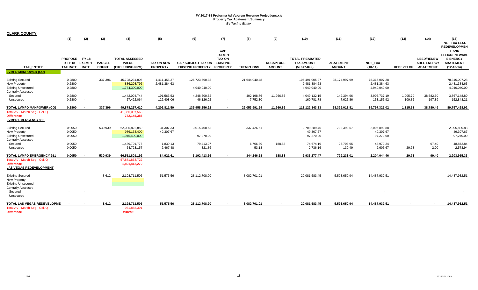| <b>CLARK COUNTY</b>                                                                                      |                                                   |                                                      |                               |                                                          |                                      |                                                       |                                                                              |                        |                                   |                                                              |                                   |                                               |                    |                                                             |                                                                                             |
|----------------------------------------------------------------------------------------------------------|---------------------------------------------------|------------------------------------------------------|-------------------------------|----------------------------------------------------------|--------------------------------------|-------------------------------------------------------|------------------------------------------------------------------------------|------------------------|-----------------------------------|--------------------------------------------------------------|-----------------------------------|-----------------------------------------------|--------------------|-------------------------------------------------------------|---------------------------------------------------------------------------------------------|
|                                                                                                          | (1)                                               | (2)                                                  | (3)                           | (4)                                                      | (5)                                  | (6)                                                   | (7)                                                                          | (8)                    | (9)                               | (10)                                                         | (11)                              | (12)                                          | (13)               | (14)                                                        | (15)<br><b>NET TAX LESS</b><br><b>REDEVELOPMEN</b>                                          |
| <b>TAX ENTITY</b>                                                                                        | <b>PROPOSE</b><br><b>D FY 18</b><br>TAX RATE RATE | <b>FY 18</b><br><b>EXEMPT</b>                        | <b>PARCEL</b><br><b>COUNT</b> | <b>TOTAL ASSESSED</b><br><b>VALUE</b><br>(EXCLUDING NPM) | <b>TAX ON NEW</b><br><b>PROPERTY</b> | <b>CAP-SUBJECT TAX ON</b><br><b>EXISTING PROPERTY</b> | CAP-<br><b>EXEMPT</b><br><b>TAX ON</b><br><b>EXISTING</b><br><b>PROPERTY</b> | <b>EXEMPTIONS</b>      | <b>RECAPTURE</b><br><b>AMOUNT</b> | <b>TOTAL PREABATED</b><br><b>TAX AMOUNT</b><br>$(5+6+7-8+9)$ | <b>ABATEMENT</b><br><b>AMOUNT</b> | NET_TAX<br>$(10-11)$                          | <b>REDEVELOP</b>   | <b>LEED/RENEW</b><br><b>ABLE ENERGY</b><br><b>ABATEMENT</b> | <b>T AND</b><br><b>LEED/RENEWABL</b><br><b>E ENERGY</b><br><b>ABATEMENT</b><br>$(12-13-14)$ |
| <b>LVMPD MANPOWER (CO)</b>                                                                               |                                                   |                                                      |                               |                                                          |                                      |                                                       |                                                                              |                        |                                   |                                                              |                                   |                                               |                    |                                                             |                                                                                             |
| <b>Existing Secured</b><br><b>New Property</b><br><b>Existing Unsecured</b><br><b>Centrally Assessed</b> | 0.2800<br>0.2800<br>0.2800                        | $\overline{\phantom{a}}$                             | 337,396                       | 45,728,231,806<br>886,208,796<br>1,764,300,000           | 1,411,455.37<br>2,481,384.63         | 126,723,590.38<br>4,940,040.00                        | $\sim$                                                                       | 21,644,040.48          |                                   | 106,491,005.27<br>2,481,384.63<br>4,940,040.00               | 28,174,997.99                     | 78,316,007.28<br>2,481,384.63<br>4,940,040.00 |                    |                                                             | 78,316,007.28<br>2,481,384.63<br>4,940,040.00                                               |
| Secured<br>Unsecured                                                                                     | 0.2800<br>0.2800                                  |                                                      |                               | 1,442,094,744<br>57,422,064                              | 191,563.53<br>122,408.06             | 4,248,500.52<br>46,126.02                             | $\sim$                                                                       | 402,198.76<br>7,752.30 | 11,266.86<br>$\sim$               | 4,049,132.15<br>160,781.78                                   | 142,394.96<br>7,625.86            | 3,906,737.19<br>153,155.92                    | 1,005.79<br>109.82 | 38,582.60<br>197.89                                         | 3,867,148.80<br>152,848.21                                                                  |
| <b>TOTAL LVMPD MANPOWER (CO)</b>                                                                         | 0.2800                                            |                                                      | 337,396                       | 49,878,257,410                                           | 4,206,811.59                         | 135,958,256.92                                        | $\sim$                                                                       | 22,053,991.54          | 11,266.86                         | 118,122,343.83                                               | 28,325,018.81                     | 89,797,325.02                                 | 1,115.61           | 38,780.49                                                   | 89,757,428.92                                                                               |
| Total AV - March Seg - Col. Q<br><b>Difference</b><br><b>LVMPD EMERGENCY 911</b>                         |                                                   |                                                      |                               | 41,366,097,568<br>782,145,385                            |                                      |                                                       |                                                                              |                        |                                   |                                                              |                                   |                                               |                    |                                                             |                                                                                             |
| <b>Existing Secured</b><br><b>New Property</b><br><b>Existing Unsecured</b><br><b>Centrally Assessed</b> | 0.0050<br>0.0050<br>0.0050                        | $\overline{\phantom{a}}$<br>$\overline{\phantom{a}}$ | 530,939                       | 62,035,822,859<br>986,153,400<br>1,945,400,000           | 31,307.33<br>49,307.67               | 3,015,408.63<br>97,270.00                             |                                                                              | 337,426.51             |                                   | 2,709,289.45<br>49,307.67<br>97,270.00                       | 703,398.57                        | 2,005,890.88<br>49,307.67<br>97,270.00        |                    |                                                             | 2,005,890.88<br>49,307.67<br>97,270.00                                                      |
| Secured<br>Unsecured                                                                                     | 0.0050<br>0.0050                                  |                                                      |                               | 1,489,701,776<br>54,723,157                              | 1,839.13<br>2,467.48                 | 79,413.07<br>321.86                                   |                                                                              | 6,766.89<br>53.18      | 188.88<br>$\sim$                  | 74,674.19<br>2,736.16                                        | 25,703.95<br>130.49               | 48,970.24<br>2,605.67                         | $\sim$<br>29.73    | 97.40<br>2.00                                               | 48,872.84<br>2,573.94                                                                       |
| <b>TOTAL LVMPD EMERGENCY 911</b>                                                                         | 0.0050                                            |                                                      | 530.939                       | 66,511,801,192                                           | 84,921.61                            | 3,192,413.56                                          |                                                                              | 344,246.58             | 188.88                            | 2,933,277.47                                                 | 729,233.01                        | 2.204.044.46                                  | 29.73              | 99.40                                                       | 2,203,915.33                                                                                |
| Total AV - March Seg - Col. Q<br><b>Difference</b><br><b>LAS VEGAS REDEVELOPMENT</b>                     |                                                   |                                                      |                               | 57,871,858,722<br>1,891,412,270                          |                                      |                                                       |                                                                              |                        |                                   |                                                              |                                   |                                               |                    |                                                             |                                                                                             |
| <b>Existing Secured</b><br><b>New Property</b><br><b>Existing Unsecured</b><br><b>Centrally Assessed</b> |                                                   |                                                      | 8,612                         | 2,198,711,505                                            | 51,575.56                            | 28,112,708.90                                         |                                                                              | 8,082,701.01           |                                   | 20,081,583.45<br>$\sim$                                      | 5,593,650.94                      | 14,487,932.51<br>$\overline{\phantom{a}}$     |                    |                                                             | 14,487,932.51                                                                               |
| Secured<br>Unsecured                                                                                     |                                                   |                                                      |                               |                                                          |                                      |                                                       |                                                                              |                        |                                   |                                                              |                                   |                                               |                    |                                                             |                                                                                             |
| TOTAL LAS VEGAS REDEVELOPME                                                                              |                                                   |                                                      | 8,612                         | 2,198,711,505                                            | 51,575.56                            | 28,112,708.90                                         |                                                                              | 8,082,701.01           |                                   | 20,081,583.45                                                | 5,593,650.94                      | 14,487,932.51                                 |                    |                                                             | 14,487,932.51                                                                               |
| Total AV - March Seg - Col. Q<br><b>Difference</b>                                                       |                                                   |                                                      |                               | 931,888,391<br>#DIV/0!                                   |                                      |                                                       |                                                                              |                        |                                   |                                                              |                                   |                                               |                    |                                                             |                                                                                             |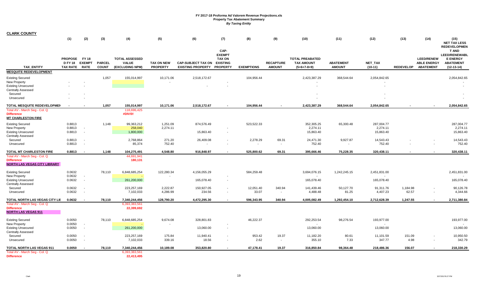| <b>CLARK COUNTY</b>                                                                       |                                 |               |                        |                                    |                                      |                                                                |                                        |                    |                                   |                                     |                                   |                                     |                   |                                           |                                                         |
|-------------------------------------------------------------------------------------------|---------------------------------|---------------|------------------------|------------------------------------|--------------------------------------|----------------------------------------------------------------|----------------------------------------|--------------------|-----------------------------------|-------------------------------------|-----------------------------------|-------------------------------------|-------------------|-------------------------------------------|---------------------------------------------------------|
|                                                                                           | (1)                             | (2)           | (3)                    | (4)                                | (5)                                  | (6)                                                            | (7)                                    | (8)                | (9)                               | (10)                                | (11)                              | (12)                                | (13)              | (14)                                      | (15)<br><b>NET TAX LESS</b><br><b>REDEVELOPMEN</b>      |
|                                                                                           | PROPOSE FY18                    |               |                        | <b>TOTAL ASSESSED</b>              |                                      |                                                                | CAP-<br><b>EXEMPT</b><br><b>TAX ON</b> |                    |                                   | <b>TOTAL PREABATED</b>              |                                   |                                     |                   | <b>LEED/RENEW</b>                         | <b>T AND</b><br><b>LEED/RENEWABL</b><br><b>E ENERGY</b> |
| <b>TAX ENTITY</b>                                                                         | <b>D FY 18</b><br>TAX RATE RATE | <b>EXEMPT</b> | PARCEL<br><b>COUNT</b> | <b>VALUE</b><br>(EXCLUDING NPM)    | <b>TAX ON NEW</b><br><b>PROPERTY</b> | <b>CAP-SUBJECT TAX ON</b><br><b>EXISTING PROPERTY PROPERTY</b> | <b>EXISTING</b>                        | <b>EXEMPTIONS</b>  | <b>RECAPTURE</b><br><b>AMOUNT</b> | <b>TAX AMOUNT</b><br>$(5+6+7-8+9)$  | <b>ABATEMENT</b><br><b>AMOUNT</b> | NET_TAX<br>$(10-11)$                |                   | <b>ABLE ENERGY</b><br>REDEVELOP ABATEMENT | <b>ABATEMENT</b><br>$(12-13-14)$                        |
| <b>MESQUITE REDEVELOPMENT</b>                                                             |                                 |               |                        |                                    |                                      |                                                                |                                        |                    |                                   |                                     |                                   |                                     |                   |                                           |                                                         |
| <b>Existing Secured</b><br><b>New Property</b>                                            |                                 |               | 1,057                  | 155,014,997                        | 10,171.06                            | 2,518,172.67                                                   |                                        | 104,956.44         |                                   | 2,423,387.29                        | 368,544.64                        | 2,054,842.65                        |                   |                                           | 2,054,842.65                                            |
| <b>Existing Unsecured</b><br><b>Centrally Assessed</b><br>Secured                         |                                 |               |                        |                                    |                                      |                                                                |                                        |                    |                                   |                                     |                                   |                                     |                   |                                           |                                                         |
| Unsecured                                                                                 |                                 |               |                        |                                    |                                      |                                                                |                                        |                    |                                   |                                     |                                   |                                     |                   |                                           |                                                         |
| TOTAL MESQUITE REDEVELOPMEN<br>Total AV - March Seg - Col. Q                              |                                 |               | 1,057                  | 155,014,997<br>118,696,425         | 10,171.06                            | 2,518,172.67                                                   |                                        | 104,956.44         |                                   | 2,423,387.29                        | 368,544.64                        | 2,054,842.65                        |                   |                                           | 2,054,842.65                                            |
| <b>Difference</b><br><b>MT CHARLESTON FIRE</b>                                            |                                 |               |                        | #DIV/0!                            |                                      |                                                                |                                        |                    |                                   |                                     |                                   |                                     |                   |                                           |                                                         |
| <b>Existing Secured</b><br>New Property<br><b>Existing Unsecured</b>                      | 0.8813<br>0.8813<br>0.8813      |               | 1,148                  | 99,363,212<br>258,040<br>1,800,000 | 1,251.09<br>2,274.11                 | 874,576.49<br>15,863.40                                        |                                        | 523,522.33         |                                   | 352,305.25<br>2,274.11<br>15,863.40 | 65,300.48                         | 287,004.77<br>2,274.11<br>15,863.40 |                   |                                           | 287,004.77<br>2,274.11<br>15,863.40                     |
| <b>Centrally Assessed</b><br>Secured                                                      | 0.8813                          |               |                        | 2,768,864                          | 271.20                               | 26,409.08                                                      |                                        | 2,278.29           | 69.31                             | 24,471.30                           | 9,927.87                          | 14,543.43                           |                   |                                           | 14,543.43                                               |
| Unsecured                                                                                 | 0.8813                          |               |                        | 85,374                             | 752.40                               |                                                                |                                        | $\sim$             | $\sim$                            | 752.40                              | $\sim$                            | 752.40                              |                   |                                           | 752.40                                                  |
| TOTAL MT CHARLESTON FIRE                                                                  | 0.8813                          |               | 1,148                  | 104,275,491                        | 4,548.80                             | 916,848.97                                                     |                                        | 525,800.62         | 69.31                             | 395,666.46                          | 75,228.35                         | 320,438.11                          |                   |                                           | 320,438.11                                              |
| Total AV - March Seg - Col. Q<br><b>Difference</b><br><b>NORTH LAS VEGAS CITY LIBRARY</b> |                                 |               |                        | 44,691,941<br>180,131              |                                      |                                                                |                                        |                    |                                   |                                     |                                   |                                     |                   |                                           |                                                         |
| <b>Existing Secured</b><br><b>New Property</b>                                            | 0.0632<br>0.0632                |               | 78,110                 | 6,848,685,254                      | 122,280.34                           | 4,156,055.29                                                   |                                        | 584,259.48         |                                   | 3,694,076.15<br>$\sim$              | 1,242,245.15                      | 2,451,831.00<br>$\sim$              |                   |                                           | 2,451,831.00                                            |
| <b>Existing Unsecured</b><br><b>Centrally Assessed</b>                                    | 0.0632                          | $\sim$        |                        | 261,200,000                        |                                      | 165,078.40                                                     |                                        |                    |                                   | 165,078.40                          |                                   | 165,078.40                          |                   |                                           | 165,078.40                                              |
| Secured<br>Unsecured                                                                      | 0.0632<br>0.0632                |               |                        | 223,257,169<br>7,102,033           | 2,222.87<br>4,286.99                 | 150,927.05<br>234.56                                           |                                        | 12,051.40<br>33.07 | 340.94<br>$\sim$                  | 141,439.46<br>4,488.48              | 50,127.70<br>81.25                | 91,311.76<br>4,407.23               | 1,184.98<br>62.57 |                                           | 90,126.78<br>4,344.66                                   |
| TOTAL NORTH LAS VEGAS CITY LII                                                            | 0.0632                          |               | 78,110                 | 7,340,244,456                      | 128,790.20                           | 4,472,295.30                                                   |                                        | 596,343.95         | 340.94                            | 4,005,082.49                        | 1,292,454.10                      | 2,712,628.39                        | 1,247.55          |                                           | 2,711,380.84                                            |
| Total AV - March Seg - Col. Q<br><b>Difference</b><br><b>NORTH LAS VEGAS 911</b>          |                                 |               |                        | 6,393,383,561<br>22,399,692        |                                      |                                                                |                                        |                    |                                   |                                     |                                   |                                     |                   |                                           |                                                         |
| <b>Existing Secured</b><br>New Property                                                   | 0.0050<br>0.0050                | $\sim$        | 78,110                 | 6,848,685,254                      | 9,674.08                             | 328,801.83                                                     |                                        | 46,222.37          |                                   | 292,253.54<br>$\sim$                | 98,276.54                         | 193,977.00<br>$\sim$                |                   |                                           | 193,977.00                                              |
| <b>Existing Unsecured</b><br><b>Centrally Assessed</b>                                    | 0.0050                          | $\sim$        |                        | 261,200,000                        |                                      | 13,060.00                                                      | $\sim$                                 |                    |                                   | 13,060.00                           |                                   | 13,060.00                           |                   |                                           | 13,060.00                                               |
| Secured<br>Unsecured                                                                      | 0.0050<br>0.0050                |               |                        | 223,257,169<br>7,102,033           | 175.84<br>339.16                     | 11,940.41<br>18.56                                             | $\sim$<br>$\sim$                       | 953.42<br>2.62     | 19.37<br>$\sim$                   | 11,182.20<br>355.10                 | 80.61<br>7.33                     | 11,101.59<br>347.77                 | 151.09<br>4.98    |                                           | 10,950.50<br>342.79                                     |
| TOTAL NORTH LAS VEGAS 911                                                                 | 0.0050                          |               | 78,110                 | 7,340,244,456                      | 10,189.08                            | 353,820.80                                                     |                                        | 47,178.41          | 19.37                             | 316,850.84                          | 98,364.48                         | 218,486.36                          | 156.07            |                                           | 218,330.29                                              |
| Total AV - March Seg - Col. Q<br><b>Difference</b>                                        |                                 |               |                        | 6,393,383,561<br>22,413,495        |                                      |                                                                |                                        |                    |                                   |                                     |                                   |                                     |                   |                                           |                                                         |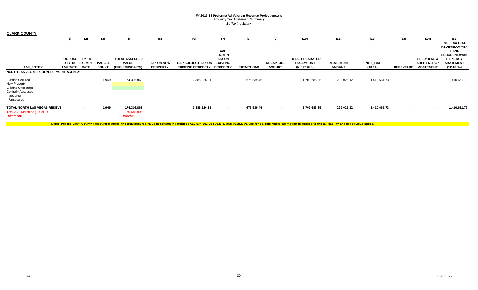| <b>CLARK COUNTY</b>                  |                          |                          |               |                        |                          |                           |                       |                   |                          |                          |                  |              |                  |                    |                                      |
|--------------------------------------|--------------------------|--------------------------|---------------|------------------------|--------------------------|---------------------------|-----------------------|-------------------|--------------------------|--------------------------|------------------|--------------|------------------|--------------------|--------------------------------------|
|                                      | (1)                      | (2)                      | (3)           | (4)                    | (5)                      | (6)                       | (7)                   | (8)               | (9)                      | (10)                     | (11)             | (12)         | (13)             | (14)               | (15)                                 |
|                                      |                          |                          |               |                        |                          |                           |                       |                   |                          |                          |                  |              |                  |                    | <b>NET TAX LESS</b>                  |
|                                      |                          |                          |               |                        |                          |                           |                       |                   |                          |                          |                  |              |                  |                    | <b>REDEVELOPMEN</b>                  |
|                                      |                          |                          |               |                        |                          |                           | CAP-<br><b>EXEMPT</b> |                   |                          |                          |                  |              |                  |                    | <b>T AND</b><br><b>LEED/RENEWABL</b> |
|                                      | <b>PROPOSE</b>           | <b>FY 18</b>             |               | <b>TOTAL ASSESSED</b>  |                          |                           | <b>TAX ON</b>         |                   |                          | <b>TOTAL PREABATED</b>   |                  |              |                  | <b>LEED/RENEW</b>  | <b>E ENERGY</b>                      |
|                                      | <b>D FY 18</b>           | <b>EXEMPT</b>            | <b>PARCEL</b> | <b>VALUE</b>           | <b>TAX ON NEW</b>        | <b>CAP-SUBJECT TAX ON</b> | <b>EXISTING</b>       |                   | <b>RECAPTURE</b>         | <b>TAX AMOUNT</b>        | <b>ABATEMENT</b> | NET_TAX      |                  | <b>ABLE ENERGY</b> | <b>ABATEMENT</b>                     |
| <b>TAX ENTITY</b>                    | <b>TAX RATE</b>          | <b>RATE</b>              | <b>COUNT</b>  | <b>(EXCLUDING NPM)</b> | <b>PROPERTY</b>          | <b>EXISTING PROPERTY</b>  | <b>PROPERTY</b>       | <b>EXEMPTIONS</b> | <b>AMOUNT</b>            | $(5+6+7-8+9)$            | <b>AMOUNT</b>    | $(10-11)$    | <b>REDEVELOP</b> | <b>ABATEMENT</b>   | $(12-13-14)$                         |
| NORTH LAS VEGAS REDEVELOPMENT AGENCY |                          |                          |               |                        |                          |                           |                       |                   |                          |                          |                  |              |                  |                    |                                      |
| <b>Existing Secured</b>              |                          |                          | 1,949         | 174,316,868            |                          | 2,385,226.31              |                       | 675,539.46        |                          | 1,709,686.85             | 299,025.12       | 1,410,661.73 |                  |                    | 1,410,661.73                         |
| New Property                         | $\sim$                   | $\overline{\phantom{a}}$ |               |                        | . .                      |                           | . .                   |                   |                          | $\overline{\phantom{a}}$ |                  |              |                  |                    | $\sim$                               |
| <b>Existing Unsecured</b>            | $\sim$                   | $\overline{\phantom{a}}$ |               |                        |                          |                           |                       |                   |                          |                          |                  |              |                  |                    | $\sim$                               |
| <b>Centrally Assessed</b>            |                          |                          |               |                        |                          |                           |                       |                   |                          |                          |                  |              |                  |                    |                                      |
| Secured                              | $\sim$                   |                          |               |                        |                          |                           |                       |                   |                          | $\overline{\phantom{a}}$ |                  | $\sim$       |                  |                    |                                      |
| Unsecured                            | . .                      | . .                      |               |                        |                          |                           |                       |                   |                          |                          |                  |              |                  |                    | . .                                  |
| <b>TOTAL NORTH LAS VEGAS REDEVI</b>  | $\overline{\phantom{a}}$ | $\,$                     | 1,949         | 174,316,868            | $\overline{\phantom{a}}$ | 2,385,226.31              | $\sim$                | 675,539.46        | $\overline{\phantom{a}}$ | 1,709,686.85             | 299,025.12       | 1,410,661.73 | $\blacksquare$   | $\sim$             | 1,410,661.73                         |
| Total AV - March Seg - Col. Q        |                          |                          |               | 70,648,805             |                          |                           |                       |                   |                          |                          |                  |              |                  |                    |                                      |
| <b>Difference</b>                    |                          |                          |               | #DIV/0!                |                          |                           |                       |                   |                          |                          |                  |              |                  |                    |                                      |

Note: Per the Clark County Treasurer's Office, the total secured value in column (4) includes \$12,534,882,384 VSBTE and VSBLE values for parcels where exemption is applied to the tax liability and is not value based.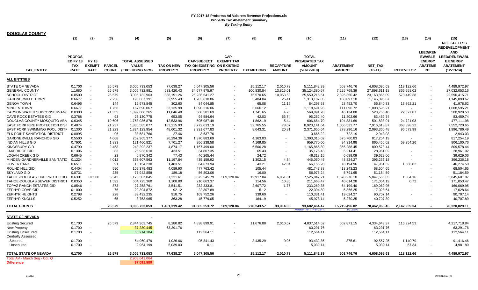| <b>DOUGLAS COUNTY</b>                 |                                                               |                                              |                               |                                                          |                                      |                                                                      |                                              |                   |                                   |                                                                        |                                   |                      |                          |                                                                                  |                                                                                           |
|---------------------------------------|---------------------------------------------------------------|----------------------------------------------|-------------------------------|----------------------------------------------------------|--------------------------------------|----------------------------------------------------------------------|----------------------------------------------|-------------------|-----------------------------------|------------------------------------------------------------------------|-----------------------------------|----------------------|--------------------------|----------------------------------------------------------------------------------|-------------------------------------------------------------------------------------------|
|                                       | (1)                                                           | (2)                                          | (3)                           | (4)                                                      | (5)                                  | (6)                                                                  | (7)                                          | (8)               | (9)                               | (10)                                                                   | (11)                              | (12)                 | (13)                     | (14)                                                                             | (15)                                                                                      |
|                                       |                                                               |                                              |                               |                                                          |                                      |                                                                      |                                              |                   |                                   |                                                                        |                                   |                      |                          |                                                                                  | <b>NET TAX LESS</b><br><b>REDEVELOPMENT</b>                                               |
| <b>TAX ENTITY</b>                     | <b>PROPOS</b><br><b>ED FY 18</b><br><b>TAX</b><br><b>RATE</b> | <b>FY 18</b><br><b>EXEMPT</b><br><b>RATE</b> | <b>PARCEL</b><br><b>COUNT</b> | <b>TOTAL ASSESSED</b><br><b>VALUE</b><br>(EXCLUDING NPM) | <b>TAX ON NEW</b><br><b>PROPERTY</b> | <b>CAP-SUBJECT</b><br>TAX ON EXISTING ON EXISTING<br><b>PROPERTY</b> | CAP-<br><b>EXEMPT TAX</b><br><b>PROPERTY</b> | <b>EXEMPTIONS</b> | <b>RECAPTURE</b><br><b>AMOUNT</b> | <b>TOTAL</b><br><b>PREABATED TAX</b><br><b>AMOUNT</b><br>$(5+6+7-8+9)$ | <b>ABATEMENT</b><br><b>AMOUNT</b> | NET_TAX<br>$(10-11)$ | <b>REDEVELOP</b>         | <b>LEED/REN</b><br><b>EWABLE</b><br><b>ENERGY</b><br><b>ABATEME</b><br><b>NT</b> | <b>AND</b><br><b>LEED/RENEWABL</b><br><b>E ENERGY</b><br><b>ABATEMENT</b><br>$(12-13-14)$ |
| <b>ALL ENTITIES</b>                   |                                                               |                                              |                               |                                                          |                                      |                                                                      |                                              |                   |                                   |                                                                        |                                   |                      |                          |                                                                                  |                                                                                           |
| STATE OF NEVADA                       | 0.1700                                                        |                                              | 26,579                        | 3,005,733,053                                            | 77,638.27                            | 5,047,305.56                                                         |                                              | 15,112.17         | 2,010.73                          | 5,111,842.39                                                           | 503,746.76                        | 4,608,095.63         | 118,122.66               |                                                                                  | 4,489,972.97                                                                              |
| <b>GENERAL COUNTY</b>                 | 1.1680                                                        | $\overline{\phantom{a}}$                     | 26,579                        | 3,005,732,981                                            | 533,420.43                           | 34,677,975.97                                                        |                                              | 100,830.84        | 13,815.01                         | 35, 124, 380.57                                                        | 7,225,769.39                      | 27,898,611.18        | 866,558.02               |                                                                                  | 27,032,053.16                                                                             |
| <b>SCHOOL DISTRICT</b>                | 0.8500                                                        | $\overline{\phantom{a}}$                     | 26,579                        | 3,005,732,963                                            | 388,191.26                           | 25,236,541.27                                                        |                                              | 75,570.65         | 10,053.63                         | 25,559,215.51                                                          | 2,395,350.42                      | 23,163,865.09        | 573,449.38               |                                                                                  | 22,590,415.71                                                                             |
| <b>GARDNERVILLE TOWN</b>              | 0.6677                                                        |                                              | 2,256                         | 196,667,391                                              | 32,955.43                            | 1,283,610.86                                                         |                                              | 3,404.84          | 26.41                             | 1,313,187.85                                                           | 168,097.18                        | 1,145,090.67         |                          |                                                                                  | 1,145,090.67                                                                              |
| <b>GENOA TOWN</b>                     | 0.6496                                                        |                                              | 144                           | 12,973,845                                               | 302.60                               | 84,044.85                                                            |                                              | 65.08             | 11.16                             | 84,293.53                                                              | 28,452.70                         | 55,840.83            | 13,862.21                |                                                                                  | 41,978.62                                                                                 |
| <b>MINDEN TOWN</b>                    | 0.6677                                                        | $\sim$                                       | 1,756                         | 167,690,067                                              | 33,135.99                            | 1,090,216.06                                                         | $\overline{\phantom{a}}$                     | 3,660.12          | $\sim$                            | 1,119,691.93                                                           | 111,096.72                        | 1,008,595.21         | $\overline{\phantom{a}}$ |                                                                                  | 1,008,595.21                                                                              |
| CARSON WATER SUBCONSERVANO            | 0.0300                                                        |                                              | 21,355                        | 1,899,606,265                                            | 11,046.48                            | 560,581.69                                                           |                                              | 1,741.65          | 4.76                              | 569,891.28                                                             | 46,134.88                         | 523,756.40           | 22,827.87                |                                                                                  | 500,928.53                                                                                |
| <b>CAVE ROCK ESTATES GID</b>          | 0.3788                                                        |                                              | 93                            | 25,130,775                                               | 653.05                               | 94,584.64                                                            |                                              | 42.03             | 66.74                             | 95,262.40                                                              | 11,802.66                         | 83,459.74            |                          |                                                                                  | 83,459.74                                                                                 |
| DOUGLAS COUNTY MOSQUITO ABA           | 0.0345                                                        |                                              | 19,606                        | 1,758,036,878                                            | 12,533.96                            | 595,987.49                                                           |                                              | 1.862.19          | 5.44                              | 606,664.70                                                             | 104,831.69                        | 501,833.01           | 24.721.03                |                                                                                  | 477.111.98                                                                                |
| <b>EAST FORK FIRE PROTECTION DIST</b> | 0.4874                                                        |                                              | 21,237                        | 1,830,585,077                                            | 183,215.93                           | 8,772,613.19                                                         |                                              | 32,765.55         | 78.07                             | 8,923,141.64                                                           | 1,006,522.77                      | 7,916,618.87         | 363,898.22               |                                                                                  | 7,552,720.65                                                                              |
| EAST FORK SWIMMING POOL DISTI         | 0.1300                                                        | $\overline{a}$                               | 21,223                        | 1,824,123,954                                            | 48,601.32                            | 2,331,677.83                                                         | $\blacksquare$                               | 8,643.31          | 20.81                             | 2,371,656.64                                                           | 278,296.16                        | 2,093,360.48         | 96,573.99                |                                                                                  | 1,996,786.49                                                                              |
| ELK POINT SANITATION DISTRICT         | 0.0095                                                        |                                              |                               |                                                          |                                      |                                                                      |                                              |                   |                                   |                                                                        |                                   |                      |                          |                                                                                  |                                                                                           |
|                                       |                                                               |                                              | 96                            | 38,581,766                                               | 27.46                                | 3,637.76                                                             |                                              |                   |                                   | 3,665.22                                                               | 722.19                            | 2,943.03             |                          |                                                                                  | 2,943.03                                                                                  |
| <b>GARDNERVILLE RANCHOS GID</b>       | 0.5500                                                        |                                              | 4,068                         | 252,965,377                                              | 26,294.36                            | 1,370,883.69                                                         |                                              | 4,163.03          |                                   | 1,393,015.02                                                           | 575,760.83                        | 817,254.19           |                          |                                                                                  | 817,254.19                                                                                |
| <b>INDIAN HILLS GID</b>               | 0.7901                                                        | $\overline{\phantom{a}}$                     | 1,833                         | 121,460,821                                              | 7,701.27                             | 956,238.58                                                           |                                              | 4,169.85          | $\overline{\phantom{a}}$          | 959,770.00                                                             | 94,314.98                         | 865,455.02           | 59,354.26                |                                                                                  | 806,100.76                                                                                |
| <b>KINGSBURY GID</b>                  | 0.4790                                                        |                                              | 2,453                         | 243,292,237                                              | 4,874.17                             | 1,167,499.00                                                         |                                              | 6,506.28          |                                   | 1,165,866.89                                                           | 356,288.45                        | 809,578.44           |                          |                                                                                  | 809,578.44                                                                                |
| <b>LAKERIDGE GID</b>                  | 0.1306                                                        |                                              | 83                            | 26,933,610                                               | 433.51                               | 34,807.35                                                            |                                              | 65.43             | $\overline{\phantom{a}}$          | 35,175.43                                                              | 6,214.41                          | 28,961.02            |                          |                                                                                  | 28,961.02                                                                                 |
| <b>LOGAN CREEK GID</b>                | 0.6645                                                        |                                              | 23                            | 6,970,342                                                | 77.43                                | 46,265.44                                                            |                                              | 24.72             |                                   | 46,318.15                                                              | 6,689.09                          | 39,629.06            |                          |                                                                                  | 39,629.06                                                                                 |
| MINDEN-GARDNERVILLE SANITATIC         | 0.1224                                                        |                                              | 4,012                         | 363,607,563                                              | 11,197.84                            | 435,159.92                                                           |                                              | 1,302.15          | 4.84                              | 445,060.45                                                             | 48,824.27                         | 396,236.18           |                          |                                                                                  | 396,236.18                                                                                |
| <b>OLIVER PARK</b>                    | 0.6511                                                        |                                              | 91                            | 10,154,238                                               | 1,483.51                             | 64,673.94                                                            | $\overline{\phantom{a}}$                     | 43.21             | 42.04                             | 66,156.28                                                              | 18,194.96                         | 47,961.32            | 1,686.82                 |                                                                                  | 46,274.50                                                                                 |
| ROUND HILL GID                        | 0.4404                                                        | $\overline{\phantom{a}}$                     | 590                           | 109,379,483                                              | 4,089.90                             | 477,763.42                                                           |                                              | 105.44            |                                   | 481,747.88                                                             | 413,243.23                        | 68,504.65            |                          |                                                                                  | 68,504.65                                                                                 |
| <b>SKYLAND GID</b>                    | 0.0731                                                        |                                              | 235                           | 77,942,858                                               | 189.18                               | 56,803.06                                                            |                                              | 16.00             | $\overline{\phantom{a}}$          | 56,976.24                                                              | 5,791.65                          | 51,184.59            |                          |                                                                                  | 51,184.59                                                                                 |
| TAHOE-DOUGLAS FIRE PROTECTIO          | 0.6381                                                        | 0.0500                                       | 5,342                         | 1,178,307,045                                            | 67,231.61                            | 6,875,545.79                                                         | 589,120.84                                   | 12,917.84         | 6,861.81                          | 7,525,842.21                                                           | 1,678,276.18                      | 5,847,566.03         | 1,884.16                 |                                                                                  | 5,845,681.87                                                                              |
| TAHOE-DOUGLAS SEWER DISTRICT          | 0.0350                                                        |                                              | 1,593                         | 604,725,360                                              | 1,108.80                             | 210,663.37                                                           |                                              | 114.56            | 10.86                             | 211,668.47                                                             | 40,614.28                         | 171,054.19           | 0.72                     |                                                                                  | 171,053.47                                                                                |
| TOPAZ RANCH ESTATES GID               | 0.8546                                                        |                                              | 873                           | 27,258,761                                               | 3,541.51                             | 232,333.81                                                           |                                              | 2,607.72          | 1.75                              | 233,269.35                                                             | 64,199.40                         | 169,069.95           |                          |                                                                                  | 169,069.95                                                                                |
| ZEPHYR COVE GID                       | 0.1000                                                        |                                              | 76                            | 22,394,872                                               | 92.12                                | 22,307.89                                                            |                                              | 5.12              |                                   | 22,394.89                                                              | 5,366.25                          | 17,028.64            |                          |                                                                                  | 17,028.64                                                                                 |
| <b>ZEPHYR HEIGHTS</b>                 | 0.2798                                                        |                                              | 228                           | 39.432.235                                               | 918.75                               | 109.752.26                                                           |                                              | 339.60            |                                   | 110,331.41                                                             | 19,624.27                         | 90,707.14            |                          |                                                                                  | 90.707.14                                                                                 |
| ZEPHYR KNOLLS                         | 0.5252                                                        |                                              | 65                            | 8,753,965                                                | 363.28                               | 45,779.05                                                            |                                              | 164.19            | $\overline{\phantom{a}}$          | 45,978.14                                                              | 5,270.25                          | 40,707.89            |                          |                                                                                  | 40,707.89                                                                                 |
| <b>TOTAL COUNTY</b>                   |                                                               |                                              | 26,579                        | 3,005,733,053                                            | 1,451,319.42                         | 91,885,253.72                                                        | 589,120.84                                   | 276,243.57        | 33.014.06                         | 93,682,464.47                                                          | 15,219,496.02                     | 78.462.968.45        | 2.142.939.34             |                                                                                  | 76,320,029.11                                                                             |
| <b>STATE OF NEVADA</b>                |                                                               |                                              |                               | $\sim$                                                   |                                      |                                                                      |                                              |                   |                                   | <u>ient Fercent</u>                                                    | 10.ZJ70                           |                      |                          |                                                                                  |                                                                                           |
|                                       |                                                               |                                              |                               |                                                          |                                      |                                                                      |                                              |                   |                                   |                                                                        |                                   |                      |                          |                                                                                  |                                                                                           |
| <b>Existing Secured</b>               | 0.1700                                                        |                                              | 26,579                        | 2,844,363,745                                            | 8,280.82                             | 4,838,899.91                                                         |                                              | 11,676.88         | 2,010.67                          | 4,837,514.52                                                           | 502,871.15                        | 4,334,643.37         | 116,924.53               |                                                                                  | 4,217,718.84                                                                              |
| <b>New Property</b>                   | 0.1700                                                        | $\sim$                                       |                               | 37,230,445                                               | 63,291.76                            |                                                                      |                                              |                   |                                   | 63,291.76                                                              |                                   | 63,291.76            |                          |                                                                                  | 63,291.76                                                                                 |
| <b>Existing Unsecured</b>             | 0.1700                                                        |                                              |                               | 66,214,184                                               |                                      | 112,564.11                                                           |                                              |                   |                                   | 112,564.11                                                             |                                   | 112,564.11           |                          |                                                                                  | 112,564.11                                                                                |
| <b>Centrally Assessed</b>             |                                                               |                                              |                               |                                                          |                                      |                                                                      |                                              |                   |                                   |                                                                        |                                   |                      |                          |                                                                                  |                                                                                           |
| Secured                               | 0.1700                                                        |                                              |                               | 54,960,479                                               | 1,026.66                             | 95,841.43                                                            |                                              | 3,435.29          | 0.06                              | 93,432.86                                                              | 875.61                            | 92,557.25            | 1,140.79                 |                                                                                  | 91,416.46                                                                                 |
| Unsecured                             | 0.1700                                                        |                                              |                               | 2,964,199                                                | 5,039.03                             | 0.11                                                                 |                                              |                   | $\overline{\phantom{a}}$          | 5,039.14                                                               |                                   | 5,039.14             | 57.34                    | $\overline{\phantom{a}}$                                                         | 4,981.80                                                                                  |
| TOTAL STATE OF NEVADA                 | 0.1700                                                        |                                              | 26,579                        | 3,005,733,053                                            | 77,638.27                            | 5,047,305.56                                                         |                                              | 15,112.17         | 2,010.73                          | 5,111,842.39                                                           | 503,746.76                        | 4,608,095.63         | 118,122.66               |                                                                                  | 4,489,972.97                                                                              |
| Total AV - March Seg - Col. Q         |                                                               |                                              |                               | 2,908,641,064                                            |                                      |                                                                      |                                              |                   |                                   |                                                                        |                                   |                      |                          |                                                                                  |                                                                                           |
| <b>Difference</b>                     |                                                               |                                              |                               | 97,091,989                                               |                                      |                                                                      |                                              |                   |                                   |                                                                        |                                   |                      |                          |                                                                                  |                                                                                           |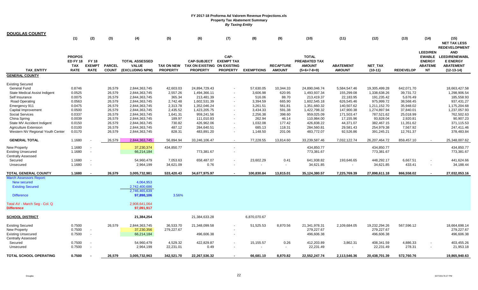| <b>DOUGLAS COUNTY</b>                |                  |                                                      |               |                         |                       |                             |                          |                   |                  |                         |                                        |                         |                    |                 |                         |
|--------------------------------------|------------------|------------------------------------------------------|---------------|-------------------------|-----------------------|-----------------------------|--------------------------|-------------------|------------------|-------------------------|----------------------------------------|-------------------------|--------------------|-----------------|-------------------------|
|                                      | (1)              | (2)                                                  | (3)           | (4)                     | (5)                   | (6)                         | (7)                      | (8)               | (9)              | (10)                    | (11)                                   | (12)                    | (13)               | (14)            | (15)                    |
|                                      |                  |                                                      |               |                         |                       |                             |                          |                   |                  |                         |                                        |                         |                    |                 | <b>NET TAX LESS</b>     |
|                                      |                  |                                                      |               |                         |                       |                             |                          |                   |                  |                         |                                        |                         |                    |                 | <b>REDEVELOPMENT</b>    |
|                                      |                  |                                                      |               |                         |                       |                             |                          |                   |                  |                         |                                        |                         |                    | <b>LEED/REN</b> | <b>AND</b>              |
|                                      | <b>PROPOS</b>    |                                                      |               |                         |                       |                             | CAP-                     |                   |                  | <b>TOTAL</b>            |                                        |                         |                    | <b>EWABLE</b>   | <b>LEED/RENEWABL</b>    |
|                                      | <b>ED FY 18</b>  | <b>FY 18</b>                                         |               | <b>TOTAL ASSESSED</b>   |                       | <b>CAP-SUBJECT</b>          | <b>EXEMPT TAX</b>        |                   |                  | <b>PREABATED TAX</b>    |                                        |                         |                    | <b>ENERGY</b>   | <b>E ENERGY</b>         |
|                                      | <b>TAX</b>       | <b>EXEMPT</b>                                        | <b>PARCEL</b> | <b>VALUE</b>            | <b>TAX ON NEW</b>     | TAX ON EXISTING ON EXISTING |                          |                   | <b>RECAPTURE</b> | <b>AMOUNT</b>           | <b>ABATEMENT</b>                       | NET_TAX                 |                    | <b>ABATEME</b>  | <b>ABATEMENT</b>        |
| <b>TAX ENTITY</b>                    | <b>RATE</b>      | <b>RATE</b>                                          | <b>COUNT</b>  | (EXCLUDING NPM)         | <b>PROPERTY</b>       | <b>PROPERTY</b>             | <b>PROPERTY</b>          | <b>EXEMPTIONS</b> | <b>AMOUNT</b>    | $(5+6+7-8+9)$           | <b>AMOUNT</b>                          | $(10-11)$               | <b>REDEVELOP</b>   | <b>NT</b>       | $(12-13-14)$            |
| <b>GENERAL COUNTY</b>                |                  |                                                      |               |                         |                       |                             |                          |                   |                  |                         |                                        |                         |                    |                 |                         |
|                                      |                  |                                                      |               |                         |                       |                             |                          |                   |                  |                         |                                        |                         |                    |                 |                         |
| <b>Existing Secured</b>              |                  |                                                      |               |                         |                       |                             |                          |                   |                  |                         |                                        |                         |                    |                 |                         |
| General Fund                         | 0.8746           |                                                      | 26,579        | 2,844,363,745           | 42,603.03             | 24,894,729.43               | $\overline{\phantom{a}}$ | 57,630.05         | 10,344.33        | 24,890,046.74           | 5,584,547.46                           | 19,305,499.28           | 642,071.70         |                 | 18,663,427.58           |
| <b>State Medical Assist Indigent</b> | 0.0525           |                                                      | 26,579        | 2,844,363,745           | 2,557.26              | 1,494,366.11                |                          | 3,606.98          | 620.95           | 1,493,937.34            | 155,299.08                             | 1,338,638.26            | 39,731.72          |                 | 1,298,906.54            |
| Self Insurance                       | 0.0075           |                                                      | 26,579        | 2,844,363,745           | 365.34                | 213,481.39                  |                          | 516.06            | 88.70            | 213,419.37              | 22,183.95                              | 191,235.42              | 5,676.49           |                 | 185,558.93              |
| Road Operating                       | 0.0563           |                                                      | 26,579        | 2,844,363,745           | 2,742.48              | 1,602,531.39                |                          | 3,394.59          | 665.90           | 1,602,545.18            | 626,545.46                             | 975,999.72              | 38,568.45          |                 | 937,431.27              |
| Emergency 911                        | 0.0475           |                                                      | 26,579        | 2,844,363,745           | 2,313.78              | 1,352,046.24                |                          | 3,261.51          | 561.81           | 1,351,660.32            | 140,507.62                             | 1,211,152.70            | 35,948.02          |                 | 1,175,204.68            |
| Capital Improvement                  | 0.0500           |                                                      | 26,579        | 2,844,363,745           | 2,435.52              | 1,423,205.75                |                          | 3,434.33          | 591.38           | 1,422,798.32            | 147,900.38                             | 1,274,897.94            | 37,840.01          |                 | 1,237,057.93            |
| <b>Social Services</b>               | 0.0337           |                                                      | 26,579        | 2,844,363,745           | 1,641.31              | 959,241.56                  |                          | 2,256.38          | 398.60           | 959,025.09              | 171,503.47                             | 787,521.62              | 25,018.99          |                 | 762,502.63              |
| China Spring                         | 0.0039           |                                                      | 26,579        | 2,844,363,745           | 189.97                | 111,010.83                  |                          | 262.94            | 46.14            | 110,984.00              | 17,155.96                              | 93,828.04               | 2,920.81           |                 | 90,907.23               |
| State MV Accident Indigent           | 0.0150           |                                                      | 26,579        | 2,844,363,745           | 730.82                | 426,962.06                  | $\overline{\phantom{a}}$ | 1,032.08          | 177.42           | 426,838.22              | 44,371.07                              | 382,467.15              | 11,351.62          |                 | 371,115.53              |
| <b>Agriculture Extension</b>         | 0.0100           |                                                      | 26,579        | 2,844,363,745           | 487.12                | 284,640.51                  |                          | 685.13            | 118.31           | 284,560.81              | 29,581.43                              | 254,979.38              | 7,567.92           |                 | 247,411.46              |
| Western NV Regional Youth Center     | 0.0170           |                                                      | 26,579        | 2,844,363,745           | 828.31                | 483,891.20                  |                          | 1,148.50          | 201.06           | 483,772.07              | 92,526.86                              | 391,245.21              | 12,761.37          |                 | 378,483.84              |
| <b>GENERAL TOTAL</b>                 | 1.1680           |                                                      | 26,579        | 2,844,363,745           | 56,894.94             | 33,246,106.47               |                          | 77,228.55         | 13,814.60        | 33,239,587.46           | 7,032,122.74                           | 26,207,464.72           | 859,457.10         |                 | 25,348,007.62           |
|                                      |                  |                                                      |               |                         |                       |                             |                          |                   |                  |                         |                                        |                         |                    |                 |                         |
| <b>New Property</b>                  | 1.1680           | $\overline{\phantom{a}}$<br>$\overline{\phantom{a}}$ |               | 37,230,374              | 434,850.77            |                             |                          |                   |                  | 434,850.77              |                                        | 434,850.77              |                    |                 | 434,850.77              |
| Existing Unsecured                   | 1.1680           |                                                      |               | 66,214,184              |                       | 773,381.67                  |                          |                   |                  | 773,381.67              |                                        | 773,381.67              |                    |                 | 773,381.67              |
| <b>Centrally Assessed</b>            |                  |                                                      |               |                         |                       |                             |                          |                   |                  |                         |                                        |                         |                    |                 |                         |
| Secured<br>Unsecured                 | 1.1680<br>1.1680 | $\overline{\phantom{a}}$<br>$\sim$                   |               | 54,960,479<br>2,964,199 | 7,053.63<br>34,621.09 | 658,487.07<br>0.76          |                          | 23,602.29         | 0.41<br>$\sim$   | 641,938.82<br>34,621.85 | 193,646.65<br>$\overline{\phantom{a}}$ | 448,292.17<br>34,621.85 | 6,667.51<br>433.41 |                 | 441,624.66<br>34,188.44 |
|                                      |                  |                                                      |               |                         |                       |                             |                          |                   |                  |                         |                                        |                         |                    |                 |                         |
| <b>TOTAL GENERAL COUNTY</b>          | 1.1680           | <b>.</b>                                             | 26,579        | 3,005,732,981           | 533,420.43            | 34,677,975.97               | $\sim$                   | 100,830.84        | 13,815.01        | 35,124,380.57           | 7,225,769.39                           | 27,898,611.18           | 866,558.02         |                 | 27,032,053.16           |
| <b>March Assessors Report:</b>       |                  |                                                      |               |                         |                       |                             |                          |                   |                  |                         |                                        |                         |                    |                 |                         |
| New secured                          |                  |                                                      |               | 4,064,953               |                       |                             |                          |                   |                  |                         |                                        |                         |                    |                 |                         |
| <b>Existing Secured</b>              |                  |                                                      |               | 2,742,400,686           |                       |                             |                          |                   |                  |                         |                                        |                         |                    |                 |                         |
|                                      |                  |                                                      |               | 2,746,465,639           |                       |                             |                          |                   |                  |                         |                                        |                         |                    |                 |                         |
| <b>Difference</b>                    |                  |                                                      |               | 97,898,106              | 3.56%                 |                             |                          |                   |                  |                         |                                        |                         |                    |                 |                         |
| Total AV - March Seg - Col. Q        |                  |                                                      |               | 2,908,641,064           |                       |                             |                          |                   |                  |                         |                                        |                         |                    |                 |                         |
| <b>Difference</b>                    |                  |                                                      |               | 97,091,917              |                       |                             |                          |                   |                  |                         |                                        |                         |                    |                 |                         |
| <u>SCHOOL DISTRICT</u>               |                  |                                                      |               | 21,384,254              |                       | 21,384,633.28               |                          | 6,870,070.67      |                  |                         |                                        |                         |                    |                 |                         |
| <b>Existing Secured</b>              | 0.7500           |                                                      | 26,579        | 2,844,363,745           | 36,533.70             | 21,348,099.58               | $\overline{\phantom{a}}$ | 51,525.53         | 8,870.56         | 21,341,978.31           | 2,109,684.05                           | 19,232,294.26           | 567,596.12         |                 | 18,664,698.14           |
| <b>New Property</b>                  | 0.7500           | $\sim$                                               |               | 37,230,356              | 279,227.67            |                             |                          |                   |                  | 279,227.67              |                                        | 279,227.67              |                    |                 | 279,227.67              |
| <b>Existing Unsecured</b>            | 0.7500           | $\sim$                                               |               | 66,214,184              |                       | 496,606.38                  | $\overline{\phantom{a}}$ |                   |                  | 496,606.38              |                                        | 496,606.38              |                    |                 | 496,606.38              |
| <b>Centrally Assessed</b>            |                  |                                                      |               |                         |                       |                             |                          |                   |                  |                         |                                        |                         |                    |                 |                         |
| Secured                              | 0.7500           |                                                      |               | 54,960,479              | 4,529.32              | 422,829.87                  |                          | 15,155.57         | 0.26             | 412,203.89              | 3,862.31                               | 408,341.59              | 4,886.33           |                 | 403,455.26              |
| Unsecured                            | 0.7500           | $\overline{\phantom{a}}$                             |               | 2,964,199               | 22,231.01             | 0.49                        |                          |                   |                  | 22,231.49               |                                        | 22,231.49               | 278.31             |                 | 21,953.18               |
| <b>TOTAL SCHOOL OPERATING</b>        | 0.7500           |                                                      | 26,579        | 3,005,732,963           | 342,521.70            | 22,267,536.32               |                          | 66,681.10         | 8,870.82         | 22,552,247.74           | 2,113,546.36                           | 20,438,701.39           | 572,760.76         |                 | 19,865,940.63           |
|                                      |                  |                                                      |               |                         |                       |                             |                          |                   |                  |                         |                                        |                         |                    |                 |                         |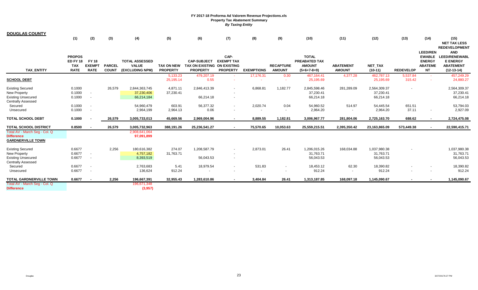| <b>DOUGLAS COUNTY</b><br><b>TAX ENTITY</b> | (1)<br><b>PROPOS</b><br><b>ED FY 18</b><br><b>TAX</b><br><b>RATE</b> | (2)<br><b>FY 18</b><br><b>EXEMPT</b><br><b>RATE</b> | (3)<br><b>PARCEL</b><br><b>COUNT</b> | (4)<br><b>TOTAL ASSESSED</b><br><b>VALUE</b><br>(EXCLUDING NPM) | (5)<br><b>TAX ON NEW</b><br><b>PROPERTY</b> | (6)<br><b>CAP-SUBJECT</b><br>TAX ON EXISTING ON EXISTING<br><b>PROPERTY</b> | (7)<br>CAP-<br><b>EXEMPT TAX</b><br><b>PROPERTY</b> | (8)<br><b>EXEMPTIONS</b> | (9)<br><b>RECAPTURE</b><br><b>AMOUNT</b> | (10)<br><b>TOTAL</b><br><b>PREABATED TAX</b><br><b>AMOUNT</b><br>$(5+6+7-8+9)$ | (11)<br><b>ABATEMENT</b><br><b>AMOUNT</b> | (12)<br><b>NET TAX</b><br>$(10-11)$ | (13)<br><b>REDEVELOP</b> | (14)<br><b>LEED/REN</b><br><b>ENERGY</b><br><b>ABATEME</b><br><b>NT</b> | (15)<br><b>NET TAX LESS</b><br><b>REDEVELOPMENT</b><br><b>AND</b><br>EWABLE LEED/RENEWABL<br><b>E ENERGY</b><br><b>ABATEMENT</b><br>$(12-13-14)$ |
|--------------------------------------------|----------------------------------------------------------------------|-----------------------------------------------------|--------------------------------------|-----------------------------------------------------------------|---------------------------------------------|-----------------------------------------------------------------------------|-----------------------------------------------------|--------------------------|------------------------------------------|--------------------------------------------------------------------------------|-------------------------------------------|-------------------------------------|--------------------------|-------------------------------------------------------------------------|--------------------------------------------------------------------------------------------------------------------------------------------------|
|                                            |                                                                      |                                                     |                                      |                                                                 | 5,133.23                                    | 479,207.19                                                                  |                                                     | 17,176.31                | 0.30                                     | 467,164.41                                                                     | 4,377.28                                  | 462,787.13                          | 5,537.84                 | <b>Section</b>                                                          | 457,249.29                                                                                                                                       |
| <b>SCHOOL DEBT</b>                         |                                                                      |                                                     |                                      |                                                                 | 25,195.14                                   | 0.55                                                                        |                                                     |                          |                                          | 25,195.69                                                                      |                                           | 25,195.69                           | 315.42                   | $\sim$                                                                  | 24,880.27                                                                                                                                        |
| <b>Existing Secured</b>                    | 0.1000                                                               |                                                     | 26.579                               | 2,844,363,745                                                   | 4,871.11                                    | 2,846,413.39                                                                |                                                     | 6.868.81                 | 1,182.77                                 | 2,845,598.46                                                                   | 281,289.09                                | 2,564,309.37                        | $\blacksquare$           |                                                                         | 2,564,309.37                                                                                                                                     |
| <b>New Property</b>                        | 0.1000                                                               | $\sim$                                              |                                      | 37,230,406                                                      | 37,230.41                                   |                                                                             |                                                     |                          |                                          | 37,230.41                                                                      |                                           | 37,230.41                           |                          |                                                                         | 37,230.41                                                                                                                                        |
| <b>Existing Unsecured</b>                  | 0.1000                                                               | $\sim$                                              |                                      | 66,214,184                                                      |                                             | 66.214.18                                                                   |                                                     |                          |                                          | 66,214.18                                                                      |                                           | 66,214.18                           |                          |                                                                         | 66,214.18                                                                                                                                        |
| <b>Centrally Assessed</b>                  |                                                                      |                                                     |                                      |                                                                 |                                             |                                                                             |                                                     |                          |                                          |                                                                                |                                           |                                     |                          |                                                                         |                                                                                                                                                  |
| Secured                                    | 0.1000                                                               | $\overline{\phantom{a}}$                            |                                      | 54,960,479                                                      | 603.91                                      | 56,377.32                                                                   |                                                     | 2,020.74                 | 0.04                                     | 54,960.52                                                                      | 514.97                                    | 54,445.54                           | 651.51                   |                                                                         | 53,794.03                                                                                                                                        |
| Unsecured                                  | 0.1000                                                               | $\sim$                                              |                                      | 2,964,199                                                       | 2,964.13                                    | 0.06                                                                        |                                                     | $\overline{\phantom{0}}$ | $\sim$                                   | 2,964.20                                                                       |                                           | 2,964.20                            | 37.11                    |                                                                         | 2,927.09                                                                                                                                         |
| <b>TOTAL SCHOOL DEBT</b>                   | 0.1000                                                               |                                                     | 26,579                               | 3,005,733,013                                                   | 45,669.56                                   | 2,969,004.96                                                                |                                                     | 8.889.55                 | 1.182.81                                 | 3,006,967.77                                                                   | 281,804.06                                | 2,725,163.70                        | 688.62                   |                                                                         | 2,724,475.08                                                                                                                                     |
| <b>TOTAL SCHOOL DISTRICT</b>               | 0.8500                                                               |                                                     | 26,579                               | 3,005,732,963                                                   | 388,191.26                                  | 25,236,541.27                                                               |                                                     | 75,570.65                | 10,053.63                                | 25,559,215.51                                                                  | 2,395,350.42                              | 23,163,865.09                       | 573,449.38               |                                                                         | 22,590,415.71                                                                                                                                    |
| Total AV - March Seg - Col. Q              |                                                                      |                                                     |                                      | 2.908.641.064                                                   |                                             |                                                                             |                                                     |                          |                                          |                                                                                |                                           |                                     |                          |                                                                         |                                                                                                                                                  |
| <b>Difference</b>                          |                                                                      |                                                     |                                      | 97,091,899                                                      |                                             |                                                                             |                                                     |                          |                                          |                                                                                |                                           |                                     |                          |                                                                         |                                                                                                                                                  |
| <b>GARDNERVILLE TOWN</b>                   |                                                                      |                                                     |                                      |                                                                 |                                             |                                                                             |                                                     |                          |                                          |                                                                                |                                           |                                     |                          |                                                                         |                                                                                                                                                  |
| <b>Existing Secured</b>                    | 0.6677                                                               |                                                     | 2,256                                | 180,616,382                                                     | 274.07                                      | 1,208,587.79                                                                |                                                     | 2,873.01                 | 26.41                                    | 1,206,015.26                                                                   | 168,034.88                                | 1,037,980.38                        |                          |                                                                         | 1,037,980.38                                                                                                                                     |
| New Property                               | 0.6677                                                               | $\overline{\phantom{a}}$                            |                                      | 4,757,182                                                       | 31,763.71                                   |                                                                             |                                                     |                          |                                          | 31,763.71                                                                      |                                           | 31,763.71                           |                          |                                                                         | 31,763.71                                                                                                                                        |
| <b>Existing Unsecured</b>                  | 0.6677                                                               | $\overline{\phantom{a}}$                            |                                      | 8,393,519                                                       |                                             | 56,043.53                                                                   |                                                     |                          |                                          | 56,043.53                                                                      |                                           | 56,043.53                           |                          |                                                                         | 56,043.53                                                                                                                                        |
| <b>Centrally Assessed</b>                  |                                                                      |                                                     |                                      |                                                                 |                                             |                                                                             |                                                     |                          |                                          |                                                                                |                                           |                                     |                          |                                                                         |                                                                                                                                                  |
| Secured                                    | 0.6677                                                               | $\overline{\phantom{a}}$                            |                                      | 2,763,683                                                       | 5.41                                        | 18,979.54                                                                   |                                                     | 531.83                   |                                          | 18,453.12                                                                      | 62.30                                     | 18,390.82                           |                          | $\sim$                                                                  | 18,390.82                                                                                                                                        |
| Unsecured                                  | 0.6677                                                               |                                                     |                                      | 136,624                                                         | 912.24                                      |                                                                             |                                                     | $\overline{\phantom{a}}$ |                                          | 912.24                                                                         | $\overline{\phantom{a}}$                  | 912.24                              |                          | $\overline{\phantom{a}}$                                                | 912.24                                                                                                                                           |
| <b>TOTAL GARDNERVILLE TOWN</b>             | 0.6677                                                               |                                                     | 2,256                                | 196,667,391                                                     | 32,955.43                                   | 1,283,610.86                                                                |                                                     | 3,404.84                 | 26.41                                    | 1,313,187.85                                                                   | 168,097.18                                | 1,145,090.67                        | $\sim$                   | $\sim$                                                                  | 1,145,090.67                                                                                                                                     |
| Total AV - March Seg - Col. Q              |                                                                      |                                                     |                                      | 196,671,348                                                     |                                             |                                                                             |                                                     |                          |                                          |                                                                                |                                           |                                     |                          |                                                                         |                                                                                                                                                  |
| <b>Difference</b>                          |                                                                      |                                                     |                                      | (3,957)                                                         |                                             |                                                                             |                                                     |                          |                                          |                                                                                |                                           |                                     |                          |                                                                         |                                                                                                                                                  |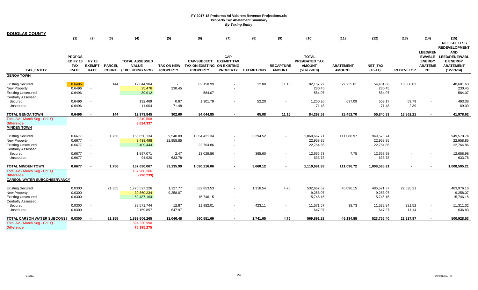| <b>DOUGLAS COUNTY</b>              |                 |                          |               |                       |                   |                             |                          |                   |                  |               |                  |              |                  |                          |                                    |
|------------------------------------|-----------------|--------------------------|---------------|-----------------------|-------------------|-----------------------------|--------------------------|-------------------|------------------|---------------|------------------|--------------|------------------|--------------------------|------------------------------------|
|                                    | (1)             | (2)                      | (3)           | (4)                   | (5)               | (6)                         | (7)                      | (8)               | (9)              | (10)          | (11)             | (12)         | (13)             | (14)                     | (15)                               |
|                                    |                 |                          |               |                       |                   |                             |                          |                   |                  |               |                  |              |                  |                          | <b>NET TAX LESS</b>                |
|                                    |                 |                          |               |                       |                   |                             |                          |                   |                  |               |                  |              |                  |                          | <b>REDEVELOPMENT</b>               |
|                                    | <b>PROPOS</b>   |                          |               |                       |                   |                             | CAP-                     |                   |                  | <b>TOTAL</b>  |                  |              |                  | <b>LEED/REN</b>          | <b>AND</b><br>EWABLE LEED/RENEWABL |
|                                    | <b>ED FY 18</b> | <b>FY 18</b>             |               | <b>TOTAL ASSESSED</b> |                   | <b>CAP-SUBJECT</b>          | <b>EXEMPT TAX</b>        |                   |                  | PREABATED TAX |                  |              |                  | <b>ENERGY</b>            | <b>E ENERGY</b>                    |
|                                    | <b>TAX</b>      | <b>EXEMPT</b>            | <b>PARCEL</b> | <b>VALUE</b>          | <b>TAX ON NEW</b> | TAX ON EXISTING ON EXISTING |                          |                   | <b>RECAPTURE</b> | <b>AMOUNT</b> | <b>ABATEMENT</b> | NET_TAX      |                  | <b>ABATEME</b>           | <b>ABATEMENT</b>                   |
| <b>TAX ENTITY</b>                  | <b>RATE</b>     | <b>RATE</b>              | <b>COUNT</b>  | (EXCLUDING NPM)       | <b>PROPERTY</b>   | <b>PROPERTY</b>             | <b>PROPERTY</b>          | <b>EXEMPTIONS</b> | <b>AMOUNT</b>    | $(5+6+7-8+9)$ | <b>AMOUNT</b>    | $(10-11)$    | <b>REDEVELOP</b> | <b>NT</b>                | $(12-13-14)$                       |
| <b>GENOA TOWN</b>                  |                 |                          |               |                       |                   |                             |                          |                   |                  |               |                  |              |                  |                          |                                    |
|                                    |                 |                          |               |                       |                   |                             |                          |                   |                  |               |                  |              |                  |                          |                                    |
| <b>Existing Secured</b>            | 0.6496          |                          | 144           | 12,644,984            | $\sim$            | 82,158.99                   |                          | 12.88             | 11.16            | 82,157.27     | 27,755.61        | 54,401.66    | 13,800.03        |                          | 40,601.63                          |
| New Property                       | 0.6496          | $\sim$                   |               | 35,476                | 230.45            |                             |                          |                   |                  | 230.45        |                  | 230.45       |                  |                          | 230.45                             |
| <b>Existing Unsecured</b>          | 0.6496          | $\overline{\phantom{a}}$ |               | 89,912                |                   | 584.07                      |                          |                   |                  | 584.07        |                  | 584.07       |                  |                          | 584.07                             |
| <b>Centrally Assessed</b>          |                 |                          |               |                       |                   |                             |                          |                   |                  |               |                  |              |                  |                          |                                    |
| Secured                            | 0.6496          | $\overline{\phantom{a}}$ |               | 192,469               | 0.67              | 1,301.79                    |                          | 52.20             |                  | 1,250.26      | 697.09           | 553.17       | 59.79            |                          | 493.38                             |
| Unsecured                          | 0.6496          | $\overline{\phantom{a}}$ |               | 11,004                | 71.48             |                             |                          | $\overline{a}$    |                  | 71.48         |                  | 71.48        | 2.39             | $\overline{\phantom{a}}$ | 69.09                              |
| TOTAL GENOA TOWN                   | 0.6496          |                          | 144           | 12,973,845            | 302.60            | 84,044.85                   |                          | 65.08             | 11.16            | 84,293.53     | 28,452.70        | 55,840.83    | 13,862.21        | $\sim$                   | 41,978.62                          |
| Total AV - March Seg - Col. Q      |                 |                          |               | 9,349,508             |                   |                             |                          |                   |                  |               |                  |              |                  |                          |                                    |
| <b>Difference</b>                  |                 |                          |               | 3,624,337             |                   |                             |                          |                   |                  |               |                  |              |                  |                          |                                    |
| <b>MINDEN TOWN</b>                 |                 |                          |               |                       |                   |                             |                          |                   |                  |               |                  |              |                  |                          |                                    |
| <b>Existing Secured</b>            | 0.6677          |                          | 1,756         | 158,850,134           | 9,540.89          | 1,054,421.34                | $\overline{\phantom{a}}$ | 3,294.52          |                  | 1,060,667.71  | 111,088.97       | 949,578.74   |                  |                          | 949,578.74                         |
| New Property                       | 0.6677          | $\overline{\phantom{a}}$ |               | 3,438,498             | 22,958.85         |                             |                          |                   |                  | 22,958.85     |                  | 22,958.85    |                  |                          | 22,958.85                          |
| <b>Existing Unsecured</b>          | 0.6677          | $\sim$                   |               | 3,409,444             |                   | 22,764.86                   | $\overline{\phantom{a}}$ |                   |                  | 22,764.86     |                  | 22,764.86    |                  |                          | 22,764.86                          |
| Centrally Assessed                 |                 |                          |               |                       |                   |                             |                          |                   |                  |               |                  |              |                  |                          |                                    |
| Secured                            | 0.6677          | $\overline{\phantom{a}}$ |               | 1,897,071             | 2.47              | 13,029.86                   |                          | 365.60            |                  | 12,666.73     | 7.75             | 12,658.98    |                  |                          | 12,658.98                          |
| Unsecured                          | 0.6677          | $\overline{\phantom{a}}$ |               | 94,920                | 633.78            |                             |                          |                   |                  | 633.78        |                  | 633.78       |                  |                          | 633.78                             |
| TOTAL MINDEN TOWN                  | 0.6677          |                          | 1,756         | 167,690,067           | 33,135.99         | 1,090,216.06                |                          | 3,660.12          |                  | 1,119,691.93  | 111,096.72       | 1,008,595.21 |                  |                          | 1,008,595.21                       |
| Total AV - March Seg - Col. Q      |                 |                          |               | 167,980,306           |                   |                             |                          |                   |                  |               |                  |              |                  |                          |                                    |
| <b>Difference</b>                  |                 |                          |               | (290, 239)            |                   |                             |                          |                   |                  |               |                  |              |                  |                          |                                    |
| <b>CARSON WATER SUBCONSERVANCY</b> |                 |                          |               |                       |                   |                             |                          |                   |                  |               |                  |              |                  |                          |                                    |
| <b>Existing Secured</b>            | 0.0300          |                          | 21,355        | 1,775,527,226         | 1,127.77          | 532,853.53                  |                          | 1,318.54          | 4.76             | 532.667.52    | 46,096.15        | 486,571.37   | 22,595.21        |                          | 463,976.16                         |
| New Property                       | 0.0300          | $\sim$                   |               | 30,860,234            | 9,258.07          |                             |                          |                   |                  | 9,258.07      |                  | 9,258.07     |                  |                          | 9,258.07                           |
| <b>Existing Unsecured</b>          | 0.0300          | $\overline{\phantom{a}}$ |               | 52,487,164            |                   | 15,746.15                   |                          |                   |                  | 15,746.15     |                  | 15,746.15    |                  |                          | 15,746.15                          |
| <b>Centrally Assessed</b>          |                 |                          |               |                       |                   |                             |                          |                   |                  |               |                  |              |                  |                          |                                    |
| Secured                            | 0.0300          | $\overline{\phantom{a}}$ |               | 38,571,744            | 12.67             | 11,982.01                   |                          | 423.11            |                  | 11,571.57     | 38.73            | 11,532.84    | 221.52           | $\overline{\phantom{a}}$ | 11,311.32                          |
| Unsecured                          | 0.0300          | $\overline{\phantom{a}}$ |               | 2,159,897             | 647.97            |                             |                          |                   |                  | 647.97        |                  | 647.97       | 11.14            |                          | 636.83                             |
| <b>TOTAL CARSON WATER SUBCONSI</b> | 0.0300          | $\sim$                   | 21,355        | 1,899,606,265         | 11,046.48         | 560,581.69                  |                          | 1,741.65          | 4.76             | 569,891.28    | 46,134.88        | 523,756.40   | 22,827.87        | $\sim$                   | 500,928.53                         |
| Total AV - March Seg - Col. Q      |                 |                          |               | 1,824,220,990         |                   |                             |                          |                   |                  |               |                  |              |                  |                          |                                    |
| <b>Difference</b>                  |                 |                          |               | 75,385,275            |                   |                             |                          |                   |                  |               |                  |              |                  |                          |                                    |
|                                    |                 |                          |               |                       |                   |                             |                          |                   |                  |               |                  |              |                  |                          |                                    |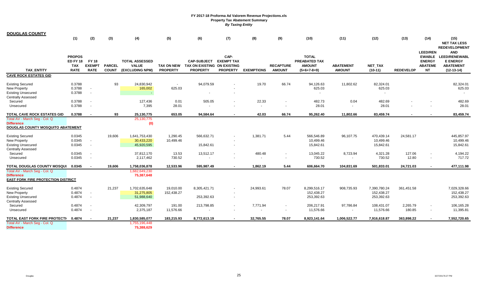| <u>DOUGLAS COUNTY</u>                                                                                    |                                                        |                                                      |                               |                                                          |                          |                                                                                 |                                                      |                                   |                                    |                                                                        |                                   |                                          |                    |                                                                 |                                                                                           |
|----------------------------------------------------------------------------------------------------------|--------------------------------------------------------|------------------------------------------------------|-------------------------------|----------------------------------------------------------|--------------------------|---------------------------------------------------------------------------------|------------------------------------------------------|-----------------------------------|------------------------------------|------------------------------------------------------------------------|-----------------------------------|------------------------------------------|--------------------|-----------------------------------------------------------------|-------------------------------------------------------------------------------------------|
|                                                                                                          | (1)                                                    | (2)                                                  | (3)                           | (4)                                                      | (5)                      | (6)                                                                             | (7)                                                  | (8)                               | (9)                                | (10)                                                                   | (11)                              | (12)                                     | (13)               | (14)                                                            | (15)<br><b>NET TAX LESS</b><br><b>REDEVELOPMENT</b>                                       |
| <b>TAX ENTITY</b>                                                                                        | <b>PROPOS</b><br><b>ED FY 18</b><br>TAX<br><b>RATE</b> | <b>FY 18</b><br><b>EXEMPT</b><br><b>RATE</b>         | <b>PARCEL</b><br><b>COUNT</b> | <b>TOTAL ASSESSED</b><br><b>VALUE</b><br>(EXCLUDING NPM) | <b>PROPERTY</b>          | <b>CAP-SUBJECT</b><br>TAX ON NEW TAX ON EXISTING ON EXISTING<br><b>PROPERTY</b> | CAP-<br><b>EXEMPT TAX</b><br><b>PROPERTY</b>         | <b>EXEMPTIONS</b>                 | <b>RECAPTURE</b><br><b>AMOUNT</b>  | <b>TOTAL</b><br><b>PREABATED TAX</b><br><b>AMOUNT</b><br>$(5+6+7-8+9)$ | <b>ABATEMENT</b><br><b>AMOUNT</b> | NET_TAX<br>$(10-11)$                     | <b>REDEVELOP</b>   | <b>LEED/REN</b><br><b>ENERGY</b><br><b>ABATEME</b><br><b>NT</b> | <b>AND</b><br>EWABLE LEED/RENEWABL<br><b>E ENERGY</b><br><b>ABATEMENT</b><br>$(12-13-14)$ |
| <b>CAVE ROCK ESTATES GID</b>                                                                             |                                                        |                                                      |                               |                                                          |                          |                                                                                 |                                                      |                                   |                                    |                                                                        |                                   |                                          |                    |                                                                 |                                                                                           |
| <b>Existing Secured</b><br>New Property<br><b>Existing Unsecured</b>                                     | 0.3788<br>0.3788<br>0.3788                             | $\sim$<br>$\overline{\phantom{a}}$                   | 93                            | 24,830,942<br>165,002<br>$\sim$                          | $\overline{a}$<br>625.03 | 94,079.59                                                                       | $\overline{\phantom{a}}$                             | 19.70                             | 66.74                              | 94,126.63<br>625.03<br>$\sim$                                          | 11,802.62                         | 82,324.01<br>625.03                      |                    |                                                                 | 82,324.01<br>625.03                                                                       |
| <b>Centrally Assessed</b><br>Secured<br>Unsecured                                                        | 0.3788<br>0.3788                                       | $\overline{\phantom{a}}$                             |                               | 127,436<br>7,395                                         | 0.01<br>28.01            | 505.05                                                                          | $\overline{\phantom{a}}$                             | 22.33<br>$\overline{\phantom{a}}$ |                                    | 482.73<br>28.01                                                        | 0.04                              | 482.69<br>28.01                          |                    |                                                                 | 482.69<br>28.01                                                                           |
| TOTAL CAVE ROCK ESTATES GID                                                                              | 0.3788                                                 |                                                      | 93                            | 25,130,775                                               | 653.05                   | 94,584.64                                                                       |                                                      | 42.03                             | 66.74                              | 95,262.40                                                              | 11,802.66                         | 83,459.74                                |                    |                                                                 | 83,459.74                                                                                 |
| Total AV - March Seg - Col. Q<br><b>Difference</b><br><b>DOUGLAS COUNTY MOSQUITO ABATEMENT</b>           |                                                        |                                                      |                               | 25,130,775<br>(0)                                        |                          |                                                                                 |                                                      |                                   |                                    |                                                                        |                                   |                                          |                    |                                                                 |                                                                                           |
| <b>Existing Secured</b><br><b>New Property</b><br><b>Existing Unsecured</b><br><b>Centrally Assessed</b> | 0.0345<br>0.0345<br>0.0345                             | $\sim$<br>$\sim$                                     | 19,606                        | 1,641,753,430<br>30,433,220<br>45,920,595                | 1,290.45<br>10,499.46    | 566,632.71<br>15,842.61                                                         | $\overline{\phantom{a}}$<br>$\overline{\phantom{a}}$ | 1,381.71                          | 5.44                               | 566,546.89<br>10,499.46<br>15,842.61                                   | 96,107.75                         | 470,439.14<br>10,499.46<br>15,842.61     | 24,581.17          |                                                                 | 445,857.97<br>10,499.46<br>15,842.61                                                      |
| Secured<br>Unsecured                                                                                     | 0.0345<br>0.0345                                       | $\overline{\phantom{a}}$<br>$\overline{\phantom{a}}$ |                               | 37,812,170<br>2,117,462                                  | 13.53<br>730.52          | 13,512.17                                                                       | $\overline{\phantom{a}}$                             | 480.48                            | $\sim$                             | 13,045.22<br>730.52                                                    | 8,723.94                          | 4,321.28<br>730.52                       | 127.06<br>12.80    | $\blacksquare$                                                  | 4,194.22<br>717.72                                                                        |
| TOTAL DOUGLAS COUNTY MOSQUI<br>Total AV - March Seg - Col. Q<br><b>Difference</b>                        | 0.0345                                                 |                                                      | 19,606                        | 1,758,036,878<br>1,682,649,230<br>75,387,648             | 12.533.96                | 595.987.49                                                                      |                                                      | 1.862.19                          | 5.44                               | 606,664.70                                                             | 104,831.69                        | 501.833.01                               | 24,721.03          |                                                                 | 477,111.98                                                                                |
| <b>EAST FORK FIRE PROTECTION DISTRICT</b>                                                                |                                                        |                                                      |                               |                                                          |                          |                                                                                 |                                                      |                                   |                                    |                                                                        |                                   |                                          |                    |                                                                 |                                                                                           |
| <b>Existing Secured</b><br><b>New Property</b><br><b>Existing Unsecured</b><br>Centrally Assessed        | 0.4874<br>0.4874<br>0.4874                             | $\sim$<br>$\sim$                                     | 21,237                        | 1,702,635,648<br>31,275,805<br>51,988,640                | 19,010.00<br>152,438.27  | 8,305,421.71<br>253,392.63                                                      | $\overline{\phantom{a}}$<br>$\overline{\phantom{a}}$ | 24,993.61                         | 78.07                              | 8,299,516.17<br>152,438.27<br>253,392.63                               | 908,735.93                        | 7,390,780.24<br>152,438.27<br>253,392.63 | 361,451.58         |                                                                 | 7,029,328.66<br>152,438.27<br>253,392.63                                                  |
| Secured<br>Unsecured                                                                                     | 0.4874<br>0.4874                                       | $\overline{\phantom{a}}$                             |                               | 42,309,797<br>2,375,187                                  | 191.00<br>11,576.66      | 213,798.85                                                                      | $\overline{\phantom{a}}$                             | 7,771.94                          | $\sim$<br>$\overline{\phantom{a}}$ | 206,217.91<br>11,576.66                                                | 97,786.84                         | 108,431.07<br>11,576.66                  | 2,265.79<br>180.85 | $\overline{\phantom{a}}$<br>$\overline{\phantom{a}}$            | 106,165.28<br>11,395.81                                                                   |
| <b>TOTAL EAST FORK FIRE PROTECTI</b>                                                                     | 0.4874                                                 | $\sim$                                               | 21,237                        | 1,830,585,077                                            | 183,215.93               | 8,772,613.19                                                                    |                                                      | 32,765.55                         | 78.07                              | 8,923,141.64                                                           | 1,006,522.77                      | 7,916,618.87                             | 363,898.22         |                                                                 | 7,552,720.65                                                                              |
| Total AV - March Seg - Col. Q<br><b>Difference</b>                                                       |                                                        |                                                      |                               | 1,755,196,448<br>75,388,629                              |                          |                                                                                 |                                                      |                                   |                                    |                                                                        |                                   |                                          |                    |                                                                 |                                                                                           |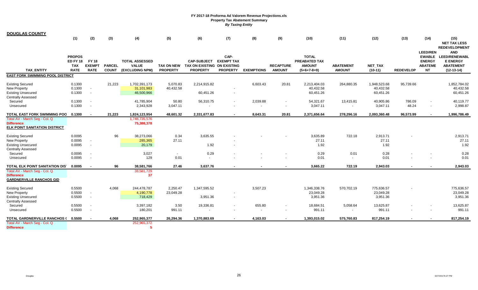| <b>DOUGLAS COUNTY</b>                                                                                                    |                                                               |                                                      |                               |                                                          |                               |                                                                      |                                              |                                    |                                   |                                                                 |                                   |                                        |                  |                                                                 |                                                                                           |
|--------------------------------------------------------------------------------------------------------------------------|---------------------------------------------------------------|------------------------------------------------------|-------------------------------|----------------------------------------------------------|-------------------------------|----------------------------------------------------------------------|----------------------------------------------|------------------------------------|-----------------------------------|-----------------------------------------------------------------|-----------------------------------|----------------------------------------|------------------|-----------------------------------------------------------------|-------------------------------------------------------------------------------------------|
|                                                                                                                          | (1)                                                           | (2)                                                  | (3)                           | (4)                                                      | (5)                           | (6)                                                                  | (7)                                          | (8)                                | (9)                               | (10)                                                            | (11)                              | (12)                                   | (13)             | (14)                                                            | (15)<br><b>NET TAX LESS</b><br><b>REDEVELOPMENT</b>                                       |
| <b>TAX ENTITY</b>                                                                                                        | <b>PROPOS</b><br><b>ED FY 18</b><br><b>TAX</b><br><b>RATE</b> | <b>FY 18</b><br><b>EXEMPT</b><br><b>RATE</b>         | <b>PARCEL</b><br><b>COUNT</b> | <b>TOTAL ASSESSED</b><br><b>VALUE</b><br>(EXCLUDING NPM) | TAX ON NEW<br><b>PROPERTY</b> | <b>CAP-SUBJECT</b><br>TAX ON EXISTING ON EXISTING<br><b>PROPERTY</b> | CAP-<br><b>EXEMPT TAX</b><br><b>PROPERTY</b> | <b>EXEMPTIONS</b>                  | <b>RECAPTURE</b><br><b>AMOUNT</b> | <b>TOTAL</b><br>PREABATED TAX<br><b>AMOUNT</b><br>$(5+6+7-8+9)$ | <b>ABATEMENT</b><br><b>AMOUNT</b> | <b>NET TAX</b><br>$(10-11)$            | <b>REDEVELOP</b> | <b>LEED/REN</b><br><b>ENERGY</b><br><b>ABATEME</b><br><b>NT</b> | <b>AND</b><br>EWABLE LEED/RENEWABL<br><b>E ENERGY</b><br><b>ABATEMENT</b><br>$(12-13-14)$ |
| <b>EAST FORK SWIMMING POOL DISTRICT</b>                                                                                  |                                                               |                                                      |                               |                                                          |                               |                                                                      |                                              |                                    |                                   |                                                                 |                                   |                                        |                  |                                                                 |                                                                                           |
| <b>Existing Secured</b><br><b>New Property</b><br><b>Existing Unsecured</b>                                              | 0.1300<br>0.1300<br>0.1300                                    | $\sim$<br>$\overline{\phantom{a}}$                   | 21,223                        | 1,702,391,173<br>31,101,983<br>46,500,966                | 5,070.83<br>40,432.58         | 2,214,915.82<br>60,451.26                                            |                                              | 6,603.43                           | 20.81                             | 2,213,404.03<br>40,432.58<br>60,451.26                          | 264,880.35                        | 1,948,523.68<br>40,432.58<br>60,451.26 | 95,739.66        |                                                                 | 1.852.784.02<br>40,432.58<br>60,451.26                                                    |
| <b>Centrally Assessed</b><br>Secured<br>Unsecured                                                                        | 0.1300<br>0.1300                                              | $\overline{\phantom{a}}$                             |                               | 41,785,904<br>2,343,928                                  | 50.80<br>3,047.11             | 56,310.75                                                            | $\overline{\phantom{a}}$                     | 2,039.88                           |                                   | 54,321.67<br>3,047.11                                           | 13,415.81                         | 40,905.86<br>3,047.11                  | 786.09<br>48.24  | $\overline{\phantom{a}}$                                        | 40,119.77<br>2,998.87                                                                     |
| TOTAL EAST FORK SWIMMING POO                                                                                             | 0.1300                                                        |                                                      | 21,223                        | 1,824,123,954                                            | 48,601.32                     | 2,331,677.83                                                         |                                              | 8,643.31                           | 20.81                             | 2,371,656.64                                                    | 278,296.16                        | 2,093,360.48                           | 96,573.99        |                                                                 | 1,996,786.49                                                                              |
| Total AV - March Seg - Col. Q<br><b>Difference</b><br>ELK POINT SANITATION DISTRICT                                      |                                                               |                                                      |                               | 1,748,735,576<br>75,388,378                              |                               |                                                                      |                                              |                                    |                                   |                                                                 |                                   |                                        |                  |                                                                 |                                                                                           |
| <b>Existing Secured</b><br>New Property<br><b>Existing Unsecured</b>                                                     | 0.0095<br>0.0095<br>0.0095                                    | $\overline{\phantom{a}}$<br>$\overline{\phantom{a}}$ | 96                            | 38,273,066<br>285,365<br>20,179                          | 0.34<br>27.11                 | 3,635.55<br>1.92                                                     |                                              |                                    |                                   | 3,635.89<br>27.11<br>1.92                                       | 722.18                            | 2,913.71<br>27.11<br>1.92              |                  |                                                                 | 2,913.71<br>27.11<br>1.92                                                                 |
| <b>Centrally Assessed</b><br>Secured<br>Unsecured                                                                        | 0.0095<br>0.0095                                              | $\sim$                                               |                               | 3,027<br>129                                             | $\overline{a}$<br>0.01        | 0.29<br>$\sim$                                                       |                                              |                                    |                                   | 0.29<br>0.01                                                    | 0.01                              | 0.28<br>0.01                           |                  |                                                                 | 0.28<br>0.01                                                                              |
| TOTAL ELK POINT SANITATION DIST<br>Total AV - March Seg - Col. Q<br><b>Difference</b><br><b>GARDNERVILLE RANCHOS GID</b> | 0.0095                                                        | $\overline{\phantom{a}}$                             | 96                            | 38,581,766<br>38,581,729<br>37                           | 27.46                         | 3,637.76                                                             |                                              |                                    |                                   | 3,665.22                                                        | 722.19                            | 2,943.03                               |                  |                                                                 | 2,943.03                                                                                  |
| <b>Existing Secured</b><br><b>New Property</b><br><b>Existing Unsecured</b>                                              | 0.5500<br>0.5500<br>0.5500                                    | $\overline{\phantom{a}}$<br>$\overline{\phantom{a}}$ | 4,068                         | 244,478,787<br>4,190,778<br>718,429                      | 2,250.47<br>23,049.28         | 1,347,595.52<br>3,951.36                                             |                                              | 3,507.23                           |                                   | 1,346,338.76<br>23,049.28<br>3,951.36                           | 570,702.19                        | 775,636.57<br>23,049.28<br>3,951.36    |                  |                                                                 | 775,636.57<br>23,049.28<br>3,951.36                                                       |
| <b>Centrally Assessed</b><br>Secured<br>Unsecured                                                                        | 0.5500<br>0.5500                                              | $\overline{\phantom{a}}$<br>$\overline{\phantom{a}}$ |                               | 3,397,182<br>180,201                                     | 3.50<br>991.11                | 19,336.81                                                            |                                              | 655.80<br>$\overline{\phantom{a}}$ |                                   | 18,684.51<br>991.11                                             | 5,058.64                          | 13,625.87<br>991.11                    |                  |                                                                 | 13,625.87<br>991.11                                                                       |
| TOTAL GARDNERVILLE RANCHOS (                                                                                             | 0.5500                                                        |                                                      | 4,068                         | 252,965,377                                              | 26,294.36                     | 1,370,883.69                                                         |                                              | 4,163.03                           |                                   | 1,393,015.02                                                    | 575,760.83                        | 817,254.19                             |                  |                                                                 | 817,254.19                                                                                |
| Total AV - March Seg - Col. Q<br><b>Difference</b>                                                                       |                                                               |                                                      |                               | 252,965,372                                              |                               |                                                                      |                                              |                                    |                                   |                                                                 |                                   |                                        |                  |                                                                 |                                                                                           |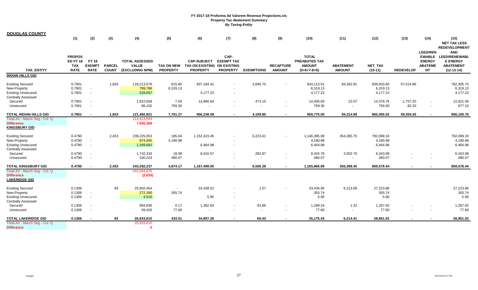| <u>DOUGLAS COUNTY</u>                           | (1)                                                    | (2)                                          | (3)                           | (4)                                                      | (5)                      | (6)                                                                             | (7)                                          | (8)                      | (9)                               | (10)                                                                   | (11)                              | (12)                 | (13)             | (14)                                         | (15)                                                                        |
|-------------------------------------------------|--------------------------------------------------------|----------------------------------------------|-------------------------------|----------------------------------------------------------|--------------------------|---------------------------------------------------------------------------------|----------------------------------------------|--------------------------|-----------------------------------|------------------------------------------------------------------------|-----------------------------------|----------------------|------------------|----------------------------------------------|-----------------------------------------------------------------------------|
|                                                 |                                                        |                                              |                               |                                                          |                          |                                                                                 |                                              |                          |                                   |                                                                        |                                   |                      |                  | <b>LEED/REN</b>                              | <b>NET TAX LESS</b><br><b>REDEVELOPMENT</b><br><b>AND</b>                   |
| <b>TAX ENTITY</b>                               | <b>PROPOS</b><br><b>ED FY 18</b><br>TAX<br><b>RATE</b> | <b>FY 18</b><br><b>EXEMPT</b><br><b>RATE</b> | <b>PARCEL</b><br><b>COUNT</b> | <b>TOTAL ASSESSED</b><br><b>VALUE</b><br>(EXCLUDING NPM) | <b>PROPERTY</b>          | <b>CAP-SUBJECT</b><br>TAX ON NEW TAX ON EXISTING ON EXISTING<br><b>PROPERTY</b> | CAP-<br><b>EXEMPT TAX</b><br><b>PROPERTY</b> | <b>EXEMPTIONS</b>        | <b>RECAPTURE</b><br><b>AMOUNT</b> | <b>TOTAL</b><br><b>PREABATED TAX</b><br><b>AMOUNT</b><br>$(5+6+7-8+9)$ | <b>ABATEMENT</b><br><b>AMOUNT</b> | NET_TAX<br>$(10-11)$ | <b>REDEVELOP</b> | <b>ENERGY</b><br><b>ABATEME</b><br><b>NT</b> | EWABLE LEED/RENEWABL<br><b>E ENERGY</b><br><b>ABATEMENT</b><br>$(12-13-14)$ |
| <b>INDIAN HILLS GID</b>                         |                                                        |                                              |                               |                                                          |                          |                                                                                 |                                              |                          |                                   |                                                                        |                                   |                      |                  |                                              |                                                                             |
|                                                 |                                                        |                                              |                               |                                                          |                          |                                                                                 |                                              |                          |                                   |                                                                        |                                   |                      |                  |                                              |                                                                             |
| <b>Existing Secured</b>                         | 0.7901                                                 |                                              | 1,833                         | 118,213,576                                              | 615.80                   | 937,194.41                                                                      | $\overline{\phantom{a}}$                     | 3,696.70                 |                                   | 934,113.51                                                             | 94,292.91                         | 839,820.60           | 57,514.86        |                                              | 782,305.74                                                                  |
| New Property                                    | 0.7901                                                 | $\overline{\phantom{a}}$                     |                               | 799,788                                                  | 6,319.13                 |                                                                                 |                                              |                          |                                   | 6,319.13                                                               |                                   | 6,319.13             |                  |                                              | 6,319.13                                                                    |
| <b>Existing Unsecured</b><br>Centrally Assessed | 0.7901                                                 | $\overline{\phantom{a}}$                     |                               | 528,697                                                  |                          | 4,177.23                                                                        |                                              |                          |                                   | 4,177.23                                                               |                                   | 4,177.23             |                  |                                              | 4,177.23                                                                    |
| Secured                                         | 0.7901                                                 | $\overline{\phantom{a}}$                     |                               | 1,822,658                                                | 7.04                     | 14,866.94                                                                       |                                              | 473.15                   |                                   | 14,400.83                                                              | 22.07                             | 14,378.76            | 1,757.20         | $\overline{\phantom{a}}$                     | 12,621.56                                                                   |
| Unsecured                                       | 0.7901                                                 |                                              |                               | 96,102                                                   | 759.30                   |                                                                                 |                                              |                          |                                   | 759.30                                                                 |                                   | 759.30               | 82.20            |                                              | 677.10                                                                      |
|                                                 |                                                        |                                              |                               |                                                          |                          |                                                                                 |                                              |                          |                                   |                                                                        |                                   |                      |                  |                                              |                                                                             |
| TOTAL INDIAN HILLS GID                          | 0.7901                                                 |                                              | 1,833                         | 121,460,821                                              | 7,701.27                 | 956,238.58                                                                      | $\sim$                                       | 4,169.85                 | $\sim$                            | 959,770.00                                                             | 94,314.98                         | 865,455.02           | 59,354.26        | $\sim$                                       | 806,100.76                                                                  |
| Total AV - March Seg - Col. Q                   |                                                        |                                              |                               | 114,414,553                                              |                          |                                                                                 |                                              |                          |                                   |                                                                        |                                   |                      |                  |                                              |                                                                             |
| <b>Difference</b>                               |                                                        |                                              |                               | 7,046,268                                                |                          |                                                                                 |                                              |                          |                                   |                                                                        |                                   |                      |                  |                                              |                                                                             |
| <b>KINGSBURY GID</b>                            |                                                        |                                              |                               |                                                          |                          |                                                                                 |                                              |                          |                                   |                                                                        |                                   |                      |                  |                                              |                                                                             |
| <b>Existing Secured</b>                         | 0.4790                                                 |                                              | 2,453                         | 239,225,053                                              | 185.04                   | 1,152,423.45                                                                    |                                              | 6,223.41                 |                                   | 1,146,385.08                                                           | 354,285.75                        | 792,099.33           |                  |                                              | 792,099.33                                                                  |
| <b>New Property</b>                             | 0.4790                                                 | $\sim$                                       |                               | 874,945                                                  | 4,190.98                 |                                                                                 |                                              |                          |                                   | 4,190.98                                                               |                                   | 4,190.98             |                  |                                              | 4,190.98                                                                    |
| <b>Existing Unsecured</b>                       | 0.4790                                                 | $\sim$                                       |                               | 1,349,682                                                |                          | 6,464.98                                                                        | $\overline{\phantom{0}}$                     |                          |                                   | 6,464.98                                                               |                                   | 6,464.98             |                  |                                              | 6,464.98                                                                    |
| <b>Centrally Assessed</b>                       |                                                        |                                              |                               |                                                          |                          |                                                                                 |                                              |                          |                                   |                                                                        |                                   |                      |                  |                                              |                                                                             |
| Secured                                         | 0.4790                                                 | $\overline{\phantom{a}}$                     |                               | 1,742,333                                                | 18.08                    | 8,610.57                                                                        |                                              | 282.87                   | $\overline{a}$                    | 8,345.78                                                               | 2,002.70                          | 6,343.08             |                  |                                              | 6,343.08                                                                    |
| Unsecured                                       | 0.4790                                                 | $\overline{\phantom{a}}$                     |                               | 100,224                                                  | 480.07                   |                                                                                 |                                              | $\overline{\phantom{0}}$ |                                   | 480.07                                                                 |                                   | 480.07               |                  |                                              | 480.07                                                                      |
| <b>TOTAL KINGSBURY GID</b>                      | 0.4790                                                 |                                              | 2,453                         | 243,292,237                                              | 4,874.17                 | 1,167,499.00                                                                    |                                              | 6,506.28                 |                                   | 1,165,866.89                                                           | 356,288.45                        | 809,578.44           |                  |                                              | 809,578.44                                                                  |
| Total AV - March Seg - Col. Q                   |                                                        |                                              |                               | 243,294,876                                              |                          |                                                                                 |                                              |                          |                                   |                                                                        |                                   |                      |                  |                                              |                                                                             |
| <b>Difference</b>                               |                                                        |                                              |                               | (2,639)                                                  |                          |                                                                                 |                                              |                          |                                   |                                                                        |                                   |                      |                  |                                              |                                                                             |
| LAKERIDGE GID                                   |                                                        |                                              |                               |                                                          |                          |                                                                                 |                                              |                          |                                   |                                                                        |                                   |                      |                  |                                              |                                                                             |
| <b>Existing Secured</b>                         | 0.1306                                                 |                                              | 83                            | 25,602,454                                               | $\overline{\phantom{a}}$ | 33,438.52                                                                       |                                              | 1.57                     |                                   | 33,436.95                                                              | 6,213.09                          | 27,223.86            |                  |                                              | 27,223.86                                                                   |
| <b>New Property</b>                             | 0.1306                                                 | $\overline{\phantom{a}}$                     |                               | 272,390                                                  | 355.74                   |                                                                                 |                                              |                          |                                   | 355.74                                                                 |                                   | 355.74               |                  |                                              | 355.74                                                                      |
| <b>Existing Unsecured</b>                       | 0.1306                                                 | $\sim$                                       |                               | 4,516                                                    |                          | 5.90                                                                            | $\overline{\phantom{a}}$                     |                          |                                   | 5.90                                                                   |                                   | 5.90                 |                  |                                              | 5.90                                                                        |
| <b>Centrally Assessed</b>                       |                                                        |                                              |                               |                                                          |                          |                                                                                 |                                              |                          |                                   |                                                                        |                                   |                      |                  |                                              |                                                                             |
| Secured                                         | 0.1306                                                 | $\overline{\phantom{a}}$                     |                               | 994,830                                                  | 0.17                     | 1,362.93                                                                        |                                              | 63.86                    | $\sim$                            | 1,299.24                                                               | 1.32                              | 1,297.92             |                  |                                              | 1,297.92                                                                    |
| Unsecured                                       | 0.1306                                                 | $\overline{\phantom{a}}$                     |                               | 59,420                                                   | 77.60                    |                                                                                 |                                              | $\overline{\phantom{a}}$ | $\overline{\phantom{a}}$          | 77.60                                                                  |                                   | 77.60                |                  |                                              | 77.60                                                                       |
| <b>TOTAL LAKERIDGE GID</b>                      | 0.1306                                                 |                                              | 83                            | 26,933,610                                               | 433.51                   | 34,807.35                                                                       |                                              | 65.43                    |                                   | 35,175.43                                                              | 6,214.41                          | 28,961.02            |                  |                                              | 28,961.02                                                                   |
| Total AV - March Seg - Col. Q                   |                                                        |                                              |                               | 26,933,610                                               |                          |                                                                                 |                                              |                          |                                   |                                                                        |                                   |                      |                  |                                              |                                                                             |
| <b>Difference</b>                               |                                                        |                                              |                               | $\Omega$                                                 |                          |                                                                                 |                                              |                          |                                   |                                                                        |                                   |                      |                  |                                              |                                                                             |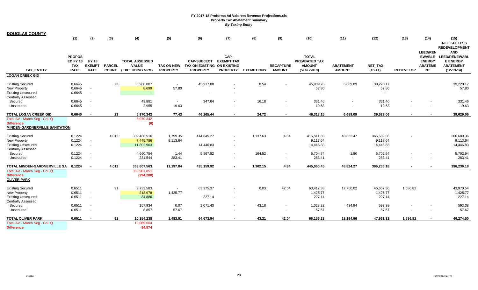| <u>DOUGLAS COUNTY</u>                                                                                    |                                                        |                                              |                               |                                                          |                      |                                                                                 |                                              |                                    |                                                      |                                                                        |                                   |                                     |                  |                                                                 |                                                                                           |
|----------------------------------------------------------------------------------------------------------|--------------------------------------------------------|----------------------------------------------|-------------------------------|----------------------------------------------------------|----------------------|---------------------------------------------------------------------------------|----------------------------------------------|------------------------------------|------------------------------------------------------|------------------------------------------------------------------------|-----------------------------------|-------------------------------------|------------------|-----------------------------------------------------------------|-------------------------------------------------------------------------------------------|
|                                                                                                          | (1)                                                    | (2)                                          | (3)                           | (4)                                                      | (5)                  | (6)                                                                             | (7)                                          | (8)                                | (9)                                                  | (10)                                                                   | (11)                              | (12)                                | (13)             | (14)                                                            | (15)<br><b>NET TAX LESS</b><br><b>REDEVELOPMENT</b>                                       |
| <b>TAX ENTITY</b>                                                                                        | <b>PROPOS</b><br><b>ED FY 18</b><br>TAX<br><b>RATE</b> | <b>FY 18</b><br><b>EXEMPT</b><br><b>RATE</b> | <b>PARCEL</b><br><b>COUNT</b> | <b>TOTAL ASSESSED</b><br><b>VALUE</b><br>(EXCLUDING NPM) | <b>PROPERTY</b>      | <b>CAP-SUBJECT</b><br>TAX ON NEW TAX ON EXISTING ON EXISTING<br><b>PROPERTY</b> | CAP-<br><b>EXEMPT TAX</b><br><b>PROPERTY</b> | <b>EXEMPTIONS</b>                  | <b>RECAPTURE</b><br><b>AMOUNT</b>                    | <b>TOTAL</b><br><b>PREABATED TAX</b><br><b>AMOUNT</b><br>$(5+6+7-8+9)$ | <b>ABATEMENT</b><br><b>AMOUNT</b> | NET_TAX<br>$(10-11)$                | <b>REDEVELOP</b> | <b>LEED/REN</b><br><b>ENERGY</b><br><b>ABATEME</b><br><b>NT</b> | <b>AND</b><br>EWABLE LEED/RENEWABL<br><b>E ENERGY</b><br><b>ABATEMENT</b><br>$(12-13-14)$ |
| <b>LOGAN CREEK GID</b>                                                                                   |                                                        |                                              |                               |                                                          |                      |                                                                                 |                                              |                                    |                                                      |                                                                        |                                   |                                     |                  |                                                                 |                                                                                           |
| <b>Existing Secured</b><br>New Property<br><b>Existing Unsecured</b>                                     | 0.6645<br>0.6645<br>0.6645                             | $\sim$<br>$\overline{\phantom{a}}$           | 23                            | 6,908,807<br>8,699<br>$\sim$                             | $\sim$<br>57.80      | 45,917.80                                                                       |                                              | 8.54                               |                                                      | 45,909.26<br>57.80                                                     | 6,689.09                          | 39,220.17<br>57.80                  |                  |                                                                 | 39,220.17<br>57.80                                                                        |
| <b>Centrally Assessed</b><br>Secured<br>Unsecured                                                        | 0.6645<br>0.6645                                       | $\overline{\phantom{a}}$                     |                               | 49,881<br>2,955                                          | $\sim$<br>19.63      | 347.64                                                                          |                                              | 16.18<br>$\overline{\phantom{a}}$  |                                                      | 331.46<br>19.63                                                        |                                   | 331.46<br>19.63                     |                  |                                                                 | 331.46<br>19.63                                                                           |
| <b>TOTAL LOGAN CREEK GID</b>                                                                             | 0.6645                                                 | $\sim$                                       | 23                            | 6,970,342                                                | 77.43                | 46,265.44                                                                       |                                              | 24.72                              |                                                      | 46,318.15                                                              | 6,689.09                          | 39,629.06                           |                  |                                                                 | 39,629.06                                                                                 |
| Total AV - March Seg - Col. Q<br><b>Difference</b><br><b>MINDEN-GARDNERVILLE SANITATION</b>              |                                                        |                                              |                               | 6,970,342<br>(0)                                         |                      |                                                                                 |                                              |                                    |                                                      |                                                                        |                                   |                                     |                  |                                                                 |                                                                                           |
| <b>Existing Secured</b><br><b>New Property</b><br><b>Existing Unsecured</b><br><b>Centrally Assessed</b> | 0.1224<br>0.1224<br>0.1224                             | $\sim$<br>$\sim$                             | 4,012                         | 339,466,516<br>7,445,786<br>11,802,963                   | 1,799.35<br>9,113.64 | 414,845.27<br>14,446.83                                                         | $\overline{\phantom{a}}$                     | 1,137.63                           | 4.84                                                 | 415,511.83<br>9,113.64<br>14,446.83                                    | 48,822.47                         | 366,689.36<br>9,113.64<br>14,446.83 |                  |                                                                 | 366,689.36<br>9,113.64<br>14,446.83                                                       |
| Secured<br>Unsecured                                                                                     | 0.1224<br>0.1224                                       | $\overline{\phantom{a}}$<br>$\sim$           |                               | 4,660,754<br>231,544                                     | 1.44<br>283.41       | 5,867.82                                                                        |                                              | 164.52<br>$\overline{\phantom{a}}$ | $\overline{\phantom{a}}$<br>$\overline{\phantom{a}}$ | 5,704.74<br>283.41                                                     | 1.80                              | 5,702.94<br>283.41                  |                  | $\overline{\phantom{a}}$                                        | 5,702.94<br>283.41                                                                        |
| TOTAL MINDEN-GARDNERVILLE SA                                                                             | 0.1224                                                 | $\sim$                                       | 4,012                         | 363,607,563                                              | 11,197.84            | 435,159.92                                                                      |                                              | 1,302.15                           | 4.84                                                 | 445,060.45                                                             | 48,824.27                         | 396,236.18                          |                  |                                                                 | 396,236.18                                                                                |
| Total AV - March Seg - Col. Q<br><b>Difference</b><br><u>OLIVER PARK</u>                                 |                                                        |                                              |                               | 363,901,851<br>(294, 288)                                |                      |                                                                                 |                                              |                                    |                                                      |                                                                        |                                   |                                     |                  |                                                                 |                                                                                           |
| <b>Existing Secured</b><br>New Property<br><b>Existing Unsecured</b>                                     | 0.6511<br>0.6511<br>0.6511                             | $\sim$<br>$\sim$                             | 91                            | 9,733,583<br>218,978<br>34,886                           | 1,425.77             | 63,375.37<br>227.14                                                             | $\overline{\phantom{a}}$                     | 0.03                               | 42.04                                                | 63,417.38<br>1,425.77<br>227.14                                        | 17,760.02                         | 45,657.36<br>1,425.77<br>227.14     | 1,686.82         |                                                                 | 43,970.54<br>1,425.77<br>227.14                                                           |
| <b>Centrally Assessed</b><br>Secured<br>Unsecured                                                        | 0.6511<br>0.6511                                       | $\sim$<br>$\overline{\phantom{a}}$           |                               | 157,934<br>8,857                                         | 0.07<br>57.67        | 1,071.43                                                                        | $\overline{\phantom{a}}$                     | 43.18<br>$\overline{\phantom{a}}$  | $\sim$<br>$\overline{\phantom{a}}$                   | 1,028.32<br>57.67                                                      | 434.94                            | 593.38<br>57.67                     |                  |                                                                 | 593.38<br>57.67                                                                           |
| TOTAL OLIVER PARK                                                                                        | 0.6511                                                 |                                              | 91                            | 10,154,238                                               | 1,483.51             | 64,673.94                                                                       |                                              | 43.21                              | 42.04                                                | 66,156.28                                                              | 18,194.96                         | 47,961.32                           | 1,686.82         |                                                                 | 46,274.50                                                                                 |
| Total AV - March Seg - Col. Q<br><b>Difference</b>                                                       |                                                        |                                              |                               | 10,069,664<br>84,574                                     |                      |                                                                                 |                                              |                                    |                                                      |                                                                        |                                   |                                     |                  |                                                                 |                                                                                           |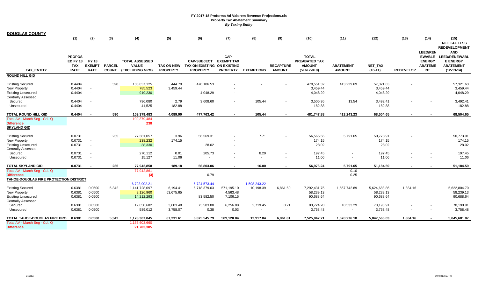| <u>DOUGLAS COUNTY</u>                                                                             |                                                        |                                              |                               |                                                          |                                      |                                                                      |                                              |                                  |                                   |                                                                 |                                   |                                        |                  |                                                                 |                                                                                           |
|---------------------------------------------------------------------------------------------------|--------------------------------------------------------|----------------------------------------------|-------------------------------|----------------------------------------------------------|--------------------------------------|----------------------------------------------------------------------|----------------------------------------------|----------------------------------|-----------------------------------|-----------------------------------------------------------------|-----------------------------------|----------------------------------------|------------------|-----------------------------------------------------------------|-------------------------------------------------------------------------------------------|
|                                                                                                   | (1)                                                    | (2)                                          | (3)                           | (4)                                                      | (5)                                  | (6)                                                                  | (7)                                          | (8)                              | (9)                               | (10)                                                            | (11)                              | (12)                                   | (13)             | (14)                                                            | (15)<br><b>NET TAX LESS</b><br><b>REDEVELOPMENT</b>                                       |
| <b>TAX ENTITY</b>                                                                                 | <b>PROPOS</b><br><b>ED FY 18</b><br>TAX<br><b>RATE</b> | <b>FY 18</b><br><b>EXEMPT</b><br><b>RATE</b> | <b>PARCEL</b><br><b>COUNT</b> | <b>TOTAL ASSESSED</b><br><b>VALUE</b><br>(EXCLUDING NPM) | <b>TAX ON NEW</b><br><b>PROPERTY</b> | <b>CAP-SUBJECT</b><br>TAX ON EXISTING ON EXISTING<br><b>PROPERTY</b> | CAP-<br><b>EXEMPT TAX</b><br><b>PROPERTY</b> | <b>EXEMPTIONS</b>                | <b>RECAPTURE</b><br><b>AMOUNT</b> | <b>TOTAL</b><br>PREABATED TAX<br><b>AMOUNT</b><br>$(5+6+7-8+9)$ | <b>ABATEMENT</b><br><b>AMOUNT</b> | <b>NET_TAX</b><br>$(10-11)$            | <b>REDEVELOP</b> | <b>LEED/REN</b><br><b>ENERGY</b><br><b>ABATEME</b><br><b>NT</b> | <b>AND</b><br>EWABLE LEED/RENEWABL<br><b>E ENERGY</b><br><b>ABATEMENT</b><br>$(12-13-14)$ |
| ROUND HILL GID                                                                                    |                                                        |                                              |                               |                                                          |                                      |                                                                      |                                              |                                  |                                   |                                                                 |                                   |                                        |                  |                                                                 |                                                                                           |
| <b>Existing Secured</b><br>New Property<br><b>Existing Unsecured</b>                              | 0.4404<br>0.4404<br>0.4404                             | $\sim$<br>$\overline{\phantom{a}}$           | 590                           | 106,837,125<br>785,523<br>919,230                        | 444.79<br>3,459.44                   | 470,106.53<br>4,048.29                                               |                                              |                                  |                                   | 470,551.32<br>3,459.44<br>4,048.29                              | 413,229.69                        | 57,321.63<br>3,459.44<br>4,048.29      |                  |                                                                 | 57,321.63<br>3,459.44<br>4,048.29                                                         |
| <b>Centrally Assessed</b><br>Secured<br>Unsecured                                                 | 0.4404<br>0.4404                                       | $\overline{\phantom{a}}$                     |                               | 796,080<br>41,525                                        | 2.79<br>182.88                       | 3,608.60                                                             |                                              | 105.44                           |                                   | 3,505.95<br>182.88                                              | 13.54                             | 3,492.41<br>182.88                     |                  |                                                                 | 3,492.41<br>182.88                                                                        |
| TOTAL ROUND HILL GID                                                                              | 0.4404                                                 | $\overline{\phantom{a}}$                     | 590                           | 109,379,483                                              | 4,089.90                             | 477,763.42                                                           |                                              | 105.44                           | $\sim$                            | 481,747.88                                                      | 413,243.23                        | 68,504.65                              | $\sim$           |                                                                 | 68,504.65                                                                                 |
| Total AV - March Seg - Col. Q<br><b>Difference</b><br><b>SKYLAND GID</b>                          |                                                        |                                              |                               | 109,379,484<br>238                                       |                                      |                                                                      |                                              |                                  |                                   |                                                                 |                                   |                                        |                  |                                                                 |                                                                                           |
| <b>Existing Secured</b><br>New Property<br><b>Existing Unsecured</b><br>Centrally Assessed        | 0.0731<br>0.0731<br>0.0731                             | $\overline{\phantom{a}}$<br>$\sim$           | 235                           | 77,381,057<br>238,232<br>38,330                          | 3.96<br>174.15                       | 56,569.31<br>28.02                                                   |                                              | 7.71                             |                                   | 56,565.56<br>174.15<br>28.02                                    | 5,791.65                          | 50,773.91<br>174.15<br>28.02           |                  |                                                                 | 50,773.91<br>174.15<br>28.02                                                              |
| Secured<br>Unsecured                                                                              | 0.0731<br>0.0731                                       | $\overline{\phantom{a}}$<br>$\sim$           |                               | 270,112<br>15,127                                        | 0.01<br>11.06                        | 205.73                                                               |                                              | 8.29<br>$\overline{\phantom{a}}$ |                                   | 197.45<br>11.06                                                 | $\blacksquare$                    | 197.45<br>11.06                        |                  |                                                                 | 197.45<br>11.06                                                                           |
| TOTAL SKYLAND GID                                                                                 | 0.0731                                                 | $\overline{\phantom{a}}$                     | 235                           | 77,942,858                                               | 189.18                               | 56.803.06                                                            |                                              | 16.00                            |                                   | 56,976.24                                                       | 5,791.65                          | 51,184.59                              |                  |                                                                 | 51,184.59                                                                                 |
| Total AV - March Seg - Col. Q<br><b>Difference</b><br>TAHOE-DOUGLAS FIRE PROTECTION DISTRICT      |                                                        |                                              |                               | 77,942,861<br>(3)                                        |                                      | 0.79                                                                 |                                              |                                  |                                   |                                                                 | 0.10<br>0.25                      |                                        |                  |                                                                 |                                                                                           |
| <b>Existing Secured</b><br><b>New Property</b><br><b>Existing Unsecured</b><br>Centrally Assessed | 0.6381<br>0.6381<br>0.6381                             | 0.0500<br>0.0500<br>0.0500                   | 5,342                         | 6,723,902.21<br>1,141,728,097<br>9,126,960<br>14,212,293 | 6,194.41<br>53,675.65                | 6,724,573.44<br>6,718,379.03<br>83,582.50                            | 571,195.10<br>4,563.48<br>7,106.15           | 1,598,243.22<br>10,198.39        | 6,861.60                          | 7,292,431.75<br>58,239.13<br>90,688.64                          | 1,667,742.89                      | 5,624,688.86<br>58,239.13<br>90,688.64 | 1,884.16         |                                                                 | 5,622,804.70<br>58,239.13<br>90,688.64                                                    |
| Secured<br>Unsecured                                                                              | 0.6381<br>0.6381                                       | 0.0500<br>0.0500                             |                               | 12,650,682<br>589,012                                    | 3,603.48<br>3,758.07                 | 73,583.88<br>0.38                                                    | 6,256.08<br>0.03                             | 2,719.45                         | 0.21<br>$\overline{\phantom{a}}$  | 80,724.20<br>3,758.48                                           | 10,533.29                         | 70,190.91<br>3,758.48                  |                  |                                                                 | 70,190.91<br>3,758.48                                                                     |
| <b>TOTAL TAHOE-DOUGLAS FIRE PRO</b>                                                               | 0.6381                                                 | 0.0500                                       | 5,342                         | 1,178,307,045                                            | 67,231.61                            | 6,875,545.79                                                         | 589,120.84                                   | 12,917.84                        | 6,861.81                          | 7,525,842.21                                                    | 1,678,276.18                      | 5,847,566.03                           | 1,884.16         | $\sim$                                                          | 5,845,681.87                                                                              |
| Total AV - March Seg - Col. Q<br><b>Difference</b>                                                |                                                        |                                              |                               | 1,156,603,660<br>21,703,385                              |                                      |                                                                      |                                              |                                  |                                   |                                                                 |                                   |                                        |                  |                                                                 |                                                                                           |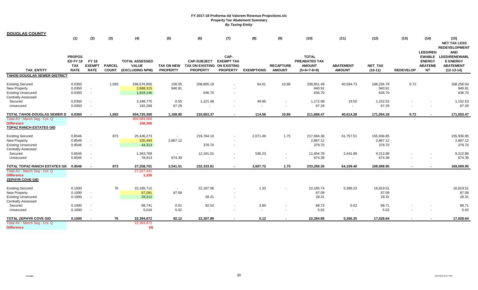| <u>DOUGLAS COUNTY</u>                                                                |                                                               |                                                      |                               |                                                          |                               |                                                                      |                                              |                                  |                                   |                                                                 |                                   |                                  |                  |                                                                 |                                                                                           |
|--------------------------------------------------------------------------------------|---------------------------------------------------------------|------------------------------------------------------|-------------------------------|----------------------------------------------------------|-------------------------------|----------------------------------------------------------------------|----------------------------------------------|----------------------------------|-----------------------------------|-----------------------------------------------------------------|-----------------------------------|----------------------------------|------------------|-----------------------------------------------------------------|-------------------------------------------------------------------------------------------|
|                                                                                      | (1)                                                           | (2)                                                  | (3)                           | (4)                                                      | (5)                           | (6)                                                                  | (7)                                          | (8)                              | (9)                               | (10)                                                            | (11)                              | (12)                             | (13)             | (14)                                                            | (15)<br><b>NET TAX LESS</b><br><b>REDEVELOPMENT</b>                                       |
| <b>TAX ENTITY</b>                                                                    | <b>PROPOS</b><br><b>ED FY 18</b><br><b>TAX</b><br><b>RATE</b> | <b>FY 18</b><br><b>EXEMPT</b><br><b>RATE</b>         | <b>PARCEL</b><br><b>COUNT</b> | <b>TOTAL ASSESSED</b><br><b>VALUE</b><br>(EXCLUDING NPM) | TAX ON NEW<br><b>PROPERTY</b> | <b>CAP-SUBJECT</b><br>TAX ON EXISTING ON EXISTING<br><b>PROPERTY</b> | CAP-<br><b>EXEMPT TAX</b><br><b>PROPERTY</b> | <b>EXEMPTIONS</b>                | <b>RECAPTURE</b><br><b>AMOUNT</b> | <b>TOTAL</b><br>PREABATED TAX<br><b>AMOUNT</b><br>$(5+6+7-8+9)$ | <b>ABATEMENT</b><br><b>AMOUNT</b> | NET_TAX<br>$(10-11)$             | <b>REDEVELOP</b> | <b>LEED/REN</b><br><b>ENERGY</b><br><b>ABATEME</b><br><b>NT</b> | <b>AND</b><br>EWABLE LEED/RENEWABL<br><b>E ENERGY</b><br><b>ABATEMENT</b><br>$(12-13-14)$ |
| TAHOE-DOUGLAS SEWER DISTRICT                                                         |                                                               |                                                      |                               |                                                          |                               |                                                                      |                                              |                                  |                                   |                                                                 |                                   |                                  |                  |                                                                 |                                                                                           |
| <b>Existing Secured</b><br>New Property                                              | 0.0350<br>0.0350                                              | $\sim$                                               | 1,593                         | 596,676,856<br>2,688,315                                 | 100.05<br>940.91              | 208,805.19                                                           |                                              | 64.61                            | 10.86                             | 208,851.49<br>940.91                                            | 40,594.73                         | 168,256.76<br>940.91             | 0.72             |                                                                 | 168,256.04<br>940.91                                                                      |
| <b>Existing Unsecured</b><br>Centrally Assessed                                      | 0.0350                                                        | $\overline{\phantom{a}}$                             |                               | 1,819,146                                                |                               | 636.70                                                               |                                              |                                  |                                   | 636.70                                                          |                                   | 636.70                           |                  |                                                                 | 636.70                                                                                    |
| Secured<br>Unsecured                                                                 | 0.0350<br>0.0350                                              | $\overline{\phantom{a}}$<br>$\overline{\phantom{a}}$ |                               | 3,348,775<br>192,268                                     | 0.55<br>67.29                 | 1,221.48                                                             |                                              | 49.95                            |                                   | 1,172.08<br>67.29                                               | 19.55                             | 1,152.53<br>67.29                |                  |                                                                 | 1,152.53<br>67.29                                                                         |
| TOTAL TAHOE-DOUGLAS SEWER D                                                          | 0.0350                                                        | $\overline{\phantom{a}}$                             | 1,593                         | 604,725,360                                              | 1,108.80                      | 210,663.37                                                           |                                              | 114.56                           | 10.86                             | 211,668.47                                                      | 40,614.28                         | 171,054.19                       | 0.72             |                                                                 | 171,053.47                                                                                |
| Total AV - March Seg - Col. Q<br><b>Difference</b><br><b>TOPAZ RANCH ESTATES GID</b> |                                                               |                                                      |                               | 604,569,000<br>156,360                                   |                               |                                                                      |                                              |                                  |                                   |                                                                 |                                   |                                  |                  |                                                                 |                                                                                           |
|                                                                                      |                                                               |                                                      |                               |                                                          |                               |                                                                      |                                              |                                  |                                   |                                                                 |                                   |                                  |                  |                                                                 |                                                                                           |
| <b>Existing Secured</b><br><b>New Property</b><br><b>Existing Unsecured</b>          | 0.8546<br>0.8546<br>0.8546                                    | $\overline{\phantom{a}}$<br>$\overline{\phantom{a}}$ | 873                           | 25,436,273<br>335,493<br>44,313                          | $\sim$<br>2,867.12            | 219,764.10<br>378.70                                                 |                                              | 2,071.49                         | 1.75                              | 217,694.36<br>2,867.12<br>378.70                                | 61,757.51                         | 155,936.85<br>2,867.12<br>378.70 |                  |                                                                 | 155,936.85<br>2,867.12<br>378.70                                                          |
| <b>Centrally Assessed</b><br>Secured                                                 | 0.8546                                                        | $\overline{\phantom{a}}$                             |                               | 1,363,769                                                | $\overline{a}$                | 12,191.01                                                            |                                              | 536.23                           | $\overline{\phantom{a}}$          | 11,654.78                                                       | 2,441.89                          | 9,212.89                         |                  |                                                                 | 9,212.89                                                                                  |
| Unsecured                                                                            | 0.8546                                                        | $\overline{\phantom{a}}$                             |                               | 78,913                                                   | 674.39                        |                                                                      |                                              | $\overline{\phantom{a}}$         | $\overline{\phantom{a}}$          | 674.39                                                          |                                   | 674.39                           |                  | $\overline{\phantom{a}}$                                        | 674.39                                                                                    |
| TOTAL TOPAZ RANCH ESTATES GII                                                        | 0.8546                                                        | $\overline{\phantom{a}}$                             | 873                           | 27,258,761                                               | 3,541.51                      | 232,333.81                                                           |                                              | 2,607.72                         | 1.75                              | 233,269.35                                                      | 64,199.40                         | 169.069.95                       |                  |                                                                 | 169,069.95                                                                                |
| Total AV - March Seg - Col. Q<br><b>Difference</b><br><b>ZEPHYR COVE GID</b>         |                                                               |                                                      |                               | 27,257,441<br>1,320                                      |                               |                                                                      |                                              |                                  |                                   |                                                                 |                                   |                                  |                  |                                                                 |                                                                                           |
|                                                                                      |                                                               |                                                      |                               |                                                          |                               |                                                                      |                                              |                                  |                                   |                                                                 |                                   |                                  |                  |                                                                 |                                                                                           |
| <b>Existing Secured</b><br>New Property<br><b>Existing Unsecured</b>                 | 0.1000<br>0.1000<br>0.1000                                    | $\overline{\phantom{a}}$<br>$\sim$                   | 76                            | 22,185,712<br>87,091<br>28,312                           | $\sim$<br>87.09               | 22,187.06<br>28.31                                                   |                                              | 1.32                             |                                   | 22,185.74<br>87.09<br>28.31                                     | 5,366.23                          | 16,819.51<br>87.09<br>28.31      |                  |                                                                 | 16,819.51<br>87.09<br>28.31                                                               |
| <b>Centrally Assessed</b><br>Secured<br>Unsecured                                    | 0.1000<br>0.1000                                              | $\overline{\phantom{a}}$<br>$\overline{\phantom{a}}$ |                               | 88,741<br>5,016                                          | 0.01<br>5.02                  | 92.52                                                                |                                              | 3.80<br>$\overline{\phantom{a}}$ | $\overline{\phantom{a}}$          | 88.73<br>5.02                                                   | 0.02                              | 88.71<br>5.02                    |                  |                                                                 | 88.71<br>5.02                                                                             |
|                                                                                      | 0.1000                                                        |                                                      | 76                            | 22,394,872                                               | 92.12                         | 22,307.89                                                            |                                              | 5.12                             |                                   |                                                                 | 5,366.25                          |                                  |                  |                                                                 | 17,028.64                                                                                 |
| TOTAL ZEPHYR COVE GID<br>Total AV - March Seg - Col. Q<br><b>Difference</b>          |                                                               |                                                      |                               | 22,394,872<br>(0)                                        |                               |                                                                      |                                              |                                  |                                   | 22,394.89                                                       |                                   | 17,028.64                        |                  |                                                                 |                                                                                           |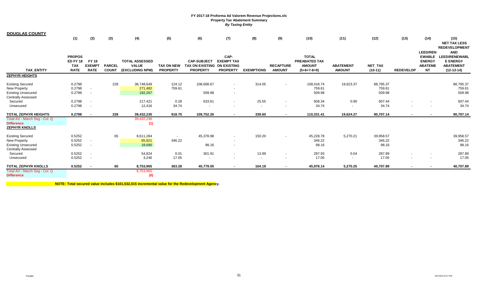| <b>DOUGLAS COUNTY</b>                                                                             | (1)                                                    | (2)                                          | (3)                           | (4)                                                      | (5)                                  | (6)                                                                  | (7)                                                                              | (8)               | (9)                               | (10)                                                                   | (11)                              | (12)                          | (13)             | (14)<br><b>LEED/REN</b>                                       | (15)<br><b>NET TAX LESS</b><br><b>REDEVELOPMENT</b><br><b>AND</b>           |
|---------------------------------------------------------------------------------------------------|--------------------------------------------------------|----------------------------------------------|-------------------------------|----------------------------------------------------------|--------------------------------------|----------------------------------------------------------------------|----------------------------------------------------------------------------------|-------------------|-----------------------------------|------------------------------------------------------------------------|-----------------------------------|-------------------------------|------------------|---------------------------------------------------------------|-----------------------------------------------------------------------------|
| <b>TAX ENTITY</b>                                                                                 | <b>PROPOS</b><br>ED FY 18<br><b>TAX</b><br><b>RATE</b> | <b>FY 18</b><br><b>EXEMPT</b><br><b>RATE</b> | <b>PARCEL</b><br><b>COUNT</b> | <b>TOTAL ASSESSED</b><br><b>VALUE</b><br>(EXCLUDING NPM) | <b>TAX ON NEW</b><br><b>PROPERTY</b> | <b>CAP-SUBJECT</b><br>TAX ON EXISTING ON EXISTING<br><b>PROPERTY</b> | CAP-<br><b>EXEMPT TAX</b><br><b>PROPERTY</b>                                     | <b>EXEMPTIONS</b> | <b>RECAPTURE</b><br><b>AMOUNT</b> | <b>TOTAL</b><br><b>PREABATED TAX</b><br><b>AMOUNT</b><br>$(5+6+7-8+9)$ | <b>ABATEMENT</b><br><b>AMOUNT</b> | NET_TAX<br>$(10-11)$          | <b>REDEVELOP</b> | <b>EWABLE</b><br><b>ENERGY</b><br><b>ABATEME</b><br><b>NT</b> | <b>LEED/RENEWABL</b><br><b>E ENERGY</b><br><b>ABATEMENT</b><br>$(12-13-14)$ |
| <b>ZEPHYR HEIGHTS</b>                                                                             |                                                        |                                              |                               |                                                          |                                      |                                                                      |                                                                                  |                   |                                   |                                                                        |                                   |                               |                  |                                                               |                                                                             |
| <b>Existing Secured</b><br>New Property<br><b>Existing Unsecured</b><br>Centrally Assessed        | 0.2798<br>0.2798<br>0.2798                             | $\overline{\phantom{a}}$<br>$\sim$           | 228                           | 38,748,649<br>271,482<br>182,267                         | 124.12<br>759.61                     | 108,608.67<br>509.98                                                 | $\overline{\phantom{a}}$<br>$\overline{\phantom{a}}$<br>$\overline{\phantom{a}}$ | 314.05            | $\sim$                            | 108,418.74<br>759.61<br>509.98                                         | 19,623.37                         | 88,795.37<br>759.61<br>509.98 |                  |                                                               | 88,795.37<br>759.61<br>509.98                                               |
| Secured                                                                                           | 0.2798                                                 | $\overline{\phantom{a}}$                     |                               | 217,421                                                  | 0.28                                 | 633.61                                                               | $\overline{\phantom{a}}$                                                         | 25.55             | $\overline{\phantom{a}}$          | 608.34                                                                 | 0.90                              | 607.44                        |                  | $\overline{\phantom{a}}$                                      | 607.44                                                                      |
| Unsecured                                                                                         | 0.2798                                                 | $\overline{\phantom{a}}$                     |                               | 12,416                                                   | 34.74                                | $\sim$                                                               | $\overline{\phantom{a}}$                                                         | $\sim$            | $\overline{\phantom{a}}$          | 34.74                                                                  | $\overline{\phantom{0}}$          | 34.74                         |                  | $\overline{\phantom{a}}$                                      | 34.74                                                                       |
| TOTAL ZEPHYR HEIGHTS                                                                              | 0.2798                                                 | $\overline{a}$                               | 228                           | 39,432,235                                               | 918.75                               | 109,752.26                                                           | $\sim$                                                                           | 339.60            | $\sim$                            | 110,331.41                                                             | 19,624.27                         | 90,707.14                     | $\sim$           | $\sim$                                                        | 90,707.14                                                                   |
| Total AV - March Seg - Col. Q<br><b>Difference</b><br><u>ZEPHYR KNOLLS</u>                        |                                                        |                                              |                               | 39,432,236<br>(1)                                        |                                      |                                                                      |                                                                                  |                   |                                   |                                                                        |                                   |                               |                  |                                                               |                                                                             |
| <b>Existing Secured</b><br>New Property<br><b>Existing Unsecured</b><br><b>Centrally Assessed</b> | 0.5252<br>0.5252<br>0.5252                             | $\sim$<br>$\sim$                             | 65                            | 8,611,284<br>65,921<br>18,690                            | $\sim$<br>346.22                     | 45,378.98<br>98.16                                                   | $\overline{\phantom{a}}$<br>$\overline{\phantom{a}}$<br>$\overline{\phantom{a}}$ | 150.20            | $\overline{\phantom{a}}$          | 45,228.78<br>346.22<br>98.16                                           | 5,270.21                          | 39,958.57<br>346.22<br>98.16  |                  |                                                               | 39,958.57<br>346.22<br>98.16                                                |
| Secured                                                                                           | 0.5252                                                 | $\overline{\phantom{a}}$                     |                               | 54,824                                                   | 0.01                                 | 301.91                                                               | $\overline{\phantom{a}}$                                                         | 13.99             | $\sim$                            | 287.93                                                                 | 0.04                              | 287.89                        |                  |                                                               | 287.89                                                                      |
| Unsecured                                                                                         | 0.5252                                                 | $\overline{\phantom{a}}$                     |                               | 3,246                                                    | 17.05                                | $\sim$                                                               | $\overline{\phantom{a}}$                                                         | $\sim$            | $\overline{\phantom{a}}$          | 17.05                                                                  |                                   | 17.05                         |                  | $\overline{\phantom{a}}$                                      | 17.05                                                                       |
| TOTAL ZEPHYR KNOLLS                                                                               | 0.5252                                                 | $\sim$                                       | 65                            | 8,753,965                                                | 363.28                               | 45,779.05                                                            | $\sim$                                                                           | 164.19            | $\sim$                            | 45,978.14                                                              | 5,270.25                          | 40,707.89                     | $\sim$           | $\sim$                                                        | 40,707.89                                                                   |
| Total AV - March Seg - Col. Q<br><b>Difference</b>                                                |                                                        |                                              |                               | 8,753,965<br>(0)                                         |                                      |                                                                      |                                                                                  |                   |                                   |                                                                        |                                   |                               |                  |                                                               |                                                                             |
|                                                                                                   |                                                        |                                              |                               |                                                          |                                      |                                                                      |                                                                                  |                   |                                   |                                                                        |                                   |                               |                  |                                                               |                                                                             |

**NOTE: Total secured value includes \$101,532,015 incremental value for the Redevelopment Agency.**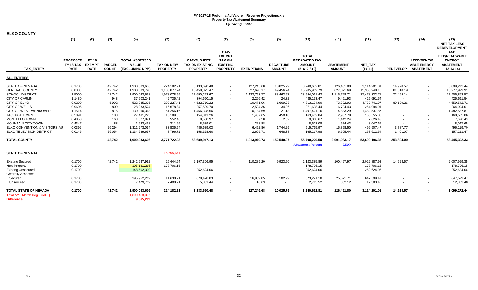| <b>ELKO COUNTY</b>                                 |                                             |                                              |                               |                                                          |                                      |                                                                 |                                                                              |                   |                                   |                                                                 |                                   |                             |                  |                                                             |                                                                                          |
|----------------------------------------------------|---------------------------------------------|----------------------------------------------|-------------------------------|----------------------------------------------------------|--------------------------------------|-----------------------------------------------------------------|------------------------------------------------------------------------------|-------------------|-----------------------------------|-----------------------------------------------------------------|-----------------------------------|-----------------------------|------------------|-------------------------------------------------------------|------------------------------------------------------------------------------------------|
|                                                    | (1)                                         | (2)                                          | (3)                           | (4)                                                      | (5)                                  | (6)                                                             | (7)                                                                          | (8)               | (9)                               | (10)                                                            | (11)                              | (12)                        | (13)             | (14)                                                        | (15)<br><b>NET TAX LESS</b><br><b>REDEVELOPMENT</b>                                      |
| <b>TAX ENTITY</b>                                  | <b>PROPOSED</b><br>FY 18 TAX<br><b>RATE</b> | <b>FY 18</b><br><b>EXEMPT</b><br><b>RATE</b> | <b>PARCEL</b><br><b>COUNT</b> | <b>TOTAL ASSESSED</b><br><b>VALUE</b><br>(EXCLUDING NPM) | <b>TAX ON NEW</b><br><b>PROPERTY</b> | <b>CAP-SUBJECT</b><br><b>TAX ON EXISTING</b><br><b>PROPERTY</b> | CAP-<br><b>EXEMPT</b><br><b>TAX ON</b><br><b>EXISTING</b><br><b>PROPERTY</b> | <b>EXEMPTIONS</b> | <b>RECAPTURE</b><br><b>AMOUNT</b> | <b>TOTAL</b><br>PREABATED TAX<br><b>AMOUNT</b><br>$(5+6+7-8+9)$ | <b>ABATEMENT</b><br><b>AMOUNT</b> | <b>NET TAX</b><br>$(10-11)$ | <b>REDEVELOP</b> | <b>LEED/RENEW</b><br><b>ABLE ENERGY</b><br><b>ABATEMENT</b> | <b>AND</b><br><b>LEED/RENEWABLE</b><br><b>ENERGY</b><br><b>ABATEMENT</b><br>$(12-13-14)$ |
| <b>ALL ENTITIES</b>                                |                                             |                                              |                               |                                                          |                                      |                                                                 |                                                                              |                   |                                   |                                                                 |                                   |                             |                  |                                                             |                                                                                          |
| <b>STATE OF NEVADA</b>                             | 0.1700                                      | $\overline{\phantom{a}}$                     | 42,742                        | 1,900,083,636                                            | 224,182.21                           | 3,133,690.48                                                    |                                                                              | 127,245.68        | 10,025.79                         | 3,240,652.81                                                    | 126,451.80                        | 3,114,201.01                | 14,928.57        |                                                             | 3,099,272.44                                                                             |
| <b>GENERAL COUNTY</b>                              | 0.8386                                      | $\sim$                                       | 42,742                        | 1,900,083,720                                            | 1,105,877.74                         | 15,458,325.47                                                   | $\sim$                                                                       | 627,690.17        | 49,456.74                         | 15,985,969.79                                                   | 627,021.69                        | 15,358,948.10               | 81,018.19        |                                                             | 15,277,929.91                                                                            |
| <b>SCHOOL DISTRICT</b>                             | 1.5000                                      | $\sim$                                       | 42,742                        | 1,900,083,658                                            | 1,978,078.55                         | 27,650,273.67                                                   | $\sim$                                                                       | 1,122,753.77      | 88,462.97                         | 28,594,061.42                                                   | 1,115,728.71                      | 27,478,332.71               | 72,469.14        |                                                             | 27,405,863.57                                                                            |
| <b>CITY OF CARLIN</b>                              | 1.1480                                      | $\overline{\phantom{a}}$                     | 948                           | 37,903,241                                               | 42,735.42                            | 394,660.15                                                      |                                                                              | 2,266.42          | 24.32                             | 435, 153. 47                                                    | 9,461.93                          | 425,691.54                  |                  |                                                             | 425,691.54                                                                               |
| <b>CITY OF ELKO</b>                                | 0.9200                                      | $\sim$                                       | 5,992                         | 522,985,395                                              | 299,227.41                           | 4,522,710.22                                                    |                                                                              | 10,471.96         | 1,669.23                          | 4,813,134.90                                                    | 73,392.93                         | 4,739,741.97                | 80,199.26        |                                                             | 4,659,542.71                                                                             |
| <b>CITY OF WELLS</b>                               | 0.9605                                      | $\sim$                                       | 809                           | 28,283,574                                               | 16,678.84                            | 257,509.70                                                      |                                                                              | 2,524.36          | 34.26                             | 271,698.44                                                      | 6,704.43                          | 264,994.01                  |                  |                                                             | 264,994.01                                                                               |
| CITY OF WEST WENDOVER                              | 1.1514                                      | $\sim$                                       | 815                           | 130,050,363                                              | 51,256.16                            | 1,456,328.56                                                    |                                                                              | 10,184.69         | 21.13                             | 1,497,421.16                                                    | 14,883.29                         | 1,482,537.87                |                  |                                                             | 1,482,537.87                                                                             |
| <b>JACKPOT TOWN</b>                                | 0.5891                                      | $\overline{\phantom{a}}$                     | 183                           | 27,431,223                                               | 10,189.05                            | 154,311.26                                                      | $\sim$                                                                       | 1,487.65          | 450.18                            | 163,462.84                                                      | 2,907.78                          | 160,555.06                  |                  |                                                             | 160,555.06                                                                               |
| <b>MONTELLO TOWN</b>                               | 0.4858                                      | $\overline{\phantom{a}}$                     | 168                           | 1,827,891                                                | 552.46                               | 8,580.97                                                        |                                                                              | 67.58             | 2.82                              | 9,068.67                                                        | 1,442.24                          | 7,626.43                    |                  |                                                             | 7,626.43                                                                                 |
| <b>MOUNTAIN CITY TOWN</b>                          | 0.4347                                      |                                              | 88                            | 1,983,458                                                | 311.95                               | 8,539.01                                                        |                                                                              | 228.88            |                                   | 8,622.08                                                        | 574.43                            | 8,047.65                    |                  |                                                             | 8,047.65                                                                                 |
| ELKO CONVENTION & VISITORS AL                      | 0.0392                                      | $\sim$                                       | 26,294                        | 1,311,273,054                                            | 33,835.54                            | 486,639.03                                                      | $\sim$                                                                       | 6,452.86          | 1,744.25                          | 515,765.97                                                      | 15,858.50                         | 499,907.47                  | 3,787.77         |                                                             | 496,119.70                                                                               |
| ELKO TELEVISION DISTRICT                           | 0.0145                                      | $\overline{\phantom{a}}$                     | 26,054                        | 1,134,989,657                                            | 8,796.71                             | 158,378.60                                                      |                                                                              | 2,605.71          | 648.38                            | 165,217.98                                                      | 6,605.44                          | 158,612.54                  | 1,401.07         |                                                             | 157,211.47                                                                               |
| <b>TOTAL COUNTY</b>                                |                                             |                                              | 42,742                        | 1,900,083,636                                            | 3,771,722.03                         | 53,689,947.13                                                   |                                                                              | 1,913,979.73      | 152,540.07                        | 55,700,229.50                                                   | 2,001,033.17                      | 53,699,196.33               | 253,804.00       |                                                             | 53,445,392.33                                                                            |
|                                                    |                                             |                                              |                               |                                                          |                                      |                                                                 |                                                                              |                   |                                   | <b>Abatement Percent</b>                                        | 3.59%                             |                             |                  |                                                             |                                                                                          |
| <b>STATE OF NEVADA</b>                             |                                             |                                              |                               |                                                          | 15,555,671                           |                                                                 |                                                                              |                   |                                   |                                                                 |                                   |                             |                  |                                                             |                                                                                          |
| <b>Existing Secured</b>                            | 0.1700                                      |                                              | 42,742                        | 1,242,927,992                                            | 26,444.64                            | 2,197,306.95                                                    |                                                                              | 110,289.20        | 9,923.50                          | 2,123,385.89                                                    | 100,497.97                        | 2,022,887.92                | 14,928.57        |                                                             | 2,007,959.35                                                                             |
| <b>New Property</b>                                | 0.1700                                      |                                              |                               | 105,121,266                                              | 178,706.15                           |                                                                 |                                                                              |                   |                                   | 178,706.15                                                      |                                   | 178,706.15                  |                  |                                                             | 178,706.15                                                                               |
| <b>Existing Unsecured</b>                          | 0.1700                                      |                                              |                               | 148,602,390                                              |                                      | 252,624.06                                                      |                                                                              |                   |                                   | 252,624.06                                                      |                                   | 252,624.06                  |                  |                                                             | 252,624.06                                                                               |
| <b>Centrally Assessed</b>                          |                                             |                                              |                               |                                                          |                                      |                                                                 |                                                                              |                   |                                   |                                                                 |                                   |                             |                  |                                                             |                                                                                          |
| Secured                                            | 0.1700                                      |                                              |                               | 395,952,269                                              | 11,630.71                            | 678,428.03                                                      |                                                                              | 16,939.85         | 102.29                            | 673,221.18                                                      | 25,621.71                         | 647,599.47                  |                  |                                                             | 647,599.47                                                                               |
| Unsecured                                          | 0.1700                                      |                                              |                               | 7,479,719                                                | 7,400.71                             | 5,331.44                                                        | $\sim$                                                                       | 16.63             |                                   | 12,715.52                                                       | 332.12                            | 12,383.40                   |                  |                                                             | 12,383.40                                                                                |
| <b>TOTAL STATE OF NEVADA</b>                       | 0.1700                                      |                                              | 42,742                        | 1,900,083,636                                            | 224,182.21                           | 3,133,690.48                                                    |                                                                              | 127,245.68        | 10,025.79                         | 3,240,652.81                                                    | 126,451.80                        | 3,114,201.01                | 14,928.57        |                                                             | 3,099,272.44                                                                             |
| Total AV - March Seg - Col. Q<br><b>Difference</b> |                                             |                                              |                               | 1,890,418,337<br>9,665,299                               |                                      |                                                                 |                                                                              |                   |                                   |                                                                 |                                   |                             |                  |                                                             |                                                                                          |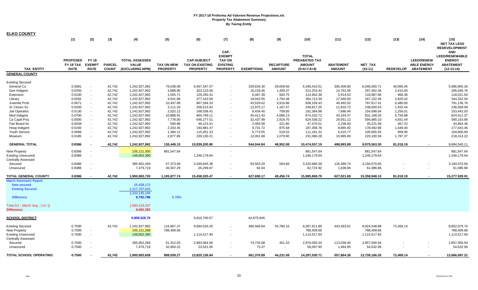| <b>ELKO COUNTY</b>             |                              |                               |                  |                                       |                      |                                              |                                  |                       |                    |                                |                       |                          |                      |                                         |                                   |
|--------------------------------|------------------------------|-------------------------------|------------------|---------------------------------------|----------------------|----------------------------------------------|----------------------------------|-----------------------|--------------------|--------------------------------|-----------------------|--------------------------|----------------------|-----------------------------------------|-----------------------------------|
|                                | (1)                          | (2)                           | (3)              | (4)                                   | (5)                  | (6)                                          | (7)                              | (8)                   | (9)                | (10)                           | (11)                  | (12)                     | (13)                 | (14)                                    | (15)                              |
|                                |                              |                               |                  |                                       |                      |                                              |                                  |                       |                    |                                |                       |                          |                      |                                         | <b>NET TAX LESS</b>               |
|                                |                              |                               |                  |                                       |                      |                                              |                                  |                       |                    |                                |                       |                          |                      |                                         | <b>REDEVELOPMENT</b>              |
|                                |                              |                               |                  |                                       |                      |                                              | CAP-                             |                       |                    |                                |                       |                          |                      |                                         | <b>AND</b>                        |
|                                |                              |                               |                  |                                       |                      |                                              | <b>EXEMPT</b>                    |                       |                    | <b>TOTAL</b>                   |                       |                          |                      |                                         | <b>LEED/RENEWABLE</b>             |
|                                | <b>PROPOSED</b><br>FY 18 TAX | <b>FY 18</b><br><b>EXEMPT</b> | <b>PARCEL</b>    | <b>TOTAL ASSESSED</b><br><b>VALUE</b> | <b>TAX ON NEW</b>    | <b>CAP-SUBJECT</b><br><b>TAX ON EXISTING</b> | <b>TAX ON</b><br><b>EXISTING</b> |                       | <b>RECAPTURE</b>   | PREABATED TAX<br><b>AMOUNT</b> | <b>ABATEMENT</b>      | NET_TAX                  |                      | <b>LEED/RENEW</b><br><b>ABLE ENERGY</b> | <b>ENERGY</b><br><b>ABATEMENT</b> |
| <b>TAX ENTITY</b>              | <b>RATE</b>                  | <b>RATE</b>                   | <b>COUNT</b>     | (EXCLUDING NPM)                       | <b>PROPERTY</b>      | <b>PROPERTY</b>                              | <b>PROPERTY</b>                  | <b>EXEMPTIONS</b>     | <b>AMOUNT</b>      | $(5+6+7-8+9)$                  | <b>AMOUNT</b>         | $(10-11)$                | <b>REDEVELOP</b>     | <b>ABATEMENT</b>                        | $(12-13-14)$                      |
| <b>GENERAL COUNTY</b>          |                              |                               |                  |                                       |                      |                                              |                                  |                       |                    |                                |                       |                          |                      |                                         |                                   |
|                                |                              |                               |                  |                                       |                      |                                              |                                  |                       |                    |                                |                       |                          |                      |                                         |                                   |
| <b>Existing Secured</b>        |                              |                               |                  |                                       |                      |                                              |                                  |                       |                    |                                |                       |                          |                      |                                         |                                   |
| General Co.                    | 0.5081                       | $\overline{\phantom{a}}$      | 42,742           | 1,242,927,992                         | 79,038.08            | 6,567,347.07                                 |                                  | 329,634.30            | 29,659.66          | 6,346,410.51                   | 300,409.80            | 6,046,000.71             | 49,095.45            |                                         | 5,996,905.26                      |
| Gen Indigent                   | 0.0250                       | $\sim$                        | 42,742           | 1,242,927,992                         | 3,888.95             | 323,123.56                                   |                                  | 16,218.46             | 1,459.37           | 312,253.42                     | 14,791.06             | 297,462.36               | 2,415.60             |                                         | 295,046.76                        |
| Extension                      | 0.0100                       | $\overline{\phantom{a}}$      | 42,742           | 1,242,927,992                         | 1,555.71             | 129,250.31                                   |                                  | 6,487.39              | 583.75             | 124,902.38                     | 5,914.52              | 118,987.86               | 966.36               |                                         | 118,021.50                        |
| Library                        | 0.0292                       | $\overline{\phantom{a}}$      | 42,742           | 1,242,927,992                         | 4,541.89             | 377,410.56                                   |                                  | 18,943.55             | 1,704.49           | 364,713.39                     | 17,560.93             | 347,152.46               | 2,820.42             |                                         | 344,332.04                        |
| Juvenile Prob                  | 0.0671                       | $\blacksquare$                | 42,742           | 1,242,927,992                         | 10,437.86            | 867,284.33                                   |                                  | 43,529.62             | 3,916.86           | 838,109.43                     | 40,492.02             | 797,617.41               | 6,480.65             |                                         | 791,136.76                        |
| Sr Citizen Sv<br>Jail Operatns | 0.0200<br>0.0130             | $\overline{\phantom{a}}$      | 42,742<br>42,742 | 1,242,927,992<br>1,242,927,992        | 3,111.33<br>2,022.12 | 258,513.62<br>168,038.41                     |                                  | 12,975.17<br>8,434.40 | 1,167.47<br>758.85 | 249,817.25<br>162,384.98       | 11,816.72<br>7,686.94 | 238,000.53<br>154,698.04 | 1,932.44<br>1,256.01 |                                         | 236,068.09<br>153,442.03          |
| Med Indigent                   | 0.0700                       | $\blacksquare$                | 42,742           | 1,242,927,992                         | 10,888.91            | 904,769.11                                   |                                  | 45,411.43             | 4,086.13           | 874,332.72                     | 43,164.47             | 831,168.25               | 6,756.88             |                                         | 824,411.37                        |
| Co Captl Proj                  | 0.0500                       | $\sim$                        | 42,742           | 1,242,927,992                         | 7,778.00             | 646,277.51                                   |                                  | 32,437.99             | 2,918.70           | 624,536.22                     | 29,551.12             | 594,985.10               | 4,831.44             |                                         | 590,153.66                        |
| Fair Board Im                  | 0.0038                       |                               | 42,742           | 1,242,927,992                         | 590.88               | 49,123.41                                    |                                  | 2,465.58              | 221.80             | 47,470.51                      | 2,238.93              | 45,231.58                | 367.22               |                                         | 44,864.36                         |
| Hosp Indigent                  | 0.0150                       | $\blacksquare$                | 42,742           | 1,242,927,992                         | 2,333.45             | 193,881.47                                   |                                  | 9,731.72              | 875.58             | 187,358.78                     | 8,865.92              | 178,492.86               | 1,449.40             |                                         | 177,043.46                        |
| Youth Service                  | 0.0089                       | $\overline{\phantom{a}}$      | 42,742           | 1,242,927,992                         | 1,384.12             | 115,051.23                                   | $\sim$                           | 5,773.55              | 519.52             | 111,181.32                     | 5,515.77              | 105,665.55               | 858.95               |                                         | 104,806.60                        |
| Museum                         | 0.0185                       | $\sim$                        | 42,742           | 1,242,927,992                         | 2,877.85             | 239,130.21                                   |                                  | 12,001.68             | 1,079.90           | 231,086.28                     | 10,985.69             | 220,100.59               | 1,787.37             |                                         | 218,313.22                        |
| <b>GENERAL TOTAL</b>           | 0.8386                       |                               | 42,742           | 1,242,927,992                         | 130,449.15           | 10,839,200.80                                | $\blacksquare$                   | 544,044.84            | 48,952.08          | 10,474,557.19                  | 498,993.89            | 9,975,563.30             | 81,018.19            |                                         | 9,894,545.11                      |
| New Property                   | 0.8386                       |                               |                  | 105,121,350                           | 881,547.64           |                                              |                                  |                       |                    | 881,547.64                     |                       | 881,547.64               |                      |                                         | 881,547.64                        |
| <b>Existing Unsecured</b>      | 0.8386                       | $\overline{\phantom{a}}$      |                  | 148,602,390                           |                      | 1,246,179.64                                 |                                  |                       |                    | 1,246,179.64                   |                       | 1,246,179.64             |                      |                                         | 1,246,179.64                      |
| <b>Centrally Assessed</b>      |                              |                               |                  |                                       |                      |                                              |                                  |                       |                    |                                |                       |                          |                      |                                         |                                   |
| Secured                        | 0.8386                       | $\overline{\phantom{a}}$      |                  | 395,952,269                           | 57,373.66            | 3,346,645.36                                 |                                  | 83,563.29             | 504.66             | 3,320,960.39                   | 126,389.74            | 3,194,570.65             |                      |                                         | 3,194,570.65                      |
| Unsecured                      | 0.8386                       | $\overline{\phantom{a}}$      |                  | 7,479,719                             | 36,507.29            | 26,299.67                                    |                                  | 82.04                 | $\blacksquare$     | 62,724.92                      | 1,638.06              | 61,086.86                |                      |                                         | 61,086.86                         |
| <b>TOTAL GENERAL COUNTY</b>    | 0.8386                       |                               | 42,742           | 1,900,083,720                         | 1,105,877.74         | 15,458,325.47                                |                                  | 627,690.17            | 49,456.74          | 15,985,969.79                  | 627,021.69            | 15,358,948.10            | 81,018.19            |                                         | 15,277,929.91                     |
| March Assessors Report:        |                              |                               |                  |                                       |                      |                                              |                                  |                       |                    |                                |                       |                          |                      |                                         |                                   |
| New secured                    |                              |                               |                  | 15,428,172                            |                      |                                              |                                  |                       |                    |                                |                       |                          |                      |                                         |                                   |
| <b>Existing Secured</b>        |                              |                               |                  | 1,217,707,022                         |                      |                                              |                                  |                       |                    |                                |                       |                          |                      |                                         |                                   |
|                                |                              |                               |                  | 1,233,135,194                         |                      |                                              |                                  |                       |                    |                                |                       |                          |                      |                                         |                                   |
| <b>Difference</b>              |                              |                               |                  | 9,792,798                             | 0.79%                |                                              |                                  |                       |                    |                                |                       |                          |                      |                                         |                                   |
| Total AV - March Seg - Col. Q  |                              |                               |                  | 1,890,418,337                         |                      |                                              |                                  |                       |                    |                                |                       |                          |                      |                                         |                                   |
| <b>Difference</b>              |                              |                               |                  | 9,665,383                             |                      |                                              |                                  |                       |                    |                                |                       |                          |                      |                                         |                                   |
| <b>SCHOOL DISTRICT</b>         |                              |                               |                  | 9,808,528.78                          |                      | 9,810,700.57                                 |                                  | 64,875,845            |                    |                                |                       |                          |                      |                                         |                                   |
|                                |                              |                               |                  |                                       |                      |                                              |                                  |                       |                    |                                |                       |                          |                      |                                         |                                   |
| <b>Existing Secured</b>        | 0.7500                       |                               | 42,742           | 1,242,927,992                         | 116,667.37           | 9,694,033.20                                 |                                  | 486,568.84            | 43,780.16          | 9,367,911.89                   | 443,363.01            | 8,924,548.88             | 72,469.14            |                                         | 8,852,079.74                      |
| New Property                   | 0.7500                       | $\sim$                        |                  | 105,121,288                           | 788,409.66           |                                              |                                  |                       |                    | 788,409.66                     |                       | 788,409.66               |                      |                                         | 788,409.66                        |
| <b>Existing Unsecured</b>      | 0.7500                       | $\blacksquare$                |                  | 148,602,390                           |                      | 1,114,517.93                                 |                                  |                       |                    | 1,114,517.93                   |                       | 1,114,517.93             |                      |                                         | 1,114,517.93                      |
| <b>Centrally Assessed</b>      |                              |                               |                  |                                       |                      |                                              |                                  |                       |                    |                                |                       |                          |                      |                                         |                                   |
| Secured                        | 0.7500                       |                               |                  | 395,952,269                           | 51,312.03            | 2,993,064.66                                 |                                  | 74,734.68             | 451.33             | 2,970,093.34                   | 113,036.40            | 2,857,056.94             |                      |                                         | 2,857,056.94                      |
| Unsecured                      | 0.7500                       |                               |                  | 7,479,719                             | 32,650.22            | 23,521.05                                    |                                  | 73.37                 | $\blacksquare$     | 56,097.90                      | 1,464.95              | 54,632.95                |                      |                                         | 54,632.95                         |
| <b>TOTAL SCHOOL OPERATING</b>  | 0.7500                       |                               | 42.742           | 1,900,083,658                         | 989,039.27           | 13,825,136.84                                |                                  | 561,376.89            | 44,231.49          | 14,297,030.71                  | 557.864.36            | 13,739,166.35            | 72,469.14            |                                         | 13,666,697.21                     |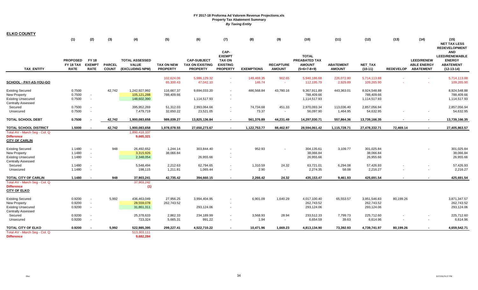| <b>ELKO COUNTY</b>                                                                                       |                                             |                                              |                               |                                                          |                                      |                                                                 |                                                                              |                      |                                   |                                                                        |                                   |                                            |                  |                                                             |                                                                                          |
|----------------------------------------------------------------------------------------------------------|---------------------------------------------|----------------------------------------------|-------------------------------|----------------------------------------------------------|--------------------------------------|-----------------------------------------------------------------|------------------------------------------------------------------------------|----------------------|-----------------------------------|------------------------------------------------------------------------|-----------------------------------|--------------------------------------------|------------------|-------------------------------------------------------------|------------------------------------------------------------------------------------------|
|                                                                                                          | (1)                                         | (2)                                          | (3)                           | (4)                                                      | (5)                                  | (6)                                                             | (7)                                                                          | (8)                  | (9)                               | (10)                                                                   | (11)                              | (12)                                       | (13)             | (14)                                                        | (15)<br><b>NET TAX LESS</b><br><b>REDEVELOPMENT</b>                                      |
| <b>TAX ENTITY</b>                                                                                        | <b>PROPOSED</b><br>FY 18 TAX<br><b>RATE</b> | <b>FY 18</b><br><b>EXEMPT</b><br><b>RATE</b> | <b>PARCEL</b><br><b>COUNT</b> | <b>TOTAL ASSESSED</b><br><b>VALUE</b><br>(EXCLUDING NPM) | <b>TAX ON NEW</b><br><b>PROPERTY</b> | <b>CAP-SUBJECT</b><br><b>TAX ON EXISTING</b><br><b>PROPERTY</b> | CAP-<br><b>EXEMPT</b><br><b>TAX ON</b><br><b>EXISTING</b><br><b>PROPERTY</b> | <b>EXEMPTIONS</b>    | <b>RECAPTURE</b><br><b>AMOUNT</b> | <b>TOTAL</b><br><b>PREABATED TAX</b><br><b>AMOUNT</b><br>$(5+6+7-8+9)$ | <b>ABATEMENT</b><br><b>AMOUNT</b> | <b>NET TAX</b><br>$(10-11)$                | <b>REDEVELOP</b> | <b>LEED/RENEW</b><br><b>ABLE ENERGY</b><br><b>ABATEMENT</b> | <b>AND</b><br><b>LEED/RENEWABLE</b><br><b>ENERGY</b><br><b>ABATEMENT</b><br>$(12-13-14)$ |
| SCHOOL - PAY-AS-YOU-GO                                                                                   |                                             |                                              |                               |                                                          | 102,624.06<br>65,300.43              | 5,986,129.32<br>47,042.10                                       | $\sim$<br>$\sim$                                                             | 149,469.35<br>146.74 | 902.65<br>$\sim$                  | 5,940,186.68<br>112,195.79                                             | 226,072.80<br>2,929.89            | 5,714,113.88<br>109,265.90                 |                  |                                                             | 5,714,113.88<br>109,265.90                                                               |
| <b>Existing Secured</b><br>New Property<br><b>Existing Unsecured</b><br><b>Centrally Assessed</b>        | 0.7500<br>0.7500<br>0.7500                  | $\sim$<br>$\sim$                             | 42,742                        | 1,242,927,992<br>105,121,288<br>148,602,390              | 116,667.37<br>788,409.66             | 9,694,033.20<br>1,114,517.93                                    | $\sim$<br>$\sim$                                                             | 486,568.84           | 43,780.16                         | 9,367,911.89<br>788,409.66<br>1,114,517.93                             | 443,363.01                        | 8,924,548.88<br>788,409.66<br>1,114,517.93 |                  |                                                             | 8,924,548.88<br>788,409.66<br>1,114,517.93                                               |
| Secured<br>Unsecured                                                                                     | 0.7500<br>0.7500                            |                                              |                               | 395,952,269<br>7,479,719                                 | 51,312.03<br>32,650.22               | 2,993,064.66<br>23,521.05                                       | $\sim$<br>$\sim$                                                             | 74,734.68<br>73.37   | 451.33<br>$\sim$                  | 2,970,093.34<br>56,097.90                                              | 113,036.40<br>1,464.95            | 2,857,056.94<br>54,632.95                  |                  | $\overline{\phantom{a}}$                                    | 2,857,056.94<br>54,632.95                                                                |
| <b>TOTAL SCHOOL DEBT</b>                                                                                 | 0.7500                                      |                                              | 42,742                        | 1,900,083,658                                            | 989,039.27                           | 13,825,136.84                                                   | $\sim$                                                                       | 561,376.89           | 44,231.49                         | 14,297,030.71                                                          | 557,864.36                        | 13,739,166.35                              |                  | $\sim$                                                      | 13,739,166.35                                                                            |
| <b>TOTAL SCHOOL DISTRICT</b>                                                                             | 1.5000                                      |                                              | 42,742                        | 1,900,083,658                                            | 1,978,078.55                         | 27,650,273.67                                                   | $\sim$                                                                       | 1,122,753.77         | 88,462.97                         | 28,594,061.42                                                          | 1,115,728.71                      | 27,478,332.71                              | 72,469.14        | $\sim$                                                      | 27,405,863.57                                                                            |
| Total AV - March Seg - Col. Q<br><b>Difference</b><br><b>CITY OF CARLIN</b>                              |                                             |                                              |                               | 1,890,418,337<br>9,665,321                               |                                      |                                                                 |                                                                              |                      |                                   |                                                                        |                                   |                                            |                  |                                                             |                                                                                          |
| <b>Existing Secured</b><br><b>New Property</b><br><b>Existing Unsecured</b><br><b>Centrally Assessed</b> | 1.1480<br>1.1480<br>1.1480                  | $\sim$<br>$\overline{\phantom{a}}$           | 948                           | 26,492,652<br>3,315,926<br>2,348,054                     | 1,244.14<br>38,066.84                | 303,844.40<br>26,955.66                                         | $\overline{\phantom{a}}$                                                     | 952.93               |                                   | 304,135.61<br>38,066.84<br>26,955.66                                   | 3,109.77                          | 301,025.84<br>38,066.84<br>26,955.66       |                  |                                                             | 301,025.84<br>38,066.84<br>26,955.66                                                     |
| Secured<br>Unsecured                                                                                     | 1.1480<br>1.1480                            | $\overline{\phantom{a}}$                     |                               | 5,548,494<br>198,115                                     | 2,212.63<br>1,211.81                 | 62,794.65<br>1,065.44                                           | $\sim$                                                                       | 1,310.59<br>2.90     | 24.32<br>$\sim$                   | 63,721.01<br>2,274.35                                                  | 6,294.08<br>58.08                 | 57,426.93<br>2,216.27                      |                  |                                                             | 57,426.93<br>2,216.27                                                                    |
| <b>TOTAL CITY OF CARLIN</b>                                                                              | 1.1480                                      | $\sim$                                       | 948                           | 37,903,241                                               | 42,735.42                            | 394,660.15                                                      | $\sim$                                                                       | 2,266.42             | 24.32                             | 435,153.47                                                             | 9,461.93                          | 425,691.54                                 |                  |                                                             | 425,691.54                                                                               |
| Total AV - March Seg - Col. Q<br><b>Difference</b><br><b>CITY OF ELKO</b>                                |                                             |                                              |                               | 37,903,242<br>(1)                                        |                                      |                                                                 |                                                                              |                      |                                   |                                                                        |                                   |                                            |                  |                                                             |                                                                                          |
| <b>Existing Secured</b><br><b>New Property</b><br><b>Existing Unsecured</b><br><b>Centrally Assessed</b> | 0.9200<br>0.9200<br>0.9200                  | $\sim$<br>$\overline{\phantom{a}}$           | 5,992                         | 436,463,049<br>28,559,078<br>31,861,311                  | 27,956.25<br>262,743.52              | 3,994,404.95<br>293,124.06                                      | $\overline{\phantom{a}}$                                                     | 6,901.09             | 1,640.29                          | 4,017,100.40<br>262,743.52<br>293,124.06                               | 65,553.57                         | 3,951,546.83<br>262,743.52<br>293,124.06   | 80,199.26        |                                                             | 3,871,347.57<br>262,743.52<br>293,124.06                                                 |
| Secured<br>Unsecured                                                                                     | 0.9200<br>0.9200                            | $\overline{\phantom{a}}$                     |                               | 25,378,633<br>723,324                                    | 2,862.33<br>5,665.31                 | 234,189.99<br>991.22                                            | $\sim$<br>$\sim$                                                             | 3,568.93<br>1.94     | 28.94<br>$\sim$                   | 233,512.33<br>6,654.59                                                 | 7,799.73<br>39.63                 | 225,712.60<br>6,614.96                     |                  |                                                             | 225,712.60<br>6,614.96                                                                   |
| TOTAL CITY OF ELKO                                                                                       | 0.9200                                      | $\overline{\phantom{a}}$                     | 5.992                         | 522,985,395                                              | 299,227.41                           | 4,522,710.22                                                    | $\sim$                                                                       | 10,471.96            | 1,669.23                          | 4,813,134.90                                                           | 73,392.93                         | 4,739,741.97                               | 80,199.26        | $\sim$                                                      | 4,659,542.71                                                                             |
| Total AV - March Seg - Col. Q<br><b>Difference</b>                                                       |                                             |                                              |                               | 513,303,111<br>9,682,284                                 |                                      |                                                                 |                                                                              |                      |                                   |                                                                        |                                   |                                            |                  |                                                             |                                                                                          |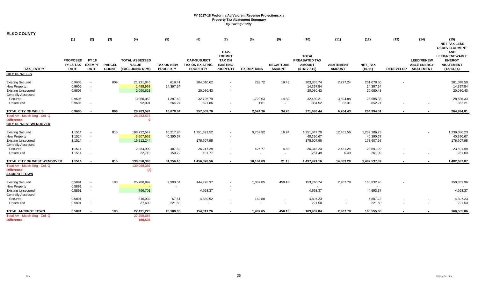**ELKO COUNTY**

|                                                                                                          | (1)                                         | (2)                                                                              | (3)                           | (4)                                                      | (5)                                  | (6)                                                             | (7)                                                                          | (8)               | (9)                               | (10)                                                            | (11)                              | (12)                                    | (13)             | (14)                                                        | (15)<br><b>NET TAX LESS</b><br><b>REDEVELOPMENT</b>                                      |
|----------------------------------------------------------------------------------------------------------|---------------------------------------------|----------------------------------------------------------------------------------|-------------------------------|----------------------------------------------------------|--------------------------------------|-----------------------------------------------------------------|------------------------------------------------------------------------------|-------------------|-----------------------------------|-----------------------------------------------------------------|-----------------------------------|-----------------------------------------|------------------|-------------------------------------------------------------|------------------------------------------------------------------------------------------|
| <b>TAX ENTITY</b>                                                                                        | <b>PROPOSED</b><br>FY 18 TAX<br><b>RATE</b> | <b>FY 18</b><br><b>EXEMPT</b><br><b>RATE</b>                                     | <b>PARCEL</b><br><b>COUNT</b> | <b>TOTAL ASSESSED</b><br><b>VALUE</b><br>(EXCLUDING NPM) | <b>TAX ON NEW</b><br><b>PROPERTY</b> | <b>CAP-SUBJECT</b><br><b>TAX ON EXISTING</b><br><b>PROPERTY</b> | CAP-<br><b>EXEMPT</b><br><b>TAX ON</b><br><b>EXISTING</b><br><b>PROPERTY</b> | <b>EXEMPTIONS</b> | <b>RECAPTURE</b><br><b>AMOUNT</b> | <b>TOTAL</b><br>PREABATED TAX<br><b>AMOUNT</b><br>$(5+6+7-8+9)$ | <b>ABATEMENT</b><br><b>AMOUNT</b> | NET_TAX<br>$(10-11)$                    | <b>REDEVELOP</b> | <b>LEED/RENEW</b><br><b>ABLE ENERGY</b><br><b>ABATEMENT</b> | <b>AND</b><br><b>LEED/RENEWABLE</b><br><b>ENERGY</b><br><b>ABATEMENT</b><br>$(12-13-14)$ |
| <b>CITY OF WELLS</b>                                                                                     |                                             |                                                                                  |                               |                                                          |                                      |                                                                 |                                                                              |                   |                                   |                                                                 |                                   |                                         |                  |                                                             |                                                                                          |
| <b>Existing Secured</b><br>New Property<br><b>Existing Unsecured</b><br><b>Centrally Assessed</b>        | 0.9605<br>0.9605<br>0.9605                  | $\overline{\phantom{a}}$<br>$\overline{\phantom{a}}$<br>$\overline{\phantom{a}}$ | 809                           | 21,221,846<br>1,498,963<br>2,090,623                     | 619.41<br>14,397.54                  | 204,010.62<br>20,080.43                                         | $\sim$<br>$\overline{\phantom{a}}$                                           | 793.72            | 19.43                             | 203,855.74<br>14,397.54<br>20,080.43                            | 2,777.24                          | 201,078.50<br>14,397.54<br>20,080.43    |                  |                                                             | 201,078.50<br>14,397.54<br>20,080.43                                                     |
| Secured<br>Unsecured                                                                                     | 0.9605<br>0.9605                            | $\sim$                                                                           |                               | 3,380,052<br>92,091                                      | 1,397.62<br>264.27                   | 32,796.79<br>621.86                                             | $\sim$<br>$\overline{\phantom{a}}$                                           | 1,729.03<br>1.61  | 14.83<br>$\sim$                   | 32,480.21<br>884.52                                             | 3,894.88<br>32.31                 | 28,585.33<br>852.21                     |                  |                                                             | 28,585.33<br>852.21                                                                      |
| <b>TOTAL CITY OF WELLS</b>                                                                               | 0.9605                                      | $\overline{\phantom{a}}$                                                         | 809                           | 28,283,574                                               | 16,678.84                            | 257,509.70                                                      | $\blacksquare$                                                               | 2,524.36          | 34.26                             | 271,698.44                                                      | 6,704.43                          | 264,994.01                              |                  | $\sim$                                                      | 264,994.01                                                                               |
| Total AV - March Seg - Col. Q<br><b>Difference</b><br><b>CITY OF WEST WENDOVER</b>                       |                                             |                                                                                  |                               | 28,283,574<br>$\mathbf{0}$                               |                                      |                                                                 |                                                                              |                   |                                   |                                                                 |                                   |                                         |                  |                                                             |                                                                                          |
| <b>Existing Secured</b><br>New Property<br><b>Existing Unsecured</b><br><b>Centrally Assessed</b>        | 1.1514<br>1.1514<br>1.1514                  | $\sim$<br>$\overline{\phantom{a}}$<br>$\overline{\phantom{a}}$                   | 815                           | 108,722,547<br>3,507,962<br>15,512,244                   | 10,217.95<br>40,390.67               | 1,251,371.52<br>178,607.98                                      | $\sim$                                                                       | 9,757.92          | 16.24                             | 1,251,847.79<br>40,390.67<br>178,607.98                         | 12,461.56                         | 1,239,386.23<br>40,390.67<br>178,607.98 |                  |                                                             | 1,239,386.23<br>40,390.67<br>178,607.98                                                  |
| Secured<br>Unsecured                                                                                     | 1.1514<br>1.1514                            | $\sim$                                                                           |                               | 2,284,900<br>22,710                                      | 487.82<br>159.72                     | 26,247.29<br>101.77                                             | $\sim$<br>$\overline{\phantom{a}}$                                           | 426.77<br>$\sim$  | 4.89<br>$\sim$                    | 26,313.23<br>261.49                                             | 2,421.24<br>0.49                  | 23,891.99<br>261.00                     |                  | $\overline{\phantom{a}}$                                    | 23,891.99<br>261.00                                                                      |
| TOTAL CITY OF WEST WENDOVER<br>Total AV - March Seg - Col. Q<br><b>Difference</b><br><b>JACKPOT TOWN</b> | 1.1514                                      | $\sim$                                                                           | 815                           | 130,050,363<br>130,050,366<br>(3)                        | 51,256.16                            | 1,456,328.56                                                    | $\sim$                                                                       | 10,184.69         | 21.13                             | 1,497,421.16                                                    | 14,883.29                         | 1,482,537.87                            |                  | $\sim$                                                      | 1,482,537.87                                                                             |
| <b>Existing Secured</b><br>New Property<br><b>Existing Unsecured</b>                                     | 0.5891<br>0.5891<br>0.5891                  | $\overline{\phantom{a}}$<br>$\blacksquare$<br>$\sim$                             | 183                           | 25,780,892<br>796,701                                    | 9,900.04                             | 144,728.37<br>4,693.37                                          | $\overline{\phantom{a}}$<br>$\sim$                                           | 1,337.85          | 450.18                            | 153,740.74<br>4,693.37                                          | 2,907.78                          | 150,832.96<br>4,693.37                  |                  |                                                             | 150,832.96<br>4,693.37                                                                   |
| <b>Centrally Assessed</b><br>Secured<br>Unsecured                                                        | 0.5891<br>0.5891                            | $\sim$                                                                           |                               | 816,030<br>37,600                                        | 67.51<br>221.50                      | 4,889.52<br>$\sim$                                              | $\sim$<br>$\overline{\phantom{a}}$                                           | 149.80<br>$\sim$  | $\sim$                            | 4,807.23<br>221.50                                              | $\sim$                            | 4,807.23<br>221.50                      |                  | $\sim$                                                      | 4,807.23<br>221.50                                                                       |
| <b>TOTAL JACKPOT TOWN</b>                                                                                | 0.5891                                      |                                                                                  | 183                           | 27,431,223                                               | 10,189.05                            | 154,311.26                                                      |                                                                              | 1,487.65          | 450.18                            | 163,462.84                                                      | 2,907.78                          | 160,555.06                              |                  | $\overline{\phantom{a}}$                                    | 160,555.06                                                                               |
| Total AV - March Seg - Col. Q<br><b>Difference</b>                                                       |                                             |                                                                                  |                               | 27,250,687<br>180,536                                    |                                      |                                                                 |                                                                              |                   |                                   |                                                                 |                                   |                                         |                  |                                                             |                                                                                          |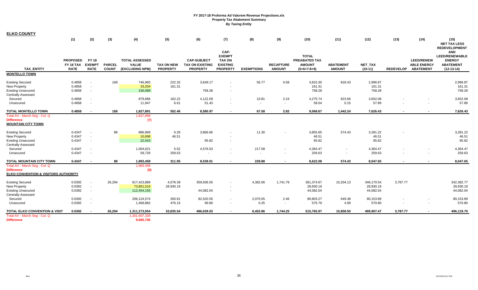**ELKO COUNTY**

|                                                                                                                        | (1)                                         | (2)                                                            | (3)                           | (4)                                                      | (5)                                  | (6)                                                             | (7)                                                                          | (8)                                | (9)                               | (10)                                                            | (11)                              | (12)                                 | (13)             | (14)                                                        | (15)<br><b>NET TAX LESS</b><br><b>REDEVELOPMENT</b>                                      |
|------------------------------------------------------------------------------------------------------------------------|---------------------------------------------|----------------------------------------------------------------|-------------------------------|----------------------------------------------------------|--------------------------------------|-----------------------------------------------------------------|------------------------------------------------------------------------------|------------------------------------|-----------------------------------|-----------------------------------------------------------------|-----------------------------------|--------------------------------------|------------------|-------------------------------------------------------------|------------------------------------------------------------------------------------------|
| <b>TAX ENTITY</b>                                                                                                      | <b>PROPOSED</b><br>FY 18 TAX<br><b>RATE</b> | <b>FY 18</b><br><b>EXEMPT</b><br><b>RATE</b>                   | <b>PARCEL</b><br><b>COUNT</b> | <b>TOTAL ASSESSED</b><br><b>VALUE</b><br>(EXCLUDING NPM) | <b>TAX ON NEW</b><br><b>PROPERTY</b> | <b>CAP-SUBJECT</b><br><b>TAX ON EXISTING</b><br><b>PROPERTY</b> | CAP-<br><b>EXEMPT</b><br><b>TAX ON</b><br><b>EXISTING</b><br><b>PROPERTY</b> | <b>EXEMPTIONS</b>                  | <b>RECAPTURE</b><br><b>AMOUNT</b> | <b>TOTAL</b><br>PREABATED TAX<br><b>AMOUNT</b><br>$(5+6+7-8+9)$ | <b>ABATEMENT</b><br><b>AMOUNT</b> | <b>NET TAX</b><br>$(10-11)$          | <b>REDEVELOP</b> | <b>LEED/RENEW</b><br><b>ABLE ENERGY</b><br><b>ABATEMENT</b> | <b>AND</b><br><b>LEED/RENEWABLE</b><br><b>ENERGY</b><br><b>ABATEMENT</b><br>$(12-13-14)$ |
| <b>MONTELLO TOWN</b>                                                                                                   |                                             |                                                                |                               |                                                          |                                      |                                                                 |                                                                              |                                    |                                   |                                                                 |                                   |                                      |                  |                                                             |                                                                                          |
| <b>Existing Secured</b><br>New Property<br><b>Existing Unsecured</b><br><b>Centrally Assessed</b>                      | 0.4858<br>0.4858<br>0.4858                  | $\overline{\phantom{a}}$<br>$\overline{\phantom{a}}$<br>$\sim$ | 168                           | 746,965<br>33,204<br>156,089                             | 222.32<br>161.31                     | 3,649.17<br>758.28                                              | $\overline{\phantom{a}}$                                                     | 56.77                              | 0.58                              | 3,815.30<br>161.31<br>758.28                                    | 818.43                            | 2,996.87<br>161.31<br>758.28         |                  |                                                             | 2,996.87<br>161.31<br>758.28                                                             |
| Secured<br>Unsecured                                                                                                   | 0.4858<br>0.4858                            | $\overline{\phantom{a}}$<br>$\sim$                             |                               | 879,686<br>11,947                                        | 162.22<br>6.61                       | 4,122.09<br>51.43                                               | $\overline{\phantom{a}}$                                                     | 10.81<br>$\sim$                    | 2.24<br>$\sim$                    | 4,275.74<br>58.04                                               | 623.66<br>0.15                    | 3,652.08<br>57.89                    |                  | $\overline{\phantom{a}}$                                    | 3,652.08<br>57.89                                                                        |
| <b>TOTAL MONTELLO TOWN</b>                                                                                             | 0.4858                                      |                                                                | 168                           | 1,827,891                                                | 552.46                               | 8,580.97                                                        |                                                                              | 67.58                              | 2.82                              | 9,068.67                                                        | 1,442.24                          | 7,626.43                             |                  | $\overline{\phantom{0}}$                                    | 7,626.43                                                                                 |
| Total AV - March Seg - Col. Q<br><b>Difference</b><br><b>MOUNTAIN CITY TOWN</b>                                        |                                             |                                                                |                               | 1,827,898<br>(7)                                         |                                      |                                                                 |                                                                              |                                    |                                   |                                                                 |                                   |                                      |                  |                                                             |                                                                                          |
| <b>Existing Secured</b><br><b>New Property</b><br><b>Existing Unsecured</b><br><b>Centrally Assessed</b>               | 0.4347<br>0.4347<br>0.4347                  | $\overline{\phantom{a}}$<br>$\blacksquare$<br>$\sim$           | 88                            | 886,969<br>10,698<br>22,043                              | 0.29<br>46.51                        | 3,866.66<br>95.82                                               | $\overline{\phantom{a}}$                                                     | 11.30                              |                                   | 3,855.65<br>46.51<br>95.82                                      | 574.43                            | 3,281.22<br>46.51<br>95.82           |                  |                                                             | 3,281.22<br>46.51<br>95.82                                                               |
| Secured<br>Unsecured                                                                                                   | 0.4347<br>0.4347                            | $\sim$<br>$\sim$                                               |                               | 1,004,021<br>59,726                                      | 5.52<br>259.63                       | 4,576.53<br>$\overline{\phantom{a}}$                            | $\blacksquare$                                                               | 217.58<br>$\overline{\phantom{a}}$ | $\sim$                            | 4,364.47<br>259.63                                              | $\sim$                            | 4,364.47<br>259.63                   |                  |                                                             | 4,364.47<br>259.63                                                                       |
| TOTAL MOUNTAIN CITY TOWN<br>Total AV - March Seq - Col. Q<br><b>Difference</b><br>ELKO CONVENTION & VISITORS AUTHORITY | 0.4347                                      | $\overline{\phantom{a}}$                                       | 88                            | 1,983,458<br>1,983,458<br>(0)                            | 311.95                               | 8,539.01                                                        | $\blacksquare$                                                               | 228.88                             |                                   | 8,622.08                                                        | 574.43                            | 8,047.65                             |                  | $\overline{\phantom{a}}$                                    | 8,047.65                                                                                 |
| <b>Existing Secured</b><br>New Property<br><b>Existing Unsecured</b><br><b>Centrally Assessed</b>                      | 0.0392<br>0.0392<br>0.0392                  | $\sim$<br>$\sim$<br>$\overline{\phantom{a}}$                   | 26,294                        | 917,423,889<br>73,801,516<br>112,454,193                 | 4,078.39<br>28,930.19                | 359,936.55<br>44,082.04                                         | $\overline{\phantom{a}}$<br>$\overline{\phantom{a}}$                         | 4,382.06                           | 1,741.79                          | 361,374.67<br>28,930.19<br>44,082.04                            | 15,204.13                         | 346,170.54<br>28,930.19<br>44,082.04 | 3,787.77         |                                                             | 342,382.77<br>28,930.19<br>44,082.04                                                     |
| Secured<br>Unsecured                                                                                                   | 0.0392<br>0.0392                            | $\overline{\phantom{a}}$<br>$\sim$                             |                               | 206,124,574<br>1,468,882                                 | 350.81<br>476.15                     | 82,520.55<br>99.89                                              | $\blacksquare$<br>$\sim$                                                     | 2,070.55<br>0.25                   | 2.46<br>$\sim$                    | 80,803.27<br>575.79                                             | 649.38<br>4.99                    | 80,153.89<br>570.80                  |                  | $\sim$                                                      | 80,153.89<br>570.80                                                                      |
| <b>TOTAL ELKO CONVENTION &amp; VISIT</b>                                                                               | 0.0392                                      | $\sim$                                                         | 26,294                        | 1,311,273,054                                            | 33,835.54                            | 486,639.03                                                      | ٠.                                                                           | 6,452.86                           | 1,744.25                          | 515,765.97                                                      | 15,858.50                         | 499,907.47                           | 3,787.77         | $\blacksquare$                                              | 496,119.70                                                                               |
| Total AV - March Seg - Col. Q<br><b>Difference</b>                                                                     |                                             |                                                                |                               | 1,301,607,328<br>9,665,726                               |                                      |                                                                 |                                                                              |                                    |                                   |                                                                 |                                   |                                      |                  |                                                             |                                                                                          |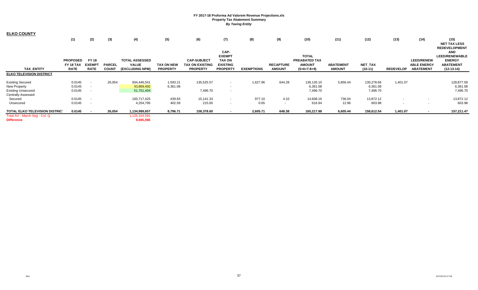| <b>ELKO COUNTY</b>                                 | (1)                                 | (2)                          | (3)           | (4)                                   | (5)               | (6)                                   | (7)<br>CAP-                      | (8)               | (9)              | (10)                                  | (11)             | (12)       | (13)             | (14)                                    | (15)<br><b>NET TAX LESS</b><br><b>REDEVELOPMENT</b><br><b>AND</b> |
|----------------------------------------------------|-------------------------------------|------------------------------|---------------|---------------------------------------|-------------------|---------------------------------------|----------------------------------|-------------------|------------------|---------------------------------------|------------------|------------|------------------|-----------------------------------------|-------------------------------------------------------------------|
|                                                    |                                     |                              |               |                                       |                   |                                       | <b>EXEMPT</b>                    |                   |                  | <b>TOTAL</b>                          |                  |            |                  |                                         | <b>LEED/RENEWABLE</b>                                             |
|                                                    | <b>PROPOSED</b><br><b>FY 18 TAX</b> | <b>FY 18</b><br><b>EXEMP</b> | <b>PARCEL</b> | <b>TOTAL ASSESSED</b><br><b>VALUE</b> | <b>TAX ON NEW</b> | <b>CAP-SUBJECT</b><br>TAX ON EXISTING | <b>TAX ON</b><br><b>EXISTING</b> |                   | <b>RECAPTURE</b> | <b>PREABATED TAX</b><br><b>AMOUNT</b> | <b>ABATEMENT</b> | NET_TAX    |                  | <b>LEED/RENEW</b><br><b>ABLE ENERGY</b> | <b>ENERGY</b><br><b>ABATEMENT</b>                                 |
| <b>TAX ENTITY</b>                                  | <b>RATE</b>                         | <b>RATE</b>                  | <b>COUNT</b>  | (EXCLUDING NPM)                       | <b>PROPERTY</b>   | <b>PROPERTY</b>                       | <b>PROPERTY</b>                  | <b>EXEMPTIONS</b> | <b>AMOUNT</b>    | $(5+6+7-8+9)$                         | <b>AMOUNT</b>    | $(10-11)$  | <b>REDEVELOP</b> | <b>ABATEMENT</b>                        | $(12-13-14)$                                                      |
| <b>ELKO TELEVISION DISTRICT</b>                    |                                     |                              |               |                                       |                   |                                       |                                  |                   |                  |                                       |                  |            |                  |                                         |                                                                   |
| <b>Existing Secured</b>                            | 0.0145                              | $\sim$ $-$                   | 26,054        | 934,446,541                           | 1,593.21          | 135,525.57                            | $\sim$                           | 1,627.96          | 644.28           | 136,135.10                            | 5,856.44         | 130,278.66 | 1,401.07         |                                         | 128,877.59                                                        |
| <b>New Property</b>                                | 0.0145                              |                              |               | 43,869,492                            | 6,361.08          |                                       | $\sim$                           |                   |                  | 6,361.08                              |                  | 6,361.08   |                  |                                         | 6,361.08                                                          |
| <b>Existing Unsecured</b>                          | 0.0145                              | $\overline{\phantom{a}}$     |               | 51,701,404                            |                   | 7,496.70                              | $\sim$                           |                   |                  | 7,496.70                              |                  | 7,496.70   |                  |                                         | 7,496.70                                                          |
| <b>Centrally Assessed</b>                          |                                     |                              |               |                                       |                   |                                       |                                  |                   |                  |                                       |                  |            |                  |                                         |                                                                   |
| Secured                                            | 0.0145                              | $\overline{\phantom{a}}$     |               | 100,717,425                           | 439.83            | 15,141.33                             | $\sim$                           | 977.10            | 4.10             | 14,608.16                             | 736.04           | 13,872.12  |                  |                                         | 13,872.12                                                         |
| Unsecured                                          | 0.0145                              |                              |               | 4,254,795                             | 402.59            | 215.00                                | $\sim$                           | 0.65              | $\sim$           | 616.94                                | 12.96            | 603.98     | $\sim$           |                                         | 603.98                                                            |
| TOTAL ELKO TELEVISION DISTRIC'                     | 0.0145                              | $\sim$                       | 26,054        | 1,134,989,657                         | 8,796.71          | 158,378.60                            | $\sim$                           | 2,605.71          | 648.38           | 165,217.98                            | 6,605.44         | 158,612.54 | 1,401.07         | $\overline{\phantom{a}}$                | 157,211.47                                                        |
| Total AV - March Seg - Col. Q<br><b>Difference</b> |                                     |                              |               | 125,324,591<br>9,665,066              |                   |                                       |                                  |                   |                  |                                       |                  |            |                  |                                         |                                                                   |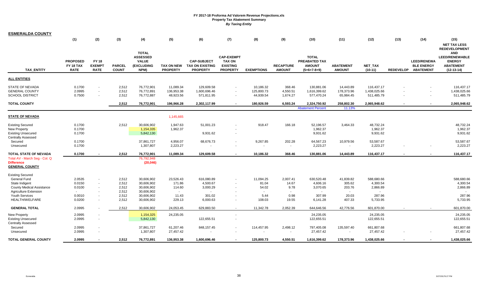| (2)<br>(3)<br>(5)<br>(7)<br>(9)<br>(13)<br>(1)<br>(4)<br>(6)<br>(8)<br>(10)<br>(11)<br>(12)<br>(14)<br>(15)<br><b>NET TAX LESS</b><br><b>REDEVELOPMENT</b><br><b>TOTAL</b><br><b>AND</b><br><b>ASSESSED</b><br><b>CAP-EXEMPT</b><br><b>TOTAL</b><br><b>LEED/RENEWABLE</b><br><b>PROPOSED</b><br><b>FY 18</b><br><b>VALUE</b><br><b>CAP-SUBJECT</b><br><b>TAX ON</b><br><b>PREABATED TAX</b><br><b>LEED/RENEWA</b><br><b>ENERGY</b><br><b>EXEMPT</b><br><b>(EXCLUDING</b><br><b>EXISTING</b><br><b>RECAPTURE</b><br><b>ABATEMENT</b><br>FY 18 TAX<br><b>PARCEL</b><br><b>TAX ON NEW</b><br><b>TAX ON EXISTING</b><br><b>AMOUNT</b><br><b>ABATEMENT</b><br><b>NET TAX</b><br><b>BLE ENERGY</b><br><b>TAX ENTITY</b><br><b>RATE</b><br><b>RATE</b><br><b>COUNT</b><br>NPM)<br><b>PROPERTY</b><br><b>PROPERTY</b><br><b>AMOUNT</b><br><b>PROPERTY</b><br><b>EXEMPTIONS</b><br><b>AMOUNT</b><br>$(5+6+7-8+9)$<br>$(10-11)$<br><b>REDEVELOP</b><br><b>ABATEMENT</b><br>$(12-13-14)$<br><b>ALL ENTITIES</b><br>2,512<br>0.1700<br>76,772,901<br>11,089.34<br>129,609.58<br>10,186.32<br>368.46<br>130,881.06<br>14,443.89<br>116,437.17<br>116,437.17<br>$\blacksquare$<br>2.0995<br>2,512<br>4,550.51<br>76,772,891<br>136,953.38<br>1,600,696.46<br>125,800.73<br>1,616,399.62<br>178,373.96<br>1,438,025.66<br>1,438,025.66<br>$\sim$<br>٠<br>$\sim$<br>0.7500<br>2,512<br>76,772,887<br>48,923.56<br>571,811.95<br>44,939.54<br>1,674.27<br>577,470.24<br>65,984.45<br>511,485.79<br>511,485.79<br>$\sim$<br>$\overline{\phantom{a}}$<br>2,512<br>76,772,901<br>196,966.28<br>2,302,117.99<br>180,926.59<br>6,593.24<br>2,324,750.92<br>258,802.30<br>2,065,948.62<br>2,065,948.62<br>$\overline{\phantom{a}}$<br><b>Abatement Percent</b><br>11.139<br>1,145,665<br>0.1700<br>2,512<br>1,947.63<br>166.18<br>52,196.57<br>48,732.24<br>48,732.24<br>30,606,902<br>51,001.23<br>918.47<br>3,464.33<br>1,962.37<br>1,962.37<br>1,962.37<br>0.1700<br>1,154,335<br>1,962.37<br>9,931.62<br>0.1700<br>5,842,130<br>9,931.62<br>9,931.62<br>9,931.62<br><b>Centrally Assessed</b><br>0.1700<br>4,956.07<br>68,676.73<br>9,267.85<br>202.28<br>64,567.23<br>10,979.56<br>53,587.67<br>53,587.67<br>Secured<br>37,861,727<br>2,223.27<br>0.1700<br>1,307,807<br>2,223.27<br>2,223.27<br>2,223.27<br>Unsecured<br>$\sim$<br>$\sim$<br>0.1700<br>2,512<br>76,772,901<br>11,089.34<br>129,609.58<br>10,186.32<br>368.46<br>130,881.06<br>14,443.89<br>116,437.17<br>116,437.17<br>Total AV - March Seg - Col. Q<br>76,792,948<br>(20, 046)<br>Existing Secured<br>General Fund<br>2.0535<br>2,512<br>23,526.43<br>11,094.25<br>2,007.41<br>630,520.48<br>588,680.66<br>30,606,902<br>616,080.89<br>41,839.82<br>588,680.66<br>$\overline{\phantom{a}}$<br>2,512<br>4,300.54<br>State Indigent<br>0.0150<br>30,606,902<br>171.86<br>4,500.67<br>81.04<br>14.67<br>4,606.16<br>305.62<br>4,300.54<br>$\sim$<br>2,866.89<br><b>County Medical Assistance</b><br>2,512<br>3,000.29<br>54.02<br>2,866.89<br>0.0100<br>30,606,902<br>114.60<br>9.78<br>3,070.65<br>203.76<br>$\sim$<br>2,512<br>30,606,902<br><b>Agriculture Extension</b><br>$\sim$<br>$\sim$<br>$\sim$<br>$\sim$<br>$\sim$<br>$\sim$<br>$\sim$<br>$\sim$<br>$\sim$<br>5.44<br>287.96<br>Youth Services<br>2,512<br>30,606,902<br>11.43<br>0.98<br>307.99<br>20.03<br>287.96<br>0.0010<br>301.02<br>$\sim$<br>HEALTH/WELFARE<br>0.0200<br>2,512<br>30,606,902<br>229.13<br>108.03<br>19.55<br>5,733.95<br>5,733.95<br>6,000.63<br>6,141.28<br>407.33<br>$\sim$<br>2.0995<br>2,512<br>2,052.39<br>644,646.56<br><b>GENERAL TOTAL</b><br>30,606,902<br>24,053.45<br>629,883.50<br>11,342.78<br>42,776.56<br>601,870.00<br>601,870.00<br>$\sim$<br>2.0995<br>24,235.05<br>24,235.05<br>1,154,325<br>24,235.05<br>24,235.05<br><b>New Property</b><br>$\blacksquare$<br>$\sim$<br>122,655.51<br>2.0995<br>122,655.51<br>122,655.51<br>5,842,130<br>122,655.51<br>$\blacksquare$<br>Centrally Assessed<br>2.0995<br>61,207.46<br>848, 157.45<br>135,597.40<br>661,807.68<br>661,807.68<br>37,861,727<br>114,457.95<br>2,498.12<br>797,405.08<br>Secured<br>$\overline{\phantom{a}}$<br>27,457.42<br>27,457.42<br>2.0995<br>1,307,807<br>27,457.42<br>27,457.42<br>Unsecured<br>$\sim$<br>$\blacksquare$<br>$\sim$<br><b>TOTAL GENERAL COUNTY</b><br>2.0995<br>2,512<br>125,800.73<br>4,550.51<br>178,373.96<br>76,772,891<br>136,953.38<br>1,600,696.46<br>1,616,399.62<br>1,438,025.66<br>1,438,025.66 | <b>ESMERALDA COUNTY</b>                                                     |  |  |  |  |  |  |  |  |
|---------------------------------------------------------------------------------------------------------------------------------------------------------------------------------------------------------------------------------------------------------------------------------------------------------------------------------------------------------------------------------------------------------------------------------------------------------------------------------------------------------------------------------------------------------------------------------------------------------------------------------------------------------------------------------------------------------------------------------------------------------------------------------------------------------------------------------------------------------------------------------------------------------------------------------------------------------------------------------------------------------------------------------------------------------------------------------------------------------------------------------------------------------------------------------------------------------------------------------------------------------------------------------------------------------------------------------------------------------------------------------------------------------------------------------------------------------------------------------------------------------------------------------------------------------------------------------------------------------------------------------------------------------------------------------------------------------------------------------------------------------------------------------------------------------------------------------------------------------------------------------------------------------------------------------------------------------------------------------------------------------------------------------------------------------------------------------------------------------------------------------------------------------------------------------------------------------------------------------------------------------------------------------------------------------------------------------------------------------------------------------------------------------------------------------------------------------------------------------------------------------------------------------------------------------------------------------------------------------------------------------------------------------------------------------------------------------------------------------------------------------------------------------------------------------------------------------------------------------------------------------------------------------------------------------------------------------------------------------------------------------------------------------------------------------------------------------------------------------------------------------------------------------------------------------------------------------------------------------------------------------------------------------------------------------------------------------------------------------------------------------------------------------------------------------------------------------------------------------------------------------------------------------------------------------------------------------------------------------------------------------------------------------------------------------------------------------------------------------------------------------------------------------------------------------------------------------------------------------------------------------------------------------------------------------------------------------------------------------------------------------------------------------------------------------------------------------------------------------------------------------------------------------------------------------------------------------------------------------------------------------------------------------------------------------------------------------------------------------------------------------------------------------------------------------------------------|-----------------------------------------------------------------------------|--|--|--|--|--|--|--|--|
|                                                                                                                                                                                                                                                                                                                                                                                                                                                                                                                                                                                                                                                                                                                                                                                                                                                                                                                                                                                                                                                                                                                                                                                                                                                                                                                                                                                                                                                                                                                                                                                                                                                                                                                                                                                                                                                                                                                                                                                                                                                                                                                                                                                                                                                                                                                                                                                                                                                                                                                                                                                                                                                                                                                                                                                                                                                                                                                                                                                                                                                                                                                                                                                                                                                                                                                                                                                                                                                                                                                                                                                                                                                                                                                                                                                                                                                                                                                                                                                                                                                                                                                                                                                                                                                                                                                                                                                                                                                   |                                                                             |  |  |  |  |  |  |  |  |
|                                                                                                                                                                                                                                                                                                                                                                                                                                                                                                                                                                                                                                                                                                                                                                                                                                                                                                                                                                                                                                                                                                                                                                                                                                                                                                                                                                                                                                                                                                                                                                                                                                                                                                                                                                                                                                                                                                                                                                                                                                                                                                                                                                                                                                                                                                                                                                                                                                                                                                                                                                                                                                                                                                                                                                                                                                                                                                                                                                                                                                                                                                                                                                                                                                                                                                                                                                                                                                                                                                                                                                                                                                                                                                                                                                                                                                                                                                                                                                                                                                                                                                                                                                                                                                                                                                                                                                                                                                                   |                                                                             |  |  |  |  |  |  |  |  |
|                                                                                                                                                                                                                                                                                                                                                                                                                                                                                                                                                                                                                                                                                                                                                                                                                                                                                                                                                                                                                                                                                                                                                                                                                                                                                                                                                                                                                                                                                                                                                                                                                                                                                                                                                                                                                                                                                                                                                                                                                                                                                                                                                                                                                                                                                                                                                                                                                                                                                                                                                                                                                                                                                                                                                                                                                                                                                                                                                                                                                                                                                                                                                                                                                                                                                                                                                                                                                                                                                                                                                                                                                                                                                                                                                                                                                                                                                                                                                                                                                                                                                                                                                                                                                                                                                                                                                                                                                                                   |                                                                             |  |  |  |  |  |  |  |  |
|                                                                                                                                                                                                                                                                                                                                                                                                                                                                                                                                                                                                                                                                                                                                                                                                                                                                                                                                                                                                                                                                                                                                                                                                                                                                                                                                                                                                                                                                                                                                                                                                                                                                                                                                                                                                                                                                                                                                                                                                                                                                                                                                                                                                                                                                                                                                                                                                                                                                                                                                                                                                                                                                                                                                                                                                                                                                                                                                                                                                                                                                                                                                                                                                                                                                                                                                                                                                                                                                                                                                                                                                                                                                                                                                                                                                                                                                                                                                                                                                                                                                                                                                                                                                                                                                                                                                                                                                                                                   | <b>STATE OF NEVADA</b><br><b>GENERAL COUNTY</b><br><b>SCHOOL DISTRICT</b>   |  |  |  |  |  |  |  |  |
|                                                                                                                                                                                                                                                                                                                                                                                                                                                                                                                                                                                                                                                                                                                                                                                                                                                                                                                                                                                                                                                                                                                                                                                                                                                                                                                                                                                                                                                                                                                                                                                                                                                                                                                                                                                                                                                                                                                                                                                                                                                                                                                                                                                                                                                                                                                                                                                                                                                                                                                                                                                                                                                                                                                                                                                                                                                                                                                                                                                                                                                                                                                                                                                                                                                                                                                                                                                                                                                                                                                                                                                                                                                                                                                                                                                                                                                                                                                                                                                                                                                                                                                                                                                                                                                                                                                                                                                                                                                   | <b>TOTAL COUNTY</b>                                                         |  |  |  |  |  |  |  |  |
|                                                                                                                                                                                                                                                                                                                                                                                                                                                                                                                                                                                                                                                                                                                                                                                                                                                                                                                                                                                                                                                                                                                                                                                                                                                                                                                                                                                                                                                                                                                                                                                                                                                                                                                                                                                                                                                                                                                                                                                                                                                                                                                                                                                                                                                                                                                                                                                                                                                                                                                                                                                                                                                                                                                                                                                                                                                                                                                                                                                                                                                                                                                                                                                                                                                                                                                                                                                                                                                                                                                                                                                                                                                                                                                                                                                                                                                                                                                                                                                                                                                                                                                                                                                                                                                                                                                                                                                                                                                   |                                                                             |  |  |  |  |  |  |  |  |
|                                                                                                                                                                                                                                                                                                                                                                                                                                                                                                                                                                                                                                                                                                                                                                                                                                                                                                                                                                                                                                                                                                                                                                                                                                                                                                                                                                                                                                                                                                                                                                                                                                                                                                                                                                                                                                                                                                                                                                                                                                                                                                                                                                                                                                                                                                                                                                                                                                                                                                                                                                                                                                                                                                                                                                                                                                                                                                                                                                                                                                                                                                                                                                                                                                                                                                                                                                                                                                                                                                                                                                                                                                                                                                                                                                                                                                                                                                                                                                                                                                                                                                                                                                                                                                                                                                                                                                                                                                                   | <b>STATE OF NEVADA</b>                                                      |  |  |  |  |  |  |  |  |
|                                                                                                                                                                                                                                                                                                                                                                                                                                                                                                                                                                                                                                                                                                                                                                                                                                                                                                                                                                                                                                                                                                                                                                                                                                                                                                                                                                                                                                                                                                                                                                                                                                                                                                                                                                                                                                                                                                                                                                                                                                                                                                                                                                                                                                                                                                                                                                                                                                                                                                                                                                                                                                                                                                                                                                                                                                                                                                                                                                                                                                                                                                                                                                                                                                                                                                                                                                                                                                                                                                                                                                                                                                                                                                                                                                                                                                                                                                                                                                                                                                                                                                                                                                                                                                                                                                                                                                                                                                                   | <b>Existing Secured</b><br><b>New Property</b><br><b>Existing Unsecured</b> |  |  |  |  |  |  |  |  |
|                                                                                                                                                                                                                                                                                                                                                                                                                                                                                                                                                                                                                                                                                                                                                                                                                                                                                                                                                                                                                                                                                                                                                                                                                                                                                                                                                                                                                                                                                                                                                                                                                                                                                                                                                                                                                                                                                                                                                                                                                                                                                                                                                                                                                                                                                                                                                                                                                                                                                                                                                                                                                                                                                                                                                                                                                                                                                                                                                                                                                                                                                                                                                                                                                                                                                                                                                                                                                                                                                                                                                                                                                                                                                                                                                                                                                                                                                                                                                                                                                                                                                                                                                                                                                                                                                                                                                                                                                                                   |                                                                             |  |  |  |  |  |  |  |  |
|                                                                                                                                                                                                                                                                                                                                                                                                                                                                                                                                                                                                                                                                                                                                                                                                                                                                                                                                                                                                                                                                                                                                                                                                                                                                                                                                                                                                                                                                                                                                                                                                                                                                                                                                                                                                                                                                                                                                                                                                                                                                                                                                                                                                                                                                                                                                                                                                                                                                                                                                                                                                                                                                                                                                                                                                                                                                                                                                                                                                                                                                                                                                                                                                                                                                                                                                                                                                                                                                                                                                                                                                                                                                                                                                                                                                                                                                                                                                                                                                                                                                                                                                                                                                                                                                                                                                                                                                                                                   | TOTAL STATE OF NEVADA<br><b>Difference</b><br><b>GENERAL COUNTY</b>         |  |  |  |  |  |  |  |  |
|                                                                                                                                                                                                                                                                                                                                                                                                                                                                                                                                                                                                                                                                                                                                                                                                                                                                                                                                                                                                                                                                                                                                                                                                                                                                                                                                                                                                                                                                                                                                                                                                                                                                                                                                                                                                                                                                                                                                                                                                                                                                                                                                                                                                                                                                                                                                                                                                                                                                                                                                                                                                                                                                                                                                                                                                                                                                                                                                                                                                                                                                                                                                                                                                                                                                                                                                                                                                                                                                                                                                                                                                                                                                                                                                                                                                                                                                                                                                                                                                                                                                                                                                                                                                                                                                                                                                                                                                                                                   |                                                                             |  |  |  |  |  |  |  |  |
|                                                                                                                                                                                                                                                                                                                                                                                                                                                                                                                                                                                                                                                                                                                                                                                                                                                                                                                                                                                                                                                                                                                                                                                                                                                                                                                                                                                                                                                                                                                                                                                                                                                                                                                                                                                                                                                                                                                                                                                                                                                                                                                                                                                                                                                                                                                                                                                                                                                                                                                                                                                                                                                                                                                                                                                                                                                                                                                                                                                                                                                                                                                                                                                                                                                                                                                                                                                                                                                                                                                                                                                                                                                                                                                                                                                                                                                                                                                                                                                                                                                                                                                                                                                                                                                                                                                                                                                                                                                   |                                                                             |  |  |  |  |  |  |  |  |
|                                                                                                                                                                                                                                                                                                                                                                                                                                                                                                                                                                                                                                                                                                                                                                                                                                                                                                                                                                                                                                                                                                                                                                                                                                                                                                                                                                                                                                                                                                                                                                                                                                                                                                                                                                                                                                                                                                                                                                                                                                                                                                                                                                                                                                                                                                                                                                                                                                                                                                                                                                                                                                                                                                                                                                                                                                                                                                                                                                                                                                                                                                                                                                                                                                                                                                                                                                                                                                                                                                                                                                                                                                                                                                                                                                                                                                                                                                                                                                                                                                                                                                                                                                                                                                                                                                                                                                                                                                                   |                                                                             |  |  |  |  |  |  |  |  |
|                                                                                                                                                                                                                                                                                                                                                                                                                                                                                                                                                                                                                                                                                                                                                                                                                                                                                                                                                                                                                                                                                                                                                                                                                                                                                                                                                                                                                                                                                                                                                                                                                                                                                                                                                                                                                                                                                                                                                                                                                                                                                                                                                                                                                                                                                                                                                                                                                                                                                                                                                                                                                                                                                                                                                                                                                                                                                                                                                                                                                                                                                                                                                                                                                                                                                                                                                                                                                                                                                                                                                                                                                                                                                                                                                                                                                                                                                                                                                                                                                                                                                                                                                                                                                                                                                                                                                                                                                                                   |                                                                             |  |  |  |  |  |  |  |  |
|                                                                                                                                                                                                                                                                                                                                                                                                                                                                                                                                                                                                                                                                                                                                                                                                                                                                                                                                                                                                                                                                                                                                                                                                                                                                                                                                                                                                                                                                                                                                                                                                                                                                                                                                                                                                                                                                                                                                                                                                                                                                                                                                                                                                                                                                                                                                                                                                                                                                                                                                                                                                                                                                                                                                                                                                                                                                                                                                                                                                                                                                                                                                                                                                                                                                                                                                                                                                                                                                                                                                                                                                                                                                                                                                                                                                                                                                                                                                                                                                                                                                                                                                                                                                                                                                                                                                                                                                                                                   | <b>Existing Unsecured</b>                                                   |  |  |  |  |  |  |  |  |
|                                                                                                                                                                                                                                                                                                                                                                                                                                                                                                                                                                                                                                                                                                                                                                                                                                                                                                                                                                                                                                                                                                                                                                                                                                                                                                                                                                                                                                                                                                                                                                                                                                                                                                                                                                                                                                                                                                                                                                                                                                                                                                                                                                                                                                                                                                                                                                                                                                                                                                                                                                                                                                                                                                                                                                                                                                                                                                                                                                                                                                                                                                                                                                                                                                                                                                                                                                                                                                                                                                                                                                                                                                                                                                                                                                                                                                                                                                                                                                                                                                                                                                                                                                                                                                                                                                                                                                                                                                                   |                                                                             |  |  |  |  |  |  |  |  |
|                                                                                                                                                                                                                                                                                                                                                                                                                                                                                                                                                                                                                                                                                                                                                                                                                                                                                                                                                                                                                                                                                                                                                                                                                                                                                                                                                                                                                                                                                                                                                                                                                                                                                                                                                                                                                                                                                                                                                                                                                                                                                                                                                                                                                                                                                                                                                                                                                                                                                                                                                                                                                                                                                                                                                                                                                                                                                                                                                                                                                                                                                                                                                                                                                                                                                                                                                                                                                                                                                                                                                                                                                                                                                                                                                                                                                                                                                                                                                                                                                                                                                                                                                                                                                                                                                                                                                                                                                                                   |                                                                             |  |  |  |  |  |  |  |  |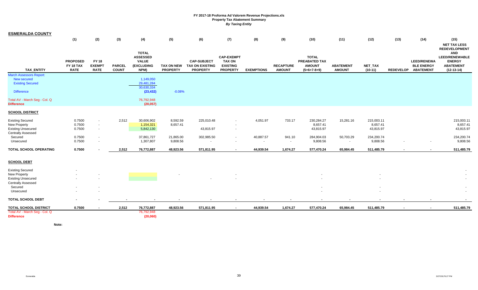| <b>ESMERALDA COUNTY</b>                            |                                             |                                              |                               |                                                                       |                                      |                                                                 |                                                                          |                     |                                   |                                                                 |                                   |                             |        |                                                                |                                                                                          |
|----------------------------------------------------|---------------------------------------------|----------------------------------------------|-------------------------------|-----------------------------------------------------------------------|--------------------------------------|-----------------------------------------------------------------|--------------------------------------------------------------------------|---------------------|-----------------------------------|-----------------------------------------------------------------|-----------------------------------|-----------------------------|--------|----------------------------------------------------------------|------------------------------------------------------------------------------------------|
|                                                    | (1)                                         | (2)                                          | (3)                           | (4)                                                                   | (5)                                  | (6)                                                             | (7)                                                                      | (8)                 | (9)                               | (10)                                                            | (11)                              | (12)                        | (13)   | (14)                                                           | (15)<br><b>NET TAX LESS</b><br><b>REDEVELOPMENT</b>                                      |
| <b>TAX ENTITY</b>                                  | <b>PROPOSED</b><br>FY 18 TAX<br><b>RATE</b> | <b>FY 18</b><br><b>EXEMPT</b><br><b>RATE</b> | <b>PARCEL</b><br><b>COUNT</b> | <b>TOTAL</b><br><b>ASSESSED</b><br><b>VALUE</b><br>(EXCLUDING<br>NPM) | <b>TAX ON NEW</b><br><b>PROPERTY</b> | <b>CAP-SUBJECT</b><br><b>TAX ON EXISTING</b><br><b>PROPERTY</b> | <b>CAP-EXEMPT</b><br><b>TAX ON</b><br><b>EXISTING</b><br><b>PROPERTY</b> | <b>EXEMPTIONS</b>   | <b>RECAPTURE</b><br><b>AMOUNT</b> | <b>TOTAL</b><br>PREABATED TAX<br><b>AMOUNT</b><br>$(5+6+7-8+9)$ | <b>ABATEMENT</b><br><b>AMOUNT</b> | <b>NET TAX</b><br>$(10-11)$ |        | <b>LEED/RENEWA</b><br><b>BLE ENERGY</b><br>REDEVELOP ABATEMENT | <b>AND</b><br><b>LEED/RENEWABLE</b><br><b>ENERGY</b><br><b>ABATEMENT</b><br>$(12-13-14)$ |
| March Assessors Report:<br>New secured             |                                             |                                              |                               | 1,149,050                                                             |                                      |                                                                 |                                                                          |                     |                                   |                                                                 |                                   |                             |        |                                                                |                                                                                          |
| <b>Existing Secured</b>                            |                                             |                                              |                               | 29,481,284                                                            |                                      |                                                                 |                                                                          |                     |                                   |                                                                 |                                   |                             |        |                                                                |                                                                                          |
| <b>Difference</b>                                  |                                             |                                              |                               | 30,630,334<br>(23, 432)                                               | $-0.08%$                             |                                                                 |                                                                          |                     |                                   |                                                                 |                                   |                             |        |                                                                |                                                                                          |
| Total AV - March Seg - Col. Q<br><b>Difference</b> |                                             |                                              |                               | 76,792,948<br>(20, 057)                                               |                                      |                                                                 |                                                                          |                     |                                   |                                                                 |                                   |                             |        |                                                                |                                                                                          |
| <b>SCHOOL DISTRICT</b>                             |                                             |                                              |                               |                                                                       |                                      |                                                                 |                                                                          |                     |                                   |                                                                 |                                   |                             |        |                                                                |                                                                                          |
| <b>Existing Secured</b>                            | 0.7500                                      |                                              | 2,512                         | 30,606,902                                                            | 8,592.59                             | 225,010.48                                                      | $\sim$                                                                   | 4,051.97            | 733.17                            | 230,284.27                                                      | 15,281.16                         | 215,003.11                  |        |                                                                | 215,003.11                                                                               |
| <b>New Property</b>                                | 0.7500                                      | $\sim$                                       |                               | 1,154,321                                                             | 8,657.41                             |                                                                 |                                                                          |                     |                                   | 8,657.41                                                        |                                   | 8,657.41                    |        |                                                                | 8,657.41                                                                                 |
| <b>Existing Unsecured</b>                          | 0.7500                                      | $\sim$                                       |                               | 5,842,130                                                             |                                      | 43,815.97                                                       | $\sim$                                                                   |                     |                                   | 43,815.97                                                       |                                   | 43,815.97                   |        |                                                                | 43,815.97                                                                                |
| Centrally Assessed                                 |                                             |                                              |                               |                                                                       |                                      |                                                                 |                                                                          |                     |                                   |                                                                 |                                   |                             |        |                                                                |                                                                                          |
| Secured<br>Unsecured                               | 0.7500<br>0.7500                            | $\sim$<br>$\sim$                             |                               | 37,861,727<br>1,307,807                                               | 21,865.00<br>9,808.56                | 302,985.50<br>$\sim$                                            | $\sim$<br>$\sim$                                                         | 40,887.57<br>$\sim$ | 941.10<br>$\sim$                  | 284,904.03<br>9,808.56                                          | 50,703.29<br>$\sim$               | 234,200.74<br>9,808.56      |        | $\sim$                                                         | 234,200.74<br>9,808.56                                                                   |
| <b>TOTAL SCHOOL OPERATING</b>                      | 0.7500                                      |                                              | 2,512                         | 76,772,887                                                            | 48,923.56                            | 571,811.95                                                      | $\overline{\phantom{a}}$                                                 | 44,939.54           | 1,674.27                          | 577,470.24                                                      | 65,984.45                         | 511,485.79                  | $\sim$ |                                                                | 511,485.79                                                                               |
| <b>SCHOOL DEBT</b>                                 |                                             |                                              |                               |                                                                       |                                      |                                                                 |                                                                          |                     |                                   |                                                                 |                                   |                             |        |                                                                |                                                                                          |
| <b>Existing Secured</b>                            |                                             |                                              |                               |                                                                       |                                      |                                                                 |                                                                          |                     |                                   |                                                                 |                                   |                             |        |                                                                |                                                                                          |
| <b>New Property</b>                                |                                             |                                              |                               |                                                                       |                                      |                                                                 |                                                                          |                     |                                   |                                                                 |                                   |                             |        |                                                                |                                                                                          |
| <b>Existing Unsecured</b>                          |                                             |                                              |                               |                                                                       |                                      |                                                                 |                                                                          |                     |                                   |                                                                 |                                   |                             |        |                                                                |                                                                                          |
| Centrally Assessed<br>Secured                      |                                             |                                              |                               |                                                                       |                                      |                                                                 |                                                                          |                     |                                   |                                                                 |                                   |                             |        |                                                                |                                                                                          |
| Unsecured                                          |                                             |                                              |                               |                                                                       |                                      |                                                                 |                                                                          |                     |                                   |                                                                 |                                   |                             |        |                                                                | $\sim$                                                                                   |
|                                                    |                                             |                                              |                               |                                                                       |                                      |                                                                 |                                                                          |                     |                                   |                                                                 |                                   |                             |        |                                                                |                                                                                          |
| <b>TOTAL SCHOOL DEBT</b>                           |                                             |                                              |                               |                                                                       |                                      |                                                                 |                                                                          |                     |                                   |                                                                 |                                   |                             |        |                                                                |                                                                                          |
| <b>TOTAL SCHOOL DISTRICT</b>                       | 0.7500                                      |                                              | 2,512                         | 76,772,887                                                            | 48,923.56                            | 571,811.95                                                      | $\overline{\phantom{a}}$                                                 | 44,939.54           | 1,674.27                          | 577,470.24                                                      | 65,984.45                         | 511,485.79                  | $\sim$ | $\sim$                                                         | 511,485.79                                                                               |
| Total AV - March Seg - Col. Q<br><b>Difference</b> |                                             |                                              |                               | 76,792,948<br>(20,060)                                                |                                      |                                                                 |                                                                          |                     |                                   |                                                                 |                                   |                             |        |                                                                |                                                                                          |

**Note:**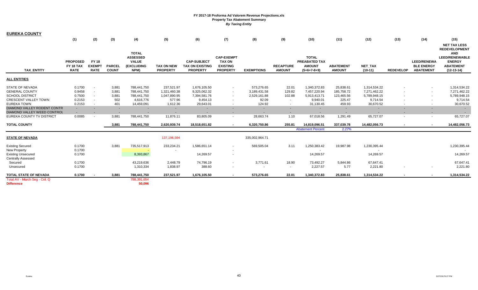| <b>EUREKA COUNTY</b>                                   |                                             |                                              |                               |                                                                              |                                      |                                                                 |                                                                          |                   |                                   |                                                                        |                                   |                             |                  |                                                             |                                                                                                                                         |
|--------------------------------------------------------|---------------------------------------------|----------------------------------------------|-------------------------------|------------------------------------------------------------------------------|--------------------------------------|-----------------------------------------------------------------|--------------------------------------------------------------------------|-------------------|-----------------------------------|------------------------------------------------------------------------|-----------------------------------|-----------------------------|------------------|-------------------------------------------------------------|-----------------------------------------------------------------------------------------------------------------------------------------|
|                                                        | (1)                                         | (2)                                          | (3)                           | (4)                                                                          | (5)                                  | (6)                                                             | (7)                                                                      | (8)               | (9)                               | (10)                                                                   | (11)                              | (12)                        | (13)             | (14)                                                        | (15)                                                                                                                                    |
| <b>TAX ENTITY</b>                                      | <b>PROPOSED</b><br>FY 18 TAX<br><b>RATE</b> | <b>FY 18</b><br><b>EXEMPT</b><br><b>RATE</b> | <b>PARCEL</b><br><b>COUNT</b> | <b>TOTAL</b><br><b>ASSESSED</b><br><b>VALUE</b><br><b>(EXCLUDING</b><br>NPM) | <b>TAX ON NEW</b><br><b>PROPERTY</b> | <b>CAP-SUBJECT</b><br><b>TAX ON EXISTING</b><br><b>PROPERTY</b> | <b>CAP-EXEMPT</b><br><b>TAX ON</b><br><b>EXISTING</b><br><b>PROPERTY</b> | <b>EXEMPTIONS</b> | <b>RECAPTURE</b><br><b>AMOUNT</b> | <b>TOTAL</b><br><b>PREABATED TAX</b><br><b>AMOUNT</b><br>$(5+6+7-8+9)$ | <b>ABATEMENT</b><br><b>AMOUNT</b> | <b>NET TAX</b><br>$(10-11)$ | <b>REDEVELOP</b> | <b>LEED/RENEWA</b><br><b>BLE ENERGY</b><br><b>ABATEMENT</b> | <b>NET TAX LESS</b><br><b>REDEVELOPMENT</b><br><b>AND</b><br><b>LEED/RENEWABLE</b><br><b>ENERGY</b><br><b>ABATEMENT</b><br>$(12-13-14)$ |
|                                                        |                                             |                                              |                               |                                                                              |                                      |                                                                 |                                                                          |                   |                                   |                                                                        |                                   |                             |                  |                                                             |                                                                                                                                         |
| <b>ALL ENTITIES</b>                                    |                                             |                                              |                               |                                                                              |                                      |                                                                 |                                                                          |                   |                                   |                                                                        |                                   |                             |                  |                                                             |                                                                                                                                         |
| <b>STATE OF NEVADA</b>                                 | 0.1700                                      | $\blacksquare$                               | 3,881                         | 788,441,750                                                                  | 237,521.97                           | 1,676,105.50                                                    | $\sim$                                                                   | 573,276.65        | 22.01                             | 1,340,372.83                                                           | 25,838.61                         | 1,314,534.22                |                  |                                                             | 1,314,534.22                                                                                                                            |
| <b>GENERAL COUNTY</b>                                  | 0.9458                                      | $\sim$                                       | 3,881                         | 788,441,750                                                                  | 1,321,460.38                         | 9,325,062.32                                                    | $\sim$                                                                   | 3,189,431.58      | 129.82                            | 7,457,220.94                                                           | 185,758.72                        | 7,271,462.22                |                  |                                                             | 7,271,462.22                                                                                                                            |
| <b>SCHOOL DISTRICT</b>                                 | 0.7500                                      | $\overline{\phantom{a}}$                     | 3,881                         | 788,441,750                                                                  | 1,047,890.95                         | 7,394,581.76                                                    | $\sim$                                                                   | 2,529,161.88      | 102.88                            | 5,913,413.71                                                           | 123,465.56                        | 5,789,948.15                |                  |                                                             | 5,789,948.15                                                                                                                            |
| <b>CRESCENT VALLEY TOWN</b>                            | 0.2153                                      | $\blacksquare$                               | 502                           | 4,616,776                                                                    | 577.96                               | 9,454.13                                                        | $\sim$                                                                   | 92.09             |                                   | 9,940.01                                                               | 225.47                            | 9,714.54                    |                  |                                                             | 9,714.54                                                                                                                                |
| <b>EUREKA TOWN</b>                                     | 0.2153                                      | $\blacksquare$                               | 401                           | 14,459,091                                                                   | 1,612.36                             | 29,643.01                                                       |                                                                          | 124.92            |                                   | 31,130.45                                                              | 459.93                            | 30,670.52                   |                  |                                                             | 30,670.52                                                                                                                               |
| <b>DIAMOND VALLEY RODENT CONTR</b>                     | $\sim$                                      |                                              |                               |                                                                              |                                      |                                                                 |                                                                          |                   |                                   |                                                                        |                                   |                             |                  |                                                             | $\sim$                                                                                                                                  |
| DIAMOND VALLEY WEED CONTROL                            |                                             |                                              |                               |                                                                              |                                      |                                                                 |                                                                          |                   |                                   |                                                                        |                                   |                             |                  |                                                             |                                                                                                                                         |
| EUREKA COUNTY TV DISTRICT                              | 0.0085                                      | $\sim$                                       | 3,881                         | 788,441,750                                                                  | 11,876.11                            | 83,805.09                                                       | $\sim$                                                                   | 28,663.74         | 1.10                              | 67,018.56                                                              | 1,291.49                          | 65,727.07                   | $\sim$           |                                                             | 65,727.07                                                                                                                               |
| <b>TOTAL COUNTY</b>                                    |                                             |                                              | 3,881                         | 788,441,750                                                                  | 2,620,939.74                         | 18,518,651.82                                                   |                                                                          | 6,320,750.86      | 255.81                            | 14,819,096.51                                                          | 337,039.78                        | 14,482,056.73               |                  |                                                             | 14,482,056.73                                                                                                                           |
|                                                        |                                             |                                              |                               |                                                                              |                                      |                                                                 |                                                                          |                   |                                   | <b>Abatement Percent</b>                                               | 2.27%                             |                             |                  |                                                             |                                                                                                                                         |
| <b>STATE OF NEVADA</b>                                 |                                             |                                              |                               |                                                                              | 137,196,594                          |                                                                 |                                                                          | 335,002,964.71    |                                   |                                                                        |                                   |                             |                  |                                                             |                                                                                                                                         |
| <b>Existing Secured</b>                                | 0.1700                                      |                                              | 3,881                         | 735,517,913                                                                  | 233,234.21                           | 1,586,651.14                                                    | $\sim$                                                                   | 569,505.04        | 3.11                              | 1,250,383.42                                                           | 19,987.98                         | 1,230,395.44                |                  |                                                             | 1,230,395.44                                                                                                                            |
| <b>New Property</b>                                    | 0.1700                                      |                                              |                               |                                                                              | $\sim$                               |                                                                 | $\sim$                                                                   |                   |                                   |                                                                        |                                   |                             |                  |                                                             |                                                                                                                                         |
| <b>Existing Unsecured</b><br><b>Centrally Assessed</b> | 0.1700                                      |                                              |                               | 8,393,867                                                                    |                                      | 14,269.57                                                       | $\sim$                                                                   |                   |                                   | 14,269.57                                                              |                                   | 14,269.57                   |                  |                                                             | 14,269.57                                                                                                                               |
| Secured                                                | 0.1700                                      |                                              |                               | 43,219,636                                                                   | 2,448.79                             | 74,796.19                                                       | $\sim$                                                                   | 3,771.61          | 18.90                             | 73,492.27                                                              | 5,844.86                          | 67,647.41                   |                  |                                                             | 67,647.41                                                                                                                               |
| Unsecured                                              | 0.1700                                      |                                              |                               | 1,310,334                                                                    | 1,838.97                             | 388.60                                                          | $\sim$                                                                   | $\sim$            | $\overline{\phantom{a}}$          | 2,227.57                                                               | 5.77                              | 2,221.80                    |                  |                                                             | 2,221.80                                                                                                                                |
| <b>TOTAL STATE OF NEVADA</b>                           | 0.1700                                      |                                              | 3,881                         | 788,441,750                                                                  | 237,521.97                           | 1,676,105.50                                                    | $\sim$                                                                   | 573,276.65        | 22.01                             | 1,340,372.83                                                           | 25,838.61                         | 1,314,534.22                |                  |                                                             | 1,314,534.22                                                                                                                            |
| Total AV - March Seg - Col. Q                          |                                             |                                              |                               | 788,391,654                                                                  |                                      |                                                                 |                                                                          |                   |                                   |                                                                        |                                   |                             |                  |                                                             |                                                                                                                                         |
| <b>Difference</b>                                      |                                             |                                              |                               | 50,096                                                                       |                                      |                                                                 |                                                                          |                   |                                   |                                                                        |                                   |                             |                  |                                                             |                                                                                                                                         |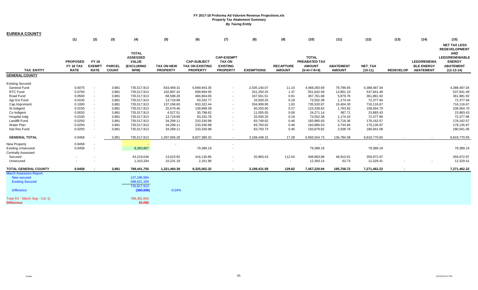| <b>EUREKA COUNTY</b>           |                          |                              |                               |                    |                               |                                           |                                    |                   |                                   |                                |                                   |                             |                  |                                       |                                  |
|--------------------------------|--------------------------|------------------------------|-------------------------------|--------------------|-------------------------------|-------------------------------------------|------------------------------------|-------------------|-----------------------------------|--------------------------------|-----------------------------------|-----------------------------|------------------|---------------------------------------|----------------------------------|
|                                | (1)                      | (2)                          | (3)                           | (4)                | (5)                           | (6)                                       | (7)                                | (8)               | (9)                               | (10)                           | (11)                              | (12)                        | (13)             | (14)                                  | (15)                             |
|                                |                          |                              |                               |                    |                               |                                           |                                    |                   |                                   |                                |                                   |                             |                  |                                       | <b>NET TAX LESS</b>              |
|                                |                          |                              |                               |                    |                               |                                           |                                    |                   |                                   |                                |                                   |                             |                  |                                       | <b>REDEVELOPMENT</b>             |
|                                |                          |                              |                               | <b>TOTAL</b>       |                               |                                           |                                    |                   |                                   |                                |                                   |                             |                  |                                       | <b>AND</b>                       |
|                                |                          |                              |                               | <b>ASSESSED</b>    |                               |                                           | <b>CAP-EXEMPT</b>                  |                   |                                   | <b>TOTAL</b>                   |                                   |                             |                  |                                       | <b>LEED/RENEWABLE</b>            |
|                                | <b>PROPOSED</b>          | <b>FY 18</b>                 |                               | <b>VALUE</b>       |                               | <b>CAP-SUBJECT</b>                        | <b>TAX ON</b>                      |                   |                                   | PREABATED TAX                  |                                   |                             |                  | <b>LEED/RENEWA</b>                    | <b>ENERGY</b>                    |
| <b>TAX ENTITY</b>              | FY 18 TAX<br><b>RATE</b> | <b>EXEMPT</b><br><b>RATE</b> | <b>PARCEL</b><br><b>COUNT</b> | (EXCLUDING<br>NPM) | TAX ON NEW<br><b>PROPERTY</b> | <b>TAX ON EXISTING</b><br><b>PROPERTY</b> | <b>EXISTING</b><br><b>PROPERTY</b> | <b>EXEMPTIONS</b> | <b>RECAPTURE</b><br><b>AMOUNT</b> | <b>AMOUNT</b><br>$(5+6+7-8+9)$ | <b>ABATEMENT</b><br><b>AMOUNT</b> | <b>NET TAX</b><br>$(10-11)$ | <b>REDEVELOP</b> | <b>BLE ENERGY</b><br><b>ABATEMENT</b> | <b>ABATEMENT</b><br>$(12-13-14)$ |
| <b>GENERAL COUNTY</b>          |                          |                              |                               |                    |                               |                                           |                                    |                   |                                   |                                |                                   |                             |                  |                                       |                                  |
|                                |                          |                              |                               |                    |                               |                                           |                                    |                   |                                   |                                |                                   |                             |                  |                                       |                                  |
| <b>Existing Secured</b>        |                          |                              |                               |                    |                               |                                           |                                    |                   |                                   |                                |                                   |                             |                  |                                       |                                  |
| <b>General Fund</b>            | 0.6075                   | $\blacksquare$               | 3,881                         | 735,517,913        | 833,469.31                    | 5,669,943.35                              | $\sim$                             | 2,035,140.07      | 11.10                             | 4,468,283.69                   | 79,796.65                         | 4,388,487.04                |                  |                                       | 4,388,487.04                     |
| RTC Fund                       | 0.0750                   | $\sim$                       | 3,881                         | 735,517,913        | 102,897.42                    | 699,994.05                                | $\sim$                             | 251,250.25        | 1.37                              | 551,642.59                     | 13,801.10                         | 537,841.49                  |                  |                                       | 537,841.49                       |
| Road Fund                      | 0.0500                   | $\sim$                       | 3,881                         | 735,517,913        | 68,598.28                     | 466,664.00                                | $\sim$                             | 167,501.51        | 0.91                              | 367,761.68                     | 5,879.76                          | 361,881.92                  |                  |                                       | 361,881.92                       |
| Agr Ext Fund                   | 0.0100                   | $\sim$                       | 3,881                         | 735,517,913        | 13,719.68                     | 93,332.77                                 | $\sim$                             | 33,500.25         | 0.18                              | 73,552.38                      | 1,174.44                          | 72,377.94                   |                  |                                       | 72,377.94                        |
| Cap Imprvment                  | 0.1000                   | $\blacksquare$               | 3,881                         | 735,517,913        | 137,196.60                    | 933,322.44                                | $\sim$                             | 334,999.90        | 1.83                              | 735,520.97                     | 19,404.30                         | 716,116.67                  |                  |                                       | 716,116.67                       |
| St Indigent                    | 0.0150                   | $\sim$                       | 3,881                         | 735,517,913        | 20,579.46                     | 139,999.39                                | $\sim$                             | 50,250.50         | 0.27                              | 110,328.62                     | 1,763.92                          | 108,564.70                  |                  |                                       | 108,564.70                       |
| Co Indigent                    | 0.0033                   | $\sim$                       | 3,881                         | 735,517,913        | 4,527.51                      | 30,798.62                                 | $\sim$                             | 11,055.05         | 0.06                              | 24,271.14                      | 387.71                            | 23,883.43                   |                  |                                       | 23,883.43                        |
| Hospital Indg                  | 0.0100                   | $\sim$                       | 3,881                         | 735,517,913        | 13,719.69                     | 93,332.76                                 | $\sim$                             | 33,500.25         | 0.18                              | 73,552.38                      | 1,174.42                          | 72,377.96                   |                  |                                       | 72,377.96                        |
| <b>Landfill Fund</b>           | 0.0250                   | $\sim$                       | 3,881                         | 735,517,913        | 34,299.11                     | 233,330.98                                | $\sim$                             | 83,749.62         | 0.46                              | 183,880.93                     | 5,718.36                          | 178,162.57                  |                  |                                       | 178,162.57                       |
| Water Plan                     | 0.0250                   | $\blacksquare$               | 3,881                         | 735,517,913        | 34,299.11                     | 233,330.98                                | $\sim$                             | 83,750.02         | 0.46                              | 183,880.53                     | 4,744.66                          | 179,135.87                  |                  |                                       | 179,135.87                       |
| Nat Res Fund                   | 0.0250                   | $\blacksquare$               | 3,881                         | 735,517,913        | 34,299.11                     | 233,330.98                                | $\overline{\phantom{a}}$           | 83,750.73         | 0.46                              | 183,879.82                     | 2,938.76                          | 180,941.06                  |                  |                                       | 180,941.06                       |
| <b>GENERAL TOTAL</b>           | 0.9458                   |                              | 3,881                         | 735,517,913        | 1,297,605.28                  | 8,827,380.32                              | $\sim$                             | 3,168,448.15      | 17.28                             | 6,956,554.73                   | 136,784.08                        | 6,819,770.65                |                  |                                       | 6,819,770.65                     |
| New Property                   | 0.9458                   | $\blacksquare$               |                               |                    |                               |                                           | $\sim$                             |                   |                                   | $\sim$                         |                                   | $\sim$                      |                  |                                       |                                  |
| <b>Existing Unsecured</b>      | 0.9458                   | $\omega$                     |                               | 8,393,867          |                               | 79,389.19                                 |                                    |                   |                                   | 79,389.19                      |                                   | 79,389.19                   |                  |                                       | 79,389.19                        |
| <b>Centrally Assessed</b>      |                          |                              |                               |                    |                               |                                           |                                    |                   |                                   |                                |                                   |                             |                  |                                       |                                  |
| Secured                        |                          |                              |                               | 43,219,636         | 13,623.92                     | 416,130.85                                | $\overline{\phantom{a}}$           | 20,983.43         | 112.54                            | 408,883.88                     | 48,910.91                         | 359,972.97                  |                  |                                       | 359,972.97                       |
| Unsecured                      |                          |                              |                               | 1,310,334          | 10,231.18                     | 2,161.96                                  |                                    |                   | $\sim$                            | 12,393.14                      | 63.73                             | 12,329.41                   |                  |                                       | 12,329.41                        |
| <b>TOTAL GENERAL COUNTY</b>    | 0.9458                   |                              | 3,881                         | 788,441,750        | 1,321,460.38                  | 9,325,062.32                              |                                    | 3,189,431.58      | 129.82                            | 7,457,220.94                   | 185,758.72                        | 7,271,462.22                |                  |                                       | 7,271,462.22                     |
| <b>March Assessors Report:</b> |                          |                              |                               |                    |                               |                                           |                                    |                   |                                   |                                |                                   |                             |                  |                                       |                                  |
| <b>New secured</b>             |                          |                              |                               | 137, 196, 584      |                               |                                           |                                    |                   |                                   |                                |                                   |                             |                  |                                       |                                  |
| <b>Existing Secured</b>        |                          |                              |                               | 598,621,329        |                               |                                           |                                    |                   |                                   |                                |                                   |                             |                  |                                       |                                  |
|                                |                          |                              |                               | 735,817,913        |                               |                                           |                                    |                   |                                   |                                |                                   |                             |                  |                                       |                                  |
| <b>Difference</b>              |                          |                              |                               | (300,000)          | $-0.04%$                      |                                           |                                    |                   |                                   |                                |                                   |                             |                  |                                       |                                  |
| Total AV - March Seg - Col. Q  |                          |                              |                               | 788,391,654        |                               |                                           |                                    |                   |                                   |                                |                                   |                             |                  |                                       |                                  |
| <b>Difference</b>              |                          |                              |                               | 50,096             |                               |                                           |                                    |                   |                                   |                                |                                   |                             |                  |                                       |                                  |
|                                |                          |                              |                               |                    |                               |                                           |                                    |                   |                                   |                                |                                   |                             |                  |                                       |                                  |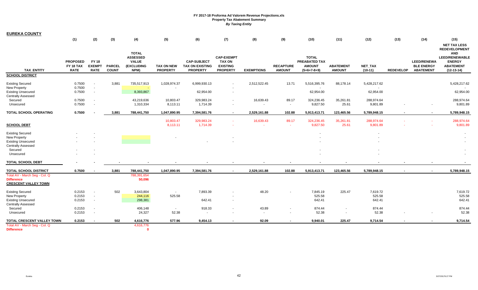| <b>EUREKA COUNTY</b>                                                                                                      |                                             |                                              |                               |                                                                       |                                      |                                                                 |                                                                          |                   |                                   |                                                                 |                                            |                              |                          |                                                             |                                                                                          |
|---------------------------------------------------------------------------------------------------------------------------|---------------------------------------------|----------------------------------------------|-------------------------------|-----------------------------------------------------------------------|--------------------------------------|-----------------------------------------------------------------|--------------------------------------------------------------------------|-------------------|-----------------------------------|-----------------------------------------------------------------|--------------------------------------------|------------------------------|--------------------------|-------------------------------------------------------------|------------------------------------------------------------------------------------------|
|                                                                                                                           | (1)                                         | (2)                                          | (3)                           | (4)                                                                   | (5)                                  | (6)                                                             | (7)                                                                      | (8)               | (9)                               | (10)                                                            | (11)                                       | (12)                         | (13)                     | (14)                                                        | (15)<br><b>NET TAX LESS</b><br><b>REDEVELOPMENT</b>                                      |
| <b>TAX ENTITY</b>                                                                                                         | <b>PROPOSED</b><br>FY 18 TAX<br><b>RATE</b> | <b>FY 18</b><br><b>EXEMPT</b><br><b>RATE</b> | <b>PARCEL</b><br><b>COUNT</b> | <b>TOTAL</b><br><b>ASSESSED</b><br><b>VALUE</b><br>(EXCLUDING<br>NPM) | <b>TAX ON NEW</b><br><b>PROPERTY</b> | <b>CAP-SUBJECT</b><br><b>TAX ON EXISTING</b><br><b>PROPERTY</b> | <b>CAP-EXEMPT</b><br><b>TAX ON</b><br><b>EXISTING</b><br><b>PROPERTY</b> | <b>EXEMPTIONS</b> | <b>RECAPTURE</b><br><b>AMOUNT</b> | <b>TOTAL</b><br>PREABATED TAX<br><b>AMOUNT</b><br>$(5+6+7-8+9)$ | <b>ABATEMENT</b><br><b>AMOUNT</b>          | NET_TAX<br>$(10-11)$         | <b>REDEVELOP</b>         | <b>LEED/RENEWA</b><br><b>BLE ENERGY</b><br><b>ABATEMENT</b> | <b>AND</b><br><b>LEED/RENEWABLE</b><br><b>ENERGY</b><br><b>ABATEMENT</b><br>$(12-13-14)$ |
| <b>SCHOOL DISTRICT</b>                                                                                                    |                                             |                                              |                               |                                                                       |                                      |                                                                 |                                                                          |                   |                                   |                                                                 |                                            |                              |                          |                                                             |                                                                                          |
| <b>Existing Secured</b><br>New Property                                                                                   | 0.7500<br>0.7500                            | $\sim$<br>$\sim$                             | 3,881                         | 735,517,913                                                           | 1,028,974.37                         | 6,999,930.13                                                    | $\sim$                                                                   | 2,512,522.45      | 13.71                             | 5,516,395.76<br>$\sim$                                          | 88,178.14                                  | 5,428,217.62                 |                          |                                                             | 5,428,217.62                                                                             |
| <b>Existing Unsecured</b><br><b>Centrally Assessed</b>                                                                    | 0.7500                                      | $\blacksquare$                               |                               | 8,393,867                                                             |                                      | 62,954.00                                                       |                                                                          |                   |                                   | 62,954.00                                                       |                                            | 62,954.00                    |                          |                                                             | 62,954.00                                                                                |
| Secured<br>Unsecured                                                                                                      | 0.7500<br>0.7500                            | $\sim$<br>$\blacksquare$                     |                               | 43,219,636<br>1,310,334                                               | 10,803.47<br>8,113.11                | 329,983.24<br>1,714.39                                          | $\sim$                                                                   | 16,639.43         | 89.17<br>$\sim$                   | 324,236.45<br>9,827.50                                          | 35,261.81<br>25.61                         | 288,974.64<br>9,801.89       |                          |                                                             | 288,974.64<br>9,801.89                                                                   |
| TOTAL SCHOOL OPERATING                                                                                                    | 0.7500                                      |                                              | 3,881                         | 788,441,750                                                           | 1,047,890.95                         | 7,394,581.76                                                    | $\sim$                                                                   | 2,529,161.88      | 102.88                            | 5,913,413.71                                                    | 123,465.56                                 | 5,789,948.15                 | $\overline{\phantom{a}}$ | $\mathbf{r}$                                                | 5,789,948.15                                                                             |
| <b>SCHOOL DEBT</b>                                                                                                        |                                             |                                              |                               |                                                                       | 10,803.47<br>8,113.11                | 329,983.24<br>1,714.39                                          |                                                                          | 16,639.43         | 89.17<br>$\sim$                   | 324,236.45<br>9,827.50                                          | 35,261.81<br>25.61                         | 288,974.64<br>9,801.89       |                          |                                                             | 288,974.64<br>9,801.89                                                                   |
| <b>Existing Secured</b><br>New Property<br><b>Existing Unsecured</b><br><b>Centrally Assessed</b><br>Secured<br>Unsecured |                                             |                                              |                               |                                                                       |                                      |                                                                 |                                                                          |                   |                                   |                                                                 |                                            |                              |                          |                                                             |                                                                                          |
| <b>TOTAL SCHOOL DEBT</b>                                                                                                  |                                             |                                              |                               |                                                                       |                                      |                                                                 |                                                                          |                   |                                   |                                                                 |                                            |                              |                          |                                                             |                                                                                          |
| <b>TOTAL SCHOOL DISTRICT</b>                                                                                              | 0.7500                                      | $\sim$                                       | 3,881                         | 788,441,750                                                           | 1,047,890.95                         | 7,394,581.76                                                    | $\sim$                                                                   | 2,529,161.88      | 102.88                            | 5,913,413.71                                                    | 123,465.56                                 | 5,789,948.15                 |                          | $\sim$                                                      | 5,789,948.15                                                                             |
| Total AV - March Seg - Col. Q<br><b>Difference</b><br><b>CRESCENT VALLEY TOWN</b>                                         |                                             |                                              |                               | 788,391,654<br>50,096                                                 |                                      |                                                                 |                                                                          |                   |                                   |                                                                 |                                            |                              |                          |                                                             |                                                                                          |
| <b>Existing Secured</b><br>New Property<br><b>Existing Unsecured</b>                                                      | 0.2153<br>0.2153<br>0.2153                  | $\overline{\phantom{a}}$<br>$\sim$<br>$\sim$ | 502                           | 3,643,804<br>244,116<br>298,381                                       | $\sim$<br>525.58                     | 7,893.39<br>642.41                                              |                                                                          | 48.20             |                                   | 7,845.19<br>525.58<br>642.41                                    | 225.47                                     | 7,619.72<br>525.58<br>642.41 |                          |                                                             | 7,619.72<br>525.58<br>642.41                                                             |
| <b>Centrally Assessed</b><br>Secured<br>Unsecured                                                                         | 0.2153<br>0.2153                            | $\blacksquare$<br>$\blacksquare$             |                               | 406,148<br>24,327                                                     | $\sim$<br>52.38                      | 918.33<br>$\blacksquare$                                        |                                                                          | 43.89<br>$\sim$   | $\sim$                            | 874.44<br>52.38                                                 | $\blacksquare$<br>$\overline{\phantom{a}}$ | 874.44<br>52.38              |                          |                                                             | 874.44<br>52.38                                                                          |
| TOTAL CRESCENT VALLEY TOWN<br>Total AV - March Seg - Col. Q                                                               | 0.2153                                      |                                              | 502                           | 4,616,776<br>4,616,776                                                | 577.96                               | 9,454.13                                                        | $\blacksquare$                                                           | 92.09             |                                   | 9,940.01                                                        | 225.47                                     | 9,714.54                     |                          |                                                             | 9,714.54                                                                                 |
| <b>Difference</b>                                                                                                         |                                             |                                              |                               | $\mathbf{0}$                                                          |                                      |                                                                 |                                                                          |                   |                                   |                                                                 |                                            |                              |                          |                                                             |                                                                                          |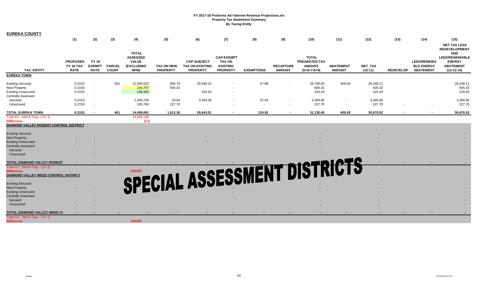| <b>EUREKA COUNTY</b>                                   |                              |                               |               |                                                               |                   |                                              |                                                       |                   |                  |                                                       |                  |           |                  |                                         |                                                                                                                         |
|--------------------------------------------------------|------------------------------|-------------------------------|---------------|---------------------------------------------------------------|-------------------|----------------------------------------------|-------------------------------------------------------|-------------------|------------------|-------------------------------------------------------|------------------|-----------|------------------|-----------------------------------------|-------------------------------------------------------------------------------------------------------------------------|
|                                                        | (1)                          | (2)                           | (3)           | (4)                                                           | (5)               | (6)                                          | (7)                                                   | (8)               | (9)              | (10)                                                  | (11)             | (12)      | (13)             | (14)                                    | (15)                                                                                                                    |
|                                                        | <b>PROPOSED</b><br>FY 18 TAX | <b>FY 18</b><br><b>EXEMPT</b> | <b>PARCEL</b> | <b>TOTAL</b><br><b>ASSESSED</b><br><b>VALUE</b><br>(EXCLUDING | <b>TAX ON NEW</b> | <b>CAP-SUBJECT</b><br><b>TAX ON EXISTING</b> | <b>CAP-EXEMPT</b><br><b>TAX ON</b><br><b>EXISTING</b> |                   | <b>RECAPTURE</b> | <b>TOTAL</b><br><b>PREABATED TAX</b><br><b>AMOUNT</b> | <b>ABATEMENT</b> | NET_TAX   |                  | <b>LEED/RENEWA</b><br><b>BLE ENERGY</b> | <b>NET TAX LESS</b><br><b>REDEVELOPMENT</b><br><b>AND</b><br><b>LEED/RENEWABLE</b><br><b>ENERGY</b><br><b>ABATEMENT</b> |
| <b>TAX ENTITY</b>                                      | <b>RATE</b>                  | <b>RATE</b>                   | <b>COUNT</b>  | NPM)                                                          | <b>PROPERTY</b>   | <b>PROPERTY</b>                              | <b>PROPERTY</b>                                       | <b>EXEMPTIONS</b> | <b>AMOUNT</b>    | $(5+6+7-8+9)$                                         | <b>AMOUNT</b>    | $(10-11)$ | <b>REDEVELOP</b> | <b>ABATEMENT</b>                        | $(12-13-14)$                                                                                                            |
| <b>EUREKA TOWN</b>                                     |                              |                               |               |                                                               |                   |                                              |                                                       |                   |                  |                                                       |                  |           |                  |                                         |                                                                                                                         |
|                                                        |                              |                               |               |                                                               |                   |                                              |                                                       |                   |                  |                                                       |                  |           |                  |                                         |                                                                                                                         |
| <b>Existing Secured</b>                                | 0.2153                       |                               | 401           | 12,405,022                                                    | 845.70            | 25,930.22                                    |                                                       | 67.88             |                  | 26,708.04                                             | 459.93           | 26,248.11 |                  |                                         | 26,248.11                                                                                                               |
| <b>New Property</b>                                    | 0.2153                       | $\sim$                        |               | 234,707                                                       | 505.32            |                                              |                                                       |                   |                  | 505.32                                                |                  | 505.32    |                  |                                         | 505.32                                                                                                                  |
| <b>Existing Unsecured</b>                              | 0.2153                       | $\sim$                        |               | 148,365                                                       |                   | 319.43                                       | $\sim$                                                |                   |                  | 319.43                                                |                  | 319.43    |                  |                                         | 319.43                                                                                                                  |
| <b>Centrally Assessed</b>                              |                              |                               |               |                                                               |                   |                                              |                                                       |                   |                  |                                                       |                  |           |                  |                                         |                                                                                                                         |
| Secured                                                | 0.2153                       | $\sim$                        |               | 1,565,236                                                     | 33.64             | 3,393.36                                     | $\sim$                                                | 57.04             |                  | 3,369.96                                              | $\sim$           | 3,369.96  |                  |                                         | 3,369.96                                                                                                                |
| Unsecured                                              | 0.2153                       | $\sim$                        |               | 105,760                                                       | 227.70            | $\sim$                                       |                                                       | $\sim$            |                  | 227.70                                                | $\sim$           | 227.70    |                  |                                         | 227.70                                                                                                                  |
| <b>TOTAL EUREKA TOWN</b>                               | 0.2153                       |                               | 401           | 14,459,091                                                    | 1,612.36          | 29,643.01                                    | $\sim$                                                | 124.92            |                  | 31,130.45                                             | 459.93           | 30,670.52 | $\sim$           |                                         | 30,670.52                                                                                                               |
| Total AV - March Seg - Col. Q                          |                              |                               |               | 14,459,108                                                    |                   |                                              |                                                       |                   |                  |                                                       |                  |           |                  |                                         |                                                                                                                         |
| <b>Difference</b>                                      |                              |                               |               | (17)                                                          |                   |                                              |                                                       |                   |                  |                                                       |                  |           |                  |                                         |                                                                                                                         |
| DIAMOND VALLEY RODENT CONTROL DISTRICT                 |                              |                               |               |                                                               |                   |                                              |                                                       |                   |                  |                                                       |                  |           |                  |                                         |                                                                                                                         |
|                                                        |                              |                               |               |                                                               |                   |                                              |                                                       |                   |                  |                                                       |                  |           |                  |                                         |                                                                                                                         |
| <b>Existing Secured</b>                                |                              |                               |               |                                                               |                   |                                              |                                                       |                   |                  |                                                       |                  |           |                  |                                         |                                                                                                                         |
| <b>New Property</b>                                    |                              |                               |               |                                                               |                   |                                              |                                                       |                   |                  |                                                       |                  |           |                  |                                         |                                                                                                                         |
| <b>Existing Unsecured</b>                              |                              |                               |               |                                                               |                   |                                              |                                                       |                   |                  |                                                       |                  |           |                  |                                         |                                                                                                                         |
| <b>Centrally Assessed</b>                              |                              |                               |               |                                                               |                   |                                              |                                                       |                   |                  |                                                       |                  |           |                  |                                         |                                                                                                                         |
| Secured                                                |                              |                               |               |                                                               |                   |                                              |                                                       |                   |                  |                                                       |                  |           |                  |                                         |                                                                                                                         |
| Unsecured                                              |                              |                               |               |                                                               |                   |                                              |                                                       |                   |                  |                                                       |                  |           |                  |                                         |                                                                                                                         |
| TOTAL DIAMOND VALLEY RODENT                            |                              |                               |               |                                                               |                   | SPECIAL ASSESSMENT DIST                      |                                                       |                   |                  |                                                       |                  |           |                  |                                         |                                                                                                                         |
| Total AV - March Seg - Col. Q                          |                              |                               |               |                                                               |                   |                                              |                                                       |                   |                  |                                                       |                  |           |                  |                                         |                                                                                                                         |
| <b>Difference</b>                                      |                              |                               |               |                                                               |                   |                                              |                                                       |                   |                  |                                                       |                  |           |                  |                                         |                                                                                                                         |
| DIAMOND VALLEY WEED CONTROL DISTRICT                   |                              |                               |               |                                                               |                   |                                              |                                                       |                   |                  |                                                       |                  |           |                  |                                         |                                                                                                                         |
| <b>Existing Secured</b>                                |                              |                               |               |                                                               |                   |                                              |                                                       |                   |                  |                                                       |                  |           |                  |                                         |                                                                                                                         |
| <b>New Property</b>                                    |                              |                               |               |                                                               |                   |                                              |                                                       |                   |                  |                                                       |                  |           |                  |                                         |                                                                                                                         |
|                                                        |                              |                               |               |                                                               |                   |                                              |                                                       |                   |                  |                                                       |                  |           |                  |                                         |                                                                                                                         |
| <b>Existing Unsecured</b><br><b>Centrally Assessed</b> |                              |                               |               |                                                               |                   |                                              |                                                       |                   |                  |                                                       |                  |           |                  |                                         |                                                                                                                         |
| Secured                                                |                              |                               |               |                                                               |                   |                                              |                                                       |                   |                  |                                                       |                  |           |                  |                                         |                                                                                                                         |
| Unsecured                                              |                              |                               |               |                                                               |                   |                                              |                                                       |                   |                  |                                                       |                  |           |                  |                                         |                                                                                                                         |
|                                                        |                              |                               |               |                                                               |                   |                                              |                                                       |                   |                  |                                                       |                  |           |                  |                                         |                                                                                                                         |
| TOTAL DIAMOND VALLEY WEED C(                           |                              |                               |               |                                                               |                   |                                              |                                                       |                   |                  |                                                       |                  |           |                  |                                         |                                                                                                                         |
| Total AV - March Seg - Col. Q                          |                              |                               |               |                                                               |                   |                                              |                                                       |                   |                  |                                                       |                  |           |                  |                                         |                                                                                                                         |

**#DIV/0!**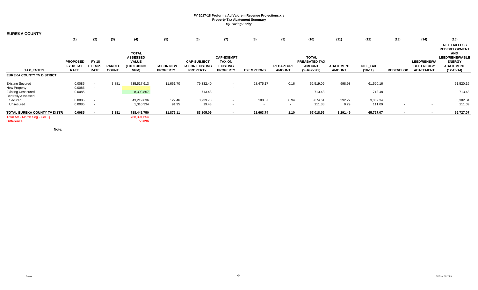| <b>EUREKA COUNTY</b>                |                 |               |               |                   |                   |                    |                          |                   |                          |                      |                  |                |                          |                    |                       |
|-------------------------------------|-----------------|---------------|---------------|-------------------|-------------------|--------------------|--------------------------|-------------------|--------------------------|----------------------|------------------|----------------|--------------------------|--------------------|-----------------------|
|                                     | (1)             | (2)           | (3)           | (4)               | (5)               | (6)                | (7)                      | (8)               | (9)                      | (10)                 | (11)             | (12)           | (13)                     | (14)               | (15)                  |
|                                     |                 |               |               |                   |                   |                    |                          |                   |                          |                      |                  |                |                          |                    | <b>NET TAX LESS</b>   |
|                                     |                 |               |               |                   |                   |                    |                          |                   |                          |                      |                  |                |                          |                    | <b>REDEVELOPMENT</b>  |
|                                     |                 |               |               | <b>TOTAL</b>      |                   |                    |                          |                   |                          |                      |                  |                |                          |                    | <b>AND</b>            |
|                                     |                 |               |               | <b>ASSESSED</b>   |                   |                    | <b>CAP-EXEMPT</b>        |                   |                          | <b>TOTAL</b>         |                  |                |                          |                    | <b>LEED/RENEWABLE</b> |
|                                     | <b>PROPOSED</b> | <b>FY 18</b>  |               | <b>VALUE</b>      |                   | <b>CAP-SUBJECT</b> | <b>TAX ON</b>            |                   |                          | <b>PREABATED TAX</b> |                  |                |                          | <b>LEED/RENEWA</b> | <b>ENERGY</b>         |
|                                     | FY 18 TAX       | <b>EXEMPT</b> | <b>PARCEL</b> | <b>(EXCLUDING</b> | <b>TAX ON NEW</b> | TAX ON EXISTING    | <b>EXISTING</b>          |                   | <b>RECAPTURE</b>         | <b>AMOUNT</b>        | <b>ABATEMENT</b> | <b>NET TAX</b> |                          | <b>BLE ENERGY</b>  | <b>ABATEMENT</b>      |
| <b>TAX ENTITY</b>                   | <b>RATE</b>     | <b>RATE</b>   | <b>COUNT</b>  | NPM)              | <b>PROPERTY</b>   | <b>PROPERTY</b>    | <b>PROPERTY</b>          | <b>EXEMPTIONS</b> | <b>AMOUNT</b>            | $(5+6+7-8+9)$        | <b>AMOUNT</b>    | $(10-11)$      | <b>REDEVELOP</b>         | <b>ABATEMENT</b>   | $(12-13-14)$          |
| <b>EUREKA COUNTY TV DISTRICT</b>    |                 |               |               |                   |                   |                    |                          |                   |                          |                      |                  |                |                          |                    |                       |
| <b>Existing Secured</b>             | 0.0085          | $\sim$        | 3,881         | 735,517,913       | 11,661.70         | 79,332.40          | $\sim$                   | 28,475.17         | 0.16                     | 62,519.09            | 998.93           | 61,520.16      |                          |                    | 61,520.16             |
| New Property                        | 0.0085          |               |               |                   |                   |                    | $\sim$                   |                   |                          |                      |                  |                |                          |                    |                       |
| <b>Existing Unsecured</b>           | 0.0085          |               |               | 8,393,867         |                   | 713.48             | $\overline{\phantom{a}}$ |                   |                          | 713.48               |                  | 713.48         |                          |                    | 713.48                |
| Centrally Assessed                  |                 |               |               |                   |                   |                    |                          |                   |                          |                      |                  |                |                          |                    |                       |
| Secured                             | 0.0085          |               |               | 43,219,636        | 122.46            | 3,739.78           | $\sim$                   | 188.57            | 0.94                     | 3,674.61             | 292.27           | 3,382.34       |                          |                    | 3,382.34              |
| Unsecured                           | 0.0085          |               |               | 1,310,334         | 91.95             | 19.43              | $\sim$                   | $\sim$            | $\overline{\phantom{a}}$ | 111.38               | 0.29             | 111.09         |                          |                    | 111.09                |
| <b>TOTAL EUREKA COUNTY TV DISTR</b> | 0.0085          |               | 3,881         | 788,441,750       | 11,876.11         | 83,805.09          | $\overline{\phantom{a}}$ | 28,663.74         | 1.10                     | 67,018.56            | 1,291.49         | 65,727.07      | $\overline{\phantom{a}}$ |                    | 65,727.07             |
| Total AV - March Seg - Col. Q       |                 |               |               | 788,391,654       |                   |                    |                          |                   |                          |                      |                  |                |                          |                    |                       |
| <b>Difference</b>                   |                 |               |               | 50,096            |                   |                    |                          |                   |                          |                      |                  |                |                          |                    |                       |

**Note:**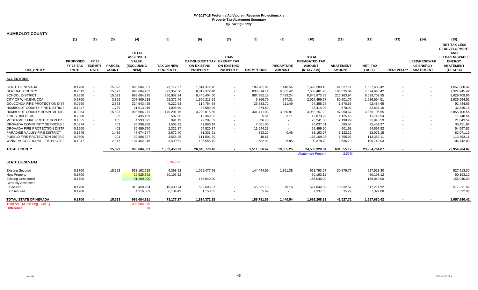| <b>HUMBOLDT COUNTY</b>                                 |                                             |                                              |                               |                                                                              |                                      |                                                                     |                                               |                          |                                   |                                                                        |                                   |                              |                  |                                                             |                                                                                                                                         |
|--------------------------------------------------------|---------------------------------------------|----------------------------------------------|-------------------------------|------------------------------------------------------------------------------|--------------------------------------|---------------------------------------------------------------------|-----------------------------------------------|--------------------------|-----------------------------------|------------------------------------------------------------------------|-----------------------------------|------------------------------|------------------|-------------------------------------------------------------|-----------------------------------------------------------------------------------------------------------------------------------------|
|                                                        | (1)                                         | (2)                                          | (3)                           | (4)                                                                          | (5)                                  | (6)                                                                 | (7)                                           | (8)                      | (9)                               | (10)                                                                   | (11)                              | (12)                         | (13)             | (14)                                                        | (15)                                                                                                                                    |
| <b>TAX ENTITY</b>                                      | <b>PROPOSED</b><br>FY 18 TAX<br><b>RATE</b> | <b>FY 18</b><br><b>EXEMPT</b><br><b>RATE</b> | <b>PARCEL</b><br><b>COUNT</b> | <b>TOTAL</b><br><b>ASSESSED</b><br><b>VALUE</b><br><b>(EXCLUDING</b><br>NPM) | <b>TAX ON NEW</b><br><b>PROPERTY</b> | CAP-SUBJECT TAX EXEMPT TAX<br><b>ON EXISTING</b><br><b>PROPERTY</b> | CAP-<br><b>ON EXISTING</b><br><b>PROPERTY</b> | <b>EXEMPTIONS</b>        | <b>RECAPTURE</b><br><b>AMOUNT</b> | <b>TOTAL</b><br><b>PREABATED TAX</b><br><b>AMOUNT</b><br>$(5+6+7-8+9)$ | <b>ABATEMENT</b><br><b>AMOUNT</b> | <b>NET TAX</b><br>$(10-11)$  | <b>REDEVELOP</b> | <b>LEED/RENEWAB</b><br><b>LE ENERGY</b><br><b>ABATEMENT</b> | <b>NET TAX LESS</b><br><b>REDEVELOPMENT</b><br><b>AND</b><br><b>LEED/RENEWABLE</b><br><b>ENERGY</b><br><b>ABATEMENT</b><br>$(12-13-14)$ |
| <b>ALL ENTITIES</b>                                    |                                             |                                              |                               |                                                                              |                                      |                                                                     |                                               |                          |                                   |                                                                        |                                   |                              |                  |                                                             |                                                                                                                                         |
|                                                        |                                             |                                              |                               |                                                                              |                                      |                                                                     |                                               |                          |                                   |                                                                        |                                   |                              |                  |                                                             |                                                                                                                                         |
| <b>STATE OF NEVADA</b><br><b>GENERAL COUNTY</b>        | 0.1700<br>0.7512                            | $\sim$                                       | 15,623<br>15,623              | 998,684,331<br>998,684,252                                                   | 73,177.27<br>323,357.50              | 1,814,372.18<br>8,017,372.48                                        | $\sim$<br>$\sim$                              | 189,781.86<br>838,614.14 | 1,440.54<br>6,365.42              | 1,699,208.13<br>7,508,481.26                                           | 41,527.71<br>183,535.84           | 1,657,680.42<br>7,324,945.42 |                  | $\sim$<br>$\overline{a}$                                    | 1,657,680.42<br>7,324,945.42                                                                                                            |
| <b>SCHOOL DISTRICT</b>                                 | 0.8850                                      | $\sim$                                       | 15,623                        | 998,684,275                                                                  | 380,952.34                           | 9,445,404.50                                                        | $\sim$                                        | 987,982.19               | 7,499.24                          | 8,845,873.89                                                           | 216,163.94                        | 8,629,709.95                 |                  | $\sim$                                                      | 8,629,709.95                                                                                                                            |
| <b>CITY OF WINNEMUCCA</b>                              | 0.9700                                      | $\sim$                                       | 3,369                         | 207,909,218                                                                  | 62,372.46                            | 1,960,213.29                                                        | $\sim$                                        | 5,866.79                 | 777.31                            | 2,017,496.27                                                           | 80,501.76                         | 1,936,994.51                 |                  | $\sim$                                                      | 1,936,994.51                                                                                                                            |
| <b>GOLCONDA FIRE PROTECTION DIST</b>                   | 0.0290                                      |                                              | 2,873                         | 324,643,425                                                                  | 6,222.63                             | 114,754.88                                                          |                                               | 26,833.72                | 211.49                            | 94,355.28                                                              | 1,870.63                          | 92,484.65                    |                  |                                                             | 92,484.65                                                                                                                               |
| HUMBOLDT COUNTY FIRE DISTRICT                          | 0.1047                                      |                                              | 1,739                         | 31,913,015                                                                   | 1,098.59                             | 32,589.99                                                           |                                               | 274.50                   | $\sim$                            | 33.414.08                                                              | 578.92                            | 32,835.16                    |                  |                                                             | 32,835.16                                                                                                                               |
| HUMBOLDT COUNTY HOSPITAL DIS'                          | 0.3954                                      | $\sim$                                       | 15,623                        | 998,684,271                                                                  | 170,201.75                           | 4,220,015.69                                                        | $\sim$                                        | 441,411.03               | 3,350.81                          | 3,952,157.22                                                           | 97,050.67                         | 3,855,106.55                 |                  | $\overline{\phantom{a}}$                                    | 3,855,106.55                                                                                                                            |
| KINGS RIVER GID                                        | 0.2000                                      |                                              | 83                            | 6,435,439                                                                    | 507.56                               | 12,368.83                                                           | $\sim$                                        | 5.51                     | 3.11                              | 12,873.99                                                              | 1,125.45                          | 11,748.54                    |                  | $\overline{\phantom{a}}$                                    | 11,748.54                                                                                                                               |
| MCDERMITT FIRE PROTECTION DIS                          | 0.4655                                      |                                              | 435                           | 4,993,025                                                                    | 991.19                               | 22,287.39                                                           |                                               | 36.70                    | $\sim$                            | 23,241.88                                                              | 2,198.29                          | 21,043.59                    |                  |                                                             | 21,043.59                                                                                                                               |
| OROVADA COMMUNITY SERVICES I                           | 0.0974                                      |                                              | 403                           | 36,999,788                                                                   | 1,508.32                             | 42,090.19                                                           |                                               | 7,561.00                 | $\sim$                            | 36,037.51                                                              | 585.54                            | 35,451.97                    |                  |                                                             | 35,451.97                                                                                                                               |
| OROVADA FIRE PROTECTION DISTF                          | 0.1500                                      |                                              | 403                           | 36,999,770                                                                   | 2,322.87                             | 64,820.87                                                           | $\sim$                                        | 11,644.23                | $\sim$                            | 55,499.50                                                              | 901.68                            | 54,597.82                    |                  | $\sim$                                                      | 54,597.82                                                                                                                               |
| PARADISE VALLEY FIRE DISTRICT                          | 0.1745                                      |                                              | 1,439                         | 47,674,747                                                                   | 2,672.40                             | 81,333.61                                                           | $\overline{\phantom{a}}$                      | 813.22                   | 0.48                              | 83,193.27                                                              | 1,122.12                          | 82,071.15                    |                  | $\overline{\phantom{a}}$                                    | 82,071.15                                                                                                                               |
| PUEBLO FIRE PROTECTION DISTRIC                         | 0.3500                                      |                                              | 201                           | 32,888,327                                                                   | 3,566.25                             | 111,591.39                                                          |                                               | 48.61                    | $\sim$                            | 115,109.03                                                             | 1,755.92                          | 113,353.11                   |                  | $\overline{\phantom{a}}$                                    | 113,353.11                                                                                                                              |
| WINNEMUCCA RURAL FIRE PROTE(                           | 0.1047                                      |                                              | 2,947                         | 104,462,246                                                                  | 3,499.61                             | 106,555.19                                                          |                                               | 682.92                   | 6.85                              | 109,378.73                                                             | 2,636.70                          | 106,742.03                   |                  |                                                             | 106,742.03                                                                                                                              |
| <b>TOTAL COUNTY</b>                                    |                                             |                                              | 15,623                        | 998,684,331                                                                  | 1,032,450.73                         | 26,045,770.48                                                       |                                               | 2,511,556.42             | 19,655.25                         | 24,586,320.04                                                          | 631,555.17                        | 23,954,764.87                |                  |                                                             | 23,954,764.87                                                                                                                           |
|                                                        |                                             |                                              |                               |                                                                              |                                      |                                                                     |                                               |                          |                                   | <b>Abatement Percent</b>                                               | 2.57%                             |                              |                  |                                                             |                                                                                                                                         |
| <b>STATE OF NEVADA</b>                                 |                                             |                                              |                               |                                                                              | 3,764,071                            |                                                                     |                                               |                          |                                   |                                                                        |                                   |                              |                  |                                                             |                                                                                                                                         |
| <b>Existing Secured</b>                                | 0.1700                                      |                                              | 15,623                        | 563,192,615                                                                  | 6,398.92                             | 1,095,477.76                                                        | $\sim$                                        | 144.444.99               | 1,361.38                          | 958,793.07                                                             | 30,879.77                         | 927,913.30                   |                  |                                                             | 927,913.30                                                                                                                              |
| <b>New Property</b>                                    | 0.1700                                      |                                              |                               | 29,525,362                                                                   | 50,193.12                            |                                                                     |                                               |                          |                                   | 50,193.12                                                              |                                   | 50,193.12                    |                  |                                                             | 50,193.12                                                                                                                               |
| <b>Existing Unsecured</b><br><b>Centrally Assessed</b> | 0.1700                                      |                                              |                               | 91,200,000                                                                   |                                      | 155,040.00                                                          | $\sim$                                        |                          |                                   | 155,040.00                                                             |                                   | 155,040.00                   |                  |                                                             | 155,040.00                                                                                                                              |
| Secured                                                | 0.1700                                      |                                              |                               | 310,450,264                                                                  | 10,400.74                            | 562,695.87                                                          |                                               | 45,331.18                | 79.16                             | 527,844.59                                                             | 10,632.67                         | 517,211.92                   |                  |                                                             | 517,211.92                                                                                                                              |
| Unsecured                                              | 0.1700                                      |                                              |                               | 4,316,089                                                                    | 6,184.49                             | 1,158.55                                                            |                                               | 5.69                     | $\sim$                            | 7,337.35                                                               | 15.27                             | 7,322.08                     |                  |                                                             | 7,322.08                                                                                                                                |
| <b>TOTAL STATE OF NEVADA</b>                           | 0.1700                                      |                                              | 15.623                        | 998,684,331                                                                  | 73.177.27                            | 1,814,372.18                                                        | $\sim$                                        | 189.781.86               | 1.440.54                          | 1.699.208.13                                                           | 41.527.71                         | 1.657.680.42                 |                  |                                                             | 1,657,680.42                                                                                                                            |
| Total AV - March Seg - Col. Q                          |                                             |                                              |                               | 998,684,275                                                                  |                                      |                                                                     |                                               |                          |                                   |                                                                        |                                   |                              |                  |                                                             |                                                                                                                                         |
| <b>Difference</b>                                      |                                             |                                              |                               | 56                                                                           |                                      |                                                                     |                                               |                          |                                   |                                                                        |                                   |                              |                  |                                                             |                                                                                                                                         |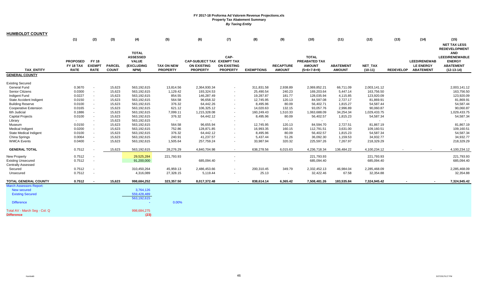| (1)<br>(2)<br>(3)<br>(4)<br>(5)<br>(6)<br>(7)<br>(8)<br>(9)<br>(10)<br>(11)<br>(12)<br>(13)<br>(14)<br>(15)<br><b>NET TAX LESS</b><br><b>REDEVELOPMENT</b><br><b>TOTAL</b><br><b>AND</b><br>CAP-<br><b>TOTAL</b><br><b>ASSESSED</b><br><b>LEED/RENEWABLE</b><br><b>FY 18</b><br><b>VALUE</b><br>CAP-SUBJECT TAX EXEMPT TAX<br>PREABATED TAX<br><b>ENERGY</b><br><b>PROPOSED</b><br><b>LEED/RENEWAB</b><br><b>EXEMPT</b><br><b>PARCEL</b><br>(EXCLUDING<br><b>ON EXISTING</b><br><b>ON EXISTING</b><br><b>RECAPTURE</b><br><b>AMOUNT</b><br><b>ABATEMENT</b><br><b>NET TAX</b><br><b>LE ENERGY</b><br><b>ABATEMENT</b><br>FY 18 TAX<br><b>TAX ON NEW</b><br><b>TAX ENTITY</b><br><b>RATE</b><br><b>COUNT</b><br>NPM)<br><b>PROPERTY</b><br><b>PROPERTY</b><br><b>PROPERTY</b><br><b>EXEMPTIONS</b><br><b>AMOUNT</b><br><b>AMOUNT</b><br><b>REDEVELOP</b><br><b>ABATEMENT</b><br><b>RATE</b><br>$(5+6+7-8+9)$<br>$(10-11)$<br>$(12-13-14)$<br><b>GENERAL COUNTY</b><br>15,623<br><b>General Fund</b><br>0.3670<br>563,192,615<br>13,814.56<br>2,364,930.34<br>311,831.58<br>2,938.89<br>2,069,852.21<br>66,711.09<br>2,003,141.12<br>2,003,141.12<br>$\sim$<br><b>Senior Citizens</b><br>0.0300<br>15,623<br>1,129.42<br>193,324.53<br>169,203.64<br>5,447.14<br>163,756.50<br>163,756.50<br>563,192,615<br>25,490.54<br>240.23<br>$\blacksquare$<br>$\sim$<br>Indigent Fund<br>0.0227<br>15,623<br>563,192,615<br>854.55<br>146,287.49<br>19,287.87<br>181.77<br>128,035.94<br>4,115.85<br>123,920.09<br>123,920.09<br>$\sim$<br>State Accident Indigent<br>0.0150<br>15,623<br>563,192,615<br>564.58<br>96,658.32<br>120.13<br>84,597.08<br>2,727.17<br>81,869.91<br>81,869.91<br>12,745.95<br>$\sim$<br>$\sim$<br>56,402.71<br>54,587.44<br>54,587.44<br><b>Building Reserve</b><br>0.0100<br>15,623<br>563,192,615<br>376.32<br>64,442.26<br>8,495.96<br>80.09<br>1,815.27<br>$\sim$<br>$\sim$<br>0.0165<br>563,192,615<br>621.12<br>106,325.12<br>93,057.76<br>2,996.89<br>90,060.87<br>90,060.87<br><b>Cooperative Extension</b><br>15,623<br>14,020.63<br>132.15<br>6th Judicial<br>0.1886<br>563,192,615<br>1,215,328.08<br>34,254.34<br>15,623<br>7,099.11<br>160,249.43<br>1,510.33<br>1,063,688.09<br>1,029,433.75<br>1,029,433.75<br>$\blacksquare$<br>$\sim$<br>54,587.34<br><b>Capital Projects</b><br>0.0100<br>15,623<br>563,192,615<br>376.32<br>64,442.12<br>8,495.96<br>80.09<br>56,402.57<br>1,815.23<br>54,587.34<br>$\sim$<br>$\sim$<br>Library<br>15,623<br>563,192,615<br>$\sim$<br>$\sim$<br>$\sim$<br>$\sim$<br>$\sim$<br>564.58<br>96,655.94<br>12,745.95<br>84,594.70<br>2,727.51<br>81,867.19<br>81,867.19<br>0.0150<br>15,623<br>563,192,615<br>120.13<br>Museum<br>$\overline{\phantom{a}}$<br>$\sim$<br>0.0200<br>563,192,615<br><b>Medical Indigent</b><br>15,623<br>752.86<br>128,871.85<br>16,993.35<br>160.15<br>112,791.51<br>3,631.00<br>109,160.51<br>109,160.51<br>$\sim$<br>$\sim$<br>State Medical Indigent<br>56,402.57<br>15,623<br>563,192,615<br>376.32<br>64,442.12<br>8,495.96<br>80.09<br>1,815.23<br>54,587.34<br>54,587.34<br>0.0100<br>41,237.57<br>36,092.30<br>34,932.77<br>China Springs<br>0.0064<br>15,623<br>563,192,615<br>240.91<br>5,437.44<br>51.26<br>1,159.53<br>34,932.77<br>$\sim$<br>$\sim$<br><b>WMCA Events</b><br>0.0400<br>563,192,615<br>1,505.64<br>257,759.24<br>320.32<br>225,597.26<br>7,267.97<br>218,329.29<br>218,329.29<br>15,623<br>33,987.94<br>$\sim$<br>$\sim$<br>0.7512<br><b>GENERAL TOTAL</b><br>15,623<br>563,192,615<br>28,276.29<br>4,840,704.98<br>638,278.56<br>6,015.63<br>4,236,718.34<br>136,484.22<br>4,100,234.12<br>4,100,234.12<br>$\sim$<br>0.7512<br>221,793.93<br>29,525,284<br>221,793.93<br>221,793.93<br>221,793.93<br>$\sim$<br>0.7512<br>91,200,000<br>685,094.40<br>685,094.40<br>685,094.40<br>685,094.40<br>0.7512<br>310,450,264<br>45,959.13<br>2,486,453.66<br>200,310.45<br>349.79<br>2,332,452.13<br>46,984.04<br>2,285,468.09<br>2,285,468.09<br>Secured<br>$\sim$<br>0.7512<br>4,316,089<br>25.13<br>32,422.46<br>67.58<br>32,354.88<br>27,328.15<br>5,119.44<br>32,354.88<br>Unsecured<br>$\sim$<br>0.7512<br>15,623<br>998,684,252<br>323,357.50<br>8,017,372.48<br>6,365.42<br>7,508,481.26<br>183,535.84<br>7,324,945.42<br>7,324,945.42<br>838,614.14<br><b>New secured</b><br>3,764,126<br>559,428,489<br><b>Existing Secured</b><br>563,192,615<br>0.00%<br><b>Difference</b><br>Total AV - March Seq - Col. Q<br>998,684,275<br>(23) | <b>HUMBOLDT COUNTY</b>         |  |  |  |  |  |  |  |  |
|-----------------------------------------------------------------------------------------------------------------------------------------------------------------------------------------------------------------------------------------------------------------------------------------------------------------------------------------------------------------------------------------------------------------------------------------------------------------------------------------------------------------------------------------------------------------------------------------------------------------------------------------------------------------------------------------------------------------------------------------------------------------------------------------------------------------------------------------------------------------------------------------------------------------------------------------------------------------------------------------------------------------------------------------------------------------------------------------------------------------------------------------------------------------------------------------------------------------------------------------------------------------------------------------------------------------------------------------------------------------------------------------------------------------------------------------------------------------------------------------------------------------------------------------------------------------------------------------------------------------------------------------------------------------------------------------------------------------------------------------------------------------------------------------------------------------------------------------------------------------------------------------------------------------------------------------------------------------------------------------------------------------------------------------------------------------------------------------------------------------------------------------------------------------------------------------------------------------------------------------------------------------------------------------------------------------------------------------------------------------------------------------------------------------------------------------------------------------------------------------------------------------------------------------------------------------------------------------------------------------------------------------------------------------------------------------------------------------------------------------------------------------------------------------------------------------------------------------------------------------------------------------------------------------------------------------------------------------------------------------------------------------------------------------------------------------------------------------------------------------------------------------------------------------------------------------------------------------------------------------------------------------------------------------------------------------------------------------------------------------------------------------------------------------------------------------------------------------------------------------------------------------------------------------------------------------------------------------------------------------------------------------------------------------------------------------------------------------------------------------------------------------------------------------------------------------------------------------------------------------------------------------------------------------------------------------------------------------------------------------------------------------------------------------------------------------------------------------------------------------------------------------------------------------------------------------------------------------------------------------------------------------------------------------------------------------------------------------------------------------------------------------------------------------------------------------------------------------|--------------------------------|--|--|--|--|--|--|--|--|
|                                                                                                                                                                                                                                                                                                                                                                                                                                                                                                                                                                                                                                                                                                                                                                                                                                                                                                                                                                                                                                                                                                                                                                                                                                                                                                                                                                                                                                                                                                                                                                                                                                                                                                                                                                                                                                                                                                                                                                                                                                                                                                                                                                                                                                                                                                                                                                                                                                                                                                                                                                                                                                                                                                                                                                                                                                                                                                                                                                                                                                                                                                                                                                                                                                                                                                                                                                                                                                                                                                                                                                                                                                                                                                                                                                                                                                                                                                                                                                                                                                                                                                                                                                                                                                                                                                                                                                                                                                                                 |                                |  |  |  |  |  |  |  |  |
|                                                                                                                                                                                                                                                                                                                                                                                                                                                                                                                                                                                                                                                                                                                                                                                                                                                                                                                                                                                                                                                                                                                                                                                                                                                                                                                                                                                                                                                                                                                                                                                                                                                                                                                                                                                                                                                                                                                                                                                                                                                                                                                                                                                                                                                                                                                                                                                                                                                                                                                                                                                                                                                                                                                                                                                                                                                                                                                                                                                                                                                                                                                                                                                                                                                                                                                                                                                                                                                                                                                                                                                                                                                                                                                                                                                                                                                                                                                                                                                                                                                                                                                                                                                                                                                                                                                                                                                                                                                                 |                                |  |  |  |  |  |  |  |  |
|                                                                                                                                                                                                                                                                                                                                                                                                                                                                                                                                                                                                                                                                                                                                                                                                                                                                                                                                                                                                                                                                                                                                                                                                                                                                                                                                                                                                                                                                                                                                                                                                                                                                                                                                                                                                                                                                                                                                                                                                                                                                                                                                                                                                                                                                                                                                                                                                                                                                                                                                                                                                                                                                                                                                                                                                                                                                                                                                                                                                                                                                                                                                                                                                                                                                                                                                                                                                                                                                                                                                                                                                                                                                                                                                                                                                                                                                                                                                                                                                                                                                                                                                                                                                                                                                                                                                                                                                                                                                 |                                |  |  |  |  |  |  |  |  |
|                                                                                                                                                                                                                                                                                                                                                                                                                                                                                                                                                                                                                                                                                                                                                                                                                                                                                                                                                                                                                                                                                                                                                                                                                                                                                                                                                                                                                                                                                                                                                                                                                                                                                                                                                                                                                                                                                                                                                                                                                                                                                                                                                                                                                                                                                                                                                                                                                                                                                                                                                                                                                                                                                                                                                                                                                                                                                                                                                                                                                                                                                                                                                                                                                                                                                                                                                                                                                                                                                                                                                                                                                                                                                                                                                                                                                                                                                                                                                                                                                                                                                                                                                                                                                                                                                                                                                                                                                                                                 | <b>Existing Secured</b>        |  |  |  |  |  |  |  |  |
|                                                                                                                                                                                                                                                                                                                                                                                                                                                                                                                                                                                                                                                                                                                                                                                                                                                                                                                                                                                                                                                                                                                                                                                                                                                                                                                                                                                                                                                                                                                                                                                                                                                                                                                                                                                                                                                                                                                                                                                                                                                                                                                                                                                                                                                                                                                                                                                                                                                                                                                                                                                                                                                                                                                                                                                                                                                                                                                                                                                                                                                                                                                                                                                                                                                                                                                                                                                                                                                                                                                                                                                                                                                                                                                                                                                                                                                                                                                                                                                                                                                                                                                                                                                                                                                                                                                                                                                                                                                                 |                                |  |  |  |  |  |  |  |  |
|                                                                                                                                                                                                                                                                                                                                                                                                                                                                                                                                                                                                                                                                                                                                                                                                                                                                                                                                                                                                                                                                                                                                                                                                                                                                                                                                                                                                                                                                                                                                                                                                                                                                                                                                                                                                                                                                                                                                                                                                                                                                                                                                                                                                                                                                                                                                                                                                                                                                                                                                                                                                                                                                                                                                                                                                                                                                                                                                                                                                                                                                                                                                                                                                                                                                                                                                                                                                                                                                                                                                                                                                                                                                                                                                                                                                                                                                                                                                                                                                                                                                                                                                                                                                                                                                                                                                                                                                                                                                 |                                |  |  |  |  |  |  |  |  |
|                                                                                                                                                                                                                                                                                                                                                                                                                                                                                                                                                                                                                                                                                                                                                                                                                                                                                                                                                                                                                                                                                                                                                                                                                                                                                                                                                                                                                                                                                                                                                                                                                                                                                                                                                                                                                                                                                                                                                                                                                                                                                                                                                                                                                                                                                                                                                                                                                                                                                                                                                                                                                                                                                                                                                                                                                                                                                                                                                                                                                                                                                                                                                                                                                                                                                                                                                                                                                                                                                                                                                                                                                                                                                                                                                                                                                                                                                                                                                                                                                                                                                                                                                                                                                                                                                                                                                                                                                                                                 |                                |  |  |  |  |  |  |  |  |
|                                                                                                                                                                                                                                                                                                                                                                                                                                                                                                                                                                                                                                                                                                                                                                                                                                                                                                                                                                                                                                                                                                                                                                                                                                                                                                                                                                                                                                                                                                                                                                                                                                                                                                                                                                                                                                                                                                                                                                                                                                                                                                                                                                                                                                                                                                                                                                                                                                                                                                                                                                                                                                                                                                                                                                                                                                                                                                                                                                                                                                                                                                                                                                                                                                                                                                                                                                                                                                                                                                                                                                                                                                                                                                                                                                                                                                                                                                                                                                                                                                                                                                                                                                                                                                                                                                                                                                                                                                                                 |                                |  |  |  |  |  |  |  |  |
|                                                                                                                                                                                                                                                                                                                                                                                                                                                                                                                                                                                                                                                                                                                                                                                                                                                                                                                                                                                                                                                                                                                                                                                                                                                                                                                                                                                                                                                                                                                                                                                                                                                                                                                                                                                                                                                                                                                                                                                                                                                                                                                                                                                                                                                                                                                                                                                                                                                                                                                                                                                                                                                                                                                                                                                                                                                                                                                                                                                                                                                                                                                                                                                                                                                                                                                                                                                                                                                                                                                                                                                                                                                                                                                                                                                                                                                                                                                                                                                                                                                                                                                                                                                                                                                                                                                                                                                                                                                                 |                                |  |  |  |  |  |  |  |  |
|                                                                                                                                                                                                                                                                                                                                                                                                                                                                                                                                                                                                                                                                                                                                                                                                                                                                                                                                                                                                                                                                                                                                                                                                                                                                                                                                                                                                                                                                                                                                                                                                                                                                                                                                                                                                                                                                                                                                                                                                                                                                                                                                                                                                                                                                                                                                                                                                                                                                                                                                                                                                                                                                                                                                                                                                                                                                                                                                                                                                                                                                                                                                                                                                                                                                                                                                                                                                                                                                                                                                                                                                                                                                                                                                                                                                                                                                                                                                                                                                                                                                                                                                                                                                                                                                                                                                                                                                                                                                 |                                |  |  |  |  |  |  |  |  |
|                                                                                                                                                                                                                                                                                                                                                                                                                                                                                                                                                                                                                                                                                                                                                                                                                                                                                                                                                                                                                                                                                                                                                                                                                                                                                                                                                                                                                                                                                                                                                                                                                                                                                                                                                                                                                                                                                                                                                                                                                                                                                                                                                                                                                                                                                                                                                                                                                                                                                                                                                                                                                                                                                                                                                                                                                                                                                                                                                                                                                                                                                                                                                                                                                                                                                                                                                                                                                                                                                                                                                                                                                                                                                                                                                                                                                                                                                                                                                                                                                                                                                                                                                                                                                                                                                                                                                                                                                                                                 |                                |  |  |  |  |  |  |  |  |
|                                                                                                                                                                                                                                                                                                                                                                                                                                                                                                                                                                                                                                                                                                                                                                                                                                                                                                                                                                                                                                                                                                                                                                                                                                                                                                                                                                                                                                                                                                                                                                                                                                                                                                                                                                                                                                                                                                                                                                                                                                                                                                                                                                                                                                                                                                                                                                                                                                                                                                                                                                                                                                                                                                                                                                                                                                                                                                                                                                                                                                                                                                                                                                                                                                                                                                                                                                                                                                                                                                                                                                                                                                                                                                                                                                                                                                                                                                                                                                                                                                                                                                                                                                                                                                                                                                                                                                                                                                                                 |                                |  |  |  |  |  |  |  |  |
|                                                                                                                                                                                                                                                                                                                                                                                                                                                                                                                                                                                                                                                                                                                                                                                                                                                                                                                                                                                                                                                                                                                                                                                                                                                                                                                                                                                                                                                                                                                                                                                                                                                                                                                                                                                                                                                                                                                                                                                                                                                                                                                                                                                                                                                                                                                                                                                                                                                                                                                                                                                                                                                                                                                                                                                                                                                                                                                                                                                                                                                                                                                                                                                                                                                                                                                                                                                                                                                                                                                                                                                                                                                                                                                                                                                                                                                                                                                                                                                                                                                                                                                                                                                                                                                                                                                                                                                                                                                                 |                                |  |  |  |  |  |  |  |  |
|                                                                                                                                                                                                                                                                                                                                                                                                                                                                                                                                                                                                                                                                                                                                                                                                                                                                                                                                                                                                                                                                                                                                                                                                                                                                                                                                                                                                                                                                                                                                                                                                                                                                                                                                                                                                                                                                                                                                                                                                                                                                                                                                                                                                                                                                                                                                                                                                                                                                                                                                                                                                                                                                                                                                                                                                                                                                                                                                                                                                                                                                                                                                                                                                                                                                                                                                                                                                                                                                                                                                                                                                                                                                                                                                                                                                                                                                                                                                                                                                                                                                                                                                                                                                                                                                                                                                                                                                                                                                 |                                |  |  |  |  |  |  |  |  |
|                                                                                                                                                                                                                                                                                                                                                                                                                                                                                                                                                                                                                                                                                                                                                                                                                                                                                                                                                                                                                                                                                                                                                                                                                                                                                                                                                                                                                                                                                                                                                                                                                                                                                                                                                                                                                                                                                                                                                                                                                                                                                                                                                                                                                                                                                                                                                                                                                                                                                                                                                                                                                                                                                                                                                                                                                                                                                                                                                                                                                                                                                                                                                                                                                                                                                                                                                                                                                                                                                                                                                                                                                                                                                                                                                                                                                                                                                                                                                                                                                                                                                                                                                                                                                                                                                                                                                                                                                                                                 |                                |  |  |  |  |  |  |  |  |
|                                                                                                                                                                                                                                                                                                                                                                                                                                                                                                                                                                                                                                                                                                                                                                                                                                                                                                                                                                                                                                                                                                                                                                                                                                                                                                                                                                                                                                                                                                                                                                                                                                                                                                                                                                                                                                                                                                                                                                                                                                                                                                                                                                                                                                                                                                                                                                                                                                                                                                                                                                                                                                                                                                                                                                                                                                                                                                                                                                                                                                                                                                                                                                                                                                                                                                                                                                                                                                                                                                                                                                                                                                                                                                                                                                                                                                                                                                                                                                                                                                                                                                                                                                                                                                                                                                                                                                                                                                                                 |                                |  |  |  |  |  |  |  |  |
|                                                                                                                                                                                                                                                                                                                                                                                                                                                                                                                                                                                                                                                                                                                                                                                                                                                                                                                                                                                                                                                                                                                                                                                                                                                                                                                                                                                                                                                                                                                                                                                                                                                                                                                                                                                                                                                                                                                                                                                                                                                                                                                                                                                                                                                                                                                                                                                                                                                                                                                                                                                                                                                                                                                                                                                                                                                                                                                                                                                                                                                                                                                                                                                                                                                                                                                                                                                                                                                                                                                                                                                                                                                                                                                                                                                                                                                                                                                                                                                                                                                                                                                                                                                                                                                                                                                                                                                                                                                                 |                                |  |  |  |  |  |  |  |  |
|                                                                                                                                                                                                                                                                                                                                                                                                                                                                                                                                                                                                                                                                                                                                                                                                                                                                                                                                                                                                                                                                                                                                                                                                                                                                                                                                                                                                                                                                                                                                                                                                                                                                                                                                                                                                                                                                                                                                                                                                                                                                                                                                                                                                                                                                                                                                                                                                                                                                                                                                                                                                                                                                                                                                                                                                                                                                                                                                                                                                                                                                                                                                                                                                                                                                                                                                                                                                                                                                                                                                                                                                                                                                                                                                                                                                                                                                                                                                                                                                                                                                                                                                                                                                                                                                                                                                                                                                                                                                 |                                |  |  |  |  |  |  |  |  |
|                                                                                                                                                                                                                                                                                                                                                                                                                                                                                                                                                                                                                                                                                                                                                                                                                                                                                                                                                                                                                                                                                                                                                                                                                                                                                                                                                                                                                                                                                                                                                                                                                                                                                                                                                                                                                                                                                                                                                                                                                                                                                                                                                                                                                                                                                                                                                                                                                                                                                                                                                                                                                                                                                                                                                                                                                                                                                                                                                                                                                                                                                                                                                                                                                                                                                                                                                                                                                                                                                                                                                                                                                                                                                                                                                                                                                                                                                                                                                                                                                                                                                                                                                                                                                                                                                                                                                                                                                                                                 | <b>New Property</b>            |  |  |  |  |  |  |  |  |
|                                                                                                                                                                                                                                                                                                                                                                                                                                                                                                                                                                                                                                                                                                                                                                                                                                                                                                                                                                                                                                                                                                                                                                                                                                                                                                                                                                                                                                                                                                                                                                                                                                                                                                                                                                                                                                                                                                                                                                                                                                                                                                                                                                                                                                                                                                                                                                                                                                                                                                                                                                                                                                                                                                                                                                                                                                                                                                                                                                                                                                                                                                                                                                                                                                                                                                                                                                                                                                                                                                                                                                                                                                                                                                                                                                                                                                                                                                                                                                                                                                                                                                                                                                                                                                                                                                                                                                                                                                                                 | <b>Existing Unsecured</b>      |  |  |  |  |  |  |  |  |
|                                                                                                                                                                                                                                                                                                                                                                                                                                                                                                                                                                                                                                                                                                                                                                                                                                                                                                                                                                                                                                                                                                                                                                                                                                                                                                                                                                                                                                                                                                                                                                                                                                                                                                                                                                                                                                                                                                                                                                                                                                                                                                                                                                                                                                                                                                                                                                                                                                                                                                                                                                                                                                                                                                                                                                                                                                                                                                                                                                                                                                                                                                                                                                                                                                                                                                                                                                                                                                                                                                                                                                                                                                                                                                                                                                                                                                                                                                                                                                                                                                                                                                                                                                                                                                                                                                                                                                                                                                                                 | <b>Centrally Assessed</b>      |  |  |  |  |  |  |  |  |
|                                                                                                                                                                                                                                                                                                                                                                                                                                                                                                                                                                                                                                                                                                                                                                                                                                                                                                                                                                                                                                                                                                                                                                                                                                                                                                                                                                                                                                                                                                                                                                                                                                                                                                                                                                                                                                                                                                                                                                                                                                                                                                                                                                                                                                                                                                                                                                                                                                                                                                                                                                                                                                                                                                                                                                                                                                                                                                                                                                                                                                                                                                                                                                                                                                                                                                                                                                                                                                                                                                                                                                                                                                                                                                                                                                                                                                                                                                                                                                                                                                                                                                                                                                                                                                                                                                                                                                                                                                                                 |                                |  |  |  |  |  |  |  |  |
|                                                                                                                                                                                                                                                                                                                                                                                                                                                                                                                                                                                                                                                                                                                                                                                                                                                                                                                                                                                                                                                                                                                                                                                                                                                                                                                                                                                                                                                                                                                                                                                                                                                                                                                                                                                                                                                                                                                                                                                                                                                                                                                                                                                                                                                                                                                                                                                                                                                                                                                                                                                                                                                                                                                                                                                                                                                                                                                                                                                                                                                                                                                                                                                                                                                                                                                                                                                                                                                                                                                                                                                                                                                                                                                                                                                                                                                                                                                                                                                                                                                                                                                                                                                                                                                                                                                                                                                                                                                                 |                                |  |  |  |  |  |  |  |  |
|                                                                                                                                                                                                                                                                                                                                                                                                                                                                                                                                                                                                                                                                                                                                                                                                                                                                                                                                                                                                                                                                                                                                                                                                                                                                                                                                                                                                                                                                                                                                                                                                                                                                                                                                                                                                                                                                                                                                                                                                                                                                                                                                                                                                                                                                                                                                                                                                                                                                                                                                                                                                                                                                                                                                                                                                                                                                                                                                                                                                                                                                                                                                                                                                                                                                                                                                                                                                                                                                                                                                                                                                                                                                                                                                                                                                                                                                                                                                                                                                                                                                                                                                                                                                                                                                                                                                                                                                                                                                 | <b>TOTAL GENERAL COUNTY</b>    |  |  |  |  |  |  |  |  |
|                                                                                                                                                                                                                                                                                                                                                                                                                                                                                                                                                                                                                                                                                                                                                                                                                                                                                                                                                                                                                                                                                                                                                                                                                                                                                                                                                                                                                                                                                                                                                                                                                                                                                                                                                                                                                                                                                                                                                                                                                                                                                                                                                                                                                                                                                                                                                                                                                                                                                                                                                                                                                                                                                                                                                                                                                                                                                                                                                                                                                                                                                                                                                                                                                                                                                                                                                                                                                                                                                                                                                                                                                                                                                                                                                                                                                                                                                                                                                                                                                                                                                                                                                                                                                                                                                                                                                                                                                                                                 | <b>March Assessors Report:</b> |  |  |  |  |  |  |  |  |
|                                                                                                                                                                                                                                                                                                                                                                                                                                                                                                                                                                                                                                                                                                                                                                                                                                                                                                                                                                                                                                                                                                                                                                                                                                                                                                                                                                                                                                                                                                                                                                                                                                                                                                                                                                                                                                                                                                                                                                                                                                                                                                                                                                                                                                                                                                                                                                                                                                                                                                                                                                                                                                                                                                                                                                                                                                                                                                                                                                                                                                                                                                                                                                                                                                                                                                                                                                                                                                                                                                                                                                                                                                                                                                                                                                                                                                                                                                                                                                                                                                                                                                                                                                                                                                                                                                                                                                                                                                                                 |                                |  |  |  |  |  |  |  |  |
|                                                                                                                                                                                                                                                                                                                                                                                                                                                                                                                                                                                                                                                                                                                                                                                                                                                                                                                                                                                                                                                                                                                                                                                                                                                                                                                                                                                                                                                                                                                                                                                                                                                                                                                                                                                                                                                                                                                                                                                                                                                                                                                                                                                                                                                                                                                                                                                                                                                                                                                                                                                                                                                                                                                                                                                                                                                                                                                                                                                                                                                                                                                                                                                                                                                                                                                                                                                                                                                                                                                                                                                                                                                                                                                                                                                                                                                                                                                                                                                                                                                                                                                                                                                                                                                                                                                                                                                                                                                                 |                                |  |  |  |  |  |  |  |  |
|                                                                                                                                                                                                                                                                                                                                                                                                                                                                                                                                                                                                                                                                                                                                                                                                                                                                                                                                                                                                                                                                                                                                                                                                                                                                                                                                                                                                                                                                                                                                                                                                                                                                                                                                                                                                                                                                                                                                                                                                                                                                                                                                                                                                                                                                                                                                                                                                                                                                                                                                                                                                                                                                                                                                                                                                                                                                                                                                                                                                                                                                                                                                                                                                                                                                                                                                                                                                                                                                                                                                                                                                                                                                                                                                                                                                                                                                                                                                                                                                                                                                                                                                                                                                                                                                                                                                                                                                                                                                 |                                |  |  |  |  |  |  |  |  |
|                                                                                                                                                                                                                                                                                                                                                                                                                                                                                                                                                                                                                                                                                                                                                                                                                                                                                                                                                                                                                                                                                                                                                                                                                                                                                                                                                                                                                                                                                                                                                                                                                                                                                                                                                                                                                                                                                                                                                                                                                                                                                                                                                                                                                                                                                                                                                                                                                                                                                                                                                                                                                                                                                                                                                                                                                                                                                                                                                                                                                                                                                                                                                                                                                                                                                                                                                                                                                                                                                                                                                                                                                                                                                                                                                                                                                                                                                                                                                                                                                                                                                                                                                                                                                                                                                                                                                                                                                                                                 |                                |  |  |  |  |  |  |  |  |
|                                                                                                                                                                                                                                                                                                                                                                                                                                                                                                                                                                                                                                                                                                                                                                                                                                                                                                                                                                                                                                                                                                                                                                                                                                                                                                                                                                                                                                                                                                                                                                                                                                                                                                                                                                                                                                                                                                                                                                                                                                                                                                                                                                                                                                                                                                                                                                                                                                                                                                                                                                                                                                                                                                                                                                                                                                                                                                                                                                                                                                                                                                                                                                                                                                                                                                                                                                                                                                                                                                                                                                                                                                                                                                                                                                                                                                                                                                                                                                                                                                                                                                                                                                                                                                                                                                                                                                                                                                                                 | <b>Difference</b>              |  |  |  |  |  |  |  |  |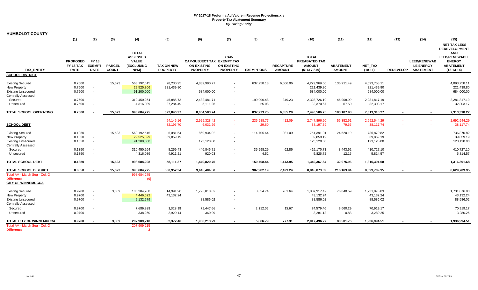| <b>HUMBOLDT COUNTY</b>                                                                            |                                             |                                              |                               |                                                                       |                                      |                                                                     |                                               |                     |                                   |                                                                 |                                   |                                          |                  |                                                             |                                                                                          |
|---------------------------------------------------------------------------------------------------|---------------------------------------------|----------------------------------------------|-------------------------------|-----------------------------------------------------------------------|--------------------------------------|---------------------------------------------------------------------|-----------------------------------------------|---------------------|-----------------------------------|-----------------------------------------------------------------|-----------------------------------|------------------------------------------|------------------|-------------------------------------------------------------|------------------------------------------------------------------------------------------|
|                                                                                                   | (1)                                         | (2)                                          | (3)                           | (4)                                                                   | (5)                                  | (6)                                                                 | (7)                                           | (8)                 | (9)                               | (10)                                                            | (11)                              | (12)                                     | (13)             | (14)                                                        | (15)<br><b>NET TAX LESS</b><br><b>REDEVELOPMENT</b>                                      |
| <b>TAX ENTITY</b>                                                                                 | <b>PROPOSED</b><br>FY 18 TAX<br><b>RATE</b> | <b>FY 18</b><br><b>EXEMPT</b><br><b>RATE</b> | <b>PARCEL</b><br><b>COUNT</b> | <b>TOTAL</b><br><b>ASSESSED</b><br><b>VALUE</b><br>(EXCLUDING<br>NPM) | <b>TAX ON NEW</b><br><b>PROPERTY</b> | CAP-SUBJECT TAX EXEMPT TAX<br><b>ON EXISTING</b><br><b>PROPERTY</b> | CAP-<br><b>ON EXISTING</b><br><b>PROPERTY</b> | <b>EXEMPTIONS</b>   | <b>RECAPTURE</b><br><b>AMOUNT</b> | <b>TOTAL</b><br>PREABATED TAX<br><b>AMOUNT</b><br>$(5+6+7-8+9)$ | <b>ABATEMENT</b><br><b>AMOUNT</b> | <b>NET TAX</b><br>$(10-11)$              | <b>REDEVELOP</b> | <b>LEED/RENEWAB</b><br><b>LE ENERGY</b><br><b>ABATEMENT</b> | <b>AND</b><br><b>LEED/RENEWABLE</b><br><b>ENERGY</b><br><b>ABATEMENT</b><br>$(12-13-14)$ |
| <b>SCHOOL DISTRICT</b>                                                                            |                                             |                                              |                               |                                                                       |                                      |                                                                     |                                               |                     |                                   |                                                                 |                                   |                                          |                  |                                                             |                                                                                          |
| <b>Existing Secured</b><br>New Property<br><b>Existing Unsecured</b><br><b>Centrally Assessed</b> | 0.7500<br>0.7500<br>0.7500                  | $\sim$<br>$\sim$                             | 15.623                        | 563,192,615<br>29,525,306<br>91,200,000                               | 28,230.95<br>221,439.80              | 4,832,990.77<br>684,000.00                                          |                                               | 637,258.18          | 6,006.06                          | 4.229.969.60<br>221,439.80<br>684,000.00                        | 136,211.49                        | 4,093,758.11<br>221,439.80<br>684,000.00 |                  |                                                             | 4,093,758.11<br>221,439.80<br>684,000.00                                                 |
| Secured<br>Unsecured                                                                              | 0.7500<br>0.7500                            | $\sim$<br>$\sim$                             |                               | 310,450,264<br>4,316,089                                              | 45,885.73<br>27,284.49               | 2,482,481.71<br>5,111.26                                            |                                               | 199,990.48<br>25.08 | 349.23<br>$\sim$                  | 2,328,726.19<br>32,370.67                                       | 46,908.99<br>67.50                | 2,281,817.19<br>32,303.17                |                  |                                                             | 2,281,817.19<br>32,303.17                                                                |
| <b>TOTAL SCHOOL OPERATING</b>                                                                     | 0.7500                                      |                                              | 15,623                        | 998,684,275                                                           | 322,840.97                           | 8,004,583.74                                                        | $\sim$                                        | 837,273.75          | 6,355.29                          | 7,496,506.25                                                    | 183,187.98                        | 7,313,318.27                             |                  | $\sim$                                                      | 7,313,318.27                                                                             |
| <b>SCHOOL DEBT</b>                                                                                |                                             |                                              |                               |                                                                       | 54,145.16<br>32,195.70               | 2,929,328.42<br>6,031.29                                            |                                               | 235,988.77<br>29.60 | 412.09<br>n an                    | 2,747,896.90<br>38,197.39                                       | 55,352.61<br>79.65                | 2,692,544.29<br>38,117.74                |                  |                                                             | 2,692,544.29<br>38,117.74                                                                |
| <b>Existing Secured</b><br>New Property<br><b>Existing Unsecured</b><br><b>Centrally Assessed</b> | 0.1350<br>0.1350<br>0.1350                  | $\sim$<br>$\sim$                             | 15,623                        | 563,192,615<br>29,525,329<br>91,200,000                               | 5,081.54<br>39,859.19                | 869,934.02<br>123,120.00                                            |                                               | 114,705.64          | 1,081.09                          | 761,391.01<br>39,859.19<br>123,120.00                           | 24,520.19                         | 736,870.82<br>39,859.19<br>123,120.00    |                  |                                                             | 736,870.82<br>39,859.19<br>123,120.00                                                    |
| Secured<br>Unsecured                                                                              | 0.1350<br>0.1350                            | $\sim$<br>$\overline{\phantom{a}}$           |                               | 310,450,264<br>4,316,089                                              | 8,259.43<br>4,911.21                 | 446,846.71<br>920.03                                                |                                               | 35,998.29<br>4.52   | 62.86<br>$\sim$                   | 419,170.71<br>5,826.72                                          | 8,443.62<br>12.15                 | 410,727.10<br>5,814.57                   |                  |                                                             | 410,727.10<br>5,814.57                                                                   |
| <b>TOTAL SCHOOL DEBT</b>                                                                          | 0.1350                                      |                                              | 15,623                        | 998,684,298                                                           | 58,111.37                            | 1,440,820.76                                                        |                                               | 150,708.44          | 1,143.95                          | 1,349,367.64                                                    | 32,975.96                         | 1,316,391.68                             |                  |                                                             | 1,316,391.68                                                                             |
| TOTAL SCHOOL DISTRICT                                                                             | 0.8850                                      |                                              | 15,623                        | 998,684,275                                                           | 380,952.34                           | 9,445,404.50                                                        |                                               | 987,982.19          | 7,499.24                          | 8,845,873.89                                                    | 216,163.94                        | 8,629,709.95                             |                  | $\sim$                                                      | 8,629,709.95                                                                             |
| Total AV - March Seg - Col. Q<br><b>Difference</b><br><b>CITY OF WINNEMUCCA</b>                   |                                             |                                              |                               | 998,684,275<br>(0)                                                    |                                      |                                                                     |                                               |                     |                                   |                                                                 |                                   |                                          |                  |                                                             |                                                                                          |
| <b>Existing Secured</b><br>New Property                                                           | 0.9700<br>0.9700                            | $\sim$<br>$\sim$<br>$\sim$                   | 3,369                         | 186,304,768<br>4,446,622                                              | 14,991.90<br>43,132.24               | 1,795,818.62                                                        |                                               | 3,654.74            | 761.64                            | 1,807,917.42<br>43,132.24                                       | 76,840.59                         | 1,731,076.83<br>43,132.24<br>88,586.02   |                  |                                                             | 1,731,076.83<br>43,132.24<br>88,586.02                                                   |
| <b>Existing Unsecured</b><br><b>Centrally Assessed</b>                                            | 0.9700                                      |                                              |                               | 9,132,579                                                             |                                      | 88,586.02                                                           |                                               |                     |                                   | 88,586.02                                                       |                                   |                                          |                  |                                                             |                                                                                          |
| Secured<br>Unsecured                                                                              | 0.9700<br>0.9700                            | $\blacksquare$<br>$\sim$                     |                               | 7,686,988<br>338,260                                                  | 1,328.18<br>2,920.14                 | 75,447.66<br>360.99                                                 |                                               | 2,212.05<br>$\sim$  | 15.67<br>$\sim$                   | 74,579.46<br>3,281.13                                           | 3,660.29<br>0.88                  | 70,919.17<br>3,280.25                    |                  |                                                             | 70,919.17<br>3,280.25                                                                    |
| TOTAL CITY OF WINNEMUCCA                                                                          | 0.9700                                      | $\overline{\phantom{a}}$                     | 3,369                         | 207,909,218                                                           | 62,372.46                            | 1,960,213.29                                                        |                                               | 5,866.79            | 777.31                            | 2,017,496.27                                                    | 80,501.76                         | 1,936,994.51                             |                  |                                                             | 1,936,994.51                                                                             |
| Total AV - March Seg - Col. Q<br><b>Difference</b>                                                |                                             |                                              |                               | 207,909,215<br>$\overline{2}$                                         |                                      |                                                                     |                                               |                     |                                   |                                                                 |                                   |                                          |                  |                                                             |                                                                                          |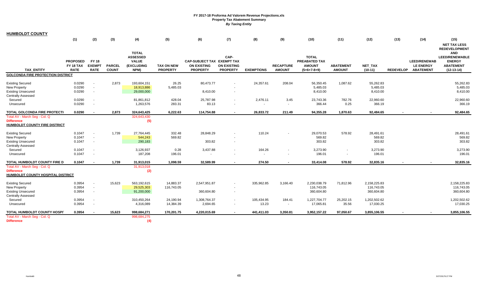| <b>HUMBOLDT COUNTY</b>                   |                 |                          |               |                                                 |                   |                            |                    |                   |                  |                               |                          |              |                  |                     |                                                                              |
|------------------------------------------|-----------------|--------------------------|---------------|-------------------------------------------------|-------------------|----------------------------|--------------------|-------------------|------------------|-------------------------------|--------------------------|--------------|------------------|---------------------|------------------------------------------------------------------------------|
|                                          | (1)             | (2)                      | (3)           | (4)                                             | (5)               | (6)                        | (7)                | (8)               | (9)              | (10)                          | (11)                     | (12)         | (13)             | (14)                | (15)                                                                         |
|                                          |                 |                          |               |                                                 |                   |                            |                    |                   |                  |                               |                          |              |                  |                     | <b>NET TAX LESS</b>                                                          |
|                                          | <b>PROPOSED</b> | <b>FY 18</b>             |               | <b>TOTAL</b><br><b>ASSESSED</b><br><b>VALUE</b> |                   | CAP-SUBJECT TAX EXEMPT TAX | CAP-               |                   |                  | <b>TOTAL</b><br>PREABATED TAX |                          |              |                  | <b>LEED/RENEWAB</b> | <b>REDEVELOPMENT</b><br><b>AND</b><br><b>LEED/RENEWABLE</b><br><b>ENERGY</b> |
|                                          | FY 18 TAX       | <b>EXEMPT</b>            | <b>PARCEL</b> | <b>(EXCLUDING</b>                               | <b>TAX ON NEW</b> | <b>ON EXISTING</b>         | <b>ON EXISTING</b> |                   | <b>RECAPTURE</b> | <b>AMOUNT</b>                 | <b>ABATEMENT</b>         | NET_TAX      |                  | <b>LE ENERGY</b>    | <b>ABATEMENT</b>                                                             |
| <b>TAX ENTITY</b>                        | <b>RATE</b>     | <b>RATE</b>              | <b>COUNT</b>  | NPM)                                            | <b>PROPERTY</b>   | <b>PROPERTY</b>            | <b>PROPERTY</b>    | <b>EXEMPTIONS</b> | <b>AMOUNT</b>    | $(5+6+7-8+9)$                 | <b>AMOUNT</b>            | $(10-11)$    | <b>REDEVELOP</b> | <b>ABATEMENT</b>    | $(12-13-14)$                                                                 |
| <b>GOLCONDA FIRE PROTECTION DISTRICT</b> |                 |                          |               |                                                 |                   |                            |                    |                   |                  |                               |                          |              |                  |                     |                                                                              |
| <b>Existing Secured</b>                  | 0.0290          | $\overline{\phantom{a}}$ | 2,873         | 193,604,151                                     | 26.25             | 80,473.77                  |                    | 24,357.61         | 208.04           | 56,350.45                     | 1,087.62                 | 55,262.83    |                  |                     | 55,262.83                                                                    |
| <b>New Property</b>                      | 0.0290          | $\mathbf{r}$             |               | 18,913,886                                      | 5,485.03          |                            |                    |                   |                  | 5,485.03                      |                          | 5,485.03     |                  |                     | 5,485.03                                                                     |
| <b>Existing Unsecured</b>                | 0.0290          | $\sim$                   |               | 29,000,000                                      |                   | 8,410.00                   |                    |                   |                  | 8,410.00                      |                          | 8,410.00     |                  |                     | 8,410.00                                                                     |
| <b>Centrally Assessed</b>                |                 |                          |               |                                                 |                   |                            |                    |                   |                  |                               |                          |              |                  |                     |                                                                              |
| Secured                                  | 0.0290          | $\overline{\phantom{a}}$ |               | 81,861,812                                      | 428.04            | 25,787.98                  | $\blacksquare$     | 2,476.11          | 3.45             | 23,743.36                     | 782.76                   | 22,960.60    |                  |                     | 22,960.60                                                                    |
| Unsecured                                | 0.0290          | $\blacksquare$           |               | 1,263,576                                       | 283.31            | 83.13                      |                    | $\sim$            | $\sim$           | 366.44                        | 0.25                     | 366.19       |                  |                     | 366.19                                                                       |
| <b>TOTAL GOLCONDA FIRE PROTECTI</b>      | 0.0290          |                          | 2,873         | 324,643,425                                     | 6.222.63          | 114,754.88                 |                    |                   | 211.49           | 94,355.28                     | 1,870.63                 | 92,484.65    |                  |                     | 92,484.65                                                                    |
| Total AV - March Seq - Col. Q            |                 | $\sim$                   |               | 324,643,430                                     |                   |                            | $\sim$             | 26,833.72         |                  |                               |                          |              |                  |                     |                                                                              |
| <b>Difference</b>                        |                 |                          |               | (5)                                             |                   |                            |                    |                   |                  |                               |                          |              |                  |                     |                                                                              |
| HUMBOLDT COUNTY FIRE DISTRICT            |                 |                          |               |                                                 |                   |                            |                    |                   |                  |                               |                          |              |                  |                     |                                                                              |
|                                          |                 |                          |               |                                                 |                   |                            |                    |                   |                  |                               |                          |              |                  |                     |                                                                              |
| <b>Existing Secured</b>                  | 0.1047          | $\overline{\phantom{a}}$ | 1,739         | 27,764,445                                      | 332.48            | 28,848.29                  |                    | 110.24            |                  | 29,070.53                     | 578.92                   | 28,491.61    |                  |                     | 28,491.61                                                                    |
| <b>New Property</b>                      | 0.1047          | $\sim$                   |               | 544,243                                         | 569.82            |                            |                    |                   |                  | 569.82                        |                          | 569.82       |                  |                     | 569.82                                                                       |
| <b>Existing Unsecured</b>                | 0.1047          | $\mathbf{r}$             |               | 290,183                                         |                   | 303.82                     |                    |                   |                  | 303.82                        |                          | 303.82       |                  |                     | 303.82                                                                       |
| <b>Centrally Assessed</b>                |                 |                          |               |                                                 |                   |                            |                    |                   |                  |                               |                          |              |                  |                     |                                                                              |
| Secured                                  | 0.1047          | $\blacksquare$           |               | 3,126,937                                       | 0.28              | 3,437.88                   |                    | 164.26            |                  | 3,273.90                      | $\overline{\phantom{a}}$ | 3,273.90     |                  |                     | 3,273.90                                                                     |
| Unsecured                                | 0.1047          | $\mathbf{r}$             |               | 187,208                                         | 196.01            |                            |                    | $\sim$            | $\sim$           | 196.01                        | $\overline{\phantom{a}}$ | 196.01       |                  |                     | 196.01                                                                       |
| TOTAL HUMBOLDT COUNTY FIRE D             | 0.1047          |                          | 1,739         | 31,913,015                                      | 1,098.59          | 32,589.99                  |                    | 274.50            |                  | 33,414.08                     | 578.92                   | 32,835.16    |                  |                     | 32,835.16                                                                    |
| Total AV - March Seg - Col. Q            |                 |                          |               | 31,913,018                                      |                   |                            |                    |                   |                  |                               |                          |              |                  |                     |                                                                              |
| <b>Difference</b>                        |                 |                          |               | (2)                                             |                   |                            |                    |                   |                  |                               |                          |              |                  |                     |                                                                              |
| HUMBOLDT COUNTY HOSPITAL DISTRICT        |                 |                          |               |                                                 |                   |                            |                    |                   |                  |                               |                          |              |                  |                     |                                                                              |
| <b>Existing Secured</b>                  | 0.3954          | $\blacksquare$           | 15,623        | 563,192,615                                     | 14,883.37         | 2,547,951.87               | $\sim$             | 335,962.85        | 3,166.40         | 2,230,038.79                  | 71,812.96                | 2,158,225.83 |                  |                     | 2,158,225.83                                                                 |
| <b>New Property</b>                      | 0.3954          | $\sim$                   |               | 29,525,303                                      | 116,743.05        |                            |                    |                   |                  | 116,743.05                    |                          | 116,743.05   |                  |                     | 116,743.05                                                                   |
| <b>Existing Unsecured</b>                | 0.3954          | $\sim$                   |               | 91,200,000                                      |                   | 360,604.80                 | $\sim$             |                   |                  | 360,604.80                    |                          | 360,604.80   |                  |                     | 360,604.80                                                                   |
| <b>Centrally Assessed</b>                |                 |                          |               |                                                 |                   |                            |                    |                   |                  |                               |                          |              |                  |                     |                                                                              |
| Secured                                  | 0.3954          | $\overline{\phantom{a}}$ |               | 310,450,264                                     | 24,190.94         | 1,308,764.37               | $\sim$             | 105,434.95        | 184.41           | 1,227,704.77                  | 25,202.15                | 1,202,502.62 |                  |                     | 1,202,502.62                                                                 |
| Unsecured                                | 0.3954          | $\sim$                   |               | 4,316,089                                       | 14,384.39         | 2,694.65                   | $\sim$             | 13.23             | $\sim$           | 17,065.81                     | 35.56                    | 17,030.25    |                  |                     | 17,030.25                                                                    |
| TOTAL HUMBOLDT COUNTY HOSPIT             | 0.3954          |                          | 15,623        | 998,684,271                                     | 170,201.75        | 4,220,015.69               | $\sim$             | 441,411.03        | 3,350.81         | 3,952,157.22                  | 97,050.67                | 3,855,106.55 |                  |                     | 3,855,106.55                                                                 |
| Total AV - March Seg - Col. Q            |                 |                          |               | 998,684,275                                     |                   |                            |                    |                   |                  |                               |                          |              |                  |                     |                                                                              |
| <b>Difference</b>                        |                 |                          |               | (4)                                             |                   |                            |                    |                   |                  |                               |                          |              |                  |                     |                                                                              |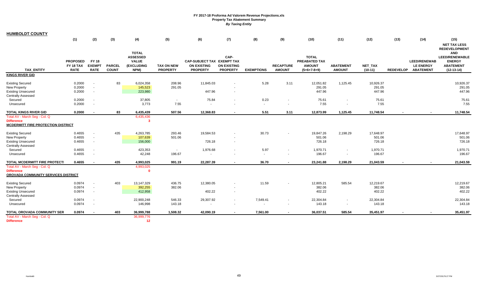| <b>HUMBOLDT COUNTY</b>                    |                          |                              |                               |                                 |                                      |                                       |                                       |                   |                                   |                                |                                   |                      |                  |                                      |                                                                                    |
|-------------------------------------------|--------------------------|------------------------------|-------------------------------|---------------------------------|--------------------------------------|---------------------------------------|---------------------------------------|-------------------|-----------------------------------|--------------------------------|-----------------------------------|----------------------|------------------|--------------------------------------|------------------------------------------------------------------------------------|
|                                           | (1)                      | (2)                          | (3)                           | (4)                             | (5)                                  | (6)                                   | (7)                                   | (8)               | (9)                               | (10)                           | (11)                              | (12)                 | (13)             | (14)                                 | (15)                                                                               |
|                                           |                          |                              |                               | <b>TOTAL</b><br><b>ASSESSED</b> |                                      |                                       | CAP-                                  |                   |                                   | <b>TOTAL</b>                   |                                   |                      |                  |                                      | <b>NET TAX LESS</b><br><b>REDEVELOPMENT</b><br><b>AND</b><br><b>LEED/RENEWABLE</b> |
|                                           | <b>PROPOSED</b>          | <b>FY 18</b>                 |                               | <b>VALUE</b>                    |                                      | CAP-SUBJECT TAX EXEMPT TAX            |                                       |                   |                                   | PREABATED TAX                  |                                   |                      |                  | <b>LEED/RENEWAB</b>                  | <b>ENERGY</b>                                                                      |
| <b>TAX ENTITY</b>                         | FY 18 TAX<br><b>RATE</b> | <b>EXEMPT</b><br><b>RATE</b> | <b>PARCEL</b><br><b>COUNT</b> | <b>(EXCLUDING</b><br>NPM)       | <b>TAX ON NEW</b><br><b>PROPERTY</b> | <b>ON EXISTING</b><br><b>PROPERTY</b> | <b>ON EXISTING</b><br><b>PROPERTY</b> | <b>EXEMPTIONS</b> | <b>RECAPTURE</b><br><b>AMOUNT</b> | <b>AMOUNT</b><br>$(5+6+7-8+9)$ | <b>ABATEMENT</b><br><b>AMOUNT</b> | NET_TAX<br>$(10-11)$ | <b>REDEVELOP</b> | <b>LE ENERGY</b><br><b>ABATEMENT</b> | <b>ABATEMENT</b><br>$(12-13-14)$                                                   |
| <b>KINGS RIVER GID</b>                    |                          |                              |                               |                                 |                                      |                                       |                                       |                   |                                   |                                |                                   |                      |                  |                                      |                                                                                    |
| <b>Existing Secured</b>                   | 0.2000                   | $\overline{\phantom{a}}$     | 83                            | 6,024,358                       | 208.96                               | 11,845.03                             |                                       | 5.28              | 3.11                              | 12,051.82                      | 1,125.45                          | 10,926.37            |                  |                                      | 10,926.37                                                                          |
| <b>New Property</b>                       | 0.2000                   | $\sim$                       |                               | 145,523                         | 291.05                               |                                       |                                       |                   |                                   | 291.05                         |                                   | 291.05               |                  |                                      | 291.05                                                                             |
| <b>Existing Unsecured</b>                 | 0.2000                   | $\blacksquare$               |                               | 223,980                         |                                      | 447.96                                |                                       |                   |                                   | 447.96                         |                                   | 447.96               |                  |                                      | 447.96                                                                             |
| <b>Centrally Assessed</b>                 |                          |                              |                               |                                 |                                      |                                       |                                       |                   |                                   |                                |                                   |                      |                  |                                      |                                                                                    |
| Secured                                   | 0.2000                   | $\blacksquare$               |                               | 37,805                          | $\sim$                               | 75.84                                 |                                       | 0.23              |                                   | 75.61                          |                                   | 75.61                |                  |                                      | 75.61                                                                              |
| Unsecured                                 | 0.2000                   | $\sim$                       |                               | 3,773                           | 7.55                                 | $\sim$                                |                                       | $\sim$            |                                   | 7.55                           |                                   | 7.55                 |                  |                                      | 7.55                                                                               |
| <b>TOTAL KINGS RIVER GID</b>              | 0.2000                   | $\sim$                       | 83                            | 6,435,439                       | 507.56                               | 12,368.83                             |                                       | 5.51              | 3.11                              | 12,873.99                      | 1,125.45                          | 11,748.54            |                  |                                      | 11,748.54                                                                          |
| Total AV - March Seq - Col. Q             |                          |                              |                               | 6,435,436                       |                                      |                                       |                                       |                   |                                   |                                |                                   |                      |                  |                                      |                                                                                    |
| <b>Difference</b>                         |                          |                              |                               | 3                               |                                      |                                       |                                       |                   |                                   |                                |                                   |                      |                  |                                      |                                                                                    |
| <b>MCDERMITT FIRE PROTECTION DISTRICT</b> |                          |                              |                               |                                 |                                      |                                       |                                       |                   |                                   |                                |                                   |                      |                  |                                      |                                                                                    |
| <b>Existing Secured</b>                   | 0.4655                   | $\overline{\phantom{a}}$     | 435                           | 4,263,785                       | 293.46                               | 19,584.53                             |                                       | 30.73             |                                   | 19,847.26                      | 2,198.29                          | 17,648.97            |                  |                                      | 17,648.97                                                                          |
| <b>New Property</b>                       | 0.4655                   | $\sim$                       |                               | 107,639                         | 501.06                               |                                       |                                       |                   |                                   | 501.06                         |                                   | 501.06               |                  |                                      | 501.06                                                                             |
| <b>Existing Unsecured</b>                 | 0.4655                   | $\sim$                       |                               | 156,000                         |                                      | 726.18                                |                                       |                   |                                   | 726.18                         |                                   | 726.18               |                  |                                      | 726.18                                                                             |
| <b>Centrally Assessed</b>                 |                          |                              |                               |                                 |                                      |                                       |                                       |                   |                                   |                                |                                   |                      |                  |                                      |                                                                                    |
| Secured                                   | 0.4655                   | $\blacksquare$               |                               | 423,353                         | $\sim$                               | 1,976.68                              |                                       | 5.97              | $\sim$                            | 1,970.71                       | $\sim$                            | 1,970.71             |                  |                                      | 1,970.71                                                                           |
| Unsecured                                 | 0.4655                   | $\sim$                       |                               | 42,248                          | 196.67                               |                                       |                                       | $\sim$            | $\overline{a}$                    | 196.67                         |                                   | 196.67               |                  |                                      | 196.67                                                                             |
| <b>TOTAL MCDERMITT FIRE PROTECTI</b>      | 0.4655                   |                              | 435                           | 4,993,025                       | 991.19                               | 22,287.39                             |                                       | 36.70             |                                   | 23,241.88                      | 2,198.29                          | 21,043.59            |                  |                                      | 21,043.59                                                                          |
| Total AV - March Seg - Col. Q             |                          |                              |                               | 4,993,025                       |                                      |                                       |                                       |                   |                                   |                                |                                   |                      |                  |                                      |                                                                                    |
| <b>Difference</b>                         |                          |                              |                               | n                               |                                      |                                       |                                       |                   |                                   |                                |                                   |                      |                  |                                      |                                                                                    |
| OROVADA COMMUNITY SERVICES DISTRICT       |                          |                              |                               |                                 |                                      |                                       |                                       |                   |                                   |                                |                                   |                      |                  |                                      |                                                                                    |
| <b>Existing Secured</b>                   | 0.0974                   |                              | 403                           | 13,147,329                      | 436.75                               | 12,380.05                             |                                       | 11.59             |                                   | 12,805.21                      | 585.54                            | 12,219.67            |                  |                                      | 12,219.67                                                                          |
| <b>New Property</b>                       | 0.0974                   | $\blacksquare$               |                               | 392,255                         | 382.06                               |                                       |                                       |                   |                                   | 382.06                         |                                   | 382.06               |                  |                                      | 382.06                                                                             |
| <b>Existing Unsecured</b>                 | 0.0974                   | $\blacksquare$               |                               | 412,958                         |                                      | 402.22                                | $\sim$                                |                   |                                   | 402.22                         |                                   | 402.22               |                  |                                      | 402.22                                                                             |
| <b>Centrally Assessed</b>                 |                          |                              |                               |                                 |                                      |                                       |                                       |                   |                                   |                                |                                   |                      |                  |                                      |                                                                                    |
| Secured                                   | 0.0974                   | $\blacksquare$               |                               | 22,900,248                      | 546.33                               | 29,307.92                             | $\sim$                                | 7,549.41          | $\sim$                            | 22,304.84                      |                                   | 22,304.84            |                  |                                      | 22,304.84                                                                          |
| Unsecured                                 | 0.0974                   | $\overline{\phantom{a}}$     |                               | 146,998                         | 143.18                               |                                       |                                       |                   | $\sim$                            | 143.18                         | $\sim$                            | 143.18               |                  |                                      | 143.18                                                                             |
| TOTAL OROVADA COMMUNITY SER               | 0.0974                   | $\sim$                       | 403                           | 36,999,788                      | 1,508.32                             | 42,090.19                             |                                       | 7,561.00          |                                   | 36,037.51                      | 585.54                            | 35,451.97            |                  |                                      | 35,451.97                                                                          |
| Total AV - March Seq - Col. Q             |                          |                              |                               | 36,999,776                      |                                      |                                       |                                       |                   |                                   |                                |                                   |                      |                  |                                      |                                                                                    |
| <b>Difference</b>                         |                          |                              |                               | 12                              |                                      |                                       |                                       |                   |                                   |                                |                                   |                      |                  |                                      |                                                                                    |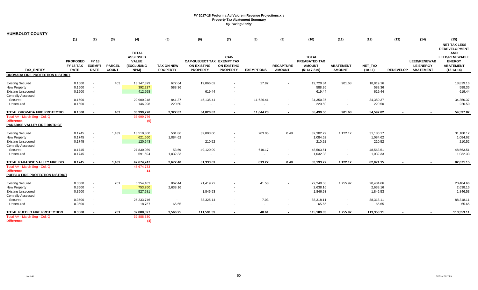| <b>HUMBOLDT COUNTY</b>                                                                                   |                                             |                                                      |                               |                                                                       |                                      |                                                                     |                                               |                     |                                   |                                                                 |                                    |                                   |                  |                                                             |                                                                                                                  |
|----------------------------------------------------------------------------------------------------------|---------------------------------------------|------------------------------------------------------|-------------------------------|-----------------------------------------------------------------------|--------------------------------------|---------------------------------------------------------------------|-----------------------------------------------|---------------------|-----------------------------------|-----------------------------------------------------------------|------------------------------------|-----------------------------------|------------------|-------------------------------------------------------------|------------------------------------------------------------------------------------------------------------------|
|                                                                                                          | (1)                                         | (2)                                                  | (3)                           | (4)                                                                   | (5)                                  | (6)                                                                 | (7)                                           | (8)                 | (9)                               | (10)                                                            | (11)                               | (12)                              | (13)             | (14)                                                        | (15)<br><b>NET TAX LESS</b>                                                                                      |
| <b>TAX ENTITY</b>                                                                                        | <b>PROPOSED</b><br>FY 18 TAX<br><b>RATE</b> | <b>FY 18</b><br><b>EXEMPT</b><br><b>RATE</b>         | <b>PARCEL</b><br><b>COUNT</b> | <b>TOTAL</b><br><b>ASSESSED</b><br><b>VALUE</b><br>(EXCLUDING<br>NPM) | <b>TAX ON NEW</b><br><b>PROPERTY</b> | CAP-SUBJECT TAX EXEMPT TAX<br><b>ON EXISTING</b><br><b>PROPERTY</b> | CAP-<br><b>ON EXISTING</b><br><b>PROPERTY</b> | <b>EXEMPTIONS</b>   | <b>RECAPTURE</b><br><b>AMOUNT</b> | <b>TOTAL</b><br>PREABATED TAX<br><b>AMOUNT</b><br>$(5+6+7-8+9)$ | <b>ABATEMENT</b><br><b>AMOUNT</b>  | NET_TAX<br>$(10-11)$              | <b>REDEVELOP</b> | <b>LEED/RENEWAB</b><br><b>LE ENERGY</b><br><b>ABATEMENT</b> | <b>REDEVELOPMENT</b><br><b>AND</b><br><b>LEED/RENEWABLE</b><br><b>ENERGY</b><br><b>ABATEMENT</b><br>$(12-13-14)$ |
| OROVADA FIRE PROTECTION DISTRICT                                                                         |                                             |                                                      |                               |                                                                       |                                      |                                                                     |                                               |                     |                                   |                                                                 |                                    |                                   |                  |                                                             |                                                                                                                  |
| <b>Existing Secured</b><br>New Property<br><b>Existing Unsecured</b><br><b>Centrally Assessed</b>        | 0.1500<br>0.1500<br>0.1500                  | $\blacksquare$<br>$\sim$<br>$\blacksquare$           | 403                           | 13,147,329<br>392,237<br>412,958                                      | 672.64<br>588.36                     | 19,066.02<br>619.44                                                 |                                               | 17.82               |                                   | 19,720.84<br>588.36<br>619.44                                   | 901.68                             | 18,819.16<br>588.36<br>619.44     |                  |                                                             | 18,819.16<br>588.36<br>619.44                                                                                    |
| Secured<br>Unsecured                                                                                     | 0.1500<br>0.1500                            | $\overline{\phantom{a}}$<br>$\sim$                   |                               | 22,900,248<br>146,998                                                 | 841.37<br>220.50                     | 45,135.41                                                           | $\sim$                                        | 11,626.41<br>$\sim$ |                                   | 34,350.37<br>220.50                                             | $\sim$<br>$\overline{\phantom{a}}$ | 34,350.37<br>220.50               |                  |                                                             | 34,350.37<br>220.50                                                                                              |
| TOTAL OROVADA FIRE PROTECTIO                                                                             | 0.1500                                      | $\blacksquare$                                       | 403                           | 36,999,770                                                            | 2,322.87                             | 64,820.87                                                           |                                               | 11,644.23           | $\sim$                            | 55,499.50                                                       | 901.68                             | 54,597.82                         |                  |                                                             | 54,597.82                                                                                                        |
| Total AV - March Seq - Col. Q<br><b>Difference</b><br>PARADISE VALLEY FIRE DISTRICT                      |                                             |                                                      |                               | 36,999,776<br>(6)                                                     |                                      |                                                                     |                                               |                     |                                   |                                                                 |                                    |                                   |                  |                                                             |                                                                                                                  |
| <b>Existing Secured</b><br><b>New Property</b><br><b>Existing Unsecured</b><br><b>Centrally Assessed</b> | 0.1745<br>0.1745<br>0.1745                  | $\overline{\phantom{a}}$<br>$\blacksquare$<br>$\sim$ | 1,439                         | 18,510,860<br>621,560<br>120,643                                      | 501.86<br>1,084.62                   | 32,003.00<br>210.52                                                 | $\overline{\phantom{a}}$                      | 203.05              | 0.48                              | 32,302.29<br>1,084.62<br>210.52                                 | 1,122.12                           | 31,180.17<br>1,084.62<br>210.52   |                  |                                                             | 31,180.17<br>1,084.62<br>210.52                                                                                  |
| Secured<br>Unsecured                                                                                     | 0.1745<br>0.1745                            | $\blacksquare$<br>$\blacksquare$                     |                               | 27,830,089<br>591,594                                                 | 53.59<br>1,032.33                    | 49,120.09<br>$\sim$                                                 |                                               | 610.17<br>$\sim$    | $\sim$<br>$\sim$                  | 48,563.51<br>1,032.33                                           | $\overline{\phantom{a}}$<br>$\sim$ | 48,563.51<br>1,032.33             |                  |                                                             | 48,563.51<br>1,032.33                                                                                            |
| TOTAL PARADISE VALLEY FIRE DIS                                                                           | 0.1745                                      | $\overline{\phantom{a}}$                             | 1,439                         | 47,674,747                                                            | 2,672.40                             | 81,333.61                                                           |                                               | 813.22              | 0.48                              | 83,193.27                                                       | 1,122.12                           | 82,071.15                         |                  |                                                             | 82,071.15                                                                                                        |
| Total AV - March Seg - Col. Q<br><b>Difference</b><br>PUEBLO FIRE PROTECTION DISTRICT                    |                                             |                                                      |                               | 47,674,733<br>14                                                      |                                      |                                                                     |                                               |                     |                                   |                                                                 |                                    |                                   |                  |                                                             |                                                                                                                  |
| <b>Existing Secured</b><br><b>New Property</b><br><b>Existing Unsecured</b>                              | 0.3500<br>0.3500<br>0.3500                  | $\sim$<br>$\sim$<br>$\sim$                           | 201                           | 6,354,483<br>753,760<br>527,581                                       | 862.44<br>2,638.16                   | 21,419.72<br>1,846.53                                               | $\blacksquare$                                | 41.58               |                                   | 22,240.58<br>2,638.16<br>1,846.53                               | 1,755.92                           | 20,484.66<br>2,638.16<br>1,846.53 |                  |                                                             | 20,484.66<br>2,638.16<br>1,846.53                                                                                |
| <b>Centrally Assessed</b><br>Secured<br>Unsecured                                                        | 0.3500<br>0.3500                            | $\blacksquare$<br>$\overline{\phantom{a}}$           |                               | 25,233,746<br>18,757                                                  | $\sim$<br>65.65                      | 88,325.14                                                           | $\blacksquare$                                | 7.03<br>$\sim$      | $\sim$<br>$\sim$                  | 88,318.11<br>65.65                                              | $\sim$<br>$\sim$                   | 88,318.11<br>65.65                |                  |                                                             | 88,318.11<br>65.65                                                                                               |
| TOTAL PUEBLO FIRE PROTECTION                                                                             | 0.3500                                      | $\blacksquare$                                       | 201                           | 32,888,327                                                            | 3,566.25                             | 111,591.39                                                          |                                               | 48.61               |                                   | 115,109.03                                                      | 1,755.92                           | 113,353.11                        |                  |                                                             | 113,353.11                                                                                                       |
| Total AV - March Seg - Col. Q<br><b>Difference</b>                                                       |                                             |                                                      |                               | 32,888,330<br>(4)                                                     |                                      |                                                                     |                                               |                     |                                   |                                                                 |                                    |                                   |                  |                                                             |                                                                                                                  |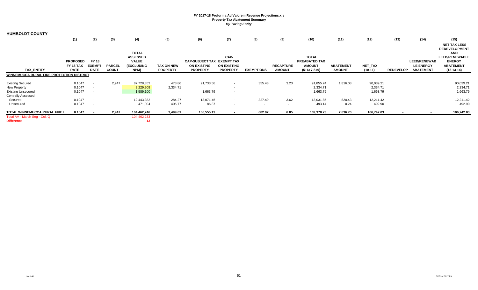| <b>HUMBOLDT COUNTY</b>                    |                 |               |               |                 |                   |                        |                    |                   |                  |               |                  |                |                  |                     |                       |
|-------------------------------------------|-----------------|---------------|---------------|-----------------|-------------------|------------------------|--------------------|-------------------|------------------|---------------|------------------|----------------|------------------|---------------------|-----------------------|
|                                           | (1)             | (2)           | (3)           | (4)             | (5)               | (6)                    | (7)                | (8)               | (9)              | (10)          | (11)             | (12)           | (13)             | (14)                | (15)                  |
|                                           |                 |               |               |                 |                   |                        |                    |                   |                  |               |                  |                |                  |                     | <b>NET TAX LESS</b>   |
|                                           |                 |               |               |                 |                   |                        |                    |                   |                  |               |                  |                |                  |                     | <b>REDEVELOPMENT</b>  |
|                                           |                 |               |               | <b>TOTAL</b>    |                   |                        |                    |                   |                  |               |                  |                |                  |                     | <b>AND</b>            |
|                                           |                 |               |               | <b>ASSESSED</b> |                   |                        | CAP-               |                   |                  | <b>TOTAL</b>  |                  |                |                  |                     | <b>LEED/RENEWABLE</b> |
|                                           | <b>PROPOSED</b> | <b>FY 18</b>  |               | <b>VALUE</b>    |                   | <b>CAP-SUBJECT TAX</b> | <b>EXEMPT TAX</b>  |                   |                  | PREABATED TAX |                  |                |                  | <b>LEED/RENEWAB</b> | <b>ENERGY</b>         |
|                                           | FY 18 TAX       | <b>EXEMPT</b> | <b>PARCEL</b> | (EXCLUDING      | <b>TAX ON NEW</b> | <b>ON EXISTING</b>     | <b>ON EXISTING</b> |                   | <b>RECAPTURE</b> | <b>AMOUNT</b> | <b>ABATEMENT</b> | <b>NET TAX</b> |                  | <b>LE ENERGY</b>    | <b>ABATEMENT</b>      |
| <b>TAX ENTITY</b>                         | <b>RATE</b>     | <b>RATE</b>   | <b>COUNT</b>  | NPM)            | <b>PROPERTY</b>   | <b>PROPERTY</b>        | <b>PROPERTY</b>    | <b>EXEMPTIONS</b> | <b>AMOUNT</b>    | $(5+6+7-8+9)$ | <b>AMOUNT</b>    | $(10-11)$      | <b>REDEVELOP</b> | <b>ABATEMENT</b>    | $(12-13-14)$          |
| WINNEMUCCA RURAL FIRE PROTECTION DISTRICT |                 |               |               |                 |                   |                        |                    |                   |                  |               |                  |                |                  |                     |                       |
| <b>Existing Secured</b>                   | 0.1047          |               | 2,947         | 87,728,852      | 473.86            | 91,733.58              | $\sim$             | 355.43            | 3.23             | 91,855.24     | 1,816.03         | 90,039.21      |                  |                     | 90,039.21             |
| <b>New Property</b>                       | 0.1047          | $\sim$        |               | 2,229,908       | 2,334.71          |                        | $\sim$             |                   |                  | 2,334.71      |                  | 2,334.71       |                  |                     | 2,334.71              |
| <b>Existing Unsecured</b>                 | 0.1047          |               |               | 1,589,100       |                   | 1,663.79               | $\sim$             |                   |                  | 1,663.79      |                  | 1,663.79       |                  |                     | 1,663.79              |
| <b>Centrally Assessed</b>                 |                 |               |               |                 |                   |                        |                    |                   |                  |               |                  |                |                  |                     |                       |
| Secured                                   | 0.1047          |               |               | 12,443,382      | 284.27            | 13,071.45              | $\sim$             | 327.49            | 3.62             | 13,031.85     | 820.43           | 12,211.42      |                  |                     | 12,211.42             |
| Unsecured                                 | 0.1047          |               |               | 471,004         | 406.77            | 86.37                  | $\sim$             | $\sim$            | $\sim$           | 493.14        | 0.24             | 492.90         |                  |                     | 492.90                |
| TOTAL WINNEMUCCA RURAL FIRE I             | 0.1047          |               | 2,947         | 104,462,246     | 3,499.61          | 106,555.19             |                    | 682.92            | 6.85             | 109,378.73    | 2,636.70         | 106,742.03     |                  |                     | 106,742.03            |
| Total AV - March Seg - Col. Q             |                 |               |               | 104,462,233     |                   |                        |                    |                   |                  |               |                  |                |                  |                     |                       |
| <b>Difference</b>                         |                 |               |               | 13              |                   |                        |                    |                   |                  |               |                  |                |                  |                     |                       |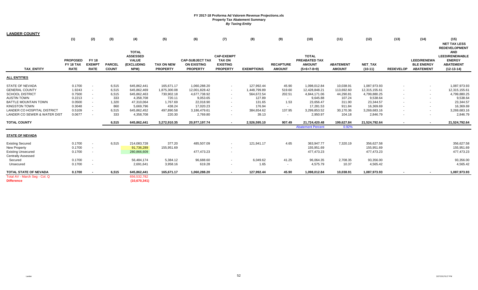| <b>LANDER COUNTY</b>                    |                 |               |               |                 |                   |                        |                   |                   |                  |                          |                  |                |                  |                    |                                                     |
|-----------------------------------------|-----------------|---------------|---------------|-----------------|-------------------|------------------------|-------------------|-------------------|------------------|--------------------------|------------------|----------------|------------------|--------------------|-----------------------------------------------------|
|                                         | (1)             | (2)           | (3)           | (4)             | (5)               | (6)                    | (7)               | (8)               | (9)              | (10)                     | (11)             | (12)           | (13)             | (14)               | (15)<br><b>NET TAX LESS</b><br><b>REDEVELOPMENT</b> |
|                                         |                 |               |               | <b>TOTAL</b>    |                   |                        |                   |                   |                  |                          |                  |                |                  |                    | <b>AND</b>                                          |
|                                         |                 |               |               | <b>ASSESSED</b> |                   |                        | <b>CAP-EXEMPT</b> |                   |                  | <b>TOTAL</b>             |                  |                |                  |                    | <b>LEED/RENEWABLE</b>                               |
|                                         | <b>PROPOSED</b> | <b>FY 18</b>  |               | <b>VALUE</b>    |                   | <b>CAP-SUBJECT TAX</b> | <b>TAX ON</b>     |                   |                  | PREABATED TAX            |                  |                |                  | <b>LEED/RENEWA</b> | <b>ENERGY</b>                                       |
|                                         | FY 18 TAX       | <b>EXEMPT</b> | <b>PARCEL</b> | (EXCLUDING      | <b>TAX ON NEW</b> | <b>ON EXISTING</b>     | <b>EXISTING</b>   |                   | <b>RECAPTURE</b> | <b>AMOUNT</b>            | <b>ABATEMENT</b> | <b>NET TAX</b> |                  | <b>BLE ENERGY</b>  | <b>ABATEMENT</b>                                    |
| <b>TAX ENTITY</b>                       | <b>RATE</b>     | <b>RATE</b>   | <b>COUNT</b>  | NPM)            | <b>PROPERTY</b>   | <b>PROPERTY</b>        | <b>PROPERTY</b>   | <b>EXEMPTIONS</b> | <b>AMOUNT</b>    | $(5+6+7-8+9)$            | <b>AMOUNT</b>    | $(10-11)$      | <b>REDEVELOP</b> | <b>ABATEMENT</b>   | $(12-13-14)$                                        |
| <b>ALL ENTITIES</b>                     |                 |               |               |                 |                   |                        |                   |                   |                  |                          |                  |                |                  |                    |                                                     |
| STATE OF NEVADA                         | 0.1700          | $\sim$        | 6,515         | 645,862,441     | 165,671.17        | 1,060,288.20           | $\sim$            | 127,992.44        | 45.90            | 1,098,012.84             | 10,038.91        | 1,087,973.93   |                  |                    | 1,087,973.93                                        |
| <b>GENERAL COUNTY</b>                   | 1.9243          | $\sim$        | 6,515         | 645,862,469     | 1,875,300.08      | 12,001,828.42          | $\sim$            | 1,448,799.89      | 519.60           | 12,428,848.21            | 113,692.60       | 12,315,155.61  |                  |                    | 12,315,155.61                                       |
| <b>SCHOOL DISTRICT</b>                  | 0.7500          |               | 6,515         | 645,862,463     | 730,902.18        | 4,677,738.92           |                   | 564,672.54        | 202.51           | 4,844,171.06             | 44,290.81        | 4,799,880.25   |                  |                    | 4,799,880.25                                        |
| <b>AUSTIN TOWN</b>                      | 0.2213          |               | 333           | 4,358,708       | 720.11            | 9,053.65               |                   | 127.89            | $\sim$           | 9,645.88                 | 107.24           | 9,538.64       |                  |                    | 9,538.64                                            |
| <b>BATTLE MOUNTAIN TOWN</b>             | 0.0500          |               | 1,320         | 47,310,064      | 1,767.69          | 22,018.90              |                   | 131.65            | 1.53             | 23,656.47                | 311.90           | 23,344.57      |                  |                    | 23,344.57                                           |
| <b>KINGSTON TOWN</b>                    | 0.3048          |               | 860           | 5,669,796       | 438.24            | 17,020.23              |                   | 176.94            | $\sim$           | 17,281.53                | 911.84           | 16,369.69      |                  |                    | 16,369.69                                           |
| <b>LANDER CO HOSPITAL DISTRICT</b>      | 0.5109          |               | 6,515         | 645,862,452     | 497,890.58        | 3,186,479.61           |                   | 384,654.62        | 137.95           | 3,299,853.52             | 30,170.36        | 3,269,683.16   |                  |                    | 3,269,683.16                                        |
| <b>LANDER CO SEWER &amp; WATER DIST</b> | 0.0677          |               | 333           | 4,358,708       | 220.30            | 2,769.80               | $\sim$            | 39.13             | $\sim$           | 2,950.97                 | 104.18           | 2,846.79       |                  |                    | 2,846.79                                            |
| <b>TOTAL COUNTY</b>                     |                 |               | 6,515         | 645,862,441     | 3,272,910.35      | 20,977,197.74          |                   | 2,526,595.10      | 907.49           | 21,724,420.48            | 199,627.84       | 21,524,792.64  |                  |                    | 21,524,792.64                                       |
|                                         |                 |               |               |                 |                   |                        |                   |                   |                  | <b>Abatement Percent</b> | 0.92%            |                |                  |                    |                                                     |
| <b>STATE OF NEVADA</b>                  |                 |               |               |                 |                   |                        |                   |                   |                  |                          |                  |                |                  |                    |                                                     |
| <b>Existing Secured</b>                 | 0.1700          |               | 6,515         | 214,083,728     | 377.20            | 485,507.09             |                   | 121,941.17        | 4.65             | 363,947.77               | 7,320.19         | 356,627.58     |                  |                    | 356,627.58                                          |
| <b>New Property</b>                     | 0.1700          | $\sim$        |               | 91,736,289      | 155,951.69        |                        |                   |                   |                  | 155,951.69               |                  | 155,951.69     |                  |                    | 155,951.69                                          |
| <b>Existing Unsecured</b>               | 0.1700          | $\sim$        |               | 280,866,609     |                   | 477,473.23             |                   |                   |                  | 477,473.23               |                  | 477,473.23     |                  |                    | 477,473.23                                          |
| <b>Centrally Assessed</b>               |                 |               |               |                 |                   |                        |                   |                   |                  |                          |                  |                |                  |                    |                                                     |
| Secured                                 | 0.1700          |               |               | 56,484,174      | 5,384.12          | 96,688.60              |                   | 6,049.62          | 41.25            | 96,064.35                | 2,708.35         | 93,356.00      |                  |                    | 93,356.00                                           |
| Unsecured                               | 0.1700          | $\sim$        |               | 2,691,641       | 3,958.16          | 619.28                 |                   | 1.65              | $\sim$           | 4,575.79                 | 10.37            | 4,565.42       |                  |                    | 4,565.42                                            |
| TOTAL STATE OF NEVADA                   | 0.1700          |               | 6,515         | 645,862,441     | 165,671.17        | 1,060,288.20           |                   | 127,992.44        | 45.90            | 1,098,012.84             | 10,038.91        | 1,087,973.93   |                  |                    | 1,087,973.93                                        |
| Total AV - March Seg - Col. Q           |                 |               |               | 656,532,782     |                   |                        |                   |                   |                  |                          |                  |                |                  |                    |                                                     |
| <b>Difference</b>                       |                 |               |               | (10,670,341)    |                   |                        |                   |                   |                  |                          |                  |                |                  |                    |                                                     |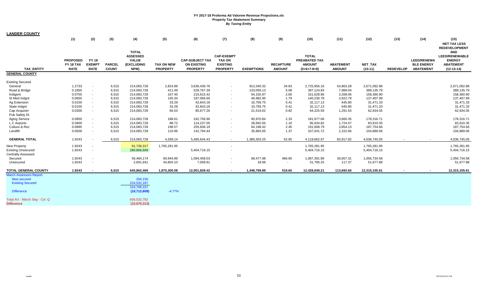| <u>LANDER COUNTY</u>           |                                             |                                              |                               |                                                                       |                                      |                                                                 |                                                                          |                   |                                   |                                                                 |                                   |                             |                  |                                                             |                                                                                                                  |
|--------------------------------|---------------------------------------------|----------------------------------------------|-------------------------------|-----------------------------------------------------------------------|--------------------------------------|-----------------------------------------------------------------|--------------------------------------------------------------------------|-------------------|-----------------------------------|-----------------------------------------------------------------|-----------------------------------|-----------------------------|------------------|-------------------------------------------------------------|------------------------------------------------------------------------------------------------------------------|
|                                | (1)                                         | (2)                                          | (3)                           | (4)                                                                   | (5)                                  | (6)                                                             | (7)                                                                      | (8)               | (9)                               | (10)                                                            | (11)                              | (12)                        | (13)             | (14)                                                        | (15)<br><b>NET TAX LESS</b>                                                                                      |
| <b>TAX ENTITY</b>              | <b>PROPOSED</b><br>FY 18 TAX<br><b>RATE</b> | <b>FY 18</b><br><b>EXEMPT</b><br><b>RATE</b> | <b>PARCEL</b><br><b>COUNT</b> | <b>TOTAL</b><br><b>ASSESSED</b><br><b>VALUE</b><br>(EXCLUDING<br>NPM) | <b>TAX ON NEW</b><br><b>PROPERTY</b> | <b>CAP-SUBJECT TAX</b><br><b>ON EXISTING</b><br><b>PROPERTY</b> | <b>CAP-EXEMPT</b><br><b>TAX ON</b><br><b>EXISTING</b><br><b>PROPERTY</b> | <b>EXEMPTIONS</b> | <b>RECAPTURE</b><br><b>AMOUNT</b> | <b>TOTAL</b><br>PREABATED TAX<br><b>AMOUNT</b><br>$(5+6+7-8+9)$ | <b>ABATEMENT</b><br><b>AMOUNT</b> | <b>NET TAX</b><br>$(10-11)$ | <b>REDEVELOP</b> | <b>LEED/RENEWA</b><br><b>BLE ENERGY</b><br><b>ABATEMENT</b> | <b>REDEVELOPMENT</b><br><b>AND</b><br><b>LEED/RENEWABLE</b><br><b>ENERGY</b><br><b>ABATEMENT</b><br>$(12-13-14)$ |
| <b>GENERAL COUNTY</b>          |                                             |                                              |                               |                                                                       |                                      |                                                                 |                                                                          |                   |                                   |                                                                 |                                   |                             |                  |                                                             |                                                                                                                  |
| <b>Existing Secured</b>        |                                             |                                              |                               |                                                                       |                                      |                                                                 |                                                                          |                   |                                   |                                                                 |                                   |                             |                  |                                                             |                                                                                                                  |
| General                        | 1.2733                                      |                                              | 6,515                         | 214,083,728                                                           | 2,824.89                             | 3,636,436.76                                                    | $\sim$                                                                   | 913,340.32        | 34.83                             | 2,725,956.16                                                    | 54,863.28                         | 2,671,092.88                |                  |                                                             | 2,671,092.88                                                                                                     |
| Road & Bridge                  | 0.1855                                      |                                              | 6,515                         | 214,083,728                                                           | 411.49                               | 529,767.39                                                      | $\sim$                                                                   | 133,059.13        | 5.08                              | 397,124.83                                                      | 7,989.04                          | 389,135.79                  |                  |                                                             | 389,135.79                                                                                                       |
| Indigent                       | 0.0755                                      |                                              | 6,515                         | 214,083,728                                                           | 167.45                               | 215,615.42                                                      | $\sim$                                                                   | 54,155.97         | 2.06                              | 161,628.96                                                      | 3,268.06                          | 158,360.90                  |                  |                                                             | 158,360.90                                                                                                       |
| St Med Indgnt                  | 0.0655                                      |                                              | 6,515                         | 214,083,728                                                           | 145.34                               | 187,066.60                                                      | $\sim$                                                                   | 46,982.95         | 1.79                              | 140,230.78                                                      | 2,822.79                          | 137,407.99                  |                  |                                                             | 137,407.99                                                                                                       |
| Ag Extension                   | 0.0150                                      |                                              | 6,515                         | 214,083,728                                                           | 33.29                                | 42,843.18                                                       | $\sim$                                                                   | 10,759.75         | 0.41                              | 32,117.13                                                       | 645.80                            | 31,471.33                   |                  |                                                             | 31,471.33                                                                                                        |
| State Indgnt                   | 0.0150                                      |                                              | 6,515                         | 214,083,728                                                           | 33.29                                | 42,843.18                                                       | $\blacksquare$                                                           | 10,759.75         | 0.41                              | 32,117.13                                                       | 645.80                            | 31,471.33                   |                  |                                                             | 31,471.33                                                                                                        |
| Cap Acquistn                   | 0.0300                                      | $\sim$                                       | 6,515                         | 214,083,728                                                           | 66.53                                | 85,677.26                                                       | $\blacksquare$                                                           | 21,519.02         | 0.82                              | 64,225.59                                                       | 1,291.54                          | 62,934.05                   |                  |                                                             | 62,934.05                                                                                                        |
| Pub Safety Dt                  |                                             |                                              |                               |                                                                       |                                      |                                                                 |                                                                          |                   |                                   |                                                                 |                                   |                             |                  |                                                             |                                                                                                                  |
| <b>Aging Service</b>           | 0.0850                                      |                                              | 6,515                         | 214,083,728                                                           | 188.61                               | 242,756.96                                                      | $\blacksquare$                                                           | 60,970.84         | 2.33                              | 181,977.06                                                      | 3,660.35                          | 178,316.71                  |                  |                                                             | 178,316.71                                                                                                       |
| L C Airports                   | 0.0400                                      |                                              | 6,515                         | 214,083,728                                                           | 88.72                                | 114,237.05                                                      | $\sim$                                                                   | 28,692.05         | 1.10                              | 85,634.82                                                       | 1,724.47                          | 83,910.35                   |                  |                                                             | 83,910.35                                                                                                        |
| Culture & Rec                  | 0.0895                                      |                                              | 6,515                         | 214,083,728                                                           | 198.57                               | 255,606.19                                                      | $\sim$                                                                   | 64,198.42         | 2.45                              | 191,608.79                                                      | 3,854.13                          | 187,754.66                  |                  |                                                             | 187,754.66                                                                                                       |
| Landfill                       | 0.0500                                      |                                              | 6,515                         | 214,083,728                                                           | 110.96                               | 142,794.44                                                      | $\sim$                                                                   | 35,865.05         | 1.37                              | 107,041.72                                                      | 2,152.66                          | 104,889.06                  |                  |                                                             | 104,889.06                                                                                                       |
|                                |                                             |                                              |                               |                                                                       |                                      |                                                                 |                                                                          |                   |                                   |                                                                 |                                   |                             |                  |                                                             |                                                                                                                  |
| <b>GENERAL TOTAL</b>           | 1.9243                                      |                                              | 6,515                         | 214,083,728                                                           | 4,269.14                             | 5,495,644.43                                                    | $\sim$                                                                   | 1,380,303.25      | 52.65                             | 4,119,662.97                                                    | 82,917.92                         | 4,036,745.05                |                  |                                                             | 4,036,745.05                                                                                                     |
| <b>New Property</b>            | 1.9243                                      |                                              |                               | 91,736,317                                                            | 1,765,281.95                         |                                                                 |                                                                          |                   |                                   | 1,765,281.95                                                    |                                   | 1,765,281.95                |                  |                                                             | 1,765,281.95                                                                                                     |
| <b>Existing Unsecured</b>      | 1.9243                                      | $\sim$                                       |                               | 280,866,609                                                           |                                      | 5,404,716.15                                                    | $\overline{\phantom{a}}$                                                 |                   |                                   | 5,404,716.15                                                    |                                   | 5,404,716.15                |                  |                                                             | 5,404,716.15                                                                                                     |
| <b>Centrally Assessed</b>      |                                             |                                              |                               |                                                                       |                                      |                                                                 |                                                                          |                   |                                   |                                                                 |                                   |                             |                  |                                                             |                                                                                                                  |
| Secured                        | 1.9243                                      |                                              |                               | 56,484,174                                                            | 60,944.89                            | 1,094,458.03                                                    | $\overline{\phantom{a}}$                                                 | 68,477.98         | 466.95                            | 1,087,391.89                                                    | 30,657.31                         | 1,056,734.58                |                  |                                                             | 1,056,734.58                                                                                                     |
| Unsecured                      | 1.9243                                      |                                              |                               | 2,691,641                                                             | 44,804.10                            | 7,009.81                                                        |                                                                          | 18.66             | $\sim$                            | 51,795.25                                                       | 117.37                            | 51,677.88                   |                  |                                                             | 51,677.88                                                                                                        |
| <b>TOTAL GENERAL COUNTY</b>    | 1.9243                                      |                                              | 6,515                         | 645,862,469                                                           | 1,875,300.08                         | 12,001,828.42                                                   | $\sim$                                                                   | 1,448,799.89      | 519.60                            | 12,428,848.21                                                   | 113,692.60                        | 12,315,155.61               |                  |                                                             | 12,315,155.61                                                                                                    |
| <b>March Assessors Report:</b> |                                             |                                              |                               |                                                                       |                                      |                                                                 |                                                                          |                   |                                   |                                                                 |                                   |                             |                  |                                                             |                                                                                                                  |
| New secured                    |                                             |                                              |                               | 264,150                                                               |                                      |                                                                 |                                                                          |                   |                                   |                                                                 |                                   |                             |                  |                                                             |                                                                                                                  |
| <b>Existing Secured</b>        |                                             |                                              |                               | 224,532,187                                                           |                                      |                                                                 |                                                                          |                   |                                   |                                                                 |                                   |                             |                  |                                                             |                                                                                                                  |
|                                |                                             |                                              |                               | 224,796,337                                                           |                                      |                                                                 |                                                                          |                   |                                   |                                                                 |                                   |                             |                  |                                                             |                                                                                                                  |
| <b>Difference</b>              |                                             |                                              |                               | (10,712,609)                                                          | $-4.77%$                             |                                                                 |                                                                          |                   |                                   |                                                                 |                                   |                             |                  |                                                             |                                                                                                                  |
| Total AV - March Seq - Col. Q  |                                             |                                              |                               | 656,532,782                                                           |                                      |                                                                 |                                                                          |                   |                                   |                                                                 |                                   |                             |                  |                                                             |                                                                                                                  |
| <b>Difference</b>              |                                             |                                              |                               | (10, 670, 313)                                                        |                                      |                                                                 |                                                                          |                   |                                   |                                                                 |                                   |                             |                  |                                                             |                                                                                                                  |
|                                |                                             |                                              |                               |                                                                       |                                      |                                                                 |                                                                          |                   |                                   |                                                                 |                                   |                             |                  |                                                             |                                                                                                                  |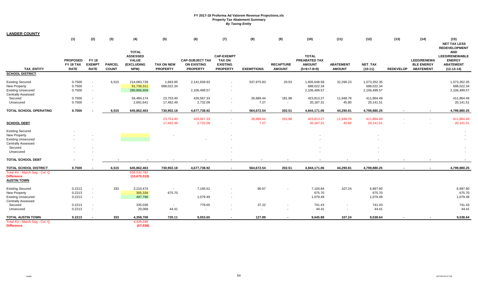| LANDER COUNTY                                                                                            |                                             |                                              |                        |                                                                       |                                      |                                                                 |                                                                          |                   |                                   |                                                                 |                                   |                                            |                  |                                                             |                                                                                                                  |
|----------------------------------------------------------------------------------------------------------|---------------------------------------------|----------------------------------------------|------------------------|-----------------------------------------------------------------------|--------------------------------------|-----------------------------------------------------------------|--------------------------------------------------------------------------|-------------------|-----------------------------------|-----------------------------------------------------------------|-----------------------------------|--------------------------------------------|------------------|-------------------------------------------------------------|------------------------------------------------------------------------------------------------------------------|
|                                                                                                          | (1)                                         | (2)                                          | (3)                    | (4)                                                                   | (5)                                  | (6)                                                             | (7)                                                                      | (8)               | (9)                               | (10)                                                            | (11)                              | (12)                                       | (13)             | (14)                                                        | (15)<br><b>NET TAX LESS</b>                                                                                      |
| <b>TAX ENTITY</b>                                                                                        | <b>PROPOSED</b><br>FY 18 TAX<br><b>RATE</b> | <b>FY 18</b><br><b>EXEMPT</b><br><b>RATE</b> | PARCEL<br><b>COUNT</b> | <b>TOTAL</b><br><b>ASSESSED</b><br><b>VALUE</b><br>(EXCLUDING<br>NPM) | <b>TAX ON NEW</b><br><b>PROPERTY</b> | <b>CAP-SUBJECT TAX</b><br><b>ON EXISTING</b><br><b>PROPERTY</b> | <b>CAP-EXEMPT</b><br><b>TAX ON</b><br><b>EXISTING</b><br><b>PROPERTY</b> | <b>EXEMPTIONS</b> | <b>RECAPTURE</b><br><b>AMOUNT</b> | <b>TOTAL</b><br>PREABATED TAX<br><b>AMOUNT</b><br>$(5+6+7-8+9)$ | <b>ABATEMENT</b><br><b>AMOUNT</b> | NET_TAX<br>$(10-11)$                       | <b>REDEVELOP</b> | <b>LEED/RENEWA</b><br><b>BLE ENERGY</b><br><b>ABATEMENT</b> | <b>REDEVELOPMENT</b><br><b>AND</b><br><b>LEED/RENEWABLE</b><br><b>ENERGY</b><br><b>ABATEMENT</b><br>$(12-13-14)$ |
| <b>SCHOOL DISTRICT</b>                                                                                   |                                             |                                              |                        |                                                                       |                                      |                                                                 |                                                                          |                   |                                   |                                                                 |                                   |                                            |                  |                                                             |                                                                                                                  |
| <b>Existing Secured</b><br><b>New Property</b><br><b>Existing Unsecured</b><br><b>Centrally Assessed</b> | 0.7500<br>0.7500<br>0.7500                  | $\blacksquare$<br>$\sim$<br>$\sim$           | 6,515                  | 214,083,728<br>91,736,311<br>280,866,609                              | 1,663.95<br>688,022.34               | 2,141,939.93<br>2,106,499.57                                    | $\overline{\phantom{a}}$<br>$\sim$                                       | 537,975.83        | 20.53                             | 1,605,648.58<br>688,022.34<br>2,106,499.57                      | 32,296.23                         | 1,573,352.35<br>688,022.34<br>2,106,499.57 |                  |                                                             | 1,573,352.35<br>688,022.34<br>2,106,499.57                                                                       |
| Secured<br>Unsecured                                                                                     | 0.7500<br>0.7500                            | $\overline{\phantom{a}}$<br>$\sim$           |                        | 56,484,174<br>2,691,641                                               | 23,753.40<br>17,462.49               | 426,567.33<br>2,732.09                                          | $\sim$<br>$\sim$                                                         | 26,689.44<br>7.27 | 181.98<br>$\sim$                  | 423,813.27<br>20,187.31                                         | 11,948.78<br>45.80                | 411,864.49<br>20,141.51                    |                  |                                                             | 411,864.49<br>20,141.51                                                                                          |
| TOTAL SCHOOL OPERATING                                                                                   | 0.7500                                      |                                              | 6,515                  | 645,862,463                                                           | 730,902.18                           | 4,677,738.92                                                    | $\sim$                                                                   | 564,672.54        | 202.51                            | 4,844,171.06                                                    | 44,290.81                         | 4,799,880.25                               |                  | $\blacksquare$                                              | 4,799,880.25                                                                                                     |
| <b>SCHOOL DEBT</b>                                                                                       |                                             |                                              |                        |                                                                       | 23,753.40<br>17,462.49               | 426,567.33<br>2,732.09                                          | $\sim$                                                                   | 26,689.44<br>7.27 | 181.98<br>$\sim$                  | 423,813.27<br>20,187.31                                         | 11,948.78<br>45.80                | 411,864.49<br>20,141.51                    |                  |                                                             | 411,864.49<br>20,141.51                                                                                          |
| <b>Existing Secured</b><br><b>New Property</b><br><b>Existing Unsecured</b><br><b>Centrally Assessed</b> |                                             |                                              |                        |                                                                       |                                      |                                                                 |                                                                          |                   |                                   |                                                                 |                                   |                                            |                  |                                                             |                                                                                                                  |
| Secured                                                                                                  |                                             |                                              |                        |                                                                       |                                      |                                                                 |                                                                          |                   |                                   |                                                                 |                                   |                                            |                  |                                                             |                                                                                                                  |
| Unsecured                                                                                                |                                             | $\overline{\phantom{a}}$                     |                        |                                                                       |                                      |                                                                 |                                                                          |                   |                                   |                                                                 |                                   |                                            |                  |                                                             |                                                                                                                  |
| <b>TOTAL SCHOOL DEBT</b>                                                                                 |                                             |                                              |                        |                                                                       |                                      |                                                                 | $\blacksquare$                                                           |                   |                                   |                                                                 |                                   |                                            |                  |                                                             |                                                                                                                  |
| TOTAL SCHOOL DISTRICT                                                                                    | 0.7500                                      |                                              | 6,515                  | 645,862,463                                                           | 730,902.18                           | 4,677,738.92                                                    | $\sim$                                                                   | 564,672.54        | 202.51                            | 4,844,171.06                                                    | 44,290.81                         | 4,799,880.25                               | $\blacksquare$   | $\sim$                                                      | 4,799,880.25                                                                                                     |
| Total AV - March Seg - Col. Q<br><b>Difference</b><br><b>AUSTIN TOWN</b>                                 |                                             |                                              |                        | 656,532,782<br>(10,670,319)                                           |                                      |                                                                 |                                                                          |                   |                                   |                                                                 |                                   |                                            |                  |                                                             |                                                                                                                  |
| <b>Existing Secured</b><br><b>New Property</b><br><b>Existing Unsecured</b>                              | 0.2213<br>0.2213<br>0.2213                  | $\blacksquare$<br>$\sim$<br>$\blacksquare$   | 333                    | 3,210,474<br>305,334<br>487,796                                       | $\sim$<br>675.70                     | 7,195.51<br>1,079.49                                            | $\sim$                                                                   | 90.67             |                                   | 7,104.84<br>675.70<br>1,079.49                                  | 107.24                            | 6,997.60<br>675.70<br>1,079.49             |                  |                                                             | 6,997.60<br>675.70<br>1,079.49                                                                                   |
| <b>Centrally Assessed</b><br>Secured<br>Unsecured                                                        | 0.2213<br>0.2213                            | $\overline{\phantom{a}}$<br>$\sim$           |                        | 335,036<br>20,068                                                     | $\sim$<br>44.41                      | 778.65                                                          | $\overline{\phantom{a}}$                                                 | 37.22<br>$\sim$   |                                   | 741.43<br>44.41                                                 |                                   | 741.43<br>44.41                            |                  |                                                             | 741.43<br>44.41                                                                                                  |
| <b>TOTAL AUSTIN TOWN</b>                                                                                 | 0.2213                                      | $\sim$                                       | 333                    | 4,358,708                                                             | 720.11                               | 9,053.65                                                        | $\sim$                                                                   | 127.89            |                                   | 9,645.88                                                        | 107.24                            | 9,538.64                                   |                  |                                                             | 9,538.64                                                                                                         |
| Total AV - March Seg - Col. Q<br><b>Difference</b>                                                       |                                             |                                              |                        | 4,426,246<br>(67, 538)                                                |                                      |                                                                 |                                                                          |                   |                                   |                                                                 |                                   |                                            |                  |                                                             |                                                                                                                  |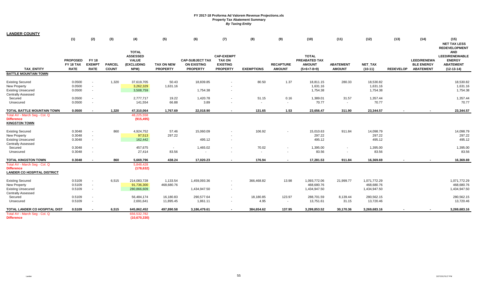| <b>LANDER COUNTY</b>                                                                                     |                                             |                                             |                               |                                                                       |                                      |                                                                 |                                                                          |                         |                                   |                                                                 |                                   |                                            |                  |                                                             |                                                                                          |
|----------------------------------------------------------------------------------------------------------|---------------------------------------------|---------------------------------------------|-------------------------------|-----------------------------------------------------------------------|--------------------------------------|-----------------------------------------------------------------|--------------------------------------------------------------------------|-------------------------|-----------------------------------|-----------------------------------------------------------------|-----------------------------------|--------------------------------------------|------------------|-------------------------------------------------------------|------------------------------------------------------------------------------------------|
|                                                                                                          | (1)                                         | (2)                                         | (3)                           | (4)                                                                   | (5)                                  | (6)                                                             | (7)                                                                      | (8)                     | (9)                               | (10)                                                            | (11)                              | (12)                                       | (13)             | (14)                                                        | (15)<br><b>NET TAX LESS</b><br><b>REDEVELOPMENT</b>                                      |
| <b>TAX ENTITY</b>                                                                                        | <b>PROPOSED</b><br>FY 18 TAX<br><b>RATE</b> | <b>FY18</b><br><b>EXEMPT</b><br><b>RATE</b> | <b>PARCEL</b><br><b>COUNT</b> | <b>TOTAL</b><br><b>ASSESSED</b><br><b>VALUE</b><br>(EXCLUDING<br>NPM) | <b>TAX ON NEW</b><br><b>PROPERTY</b> | <b>CAP-SUBJECT TAX</b><br><b>ON EXISTING</b><br><b>PROPERTY</b> | <b>CAP-EXEMPT</b><br><b>TAX ON</b><br><b>EXISTING</b><br><b>PROPERTY</b> | <b>EXEMPTIONS</b>       | <b>RECAPTURE</b><br><b>AMOUNT</b> | <b>TOTAL</b><br>PREABATED TAX<br><b>AMOUNT</b><br>$(5+6+7-8+9)$ | <b>ABATEMENT</b><br><b>AMOUNT</b> | NET_TAX<br>$(10-11)$                       | <b>REDEVELOP</b> | <b>LEED/RENEWA</b><br><b>BLE ENERGY</b><br><b>ABATEMENT</b> | <b>AND</b><br><b>LEED/RENEWABLE</b><br><b>ENERGY</b><br><b>ABATEMENT</b><br>$(12-13-14)$ |
| <b>BATTLE MOUNTAIN TOWN</b>                                                                              |                                             |                                             |                               |                                                                       |                                      |                                                                 |                                                                          |                         |                                   |                                                                 |                                   |                                            |                  |                                                             |                                                                                          |
| <b>Existing Secured</b><br><b>New Property</b><br><b>Existing Unsecured</b><br><b>Centrally Assessed</b> | 0.0500<br>0.0500<br>0.0500                  | $\blacksquare$<br>$\overline{\phantom{a}}$  | 1,320                         | 37,619,705<br>3,262,329<br>3,508,759                                  | 50.43<br>1,631.16                    | 18,839.85<br>1,754.38                                           | $\sim$                                                                   | 80.50                   | 1.37                              | 18,811.15<br>1,631.16<br>1,754.38                               | 280.33                            | 18,530.82<br>1,631.16<br>1,754.38          |                  |                                                             | 18,530.82<br>1,631.16<br>1,754.38                                                        |
| Secured<br>Unsecured                                                                                     | 0.0500<br>0.0500                            | $\overline{\phantom{a}}$<br>$\blacksquare$  |                               | 2,777,717<br>141,554                                                  | 19.22<br>66.88                       | 1,420.78<br>3.89                                                | $\sim$<br>$\overline{\phantom{a}}$                                       | 51.15<br>$\sim$         | 0.16<br>$\sim$                    | 1,389.01<br>70.77                                               | 31.57<br>$\sim$                   | 1,357.44<br>70.77                          |                  |                                                             | 1,357.44<br>70.77                                                                        |
| TOTAL BATTLE MOUNTAIN TOWN                                                                               | 0.0500                                      | $\blacksquare$                              | 1,320                         | 47,310,064                                                            | 1,767.69                             | 22,018.90                                                       | $\sim$                                                                   | 131.65                  | 1.53                              | 23,656.47                                                       | 311.90                            | 23,344.57                                  | $\blacksquare$   | $\blacksquare$                                              | 23,344.57                                                                                |
| Total AV - March Seg - Col. Q<br><b>Difference</b><br><b>KINGSTON TOWN</b>                               |                                             |                                             |                               | 48,225,558<br>(915, 495)                                              |                                      |                                                                 |                                                                          |                         |                                   |                                                                 |                                   |                                            |                  |                                                             |                                                                                          |
| <b>Existing Secured</b><br><b>New Property</b><br><b>Existing Unsecured</b><br><b>Centrally Assessed</b> | 0.3048<br>0.3048<br>0.3048                  | $\mathbf{r}$<br>$\overline{\phantom{a}}$    | 860                           | 4,924,752<br>97,513<br>162,442                                        | 57.46<br>297.22                      | 15,060.09<br>495.12                                             | $\overline{\phantom{a}}$<br>$\sim$                                       | 106.92                  |                                   | 15,010.63<br>297.22<br>495.12                                   | 911.84                            | 14,098.79<br>297.22<br>495.12              |                  |                                                             | 14,098.79<br>297.22<br>495.12                                                            |
| Secured<br>Unsecured                                                                                     | 0.3048<br>0.3048                            | $\mathbf{r}$                                |                               | 457,675<br>27,414                                                     | $\sim$<br>83.56                      | 1,465.02<br>$\sim$                                              |                                                                          | 70.02<br><b>Section</b> | <b>COL</b>                        | 1,395.00<br>83.56                                               |                                   | 1,395.00<br>83.56                          |                  |                                                             | 1,395.00<br>83.56                                                                        |
| TOTAL KINGSTON TOWN                                                                                      | 0.3048                                      |                                             | 860                           | 5,669,796                                                             | 438.24                               | 17,020.23                                                       | $\overline{\phantom{a}}$                                                 | 176.94                  |                                   | 17,281.53                                                       | 911.84                            | 16,369.69                                  |                  |                                                             | 16,369.69                                                                                |
| Total AV - March Seg - Col. Q<br><b>Difference</b><br><b>LANDER CO HOSPITAL DISTRICT</b>                 |                                             |                                             |                               | 5,848,428<br>(178, 632)                                               |                                      |                                                                 |                                                                          |                         |                                   |                                                                 |                                   |                                            |                  |                                                             |                                                                                          |
| <b>Existing Secured</b><br><b>New Property</b><br><b>Existing Unsecured</b><br><b>Centrally Assessed</b> | 0.5109<br>0.5109<br>0.5109                  | $\mathbf{r}$<br>$\mathbf{r}$                | 6,515                         | 214,083,728<br>91,736,300<br>280,866,609                              | 1,133.54<br>468,680.76               | 1,459,093.36<br>1,434,947.50                                    | $\sim$<br>$\sim$                                                         | 366,468.82              | 13.98                             | 1,093,772.06<br>468,680.76<br>1,434,947.50                      | 21,999.77                         | 1,071,772.29<br>468,680.76<br>1,434,947.50 |                  |                                                             | 1,071,772.29<br>468,680.76<br>1,434,947.50                                               |
| Secured<br>Unsecured                                                                                     | 0.5109<br>0.5109                            | $\overline{\phantom{a}}$                    |                               | 56,484,174<br>2,691,641                                               | 16,180.83<br>11,895.45               | 290,577.64<br>1,861.11                                          | $\sim$<br>$\sim$                                                         | 18,180.85<br>4.95       | 123.97<br>$\sim$                  | 288,701.59<br>13,751.61                                         | 8,139.44<br>31.15                 | 280,562.15<br>13,720.46                    |                  |                                                             | 280,562.15<br>13,720.46                                                                  |
| TOTAL LANDER CO HOSPITAL DIST                                                                            | 0.5109                                      |                                             | 6,515                         | 645,862,452                                                           | 497,890.58                           | 3,186,479.61                                                    | $\blacksquare$                                                           | 384,654.62              | 137.95                            | 3,299,853.52                                                    | 30,170.36                         | 3,269,683.16                               |                  |                                                             | 3,269,683.16                                                                             |
| Total AV - March Seg - Col. Q<br><b>Difference</b>                                                       |                                             |                                             |                               | 656,532,782<br>(10,670,330)                                           |                                      |                                                                 |                                                                          |                         |                                   |                                                                 |                                   |                                            |                  |                                                             |                                                                                          |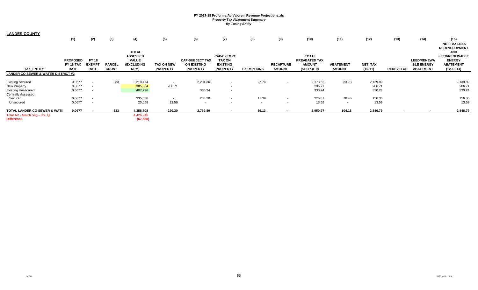| <b>LANDER COUNTY</b>                               |                 |               |               |                                 |                   |                        |                          |                   |                  |               |                  |           |                  |                    |                                     |
|----------------------------------------------------|-----------------|---------------|---------------|---------------------------------|-------------------|------------------------|--------------------------|-------------------|------------------|---------------|------------------|-----------|------------------|--------------------|-------------------------------------|
|                                                    | (1)             | (2)           | (3)           | (4)                             | (5)               | (6)                    | (7)                      | (8)               | (9)              | (10)          | (11)             | (12)      | (13)             | (14)               | (15)                                |
|                                                    |                 |               |               |                                 |                   |                        |                          |                   |                  |               |                  |           |                  |                    | <b>NET TAX LESS</b>                 |
|                                                    |                 |               |               |                                 |                   |                        |                          |                   |                  |               |                  |           |                  |                    | <b>REDEVELOPMENT</b>                |
|                                                    |                 |               |               | <b>TOTAL</b><br><b>ASSESSED</b> |                   |                        | <b>CAP-EXEMPT</b>        |                   |                  | <b>TOTAL</b>  |                  |           |                  |                    | <b>AND</b><br><b>LEED/RENEWABLE</b> |
|                                                    | <b>PROPOSED</b> | <b>FY18</b>   |               | <b>VALUE</b>                    |                   | <b>CAP-SUBJECT TAX</b> | <b>TAX ON</b>            |                   |                  | PREABATED TAX |                  |           |                  | <b>LEED/RENEWA</b> | <b>ENERGY</b>                       |
|                                                    | FY 18 TAX       | <b>EXEMPT</b> | <b>PARCEL</b> | (EXCLUDING                      | <b>TAX ON NEW</b> | <b>ON EXISTING</b>     | <b>EXISTING</b>          |                   | <b>RECAPTURE</b> | <b>AMOUNT</b> | <b>ABATEMENT</b> | NET_TAX   |                  | <b>BLE ENERGY</b>  | <b>ABATEMENT</b>                    |
| <b>TAX ENTITY</b>                                  | <b>RATE</b>     | <b>RATE</b>   | <b>COUNT</b>  | NPM)                            | <b>PROPERTY</b>   | <b>PROPERTY</b>        | <b>PROPERTY</b>          | <b>EXEMPTIONS</b> | <b>AMOUNT</b>    | $(5+6+7-8+9)$ | <b>AMOUNT</b>    | $(10-11)$ | <b>REDEVELOP</b> | <b>ABATEMENT</b>   | $(12-13-14)$                        |
| <b>LANDER CO SEWER &amp; WATER DISTRICT #2</b>     |                 |               |               |                                 |                   |                        |                          |                   |                  |               |                  |           |                  |                    |                                     |
| <b>Existing Secured</b>                            | 0.0677          | $\sim$        | 333           | 3,210,474                       | $\sim$            | 2,201.36               | $\sim$                   | 27.74             | $\sim$           | 2,173.62      | 33.73            | 2,139.89  |                  |                    | 2,139.89                            |
| New Property                                       | 0.0677          | $\sim$        |               | 305,334                         | 206.71            |                        | $\sim$                   |                   |                  | 206.71        |                  | 206.71    |                  |                    | 206.71                              |
| <b>Existing Unsecured</b>                          | 0.0677          |               |               | 487,796                         |                   | 330.24                 | $\sim$                   |                   |                  | 330.24        |                  | 330.24    |                  |                    | 330.24                              |
| <b>Centrally Assessed</b>                          |                 |               |               |                                 |                   |                        |                          |                   |                  |               |                  |           |                  |                    |                                     |
| Secured                                            | 0.0677          | $\sim$        |               | 335,036                         | $\sim$            | 238.20                 | $\sim$                   | 11.39             | $\sim$           | 226.81        | 70.45            | 156.36    |                  |                    | 156.36                              |
| Unsecured                                          | 0.0677          | $\sim$        |               | 20,068                          | 13.59             | $\sim$                 | $\sim$                   | $\sim$            | $\sim$           | 13.59         | $\sim$           | 13.59     |                  |                    | 13.59                               |
| <b>TOTAL LANDER CO SEWER &amp; WATE</b>            | 0.0677          |               | 333           | 4,358,708                       | 220.30            | 2,769.80               | $\overline{\phantom{a}}$ | 39.13             | $\sim$           | 2,950.97      | 104.18           | 2,846.79  |                  |                    | 2,846.79                            |
| Total AV - March Seg - Col. Q<br><b>Difference</b> |                 |               |               | 4,426,246<br>(67, 538)          |                   |                        |                          |                   |                  |               |                  |           |                  |                    |                                     |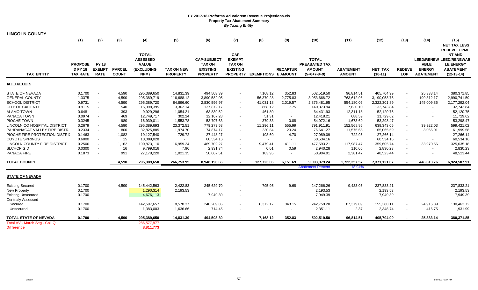| <b>LINCOLN COUNTY</b>               |                                                   |                                             |                               |                                                                       |                                      |                                                                           |                                                           |                              |                          |                                                                        |                                   |                      |                             |                                                  |                                                                                                         |
|-------------------------------------|---------------------------------------------------|---------------------------------------------|-------------------------------|-----------------------------------------------------------------------|--------------------------------------|---------------------------------------------------------------------------|-----------------------------------------------------------|------------------------------|--------------------------|------------------------------------------------------------------------|-----------------------------------|----------------------|-----------------------------|--------------------------------------------------|---------------------------------------------------------------------------------------------------------|
|                                     | (1)                                               | (2)                                         | (3)                           | (4)                                                                   | (5)                                  | (6)                                                                       | (7)                                                       | (8)                          | (9)                      | (10)                                                                   | (11)                              | (12)                 | (13)                        | (14)                                             | (15)<br><b>NET TAX LESS</b><br><b>REDEVELOPME</b>                                                       |
| <b>TAX ENTITY</b>                   | <b>PROPOSE</b><br><b>DFY18</b><br><b>TAX RATE</b> | <b>FY18</b><br><b>EXEMPT</b><br><b>RATE</b> | <b>PARCEL</b><br><b>COUNT</b> | <b>TOTAL</b><br><b>ASSESSED</b><br><b>VALUE</b><br>(EXCLUDING<br>NPM) | <b>TAX ON NEW</b><br><b>PROPERTY</b> | <b>CAP-SUBJECT</b><br><b>TAX ON</b><br><b>EXISTING</b><br><b>PROPERTY</b> | CAP-<br><b>EXEMPT</b><br><b>TAX ON</b><br><b>EXISTING</b> | PROPERTY EXEMPTIONS E AMOUNT | <b>RECAPTUR</b>          | <b>TOTAL</b><br><b>PREABATED TAX</b><br><b>AMOUNT</b><br>$(5+6+7-8+9)$ | <b>ABATEMENT</b><br><b>AMOUNT</b> | NET_TAX<br>$(10-11)$ | <b>REDEVE</b><br><b>LOP</b> | <b>ABLE</b><br><b>ENERGY</b><br><b>ABATEMENT</b> | <b>NT AND</b><br><b>LEED/RENEW LEED/RENEWAB</b><br><b>LE ENERGY</b><br><b>ABATEMENT</b><br>$(12-13-14)$ |
| <b>ALL ENTITIES</b>                 |                                                   |                                             |                               |                                                                       |                                      |                                                                           |                                                           |                              |                          |                                                                        |                                   |                      |                             |                                                  |                                                                                                         |
| <b>STATE OF NEVADA</b>              | 0.1700                                            |                                             | 4,590                         | 295,389,650                                                           | 14,831.39                            | 494,503.39                                                                |                                                           | 7,168.12                     | 352.83                   | 502,519.50                                                             | 96,814.51                         | 405,704.99           | $\overline{\phantom{a}}$    | 25,333.14                                        | 380,371.85                                                                                              |
| <b>GENERAL COUNTY</b>               | 1.3375                                            |                                             | 4,590                         | 295,389,719                                                           | 116,688.12                           | 3,890,582.05                                                              |                                                           | 56,379.28                    | 2,775.83                 | 3,953,666.72                                                           | 763,612.96                        | 3,190,053.76         | $\overline{\phantom{a}}$    | 199,312.17                                       | 2,990,741.59                                                                                            |
| <b>SCHOOL DISTRICT</b>              | 0.9731                                            |                                             | 4,590                         | 295,389,720                                                           | 84,896.60                            | 2,830,596.97                                                              |                                                           | 41,031.18                    | 2,019.57                 | 2,876,481.95                                                           | 554,180.06                        | 2,322,301.89         | $\overline{\phantom{a}}$    | 145,009.85                                       | 2,177,292.04                                                                                            |
| <b>CITY OF CALIENTE</b>             | 0.9115                                            | $\overline{\phantom{a}}$                    | 540                           | 15,398,395                                                            | 3,362.14                             | 137,872.17                                                                |                                                           | 868.12                       | 7.75                     | 140,373.94                                                             | 7,630.10                          | 132,743.84           | $\overline{\phantom{a}}$    | $\sim$                                           | 132,743.84                                                                                              |
| <b>ALAMO TOWN</b>                   | 0.6481                                            |                                             | 393                           | 9,929,296                                                             | 1,054.21                             | 63,839.52                                                                 | $\sim$                                                    | 461.80                       | $\sim$                   | 64,431.93                                                              | 12,311.18                         | 52,120.75            | $\sim$                      | $\sim$                                           | 52,120.75                                                                                               |
| PANACA TOWN                         | 0.0974                                            |                                             | 469                           | 12,749,717                                                            | 302.24                               | 12,167.28                                                                 |                                                           | 51.31                        | $\sim$                   | 12,418.21                                                              | 688.59                            | 11,729.62            | $\sim$                      | $\overline{\phantom{a}}$                         | 11,729.62                                                                                               |
| PIOCHE TOWN                         | 0.3245                                            |                                             | 980                           | 16,939,011                                                            | 1,553.78                             | 53,797.63                                                                 |                                                           | 379.33                       | 0.08                     | 54,972.16                                                              | 1,673.69                          | 53,298.47            | $\sim$                      | $\blacksquare$                                   | 53,298.47                                                                                               |
| LINCOLN CO HOSPITAL DISTRICT        | 0.2679                                            |                                             | 4,590                         | 295,389,693                                                           | 23,372.51                            | 779,279.53                                                                | $\sim$                                                    | 11,296.11                    | 555.99                   | 791,911.91                                                             | 152,568.86                        | 639,343.05           | $\sim$                      | 39,922.03                                        | 599,421.02                                                                                              |
| PAHRANAGAT VALLEY FIRE DISTRI       | 0.2334                                            |                                             | 800                           | 32,825,885                                                            | 1,974.70                             | 74,874.17                                                                 | $\sim$                                                    | 230.84                       | 23.24                    | 76,641.27                                                              | 11,575.68                         | 65,065.59            | $\sim$                      | 3,066.01                                         | 61,999.58                                                                                               |
| PIOCHE FIRE PROTECTION DISTRIC      | 0.1463                                            |                                             | 1,082                         | 19,127,540                                                            | 729.72                               | 27,448.27                                                                 |                                                           | 193.60                       | 4.70                     | 27,989.09                                                              | 722.95                            | 27,266.14            | $\sim$                      | $\overline{\phantom{a}}$                         | 27,266.14                                                                                               |
| <b>COYOTE SPRINGS</b>               | 0.6000                                            |                                             | 15                            | 10,089,028                                                            |                                      | 60,534.16                                                                 |                                                           | $\sim$                       | $\sim$                   | 60,534.16                                                              | $\blacksquare$                    | 60,534.16            | $\overline{\phantom{a}}$    | $\overline{\phantom{a}}$                         | 60,534.16                                                                                               |
| <b>LINCOLN COUNTY FIRE DISTRICT</b> | 0.2500                                            |                                             | 1,162                         | 190,873,110                                                           | 16,959.24                            | 469,702.27                                                                | $\overline{a}$                                            | 9,479.41                     | 411.11                   | 477,593.21                                                             | 117,987.47                        | 359,605.74           | $\sim$                      | 33,970.56                                        | 325,635.18                                                                                              |
| <b>SLCHCP GID</b>                   | 0.0300                                            |                                             | 16                            | 9,799,016                                                             | 7.96                                 | 2,931.74                                                                  | $\overline{\phantom{a}}$                                  | 0.01                         | 0.59                     | 2,940.28                                                               | 110.05                            | 2,830.23             | $\sim$                      | $\sim$                                           | 2,830.23                                                                                                |
| PANACA FIRE                         | 0.1873                                            |                                             | 991                           | 27,178,220                                                            | 1,021.35                             | 50,067.51                                                                 |                                                           | 183.95                       | $\overline{\phantom{a}}$ | 50,904.91                                                              | 2,381.47                          | 48,523.44            | $\blacksquare$              |                                                  | 48,523.44                                                                                               |
| <b>TOTAL COUNTY</b>                 |                                                   |                                             | 4,590                         | 295,389,650                                                           | 266,753.95                           | 8,948,196.66                                                              |                                                           | 127,723.06                   | 6,151.69                 | 9,093,379.24                                                           | 1,722,257.57                      | 7,371,121.67         | $\blacksquare$              | 446,613.76                                       | 6,924,507.91                                                                                            |
|                                     |                                                   |                                             |                               |                                                                       |                                      |                                                                           |                                                           |                              |                          | <b>Abatement Percent</b>                                               | 18.94%                            |                      |                             |                                                  |                                                                                                         |
| <b>STATE OF NEVADA</b>              |                                                   |                                             |                               |                                                                       |                                      |                                                                           |                                                           |                              |                          |                                                                        |                                   |                      |                             |                                                  |                                                                                                         |
| <b>Existing Secured</b>             | 0.1700                                            |                                             | 4,590                         | 145,442,563                                                           | 2,422.83                             | 245,629.70                                                                | $\sim$                                                    | 795.95                       | 9.68                     | 247,266.26                                                             | 9,433.05                          | 237,833.21           |                             |                                                  | 237,833.21                                                                                              |
| <b>New Property</b>                 | 0.1700                                            |                                             |                               | 1,290,314                                                             | 2,193.53                             |                                                                           |                                                           |                              |                          | 2,193.53                                                               |                                   | 2,193.53             |                             |                                                  | 2,193.53                                                                                                |
| <b>Existing Unsecured</b>           | 0.1700                                            |                                             |                               | 4,676,113                                                             |                                      | 7,949.39                                                                  | $\overline{\phantom{a}}$                                  |                              |                          | 7,949.39                                                               |                                   | 7,949.39             |                             |                                                  | 7,949.39                                                                                                |
| <b>Centrally Assessed</b>           |                                                   |                                             |                               |                                                                       |                                      |                                                                           |                                                           |                              |                          |                                                                        |                                   |                      |                             |                                                  |                                                                                                         |
| Secured                             | 0.1700                                            |                                             |                               | 142,597,657                                                           | 8,578.37                             | 240,209.85                                                                |                                                           | 6,372.17                     | 343.15                   | 242,759.20                                                             | 87,379.09                         | 155,380.11           | $\overline{\phantom{a}}$    | 24,916.39                                        | 130,463.72                                                                                              |
| Unsecured                           | 0.1700                                            |                                             |                               | 1,383,003                                                             | 1,636.66                             | 714.45                                                                    |                                                           | $\overline{\phantom{a}}$     | $\overline{\phantom{a}}$ | 2,351.11                                                               | 2.37                              | 2,348.74             | $\overline{\phantom{a}}$    | 416.75                                           | 1,931.99                                                                                                |
| <b>TOTAL STATE OF NEVADA</b>        | 0.1700                                            |                                             | 4.590                         | 295,389,650                                                           | 14,831.39                            | 494,503.39                                                                |                                                           | 7,168.12                     | 352.83                   | 502.519.50                                                             | 96,814.51                         | 405.704.99           | $\blacksquare$              | 25,333.14                                        | 380,371.85                                                                                              |
| Total AV - March Seg - Col. Q       |                                                   |                                             |                               | 286,577,877                                                           |                                      |                                                                           |                                                           |                              |                          |                                                                        |                                   |                      |                             |                                                  |                                                                                                         |
| <b>Difference</b>                   |                                                   |                                             |                               | 8,811,773                                                             |                                      |                                                                           |                                                           |                              |                          |                                                                        |                                   |                      |                             |                                                  |                                                                                                         |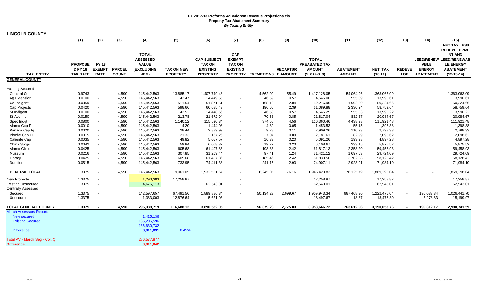| <u>LINCOLN COUNTY</u>          |                 |               |               |                   |                   |                    |                          |                            |                 |               |                  |              |                          |                  |                                     |
|--------------------------------|-----------------|---------------|---------------|-------------------|-------------------|--------------------|--------------------------|----------------------------|-----------------|---------------|------------------|--------------|--------------------------|------------------|-------------------------------------|
|                                | (1)             | (2)           | (3)           | (4)               | (5)               | (6)                | (7)                      | (8)                        | (9)             | (10)          | (11)             | (12)         | (13)                     | (14)             | (15)                                |
|                                |                 |               |               |                   |                   |                    |                          |                            |                 |               |                  |              |                          |                  | <b>NET TAX LESS</b>                 |
|                                |                 |               |               | <b>TOTAL</b>      |                   |                    | CAP-                     |                            |                 |               |                  |              |                          |                  | <b>REDEVELOPME</b><br><b>NT AND</b> |
|                                |                 |               |               | <b>ASSESSED</b>   |                   | <b>CAP-SUBJECT</b> | <b>EXEMPT</b>            |                            |                 | <b>TOTAL</b>  |                  |              |                          |                  | <b>LEED/RENEW LEED/RENEWAB</b>      |
|                                | <b>PROPOSE</b>  | <b>FY 18</b>  |               | <b>VALUE</b>      |                   | <b>TAX ON</b>      | <b>TAX ON</b>            |                            |                 | PREABATED TAX |                  |              |                          | <b>ABLE</b>      | <b>LE ENERGY</b>                    |
|                                | <b>D FY 18</b>  | <b>EXEMPT</b> | <b>PARCEL</b> | <b>(EXCLUDING</b> | <b>TAX ON NEW</b> | <b>EXISTING</b>    | <b>EXISTING</b>          |                            | <b>RECAPTUR</b> | <b>AMOUNT</b> | <b>ABATEMENT</b> | NET_TAX      | <b>REDEVE</b>            | <b>ENERGY</b>    | <b>ABATEMENT</b>                    |
| <b>TAX ENTITY</b>              | <b>TAX RATE</b> | <b>RATE</b>   | <b>COUNT</b>  | NPM)              | <b>PROPERTY</b>   | <b>PROPERTY</b>    | <b>PROPERTY</b>          | <b>EXEMPTIONS E AMOUNT</b> |                 | $(5+6+7-8+9)$ | <b>AMOUNT</b>    | $(10-11)$    | <b>LOP</b>               | <b>ABATEMENT</b> | $(12-13-14)$                        |
| <b>GENERAL COUNTY</b>          |                 |               |               |                   |                   |                    |                          |                            |                 |               |                  |              |                          |                  |                                     |
| <b>Existing Secured</b>        |                 |               |               |                   |                   |                    |                          |                            |                 |               |                  |              |                          |                  |                                     |
| General Co.                    | 0.9743          |               | 4,590         | 145,442,563       | 13,885.17         | 1,407,749.48       | $\overline{\phantom{a}}$ | 4,562.09                   | 55.49           | 1,417,128.05  | 54,064.96        | 1,363,063.09 |                          |                  | 1,363,063.09                        |
| Ag Extension                   | 0.0100          |               | 4,590         | 145,442,563       | 142.47            | 14,449.55          |                          | 46.59                      | 0.57            | 14,546.00     | 555.39           | 13,990.61    |                          |                  | 13,990.61                           |
| Co Indigent                    | 0.0359          |               | 4,590         | 145,442,563       | 511.54            | 51,871.51          | $\sim$                   | 168.13                     | 2.04            | 52,216.96     | 1,992.30         | 50,224.66    |                          |                  | 50,224.66                           |
| Cap Projects                   | 0.0420          |               | 4,590         | 145,442,563       | 598.66            | 60,685.43          | $\sim$                   | 196.60                     | 2.39            | 61,089.88     | 2,330.24         | 58,759.64    |                          |                  | 58,759.64                           |
| St Indigent                    | 0.0100          | $\sim$        | 4,590         | 145,442,563       | 142.52            | 14,448.66          | $\sim$                   | 46.50                      | 0.57            | 14,545.25     | 555.03           | 13,990.22    |                          |                  | 13,990.22                           |
| St Acc Ind                     | 0.0150          | $\sim$        | 4,590         | 145,442,563       | 213.78            | 21,672.94          | $\sim$                   | 70.53                      | 0.85            | 21,817.04     | 832.37           | 20,984.67    |                          |                  | 20,984.67                           |
| Spec Indgt                     | 0.0800          |               | 4,590         | 145,442,563       | 1,140.12          | 115,590.34         |                          | 374.56                     | 4.56            | 116,360.46    | 4,438.98         | 111,921.48   |                          |                  | 111,921.48                          |
| Alamo Cap Prj                  | 0.0010          |               | 4,590         | 145,442,563       | 14.20             | 1,444.08           | $\blacksquare$           | 4.80                       | 0.05            | 1,453.53      | 55.15            | 1,398.38     |                          |                  | 1,398.38                            |
| Panaca Cap Pj                  | 0.0020          |               | 4,590         | 145,442,563       | 28.44             | 2,889.99           | $\blacksquare$           | 9.28                       | 0.11            | 2,909.26      | 110.93           | 2,798.33     |                          |                  | 2,798.33                            |
| Pioche Cap Pr                  | 0.0015          |               | 4,590         | 145,442,563       | 21.33             | 2,167.26           |                          | 7.07                       | 0.09            | 2,181.61      | 82.99            | 2,098.62     |                          |                  | 2,098.62                            |
| Caliente Cap                   | 0.0035          |               | 4,590         | 145,442,563       | 49.82             | 5,057.57           | $\sim$                   | 16.33                      | 0.20            | 5,091.26      | 193.98           | 4,897.28     |                          |                  | 4,897.28                            |
| China Sprgs                    | 0.0042          |               | 4,590         | 145,442,563       | 59.84             | 6,068.32           |                          | 19.72                      | 0.23            | 6,108.67      | 233.15           | 5,875.52     |                          |                  | 5,875.52                            |
| Alamo Clinic                   | 0.0425          |               | 4,590         | 145,442,563       | 605.68            | 61,407.86          | $\sim$                   | 198.83                     | 2.42            | 61,817.13     | 2,358.20         | 59,458.93    |                          |                  | 59,458.93                           |
| Museum                         | 0.0216          |               | 4,590         | 145,442,563       | 307.85            | 31,209.44          | $\blacksquare$           | 97.41                      | 1.24            | 31,421.12     | 1,697.03         | 29,724.09    |                          |                  | 29,724.09                           |
| Library                        | 0.0425          | $\sim$        | 4,590         | 145,442,563       | 605.68            | 61,407.86          | $\blacksquare$           | 185.46                     | 2.42            | 61,830.50     | 3,702.08         | 58,128.42    |                          |                  | 58,128.42                           |
| Nutrition                      | 0.0515          |               | 4,590         | 145,442,563       | 733.95            | 74,411.38          | $\overline{\phantom{a}}$ | 241.15                     | 2.93            | 74,907.11     | 2,923.01         | 71,984.10    |                          |                  | 71,984.10                           |
| <b>GENERAL TOTAL</b>           | 1.3375          |               | 4,590         | 145,442,563       | 19,061.05         | 1,932,531.67       | $\sim$                   | 6,245.05                   | 76.16           | 1,945,423.83  | 76,125.79        | 1,869,298.04 |                          | $\sim$           | 1,869,298.04                        |
| New Property                   | 1.3375          |               |               | 1,290,383         | 17,258.87         |                    | $\blacksquare$           |                            |                 | 17,258.87     |                  | 17,258.87    |                          |                  | 17,258.87                           |
| <b>Existing Unsecured</b>      | 1.3375          |               |               | 4,676,113         |                   | 62,543.01          |                          |                            |                 | 62,543.01     |                  | 62,543.01    |                          |                  | 62,543.01                           |
| <b>Centrally Assessed</b>      |                 |               |               |                   |                   |                    |                          |                            |                 |               |                  |              |                          |                  |                                     |
| Secured                        | 1.3375          |               |               | 142,597,657       | 67,491.56         | 1,889,886.34       | $\blacksquare$           | 50,134.23                  | 2,699.67        | 1,909,943.34  | 687,468.30       | 1,222,475.04 | $\blacksquare$           | 196,033.34       | 1,026,441.70                        |
| Unsecured                      | 1.3375          | $\sim$        |               | 1,383,003         | 12,876.64         | 5,621.03           | $\overline{\phantom{a}}$ |                            | $\sim$          | 18,497.67     | 18.87            | 18,478.80    | $\overline{\phantom{a}}$ | 3,278.83         | 15,199.97                           |
| <b>TOTAL GENERAL COUNTY</b>    | 1.3375          |               | 4.590         | 295,389,719       | 116,688.12        | 3,890,582.05       |                          | 56,379.28                  | 2,775.83        | 3,953,666.72  | 763,612.96       | 3,190,053.76 | $\sim$                   | 199,312.17       | 2,990,741.59                        |
| <b>March Assessors Report:</b> |                 |               |               |                   |                   |                    |                          |                            |                 |               |                  |              |                          |                  |                                     |
| New secured                    |                 |               |               | 1,425,136         |                   |                    |                          |                            |                 |               |                  |              |                          |                  |                                     |
| <b>Existing Secured</b>        |                 |               |               | 135,205,596       |                   |                    |                          |                            |                 |               |                  |              |                          |                  |                                     |
|                                |                 |               |               | 136,630,732       |                   |                    |                          |                            |                 |               |                  |              |                          |                  |                                     |
| <b>Difference</b>              |                 |               |               | 8,811,831         | 6.45%             |                    |                          |                            |                 |               |                  |              |                          |                  |                                     |
| Total AV - March Seg - Col. Q  |                 |               |               | 286,577,877       |                   |                    |                          |                            |                 |               |                  |              |                          |                  |                                     |
| <b>Difference</b>              |                 |               |               | 8,811,842         |                   |                    |                          |                            |                 |               |                  |              |                          |                  |                                     |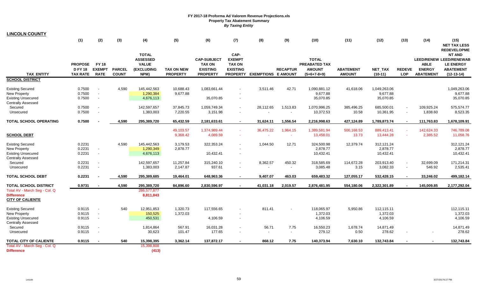| <b>LINCOLN COUNTY</b>                                                                                    |                                                   |                                                      |                               |                                                                       |                                      |                                                                           |                                                                              |                            |                          |                                                                        |                                   |                                       |                             |                                                  |                                                                                                                               |
|----------------------------------------------------------------------------------------------------------|---------------------------------------------------|------------------------------------------------------|-------------------------------|-----------------------------------------------------------------------|--------------------------------------|---------------------------------------------------------------------------|------------------------------------------------------------------------------|----------------------------|--------------------------|------------------------------------------------------------------------|-----------------------------------|---------------------------------------|-----------------------------|--------------------------------------------------|-------------------------------------------------------------------------------------------------------------------------------|
|                                                                                                          | (1)                                               | (2)                                                  | (3)                           | (4)                                                                   | (5)                                  | (6)                                                                       | (7)                                                                          | (8)                        | (9)                      | (10)                                                                   | (11)                              | (12)                                  | (13)                        | (14)                                             | (15)<br><b>NET TAX LESS</b>                                                                                                   |
| <b>TAX_ENTITY</b><br><b>SCHOOL DISTRICT</b>                                                              | <b>PROPOSE</b><br><b>DFY18</b><br><b>TAX RATE</b> | <b>FY 18</b><br><b>EXEMPT</b><br><b>RATE</b>         | <b>PARCEL</b><br><b>COUNT</b> | <b>TOTAL</b><br><b>ASSESSED</b><br><b>VALUE</b><br>(EXCLUDING<br>NPM) | <b>TAX ON NEW</b><br><b>PROPERTY</b> | <b>CAP-SUBJECT</b><br><b>TAX ON</b><br><b>EXISTING</b><br><b>PROPERTY</b> | CAP-<br><b>EXEMPT</b><br><b>TAX ON</b><br><b>EXISTING</b><br><b>PROPERTY</b> | <b>EXEMPTIONS E AMOUNT</b> | <b>RECAPTUR</b>          | <b>TOTAL</b><br><b>PREABATED TAX</b><br><b>AMOUNT</b><br>$(5+6+7-8+9)$ | <b>ABATEMENT</b><br><b>AMOUNT</b> | NET_TAX<br>$(10-11)$                  | <b>REDEVE</b><br><b>LOP</b> | <b>ABLE</b><br><b>ENERGY</b><br><b>ABATEMENT</b> | <b>REDEVELOPME</b><br><b>NT AND</b><br><b>LEED/RENEW LEED/RENEWAB</b><br><b>LE ENERGY</b><br><b>ABATEMENT</b><br>$(12-13-14)$ |
|                                                                                                          |                                                   |                                                      |                               |                                                                       |                                      |                                                                           |                                                                              |                            |                          |                                                                        |                                   |                                       |                             |                                                  |                                                                                                                               |
| <b>Existing Secured</b><br><b>New Property</b><br><b>Existing Unsecured</b><br><b>Centrally Assessed</b> | 0.7500<br>0.7500<br>0.7500                        | $\sim$<br>$\sim$                                     | 4,590                         | 145,442,563<br>1,290,384<br>4,676,113                                 | 10,688.43<br>9,677.88                | 1,083,661.44<br>35,070.85                                                 | $\overline{\phantom{a}}$                                                     | 3,511.46                   | 42.71                    | 1,090,881.12<br>9,677.88<br>35,070.85                                  | 41,618.06                         | 1,049,263.06<br>9,677.88<br>35,070.85 |                             |                                                  | 1.049.263.06<br>9,677.88<br>35,070.85                                                                                         |
| Secured<br>Unsecured                                                                                     | 0.7500<br>0.7500                                  | $\overline{\phantom{a}}$<br>$\overline{\phantom{a}}$ |                               | 142,597,657<br>1,383,003                                              | 37,845.73<br>7,220.55                | 1,059,749.34<br>3,151.98                                                  | $\sim$<br>$\sim$                                                             | 28,112.65                  | 1,513.83<br>$\sim$       | 1,070,996.25<br>10,372.53                                              | 385,496.25<br>10.58               | 685,500.01<br>10,361.95               | $\sim$<br>$\sim$            | 109,925.24<br>1,838.60                           | 575.574.77<br>8,523.35                                                                                                        |
| <b>TOTAL SCHOOL OPERATING</b>                                                                            | 0.7500                                            |                                                      | 4,590                         | 295,389,720                                                           | 65,432.59                            | 2,181,633.61                                                              | $\sim$                                                                       | 31,624.11                  | 1,556.54                 | 2,216,998.63                                                           | 427,124.89                        | 1,789,873.74                          | $\sim$                      | 111,763.83                                       | 1,678,109.91                                                                                                                  |
|                                                                                                          |                                                   |                                                      |                               |                                                                       | 49,103.57                            | 1,374,989.44                                                              | $\sim$                                                                       | 36,475.22                  | 1,964.15                 | 1,389,581.94                                                           | 500,168.53                        | 889,413.41                            |                             | 142,624.33                                       | 746,789.08                                                                                                                    |
| <b>SCHOOL DEBT</b>                                                                                       |                                                   |                                                      |                               |                                                                       | 9,368.42                             | 4,089.59                                                                  |                                                                              |                            | $\sim$                   | 13,458.01                                                              | 13.73                             | 13,444.28                             |                             | 2,385.52                                         | 11,058.76                                                                                                                     |
| <b>Existing Secured</b><br>New Property<br><b>Existing Unsecured</b>                                     | 0.2231<br>0.2231<br>0.2231                        | $\overline{\phantom{a}}$<br>$\overline{\phantom{a}}$ | 4,590                         | 145,442,563<br>1,290,349<br>4,676,113                                 | 3,179.53<br>2,878.77                 | 322,353.24<br>10,432.41                                                   | $\blacksquare$                                                               | 1,044.50                   | 12.71                    | 324,500.98<br>2,878.77<br>10,432.41                                    | 12,379.74                         | 312,121.24<br>2,878.77<br>10,432.41   |                             |                                                  | 312,121.24<br>2,878.77<br>10,432.41                                                                                           |
| <b>Centrally Assessed</b><br>Secured                                                                     | 0.2231                                            | $\sim$                                               |                               | 142,597,657                                                           | 11,257.84                            | 315,240.10                                                                | $\overline{\phantom{a}}$                                                     | 8,362.57                   | 450.32                   | 318,585.69                                                             | 114,672.28                        | 203,913.40                            |                             | 32,699.09                                        | 171,214.31                                                                                                                    |
| Unsecured                                                                                                | 0.2231                                            | $\sim$                                               |                               | 1,383,003                                                             | 2,147.87                             | 937.61                                                                    |                                                                              | $\overline{\phantom{a}}$   | $\overline{\phantom{a}}$ | 3,085.48                                                               | 3.15                              | 3,082.33                              | $\sim$                      | 546.92                                           | 2,535.41                                                                                                                      |
| <b>TOTAL SCHOOL DEBT</b>                                                                                 | 0.2231                                            |                                                      | 4.590                         | 295,389,685                                                           | 19,464.01                            | 648,963.36                                                                |                                                                              | 9,407.07                   | 463.03                   | 659,483.32                                                             | 127,055.17                        | 532,428.15                            |                             | 33,246.02                                        | 499,182.14                                                                                                                    |
| <b>TOTAL SCHOOL DISTRICT</b>                                                                             | 0.9731                                            |                                                      | 4,590                         | 295,389,720                                                           | 84,896.60                            | 2,830,596.97                                                              |                                                                              | 41,031.18                  | 2,019.57                 | 2,876,481.95                                                           | 554,180.06                        | 2,322,301.89                          |                             | 145,009.85                                       | 2,177,292.04                                                                                                                  |
| Total AV - March Seg - Col. Q<br><b>Difference</b><br><b>CITY OF CALIENTE</b>                            |                                                   |                                                      |                               | 286,577,877<br>8,811,843                                              |                                      |                                                                           |                                                                              |                            |                          |                                                                        |                                   |                                       |                             |                                                  |                                                                                                                               |
| <b>Existing Secured</b><br>New Property                                                                  | 0.9115<br>0.9115                                  | $\sim$<br>$\sim$                                     | 540                           | 12,951,853<br>150,525                                                 | 1,320.73<br>1,372.03                 | 117,556.65                                                                |                                                                              | 811.41                     |                          | 118,065.97<br>1,372.03                                                 | 5,950.86                          | 112,115.11<br>1,372.03                |                             |                                                  | 112,115.11<br>1,372.03                                                                                                        |
| <b>Existing Unsecured</b><br><b>Centrally Assessed</b>                                                   | 0.9115                                            | $\sim$                                               |                               | 450,531                                                               |                                      | 4,106.59                                                                  | $\overline{\phantom{a}}$                                                     |                            |                          | 4,106.59                                                               |                                   | 4,106.59                              |                             |                                                  | 4,106.59                                                                                                                      |
| Secured<br>Unsecured                                                                                     | 0.9115<br>0.9115                                  | $\overline{\phantom{a}}$<br>$\sim$                   |                               | 1,814,864<br>30,623                                                   | 567.91<br>101.47                     | 16,031.28<br>177.65                                                       | $\blacksquare$<br>$\blacksquare$                                             | 56.71                      | 7.75                     | 16,550.23<br>279.12                                                    | 1,678.74<br>0.50                  | 14,871.49<br>278.62                   |                             |                                                  | 14,871.49<br>278.62                                                                                                           |
| <b>TOTAL CITY OF CALIENTE</b>                                                                            | 0.9115                                            |                                                      | 540                           | 15,398,395                                                            | 3,362.14                             | 137,872.17                                                                |                                                                              | 868.12                     | 7.75                     | 140,373.94                                                             | 7,630.10                          | 132,743.84                            |                             |                                                  | 132,743.84                                                                                                                    |
| Total AV - March Seg - Col. Q<br><b>Difference</b>                                                       |                                                   |                                                      |                               | 15.398.808<br>(413)                                                   |                                      |                                                                           |                                                                              |                            |                          |                                                                        |                                   |                                       |                             |                                                  |                                                                                                                               |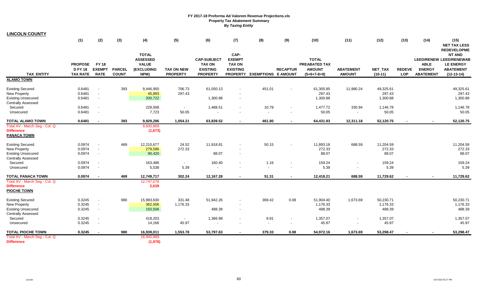| <b>LINCOLN COUNTY</b>                                                                                    |                                                     |                                                              |                               |                                                                       |                                      |                                                                           |                                                           |                                   |                          |                                                                        |                                    |                                 |                             |                                                  |                                                                                                         |
|----------------------------------------------------------------------------------------------------------|-----------------------------------------------------|--------------------------------------------------------------|-------------------------------|-----------------------------------------------------------------------|--------------------------------------|---------------------------------------------------------------------------|-----------------------------------------------------------|-----------------------------------|--------------------------|------------------------------------------------------------------------|------------------------------------|---------------------------------|-----------------------------|--------------------------------------------------|---------------------------------------------------------------------------------------------------------|
|                                                                                                          | (1)                                                 | (2)                                                          | (3)                           | (4)                                                                   | (5)                                  | (6)                                                                       | (7)                                                       | (8)                               | (9)                      | (10)                                                                   | (11)                               | (12)                            | (13)                        | (14)                                             | (15)<br><b>NET TAX LESS</b><br><b>REDEVELOPME</b>                                                       |
| <b>TAX_ENTITY</b>                                                                                        | <b>PROPOSE</b><br><b>D FY 18</b><br><b>TAX RATE</b> | <b>FY 18</b><br><b>EXEMPT</b><br><b>RATE</b>                 | <b>PARCEL</b><br><b>COUNT</b> | <b>TOTAL</b><br><b>ASSESSED</b><br><b>VALUE</b><br>(EXCLUDING<br>NPM) | <b>TAX ON NEW</b><br><b>PROPERTY</b> | <b>CAP-SUBJECT</b><br><b>TAX ON</b><br><b>EXISTING</b><br><b>PROPERTY</b> | CAP-<br><b>EXEMPT</b><br><b>TAX ON</b><br><b>EXISTING</b> | PROPERTY EXEMPTIONS E AMOUNT      | <b>RECAPTUR</b>          | <b>TOTAL</b><br><b>PREABATED TAX</b><br><b>AMOUNT</b><br>$(5+6+7-8+9)$ | <b>ABATEMENT</b><br><b>AMOUNT</b>  | NET_TAX<br>$(10-11)$            | <b>REDEVE</b><br><b>LOP</b> | <b>ABLE</b><br><b>ENERGY</b><br><b>ABATEMENT</b> | <b>NT AND</b><br><b>LEED/RENEW LEED/RENEWAB</b><br><b>LE ENERGY</b><br><b>ABATEMENT</b><br>$(12-13-14)$ |
| <b>ALAMO TOWN</b>                                                                                        |                                                     |                                                              |                               |                                                                       |                                      |                                                                           |                                                           |                                   |                          |                                                                        |                                    |                                 |                             |                                                  |                                                                                                         |
| <b>Existing Secured</b><br>New Property<br><b>Existing Unsecured</b><br><b>Centrally Assessed</b>        | 0.6481<br>0.6481<br>0.6481                          | $\blacksquare$<br>$\blacksquare$<br>$\blacksquare$           | 393                           | 9,446,950<br>45,893<br>200,722                                        | 706.73<br>297.43                     | 61,050.13<br>1,300.88                                                     | $\sim$                                                    | 451.01                            |                          | 61,305.85<br>297.43<br>1,300.88                                        | 11,980.24                          | 49,325.61<br>297.43<br>1,300.88 |                             |                                                  | 49,325.61<br>297.43<br>1,300.88                                                                         |
| Secured<br>Unsecured                                                                                     | 0.6481<br>0.6481                                    | $\overline{\phantom{a}}$<br>$\overline{\phantom{a}}$         |                               | 228,008<br>7,723                                                      | $\blacksquare$<br>50.05              | 1,488.51                                                                  | $\sim$                                                    | 10.79<br>$\overline{\phantom{a}}$ | $\overline{\phantom{a}}$ | 1,477.72<br>50.05                                                      | 330.94<br>$\overline{\phantom{a}}$ | 1,146.78<br>50.05               |                             |                                                  | 1,146.78<br>50.05                                                                                       |
| <b>TOTAL ALAMO TOWN</b>                                                                                  | 0.6481                                              | $\blacksquare$                                               | 393                           | 9,929,296                                                             | 1,054.21                             | 63,839.52                                                                 |                                                           | 461.80                            |                          | 64,431.93                                                              | 12,311.18                          | 52,120.75                       |                             |                                                  | 52,120.75                                                                                               |
| Total AV - March Seg - Col. Q<br><b>Difference</b><br><b>PANACA TOWN</b>                                 |                                                     |                                                              |                               | 9,930,969<br>(1,673)                                                  |                                      |                                                                           |                                                           |                                   |                          |                                                                        |                                    |                                 |                             |                                                  |                                                                                                         |
| <b>Existing Secured</b><br><b>New Property</b><br><b>Existing Unsecured</b><br><b>Centrally Assessed</b> | 0.0974<br>0.0974<br>0.0974                          | $\blacksquare$<br>$\overline{\phantom{a}}$<br>$\blacksquare$ | 469                           | 12,210,677<br>279,596<br>90,420                                       | 24.52<br>272.33                      | 11,918.81<br>88.07                                                        |                                                           | 50.15                             |                          | 11,893.18<br>272.33<br>88.07                                           | 688.59                             | 11,204.59<br>272.33<br>88.07    |                             |                                                  | 11,204.59<br>272.33<br>88.07                                                                            |
| Secured<br>Unsecured                                                                                     | 0.0974<br>0.0974                                    | $\blacksquare$<br>$\overline{\phantom{a}}$                   |                               | 163,486<br>5,538                                                      | $\blacksquare$<br>5.39               | 160.40                                                                    | $\sim$                                                    | 1.16<br>$\overline{\phantom{a}}$  | $\overline{\phantom{a}}$ | 159.24<br>5.39                                                         | $\overline{\phantom{a}}$           | 159.24<br>5.39                  |                             |                                                  | 159.24<br>5.39                                                                                          |
| <b>TOTAL PANACA TOWN</b>                                                                                 | 0.0974                                              |                                                              | 469                           | 12,749,717                                                            | 302.24                               | 12,167.28                                                                 |                                                           | 51.31                             |                          | 12,418.21                                                              | 688.59                             | 11,729.62                       |                             |                                                  | 11,729.62                                                                                               |
| Total AV - March Seg - Col. Q<br><b>Difference</b><br><b>PIOCHE TOWN</b>                                 |                                                     |                                                              |                               | 12,747,078<br>2,639                                                   |                                      |                                                                           |                                                           |                                   |                          |                                                                        |                                    |                                 |                             |                                                  |                                                                                                         |
| <b>Existing Secured</b><br><b>New Property</b><br><b>Existing Unsecured</b><br><b>Centrally Assessed</b> | 0.3245<br>0.3245<br>0.3245                          | $\overline{\phantom{a}}$<br>$\sim$                           | 980                           | 15,993,630<br>362,506<br>150,506                                      | 331.48<br>1,176.33                   | 51,942.26<br>488.39                                                       | $\sim$                                                    | 369.42                            | 0.08                     | 51,904.40<br>1,176.33<br>488.39                                        | 1,673.69                           | 50,230.71<br>1,176.33<br>488.39 |                             |                                                  | 50,230.71<br>1,176.33<br>488.39                                                                         |
| Secured<br>Unsecured                                                                                     | 0.3245<br>0.3245                                    | $\overline{\phantom{a}}$<br>$\overline{\phantom{a}}$         |                               | 418,203<br>14,166                                                     | $\overline{\phantom{a}}$<br>45.97    | 1,366.98                                                                  |                                                           | 9.91<br>$\blacksquare$            | $\overline{\phantom{a}}$ | 1,357.07<br>45.97                                                      | $\overline{\phantom{a}}$           | 1,357.07<br>45.97               |                             |                                                  | 1,357.07<br>45.97                                                                                       |
| <b>TOTAL PIOCHE TOWN</b>                                                                                 | 0.3245                                              |                                                              | 980                           | 16,939,011                                                            | 1,553.78                             | 53,797.63                                                                 |                                                           | 379.33                            | 0.08                     | 54,972.16                                                              | 1,673.69                           | 53,298.47                       |                             |                                                  | 53,298.47                                                                                               |
| Total AV - March Seg - Col. Q<br><b>Difference</b>                                                       |                                                     |                                                              |                               | 16,940,989<br>(1,978)                                                 |                                      |                                                                           |                                                           |                                   |                          |                                                                        |                                    |                                 |                             |                                                  |                                                                                                         |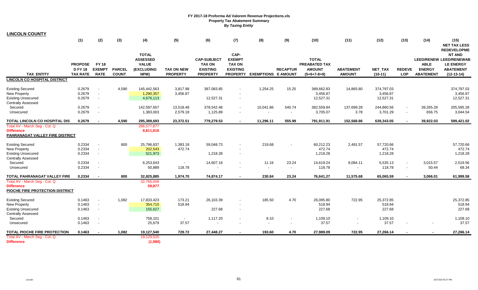| <b>LINCOLN COUNTY</b>                                                                     |                                                     |                                              |                               |                                                                              |                                      |                                                                           |                                                                              |                            |                  |                                                                        |                                   |                                     |                             |                                                  |                                                                                                                               |
|-------------------------------------------------------------------------------------------|-----------------------------------------------------|----------------------------------------------|-------------------------------|------------------------------------------------------------------------------|--------------------------------------|---------------------------------------------------------------------------|------------------------------------------------------------------------------|----------------------------|------------------|------------------------------------------------------------------------|-----------------------------------|-------------------------------------|-----------------------------|--------------------------------------------------|-------------------------------------------------------------------------------------------------------------------------------|
|                                                                                           | (1)                                                 | (2)                                          | (3)                           | (4)                                                                          | (5)                                  | (6)                                                                       | (7)                                                                          | (8)                        | (9)              | (10)                                                                   | (11)                              | (12)                                | (13)                        | (14)                                             | (15)<br><b>NET TAX LESS</b>                                                                                                   |
| <b>TAX ENTITY</b>                                                                         | <b>PROPOSE</b><br><b>D FY 18</b><br><b>TAX RATE</b> | <b>FY 18</b><br><b>EXEMPT</b><br><b>RATE</b> | <b>PARCEL</b><br><b>COUNT</b> | <b>TOTAL</b><br><b>ASSESSED</b><br><b>VALUE</b><br><b>(EXCLUDING</b><br>NPM) | <b>TAX ON NEW</b><br><b>PROPERTY</b> | <b>CAP-SUBJECT</b><br><b>TAX ON</b><br><b>EXISTING</b><br><b>PROPERTY</b> | CAP-<br><b>EXEMPT</b><br><b>TAX ON</b><br><b>EXISTING</b><br><b>PROPERTY</b> | <b>EXEMPTIONS E AMOUNT</b> | <b>RECAPTUR</b>  | <b>TOTAL</b><br><b>PREABATED TAX</b><br><b>AMOUNT</b><br>$(5+6+7-8+9)$ | <b>ABATEMENT</b><br><b>AMOUNT</b> | <b>NET TAX</b><br>$(10-11)$         | <b>REDEVE</b><br><b>LOP</b> | <b>ABLE</b><br><b>ENERGY</b><br><b>ABATEMENT</b> | <b>REDEVELOPME</b><br><b>NT AND</b><br><b>LEED/RENEW LEED/RENEWAB</b><br><b>LE ENERGY</b><br><b>ABATEMENT</b><br>$(12-13-14)$ |
| <b>LINCOLN CO HOSPITAL DISTRICT</b>                                                       |                                                     |                                              |                               |                                                                              |                                      |                                                                           |                                                                              |                            |                  |                                                                        |                                   |                                     |                             |                                                  |                                                                                                                               |
| <b>Existing Secured</b><br><b>New Property</b><br><b>Existing Unsecured</b>               | 0.2679<br>0.2679<br>0.2679                          |                                              | 4,590                         | 145,442,563<br>1,290,357<br>4,676,113                                        | 3,817.98<br>3,456.87                 | 387,083.85<br>12,527.31                                                   | $\blacksquare$                                                               | 1,254.25                   | 15.25            | 389,662.83<br>3,456.87<br>12,527.31                                    | 14,865.80                         | 374,797.03<br>3,456.87<br>12,527.31 |                             |                                                  | 374,797.03<br>3,456.87<br>12,527.31                                                                                           |
| <b>Centrally Assessed</b><br>Secured<br>Unsecured                                         | 0.2679<br>0.2679                                    |                                              |                               | 142,597,657<br>1,383,003                                                     | 13,518.48<br>2,579.18                | 378,542.48<br>1,125.89                                                    | $\overline{\phantom{a}}$                                                     | 10,041.86                  | 540.74<br>$\sim$ | 382,559.84<br>3,705.07                                                 | 137,699.28<br>3.78                | 244,860.56<br>3,701.29              | $\sim$                      | 39,265.28<br>656.75                              | 205,595.28<br>3,044.54                                                                                                        |
| TOTAL LINCOLN CO HOSPITAL DIS                                                             | 0.2679                                              |                                              | 4,590                         | 295,389,693                                                                  | 23,372.51                            | 779,279.53                                                                | $\blacksquare$                                                               | 11,296.11                  | 555.99           | 791,911.91                                                             | 152,568.86                        | 639,343.05                          |                             | 39,922.03                                        | 599,421.02                                                                                                                    |
| Total AV - March Seg - Col. Q<br><b>Difference</b><br>PAHRANAGAT VALLEY FIRE DISTRICT     |                                                     |                                              |                               | 286,577,877<br>8,811,816                                                     |                                      |                                                                           |                                                                              |                            |                  |                                                                        |                                   |                                     |                             |                                                  |                                                                                                                               |
| <b>Existing Secured</b><br><b>New Property</b><br><b>Existing Unsecured</b>               | 0.2334<br>0.2334<br>0.2334                          | $\sim$                                       | 800                           | 25,796,837<br>202,543<br>521,973                                             | 1,383.18<br>472.74                   | 59,048.73<br>1,218.28                                                     | $\sim$                                                                       | 219.68                     |                  | 60,212.23<br>472.74<br>1,218.28                                        | 2,491.57                          | 57,720.66<br>472.74<br>1,218.28     |                             |                                                  | 57.720.66<br>472.74<br>1,218.28                                                                                               |
| <b>Centrally Assessed</b><br>Secured<br>Unsecured                                         | 0.2334<br>0.2334                                    |                                              |                               | 6,253,643<br>50,889                                                          | $\overline{\phantom{a}}$<br>118.78   | 14,607.16                                                                 | $\blacksquare$<br>$\overline{\phantom{a}}$                                   | 11.16<br>$\blacksquare$    | 23.24<br>$\sim$  | 14,619.24<br>118.78                                                    | 9,084.11<br>$\blacksquare$        | 5,535.13<br>118.78                  | $\sim$<br>$\blacksquare$    | 3,015.57<br>50.44                                | 2,519.56<br>68.34                                                                                                             |
| TOTAL PAHRANAGAT VALLEY FIRE                                                              | 0.2334                                              |                                              | 800                           | 32,825,885                                                                   | 1,974.70                             | 74,874.17                                                                 |                                                                              | 230.84                     | 23.24            | 76,641.27                                                              | 11,575.68                         | 65,065.59                           |                             | 3,066.01                                         | 61,999.58                                                                                                                     |
| Total AV - March Seg - Col. Q<br><b>Difference</b><br>PIOCHE FIRE PROTECTION DISTRICT     |                                                     |                                              |                               | 32,766,008<br>59,877                                                         |                                      |                                                                           |                                                                              |                            |                  |                                                                        |                                   |                                     |                             |                                                  |                                                                                                                               |
| <b>Existing Secured</b><br>New Property<br><b>Existing Unsecured</b>                      | 0.1463<br>0.1463<br>0.1463                          | $\sim$                                       | 1,082                         | 17,833,423<br>354,710<br>155,627                                             | 173.21<br>518.94                     | 26,103.39<br>227.68                                                       | $\blacksquare$<br>$\overline{\phantom{a}}$                                   | 185.50                     | 4.70             | 26,095.80<br>518.94<br>227.68                                          | 722.95                            | 25,372.85<br>518.94<br>227.68       |                             |                                                  | 25,372.85<br>518.94<br>227.68                                                                                                 |
| <b>Centrally Assessed</b><br>Secured<br>Unsecured                                         | 0.1463<br>0.1463                                    |                                              |                               | 758,101<br>25,679                                                            | $\sim$<br>37.57                      | 1,117.20<br>$\sim$                                                        | $\blacksquare$                                                               | 8.10<br>$\blacksquare$     |                  | 1,109.10<br>37.57                                                      | $\blacksquare$                    | 1,109.10<br>37.57                   |                             | $\blacksquare$                                   | 1,109.10<br>37.57                                                                                                             |
| <b>TOTAL PIOCHE FIRE PROTECTION</b><br>Total AV - March Seg - Col. Q<br><b>Difference</b> | 0.1463                                              |                                              | 1,082                         | 19,127,540<br>19,129,520<br>(1,980)                                          | 729.72                               | 27,448.27                                                                 | $\blacksquare$                                                               | 193.60                     | 4.70             | 27,989.09                                                              | 722.95                            | 27,266.14                           | $\blacksquare$              | $\sim$                                           | 27,266.14                                                                                                                     |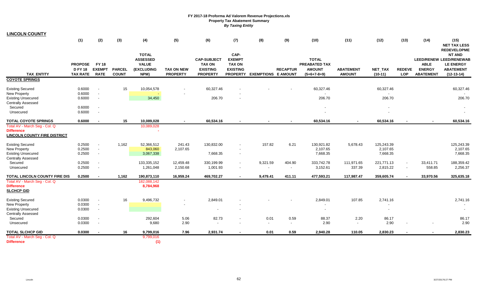| <b>LINCOLN COUNTY</b>                                                                     |                                                   |                                              |                               |                                                                              |                                      |                                                                           |                                                                              |                                      |                                  |                                                                        |                                   |                          |                             |                                                  |                                                                                                                               |
|-------------------------------------------------------------------------------------------|---------------------------------------------------|----------------------------------------------|-------------------------------|------------------------------------------------------------------------------|--------------------------------------|---------------------------------------------------------------------------|------------------------------------------------------------------------------|--------------------------------------|----------------------------------|------------------------------------------------------------------------|-----------------------------------|--------------------------|-----------------------------|--------------------------------------------------|-------------------------------------------------------------------------------------------------------------------------------|
|                                                                                           | (1)                                               | (2)                                          | (3)                           | (4)                                                                          | (5)                                  | (6)                                                                       | (7)                                                                          | (8)                                  | (9)                              | (10)                                                                   | (11)                              | (12)                     | (13)                        | (14)                                             | (15)<br><b>NET TAX LESS</b>                                                                                                   |
| <b>TAX ENTITY</b>                                                                         | <b>PROPOSE</b><br><b>DFY18</b><br><b>TAX RATE</b> | <b>FY 18</b><br><b>EXEMPT</b><br><b>RATE</b> | <b>PARCEL</b><br><b>COUNT</b> | <b>TOTAL</b><br><b>ASSESSED</b><br><b>VALUE</b><br><b>(EXCLUDING</b><br>NPM) | <b>TAX ON NEW</b><br><b>PROPERTY</b> | <b>CAP-SUBJECT</b><br><b>TAX ON</b><br><b>EXISTING</b><br><b>PROPERTY</b> | CAP-<br><b>EXEMPT</b><br><b>TAX ON</b><br><b>EXISTING</b><br><b>PROPERTY</b> | <b>EXEMPTIONS E AMOUNT</b>           | <b>RECAPTUR</b>                  | <b>TOTAL</b><br><b>PREABATED TAX</b><br><b>AMOUNT</b><br>$(5+6+7-8+9)$ | <b>ABATEMENT</b><br><b>AMOUNT</b> | NET_TAX<br>$(10-11)$     | <b>REDEVE</b><br><b>LOP</b> | <b>ABLE</b><br><b>ENERGY</b><br><b>ABATEMENT</b> | <b>REDEVELOPME</b><br><b>NT AND</b><br><b>LEED/RENEW LEED/RENEWAB</b><br><b>LE ENERGY</b><br><b>ABATEMENT</b><br>$(12-13-14)$ |
| <b>COYOTE SPRINGS</b>                                                                     |                                                   |                                              |                               |                                                                              |                                      |                                                                           |                                                                              |                                      |                                  |                                                                        |                                   |                          |                             |                                                  |                                                                                                                               |
| <b>Existing Secured</b><br>New Property                                                   | 0.6000<br>0.6000                                  |                                              | 15                            | 10,054,578                                                                   |                                      | 60,327.46                                                                 |                                                                              |                                      |                                  | 60,327.46                                                              |                                   | 60,327.46                |                             |                                                  | 60,327.46                                                                                                                     |
| <b>Existing Unsecured</b><br><b>Centrally Assessed</b>                                    | 0.6000                                            | $\sim$                                       |                               | 34,450                                                                       |                                      | 206.70                                                                    | $\overline{\phantom{a}}$                                                     |                                      |                                  | 206.70                                                                 |                                   | 206.70                   |                             |                                                  | 206.70                                                                                                                        |
| Secured<br>Unsecured                                                                      | 0.6000<br>0.6000                                  | $\overline{\phantom{a}}$                     |                               |                                                                              |                                      |                                                                           |                                                                              |                                      |                                  |                                                                        |                                   | $\overline{\phantom{a}}$ |                             |                                                  |                                                                                                                               |
| <b>TOTAL COYOTE SPRINGS</b>                                                               | 0.6000                                            | $\sim$                                       | 15                            | 10,089,028                                                                   |                                      | 60,534.16                                                                 |                                                                              |                                      |                                  | 60,534.16                                                              | $\sim$                            | 60,534.16                |                             |                                                  | 60,534.16                                                                                                                     |
| Total AV - March Seg - Col. Q<br><b>Difference</b><br><b>LINCOLN COUNTY FIRE DISTRICT</b> |                                                   |                                              |                               | 10,089,028                                                                   |                                      |                                                                           |                                                                              |                                      |                                  |                                                                        |                                   |                          |                             |                                                  |                                                                                                                               |
| <b>Existing Secured</b><br>New Property                                                   | 0.2500<br>0.2500                                  | $\sim$                                       | 1,162                         | 52,366,512<br>843,060                                                        | 241.43<br>2,107.65                   | 130,832.00                                                                | $\blacksquare$                                                               | 157.82                               | 6.21                             | 130,921.82<br>2,107.65                                                 | 5,678.43                          | 125,243.39<br>2,107.65   |                             |                                                  | 125,243.39<br>2,107.65                                                                                                        |
| <b>Existing Unsecured</b><br><b>Centrally Assessed</b>                                    | 0.2500                                            | $\sim$                                       |                               | 3,067,338                                                                    |                                      | 7,668.35                                                                  | $\blacksquare$<br>$\overline{\phantom{a}}$                                   |                                      |                                  | 7,668.35                                                               |                                   | 7,668.35                 |                             |                                                  | 7,668.35                                                                                                                      |
| Secured<br>Unsecured                                                                      | 0.2500<br>0.2500                                  | $\overline{\phantom{a}}$                     |                               | 133,335,152<br>1,261,048                                                     | 12,459.48<br>2,150.68                | 330,199.99<br>1,001.93                                                    | $\blacksquare$                                                               | 9,321.59<br>$\overline{\phantom{a}}$ | 404.90<br>$\sim$                 | 333,742.78<br>3,152.61                                                 | 111,971.65<br>337.39              | 221,771.13<br>2,815.22   | $\sim$                      | 33,411.71<br>558.85                              | 188,359.42<br>2,256.37                                                                                                        |
| TOTAL LINCOLN COUNTY FIRE DIS                                                             | 0.2500                                            |                                              | 1,162                         | 190,873,110                                                                  | 16,959.24                            | 469,702.27                                                                |                                                                              | 9,479.41                             | 411.11                           | 477,593.21                                                             | 117,987.47                        | 359,605.74               | $\overline{\phantom{a}}$    | 33,970.56                                        | 325,635.18                                                                                                                    |
| Total AV - March Seg - Col. Q<br><b>Difference</b><br><b>SLCHCP GID</b>                   |                                                   |                                              |                               | 182,088,142<br>8,784,968                                                     |                                      |                                                                           |                                                                              |                                      |                                  |                                                                        |                                   |                          |                             |                                                  |                                                                                                                               |
| <b>Existing Secured</b><br>New Property<br><b>Existing Unsecured</b>                      | 0.0300<br>0.0300<br>0.0300                        | $\sim$                                       | 16                            | 9,496,732                                                                    |                                      | 2,849.01<br>$\sim$                                                        | $\blacksquare$                                                               |                                      |                                  | 2,849.01                                                               | 107.85                            | 2,741.16<br>$\sim$       |                             |                                                  | 2,741.16                                                                                                                      |
| <b>Centrally Assessed</b><br>Secured<br>Unsecured                                         | 0.0300<br>0.0300                                  |                                              |                               | 292,604<br>9,680                                                             | 5.06<br>2.90                         | 82.73                                                                     | $\overline{\phantom{a}}$                                                     | 0.01<br>$\sim$                       | 0.59<br>$\overline{\phantom{a}}$ | 88.37<br>2.90                                                          | 2.20<br>$\sim$                    | 86.17<br>2.90            |                             |                                                  | 86.17<br>2.90                                                                                                                 |
| <b>TOTAL SLCHCP GID</b>                                                                   | 0.0300                                            |                                              | 16                            | 9,799,016                                                                    | 7.96                                 | 2,931.74                                                                  |                                                                              | 0.01                                 | 0.59                             | 2,940.28                                                               | 110.05                            | 2,830.23                 |                             |                                                  | 2,830.23                                                                                                                      |
| Total AV - March Seq - Col. Q<br><b>Difference</b>                                        |                                                   |                                              |                               | 9,799,016<br>(1)                                                             |                                      |                                                                           |                                                                              |                                      |                                  |                                                                        |                                   |                          |                             |                                                  |                                                                                                                               |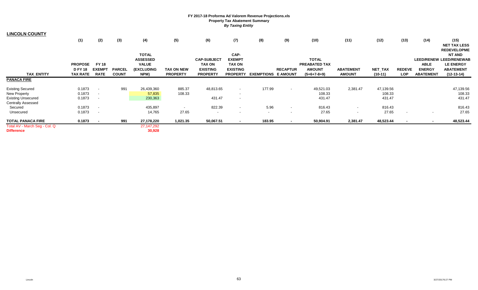| <b>LINCOLN COUNTY</b>                              |                 |                          |               |                        |                          |                    |                          |                            |                          |                      |                  |                |                          |                          |                     |
|----------------------------------------------------|-----------------|--------------------------|---------------|------------------------|--------------------------|--------------------|--------------------------|----------------------------|--------------------------|----------------------|------------------|----------------|--------------------------|--------------------------|---------------------|
|                                                    | (1)             | (2)                      | (3)           | (4)                    | (5)                      | (6)                | (7)                      | (8)                        | (9)                      | (10)                 | (11)             | (12)           | (13)                     | (14)                     | (15)                |
|                                                    |                 |                          |               |                        |                          |                    |                          |                            |                          |                      |                  |                |                          |                          | <b>NET TAX LESS</b> |
|                                                    |                 |                          |               |                        |                          |                    |                          |                            |                          |                      |                  |                |                          |                          | <b>REDEVELOPME</b>  |
|                                                    |                 |                          |               | <b>TOTAL</b>           |                          |                    | CAP-                     |                            |                          |                      |                  |                |                          |                          | <b>NT AND</b>       |
|                                                    |                 |                          |               | <b>ASSESSED</b>        |                          | <b>CAP-SUBJECT</b> | <b>EXEMPT</b>            |                            |                          | <b>TOTAL</b>         |                  |                |                          | <b>LEED/RENEW</b>        | LEED/RENEWAB        |
|                                                    | <b>PROPOSE</b>  | <b>FY 18</b>             |               | <b>VALUE</b>           |                          | <b>TAX ON</b>      | <b>TAX ON</b>            |                            |                          | <b>PREABATED TAX</b> |                  |                |                          | <b>ABLE</b>              | <b>LE ENERGY</b>    |
|                                                    | <b>D FY 18</b>  | <b>EXEMPT</b>            | <b>PARCEL</b> | (EXCLUDING             | <b>TAX ON NEW</b>        | <b>EXISTING</b>    | <b>EXISTING</b>          |                            | <b>RECAPTUR</b>          | <b>AMOUNT</b>        | <b>ABATEMENT</b> | <b>NET_TAX</b> | <b>REDEVE</b>            | <b>ENERGY</b>            | <b>ABATEMENT</b>    |
| <b>TAX ENTITY</b>                                  | <b>TAX RATE</b> | <b>RATE</b>              | <b>COUNT</b>  | NPM)                   | <b>PROPERTY</b>          | <b>PROPERTY</b>    | <b>PROPERTY</b>          | <b>EXEMPTIONS E AMOUNT</b> |                          | $(5+6+7-8+9)$        | <b>AMOUNT</b>    | $(10-11)$      | <b>LOP</b>               | <b>ABATEMENT</b>         | $(12-13-14)$        |
| PANACA FIRE                                        |                 |                          |               |                        |                          |                    |                          |                            |                          |                      |                  |                |                          |                          |                     |
| <b>Existing Secured</b>                            | 0.1873          | $\overline{\phantom{a}}$ | 991           | 26,439,360             | 885.37                   | 48,813.65          | $\overline{\phantom{a}}$ | 177.99                     | $\overline{\phantom{a}}$ | 49,521.03            | 2,381.47         | 47,139.56      |                          |                          | 47,139.56           |
| New Property                                       | 0.1873          | $\overline{\phantom{a}}$ |               | 57,835                 | 108.33                   |                    | $\overline{\phantom{a}}$ |                            |                          | 108.33               |                  | 108.33         |                          |                          | 108.33              |
| <b>Existing Unsecured</b>                          | 0.1873          | $\overline{\phantom{a}}$ |               | 230,363                |                          | 431.47             | $\overline{\phantom{a}}$ |                            |                          | 431.47               |                  | 431.47         |                          |                          | 431.47              |
| <b>Centrally Assessed</b>                          |                 |                          |               |                        |                          |                    |                          |                            |                          |                      |                  |                |                          |                          |                     |
| Secured                                            | 0.1873          | $\overline{\phantom{a}}$ |               | 435,897                | $\overline{\phantom{a}}$ | 822.39             | $\overline{\phantom{a}}$ | 5.96                       | $\overline{\phantom{0}}$ | 816.43               | $\sim$           | 816.43         |                          |                          | 816.43              |
| Unsecured                                          | 0.1873          | $\overline{\phantom{a}}$ |               | 14,765                 | 27.65                    | $\sim$             | $\blacksquare$           | $\sim$                     | $\overline{\phantom{a}}$ | 27.65                | $\sim$           | 27.65          | $\overline{\phantom{a}}$ | $\overline{\phantom{a}}$ | 27.65               |
| TOTAL PANACA FIRE                                  | 0.1873          |                          | 991           | 27,178,220             | 1,021.35                 | 50,067.51          | $\overline{\phantom{a}}$ | 183.95                     | $\overline{\phantom{0}}$ | 50,904.91            | 2,381.47         | 48,523.44      |                          | $\blacksquare$           | 48,523.44           |
| Total AV - March Seg - Col. Q<br><b>Difference</b> |                 |                          |               | 27, 147, 292<br>30,928 |                          |                    |                          |                            |                          |                      |                  |                |                          |                          |                     |

 $\bar{a}$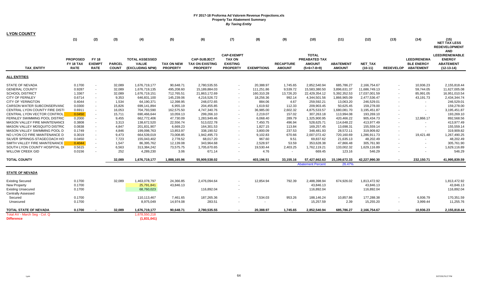| <b>LYON COUNTY</b>                   |                 |                          |               |                       |                   |                        |                          |                   |                  |                          |                  |                |                          |                          |                                     |
|--------------------------------------|-----------------|--------------------------|---------------|-----------------------|-------------------|------------------------|--------------------------|-------------------|------------------|--------------------------|------------------|----------------|--------------------------|--------------------------|-------------------------------------|
|                                      | (1)             | (2)                      | (3)           | (4)                   | (5)               | (6)                    | (7)                      | (8)               | (9)              | (10)                     | (11)             | (12)           | (13)                     | (14)                     | (15)<br>NET TAX LESS                |
|                                      |                 |                          |               |                       |                   |                        |                          |                   |                  |                          |                  |                |                          |                          | <b>REDEVELOPMENT</b>                |
|                                      |                 |                          |               |                       |                   |                        | <b>CAP-EXEMPT</b>        |                   |                  | <b>TOTAL</b>             |                  |                |                          |                          | <b>AND</b><br><b>LEED/RENEWABLE</b> |
|                                      | <b>PROPOSED</b> | <b>FY 18</b>             |               | <b>TOTAL ASSESSED</b> |                   | <b>CAP-SUBJECT</b>     | <b>TAX ON</b>            |                   |                  | PREABATED TAX            |                  |                |                          | <b>LEED/RENEWA</b>       | <b>ENERGY</b>                       |
|                                      | FY 18 TAX       | <b>EXEMPT</b>            | <b>PARCEL</b> | <b>VALUE</b>          | <b>TAX ON NEW</b> | <b>TAX ON EXISTING</b> | <b>EXISTING</b>          |                   | <b>RECAPTURE</b> | <b>AMOUNT</b>            | <b>ABATEMENT</b> | <b>NET TAX</b> |                          | <b>BLE ENERGY</b>        | <b>ABATEMENT</b>                    |
| <b>TAX ENTITY</b>                    | <b>RATE</b>     | <b>RATE</b>              | <b>COUNT</b>  | (EXCLUDING NPM)       | <b>PROPERTY</b>   | <b>PROPERTY</b>        | <b>PROPERTY</b>          | <b>EXEMPTIONS</b> | <b>AMOUNT</b>    | $(5+6+7-8+9)$            | <b>AMOUNT</b>    | $(10-11)$      | <b>REDEVELOP</b>         | <b>ABATEMENT</b>         | $(12-13-14)$                        |
| <b>ALL ENTITIES</b>                  |                 |                          |               |                       |                   |                        |                          |                   |                  |                          |                  |                |                          |                          |                                     |
| <b>STATE OF NEVADA</b>               | 0.1700          |                          | 32,089        | 1,676,719,177         | 90,648.71         | 2,780,535.55           |                          | 20,388.97         | 1,745.65         | 2,852,540.94             | 685,786.27       | 2,166,754.67   |                          | 10,936.23                | 2,155,818.44                        |
| <b>GENERAL COUNTY</b>                | 0.9287          | $\sim$                   | 32,089        | 1,676,719,135         | 495,208.60        | 15,189,884.03          | $\blacksquare$           | 111,251.86        | 9,539.72         | 15,583,380.50            | 3,896,631.37     | 11,686,749.13  |                          | 59,744.05                | 11,627,005.08                       |
| <b>SCHOOL DISTRICT</b>               | 1.3367          | $\sim$                   | 32,089        | 1,676,719,151         | 712,765.51        | 21,863,172.69          | $\overline{\phantom{a}}$ | 160,310.28        | 13,726.20        | 22,429,354.12            | 5,392,352.53     | 17,037,001.59  | $\sim$                   | 85,991.05                | 16,951,010.54                       |
| <b>CITY OF FERNLEY</b>               | 0.6714          |                          | 9,353         | 646,831,100           | 145,239.06        | 4,216,526.72           |                          | 18,256.36         | 992.14           | 4,344,501.56             | 1,866,965.09     | 2,477,536.47   |                          | 43,191.73                | 2,434,344.74                        |
| <b>CITY OF YERINGTON</b>             | 0.4044          | $\overline{\phantom{a}}$ | 1,534         | 64,190,371            | 12,398.95         | 248,072.65             | $\blacksquare$           | 884.06            | 4.67             | 259,592.21               | 13,063.20        | 246,529.01     |                          | $\sim$                   | 246,529.01                          |
| <b>CARSON WATER SUBCONSERVANO</b>    | 0.0300          | $\blacksquare$           | 15,826        | 699,141,894           | 6,955.19          | 204,455.85             | $\overline{\phantom{a}}$ | 1,619.92          | 112.33           | 209,903.45               | 50,625.45        | 159,278.00     |                          | $\sim$                   | 159,278.00                          |
| CENTRAL LYON COUNTY FIRE DISTI       | 0.6911          | $\overline{\phantom{a}}$ | 16,053        | 704,793,590           | 162,575.50        | 4,747,340.76           |                          | 36,985.00         | 2,602.32         | 4,875,533.57             | 1,680,081.70     | 3,195,451.87   |                          |                          | 3,195,451.87                        |
| CENTRAL LYON VECTOR CONTROL          | 0.0450          | $\overline{\phantom{a}}$ | 15,711        | 690,466,644           | 10,059.13         | 299,266.10             |                          | 2,219.07          | 157.02           | 307,263.18               | 113,994.08       | 193,269.10     |                          |                          | 193,269.10                          |
| FERNLEY SWIMMING POOL DISTRIC        | 0.2000          | $\overline{\phantom{a}}$ | 9,455         | 662,772,406           | 47,730.09         | 1,283,949.46           | $\blacksquare$           | 6,068.40          | 289.79           | 1,325,900.95             | 420,466.22       | 905,434.73     |                          | 12,866.17                | 892,568.56                          |
| <b>MASON VALLEY FIRE MAINTENANCE</b> | 0.3808          |                          | 3,313         | 138,672,520           | 22,556.74         | 513,022.78             |                          | 7,450.75          | 496.94           | 528,625.71               | 114,648.22       | 413,977.49     |                          |                          | 413,977.49                          |
| <b>MASON VALLEY MOSQUITO DISTRIC</b> | 0.0838          | $\sim$                   | 4,847         | 201,831,907           | 6,669.23          | 164,301.53             | $\sim$                   | 1,827.15          | 113.84           | 169,257.45               | 13,698.31        | 155,559.14     | $\sim$                   | $\sim$                   | 155,559.14                          |
| MASON VALLEY SWIMMING POOL D         | 0.1749          |                          | 4,846         | 199,098,763           | 13,853.97         | 338,190.52             | $\overline{\phantom{a}}$ | 3,800.09          | 237.53           | 348,481.93               | 28,572.11        | 319,909.82     |                          |                          | 319,909.82                          |
| NO LYON CO FIRE MAINTENANCE D        | 0.3019          | $\overline{\phantom{a}}$ | 9,473         | 664,539,019           | 73,008.85         | 1,942,495.73           | $\sim$                   | 9,102.83          | 670.66           | 2,007,072.42             | 720,160.69       | 1,286,911.73   |                          | 19,421.48                | 1,267,490.25                        |
| SILVER SPRINGS-STAGECOACH HO         | 0.0450          |                          | 7,723         | 155,043,402           | 2,778.52          | 68,017.20              | $\sim$                   | 967.60            | 9.51             | 69,837.62                | 21,635.13        | 48,202.49      | $\sim$                   | $\sim$                   | 48,202.49                           |
| SMITH VALLEY FIRE MAINTENANCE        | 0.4044          |                          | 1,547         | 86,395,762            | 12,139.08         | 343,964.68             |                          | 2,528.97          | 53.59            | 353,628.38               | 47,866.48        | 305,761.90     |                          |                          | 305,761.90                          |
| SOUTH LYON COUNTY HOSPITAL DI        | 0.5615          | $\overline{\phantom{a}}$ | 6,563         | 313,384,242           | 73,575.75         | 1,705,670.65           | $\blacksquare$           | 19,530.44         | 2,403.25         | 1,762,119.21             | 133,002.32       | 1,629,116.89   |                          | $\overline{\phantom{a}}$ | 1,629,116.89                        |
| <b>WILLOW CREEK GID</b>              | 0.0156          |                          | 252           | 4,289,230             | 3.06              | 671.14                 | $\overline{\phantom{a}}$ | 4.76              | $\sim$           | 669.45                   | 123.16           | 546.29         |                          | $\overline{\phantom{a}}$ | 546.29                              |
| <b>TOTAL COUNTY</b>                  |                 |                          | 32,089        | 1,676,719,177         | 1,888,165.96      | 55,909,538.02          | $\sim$                   | 403,196.51        | 33,155.16        | 57,427,662.63            | 15,199,672.33    | 42,227,990.30  | $\overline{\phantom{a}}$ | 232,150.71               | 41,995,839.59                       |
|                                      |                 |                          |               |                       |                   |                        |                          |                   |                  | <b>Abatement Percent</b> | 26.47%           |                |                          |                          |                                     |
| <b>STATE OF NEVADA</b>               |                 |                          |               |                       |                   |                        |                          |                   |                  |                          |                  |                |                          |                          |                                     |
| <b>Existing Secured</b>              | 0.1700          |                          | 32,089        | 1,463,078,797         | 24,366.85         | 2,476,094.64           |                          | 12,854.94         | 792.39           | 2,488,398.94             | 674,926.02       | 1,813,472.92   |                          |                          | 1,813,472.92                        |
| New Property                         | 0.1700          |                          |               | 25,791,841            | 43,846.13         |                        |                          |                   |                  | 43,846.13                |                  | 43,846.13      |                          |                          | 43,846.13                           |
| <b>Existing Unsecured</b>            | 0.1700          |                          |               | 68,760,023            |                   | 116,892.04             | $\blacksquare$           |                   |                  | 116,892.04               |                  | 116,892.04     |                          |                          | 116,892.04                          |
| <b>Centrally Assessed</b>            |                 |                          |               |                       |                   |                        |                          |                   |                  |                          |                  |                |                          |                          |                                     |
| Secured                              | 0.1700          |                          |               | 110,113,467           | 7,461.65          | 187,265.36             |                          | 7,534.03          | 953.26           | 188,146.24               | 10,857.86        | 177,288.38     |                          | 6,936.79                 | 170,351.59                          |
| Unsecured                            | 0.1700          |                          |               | 8,975,049             | 14,974.08         | 283.51                 | $\blacksquare$           |                   | $\sim$           | 15,257.59                | 2.39             | 15,255.20      | $\overline{\phantom{a}}$ | 3,999.44                 | 11,255.76                           |
| <b>TOTAL STATE OF NEVADA</b>         | 0.1700          |                          | 32.089        | 1,676,719,177         | 90,648.71         | 2,780,535.55           | $\sim$                   | 20,388.97         | 1,745.65         | 2.852.540.94             | 685.786.27       | 2,166,754.67   | $\sim$                   | 10,936.23                | 2,155,818.44                        |
| Total AV - March Seg - Col. Q        |                 |                          |               | 1,678,550,218         |                   |                        |                          |                   |                  |                          |                  |                |                          |                          |                                     |
| <b>Difference</b>                    |                 |                          |               | (1,831,041)           |                   |                        |                          |                   |                  |                          |                  |                |                          |                          |                                     |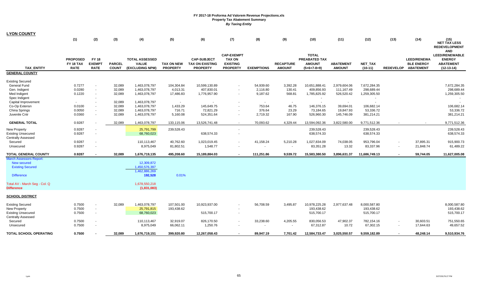| <b>LYON COUNTY</b>             |                  |                          |                  |                       |                          |                         |                   |                          |                          |               |                         |                          |                  |                    |                                     |
|--------------------------------|------------------|--------------------------|------------------|-----------------------|--------------------------|-------------------------|-------------------|--------------------------|--------------------------|---------------|-------------------------|--------------------------|------------------|--------------------|-------------------------------------|
|                                | (1)              | (2)                      | (3)              | (4)                   | (5)                      | (6)                     | (7)               | (8)                      | (9)                      | (10)          | (11)                    | (12)                     | (13)             | (14)               | (15)<br>NET TAX LESS                |
|                                |                  |                          |                  |                       |                          |                         |                   |                          |                          |               |                         |                          |                  |                    | <b>REDEVELOPMENT</b>                |
|                                |                  |                          |                  |                       |                          |                         | <b>CAP-EXEMPT</b> |                          |                          | <b>TOTAL</b>  |                         |                          |                  |                    | <b>AND</b><br><b>LEED/RENEWABLE</b> |
|                                | <b>PROPOSED</b>  | <b>FY 18</b>             |                  | <b>TOTAL ASSESSED</b> |                          | <b>CAP-SUBJECT</b>      | <b>TAX ON</b>     |                          |                          | PREABATED TAX |                         |                          |                  | <b>LEED/RENEWA</b> | <b>ENERGY</b>                       |
|                                | FY 18 TAX        | <b>EXEMPT</b>            | <b>PARCEL</b>    | <b>VALUE</b>          | <b>TAX ON NEW</b>        | <b>TAX ON EXISTING</b>  | <b>EXISTING</b>   |                          | <b>RECAPTURE</b>         | <b>AMOUNT</b> | <b>ABATEMENT</b>        | <b>NET TAX</b>           |                  | <b>BLE ENERGY</b>  | <b>ABATEMENT</b>                    |
| <b>TAX ENTITY</b>              | <b>RATE</b>      | <b>RATE</b>              | <b>COUNT</b>     | (EXCLUDING NPM)       | <b>PROPERTY</b>          | <b>PROPERTY</b>         | <b>PROPERTY</b>   | <b>EXEMPTIONS</b>        | <b>AMOUNT</b>            | $(5+6+7-8+9)$ | <b>AMOUNT</b>           | $(10-11)$                | <b>REDEVELOP</b> | <b>ABATEMENT</b>   | $(12-13-14)$                        |
| <b>GENERAL COUNTY</b>          |                  |                          |                  |                       |                          |                         |                   |                          |                          |               |                         |                          |                  |                    |                                     |
| <b>Existing Secured</b>        |                  |                          |                  |                       |                          |                         |                   |                          |                          |               |                         |                          |                  |                    |                                     |
| General Fund                   | 0.7277           |                          | 32,089           | 1,463,078,797         | 104,304.84               | 10,599,130.89           |                   | 54,939.60                | 3,392.28                 | 10,651,888.41 | 2,979,604.06            | 7,672,284.35             |                  |                    | 7,672,284.35                        |
| Gen. Indigent                  | 0.0280           |                          | 32,089           | 1,463,078,797         | 4,013.31                 | 407,830.01              |                   | 2,116.80                 | 130.41                   | 409,856.93    | 111,167.49              | 298,689.44               |                  |                    | 298,689.44                          |
| Med Indigent                   | 0.1220           | $\sim$                   | 32,089           | 1,463,078,797         | 17,486.83                | 1,776,957.90            | $\sim$            | 9,187.62                 | 568.81                   | 1,785,825.92  | 526,520.42              | 1,259,305.50             |                  |                    | 1,259,305.50                        |
| Spec Indigent                  |                  |                          |                  |                       |                          |                         |                   |                          |                          | $\sim$        |                         |                          |                  |                    |                                     |
| Capital Improvement            | $\sim$           |                          | 32,089           | 1,463,078,797         | $\overline{\phantom{a}}$ |                         |                   | $\sim$                   | $\sim$                   | $\sim$        | $\sim$                  | $\overline{\phantom{a}}$ |                  |                    |                                     |
| Co-Op Extensn                  | 0.0100           |                          | 32,089           | 1,463,078,797         | 1,433.29                 | 145,649.75              |                   | 753.64                   | 46.75                    | 146,376.15    | 39,694.01               | 106,682.14               |                  |                    | 106,682.14                          |
| China Springs<br>Juvenile Cntr | 0.0050<br>0.0360 | $\overline{\phantom{a}}$ | 32,089<br>32,089 | 1,463,078,797         | 716.71                   | 72,821.29<br>524,351.64 |                   | 376.64<br>2,719.32       | 23.29<br>167.90          | 73,184.65     | 19,847.93<br>145,746.09 | 53,336.72                |                  |                    | 53,336.72<br>381,214.21             |
|                                |                  |                          |                  | 1,463,078,797         | 5,160.08                 |                         |                   |                          |                          | 526,960.30    |                         | 381,214.21               |                  |                    |                                     |
| <b>GENERAL TOTAL</b>           | 0.9287           |                          | 32,089           | 1,463,078,797         | 133,115.06               | 13,526,741.48           |                   | 70,093.62                | 4,329.44                 | 13,594,092.36 | 3,822,580.00            | 9,771,512.36             |                  |                    | 9,771,512.36                        |
| New Property                   | 0.9287           |                          |                  | 25,791,799            | 239,528.43               |                         |                   |                          |                          | 239,528.43    |                         | 239,528.43               |                  |                    | 239,528.43                          |
| <b>Existing Unsecured</b>      | 0.9287           |                          |                  | 68,760,023            |                          | 638,574.33              |                   |                          |                          | 638,574.33    |                         | 638,574.33               |                  |                    | 638,574.33                          |
| <b>Centrally Assessed</b>      |                  |                          |                  |                       |                          |                         |                   |                          |                          |               |                         |                          |                  |                    |                                     |
| Secured                        | 0.9287           |                          |                  | 110,113,467           | 40,762.60                | 1,023,019.45            |                   | 41,158.24                | 5,210.28                 | 1,027,834.09  | 74,038.05               | 953,796.04               |                  | 37,895.31          | 915,900.73                          |
| Unsecured                      | 0.9287           | $\sim$                   |                  | 8,975,049             | 81,802.51                | 1,548.77                |                   | $\overline{\phantom{a}}$ | $\overline{\phantom{a}}$ | 83,351.28     | 13.32                   | 83,337.96                | $\sim$           | 21,848.74          | 61,489.22                           |
| <b>TOTAL GENERAL COUNTY</b>    | 0.9287           |                          | 32,089           | 1,676,719,135         | 495,208.60               | 15,189,884.03           |                   | 111,251.86               | 9,539.72                 | 15,583,380.50 | 3,896,631.37            | 11,686,749.13            | $\blacksquare$   | 59,744.05          | 11,627,005.08                       |
| <b>March Assessors Report:</b> |                  |                          |                  |                       |                          |                         |                   |                          |                          |               |                         |                          |                  |                    |                                     |
| New secured                    |                  |                          |                  | 12,309,872            |                          |                         |                   |                          |                          |               |                         |                          |                  |                    |                                     |
| <b>Existing Secured</b>        |                  |                          |                  | 1,450,576,397         |                          |                         |                   |                          |                          |               |                         |                          |                  |                    |                                     |
|                                |                  |                          |                  | 1,462,886,269         |                          |                         |                   |                          |                          |               |                         |                          |                  |                    |                                     |
| <b>Difference</b>              |                  |                          |                  | 192,528               | 0.01%                    |                         |                   |                          |                          |               |                         |                          |                  |                    |                                     |
| Total AV - March Seg - Col. Q  |                  |                          |                  | 1,678,550,218         |                          |                         |                   |                          |                          |               |                         |                          |                  |                    |                                     |
| <b>Difference</b>              |                  |                          |                  | (1,831,083)           |                          |                         |                   |                          |                          |               |                         |                          |                  |                    |                                     |
| <b>SCHOOL DISTRICT</b>         |                  |                          |                  |                       |                          |                         |                   |                          |                          |               |                         |                          |                  |                    |                                     |
|                                |                  |                          |                  |                       |                          |                         |                   |                          |                          |               |                         |                          |                  |                    |                                     |
| <b>Existing Secured</b>        | 0.7500           | $\blacksquare$           | 32,089           | 1,463,078,797         | 107,501.00               | 10,923,937.00           |                   | 56,708.59                | 3,495.87                 | 10,978,225.28 | 2,977,637.48            | 8,000,587.80             |                  |                    | 8,000,587.80                        |
| New Property                   | 0.7500           | $\sim$                   |                  | 25,791,815            | 193,438.62               |                         |                   |                          |                          | 193,438.62    |                         | 193,438.62               |                  |                    | 193,438.62                          |
| <b>Existing Unsecured</b>      | 0.7500           | $\overline{\phantom{a}}$ |                  | 68,760,023            |                          | 515,700.17              |                   |                          |                          | 515,700.17    |                         | 515,700.17               |                  |                    | 515,700.17                          |
| <b>Centrally Assessed</b>      |                  |                          |                  |                       |                          |                         |                   |                          |                          |               |                         |                          |                  |                    |                                     |
| Secured                        | 0.7500           |                          |                  | 110,113,467           | 32,919.07                | 826,170.50              |                   | 33,238.60                | 4,205.55                 | 830,056.53    | 47,902.37               | 782,154.16               |                  | 30,603.51          | 751,550.65                          |
| Unsecured                      | 0.7500           |                          |                  | 8,975,049             | 66,062.11                | 1,250.76                |                   |                          | $\sim$                   | 67,312.87     | 10.72                   | 67,302.15                | $\sim$           | 17,644.63          | 49,657.52                           |
| TOTAL SCHOOL OPERATING         | 0.7500           |                          | 32,089           | 1,676,719,151         | 399,920.80               | 12,267,058.43           |                   | 89,947.19                | 7,701.42                 | 12,584,733.47 | 3,025,550.57            | 9,559,182.89             |                  | 48,248.14          | 9,510,934.76                        |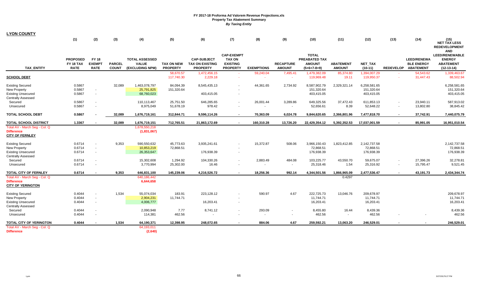| <b>LYON COUNTY</b>                          |                 |                          |               |                       |                         |                          |                   |                   |                          |                            |                    |                            |        |                        |                                                            |
|---------------------------------------------|-----------------|--------------------------|---------------|-----------------------|-------------------------|--------------------------|-------------------|-------------------|--------------------------|----------------------------|--------------------|----------------------------|--------|------------------------|------------------------------------------------------------|
|                                             | (1)             | (2)                      | (3)           | (4)                   | (5)                     | (6)                      | (7)               | (8)               | (9)                      | (10)                       | (11)               | (12)                       | (13)   | (14)                   | (15)<br>NET TAX LESS<br><b>REDEVELOPMENT</b><br><b>AND</b> |
|                                             |                 |                          |               |                       |                         |                          | <b>CAP-EXEMPT</b> |                   |                          | <b>TOTAL</b>               |                    |                            |        |                        | <b>LEED/RENEWABLE</b>                                      |
|                                             | <b>PROPOSED</b> | <b>FY 18</b>             |               | <b>TOTAL ASSESSED</b> |                         | <b>CAP-SUBJECT</b>       | <b>TAX ON</b>     |                   |                          | PREABATED TAX              |                    |                            |        | <b>LEED/RENEWA</b>     | <b>ENERGY</b>                                              |
|                                             | FY 18 TAX       | <b>EXEMPT</b>            | <b>PARCEL</b> | <b>VALUE</b>          | <b>TAX ON NEW</b>       | <b>TAX ON EXISTING</b>   | <b>EXISTING</b>   |                   | <b>RECAPTURE</b>         | <b>AMOUNT</b>              | <b>ABATEMENT</b>   | NET_TAX                    |        | <b>BLE ENERGY</b>      | <b>ABATEMENT</b>                                           |
| <b>TAX ENTITY</b>                           | <b>RATE</b>     | <b>RATE</b>              | <b>COUNT</b>  | (EXCLUDING NPM)       | <b>PROPERTY</b>         | <b>PROPERTY</b>          | <b>PROPERTY</b>   | <b>EXEMPTIONS</b> | <b>AMOUNT</b>            | $(5+6+7-8+9)$              | <b>AMOUNT</b>      | $(10-11)$                  |        | REDEVELOP ABATEMENT    | $(12-13-14)$                                               |
| <b>SCHOOL DEBT</b>                          |                 |                          |               |                       | 58,670.57<br>117,740.30 | 1,472,456.15<br>2,229.18 |                   | 59,240.04         | 7,495.41                 | 1,479,382.09<br>119,969.48 | 85,374.80<br>19.11 | 1,394,007.29<br>119,950.37 |        | 54,543.62<br>31,447.43 | 1,339,463.67<br>88,502.94                                  |
| <b>Existing Secured</b>                     | 0.5867          |                          | 32,089        | 1,463,078,797         | 84,094.39               | 8,545,435.13             |                   | 44,361.65         | 2,734.92                 | 8,587,902.79               | 2,329,321.14       | 6,258,581.65               |        |                        | 6,258,581.65                                               |
| New Property                                | 0.5867          | $\sim$                   |               | 25,791,825            | 151,320.64              |                          |                   |                   |                          | 151,320.64                 |                    | 151,320.64                 |        |                        | 151,320.64                                                 |
| <b>Existing Unsecured</b>                   | 0.5867          | $\sim$                   |               | 68,760,023            |                         | 403,415.05               |                   |                   |                          | 403,415.05                 |                    | 403,415.05                 |        |                        | 403,415.05                                                 |
| <b>Centrally Assessed</b>                   |                 |                          |               |                       |                         |                          |                   |                   |                          |                            |                    |                            |        |                        |                                                            |
| Secured                                     | 0.5867          | $\sim$                   |               | 110,113,467           | 25,751.50               | 646,285.65               |                   | 26,001.44         | 3,289.86                 | 649,325.56                 | 37,472.43          | 611,853.13                 |        | 23,940.11              | 587,913.02                                                 |
| Unsecured                                   | 0.5867          | $\sim$                   |               | 8,975,049             | 51,678.19               | 978.42                   |                   |                   | $\overline{\phantom{a}}$ | 52,656.61                  | 8.39               | 52,648.22                  | $\sim$ | 13,802.80              | 38,845.42                                                  |
| <b>TOTAL SCHOOL DEBT</b>                    | 0.5867          |                          | 32,089        | 1,676,719,161         | 312,844.71              | 9,596,114.26             |                   | 70,363.09         | 6,024.78                 | 9.844.620.65               | 2.366.801.96       | 7,477,818.70               | $\sim$ | 37,742.91              | 7,440,075.79                                               |
| <b>TOTAL SCHOOL DISTRICT</b>                | 1.3367          |                          | 32,089        | 1,676,719,151         | 712,765.51              | 21,863,172.69            |                   | 160,310.28        | 13,726.20                | 22,429,354.12              | 5,392,352.53       | 17,037,001.59              |        | 85,991.05              | 16,951,010.54                                              |
| Total AV - March Seg - Col. Q               |                 |                          |               | 1,678,550,218         |                         |                          |                   |                   |                          |                            |                    |                            |        |                        |                                                            |
| <b>Difference</b><br><b>CITY OF FERNLEY</b> |                 |                          |               | (1,831,067)           |                         |                          |                   |                   |                          |                            |                    |                            |        |                        |                                                            |
| <b>Existing Secured</b>                     | 0.6714          |                          | 9,353         | 590,550,632           | 45,773.63               | 3,935,241.61             |                   | 15,372.87         | 508.06                   | 3,966,150.43               | 1,823,412.85       | 2,142,737.58               |        |                        | 2,142,737.58                                               |
| New Property                                | 0.6714          | $\sim$                   |               | 10,853,219            | 72,868.51               |                          |                   |                   |                          | 72,868.51                  |                    | 72,868.51                  |        |                        | 72,868.51                                                  |
| <b>Existing Unsecured</b>                   | 0.6714          | $\sim$                   |               | 26,353,647            |                         | 176,938.39               |                   |                   |                          | 176,938.39                 |                    | 176,938.39                 |        |                        | 176,938.39                                                 |
| <b>Centrally Assessed</b>                   |                 |                          |               |                       |                         |                          |                   |                   |                          |                            |                    |                            |        |                        |                                                            |
| Secured                                     | 0.6714          |                          |               | 15,302,608            | 1,294.92                | 104,330.26               |                   | 2,883.49          | 484.08                   | 103,225.77                 | 43,550.70          | 59,675.07                  | $\sim$ | 27,396.26              | 32,278.81                                                  |
| Unsecured                                   | 0.6714          | $\overline{\phantom{a}}$ |               | 3,770,994             | 25,302.00               | 16.46                    |                   |                   | $\overline{\phantom{a}}$ | 25,318.46                  | 1.54               | 25,316.92                  |        | 15,795.47              | 9,521.45                                                   |
| TOTAL CITY OF FERNLEY                       | 0.6714          |                          | 9,353         | 646,831,100           | 145,239.06              | 4,216,526.72             |                   | 18,256.36         | 992.14                   | 4,344,501.56               | 1,866,965.09       | 2,477,536.47               |        | 43,191.73              | 2,434,344.74                                               |
| Total AV - March Seg - Col. Q               |                 |                          |               | 640,186,442           |                         |                          |                   |                   |                          |                            | 0.4297             |                            |        |                        |                                                            |
| <b>Difference</b>                           |                 |                          |               | 6,644,658             |                         |                          |                   |                   |                          |                            |                    |                            |        |                        |                                                            |
| <b>CITY OF YERINGTON</b>                    |                 |                          |               |                       |                         |                          |                   |                   |                          |                            |                    |                            |        |                        |                                                            |
| <b>Existing Secured</b>                     | 0.4044          | $\sim$                   | 1,534         | 55,074,034            | 183.91                  | 223,128.12               |                   | 590.97            | 4.67                     | 222,725.73                 | 13,046.76          | 209,678.97                 |        |                        | 209,678.97                                                 |
| New Property                                | 0.4044          | $\sim$                   |               | 2,904,231             | 11,744.71               |                          |                   |                   |                          | 11.744.71                  |                    | 11.744.71                  |        |                        | 11.744.71                                                  |
| <b>Existing Unsecured</b>                   | 0.4044          | $\sim$                   |               | 4,006,777             |                         | 16,203.41                |                   |                   |                          | 16,203.41                  |                    | 16,203.41                  |        |                        | 16,203.41                                                  |
| <b>Centrally Assessed</b>                   |                 |                          |               |                       |                         |                          |                   |                   |                          |                            |                    |                            |        |                        |                                                            |
| Secured                                     | 0.4044          | $\sim$                   |               | 2,090,948             | 7.77                    | 8,741.12                 |                   | 293.09            | $\sim$                   | 8,455.80                   | 16.44              | 8,439.36                   |        |                        | 8,439.36                                                   |
| Unsecured                                   | 0.4044          | $\sim$                   |               | 114,381               | 462.56                  | $\overline{\phantom{a}}$ |                   |                   | $\overline{\phantom{a}}$ | 462.56                     | $\sim$             | 462.56                     |        |                        | 462.56                                                     |
| TOTAL CITY OF YERINGTON                     | 0.4044          |                          | 1,534         | 64,190,371            | 12.398.95               | 248,072.65               |                   | 884.06            | 4.67                     | 259.592.21                 | 13.063.20          | 246,529.01                 |        |                        | 246,529.01                                                 |
| Total AV - March Seg - Col. Q               |                 |                          |               | 64,193,011            |                         |                          |                   |                   |                          |                            |                    |                            |        |                        |                                                            |
| <b>Difference</b>                           |                 |                          |               | (2,640)               |                         |                          |                   |                   |                          |                            |                    |                            |        |                        |                                                            |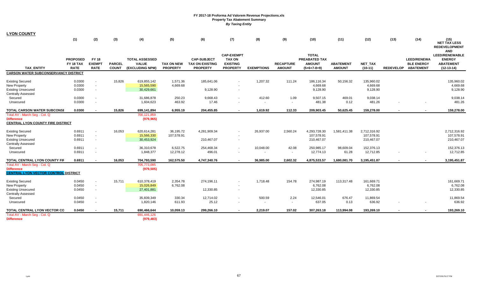| <b>LYON COUNTY</b>                                                                                       |                                             |                                                      |                               |                                                          |                                      |                                                                 |                                                                          |                     |                                   |                                                                 |                                   |                                          |                  |                                                             |                                                                     |
|----------------------------------------------------------------------------------------------------------|---------------------------------------------|------------------------------------------------------|-------------------------------|----------------------------------------------------------|--------------------------------------|-----------------------------------------------------------------|--------------------------------------------------------------------------|---------------------|-----------------------------------|-----------------------------------------------------------------|-----------------------------------|------------------------------------------|------------------|-------------------------------------------------------------|---------------------------------------------------------------------|
|                                                                                                          | (1)                                         | (2)                                                  | (3)                           | (4)                                                      | (5)                                  | (6)                                                             | (7)                                                                      | (8)                 | (9)                               | (10)                                                            | (11)                              | (12)                                     | (13)             | (14)                                                        | (15)<br>NET TAX LESS<br><b>REDEVELOPMENT</b><br><b>AND</b>          |
| <b>TAX ENTITY</b>                                                                                        | <b>PROPOSED</b><br>FY 18 TAX<br><b>RATE</b> | <b>FY 18</b><br><b>EXEMPT</b><br><b>RATE</b>         | <b>PARCEL</b><br><b>COUNT</b> | <b>TOTAL ASSESSED</b><br><b>VALUE</b><br>(EXCLUDING NPM) | <b>TAX ON NEW</b><br><b>PROPERTY</b> | <b>CAP-SUBJECT</b><br><b>TAX ON EXISTING</b><br><b>PROPERTY</b> | <b>CAP-EXEMPT</b><br><b>TAX ON</b><br><b>EXISTING</b><br><b>PROPERTY</b> | <b>EXEMPTIONS</b>   | <b>RECAPTURE</b><br><b>AMOUNT</b> | <b>TOTAL</b><br>PREABATED TAX<br><b>AMOUNT</b><br>$(5+6+7-8+9)$ | <b>ABATEMENT</b><br><b>AMOUNT</b> | NET_TAX<br>$(10-11)$                     | <b>REDEVELOP</b> | <b>LEED/RENEWA</b><br><b>BLE ENERGY</b><br><b>ABATEMENT</b> | LEED/RENEWABLE<br><b>ENERGY</b><br><b>ABATEMENT</b><br>$(12-13-14)$ |
| <b>CARSON WATER SUBCONSERVANCY DISTRICT</b>                                                              |                                             |                                                      |                               |                                                          |                                      |                                                                 |                                                                          |                     |                                   |                                                                 |                                   |                                          |                  |                                                             |                                                                     |
| <b>Existing Secured</b><br><b>New Property</b><br><b>Existing Unsecured</b><br><b>Centrally Assessed</b> | 0.0300<br>0.0300<br>0.0300                  | $\sim$<br>$\sim$                                     | 15,826                        | 619,855,142<br>15,565,590<br>30,429,661                  | 1,571.36<br>4,669.68                 | 185,641.06<br>9,128.90                                          | $\blacksquare$                                                           | 1,207.32            | 111.24                            | 186,116.34<br>4,669.68<br>9,128.90                              | 50,156.32                         | 135,960.02<br>4,669.68<br>9,128.90       |                  |                                                             | 135,960.02<br>4,669.68<br>9,128.90                                  |
| Secured<br>Unsecured                                                                                     | 0.0300<br>0.0300                            | $\sim$                                               |                               | 31,686,878<br>1,604,623                                  | 250.23<br>463.92                     | 9,668.43<br>17.46                                               |                                                                          | 412.60<br>$\sim$    | 1.09<br>$\sim$                    | 9,507.15<br>481.38                                              | 469.01<br>0.12                    | 9,038.14<br>481.26                       |                  |                                                             | 9,038.14<br>481.26                                                  |
| <b>TOTAL CARSON WATER SUBCONSI</b>                                                                       | 0.0300                                      |                                                      | 15,826                        | 699,141,894                                              | 6,955.19                             | 204,455.85                                                      |                                                                          | 1,619.92            | 112.33                            | 209,903.45                                                      | 50,625.45                         | 159,278.00                               |                  |                                                             | 159,278.00                                                          |
| Total AV - March Seq - Col. Q<br><b>Difference</b><br><b>CENTRAL LYON COUNTY FIRE DISTRICT</b>           |                                             |                                                      |                               | 700,121,859<br>(979, 965)                                |                                      |                                                                 |                                                                          |                     |                                   |                                                                 |                                   |                                          |                  |                                                             |                                                                     |
| <b>Existing Secured</b><br><b>New Property</b><br><b>Existing Unsecured</b><br><b>Centrally Assessed</b> | 0.6911<br>0.6911<br>0.6911                  | $\sim$<br>$\sim$                                     | 16,053                        | 620,614,281<br>15,566,330<br>30,453,924                  | 36,195.72<br>107,578.91              | 4,281,909.34<br>210,467.07                                      | $\blacksquare$                                                           | 26,937.00           | 2,560.24                          | 4,293,728.30<br>107,578.91<br>210,467.07                        | 1,581,411.38                      | 2,712,316.92<br>107,578.91<br>210,467.07 |                  |                                                             | 2,712,316.92<br>107,578.91<br>210,467.07                            |
| Secured<br>Unsecured                                                                                     | 0.6911<br>0.6911                            | $\overline{\phantom{a}}$<br>$\sim$                   |                               | 36,310,678<br>1,848,377                                  | 6,522.75<br>12,278.12                | 254,468.34<br>496.01                                            | $\overline{\phantom{a}}$<br>$\overline{\phantom{a}}$                     | 10,048.00<br>$\sim$ | 42.08<br>$\sim$                   | 250,985.17<br>12,774.13                                         | 98.609.04<br>61.28                | 152,376.13<br>12,712.85                  |                  |                                                             | 152,376.13<br>12,712.85                                             |
| TOTAL CENTRAL LYON COUNTY FIF                                                                            | 0.6911                                      | $\blacksquare$                                       | 16,053                        | 704,793,590                                              | 162,575.50                           | 4,747,340.76                                                    | $\blacksquare$                                                           | 36,985.00           | 2,602.32                          | 4,875,533.57                                                    | 1,680,081.70                      | 3,195,451.87                             |                  | $\blacksquare$                                              | 3,195,451.87                                                        |
| Total AV - March Seg - Col. Q<br><b>Difference</b><br><b>CENTRAL LYON VECTOR CONTROL DISTRICT</b>        |                                             |                                                      |                               | 705,773,095<br>(979, 505)                                |                                      |                                                                 |                                                                          |                     |                                   |                                                                 |                                   |                                          |                  |                                                             |                                                                     |
| <b>Existing Secured</b><br><b>New Property</b><br><b>Existing Unsecured</b><br><b>Centrally Assessed</b> | 0.0450<br>0.0450<br>0.0450                  | $\blacksquare$<br>$\sim$<br>$\overline{\phantom{a}}$ | 15,711                        | 610,378,419<br>15,026,849<br>27,401,881                  | 2,354.78<br>6,762.08                 | 274,196.11<br>12,330.85                                         | $\overline{\phantom{a}}$                                                 | 1,718.48            | 154.78                            | 274,987.19<br>6,762.08<br>12,330.85                             | 113,317.48                        | 161,669.71<br>6,762.08<br>12,330.85      |                  |                                                             | 161,669.71<br>6,762.08<br>12,330.85                                 |
| Secured<br>Unsecured                                                                                     | 0.0450<br>0.0450                            |                                                      |                               | 35,839,349<br>1,820,146                                  | 330.34<br>611.93                     | 12,714.02<br>25.12                                              |                                                                          | 500.59<br>$\sim$    | 2.24<br>$\sim$                    | 12,546.01<br>637.05                                             | 676.47<br>0.13                    | 11,869.54<br>636.92                      |                  |                                                             | 11,869.54<br>636.92                                                 |
| TOTAL CENTRAL LYON VECTOR CO                                                                             | 0.0450                                      |                                                      | 15,711                        | 690,466,644                                              | 10,059.13                            | 299,266.10                                                      |                                                                          | 2,219.07            | 157.02                            | 307,263.18                                                      | 113,994.08                        | 193,269.10                               |                  |                                                             | 193,269.10                                                          |
| Total AV - March Seg - Col. Q<br><b>Difference</b>                                                       |                                             |                                                      |                               | 691,446,126<br>(979, 483)                                |                                      |                                                                 |                                                                          |                     |                                   |                                                                 |                                   |                                          |                  |                                                             |                                                                     |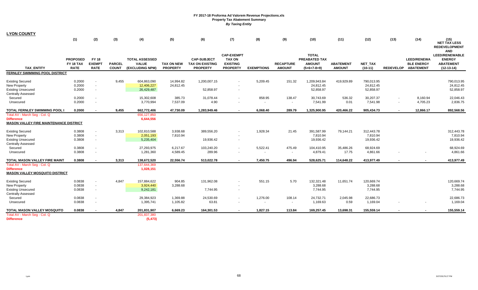| <b>LYON COUNTY</b>                                                                                       |                                             |                                                      |                               |                                                          |                                      |                                                                 |                                                                          |                   |                                   |                                                                 |                                   |                                      |        |                                                                |                                                                            |
|----------------------------------------------------------------------------------------------------------|---------------------------------------------|------------------------------------------------------|-------------------------------|----------------------------------------------------------|--------------------------------------|-----------------------------------------------------------------|--------------------------------------------------------------------------|-------------------|-----------------------------------|-----------------------------------------------------------------|-----------------------------------|--------------------------------------|--------|----------------------------------------------------------------|----------------------------------------------------------------------------|
|                                                                                                          | (1)                                         | (2)                                                  | (3)                           | (4)                                                      | (5)                                  | (6)                                                             | (7)                                                                      | (8)               | (9)                               | (10)                                                            | (11)                              | (12)                                 | (13)   | (14)                                                           | (15)<br><b>NET TAX LESS</b><br><b>REDEVELOPMENT</b><br><b>AND</b>          |
| <b>TAX ENTITY</b>                                                                                        | <b>PROPOSED</b><br>FY 18 TAX<br><b>RATE</b> | <b>FY 18</b><br><b>EXEMPT</b><br><b>RATE</b>         | <b>PARCEL</b><br><b>COUNT</b> | <b>TOTAL ASSESSED</b><br><b>VALUE</b><br>(EXCLUDING NPM) | <b>TAX ON NEW</b><br><b>PROPERTY</b> | <b>CAP-SUBJECT</b><br><b>TAX ON EXISTING</b><br><b>PROPERTY</b> | <b>CAP-EXEMPT</b><br><b>TAX ON</b><br><b>EXISTING</b><br><b>PROPERTY</b> | <b>EXEMPTIONS</b> | <b>RECAPTURE</b><br><b>AMOUNT</b> | <b>TOTAL</b><br>PREABATED TAX<br><b>AMOUNT</b><br>$(5+6+7-8+9)$ | <b>ABATEMENT</b><br><b>AMOUNT</b> | <b>NET TAX</b><br>$(10-11)$          |        | <b>LEED/RENEWA</b><br><b>BLE ENERGY</b><br>REDEVELOP ABATEMENT | <b>LEED/RENEWABLE</b><br><b>ENERGY</b><br><b>ABATEMENT</b><br>$(12-13-14)$ |
| FERNLEY SWIMMING POOL DISTRICT                                                                           |                                             |                                                      |                               |                                                          |                                      |                                                                 |                                                                          |                   |                                   |                                                                 |                                   |                                      |        |                                                                |                                                                            |
| <b>Existing Secured</b><br>New Property<br><b>Existing Unsecured</b><br><b>Centrally Assessed</b>        | 0.2000<br>0.2000<br>0.2000                  | $\sim$<br>$\blacksquare$                             | 9,455                         | 604,863,090<br>12,406,227<br>26,429,487                  | 14,994.82<br>24,812.45               | 1,200,007.15<br>52,858.97                                       |                                                                          | 5,209.45          | 151.32                            | 1,209,943.84<br>24.812.45<br>52,858.97                          | 419,929.89                        | 790,013.95<br>24,812.45<br>52,858.97 |        |                                                                | 790,013.95<br>24,812.45<br>52,858.97                                       |
| Secured<br>Unsecured                                                                                     | 0.2000<br>0.2000                            | $\blacksquare$<br>$\overline{\phantom{a}}$           |                               | 15,302,608<br>3,770,994                                  | 385.73<br>7,537.09                   | 31,078.44<br>4.90                                               |                                                                          | 858.95            | 138.47<br>$\sim$                  | 30,743.69<br>7,541.99                                           | 536.32<br>0.01                    | 30,207.37<br>7,541.98                |        | 8,160.94<br>4,705.23                                           | 22,046.43<br>2,836.75                                                      |
| <b>TOTAL FERNLEY SWIMMING POOL I</b>                                                                     | 0.2000                                      | $\blacksquare$                                       | 9,455                         | 662,772,406                                              | 47,730.09                            | 1,283,949.46                                                    |                                                                          | 6,068.40          | 289.79                            | 1,325,900.95                                                    | 420,466.22                        | 905,434.73                           | $\sim$ | 12,866.17                                                      | 892,568.56                                                                 |
| Total AV - March Seq - Col. Q<br><b>Difference</b><br><b>MASON VALLEY FIRE MAINTENANCE DISTRICT</b>      |                                             |                                                      |                               | 656,127,850<br>6,644,556                                 |                                      |                                                                 |                                                                          |                   |                                   |                                                                 |                                   |                                      |        |                                                                |                                                                            |
| <b>Existing Secured</b><br><b>New Property</b><br><b>Existing Unsecured</b><br><b>Centrally Assessed</b> | 0.3808<br>0.3808<br>0.3808                  | $\overline{\phantom{a}}$<br>$\sim$                   | 3,313                         | 102,810,588<br>2,051,193<br>5,235,404                    | 3,938.68<br>7,810.94                 | 389,556.20<br>19,936.42                                         | $\sim$                                                                   | 1,928.34          | 21.45                             | 391,587.99<br>7,810.94<br>19,936.42                             | 79,144.21                         | 312,443.78<br>7,810.94<br>19,936.42  |        |                                                                | 312,443.78<br>7,810.94<br>19,936.42                                        |
| Secured<br>Unsecured                                                                                     | 0.3808<br>0.3808                            | $\overline{\phantom{a}}$                             |                               | 27,293,975<br>1,281,360                                  | 6,217.67<br>4,589.45                 | 103,240.20<br>289.96                                            |                                                                          | 5,522.41          | 475.49<br>$\blacksquare$          | 104,410.95<br>4,879.41                                          | 35,486.26<br>17.75                | 68,924.69<br>4,861.66                |        |                                                                | 68,924.69<br>4,861.66                                                      |
| TOTAL MASON VALLEY FIRE MAINT                                                                            | 0.3808                                      | $\overline{\phantom{a}}$                             | 3,313                         | 138,672,520                                              | 22,556.74                            | 513,022.78                                                      |                                                                          | 7,450.75          | 496.94                            | 528,625.71                                                      | 114,648.22                        | 413,977.49                           |        |                                                                | 413,977.49                                                                 |
| Total AV - March Seg - Col. Q<br><b>Difference</b><br><b>MASON VALLEY MOSQUITO DISTRICT</b>              |                                             |                                                      |                               | 137,644,369<br>1,028,151                                 |                                      |                                                                 |                                                                          |                   |                                   |                                                                 |                                   |                                      |        |                                                                |                                                                            |
| <b>Existing Secured</b><br><b>New Property</b><br><b>Existing Unsecured</b><br><b>Centrally Assessed</b> | 0.0838<br>0.0838<br>0.0838                  | $\blacksquare$<br>$\sim$                             | 4,847                         | 157,884,622<br>3,924,440<br>9,242,181                    | 904.85<br>3,288.68                   | 131,962.08<br>7,744.95                                          |                                                                          | 551.15            | 5.70                              | 132,321.48<br>3,288.68<br>7,744.95                              | 11,651.74                         | 120,669.74<br>3,288.68<br>7,744.95   |        |                                                                | 120,669.74<br>3,288.68<br>7,744.95                                         |
| Secured<br>Unsecured                                                                                     | 0.0838<br>0.0838                            | $\overline{\phantom{a}}$<br>$\overline{\phantom{a}}$ |                               | 29,384,923<br>1,395,741                                  | 1,369.88<br>1,105.82                 | 24,530.69<br>63.81                                              |                                                                          | 1,276.00          | 108.14<br>$\sim$                  | 24,732.71<br>1,169.63                                           | 2,045.98<br>0.59                  | 22,686.73<br>1,169.04                |        |                                                                | 22,686.73<br>1,169.04                                                      |
| TOTAL MASON VALLEY MOSQUITO                                                                              | 0.0838                                      |                                                      | 4,847                         | 201,831,907                                              | 6,669.23                             | 164,301.53                                                      |                                                                          | 1,827.15          | 113.84                            | 169,257.45                                                      | 13,698.31                         | 155,559.14                           |        |                                                                | 155,559.14                                                                 |
| Total AV - March Seg - Col. Q<br><b>Difference</b>                                                       |                                             |                                                      |                               | 201,837,380<br>(5, 473)                                  |                                      |                                                                 |                                                                          |                   |                                   |                                                                 |                                   |                                      |        |                                                                |                                                                            |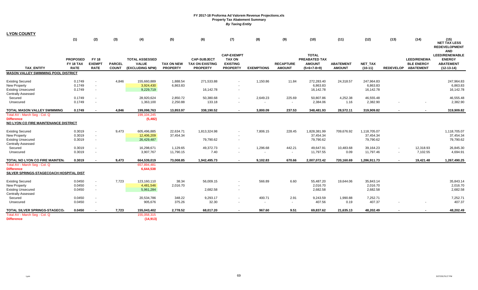| <b>LYON COUNTY</b>                                                                                       |                                             |                                                      |                               |                                                          |                                      |                                                                 |                                                                          |                   |                                    |                                                                 |                                   |                                        |        |                                                                |                                                                            |
|----------------------------------------------------------------------------------------------------------|---------------------------------------------|------------------------------------------------------|-------------------------------|----------------------------------------------------------|--------------------------------------|-----------------------------------------------------------------|--------------------------------------------------------------------------|-------------------|------------------------------------|-----------------------------------------------------------------|-----------------------------------|----------------------------------------|--------|----------------------------------------------------------------|----------------------------------------------------------------------------|
|                                                                                                          | (1)                                         | (2)                                                  | (3)                           | (4)                                                      | (5)                                  | (6)                                                             | (7)                                                                      | (8)               | (9)                                | (10)                                                            | (11)                              | (12)                                   | (13)   | (14)                                                           | (15)<br><b>NET TAX LESS</b><br><b>REDEVELOPMENT</b><br><b>AND</b>          |
| <b>TAX ENTITY</b>                                                                                        | <b>PROPOSED</b><br>FY 18 TAX<br><b>RATE</b> | <b>FY 18</b><br><b>EXEMPT</b><br><b>RATE</b>         | <b>PARCEL</b><br><b>COUNT</b> | <b>TOTAL ASSESSED</b><br><b>VALUE</b><br>(EXCLUDING NPM) | <b>TAX ON NEW</b><br><b>PROPERTY</b> | <b>CAP-SUBJECT</b><br><b>TAX ON EXISTING</b><br><b>PROPERTY</b> | <b>CAP-EXEMPT</b><br><b>TAX ON</b><br><b>EXISTING</b><br><b>PROPERTY</b> | <b>EXEMPTIONS</b> | <b>RECAPTURE</b><br><b>AMOUNT</b>  | <b>TOTAL</b><br>PREABATED TAX<br><b>AMOUNT</b><br>$(5+6+7-8+9)$ | <b>ABATEMENT</b><br><b>AMOUNT</b> | <b>NET TAX</b><br>$(10-11)$            |        | <b>LEED/RENEWA</b><br><b>BLE ENERGY</b><br>REDEVELOP ABATEMENT | <b>LEED/RENEWABLE</b><br><b>ENERGY</b><br><b>ABATEMENT</b><br>$(12-13-14)$ |
| <b>MASON VALLEY SWIMMING POOL DISTRICT</b>                                                               |                                             |                                                      |                               |                                                          |                                      |                                                                 |                                                                          |                   |                                    |                                                                 |                                   |                                        |        |                                                                |                                                                            |
| <b>Existing Secured</b><br>New Property<br><b>Existing Unsecured</b><br><b>Centrally Assessed</b>        | 0.1749<br>0.1749<br>0.1749                  | $\sim$<br>$\blacksquare$                             | 4,846                         | 155,660,889<br>3,924,430<br>9,229,719                    | 1,888.54<br>6,863.83                 | 271,533.88<br>16,142.78                                         |                                                                          | 1,150.86          | 11.84                              | 272,283.40<br>6.863.83<br>16,142.78                             | 24,318.57                         | 247,964.83<br>6,863.83<br>16,142.78    |        |                                                                | 247,964.83<br>6,863.83<br>16,142.78                                        |
| Secured<br>Unsecured                                                                                     | 0.1749<br>0.1749                            | $\blacksquare$<br>$\overline{\phantom{a}}$           |                               | 28,920,624<br>1,363,100                                  | 2,850.72<br>2,250.88                 | 50,380.68<br>133.18                                             |                                                                          | 2,649.23          | 225.69<br>$\overline{\phantom{a}}$ | 50,807.86<br>2,384.06                                           | 4,252.38<br>1.16                  | 46,555.48<br>2,382.90                  |        |                                                                | 46,555.48<br>2,382.90                                                      |
| TOTAL MASON VALLEY SWIMMING                                                                              | 0.1749                                      | $\overline{\phantom{a}}$                             | 4,846                         | 199,098,763                                              | 13,853.97                            | 338,190.52                                                      |                                                                          | 3,800.09          | 237.53                             | 348,481.93                                                      | 28,572.11                         | 319,909.82                             | $\sim$ |                                                                | 319,909.82                                                                 |
| Total AV - March Seg - Col. Q<br><b>Difference</b><br>NO LYON CO FIRE MAINTENANCE DISTRICT               |                                             |                                                      |                               | 199,104,245<br>(5, 482)                                  |                                      |                                                                 |                                                                          |                   |                                    |                                                                 |                                   |                                        |        |                                                                |                                                                            |
| <b>Existing Secured</b><br><b>New Property</b><br><b>Existing Unsecured</b>                              | 0.3019<br>0.3019<br>0.3019                  | $\overline{\phantom{a}}$<br>$\sim$                   | 9,473                         | 605,496,885<br>12,406,209<br>26,429,487                  | 22,634.71<br>37,454.34               | 1,813,324.98<br>79,790.62                                       | $\sim$                                                                   | 7,806.15          | 228.45                             | 1,828,381.99<br>37,454.34<br>79,790.62                          | 709,676.92                        | 1,118,705.07<br>37,454.34<br>79,790.62 |        |                                                                | 1,118,705.07<br>37,454.34<br>79,790.62                                     |
| <b>Centrally Assessed</b><br>Secured<br>Unsecured                                                        | 0.3019<br>0.3019                            | $\overline{\phantom{a}}$                             |                               | 16,298,671<br>3,907,767                                  | 1,129.65<br>11,790.15                | 49,372.73<br>7.40                                               |                                                                          | 1,296.68          | 442.21<br>$\blacksquare$           | 49,647.91<br>11,797.55                                          | 10,483.68<br>0.09                 | 39,164.23<br>11,797.46                 |        | 12,318.93<br>7,102.55                                          | 26,845.30<br>4,694.91                                                      |
| TOTAL NO LYON CO FIRE MAINTEN.                                                                           | 0.3019                                      | . .                                                  | 9,473                         | 664,539,019                                              | 73,008.85                            | 1,942,495.73                                                    |                                                                          | 9,102.83          | 670.66                             | 2,007,072.42                                                    | 720,160.69                        | 1,286,911.73                           |        | 19,421.48                                                      | 1,267,490.25                                                               |
| Total AV - March Seg - Col. Q<br><b>Difference</b><br>SILVER SPRINGS-STAGECOACH HOSPITAL DIST            |                                             |                                                      |                               | 657,894,481<br>6,644,538                                 |                                      |                                                                 |                                                                          |                   |                                    |                                                                 |                                   |                                        |        |                                                                |                                                                            |
| <b>Existing Secured</b><br><b>New Property</b><br><b>Existing Unsecured</b><br><b>Centrally Assessed</b> | 0.0450<br>0.0450<br>0.0450                  | $\blacksquare$<br>$\overline{\phantom{a}}$           | 7,723                         | 123,160,110<br>4,481,546<br>5,961,284                    | 38.34<br>2,016.70                    | 56,009.15<br>2,682.58                                           |                                                                          | 566.89            | 6.60                               | 55,487.20<br>2,016.70<br>2,682.58                               | 19,644.06                         | 35,843.14<br>2,016.70<br>2,682.58      |        |                                                                | 35,843.14<br>2,016.70<br>2,682.58                                          |
| Secured<br>Unsecured                                                                                     | 0.0450<br>0.0450                            | $\overline{\phantom{a}}$<br>$\overline{\phantom{a}}$ |                               | 20,534,786<br>905,676                                    | 348.22<br>375.26                     | 9,293.17<br>32.30                                               |                                                                          | 400.71<br>$\sim$  | 2.91<br>$\sim$                     | 9,243.59<br>407.56                                              | 1,990.88<br>0.19                  | 7,252.71<br>407.37                     |        |                                                                | 7,252.71<br>407.37                                                         |
| TOTAL SILVER SPRINGS-STAGECO.                                                                            | 0.0450                                      |                                                      | 7,723                         | 155,043,402                                              | 2,778.52                             | 68,017.20                                                       |                                                                          | 967.60            | 9.51                               | 69,837.62                                                       | 21,635.13                         | 48,202.49                              |        |                                                                | 48,202.49                                                                  |
| Total AV - March Seg - Col. Q<br><b>Difference</b>                                                       |                                             |                                                      |                               | 155,058,315<br>(14, 913)                                 |                                      |                                                                 |                                                                          |                   |                                    |                                                                 |                                   |                                        |        |                                                                |                                                                            |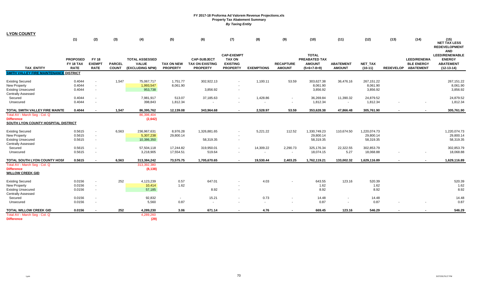| <b>LYON COUNTY</b>                                                                                       |                                             |                                                      |                               |                                                          |                                      |                                                                 |                                                                          |                   |                                    |                                                                 |                                   |                                        |        |                                                                |                                                                            |
|----------------------------------------------------------------------------------------------------------|---------------------------------------------|------------------------------------------------------|-------------------------------|----------------------------------------------------------|--------------------------------------|-----------------------------------------------------------------|--------------------------------------------------------------------------|-------------------|------------------------------------|-----------------------------------------------------------------|-----------------------------------|----------------------------------------|--------|----------------------------------------------------------------|----------------------------------------------------------------------------|
|                                                                                                          | (1)                                         | (2)                                                  | (3)                           | (4)                                                      | (5)                                  | (6)                                                             | (7)                                                                      | (8)               | (9)                                | (10)                                                            | (11)                              | (12)                                   | (13)   | (14)                                                           | (15)<br><b>NET TAX LESS</b><br><b>REDEVELOPMENT</b><br><b>AND</b>          |
| <b>TAX ENTITY</b>                                                                                        | <b>PROPOSED</b><br>FY 18 TAX<br><b>RATE</b> | <b>FY 18</b><br><b>EXEMPT</b><br><b>RATE</b>         | <b>PARCEL</b><br><b>COUNT</b> | <b>TOTAL ASSESSED</b><br><b>VALUE</b><br>(EXCLUDING NPM) | <b>TAX ON NEW</b><br><b>PROPERTY</b> | <b>CAP-SUBJECT</b><br><b>TAX ON EXISTING</b><br><b>PROPERTY</b> | <b>CAP-EXEMPT</b><br><b>TAX ON</b><br><b>EXISTING</b><br><b>PROPERTY</b> | <b>EXEMPTIONS</b> | <b>RECAPTURE</b><br><b>AMOUNT</b>  | <b>TOTAL</b><br>PREABATED TAX<br><b>AMOUNT</b><br>$(5+6+7-8+9)$ | <b>ABATEMENT</b><br><b>AMOUNT</b> | <b>NET TAX</b><br>$(10-11)$            |        | <b>LEED/RENEWA</b><br><b>BLE ENERGY</b><br>REDEVELOP ABATEMENT | <b>LEED/RENEWABLE</b><br><b>ENERGY</b><br><b>ABATEMENT</b><br>$(12-13-14)$ |
| <b>SMITH VALLEY FIRE MAINTENANCE DISTRICT</b>                                                            |                                             |                                                      |                               |                                                          |                                      |                                                                 |                                                                          |                   |                                    |                                                                 |                                   |                                        |        |                                                                |                                                                            |
| <b>Existing Secured</b><br><b>New Property</b><br><b>Existing Unsecured</b><br><b>Centrally Assessed</b> | 0.4044<br>0.4044<br>0.4044                  | $\overline{\phantom{a}}$<br>$\overline{\phantom{a}}$ | 1,547                         | 75,067,717<br>1,993,547<br>953,738                       | 1,751.77<br>8,061.90                 | 302,922.13<br>3,856.92                                          |                                                                          | 1,100.11          | 53.59                              | 303,627.38<br>8,061.90<br>3,856.92                              | 36,476.16                         | 267,151.22<br>8,061.90<br>3,856.92     |        |                                                                | 267,151.22<br>8,061.90<br>3,856.92                                         |
| Secured<br>Unsecured                                                                                     | 0.4044<br>0.4044                            | $\overline{\phantom{a}}$<br>$\overline{\phantom{a}}$ |                               | 7,981,917<br>398,843                                     | 513.07<br>1,812.34                   | 37,185.63                                                       |                                                                          | 1,428.86          | $\sim$<br>$\overline{\phantom{a}}$ | 36,269.84<br>1,812.34                                           | 11,390.32<br>$\sim$               | 24,879.52<br>1,812.34                  |        |                                                                | 24,879.52<br>1,812.34                                                      |
| TOTAL SMITH VALLEY FIRE MAINTE                                                                           | 0.4044                                      | $\sim$                                               | 1,547                         | 86,395,762                                               | 12,139.08                            | 343,964.68                                                      |                                                                          | 2,528.97          | 53.59                              | 353,628.38                                                      | 47,866.48                         | 305,761.90                             | $\sim$ |                                                                | 305,761.90                                                                 |
| Total AV - March Seg - Col. Q<br><b>Difference</b><br>SOUTH LYON COUNTY HOSPITAL DISTRICT                |                                             |                                                      |                               | 86,398,404<br>(2,642)                                    |                                      |                                                                 |                                                                          |                   |                                    |                                                                 |                                   |                                        |        |                                                                |                                                                            |
| <b>Existing Secured</b><br>New Property<br><b>Existing Unsecured</b><br><b>Centrally Assessed</b>        | 0.5615<br>0.5615<br>0.5615                  | $\overline{\phantom{a}}$<br>$\sim$                   | 6,563                         | 236,967,631<br>5,307,238<br>10,386,350                   | 8,976.28<br>29,800.14                | 1,326,881.65<br>58,319.35                                       | $\sim$                                                                   | 5,221.22          | 112.52                             | 1,330,749.23<br>29,800.14<br>58,319.35                          | 110,674.50                        | 1,220,074.73<br>29,800.14<br>58,319.35 |        |                                                                | 1,220,074.73<br>29,800.14<br>58,319.35                                     |
| Secured<br>Unsecured                                                                                     | 0.5615<br>0.5615                            | $\overline{\phantom{a}}$                             |                               | 57,504,118<br>3,218,905                                  | 17,244.82<br>17,554.51               | 319,950.01<br>519.64                                            |                                                                          | 14,309.22         | 2,290.73<br>$\blacksquare$         | 325,176.34<br>18,074.15                                         | 22,322.55<br>5.27                 | 302,853.79<br>18,068.88                |        |                                                                | 302,853.79<br>18,068.88                                                    |
| TOTAL SOUTH LYON COUNTY HOSF                                                                             | 0.5615                                      | $\overline{\phantom{a}}$                             | 6,563                         | 313,384,242                                              | 73,575.75                            | 1,705,670.65                                                    |                                                                          | 19,530.44         | 2,403.25                           | 1,762,119.21                                                    | 133,002.32                        | 1,629,116.89                           |        |                                                                | 1,629,116.89                                                               |
| Total AV - March Seg - Col. Q<br><b>Difference</b><br><b>WILLOW CREEK GID</b>                            |                                             |                                                      |                               | 313,392,380<br>(8, 138)                                  |                                      |                                                                 |                                                                          |                   |                                    |                                                                 |                                   |                                        |        |                                                                |                                                                            |
| <b>Existing Secured</b><br><b>New Property</b><br><b>Existing Unsecured</b><br><b>Centrally Assessed</b> | 0.0156<br>0.0156<br>0.0156                  | $\blacksquare$<br>$\overline{\phantom{a}}$           | 252                           | 4,123,239<br>10,414<br>57,185                            | 0.57<br>1.62                         | 647.01<br>8.92                                                  |                                                                          | 4.03              |                                    | 643.55<br>1.62<br>8.92                                          | 123.16                            | 520.39<br>1.62<br>8.92                 |        |                                                                | 520.39<br>1.62<br>8.92                                                     |
| Secured<br>Unsecured                                                                                     | 0.0156<br>0.0156                            | $\overline{\phantom{a}}$<br>$\overline{\phantom{a}}$ |                               | 92,832<br>5,560                                          | $\sim$<br>0.87                       | 15.21<br>$\sim$                                                 |                                                                          | 0.73<br>$\sim$    | $\sim$<br>$\sim$                   | 14.48<br>0.87                                                   | $\sim$                            | 14.48<br>0.87                          |        |                                                                | 14.48<br>0.87                                                              |
| <b>TOTAL WILLOW CREEK GID</b>                                                                            | 0.0156                                      |                                                      | 252                           | 4,289,230                                                | 3.06                                 | 671.14                                                          |                                                                          | 4.76              | $\blacksquare$                     | 669.45                                                          | 123.16                            | 546.29                                 |        |                                                                | 546.29                                                                     |
| Total AV - March Seg - Col. Q<br><b>Difference</b>                                                       |                                             |                                                      |                               | 4,289,260<br>(29)                                        |                                      |                                                                 |                                                                          |                   |                                    |                                                                 |                                   |                                        |        |                                                                |                                                                            |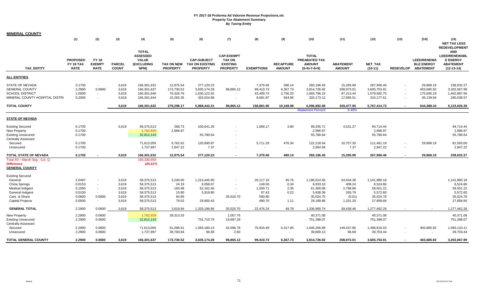| MINERAL COUNTY                                                                                                     |                                                          |                                                |                                                    |                                                                                  |                                                        |                                                                          |                                                                          |                                                              |                                                 |                                                                             |                                                                 |                                                                             |                                    |                                                                |                                                                                           |
|--------------------------------------------------------------------------------------------------------------------|----------------------------------------------------------|------------------------------------------------|----------------------------------------------------|----------------------------------------------------------------------------------|--------------------------------------------------------|--------------------------------------------------------------------------|--------------------------------------------------------------------------|--------------------------------------------------------------|-------------------------------------------------|-----------------------------------------------------------------------------|-----------------------------------------------------------------|-----------------------------------------------------------------------------|------------------------------------|----------------------------------------------------------------|-------------------------------------------------------------------------------------------|
|                                                                                                                    | (1)                                                      | (2)                                            | (3)                                                | (4)                                                                              | (5)                                                    | (6)                                                                      | (7)                                                                      | (8)                                                          | (9)                                             | (10)                                                                        | (11)                                                            | (12)                                                                        | (13)                               | (14)                                                           | (15)<br><b>NET TAX LESS</b><br><b>REDEVELOPMENT</b>                                       |
| <b>TAX ENTITY</b>                                                                                                  | <b>PROPOSED</b><br>FY 18 TAX<br><b>RATE</b>              | <b>FY 18</b><br><b>EXEMPT</b><br><b>RATE</b>   | <b>PARCEL</b><br><b>COUNT</b>                      | <b>TOTAL</b><br><b>ASSESSED</b><br><b>VALUE</b><br>(EXCLUDING<br>NPM)            | TAX ON NEW<br><b>PROPERTY</b>                          | <b>CAP-SUBJECT</b><br><b>TAX ON EXISTING</b><br><b>PROPERTY</b>          | <b>CAP-EXEMPT</b><br><b>TAX ON</b><br><b>EXISTING</b><br><b>PROPERTY</b> | <b>EXEMPTIONS</b>                                            | <b>RECAPTURE</b><br><b>AMOUNT</b>               | <b>TOTAL</b><br>PREABATED TAX<br><b>AMOUNT</b><br>$(5+6+7-8+9)$             | <b>ABATEMENT</b><br><b>AMOUNT</b>                               | NET_TAX<br>$(10-11)$                                                        |                                    | <b>LEED/RENEWA</b><br><b>BLE ENERGY</b><br>REDEVELOP ABATEMENT | <b>AND</b><br><b>LEED/RENEWABL</b><br><b>E ENERGY</b><br><b>ABATEMENT</b><br>$(12-13-14)$ |
| ALL ENTITIES                                                                                                       |                                                          |                                                |                                                    |                                                                                  |                                                        |                                                                          |                                                                          |                                                              |                                                 |                                                                             |                                                                 |                                                                             |                                    |                                                                |                                                                                           |
| STATE OF NEVADA<br><b>GENERAL COUNTY</b><br>SCHOOL DISTRICT<br>MINERAL COUNTY HOSPITAL DISTRI                      | 0.1700<br>2.2900<br>1.0000<br>0.2000                     | $\sim$<br>0.0600<br>$\sim$                     | 3,619<br>3,619<br>3,619<br>3,619                   | 166,301,632<br>166,301,637<br>166,301,640<br>166,301,644                         | 12,975.54<br>173,730.52<br>76,326.76<br>15,265.35      | 277,120.23<br>3,635,174.28<br>1,630,122.92<br>326,024.88                 | $\sim$<br>98,865.12<br>$\sim$                                            | 7,379.46<br>99,410.73<br>43,409.74<br>8,681.97               | 480.14<br>6,367.73<br>2,756.25<br>564.86        | 283,196.45<br>3,814,726.92<br>1,665,796.19<br>333,173.12                    | 15,295.99<br>208,973.01<br>87,213.44<br>17,995.51               | 267,900.46<br>3,605,753.91<br>1,578,582.75<br>315,177.61                    | $\overline{\phantom{a}}$           | 29,868.19<br>403,685.92<br>175,695.19<br>35,139.04             | 238,032.27<br>3,202,067.99<br>1,402,887.56<br>280,038.57                                  |
| TOTAL COUNTY                                                                                                       |                                                          |                                                | 3,619                                              | 166,301,632                                                                      | 278,298.17                                             | 5,868,442.31                                                             | 98,865.12                                                                | 158,881.90                                                   | 10,168.98                                       | 6,096,892.68                                                                | 329,477.95                                                      | 5,767,414.73                                                                |                                    | 644,388.34                                                     | 5,123,026.39                                                                              |
|                                                                                                                    |                                                          |                                                |                                                    |                                                                                  |                                                        |                                                                          |                                                                          |                                                              |                                                 | <b>Abatement Percent</b>                                                    | 5.40%                                                           |                                                                             |                                    |                                                                |                                                                                           |
| <b>STATE OF NEVADA</b>                                                                                             |                                                          |                                                |                                                    |                                                                                  |                                                        |                                                                          |                                                                          |                                                              |                                                 |                                                                             |                                                                 |                                                                             |                                    |                                                                |                                                                                           |
| <b>Existing Secured</b><br><b>New Property</b><br><b>Existing Unsecured</b><br>Centrally Assessed                  | 0.1700<br>0.1700<br>0.1700                               |                                                | 3,619                                              | 58,375,513<br>1,762,925<br>32,812,143                                            | 268.73<br>2,996.97                                     | 100,641.35<br>55,780.64                                                  |                                                                          | 1,668.17                                                     | 3.80                                            | 99,245.71<br>2,996.97<br>55,780.64                                          | 4,531.27                                                        | 94,714.44<br>2,996.97<br>55,780.64                                          |                                    |                                                                | 94,714.44<br>2,996.97<br>55,780.64                                                        |
| Secured<br>Unsecured                                                                                               | 0.1700<br>0.1700                                         |                                                |                                                    | 71,613,055<br>1,737,997                                                          | 6,762.62<br>2,947.22                                   | 120,690.87<br>7.37                                                       |                                                                          | 5,711.29<br>$\sim$                                           | 476.34<br>$\overline{\phantom{a}}$              | 122,218.54<br>2,954.59                                                      | 10,757.35<br>7.37                                               | 111,461.19<br>2,947.22                                                      | $\overline{\phantom{a}}$<br>$\sim$ | 29,868.19<br>$\sim$                                            | 81,593.00<br>2,947.22                                                                     |
| TOTAL STATE OF NEVADA                                                                                              | 0.1700                                                   |                                                | 3,619                                              | 166,301,632                                                                      | 12,975.54                                              | 277,120.23                                                               |                                                                          | 7,379.46                                                     | 480.14                                          | 283,196.45                                                                  | 15,295.99                                                       | 267,900.46                                                                  |                                    | 29,868.19                                                      | 238,032.27                                                                                |
| Total AV - March Seg - Col. Q<br><b>Difference</b><br><b>GENERAL COUNTY</b>                                        |                                                          |                                                |                                                    | 166,330,859<br>(29, 227)                                                         |                                                        |                                                                          |                                                                          |                                                              |                                                 |                                                                             |                                                                 |                                                                             |                                    |                                                                |                                                                                           |
| <b>Existing Secured</b>                                                                                            |                                                          |                                                |                                                    |                                                                                  |                                                        |                                                                          |                                                                          |                                                              |                                                 |                                                                             |                                                                 |                                                                             |                                    |                                                                |                                                                                           |
| General<br>China Springs<br><b>Medical Indigent</b><br>General Indigent<br>Care & Share<br><b>Capital Projects</b> | 2.0497<br>0.0153<br>0.1050<br>0.0100<br>0.0600<br>0.0500 | $\sim$<br>$\sim$<br>$\sim$<br>0.0600<br>$\sim$ | 3,619<br>3,619<br>3,619<br>3,619<br>3,619<br>3,619 | 58,375,513<br>58,375,513<br>58,375,513<br>58,375,513<br>58,375,513<br>58,375,513 | 3,240.00<br>24.19<br>165.98<br>15.80<br>94.85<br>79.02 | 1,213,445.90<br>9,058.07<br>62,162.46<br>5,919.80<br>$\sim$<br>29,600.43 | $\sim$<br>35,520.70<br>$\sim$                                            | 20,117.10<br>149.50<br>1,030.71<br>97.43<br>590.80<br>490.70 | 45.76<br>0.34<br>2.35<br>0.22<br>$\sim$<br>1.11 | 1,196,614.56<br>8,933.10<br>61,300.08<br>5,838.39<br>35,024.75<br>29,189.86 | 54,634.38<br>408.24<br>2,798.86<br>265.79<br>(0.01)<br>1,331.20 | 1,141,980.18<br>8,524.86<br>58,501.22<br>5,572.60<br>35,024.76<br>27,858.66 |                                    |                                                                | 1,141,980.18<br>8,524.86<br>58,501.22<br>5,572.60<br>35,024.76<br>27,858.66               |
| <b>GENERAL TOTAL</b>                                                                                               | 2.2900                                                   | 0.0600                                         | 3,619                                              | 58,375,513                                                                       | 3,619.84                                               | 1,320,186.66                                                             | 35,520.70                                                                | 22,476.24                                                    | 49.78                                           | 1.336.900.74                                                                | 59,438.46                                                       | 1,277,462.28                                                                |                                    |                                                                | 1,277,462.28                                                                              |
| New Property<br>Existing Unsecured<br>Centrally Assessed                                                           | 2.2900<br>2.2900                                         | 0.0600<br>0.0600                               |                                                    | 1,762,929<br>32,812,143                                                          | 39,313.33                                              | 731,710.79                                                               | 1,057.76<br>19,687.29                                                    |                                                              |                                                 | 40,371.08<br>751,398.07                                                     |                                                                 | 40,371.08<br>751,398.07                                                     |                                    |                                                                | 40,371.08<br>751,398.07                                                                   |
| Secured<br>Unsecured                                                                                               | 2.2900<br>2.2900                                         | 0.0600<br>0.0600                               |                                                    | 71,613,055<br>1,737,997                                                          | 91,096.51<br>39,700.84                                 | 1,583,180.14<br>96.69                                                    | 42,596.78<br>2.60                                                        | 76,934.49                                                    | 6,317.95                                        | 1,646,256.89<br>39,800.13                                                   | 149,437.86<br>96.69                                             | 1,496,819.03<br>39,703.44                                                   | $\tilde{\phantom{a}}$              | 403,685.92                                                     | 1,093,133.11<br>39,703.44                                                                 |
| TOTAL GENERAL COUNTY                                                                                               | 2.2900                                                   | 0.0600                                         | 3,619                                              | 166,301,637                                                                      | 173,730.52                                             | 3,635,174.28                                                             | 98,865.12                                                                | 99,410.73                                                    | 6,367.73                                        | 3,814,726.92                                                                | 208,973.01                                                      | 3,605,753.91                                                                |                                    | 403,685.92                                                     | 3,202,067.99                                                                              |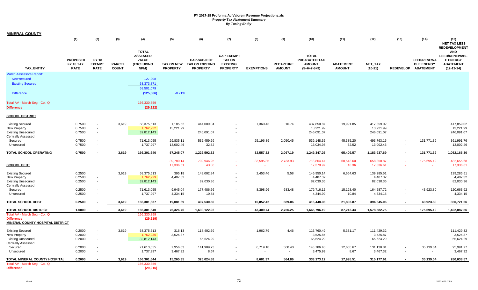| <b>MINERAL COUNTY</b>                                 |                                             |                                              |                               |                                                                              |                               |                                                                 |                                                                          |                   |                                   |                                                                 |                                   |                             |                  |                                                                |                                                                                    |
|-------------------------------------------------------|---------------------------------------------|----------------------------------------------|-------------------------------|------------------------------------------------------------------------------|-------------------------------|-----------------------------------------------------------------|--------------------------------------------------------------------------|-------------------|-----------------------------------|-----------------------------------------------------------------|-----------------------------------|-----------------------------|------------------|----------------------------------------------------------------|------------------------------------------------------------------------------------|
|                                                       | (1)                                         | (2)                                          | (3)                           | (4)                                                                          | (5)                           | (6)                                                             | (7)                                                                      | (8)               | (9)                               | (10)                                                            | (11)                              | (12)                        | (13)             | (14)                                                           | (15)<br><b>NET TAX LESS</b><br><b>REDEVELOPMENT</b>                                |
| <b>TAX ENTITY</b>                                     | <b>PROPOSED</b><br>FY 18 TAX<br><b>RATE</b> | <b>FY 18</b><br><b>EXEMPT</b><br><b>RATE</b> | <b>PARCEL</b><br><b>COUNT</b> | <b>TOTAL</b><br><b>ASSESSED</b><br><b>VALUE</b><br><b>(EXCLUDING</b><br>NPM) | TAX ON NEW<br><b>PROPERTY</b> | <b>CAP-SUBJECT</b><br><b>TAX ON EXISTING</b><br><b>PROPERTY</b> | <b>CAP-EXEMPT</b><br><b>TAX ON</b><br><b>EXISTING</b><br><b>PROPERTY</b> | <b>EXEMPTIONS</b> | <b>RECAPTURE</b><br><b>AMOUNT</b> | <b>TOTAL</b><br>PREABATED TAX<br><b>AMOUNT</b><br>$(5+6+7-8+9)$ | <b>ABATEMENT</b><br><b>AMOUNT</b> | <b>NET TAX</b><br>$(10-11)$ |                  | <b>LEED/RENEWA</b><br><b>BLE ENERGY</b><br>REDEVELOP ABATEMENT | <b>AND</b><br>LEED/RENEWABL<br><b>E ENERGY</b><br><b>ABATEMENT</b><br>$(12-13-14)$ |
| <b>March Assessors Report:</b>                        |                                             |                                              |                               |                                                                              |                               |                                                                 |                                                                          |                   |                                   |                                                                 |                                   |                             |                  |                                                                |                                                                                    |
| New secured                                           |                                             |                                              |                               | 127,208                                                                      |                               |                                                                 |                                                                          |                   |                                   |                                                                 |                                   |                             |                  |                                                                |                                                                                    |
| <b>Existing Secured</b>                               |                                             |                                              |                               | 58,373,871                                                                   |                               |                                                                 |                                                                          |                   |                                   |                                                                 |                                   |                             |                  |                                                                |                                                                                    |
|                                                       |                                             |                                              |                               | 58,501,079                                                                   |                               |                                                                 |                                                                          |                   |                                   |                                                                 |                                   |                             |                  |                                                                |                                                                                    |
| <b>Difference</b>                                     |                                             |                                              |                               | (125, 566)                                                                   | $-0.21%$                      |                                                                 |                                                                          |                   |                                   |                                                                 |                                   |                             |                  |                                                                |                                                                                    |
| Total AV - March Seg - Col. Q                         |                                             |                                              |                               | 166,330,859                                                                  |                               |                                                                 |                                                                          |                   |                                   |                                                                 |                                   |                             |                  |                                                                |                                                                                    |
| <b>Difference</b>                                     |                                             |                                              |                               | (29, 222)                                                                    |                               |                                                                 |                                                                          |                   |                                   |                                                                 |                                   |                             |                  |                                                                |                                                                                    |
| <u>SCHOOL DISTRICT</u>                                |                                             |                                              |                               |                                                                              |                               |                                                                 |                                                                          |                   |                                   |                                                                 |                                   |                             |                  |                                                                |                                                                                    |
| <b>Existing Secured</b>                               | 0.7500                                      | $\sim$                                       | 3,619                         | 58,375,513                                                                   | 1,185.52                      | 444,009.04                                                      |                                                                          | 7,360.43          | 16.74                             | 437,850.87                                                      | 19,991.85                         | 417,859.02                  |                  |                                                                | 417,859.02                                                                         |
| New Property                                          | 0.7500                                      | $\sim$                                       |                               | 1,762,932                                                                    | 13,221.99                     |                                                                 |                                                                          |                   |                                   | 13,221.99                                                       |                                   | 13,221.99                   |                  |                                                                | 13,221.99                                                                          |
| <b>Existing Unsecured</b>                             | 0.7500                                      | $\sim$                                       |                               | 32,812,143                                                                   |                               | 246,091.07                                                      |                                                                          |                   |                                   | 246,091.07                                                      |                                   | 246,091.07                  |                  |                                                                | 246,091.07                                                                         |
| <b>Centrally Assessed</b>                             |                                             |                                              |                               |                                                                              |                               |                                                                 |                                                                          |                   |                                   |                                                                 |                                   |                             |                  |                                                                |                                                                                    |
| Secured                                               | 0.7500                                      | $\sim$                                       |                               | 71,613,055                                                                   | 29,835.11                     | 532,459.69                                                      |                                                                          | 25,196.89         | 2,050.45                          | 539,148.35                                                      | 45,385.20                         | 493,763.15                  |                  | 131,771.39                                                     | 361,991.76                                                                         |
| Unsecured                                             | 0.7500                                      |                                              |                               | 1,737,997                                                                    | 13,002.46                     | 32.52                                                           | $\overline{\phantom{a}}$                                                 |                   | $\sim$                            | 13,034.98                                                       | 32.52                             | 13,002.46                   | $\sim$           | $\sim$                                                         | 13,002.46                                                                          |
| <b>TOTAL SCHOOL OPERATING</b>                         | 0.7500                                      |                                              | 3,619                         | 166,301,640                                                                  | 57,245.07                     | 1,222,592.32                                                    |                                                                          | 32,557.32         | 2,067.19                          | 1,249,347.26                                                    | 65,409.57                         | 1,183,937.69                | $\blacksquare$   | 131,771.39                                                     | 1,052,166.30                                                                       |
|                                                       |                                             |                                              |                               |                                                                              | 39,780.14                     | 709,946.25                                                      | $\sim$                                                                   | 33,595.85         | 2,733.93                          | 718,864.47                                                      | 60,513.60                         | 658,350.87                  | $\sim$           | 175,695.19                                                     | 482,655.68                                                                         |
| <b>SCHOOL DEBT</b>                                    |                                             |                                              |                               |                                                                              | 17,336.61                     | 43.36                                                           |                                                                          | $\sim$            | $\sim$                            | 17,379.97                                                       | 43.36                             | 17,336.61                   | $\sim$           |                                                                | 17,336.61                                                                          |
| <b>Existing Secured</b>                               | 0.2500                                      |                                              | 3,619                         | 58,375,513                                                                   | 395.18                        | 148,002.84                                                      |                                                                          | 2,453.46          | 5.58                              | 145,950.14                                                      | 6,664.63                          | 139,285.51                  |                  |                                                                | 139,285.51                                                                         |
| New Property                                          | 0.2500                                      | $\sim$                                       |                               | 1,762,929                                                                    | 4,407.32                      |                                                                 |                                                                          |                   |                                   | 4,407.32                                                        |                                   | 4,407.32                    |                  |                                                                | 4,407.32                                                                           |
| <b>Existing Unsecured</b>                             | 0.2500                                      | $\sim$                                       |                               | 32,812,143                                                                   |                               | 82,030.36                                                       |                                                                          |                   |                                   | 82,030.36                                                       |                                   | 82,030.36                   |                  |                                                                | 82,030.36                                                                          |
| <b>Centrally Assessed</b>                             |                                             |                                              |                               |                                                                              |                               |                                                                 |                                                                          |                   |                                   |                                                                 |                                   |                             |                  |                                                                |                                                                                    |
| Secured                                               | 0.2500                                      | $\sim$                                       |                               | 71,613,055                                                                   | 9,945.04                      | 177,486.56                                                      |                                                                          | 8,398.96          | 683.48                            | 179,716.12                                                      | 15,128.40                         | 164,587.72                  |                  | 43,923.80                                                      | 120,663.92                                                                         |
| Unsecured                                             | 0.2500                                      |                                              |                               | 1,737,997                                                                    | 4,334.15                      | 10.84                                                           |                                                                          | $\sim$            | $\sim$                            | 4,344.99                                                        | 10.84                             | 4,334.15                    | $\sim$           | $\sim$                                                         | 4,334.15                                                                           |
| TOTAL SCHOOL DEBT                                     | 0.2500                                      |                                              | 3,619                         | 166,301,637                                                                  | 19,081.69                     | 407,530.60                                                      |                                                                          | 10,852.42         | 689.06                            | 416,448.93                                                      | 21,803.87                         | 394,645.06                  | $\blacksquare$   | 43,923.80                                                      | 350,721.26                                                                         |
| TOTAL SCHOOL DISTRICT                                 | 1.0000                                      |                                              | 3,619                         | 166,301,640                                                                  | 76,326.76                     | 1,630,122.92                                                    |                                                                          | 43,409.74         | 2,756.25                          | 1,665,796.19                                                    | 87,213.44                         | 1,578,582.75                |                  | 175,695.19                                                     | 1,402,887.56                                                                       |
| Total AV - March Seg - Col. Q                         |                                             |                                              |                               | 166,330,859                                                                  |                               |                                                                 |                                                                          |                   |                                   |                                                                 |                                   |                             |                  |                                                                |                                                                                    |
| <b>Difference</b><br>MINERAL COUNTY HOSPITAL DISTRICT |                                             |                                              |                               | (29, 219)                                                                    |                               |                                                                 |                                                                          |                   |                                   |                                                                 |                                   |                             |                  |                                                                |                                                                                    |
| <b>Existing Secured</b>                               | 0.2000                                      | $\sim$                                       | 3,619                         | 58,375,513                                                                   | 316.13                        | 118,402.69                                                      |                                                                          | 1,962.79          | 4.46                              | 116,760.49                                                      | 5,331.17                          | 111,429.32                  |                  |                                                                | 111,429.32                                                                         |
| New Property                                          | 0.2000                                      | $\sim$                                       |                               | 1,762,936                                                                    | 3,525.87                      |                                                                 |                                                                          |                   |                                   | 3,525.87                                                        |                                   | 3,525.87                    |                  |                                                                | 3,525.87                                                                           |
| <b>Existing Unsecured</b>                             | 0.2000                                      | $\sim$                                       |                               | 32,812,143                                                                   |                               | 65,624.29                                                       |                                                                          |                   |                                   | 65,624.29                                                       |                                   | 65,624.29                   |                  |                                                                | 65,624.29                                                                          |
| <b>Centrally Assessed</b>                             |                                             |                                              |                               |                                                                              |                               |                                                                 |                                                                          |                   |                                   |                                                                 |                                   |                             |                  |                                                                |                                                                                    |
| Secured                                               | 0.2000<br>0.2000                            | $\sim$<br>$\sim$                             |                               | 71,613,055                                                                   | 7,956.03                      | 141,989.23<br>8.67                                              |                                                                          | 6,719.18          | 560.40                            | 143,786.48<br>3,475.99                                          | 12,655.67                         | 131,130.81                  | $\sim$<br>$\sim$ | 35,139.04<br>$\sim$                                            | 95,991.77<br>3,467.32                                                              |
| Unsecured                                             |                                             |                                              |                               | 1,737,997                                                                    | 3,467.32                      |                                                                 |                                                                          | $\sim$            | $\sim$                            |                                                                 | 8.67                              | 3,467.32                    |                  |                                                                |                                                                                    |
| TOTAL MINERAL COUNTY HOSPITAL                         | 0.2000                                      |                                              | 3,619                         | 166,301,644                                                                  | 15,265.35                     | 326,024.88                                                      |                                                                          | 8,681.97          | 564.86                            | 333,173.12                                                      | 17,995.51                         | 315,177.61                  |                  | 35,139.04                                                      | 280,038.57                                                                         |
| Total AV - March Seg - Col. Q                         |                                             |                                              |                               | 166,330,859                                                                  |                               |                                                                 |                                                                          |                   |                                   |                                                                 |                                   |                             |                  |                                                                |                                                                                    |
| <b>Difference</b>                                     |                                             |                                              |                               | (29, 215)                                                                    |                               |                                                                 |                                                                          |                   |                                   |                                                                 |                                   |                             |                  |                                                                |                                                                                    |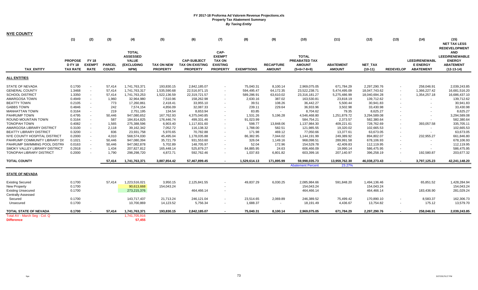| <b>NYE COUNTY</b>               |                                                   |                                              |                               |                                                                              |                                      |                                                                 |                                                                              |                   |                                   |                                                                 |                                   |                             |                  |                                                      |                                                                                                                  |
|---------------------------------|---------------------------------------------------|----------------------------------------------|-------------------------------|------------------------------------------------------------------------------|--------------------------------------|-----------------------------------------------------------------|------------------------------------------------------------------------------|-------------------|-----------------------------------|-----------------------------------------------------------------|-----------------------------------|-----------------------------|------------------|------------------------------------------------------|------------------------------------------------------------------------------------------------------------------|
|                                 | (1)                                               | (2)                                          | (3)                           | (4)                                                                          | (5)                                  | (6)                                                             | (7)                                                                          | (8)               | (9)                               | (10)                                                            | (11)                              | (12)                        | (13)             | (14)                                                 | (15)<br><b>NET TAX LESS</b>                                                                                      |
| <b>TAX ENTITY</b>               | <b>PROPOSE</b><br><b>DFY18</b><br><b>TAX RATE</b> | <b>FY 18</b><br><b>EXEMPT</b><br><b>RATE</b> | <b>PARCEL</b><br><b>COUNT</b> | <b>TOTAL</b><br><b>ASSESSED</b><br><b>VALUE</b><br><b>(EXCLUDING</b><br>NPM) | <b>TAX ON NEW</b><br><b>PROPERTY</b> | <b>CAP-SUBJECT</b><br><b>TAX ON EXISTING</b><br><b>PROPERTY</b> | CAP-<br><b>EXEMPT</b><br><b>TAX ON</b><br><b>EXISTING</b><br><b>PROPERTY</b> | <b>EXEMPTIONS</b> | <b>RECAPTURE</b><br><b>AMOUNT</b> | <b>TOTAL</b><br>PREABATED TAX<br><b>AMOUNT</b><br>$(5+6+7-8+9)$ | <b>ABATEMENT</b><br><b>AMOUNT</b> | <b>NET TAX</b><br>$(10-11)$ | <b>REDEVELOP</b> | LEED/RENEWABL<br><b>E ENERGY</b><br><b>ABATEMENT</b> | <b>REDEVELOPMENT</b><br><b>AND</b><br><b>LEED/RENEWABLE</b><br><b>ENERGY</b><br><b>ABATEMENT</b><br>$(12-13-14)$ |
| <b>ALL ENTITIES</b>             |                                                   |                                              |                               |                                                                              |                                      |                                                                 |                                                                              |                   |                                   |                                                                 |                                   |                             |                  |                                                      |                                                                                                                  |
| STATE OF NEVADA                 | 0.1700                                            |                                              | 57,414                        | 1,741,763,371                                                                | 193,830.15                           | 2,842,185.07                                                    | $\blacksquare$                                                               | 75,040.31         | 8,100.14                          | 2,969,075.05                                                    | 671,784.29                        | 2,297,290.76                |                  | 258,046.91                                           | 2,039,243.85                                                                                                     |
| <b>GENERAL COUNTY</b>           | 1.3468                                            | $\sim$                                       | 57.414                        | 1,741,763,317                                                                | 1,535,590.68                         | 22,516,971.15                                                   |                                                                              | 594,495.47        | 64,172.35                         | 23,522,238.71                                                   | 5,474,495.09                      | 18,047,743.62               |                  | 1,366,227.42                                         | 16,681,516.20                                                                                                    |
| <b>SCHOOL DISTRICT</b>          | 1.3350                                            | $\sim$                                       | 57,414                        | 1,741,763,253                                                                | 1,522,136.59                         | 22,319,721.57                                                   | $\sim$                                                                       | 589,286.91        | 63,610.02                         | 23,316,181.27                                                   | 5,275,486.99                      | 18,040,694.28               |                  | 1,354,257.18                                         | 16,686,437.10                                                                                                    |
| AMARGOSA TOWN                   | 0.4949                                            | $\sim$                                       | 1,960                         | 32,964,980                                                                   | 7,510.96                             | 158,262.98                                                      | $\overline{\phantom{a}}$                                                     | 2,630.16          | 387.02                            | 163,530.81                                                      | 23,818.19                         | 139,712.62                  |                  | $\sim$                                               | 139,712.62                                                                                                       |
| <b>BEATTY TOWN</b>              | 0.2105                                            | $\sim$                                       | 773                           | 17,260,861                                                                   | 2,418.41                             | 33,955.10                                                       | $\overline{\phantom{a}}$                                                     | 39.51             | 108.26                            | 36,442.27                                                       | 5,500.44                          | 30,941.83                   |                  | $\sim$                                               | 30,941.83                                                                                                        |
| <b>GABBS TOWN</b>               | 0.4846                                            | $\sim$                                       | 242                           | 7,574,154                                                                    | 4,856.09                             | 32,087.33                                                       | $\sim$                                                                       | 239.11            | 229.64                            | 36,933.96                                                       | 3,502.98                          | 33,430.98                   |                  |                                                      | 33,430.98                                                                                                        |
| <b>MANHATTAN TOWN</b>           | 0.3164                                            |                                              | 219                           | 2,751,195                                                                    | 134.54                               | 8,653.94                                                        |                                                                              | 83.85             | $\overline{\phantom{a}}$          | 8,704.62                                                        | 79.35                             | 8,625.27                    |                  | $\overline{\phantom{a}}$                             | 8,625.27                                                                                                         |
| PAHRUMP TOWN                    | 0.4795                                            | $\sim$                                       |                               |                                                                              |                                      |                                                                 |                                                                              |                   |                                   |                                                                 |                                   | 3,294,589.08                |                  | $\overline{a}$                                       |                                                                                                                  |
|                                 |                                                   |                                              | 50,446                        | 947,080,652                                                                  | 167,762.93                           | 4,375,040.85                                                    |                                                                              | 1,531.26          | 5,196.28                          | 4,546,468.80                                                    | 1,251,879.72                      |                             |                  |                                                      | 3,294,589.08                                                                                                     |
| ROUND MOUNTAIN TOWN             | 0.3164                                            | $\sim$                                       | 587                           | 184,814,825                                                                  | 176,446.74                           | 499,331.46                                                      |                                                                              | 91,023.99         | $\sim$                            | 584,754.21                                                      | 2,373.57                          | 582,380.64                  |                  | $\sim$                                               | 582,380.64                                                                                                       |
| <b>TONOPAH TOWN</b>             | 0.4082                                            |                                              | 1,565                         | 275,388,596                                                                  | 6,903.40                             | 1,117,831.60                                                    |                                                                              | 598.77            | 13,848.06                         | 1,137,984.30                                                    | 409,221.61                        | 728,762.69                  |                  | 393,057.58                                           | 335,705.11                                                                                                       |
| AMARGOSA LIBRARY DISTRICT       | 0.3100                                            | $\sim$                                       | 2,118                         | 39,162,342                                                                   | 7,052.72                             | 116,138.32                                                      |                                                                              | 1,788.00          | 582.51                            | 121,985.55                                                      | 19,320.02                         | 102,665.53                  |                  |                                                      | 102,665.53                                                                                                       |
| <b>BEATTY LIBRARY DISTRICT</b>  | 0.3200                                            |                                              | 836                           | 23,931,758                                                                   | 5,970.65                             | 70,782.88                                                       |                                                                              | 171.98            | 469.12                            | 77,050.66                                                       | 13,377.61                         | 63,673.05                   |                  | $\sim$                                               | 63,673.05                                                                                                        |
| NYE COUNTY HOSPITAL DISTRICT    | 0.2000                                            |                                              | 4,010                         | 568,574,030                                                                  | 45,495.04                            | 1,178,035.88                                                    |                                                                              | 86,382.95         | 7,044.02                          | 1,144,191.99                                                    | 249,389.92                        | 894,802.07                  |                  | 232,955.27                                           | 661,846.80                                                                                                       |
| PAHRUMP COMMUNITY LIBRARY DI:   | 0.1021                                            |                                              | 50,446                        | 947,080,394                                                                  | 35,721.79                            | 931,553.60                                                      |                                                                              | 326.04            | 1,149.16                          | 968,098.51                                                      | 289,991.58                        | 678,106.93                  |                  | $\sim$                                               | 678,106.93                                                                                                       |
| PAHRUMP SWIMMING POOL DISTRI    | 0.0163                                            |                                              | 50,446                        | 947,082,878                                                                  | 5,702.89                             | 148,705.97                                                      |                                                                              | 52.04             | 172.96                            | 154,529.78                                                      | 42,409.83                         | 112,119.95                  |                  |                                                      | 112,119.95                                                                                                       |
| SMOKY VALLEY LIBRARY DISTRICT   | 0.2918                                            | $\sim$                                       | 1,434                         | 207,827,812                                                                  | 165,448.14                           | 525,879.27                                                      | $\sim$                                                                       | 84,885.95         | 24.63                             | 606,466.09                                                      | 19,990.14                         | 586,475.95                  |                  | $\sim$                                               | 586,475.95                                                                                                       |
| <b>TONOPAH LIBRARY DISTRICT</b> | 0.2000                                            | $\sim$                                       | 1,790                         | 298,298,720                                                                  | 4,872.71                             | 592,762.46                                                      | $\sim$                                                                       | 1,037.83          | 6,801.82                          | 603,399.16                                                      | 207,140.97                        | 396,258.19                  |                  | 192,580.87                                           | 203,677.32                                                                                                       |
| <b>TOTAL COUNTY</b>             |                                                   |                                              | 57,414                        | 1,741,763,371                                                                | 3,887,854.42                         | 57,467,899.45                                                   | $\sim$                                                                       | 1,529,614.13      | 171,895.99                        | 59,998,035.73                                                   | 13,959,762.30                     | 46,038,273.43               | $\sim$           | 3,797,125.23                                         | 42,241,148.20                                                                                                    |
|                                 |                                                   |                                              |                               |                                                                              |                                      |                                                                 |                                                                              |                   |                                   | <b>Abatement Percent</b>                                        | 23.27%                            |                             |                  |                                                      |                                                                                                                  |
| <b>STATE OF NEVADA</b>          |                                                   |                                              |                               |                                                                              |                                      |                                                                 |                                                                              |                   |                                   |                                                                 |                                   |                             |                  |                                                      |                                                                                                                  |
| <b>Existing Secured</b>         | 0.1700                                            |                                              | 57.414                        | 1,223,516,021                                                                | 3,950.15                             | 2,125,841.55                                                    |                                                                              | 49,837.29         | 6,030.25                          | 2,085,984.66                                                    | 591,848.20                        | 1,494,136.46                |                  | 65,851.52                                            | 1,428,284.94                                                                                                     |
| New Property                    | 0.1700                                            |                                              |                               | 90,613,668                                                                   | 154,043.24                           |                                                                 |                                                                              |                   |                                   | 154,043.24                                                      |                                   | 154,043.24                  |                  |                                                      | 154,043.24                                                                                                       |
| <b>Existing Unsecured</b>       | 0.1700                                            |                                              |                               | 273,215,376                                                                  |                                      | 464,466.14                                                      | $\sim$                                                                       |                   |                                   | 464,466.14                                                      |                                   | 464,466.14                  |                  | 183,436.90                                           | 281,029.24                                                                                                       |
| <b>Centrally Assessed</b>       |                                                   |                                              |                               |                                                                              |                                      |                                                                 |                                                                              |                   |                                   |                                                                 |                                   |                             |                  |                                                      |                                                                                                                  |
| Secured                         | 0.1700                                            |                                              |                               | 143,717,437                                                                  | 21,713.24                            | 246,121.04                                                      |                                                                              | 23,514.65         | 2,069.89                          | 246,389.52                                                      | 75,499.42                         | 170,890.10                  |                  | 8,583.37                                             | 162,306.73                                                                                                       |
| Unsecured                       | 0.1700                                            |                                              |                               | 10,700,869                                                                   | 14,123.52                            | 5,756.34                                                        |                                                                              | 1,688.37          |                                   | 18,191.49                                                       | 4,436.67                          | 13,754.82                   |                  | 175.12                                               | 13,579.70                                                                                                        |
| TOTAL STATE OF NEVADA           | 0.1700                                            |                                              | 57,414                        | 1,741,763,371                                                                | 193,830.15                           | 2,842,185.07                                                    | $\sim$                                                                       | 75,040.31         | 8,100.14                          | 2,969,075.05                                                    | 671,784.29                        | 2,297,290.76                | $\sim$           | 258,046.91                                           | 2,039,243.85                                                                                                     |
| Total AV - March Seg - Col. Q   |                                                   |                                              |                               | 1,741,705,916                                                                |                                      |                                                                 |                                                                              |                   |                                   |                                                                 |                                   |                             |                  |                                                      |                                                                                                                  |
| <b>Difference</b>               |                                                   |                                              |                               | 57,455                                                                       |                                      |                                                                 |                                                                              |                   |                                   |                                                                 |                                   |                             |                  |                                                      |                                                                                                                  |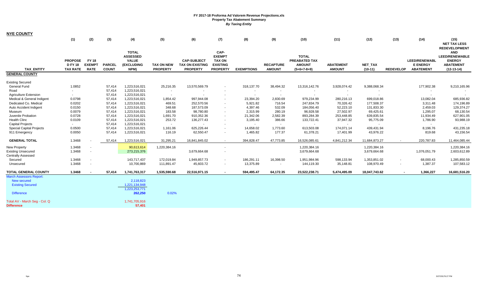| <b>NYE COUNTY</b>                          |                                                     |                                              |                               |                                                                              |                                      |                                                                 |                                                                              |                   |                                   |                                                                        |                                   |                      |                  |                                                             |                                                                                                                  |
|--------------------------------------------|-----------------------------------------------------|----------------------------------------------|-------------------------------|------------------------------------------------------------------------------|--------------------------------------|-----------------------------------------------------------------|------------------------------------------------------------------------------|-------------------|-----------------------------------|------------------------------------------------------------------------|-----------------------------------|----------------------|------------------|-------------------------------------------------------------|------------------------------------------------------------------------------------------------------------------|
|                                            | (1)                                                 | (2)                                          | (3)                           | (4)                                                                          | (5)                                  | (6)                                                             | (7)                                                                          | (8)               | (9)                               | (10)                                                                   | (11)                              | (12)                 | (13)             | (14)                                                        | (15)<br><b>NET TAX LESS</b>                                                                                      |
| <b>TAX ENTITY</b><br><b>GENERAL COUNTY</b> | <b>PROPOSE</b><br><b>D FY 18</b><br><b>TAX RATE</b> | <b>FY 18</b><br><b>EXEMPT</b><br><b>RATE</b> | <b>PARCEL</b><br><b>COUNT</b> | <b>TOTAL</b><br><b>ASSESSED</b><br><b>VALUE</b><br><b>(EXCLUDING</b><br>NPM) | <b>TAX ON NEW</b><br><b>PROPERTY</b> | <b>CAP-SUBJECT</b><br><b>TAX ON EXISTING</b><br><b>PROPERTY</b> | CAP-<br><b>EXEMPT</b><br><b>TAX ON</b><br><b>EXISTING</b><br><b>PROPERTY</b> | <b>EXEMPTIONS</b> | <b>RECAPTURE</b><br><b>AMOUNT</b> | <b>TOTAL</b><br><b>PREABATED TAX</b><br><b>AMOUNT</b><br>$(5+6+7-8+9)$ | <b>ABATEMENT</b><br><b>AMOUNT</b> | NET_TAX<br>$(10-11)$ | <b>REDEVELOP</b> | <b>LEED/RENEWABL</b><br><b>E ENERGY</b><br><b>ABATEMENT</b> | <b>REDEVELOPMENT</b><br><b>AND</b><br><b>LEED/RENEWABLE</b><br><b>ENERGY</b><br><b>ABATEMENT</b><br>$(12-13-14)$ |
|                                            |                                                     |                                              |                               |                                                                              |                                      |                                                                 |                                                                              |                   |                                   |                                                                        |                                   |                      |                  |                                                             |                                                                                                                  |
| <b>Existing Secured</b>                    |                                                     |                                              |                               |                                                                              |                                      |                                                                 |                                                                              |                   |                                   |                                                                        |                                   |                      |                  |                                                             |                                                                                                                  |
| General Fund                               | 1.0852                                              |                                              | 57,414                        | 1,223,516,021                                                                | 25,216.35                            | 13,570,569.79                                                   |                                                                              | 318,137.70        | 38,494.32                         | 13,316,142.76                                                          | 3,928,074.42                      | 9,388,068.34         |                  | 177,902.38                                                  | 9,210,165.96                                                                                                     |
| Road<br><b>Agriculture Extension</b>       |                                                     |                                              | 57,414<br>57,414              | 1,223,516,021<br>1,223,516,021                                               | $\sim$<br>$\overline{\phantom{a}}$   | $\sim$                                                          |                                                                              | $\sim$            | $\sim$<br>$\sim$                  | $\sim$<br>$\overline{\phantom{a}}$                                     | $\sim$                            |                      |                  | $\sim$<br>$\sim$                                            |                                                                                                                  |
| Medical & General Indigent                 | 0.0798                                              |                                              | 57,414                        | 1,223,516,021                                                                | 1,854.42                             | 997,944.08                                                      |                                                                              | 23,394.20         | 2,830.69                          | 979,234.99                                                             | 280,216.13                        | 699,018.86           |                  | 13,082.04                                                   | 685,936.82                                                                                                       |
| Dedicated Co. Medical                      | 0.0202                                              |                                              | 57,414                        | 1,223,516,021                                                                | 469.51                               | 252,570.56                                                      |                                                                              | 5,921.82          | 716.54                            | 247,834.79                                                             | 70,326.42                         | 177,508.37           |                  | 3,311.48                                                    | 174,196.89                                                                                                       |
| Auto Accident Indigent                     | 0.0150                                              |                                              | 57,414                        | 1,223,516,021                                                                | 348.68                               | 187,573.09                                                      |                                                                              | 4,397.46          | 532.09                            | 184,056.40                                                             | 52,223.10                         | 131,833.30           |                  | 2,459.03                                                    | 129,374.27                                                                                                       |
| Museum                                     | 0.0079                                              |                                              | 57,414                        | 1,223,516,021                                                                | 183.58                               | 98,780.80                                                       |                                                                              | 2,315.99          | 280.19                            | 96,928.58                                                              | 27,502.97                         | 69,425.61            |                  | 1,295.07                                                    | 68,130.54                                                                                                        |
| Juvenile Probation                         | 0.0728                                              |                                              | 57,414                        | 1,223,516,021                                                                | 1,691.70                             | 910,352.36                                                      |                                                                              | 21,342.06         | 2,582.39                          | 893,284.39                                                             | 253,448.85                        | 639,835.54           |                  | 11,934.49                                                   | 627,901.05                                                                                                       |
| <b>Health Clinc</b>                        | 0.0109                                              |                                              | 57,414                        | 1,223,516,021                                                                | 253.72                               | 136,277.43                                                      |                                                                              | 3,195.40          | 386.66                            | 133,722.41                                                             | 37,947.32                         | 95,775.09            |                  | 1,786.90                                                    | 93,988.19                                                                                                        |
| <b>Capital Projects</b>                    |                                                     |                                              | 57,414                        | 1,223,516,021                                                                | $\sim$                               |                                                                 |                                                                              | $\sim$            | $\sim$                            | $\sim$                                                                 | $\blacksquare$                    |                      |                  | $\sim$                                                      |                                                                                                                  |
| <b>Special Capital Projects</b>            | 0.0500                                              |                                              | 57,414                        | 1,223,516,021                                                                | 1,161.06                             | 625,226.44                                                      |                                                                              | 14,658.02         | 1,773.60                          | 613,503.08                                                             | 174,071.14                        | 439,431.94           |                  | 8,196.76                                                    | 431,235.18                                                                                                       |
| 911 Emergency                              | 0.0050                                              |                                              | 57,414                        | 1,223,516,021                                                                | 116.19                               | 62,550.47                                                       |                                                                              | 1,465.82          | 177.37                            | 61,378.21                                                              | 17,401.99                         | 43,976.22            |                  | 819.68                                                      | 43,156.54                                                                                                        |
| <b>GENERAL TOTAL</b>                       | 1.3468                                              |                                              | 57,414                        | 1,223,516,021                                                                | 31,295.21                            | 16,841,845.02                                                   |                                                                              | 394,828.47        | 47,773.85                         | 16,526,085.61                                                          | 4,841,212.34                      | 11,684,873.27        | $\sim$           | 220,787.83                                                  | 11,464,085.44                                                                                                    |
| <b>New Property</b>                        | 1.3468                                              |                                              |                               | 90,613,614                                                                   | 1,220,384.16                         |                                                                 |                                                                              |                   |                                   | 1,220,384.16                                                           |                                   | 1,220,384.16         |                  |                                                             | 1,220,384.16                                                                                                     |
| <b>Existing Unsecured</b>                  | 1.3468                                              | $\sim$                                       |                               | 273,215,376                                                                  |                                      | 3,679,664.68                                                    |                                                                              |                   |                                   | 3,679,664.68                                                           |                                   | 3,679,664.68         |                  | 1,076,051.79                                                | 2,603,612.89                                                                                                     |
| <b>Centrally Assessed</b>                  |                                                     |                                              |                               |                                                                              |                                      |                                                                 |                                                                              |                   |                                   |                                                                        |                                   |                      |                  |                                                             |                                                                                                                  |
| Secured                                    | 1.3468                                              | $\sim$                                       |                               | 143,717,437                                                                  | 172,019.84                           | 1,949,857.73                                                    |                                                                              | 186,291.11        | 16,398.50                         | 1,951,984.96                                                           | 598,133.94                        | 1,353,851.02         | $\sim$           | 68,000.43                                                   | 1,285,850.59                                                                                                     |
| Unsecured                                  | 1.3468                                              |                                              |                               | 10,700,869                                                                   | 111,891.47                           | 45,603.72                                                       |                                                                              | 13,375.89         | $\sim$                            | 144,119.30                                                             | 35,148.81                         | 108,970.49           |                  | 1,387.37                                                    | 107,583.12                                                                                                       |
| <b>TOTAL GENERAL COUNTY</b>                | 1.3468                                              |                                              | 57.414                        | 1,741,763,317                                                                | 1,535,590.68                         | 22,516,971.15                                                   | $\sim$                                                                       | 594,495.47        | 64,172.35                         | 23,522,238.71                                                          | 5,474,495.09                      | 18,047,743.62        | $\sim$           | 1,366,227                                                   | 16,681,516.20                                                                                                    |
| <b>March Assessors Report:</b>             |                                                     |                                              |                               |                                                                              |                                      |                                                                 |                                                                              |                   |                                   |                                                                        |                                   |                      |                  |                                                             |                                                                                                                  |
| <b>New secured</b>                         |                                                     |                                              |                               | 2,118,823                                                                    |                                      |                                                                 |                                                                              |                   |                                   |                                                                        |                                   |                      |                  |                                                             |                                                                                                                  |
| <b>Existing Secured</b>                    |                                                     |                                              |                               | 1,221,134,948                                                                |                                      |                                                                 |                                                                              |                   |                                   |                                                                        |                                   |                      |                  |                                                             |                                                                                                                  |
| <b>Difference</b>                          |                                                     |                                              |                               | 1,223,253,771<br>262,250                                                     | 0.02%                                |                                                                 |                                                                              |                   |                                   |                                                                        |                                   |                      |                  |                                                             |                                                                                                                  |
| Total AV - March Seq - Col. Q              |                                                     |                                              |                               | 1,741,705,916                                                                |                                      |                                                                 |                                                                              |                   |                                   |                                                                        |                                   |                      |                  |                                                             |                                                                                                                  |
| <b>Difference</b>                          |                                                     |                                              |                               | 57,401                                                                       |                                      |                                                                 |                                                                              |                   |                                   |                                                                        |                                   |                      |                  |                                                             |                                                                                                                  |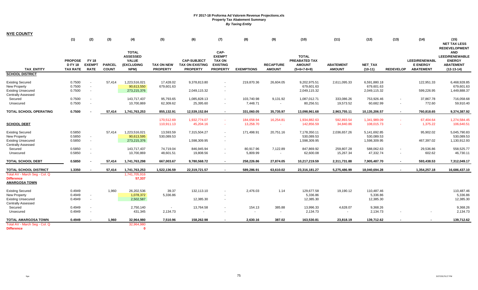| <b>NYE COUNTY</b>                                                                                 |                                                     |                                              |                               |                                                                       |                                      |                                                                 |                                                                              |                                    |                                   |                                                                 |                                      |                                            |                  |                                                      |                                                                                                                  |
|---------------------------------------------------------------------------------------------------|-----------------------------------------------------|----------------------------------------------|-------------------------------|-----------------------------------------------------------------------|--------------------------------------|-----------------------------------------------------------------|------------------------------------------------------------------------------|------------------------------------|-----------------------------------|-----------------------------------------------------------------|--------------------------------------|--------------------------------------------|------------------|------------------------------------------------------|------------------------------------------------------------------------------------------------------------------|
|                                                                                                   | (1)                                                 | (2)                                          | (3)                           | (4)                                                                   | (5)                                  | (6)                                                             | (7)                                                                          | (8)                                | (9)                               | (10)                                                            | (11)                                 | (12)                                       | (13)             | (14)                                                 | (15)<br><b>NET TAX LESS</b>                                                                                      |
| <b>TAX ENTITY</b>                                                                                 | <b>PROPOSE</b><br><b>D FY 18</b><br><b>TAX RATE</b> | <b>FY 18</b><br><b>EXEMPT</b><br><b>RATE</b> | <b>PARCEL</b><br><b>COUNT</b> | <b>TOTAL</b><br><b>ASSESSED</b><br><b>VALUE</b><br>(EXCLUDING<br>NPM) | <b>TAX ON NEW</b><br><b>PROPERTY</b> | <b>CAP-SUBJECT</b><br><b>TAX ON EXISTING</b><br><b>PROPERTY</b> | CAP-<br><b>EXEMPT</b><br><b>TAX ON</b><br><b>EXISTING</b><br><b>PROPERTY</b> | <b>EXEMPTIONS</b>                  | <b>RECAPTURE</b><br><b>AMOUNT</b> | <b>TOTAL</b><br>PREABATED TAX<br><b>AMOUNT</b><br>$(5+6+7-8+9)$ | <b>ABATEMENT</b><br><b>AMOUNT</b>    | NET_TAX<br>$(10-11)$                       | <b>REDEVELOP</b> | LEED/RENEWABL<br><b>E ENERGY</b><br><b>ABATEMENT</b> | <b>REDEVELOPMENT</b><br><b>AND</b><br><b>LEED/RENEWABLE</b><br><b>ENERGY</b><br><b>ABATEMENT</b><br>$(12-13-14)$ |
| <b>SCHOOL DISTRICT</b>                                                                            |                                                     |                                              |                               |                                                                       |                                      |                                                                 |                                                                              |                                    |                                   |                                                                 |                                      |                                            |                  |                                                      |                                                                                                                  |
| <b>Existing Secured</b><br>New Property<br><b>Existing Unsecured</b><br><b>Centrally Assessed</b> | 0.7500<br>0.7500<br>0.7500                          | $\sim$<br>$\sim$                             | 57,414                        | 1,223,516,021<br>90,613,550<br>273,215,376                            | 17,428.02<br>679,601.63              | 9,378,813.80<br>2,049,115.32                                    |                                                                              | 219,870.36                         | 26,604.05                         | 9,202,975.51<br>679,601.63<br>2,049,115.32                      | 2,611,095.33                         | 6,591,880.18<br>679,601.63<br>2,049,115.32 |                  | 122,951.33<br>599,226.95                             | 6,468,928.85<br>679,601.63<br>1,449,888.37                                                                       |
| Secured<br>Unsecured                                                                              | 0.7500<br>0.7500                                    | $\sim$                                       |                               | 143,717,437<br>10,700,869                                             | 95,793.65<br>62,309.62               | 1,085,828.13<br>25,395.60                                       |                                                                              | 103,740.98<br>7.448.71             | 9,131.92<br>$\sim$                | 1,087,012.71<br>80,256.51                                       | 333,086.26<br>19,573.52              | 753,926.46<br>60,682.99                    |                  | 37,867.78<br>772.60                                  | 716,058.68<br>59,910.40                                                                                          |
| <b>TOTAL SCHOOL OPERATING</b>                                                                     | 0.7500                                              |                                              | 57,414                        | 1,741,763,253                                                         | 855,132.91                           | 12,539,152.84                                                   | $\sim$                                                                       | 331,060.05                         | 35,735.97                         | 13,098,961.68                                                   | 2,963,755.11                         | 10,135,206.57                              | $\sim$           | 760,818.65                                           | 9,374,387.92                                                                                                     |
| <b>SCHOOL DEBT</b>                                                                                |                                                     |                                              |                               |                                                                       | 170,512.69<br>110,911.13             | 1,932,774.07<br>45,204.16                                       | $\sim$<br>$\sim$                                                             | 184,658.94<br>13,258.70            | 16,254.81<br>$\sim$               | 1,934,882.63<br>142,856.59                                      | 592,893.54<br>34,840.86              | 1,341,989.09<br>108,015.73                 | $\sim$           | 67,404.64<br>1,375.22                                | 1,274,584.45<br>106,640.51                                                                                       |
| <b>Existing Secured</b><br>New Property<br><b>Existing Unsecured</b><br><b>Centrally Assessed</b> | 0.5850<br>0.5850<br>0.5850                          | $\sim$<br>$\sim$                             | 57,414                        | 1,223,516,021<br>90,613,595<br>273,215,376                            | 13,593.59<br>530,089.53              | 7,315,504.27<br>1,598,309.95                                    |                                                                              | 171,498.91                         | 20,751.16                         | 7,178,350.11<br>530,089.53<br>1,598,309.95                      | 2,036,657.26                         | 5,141,692.85<br>530,089.53<br>1,598,309.95 |                  | 95,902.02<br>467,397.02                              | 5,045,790.83<br>530,089.53<br>1,130,912.93                                                                       |
| Secured<br>Unsecured                                                                              | 0.5850<br>0.5850                                    | $\sim$                                       |                               | 143,717,437<br>10,700,869                                             | 74,719.04<br>48,601.51               | 846,945.94<br>19,808.56                                         | $\sim$                                                                       | 80,917.96<br>5,809.99              | 7,122.89<br>$\sim$                | 847,869.92<br>62,600.08                                         | 259,807.28<br>15,267.34              | 588,062.63<br>47,332.74                    | $\sim$           | 29,536.86<br>602.62                                  | 558,525.77<br>46,730.11                                                                                          |
| <b>TOTAL SCHOOL DEBT</b>                                                                          | 0.5850                                              |                                              | 57.414                        | 1,741,763,298                                                         | 667.003.67                           | 9,780,568.72                                                    | $\sim$                                                                       | 258.226.86                         | 27.874.05                         | 10.217.219.59                                                   | 2,311,731.88                         | 7,905,487.70                               | $\sim$           | 593,438.53                                           | 7,312,049.17                                                                                                     |
| TOTAL SCHOOL DISTRICT                                                                             | 1.3350                                              |                                              | 57,414                        | 1,741,763,253                                                         | 1,522,136.59                         | 22,319,721.57                                                   |                                                                              | 589,286.91                         | 63,610.02                         | 23,316,181.27                                                   | 5,275,486.99                         | 18,040,694.28                              | $\sim$           | 1,354,257.18                                         | 16,686,437.10                                                                                                    |
| Total AV - March Seg - Col. Q<br><b>Difference</b><br><b>AMARGOSA TOWN</b>                        |                                                     |                                              |                               | 1,741,705,916<br>57,337                                               |                                      |                                                                 |                                                                              |                                    |                                   |                                                                 |                                      |                                            |                  |                                                      |                                                                                                                  |
| <b>Existing Secured</b><br>New Property<br><b>Existing Unsecured</b>                              | 0.4949<br>0.4949<br>0.4949                          | $\sim$<br>$\sim$                             | 1,960                         | 26,202,536<br>1,078,372<br>2,502,587                                  | 39.37<br>5,336.86                    | 132,113.10<br>12,385.30                                         |                                                                              | 2,476.03                           | 1.14                              | 129,677.58<br>5,336.86<br>12,385.30                             | 19,190.12                            | 110,487.46<br>5,336.86<br>12,385.30        |                  |                                                      | 110,487.46<br>5,336.86<br>12,385.30                                                                              |
| <b>Centrally Assessed</b><br>Secured<br>Unsecured                                                 | 0.4949<br>0.4949                                    | $\sim$                                       |                               | 2,750,140<br>431,345                                                  | 2,134.73                             | 13,764.58<br>$\sim$                                             |                                                                              | 154.13<br>$\overline{\phantom{a}}$ | 385.88<br>$\blacksquare$          | 13,996.33<br>2,134.73                                           | 4,628.07<br>$\overline{\phantom{a}}$ | 9,368.26<br>2,134.73                       |                  |                                                      | 9,368.26<br>2,134.73                                                                                             |
| <b>TOTAL AMARGOSA TOWN</b>                                                                        | 0.4949                                              | $\sim$                                       | 1.960                         | 32,964,980                                                            | 7,510.96                             | 158.262.98                                                      |                                                                              | 2,630.16                           | 387.02                            | 163,530.81                                                      | 23,818.19                            | 139,712.62                                 |                  |                                                      | 139,712.62                                                                                                       |
| Total AV - March Seg - Col. Q<br><b>Difference</b>                                                |                                                     |                                              |                               | 32,964,980<br>- 0                                                     |                                      |                                                                 |                                                                              |                                    |                                   |                                                                 |                                      |                                            |                  |                                                      |                                                                                                                  |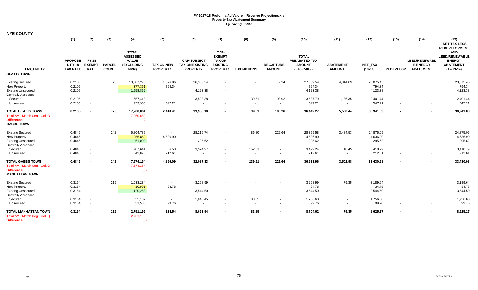| <b>NYE COUNTY</b> |
|-------------------|
|-------------------|

|                                                                                                   | (1)                                                 | (2)                                          | (3)                           | (4)                                                                   | (5)                                  | (6)                                                             | (7)                                                                          | (8)                                | (9)                               | (10)                                                                   | (11)                              | (12)                            | (13)                     | (14)                                                        | (15)<br><b>NET TAX LESS</b>                                                                                      |
|---------------------------------------------------------------------------------------------------|-----------------------------------------------------|----------------------------------------------|-------------------------------|-----------------------------------------------------------------------|--------------------------------------|-----------------------------------------------------------------|------------------------------------------------------------------------------|------------------------------------|-----------------------------------|------------------------------------------------------------------------|-----------------------------------|---------------------------------|--------------------------|-------------------------------------------------------------|------------------------------------------------------------------------------------------------------------------|
| <b>TAX ENTITY</b>                                                                                 | <b>PROPOSE</b><br><b>D FY 18</b><br><b>TAX RATE</b> | <b>FY 18</b><br><b>EXEMPT</b><br><b>RATE</b> | <b>PARCEL</b><br><b>COUNT</b> | <b>TOTAL</b><br><b>ASSESSED</b><br><b>VALUE</b><br>(EXCLUDING<br>NPM) | <b>TAX ON NEW</b><br><b>PROPERTY</b> | <b>CAP-SUBJECT</b><br><b>TAX ON EXISTING</b><br><b>PROPERTY</b> | CAP-<br><b>EXEMPT</b><br><b>TAX ON</b><br><b>EXISTING</b><br><b>PROPERTY</b> | <b>EXEMPTIONS</b>                  | <b>RECAPTURE</b><br><b>AMOUNT</b> | <b>TOTAL</b><br><b>PREABATED TAX</b><br><b>AMOUNT</b><br>$(5+6+7-8+9)$ | <b>ABATEMENT</b><br><b>AMOUNT</b> | NET_TAX<br>$(10-11)$            | <b>REDEVELOP</b>         | <b>LEED/RENEWABL</b><br><b>E ENERGY</b><br><b>ABATEMENT</b> | <b>REDEVELOPMENT</b><br><b>AND</b><br><b>LEED/RENEWABLE</b><br><b>ENERGY</b><br><b>ABATEMENT</b><br>$(12-13-14)$ |
| <b>BEATTY TOWN</b>                                                                                |                                                     |                                              |                               |                                                                       |                                      |                                                                 |                                                                              |                                    |                                   |                                                                        |                                   |                                 |                          |                                                             |                                                                                                                  |
| <b>Existing Secured</b><br>New Property<br><b>Existing Unsecured</b><br><b>Centrally Assessed</b> | 0.2105<br>0.2105<br>0.2105                          | $\sim$<br>$\sim$                             | 773                           | 13,007,273<br>377,361<br>1,958,852                                    | 1,076.86<br>794.34                   | 26,303.34<br>4,123.38                                           |                                                                              |                                    | 9.34                              | 27,389.54<br>794.34<br>4,123.38                                        | 4,314.09                          | 23,075.45<br>794.34<br>4,123.38 |                          |                                                             | 23,075.45<br>794.34<br>4,123.38                                                                                  |
| Secured<br>Unsecured                                                                              | 0.2105<br>0.2105                                    |                                              |                               | 1,657,418<br>259,958                                                  | $\sim$<br>547.21                     | 3,528.38<br>$\overline{\phantom{a}}$                            |                                                                              | 39.51                              | 98.92<br>$\overline{\phantom{a}}$ | 3,587.79<br>547.21                                                     | 1,186.35                          | 2,401.44<br>547.21              |                          |                                                             | 2,401.44<br>547.21                                                                                               |
| <b>TOTAL BEATTY TOWN</b>                                                                          | 0.2105                                              |                                              | 773                           | 17,260,861                                                            | 2,418.41                             | 33,955.10                                                       |                                                                              | 39.51                              | 108.26                            | 36,442.27                                                              | 5,500.44                          | 30,941.83                       | $\blacksquare$           | $\sim$                                                      | 30,941.83                                                                                                        |
| Total AV - March Seg - Col. Q<br><b>Difference</b><br><b>GABBS TOWN</b>                           |                                                     |                                              |                               | 17,260,859<br>-2                                                      |                                      |                                                                 |                                                                              |                                    |                                   |                                                                        |                                   |                                 |                          |                                                             |                                                                                                                  |
| <b>Existing Secured</b><br>New Property<br><b>Existing Unsecured</b><br><b>Centrally Assessed</b> | 0.4846<br>0.4846<br>0.4846                          | $\sim$<br>$\sim$                             | 242                           | 5,804,785<br>956,852<br>61,003                                        | $\sim$<br>4,636.90                   | 28,216.74<br>295.62                                             | $\sim$                                                                       | 86.80                              | 229.64                            | 28,359.58<br>4,636.90<br>295.62                                        | 3,484.53                          | 24,875.05<br>4,636.90<br>295.62 |                          |                                                             | 24,875.05<br>4,636.90<br>295.62                                                                                  |
| Secured<br>Unsecured                                                                              | 0.4846<br>0.4846                                    |                                              |                               | 707,641<br>43,873                                                     | 6.58<br>212.61                       | 3,574.97<br>$\overline{\phantom{a}}$                            |                                                                              | 152.31<br>$\overline{\phantom{a}}$ |                                   | 3,429.24<br>212.61                                                     | 18.45<br>$\sim$                   | 3,410.79<br>212.61              | $\overline{\phantom{a}}$ |                                                             | 3,410.79<br>212.61                                                                                               |
| <b>TOTAL GABBS TOWN</b>                                                                           | 0.4846                                              | $\overline{\phantom{a}}$                     | 242                           | 7,574,154                                                             | 4,856.09                             | 32,087.33                                                       | $\sim$                                                                       | 239.11                             | 229.64                            | 36,933.96                                                              | 3,502.98                          | 33,430.98                       | $\sim$                   | $\sim$                                                      | 33,430.98                                                                                                        |
| Total AV - March Seg - Col. Q<br><b>Difference</b><br><b>MANHATTAN TOWN</b>                       |                                                     |                                              |                               | 7,574,154<br>(0)                                                      |                                      |                                                                 |                                                                              |                                    |                                   |                                                                        |                                   |                                 |                          |                                                             |                                                                                                                  |
| <b>Existing Secured</b><br>New Property<br><b>Existing Unsecured</b><br><b>Centrally Assessed</b> | 0.3164<br>0.3164<br>0.3164                          | $\sim$<br>$\sim$                             | 219                           | 1,033,234<br>10,991<br>1,120,258                                      | $\sim$<br>34.78                      | 3,268.99<br>3,544.50                                            |                                                                              |                                    |                                   | 3,268.99<br>34.78<br>3,544.50                                          | 79.35                             | 3,189.64<br>34.78<br>3,544.50   |                          |                                                             | 3,189.64<br>34.78<br>3,544.50                                                                                    |
| Secured<br>Unsecured                                                                              | 0.3164<br>0.3164                                    |                                              |                               | 555,182<br>31,530                                                     | $\sim$<br>99.76                      | 1,840.45<br>$\overline{\phantom{a}}$                            | $\sim$                                                                       | 83.85<br>$\sim$                    | $\sim$                            | 1,756.60<br>99.76                                                      | $\overline{\phantom{a}}$          | 1,756.60<br>99.76               |                          |                                                             | 1,756.60<br>99.76                                                                                                |
| <b>TOTAL MANHATTAN TOWN</b><br>Total AV - March Seq - Col. Q                                      | 0.3164                                              | $\sim$                                       | 219                           | 2,751,195<br>2,751,195                                                | 134.54                               | 8,653.94                                                        | $\sim$                                                                       | 83.85                              | $\sim$                            | 8,704.62                                                               | 79.35                             | 8,625.27                        | $\sim$                   | $\sim$                                                      | 8,625.27                                                                                                         |
| <b>Difference</b>                                                                                 |                                                     |                                              |                               | (0)                                                                   |                                      |                                                                 |                                                                              |                                    |                                   |                                                                        |                                   |                                 |                          |                                                             |                                                                                                                  |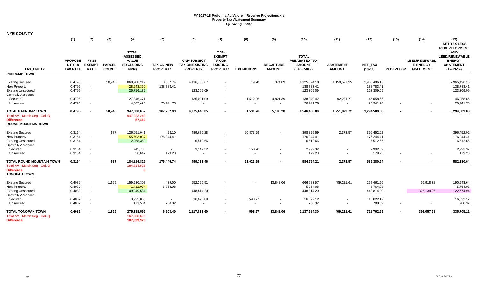| <b>NYE COUNTY</b>                                                                                 |                                                     |                                              |                               |                                                                       |                                       |                                                                 |                                                                              |                    |                                            |                                                                 |                                   |                                          |                  |                                                             |                                                                                                                  |
|---------------------------------------------------------------------------------------------------|-----------------------------------------------------|----------------------------------------------|-------------------------------|-----------------------------------------------------------------------|---------------------------------------|-----------------------------------------------------------------|------------------------------------------------------------------------------|--------------------|--------------------------------------------|-----------------------------------------------------------------|-----------------------------------|------------------------------------------|------------------|-------------------------------------------------------------|------------------------------------------------------------------------------------------------------------------|
|                                                                                                   | (1)                                                 | (2)                                          | (3)                           | (4)                                                                   | (5)                                   | (6)                                                             | (7)                                                                          | (8)                | (9)                                        | (10)                                                            | (11)                              | (12)                                     | (13)             | (14)                                                        | (15)<br><b>NET TAX LESS</b>                                                                                      |
| <b>TAX ENTITY</b>                                                                                 | <b>PROPOSE</b><br><b>D FY 18</b><br><b>TAX RATE</b> | <b>FY 18</b><br><b>EXEMPT</b><br><b>RATE</b> | <b>PARCEL</b><br><b>COUNT</b> | <b>TOTAL</b><br><b>ASSESSED</b><br><b>VALUE</b><br>(EXCLUDING<br>NPM) | <b>TAX ON NEW</b><br><b>PROPERTY</b>  | <b>CAP-SUBJECT</b><br><b>TAX ON EXISTING</b><br><b>PROPERTY</b> | CAP-<br><b>EXEMPT</b><br><b>TAX ON</b><br><b>EXISTING</b><br><b>PROPERTY</b> | <b>EXEMPTIONS</b>  | <b>RECAPTURE</b><br><b>AMOUNT</b>          | <b>TOTAL</b><br>PREABATED TAX<br><b>AMOUNT</b><br>$(5+6+7-8+9)$ | <b>ABATEMENT</b><br><b>AMOUNT</b> | NET_TAX<br>$(10-11)$                     | <b>REDEVELOP</b> | <b>LEED/RENEWABL</b><br><b>E ENERGY</b><br><b>ABATEMENT</b> | <b>REDEVELOPMENT</b><br><b>AND</b><br><b>LEED/RENEWABLE</b><br><b>ENERGY</b><br><b>ABATEMENT</b><br>$(12-13-14)$ |
| <b>PAHRUMP TOWN</b>                                                                               |                                                     |                                              |                               |                                                                       |                                       |                                                                 |                                                                              |                    |                                            |                                                                 |                                   |                                          |                  |                                                             |                                                                                                                  |
| <b>Existing Secured</b><br>New Property<br><b>Existing Unsecured</b>                              | 0.4795<br>0.4795<br>0.4795                          | $\sim$<br>$\sim$                             | 50,446                        | 860,208,219<br>28,943,360<br>25,716,182                               | 8,037.74<br>138,783.41                | 4,116,700.67<br>123,309.09                                      | $\sim$                                                                       | 19.20              | 374.89                                     | 4,125,094.10<br>138,783.41<br>123,309.09                        | 1,159,597.95                      | 2,965,496.15<br>138,783.41<br>123,309.09 |                  |                                                             | 2,965,496.15<br>138,783.41<br>123,309.09                                                                         |
| <b>Centrally Assessed</b><br>Secured<br>Unsecured                                                 | 0.4795<br>0.4795                                    | $\sim$<br>$\sim$                             |                               | 27,845,471<br>4,367,420                                               | $\overline{\phantom{a}}$<br>20,941.78 | 135,031.09                                                      |                                                                              | 1,512.06<br>$\sim$ | 4,821.39<br>$\overline{\phantom{a}}$       | 138,340.42<br>20,941.78                                         | 92,281.77<br>$\sim$               | 46,058.65<br>20,941.78                   |                  | $\overline{\phantom{a}}$                                    | 46,058.65<br>20,941.78                                                                                           |
| <b>TOTAL PAHRUMP TOWN</b>                                                                         | 0.4795                                              |                                              | 50.446                        | 947,080,652                                                           | 167.762.93                            | 4,375,040.85                                                    |                                                                              | 1,531.26           | 5,196.28                                   | 4,546,468.80                                                    | 1,251,879.72                      | 3,294,589.08                             |                  |                                                             | 3,294,589.08                                                                                                     |
| Total AV - March Seq - Col. Q<br><b>Difference</b><br><b>ROUND MOUNTAIN TOWN</b>                  |                                                     |                                              |                               | 947,023,240<br>57,412                                                 |                                       |                                                                 |                                                                              |                    |                                            |                                                                 |                                   |                                          |                  |                                                             |                                                                                                                  |
| <b>Existing Secured</b><br>New Property<br><b>Existing Unsecured</b><br><b>Centrally Assessed</b> | 0.3164<br>0.3164<br>0.3164                          | $\sim$<br>$\sim$                             | 587                           | 126,051,041<br>55,703,037<br>2,058,362                                | 23.10<br>176,244.41                   | 489,676.28<br>6,512.66                                          | $\sim$                                                                       | 90,873.79          | $\overline{\phantom{a}}$                   | 398,825.59<br>176,244.41<br>6,512.66                            | 2,373.57                          | 396,452.02<br>176,244.41<br>6,512.66     |                  |                                                             | 396,452.02<br>176,244.41<br>6,512.66                                                                             |
| Secured<br>Unsecured                                                                              | 0.3164<br>0.3164                                    | $\sim$<br>$\sim$                             |                               | 945,738<br>56,647                                                     | $\sim$<br>179.23                      | 3,142.52<br>$\sim$                                              | $\sim$                                                                       | 150.20             | $\overline{\phantom{a}}$<br>$\blacksquare$ | 2,992.32<br>179.23                                              | $\sim$<br>$\sim$                  | 2,992.32<br>179.23                       |                  |                                                             | 2,992.32<br>179.23                                                                                               |
| <b>TOTAL ROUND MOUNTAIN TOWN</b>                                                                  | 0.3164                                              | $\blacksquare$                               | 587                           | 184,814,825                                                           | 176,446,74                            | 499,331.46                                                      |                                                                              | 91,023.99          | $\sim$                                     | 584,754.21                                                      | 2,373.57                          | 582,380.64                               |                  |                                                             | 582,380.64                                                                                                       |
| Total AV - March Seg - Col. Q<br><b>Difference</b><br><b>TONOPAH TOWN</b>                         |                                                     |                                              |                               | 184,814,825<br>- 0                                                    |                                       |                                                                 |                                                                              |                    |                                            |                                                                 |                                   |                                          |                  |                                                             |                                                                                                                  |
| <b>Existing Secured</b><br>New Property<br><b>Existing Unsecured</b>                              | 0.4082<br>0.4082<br>0.4082                          | $\sim$<br>$\sim$                             | 1,565                         | 159,930,307<br>1,412,074<br>109,949,584                               | 439.00<br>5,764.08                    | 652,396.51<br>448,814.20                                        | $\sim$                                                                       |                    | 13,848.06                                  | 666,683.57<br>5,764.08<br>448,814.20                            | 409,221.61                        | 257,461.96<br>5,764.08<br>448,814.20     |                  | 66,918.32<br>326,139.26                                     | 190,543.64<br>5,764.08<br>122,674.94                                                                             |
| <b>Centrally Assessed</b><br>Secured<br>Unsecured                                                 | 0.4082<br>0.4082                                    | $\sim$<br>$\sim$                             |                               | 3,925,068<br>171,564                                                  | $\sim$<br>700.32                      | 16,620.89<br>$\sim$                                             | $\sim$                                                                       | 598.77<br>$\sim$   | $\sim$                                     | 16,022.12<br>700.32                                             | $\sim$                            | 16,022.12<br>700.32                      |                  |                                                             | 16,022.12<br>700.32                                                                                              |
| <b>TOTAL TONOPAH TOWN</b><br>Total AV - March Seg - Col. Q<br><b>Difference</b>                   | 0.4082                                              | $\blacksquare$                               | 1,565                         | 275,388,596<br>167,558,623<br>107,829,973                             | 6,903.40                              | 1,117,831.60                                                    |                                                                              | 598.77             | 13,848.06                                  | 1,137,984.30                                                    | 409,221.61                        | 728,762.69                               | $\sim$           | 393,057.58                                                  | 335,705.11                                                                                                       |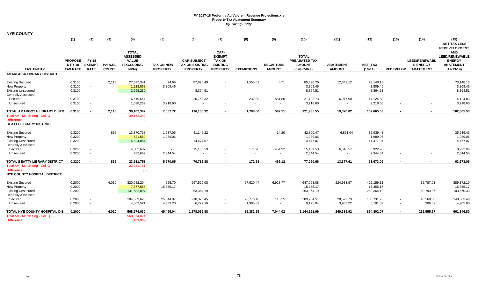|                                                                                                          | (1)                                               | (2)                                          | (3)                           | (4)                                                                   | (5)                           | (6)                                                             | (7)                                                                          | (8)                   | (9)                               | (10)                                                            | (11)                                 | (12)                                  | (13)             | (14)                                                        | (15)<br><b>NET TAX LESS</b><br><b>REDEVELOPMENT</b>                                      |
|----------------------------------------------------------------------------------------------------------|---------------------------------------------------|----------------------------------------------|-------------------------------|-----------------------------------------------------------------------|-------------------------------|-----------------------------------------------------------------|------------------------------------------------------------------------------|-----------------------|-----------------------------------|-----------------------------------------------------------------|--------------------------------------|---------------------------------------|------------------|-------------------------------------------------------------|------------------------------------------------------------------------------------------|
| <b>TAX ENTITY</b>                                                                                        | <b>PROPOSE</b><br><b>DFY18</b><br><b>TAX RATE</b> | <b>FY 18</b><br><b>EXEMPT</b><br><b>RATE</b> | <b>PARCEL</b><br><b>COUNT</b> | <b>TOTAL</b><br><b>ASSESSED</b><br><b>VALUE</b><br>(EXCLUDING<br>NPM) | TAX ON NEW<br><b>PROPERTY</b> | <b>CAP-SUBJECT</b><br><b>TAX ON EXISTING</b><br><b>PROPERTY</b> | CAP-<br><b>EXEMPT</b><br><b>TAX ON</b><br><b>EXISTING</b><br><b>PROPERTY</b> | <b>EXEMPTIONS</b>     | <b>RECAPTURE</b><br><b>AMOUNT</b> | <b>TOTAL</b><br>PREABATED TAX<br><b>AMOUNT</b><br>$(5+6+7-8+9)$ | <b>ABATEMENT</b><br><b>AMOUNT</b>    | <b>NET TAX</b><br>$(10-11)$           | <b>REDEVELOP</b> | <b>LEED/RENEWABL</b><br><b>E ENERGY</b><br><b>ABATEMENT</b> | <b>AND</b><br><b>LEED/RENEWABLE</b><br><b>ENERGY</b><br><b>ABATEMENT</b><br>$(12-13-14)$ |
| <b>AMARGOSA LIBRARY DISTRICT</b>                                                                         |                                                   |                                              |                               |                                                                       |                               |                                                                 |                                                                              |                       |                                   |                                                                 |                                      |                                       |                  |                                                             |                                                                                          |
| <b>Existing Secured</b><br><b>New Property</b><br><b>Existing Unsecured</b><br><b>Centrally Assessed</b> | 0.3100<br>0.3100<br>0.3100                        | $\sim$<br>$\sim$                             | 2,118                         | 27,577,341<br>1,228,858<br>2,698,230                                  | 24.66<br>3,809.46             | 87,020.49<br>8,364.51                                           |                                                                              | 1,555.61              | 0.71                              | 85,490.25<br>3,809.46<br>8,364.51                               | 12,342.12                            | 73,148.13<br>3,809.46<br>8,364.51     |                  |                                                             | 73,148.13<br>3,809.46<br>8,364.51                                                        |
| Secured<br>Unsecured                                                                                     | 0.3100<br>0.3100                                  | $\sim$<br>$\blacksquare$                     |                               | 6,619,654<br>1,038,259                                                | $\sim$<br>3,218.60            | 20,753.32<br>$\overline{\phantom{a}}$                           |                                                                              | 232.39                | 581.80                            | 21,102.73<br>3,218.60                                           | 6,977.90<br>$\overline{\phantom{a}}$ | 14,124.83<br>3,218.60                 |                  |                                                             | 14,124.83<br>3,218.60                                                                    |
| TOTAL AMARGOSA LIBRARY DISTR                                                                             | 0.3100                                            | $\overline{\phantom{a}}$                     | 2,118                         | 39,162,342                                                            | 7,052.72                      | 116,138.32                                                      |                                                                              | 1,788.00              | 582.51                            | 121,985.55                                                      | 19,320.02                            | 102,665.53                            |                  | $\blacksquare$                                              | 102,665.53                                                                               |
| Total AV - March Seq - Col. Q<br><b>Difference</b><br><b>BEATTY LIBRARY DISTRICT</b>                     |                                                   |                                              |                               | 39,162,342<br>$\Omega$                                                |                               |                                                                 |                                                                              |                       |                                   |                                                                 |                                      |                                       |                  |                                                             |                                                                                          |
| <b>Existing Secured</b><br><b>New Property</b><br><b>Existing Unsecured</b><br><b>Centrally Assessed</b> | 0.3200<br>0.3200<br>0.3200                        | $\sim$<br>$\sim$                             | 836                           | 13,370,738<br>621,580<br>4,524,084                                    | 1,637.05<br>1,989.06          | 41,149.22<br>14,477.07                                          |                                                                              |                       | 14.20                             | 42,800.47<br>1,989.06<br>14,477.07                              | 6,861.04                             | 35,939.43<br>1,989.06<br>14,477.07    |                  |                                                             | 35,939.43<br>1,989.06<br>14,477.07                                                       |
| Secured<br>Unsecured                                                                                     | 0.3200<br>0.3200                                  | $\sim$<br>$\sim$                             |                               | 4,682,687<br>732,669                                                  | $\sim$<br>2,344.54            | 15,156.59<br>$\overline{\phantom{a}}$                           |                                                                              | 171.98                | 454.92                            | 15,439.53<br>2,344.54                                           | 6,516.57<br>$\sim$                   | 8,922.96<br>2,344.54                  |                  |                                                             | 8,922.96<br>2,344.54                                                                     |
| <b>TOTAL BEATTY LIBRARY DISTRICT</b>                                                                     | 0.3200                                            | $\blacksquare$                               | 836                           | 23,931,758                                                            | 5,970.65                      | 70,782.88                                                       |                                                                              | 171.98                | 469.12                            | 77,050.66                                                       | 13,377.61                            | 63,673.05                             | $\sim$           | $\blacksquare$                                              | 63,673.05                                                                                |
| Total AV - March Seg - Col. Q<br><b>Difference</b><br><b>NYE COUNTY HOSPITAL DISTRICT</b>                |                                                   |                                              |                               | 23,931,761<br>(3)                                                     |                               |                                                                 |                                                                              |                       |                                   |                                                                 |                                      |                                       |                  |                                                             |                                                                                          |
| <b>Existing Secured</b><br>New Property<br><b>Existing Unsecured</b><br><b>Centrally Assessed</b>        | 0.2000<br>0.2000<br>0.2000                        | $\sim$<br>$\sim$                             | 4,010                         | 320,082,204<br>7,677,583<br>131,682,097                               | 255.70<br>15,355.17           | 697,529.08<br>263,364.19                                        |                                                                              | 57,620.47             | 6,928.77                          | 647,093.08<br>15,355.17<br>263,364.19                           | 224,933.97                           | 422,159.11<br>15,355.17<br>263,364.19 |                  | 32,787.01<br>159,793.86                                     | 389,372.10<br>15,355.17<br>103,570.33                                                    |
| Secured<br>Unsecured                                                                                     | 0.2000<br>0.2000                                  | $\sim$<br>÷.                                 |                               | 104,569,625<br>4,562,521                                              | 25,544.97<br>4,339.20         | 210,370.45<br>6,772.16                                          |                                                                              | 26,776.16<br>1,986.32 | 115.25<br>$\sim$                  | 209,254.51<br>9,125.04                                          | 20,522.73<br>3,933.22                | 188,731.78<br>5,191.82                | $\sim$           | 40,168.38<br>206.02                                         | 148,563.40<br>4,985.80                                                                   |
| TOTAL NYE COUNTY HOSPITAL DIS                                                                            | 0.2000                                            | $\sim$                                       | 4.010                         | 568,574,030                                                           | 45,495.04                     | 1,178,035.88                                                    |                                                                              | 86,382.95             | 7,044.02                          | 1,144,191.99                                                    | 249,389.92                           | 894,802.07                            | $\sim$           | 232,955.27                                                  | 661,846.80                                                                               |
| Total AV - March Seg - Col. Q<br><b>Difference</b>                                                       |                                                   |                                              |                               | 568,574,024<br>(431,909)                                              |                               |                                                                 |                                                                              |                       |                                   |                                                                 |                                      |                                       |                  |                                                             |                                                                                          |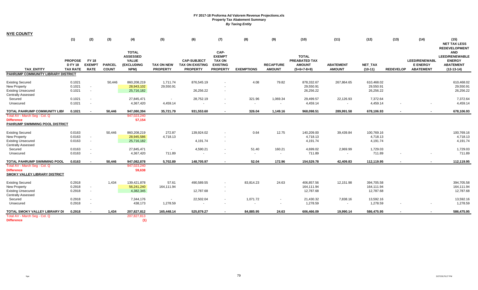| <b>NYE COUNTY</b>                                                                                        |                                                     |                                              |                               |                                                                              |                                      |                                                                 |                                                                              |                    |                                   |                                                                 |                                   |                                       |                  |                                                      |                                                                                          |
|----------------------------------------------------------------------------------------------------------|-----------------------------------------------------|----------------------------------------------|-------------------------------|------------------------------------------------------------------------------|--------------------------------------|-----------------------------------------------------------------|------------------------------------------------------------------------------|--------------------|-----------------------------------|-----------------------------------------------------------------|-----------------------------------|---------------------------------------|------------------|------------------------------------------------------|------------------------------------------------------------------------------------------|
|                                                                                                          | (1)                                                 | (2)                                          | (3)                           | (4)                                                                          | (5)                                  | (6)                                                             | (7)                                                                          | (8)                | (9)                               | (10)                                                            | (11)                              | (12)                                  | (13)             | (14)                                                 | (15)<br><b>NET TAX LESS</b><br><b>REDEVELOPMENT</b>                                      |
| <b>TAX ENTITY</b>                                                                                        | <b>PROPOSE</b><br><b>D FY 18</b><br><b>TAX RATE</b> | <b>FY 18</b><br><b>EXEMPT</b><br><b>RATE</b> | <b>PARCEL</b><br><b>COUNT</b> | <b>TOTAL</b><br><b>ASSESSED</b><br><b>VALUE</b><br><b>(EXCLUDING</b><br>NPM) | <b>TAX ON NEW</b><br><b>PROPERTY</b> | <b>CAP-SUBJECT</b><br><b>TAX ON EXISTING</b><br><b>PROPERTY</b> | CAP-<br><b>EXEMPT</b><br><b>TAX ON</b><br><b>EXISTING</b><br><b>PROPERTY</b> | <b>EXEMPTIONS</b>  | <b>RECAPTURE</b><br><b>AMOUNT</b> | <b>TOTAL</b><br>PREABATED TAX<br><b>AMOUNT</b><br>$(5+6+7-8+9)$ | <b>ABATEMENT</b><br><b>AMOUNT</b> | NET_TAX<br>$(10-11)$                  | <b>REDEVELOP</b> | LEED/RENEWABL<br><b>E ENERGY</b><br><b>ABATEMENT</b> | <b>AND</b><br><b>LEED/RENEWABLE</b><br><b>ENERGY</b><br><b>ABATEMENT</b><br>$(12-13-14)$ |
| PAHRUMP COMMUNITY LIBRARY DISTRICT                                                                       |                                                     |                                              |                               |                                                                              |                                      |                                                                 |                                                                              |                    |                                   |                                                                 |                                   |                                       |                  |                                                      |                                                                                          |
| <b>Existing Secured</b><br><b>New Property</b><br><b>Existing Unsecured</b><br>Centrally Assessed        | 0.1021<br>0.1021<br>0.1021                          | $\sim$<br>$\overline{\phantom{a}}$           | 50,446                        | 860,208,219<br>28,943,102<br>25,716,182                                      | 1,711.74<br>29,550.91                | 876,545.19<br>26,256.22                                         | $\overline{\phantom{a}}$<br>$\sim$                                           | 4.08               | 79.82                             | 878,332.67<br>29,550.91<br>26,256.22                            | 267,864.65                        | 610,468.02<br>29,550.91<br>26,256.22  |                  |                                                      | 610,468.02<br>29,550.91<br>26,256.22                                                     |
| Secured<br>Unsecured                                                                                     | 0.1021<br>0.1021                                    | $\sim$                                       |                               | 27,845,471<br>4,367,420                                                      | $\overline{\phantom{a}}$<br>4,459.14 | 28,752.19                                                       | $\sim$                                                                       | 321.96             | 1,069.34<br>$\sim$                | 29,499.57<br>4,459.14                                           | 22,126.93                         | 7,372.64<br>4,459.14                  |                  |                                                      | 7,372.64<br>4,459.14                                                                     |
| TOTAL PAHRUMP COMMUNITY LIBF                                                                             | 0.1021                                              |                                              | 50,446                        | 947,080,394                                                                  | 35,721.79                            | 931,553.60                                                      |                                                                              | 326.04             | 1,149.16                          | 968,098.51                                                      | 289,991.58                        | 678,106.93                            |                  |                                                      | 678,106.93                                                                               |
| Total AV - March Seg - Col. Q<br><b>Difference</b><br>PAHRUMP SWIMMING POOL DISTRICT                     |                                                     |                                              |                               | 947,023,240<br>57,154                                                        |                                      |                                                                 |                                                                              |                    |                                   |                                                                 |                                   |                                       |                  |                                                      |                                                                                          |
| <b>Existing Secured</b><br><b>New Property</b><br><b>Existing Unsecured</b><br><b>Centrally Assessed</b> | 0.0163<br>0.0163<br>0.0163                          | $\sim$<br>$\sim$                             | 50.446                        | 860,208,219<br>28,945,586<br>25,716,182                                      | 272.87<br>4,718.13                   | 139,924.02<br>4,191.74                                          | $\sim$                                                                       | 0.64               | 12.75                             | 140,209.00<br>4,718.13<br>4,191.74                              | 39,439.84                         | 100,769.16<br>4,718.13<br>4,191.74    |                  |                                                      | 100,769.16<br>4,718.13<br>4,191.74                                                       |
| Secured<br>Unsecured                                                                                     | 0.0163<br>0.0163                                    | $\sim$                                       |                               | 27,845,471<br>4,367,420                                                      | $\sim$<br>711.89                     | 4,590.21                                                        | ÷.                                                                           | 51.40<br>$\sim$    | 160.21<br>$\sim$                  | 4,699.02<br>711.89                                              | 2,969.99<br>$\sim$                | 1,729.03<br>711.89                    |                  |                                                      | 1,729.03<br>711.89                                                                       |
| TOTAL PAHRUMP SWIMMING POOL                                                                              | 0.0163                                              | $\sim$                                       | 50.446                        | 947,082,878                                                                  | 5.702.89                             | 148.705.97                                                      |                                                                              | 52.04              | 172.96                            | 154,529.78                                                      | 42.409.83                         | 112,119.95                            |                  | $\blacksquare$                                       | 112,119.95                                                                               |
| Total AV - March Seq - Col. Q<br><b>Difference</b><br><b>SMOKY VALLEY LIBRARY DISTRICT</b>               |                                                     |                                              |                               | 947,023,240<br>59,638                                                        |                                      |                                                                 |                                                                              |                    |                                   |                                                                 |                                   |                                       |                  |                                                      |                                                                                          |
| <b>Existing Secured</b><br>New Property<br><b>Existing Unsecured</b><br><b>Centrally Assessed</b>        | 0.2918<br>0.2918<br>0.2918                          | $\sim$<br>$\sim$                             | 1,434                         | 139,421,878<br>56,241,240<br>4,382,345                                       | 57.61<br>164,111.94                  | 490,589.55<br>12,787.68                                         | $\sim$<br>$\sim$                                                             | 83,814.23          | 24.63                             | 406,857.56<br>164,111.94<br>12,787.68                           | 12,151.98                         | 394,705.58<br>164,111.94<br>12,787.68 |                  |                                                      | 394,705.58<br>164,111.94<br>12,787.68                                                    |
| Secured<br>Unsecured                                                                                     | 0.2918<br>0.2918                                    | $\sim$<br>$\sim$                             |                               | 7,344,176<br>438,173                                                         | 1,278.59                             | 22,502.04                                                       | $\sim$                                                                       | 1,071.72<br>$\sim$ | $\blacksquare$<br>$\sim$          | 21,430.32<br>1,278.59                                           | 7,838.16                          | 13,592.16<br>1,278.59                 |                  |                                                      | 13,592.16<br>1,278.59                                                                    |
| TOTAL SMOKY VALLEY LIBRARY DI                                                                            | 0.2918                                              | $\sim$                                       | 1,434                         | 207,827,812                                                                  | 165,448.14                           | 525,879.27                                                      |                                                                              | 84,885.95          | 24.63                             | 606,466.09                                                      | 19,990.14                         | 586,475.95                            |                  |                                                      | 586,475.95                                                                               |
| Total AV - March Seg - Col. Q<br><b>Difference</b>                                                       |                                                     |                                              |                               | 207,827,813<br>(1)                                                           |                                      |                                                                 |                                                                              |                    |                                   |                                                                 |                                   |                                       |                  |                                                      |                                                                                          |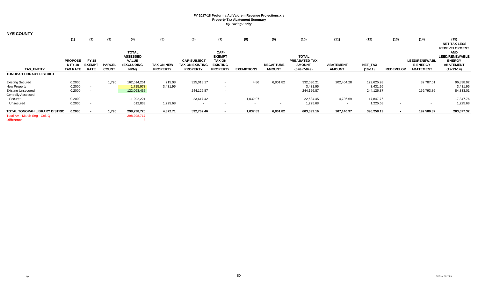| <b>NYE COUNTY</b>                    |                 |                          |               |                 |                   |                    |                          |                   |                  |               |                  |                |                  |                          |                       |
|--------------------------------------|-----------------|--------------------------|---------------|-----------------|-------------------|--------------------|--------------------------|-------------------|------------------|---------------|------------------|----------------|------------------|--------------------------|-----------------------|
|                                      | (1)             | (2)                      | (3)           | (4)             | (5)               | (6)                | (7)                      | (8)               | (9)              | (10)          | (11)             | (12)           | (13)             | (14)                     | (15)                  |
|                                      |                 |                          |               |                 |                   |                    |                          |                   |                  |               |                  |                |                  |                          | <b>NET TAX LESS</b>   |
|                                      |                 |                          |               |                 |                   |                    |                          |                   |                  |               |                  |                |                  |                          | <b>REDEVELOPMENT</b>  |
|                                      |                 |                          |               | <b>TOTAL</b>    |                   |                    | CAP-                     |                   |                  |               |                  |                |                  |                          | <b>AND</b>            |
|                                      |                 |                          |               | <b>ASSESSED</b> |                   |                    | <b>EXEMPT</b>            |                   |                  | <b>TOTAL</b>  |                  |                |                  |                          | <b>LEED/RENEWABLE</b> |
|                                      | <b>PROPOSE</b>  | <b>FY 18</b>             |               | <b>VALUE</b>    |                   | <b>CAP-SUBJECT</b> | <b>TAX ON</b>            |                   |                  | PREABATED TAX |                  |                |                  | <b>LEED/RENEWABL</b>     | <b>ENERGY</b>         |
|                                      | <b>DFY18</b>    | <b>EXEMPT</b>            | <b>PARCEL</b> | (EXCLUDING      | <b>TAX ON NEW</b> | TAX ON EXISTING    | <b>EXISTING</b>          |                   | <b>RECAPTURE</b> | <b>AMOUNT</b> | <b>ABATEMENT</b> | <b>NET TAX</b> |                  | <b>E ENERGY</b>          | <b>ABATEMENT</b>      |
| <b>TAX ENTITY</b>                    | <b>TAX RATE</b> | <b>RATE</b>              | <b>COUNT</b>  | NPM)            | <b>PROPERTY</b>   | <b>PROPERTY</b>    | <b>PROPERTY</b>          | <b>EXEMPTIONS</b> | <b>AMOUNT</b>    | $(5+6+7-8+9)$ | <b>AMOUNT</b>    | $(10-11)$      | <b>REDEVELOP</b> | <b>ABATEMENT</b>         | $(12-13-14)$          |
| <b>TONOPAH LIBRARY DISTRICT</b>      |                 |                          |               |                 |                   |                    |                          |                   |                  |               |                  |                |                  |                          |                       |
| <b>Existing Secured</b>              | 0.2000          |                          | 1,790         | 162,614,251     | 215.08            | 325,018.17         | $\overline{\phantom{a}}$ | 4.86              | 6,801.82         | 332,030.21    | 202,404.28       | 129,625.93     |                  | 32,787.01                | 96,838.92             |
| New Property                         | 0.2000          | $\sim$                   |               | 1,715,973       | 3,431.95          |                    | $\sim$                   |                   |                  | 3,431.95      |                  | 3,431.95       |                  |                          | 3,431.95              |
| <b>Existing Unsecured</b>            | 0.2000          | $\sim$                   |               | 122,063,437     |                   | 244,126.87         | $\overline{\phantom{a}}$ |                   |                  | 244,126.87    |                  | 244,126.87     |                  | 159,793.86               | 84,333.01             |
| <b>Centrally Assessed</b>            |                 |                          |               |                 |                   |                    |                          |                   |                  |               |                  |                |                  |                          |                       |
| Secured                              | 0.2000          | $\overline{\phantom{a}}$ |               | 11,292,221      | $\sim$            | 23,617.42          | $\sim$                   | 1,032.97          | $\sim$           | 22,584.45     | 4,736.69         | 17,847.76      |                  |                          | 17,847.76             |
| Unsecured                            | 0.2000          | $\overline{\phantom{a}}$ |               | 612,838         | 1,225.68          | $\sim$             | $\sim$                   | $\sim$            | . .              | 1,225.68      | $\sim$           | 1,225.68       |                  | $\overline{\phantom{a}}$ | 1,225.68              |
| <b>TOTAL TONOPAH LIBRARY DISTRIC</b> | 0.2000          |                          | 1,790         | 298,298,720     | 4,872.71          | 592,762.46         |                          | 1,037.83          | 6,801.82         | 603,399.16    | 207,140.97       | 396,258.19     |                  | 192,580.87               | 203,677.32            |
| Total AV - March Seg - Col. Q        |                 |                          |               | 298,298,717     |                   |                    |                          |                   |                  |               |                  |                |                  |                          |                       |
| <b>Difference</b>                    |                 |                          |               |                 |                   |                    |                          |                   |                  |               |                  |                |                  |                          |                       |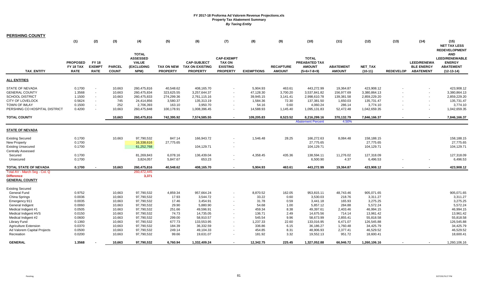| <b>PERSHING COUNTY</b>        |                 |               |               |                   |                 |                        |                          |                   |                  |                          |                  |              |                  |                    |                       |
|-------------------------------|-----------------|---------------|---------------|-------------------|-----------------|------------------------|--------------------------|-------------------|------------------|--------------------------|------------------|--------------|------------------|--------------------|-----------------------|
|                               | (1)             | (2)           | (3)           | (4)               | (5)             | (6)                    | (7)                      | (8)               | (9)              | (10)                     | (11)             | (12)         | (13)             | (14)               | (15)                  |
|                               |                 |               |               |                   |                 |                        |                          |                   |                  |                          |                  |              |                  |                    | <b>NET TAX LESS</b>   |
|                               |                 |               |               |                   |                 |                        |                          |                   |                  |                          |                  |              |                  |                    | <b>REDEVELOPMENT</b>  |
|                               |                 |               |               | <b>TOTAL</b>      |                 |                        |                          |                   |                  |                          |                  |              |                  |                    | <b>AND</b>            |
|                               |                 |               |               | <b>ASSESSED</b>   |                 |                        | <b>CAP-EXEMPT</b>        |                   |                  | <b>TOTAL</b>             |                  |              |                  |                    | <b>LEED/RENEWABLE</b> |
|                               | <b>PROPOSED</b> | <b>FY 18</b>  |               | <b>VALUE</b>      |                 | <b>CAP-SUBJECT</b>     | <b>TAX ON</b>            |                   |                  | PREABATED TAX            |                  |              |                  | <b>LEED/RENEWA</b> | <b>ENERGY</b>         |
|                               | FY 18 TAX       | <b>EXEMPT</b> | <b>PARCEL</b> | <b>(EXCLUDING</b> | TAX ON NEW      | <b>TAX ON EXISTING</b> | <b>EXISTING</b>          |                   | <b>RECAPTURE</b> | <b>AMOUNT</b>            | <b>ABATEMENT</b> | NET_TAX      |                  | <b>BLE ENERGY</b>  | <b>ABATEMENT</b>      |
| <b>TAX ENTITY</b>             | <b>RATE</b>     | <b>RATE</b>   | <b>COUNT</b>  | NPM)              | <b>PROPERTY</b> | <b>PROPERTY</b>        | <b>PROPERTY</b>          | <b>EXEMPTIONS</b> | <b>AMOUNT</b>    | $(5+6+7-8+9)$            | <b>AMOUNT</b>    | $(10-11)$    | <b>REDEVELOP</b> | <b>ABATEMENT</b>   | $(12-13-14)$          |
|                               |                 |               |               |                   |                 |                        |                          |                   |                  |                          |                  |              |                  |                    |                       |
| ALL ENTITIES                  |                 |               |               |                   |                 |                        |                          |                   |                  |                          |                  |              |                  |                    |                       |
|                               |                 |               |               |                   |                 |                        |                          |                   |                  |                          |                  |              |                  |                    |                       |
| STATE OF NEVADA               | 0.1700          |               | 10,663        | 260,475,816       | 40,548.62       | 408,165.70             |                          | 5,904.93          | 463.61           | 443,272.99               | 19,364.87        | 423,908.12   |                  |                    | 423,908.12            |
| <b>GENERAL COUNTY</b>         | 1.3568          | $\sim$        | 10,663        | 260,475,834       | 323,625.55      | 3,257,644.37           | $\blacksquare$           | 47,128.30         | 3,700.20         | 3,537,841.82             | 156,977.69       | 3,380,864.13 |                  |                    | 3,380,864.13          |
| SCHOOL DISTRICT               | 1.1500          |               | 10,663        | 260,475,833       | 274,299.36      | 2,761,115.16           |                          | 39,945.15         | 3,141.41         | 2,998,610.78             | 139,381.58       | 2,859,229.20 |                  |                    | 2,859,229.20          |
| CITY OF LOVELOCK              | 0.5624          | $\sim$        | 745           | 24,414,856        | 3,580.37        | 135,313.19             |                          | 1,584.36          | 72.30            | 137,381.50               | 1,650.03         | 135,731.47   |                  |                    | 135,731.47            |
| TOWN OF IMLAY                 | 0.1500          | $\sim$        | 252           | 2,706,393         | 163.10          | 3,950.70               |                          | 54.16             | 0.60             | 4,060.24                 | 286.14           | 3,774.10     |                  |                    | 3,774.10              |
| PERSHING CO HOSPITAL DISTRICT | 0.4200          |               | 10,663        | 260,475,848       | 100,178.91      | 1,008,396.45           |                          | 14,588.93         | 1,145.40         | 1,095,131.83             | 52,472.48        | 1,042,659.35 |                  |                    | 1,042,659.35          |
| <b>TOTAL COUNTY</b>           |                 |               | 10,663        | 260,475,816       | 742,395.92      | 7,574,585.55           | $\blacksquare$           | 109,205.83        | 8,523.52         | 8,216,299.16             | 370,132.79       | 7,846,166.37 |                  | $\sim$             | 7,846,166.37          |
|                               |                 |               |               |                   |                 |                        |                          |                   |                  | <b>Abatement Percent</b> | 4.50%            |              |                  |                    |                       |
|                               |                 |               |               |                   |                 |                        |                          |                   |                  |                          |                  |              |                  |                    |                       |
| STATE OF NEVADA               |                 |               |               |                   |                 |                        |                          |                   |                  |                          |                  |              |                  |                    |                       |
|                               |                 |               |               |                   |                 |                        |                          |                   |                  |                          |                  |              |                  |                    |                       |
| <b>Existing Secured</b>       | 0.1700          |               | 10,663        | 97,790,532        | 847.14          | 166,943.72             |                          | 1,546.48          | 28.25            | 166,272.63               | 8,084.48         | 158,188.15   |                  |                    | 158,188.15            |
| New Property                  | 0.1700          |               |               | 16,338,616        | 27,775.65       |                        |                          |                   |                  | 27,775.65                |                  | 27,775.65    |                  |                    | 27,775.65             |
| Existing Unsecured            | 0.1700          |               |               | 61,252,768        |                 | 104,129.71             |                          |                   |                  | 104,129.71               |                  | 104,129.71   |                  |                    | 104,129.71            |
| Centrally Assessed            |                 |               |               |                   |                 |                        |                          |                   |                  |                          |                  |              |                  |                    |                       |
| Secured                       | 0.1700          |               |               | 81,269,843        | 6,078.16        | 136,439.04             |                          | 4,358.45          | 435.36           | 138,594.11               | 11,276.02        | 127,318.09   |                  |                    | 127,318.09            |
| Unsecured                     | 0.1700          |               |               | 3,824,057         | 5,847.67        | 653.23                 |                          |                   |                  | 6,500.90                 | 4.37             | 6,496.53     |                  |                    | 6,496.53              |
| TOTAL STATE OF NEVADA         | 0.1700          |               | 10,663        | 260,475,816       | 40,548.62       | 408,165.70             |                          | 5,904.93          | 463.61           | 443,272.99               | 19,364.87        | 423,908.12   |                  |                    | 423,908.12            |
| Total AV - March Seg - Col. Q |                 |               |               | 260,472,445       |                 |                        |                          |                   |                  |                          |                  |              |                  |                    |                       |
| Difference                    |                 |               |               | 3,371             |                 |                        |                          |                   |                  |                          |                  |              |                  |                    |                       |
| <b>GENERAL COUNTY</b>         |                 |               |               |                   |                 |                        |                          |                   |                  |                          |                  |              |                  |                    |                       |
|                               |                 |               |               |                   |                 |                        |                          |                   |                  |                          |                  |              |                  |                    |                       |
| Existing Secured              |                 |               |               |                   |                 |                        |                          |                   |                  |                          |                  |              |                  |                    |                       |
| General Fund                  | 0.9752          |               | 10,663        | 97,790,532        | 4,859.34        | 957,664.24             |                          | 8,870.52          | 162.05           | 953,815.11               | 48,743.46        | 905,071.65   |                  |                    | 905,071.65            |
| China Springs                 | 0.0036          |               | 10,663        | 97,790,532        | 17.93           | 3,544.72               | $\overline{\phantom{a}}$ | 33.22             | 0.60             | 3,530.03                 | 218.76           | 3,311.27     |                  |                    | 3,311.27              |
| Emergency 911                 | 0.0035          |               | 10,663        | 97,790,532        | 17.46           | 3,454.91               |                          | 31.78             | 0.59             | 3,441.18                 | 165.93           | 3,275.25     |                  |                    | 3,275.25              |
| General Indigent              | 0.0060          |               | 10,663        | 97,790,532        | 29.90           | 5,880.90               |                          | 54.68             | 1.00             | 5,857.12                 | 284.88           | 5,572.24     |                  |                    | 5,572.24              |
| Medical Indigent #1           | 0.0505          |               | 10,663        | 97,790,532        | 251.66          | 49,596.91              |                          | 459.34            | 8.38             | 49,397.61                | 2,403.46         | 46,994.15    |                  |                    | 46,994.15             |
| Medical Indigent HVS          | 0.0150          |               | 10,663        | 97,790,532        | 74.73           | 14,735.05              | $\sim$                   | 136.71            | 2.49             | 14,675.56                | 714.14           | 13,961.42    |                  |                    | 13,961.42             |
| Medical Indigent #2           | 0.0600          |               | 10,663        | 97,790,532        | 299.00          | 58,910.57              |                          | 545.54            | 9.96             | 58,673.99                | 2,855.41         | 55,818.58    |                  |                    | 55,818.58             |
| Library Fund                  | 0.1360          |               | 10,663        | 97,790,532        | 677.73          | 133,553.95             |                          | 1,237.33          | 22.60            | 133,016.95               | 6,471.07         | 126,545.88   |                  |                    | 126,545.88            |
| <b>Agriculture Extension</b>  | 0.0370          |               | 10,663        | 97,790,532        | 184.39          | 36,332.59              |                          | 336.86            | 6.15             | 36,186.27                | 1,760.48         | 34,425.79    |                  |                    | 34,425.79             |
| Ad Valorem Capital Projects   | 0.0500          |               | 10,663        | 97,790,532        | 249.14          | 49,104.33              |                          | 454.85            | 8.31             | 48,906.93                | 2,377.41         | 46,529.52    |                  |                    | 46,529.52             |
| Recreation                    | 0.0200          |               | 10,663        | 97,790,532        | 99.66           | 19,631.07              |                          | 181.92            | 3.32             | 19,552.13                | 951.72           | 18,600.41    |                  |                    | 18,600.41             |
| <b>GENERAL</b>                | 1.3568          |               | 10,663        | 97,790,532        | 6,760.94        | 1,332,409.24           |                          | 12,342.75         | 225.45           | 1,327,052.88             | 66,946.72        | 1,260,106.16 |                  |                    | 1,260,106.16          |
|                               |                 |               |               |                   |                 |                        |                          |                   |                  |                          |                  |              |                  |                    |                       |

÷,

 $\bar{a}$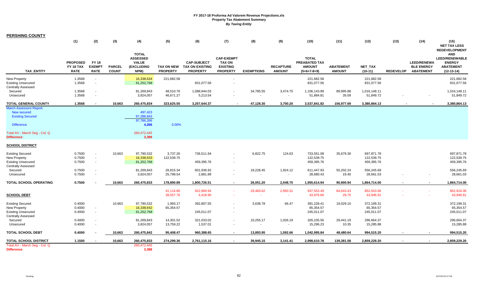| <b>PERSHING COUNTY</b>                                                                            |                                             |                                              |                               |                                                                       |                        |                                                                     |                                                                          |                             |                                   |                                                                 |                                   |                                        |                  |                                                             |                                                                                                                  |
|---------------------------------------------------------------------------------------------------|---------------------------------------------|----------------------------------------------|-------------------------------|-----------------------------------------------------------------------|------------------------|---------------------------------------------------------------------|--------------------------------------------------------------------------|-----------------------------|-----------------------------------|-----------------------------------------------------------------|-----------------------------------|----------------------------------------|------------------|-------------------------------------------------------------|------------------------------------------------------------------------------------------------------------------|
|                                                                                                   | (1)                                         | (2)                                          | (3)                           | (4)                                                                   | (5)                    | (6)                                                                 | (7)                                                                      | (8)                         | (9)                               | (10)                                                            | (11)                              | (12)                                   | (13)             | (14)                                                        | (15)<br><b>NET TAX LESS</b>                                                                                      |
| <b>TAX ENTITY</b>                                                                                 | <b>PROPOSED</b><br>FY 18 TAX<br><b>RATE</b> | <b>FY 18</b><br><b>EXEMPT</b><br><b>RATE</b> | <b>PARCEL</b><br><b>COUNT</b> | <b>TOTAL</b><br><b>ASSESSED</b><br><b>VALUE</b><br>(EXCLUDING<br>NPM) | <b>PROPERTY</b>        | <b>CAP-SUBJECT</b><br>TAX ON NEW TAX ON EXISTING<br><b>PROPERTY</b> | <b>CAP-EXEMPT</b><br><b>TAX ON</b><br><b>EXISTING</b><br><b>PROPERTY</b> | <b>EXEMPTIONS</b>           | <b>RECAPTURE</b><br><b>AMOUNT</b> | <b>TOTAL</b><br>PREABATED TAX<br><b>AMOUNT</b><br>$(5+6+7-8+9)$ | <b>ABATEMENT</b><br><b>AMOUNT</b> | NET_TAX<br>$(10-11)$                   | <b>REDEVELOP</b> | <b>LEED/RENEWA</b><br><b>BLE ENERGY</b><br><b>ABATEMENT</b> | <b>REDEVELOPMENT</b><br><b>AND</b><br><b>LEED/RENEWABLE</b><br><b>ENERGY</b><br><b>ABATEMENT</b><br>$(12-13-14)$ |
| New Property<br><b>Existing Unsecured</b><br><b>Centrally Assessed</b>                            | 1.3568<br>1.3568                            | $\sim$<br>$\sim$                             |                               | 16,338,634<br>61,252,768                                              | 221,682.58             | 831,077.56                                                          |                                                                          |                             |                                   | 221,682.58<br>831,077.56                                        |                                   | 221,682.58<br>831,077.56               |                  |                                                             | 221,682.58<br>831,077.56                                                                                         |
| Secured<br>Unsecured                                                                              | 1.3568<br>1.3568                            | $\overline{\phantom{a}}$<br>$\sim$           |                               | 81,269,843<br>3,824,057                                               | 48,510.76<br>46,671.27 | 1,088,944.03<br>5,213.54                                            |                                                                          | 34,785.55<br>$\sim$         | 3,474.75<br>$\sim$                | 1,106,143.99<br>51,884.81                                       | 89,995.88<br>35.09                | 1,016,148.11<br>51,849.72              |                  |                                                             | 1,016,148.11<br>51,849.72                                                                                        |
| <b>TOTAL GENERAL COUNTY</b>                                                                       | 1.3568                                      |                                              | 10,663                        | 260,475,834                                                           | 323,625.55             | 3,257,644.37                                                        |                                                                          | 47,128.30                   | 3,700.20                          | 3,537,841.82                                                    | 156,977.69                        | 3,380,864.13                           |                  |                                                             | 3,380,864.13                                                                                                     |
| <b>March Assessors Report:</b><br>New secured<br><b>Existing Secured</b><br><b>Difference</b>     |                                             |                                              |                               | 497,423<br>97,288,843<br>97,786,266<br>4,266                          | 0.00%                  |                                                                     |                                                                          |                             |                                   |                                                                 |                                   |                                        |                  |                                                             |                                                                                                                  |
| Total AV - March Seg - Col. Q<br><b>Difference</b>                                                |                                             |                                              |                               | 260,472,445<br>3,389                                                  |                        |                                                                     |                                                                          |                             |                                   |                                                                 |                                   |                                        |                  |                                                             |                                                                                                                  |
| <b>SCHOOL DISTRICT</b>                                                                            |                                             |                                              |                               |                                                                       |                        |                                                                     |                                                                          |                             |                                   |                                                                 |                                   |                                        |                  |                                                             |                                                                                                                  |
| <b>Existing Secured</b><br>New Property<br><b>Existing Unsecured</b><br><b>Centrally Assessed</b> | 0.7500<br>0.7500<br>0.7500                  | $\blacksquare$<br>$\sim$<br>$\sim$           | 10,663                        | 97,790,532<br>16,338,633<br>61,252,768                                | 3,737.26<br>122,539.75 | 736,511.94<br>459,395.76                                            |                                                                          | 6,822.75                    | 124.63                            | 733,551.08<br>122,539.75<br>459,395.76                          | 35,679.30                         | 697,871.78<br>122,539.75<br>459,395.76 |                  |                                                             | 697,871.78<br>122,539.75<br>459,395.76                                                                           |
| Secured<br>Unsecured                                                                              | 0.7500<br>0.7500                            |                                              |                               | 81,269,843<br>3,824,057                                               | 26,815.34<br>25,798.54 | 601,936.92<br>2,881.89                                              |                                                                          | 19,228.45<br>$\blacksquare$ | 1,924.12<br>$\sim$                | 611,447.93<br>28,680.43                                         | 55,202.24<br>19.40                | 556,245.69<br>28,661.03                |                  |                                                             | 556,245.69<br>28,661.03                                                                                          |
| TOTAL SCHOOL OPERATING                                                                            | 0.7500                                      |                                              | 10,663                        | 260,475,833                                                           | 178,890.89             | 1,800,726.51                                                        |                                                                          | 26,051.20                   | 2,048.75                          | 1,955,614.94                                                    | 90,900.94                         | 1,864,714.00                           |                  | $\blacksquare$                                              | 1,864,714.00                                                                                                     |
| <b>SCHOOL DEBT</b>                                                                                |                                             |                                              |                               |                                                                       | 41,116.86<br>39,557.76 | 922,969.94<br>4,418.90                                              |                                                                          | 29,483.62<br>$\sim$         | 2,950.31<br>$\sim$                | 937,553.49<br>43,976.66                                         | 84,643.43<br>29.75                | 852,910.06<br>43,946.91                |                  |                                                             | 852,910.06<br>43,946.91                                                                                          |
| <b>Existing Secured</b><br>New Property<br><b>Existing Unsecured</b><br><b>Centrally Assessed</b> | 0.4000<br>0.4000<br>0.4000                  | $\sim$<br>$\sim$                             | 10,663                        | 97,790,532<br>16,338,642<br>61,252,768                                | 1,993.17<br>65,354.57  | 392,807.55<br>245,011.07                                            |                                                                          | 3,638.78                    | 66.47                             | 391,228.41<br>65,354.57<br>245,011.07                           | 19,029.10                         | 372,199.31<br>65,354.57<br>245,011.07  |                  |                                                             | 372,199.31<br>65,354.57<br>245,011.07                                                                            |
| Secured<br>Unsecured                                                                              | 0.4000<br>0.4000                            | $\sim$                                       |                               | 81,269,843<br>3,824,057                                               | 14,301.52<br>13,759.22 | 321,033.02<br>1,537.01                                              |                                                                          | 10,255.17<br>$\blacksquare$ | 1,026.19                          | 326,105.56<br>15,296.23                                         | 29,441.19<br>10.35                | 296,664.37<br>15,285.88                |                  |                                                             | 296,664.37<br>15,285.88                                                                                          |
| <b>TOTAL SCHOOL DEBT</b>                                                                          | 0.4000                                      |                                              | 10,663                        | 260,475,842                                                           | 95,408.47              | 960,388.65                                                          | $\sim$                                                                   | 13,893.95                   | 1,092.66                          | 1,042,995.84                                                    | 48,480.64                         | 994,515.20                             | $\blacksquare$   | $\sim$                                                      | 994,515.20                                                                                                       |
| <b>TOTAL SCHOOL DISTRICT</b>                                                                      | 1.1500                                      |                                              | 10,663                        | 260,475,833                                                           | 274,299.36             | 2,761,115.16                                                        |                                                                          | 39,945.15                   | 3,141.41                          | 2,998,610.78                                                    | 139,381.58                        | 2,859,229.20                           |                  | $\blacksquare$                                              | 2,859,229.20                                                                                                     |
| Total AV - March Seg - Col. Q<br><b>Difference</b>                                                |                                             |                                              |                               | 260,472,445<br>3,388                                                  |                        |                                                                     |                                                                          |                             |                                   |                                                                 |                                   |                                        |                  |                                                             |                                                                                                                  |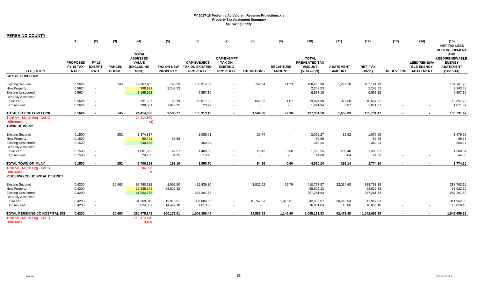|  |  | <b>PERSHING COUNTY</b> |  |
|--|--|------------------------|--|
|  |  |                        |  |
|  |  |                        |  |

|                                                                                                                   | (1)                                         | (2)                                   | (3)                           | (4)                                                                   | (5)                                  | (6)                                                             | (7)                                                                      | (8)                                   | (9)                               | (10)                                                            | (11)                              | (12)                                  | (13)             | (14)                                                        | (15)<br><b>NET TAX LESS</b>                                                                                      |
|-------------------------------------------------------------------------------------------------------------------|---------------------------------------------|---------------------------------------|-------------------------------|-----------------------------------------------------------------------|--------------------------------------|-----------------------------------------------------------------|--------------------------------------------------------------------------|---------------------------------------|-----------------------------------|-----------------------------------------------------------------|-----------------------------------|---------------------------------------|------------------|-------------------------------------------------------------|------------------------------------------------------------------------------------------------------------------|
| <b>TAX ENTITY</b>                                                                                                 | <b>PROPOSED</b><br>FY 18 TAX<br><b>RATE</b> | FY 18<br><b>EXEMPT</b><br><b>RATE</b> | <b>PARCEL</b><br><b>COUNT</b> | <b>TOTAL</b><br><b>ASSESSED</b><br><b>VALUE</b><br>(EXCLUDING<br>NPM) | <b>TAX ON NEW</b><br><b>PROPERTY</b> | <b>CAP-SUBJECT</b><br><b>TAX ON EXISTING</b><br><b>PROPERTY</b> | <b>CAP-EXEMPT</b><br><b>TAX ON</b><br><b>EXISTING</b><br><b>PROPERTY</b> | <b>EXEMPTIONS</b>                     | <b>RECAPTURE</b><br><b>AMOUNT</b> | <b>TOTAL</b><br>PREABATED TAX<br><b>AMOUNT</b><br>$(5+6+7-8+9)$ | <b>ABATEMENT</b><br><b>AMOUNT</b> | NET_TAX<br>$(10-11)$                  | <b>REDEVELOP</b> | <b>LEED/RENEWA</b><br><b>BLE ENERGY</b><br><b>ABATEMENT</b> | <b>REDEVELOPMENT</b><br><b>AND</b><br><b>LEED/RENEWABLE</b><br><b>ENERGY</b><br><b>ABATEMENT</b><br>$(12-13-14)$ |
| <b>CITY OF LOVELOCK</b>                                                                                           |                                             |                                       |                               |                                                                       |                                      |                                                                 |                                                                          |                                       |                                   |                                                                 |                                   |                                       |                  |                                                             |                                                                                                                  |
| <b>Existing Secured</b><br>New Property<br><b>Existing Unsecured</b><br><b>Centrally Assessed</b>                 | 0.5624<br>0.5624<br>0.5624                  | $\sim$<br>$\sim$                      | 745                           | 19,267,905<br>398,921<br>1,165,922                                    | 190.50<br>2,243.53                   | 108,914.59<br>6,557.15                                          | $\sim$                                                                   | 742.34                                | 71.23                             | 108,433.98<br>2,243.53<br>6,557.15                              | 1,272.28                          | 107,161.70<br>2,243.53<br>6,557.15    |                  |                                                             | 107,161.70<br>2,243.53<br>6,557.15                                                                               |
| Secured<br>Unsecured                                                                                              | 0.5624<br>0.5624                            | $\sim$<br>$\sim$                      |                               | 3,391,507<br>190,601                                                  | 98.19<br>1,048.15                    | 19,817.66<br>23.79                                              |                                                                          | 842.02<br>$\sim$                      | 1.07<br>$\sim$                    | 19,074.90<br>1,071.94                                           | 377.68<br>0.07                    | 18,697.22<br>1,071.87                 |                  |                                                             | 18,697.22<br>1,071.87                                                                                            |
| TOTAL CITY OF LOVELOCK                                                                                            | 0.5624                                      | $\blacksquare$                        | 745                           | 24,414,856                                                            | 3,580.37                             | 135,313.19                                                      | $\sim$                                                                   | 1,584.36                              | 72.30                             | 137,381.50                                                      | 1,650.03                          | 135,731.47                            |                  | $\sim$                                                      | 135,731.47                                                                                                       |
| Total AV - March Seq - Col. Q<br><b>Difference</b><br><b>TOWN OF IMLAY</b>                                        |                                             |                                       |                               | 24,414,860<br>(4)                                                     |                                      |                                                                 |                                                                          |                                       |                                   |                                                                 |                                   |                                       |                  |                                                             |                                                                                                                  |
| <b>Existing Secured</b><br>New Property<br><b>Existing Unsecured</b><br><b>Centrally Assessed</b>                 | 0.1500<br>0.1500<br>0.1500                  | $\sim$<br>$\sim$                      | 252                           | 1,374,817<br>59,721<br>240,158                                        | $\sim$<br>89.58                      | 2,088.01<br>360.24                                              | $\sim$                                                                   | 25.74                                 |                                   | 2,062.27<br>89.58<br>360.24                                     | 82.62                             | 1,979.65<br>89.58<br>360.24           |                  |                                                             | 1,979.65<br>89.58<br>360.24                                                                                      |
| Secured<br>Unsecured                                                                                              | 0.1500<br>0.1500                            | $\sim$<br>$\blacksquare$              |                               | 1,001,962<br>29,735                                                   | 42.37<br>31.15                       | 1,489.00<br>13.45                                               |                                                                          | 28.42<br>$\sim$                       | 0.60<br>$\sim$                    | 1,503.55<br>44.60                                               | 203.48<br>0.04                    | 1,300.07<br>44.56                     |                  |                                                             | 1,300.07<br>44.56                                                                                                |
| <b>TOTAL TOWN OF IMLAY</b><br>Total AV - March Seg - Col. Q<br><b>Difference</b><br>PERSHING CO HOSPITAL DISTRICT | 0.1500                                      |                                       | 252                           | 2,706,393<br>2,706,393<br>$\mathbf{0}$                                | 163.10                               | 3,950.70                                                        |                                                                          | 54.16                                 | 0.60                              | 4,060.24                                                        | 286.14                            | 3,774.10                              |                  |                                                             | 3,774.10                                                                                                         |
| <b>Existing Secured</b><br>New Property<br><b>Existing Unsecured</b><br><b>Centrally Assessed</b>                 | 0.4200<br>0.4200<br>0.4200                  | $\sim$<br>$\sim$                      | 10,663                        | 97,790,532<br>16,338,648<br>61,252,768                                | 2,092.80<br>68,622.32                | 412,436.30<br>257,261.63                                        | $\sim$                                                                   | 3,821.02                              | 69.79                             | 410,777.87<br>68,622.32<br>257,261.63                           | 22,014.68                         | 388,763.19<br>68,622.32<br>257,261.63 |                  |                                                             | 388,763.19<br>68,622.32<br>257,261.63                                                                            |
| Secured<br>Unsecured                                                                                              | 0.4200<br>0.4200                            | $\overline{\phantom{a}}$<br>$\sim$    |                               | 81,269,843<br>3,824,057                                               | 15,016.61<br>14,447.18               | 337,084.66<br>1,613.86                                          |                                                                          | 10,767.91<br>$\overline{\phantom{a}}$ | 1,075.61<br>$\sim$                | 342,408.97<br>16,061.04                                         | 30,446.94<br>10.86                | 311,962.03<br>16,050.18               |                  |                                                             | 311,962.03<br>16,050.18                                                                                          |
| TOTAL PERSHING CO HOSPITAL DIS                                                                                    | 0.4200                                      |                                       | 10,663                        | 260,475,848                                                           | 100,178.91                           | 1,008,396.45                                                    |                                                                          | 14,588.93                             | 1,145.40                          | 1,095,131.83                                                    | 52,472.48                         | 1,042,659.35                          |                  |                                                             | 1,042,659.35                                                                                                     |
| Total AV - March Seq - Col. Q<br><b>Difference</b>                                                                |                                             |                                       |                               | 260,472,445<br>3,403                                                  |                                      |                                                                 |                                                                          |                                       |                                   |                                                                 |                                   |                                       |                  |                                                             |                                                                                                                  |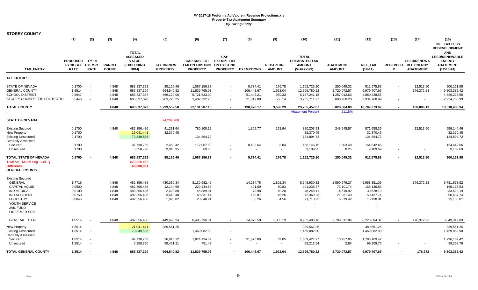| <b>STOREY COUNTY</b>                                                                                                                                                      |                                                |                                                        |                                           |                                                                         |                                                             |                                                                   |                                                                    |                                                  |                                             |                                                                                                         |                                                                 |                                                                                          |      |                                                               |                                                                                                                      |
|---------------------------------------------------------------------------------------------------------------------------------------------------------------------------|------------------------------------------------|--------------------------------------------------------|-------------------------------------------|-------------------------------------------------------------------------|-------------------------------------------------------------|-------------------------------------------------------------------|--------------------------------------------------------------------|--------------------------------------------------|---------------------------------------------|---------------------------------------------------------------------------------------------------------|-----------------------------------------------------------------|------------------------------------------------------------------------------------------|------|---------------------------------------------------------------|----------------------------------------------------------------------------------------------------------------------|
|                                                                                                                                                                           | (1)                                            | (2)                                                    | (3)                                       | (4)                                                                     | (5)                                                         | (6)                                                               | (7)                                                                | (8)                                              | (9)                                         | (10)                                                                                                    | (11)                                                            | (12)                                                                                     | (13) | (14)                                                          | (15)<br><b>NET TAX LESS</b>                                                                                          |
| <b>TAX ENTITY</b>                                                                                                                                                         | <b>PROPOSED</b><br>FY 18 TAX<br><b>RATE</b>    | <b>FY 18</b><br><b>EXEMPT</b><br><b>RATE</b>           | <b>PARCEL</b><br><b>COUNT</b>             | <b>TOTAL</b><br><b>ASSESSED</b><br><b>VALUE</b><br>(EXCLUDING<br>NPM)   | <b>TAX ON NEW</b><br><b>PROPERTY</b>                        | <b>CAP-SUBJECT</b><br><b>TAX ON EXISTING</b><br><b>PROPERTY</b>   | CAP-<br><b>EXEMPT TAX</b><br><b>ON EXISTING</b><br><b>PROPERTY</b> | <b>EXEMPTIONS</b>                                | <b>RECAPTURE</b><br><b>AMOUNT</b>           | <b>TOTAL</b><br>PREABATED TAX<br><b>AMOUNT</b><br>$(5+6+7-8+9)$                                         | <b>ABATEMENT</b><br><b>AMOUNT</b>                               | NET_TAX<br>$(10-11)$                                                                     |      | <b>LEED/RENEWA</b><br>REDEVELO BLE ENERGY<br><b>ABATEMENT</b> | <b>REDEVELOPMENT</b><br><b>AND</b><br><b>LEED/RENEWABLE</b><br><b>ENERGY</b><br><b>ABATEMENT</b><br>$(12 - 13 - 14)$ |
| <b>ALL ENTITIES</b>                                                                                                                                                       |                                                |                                                        |                                           |                                                                         |                                                             |                                                                   |                                                                    |                                                  |                                             |                                                                                                         |                                                                 |                                                                                          |      |                                                               |                                                                                                                      |
| STATE OF NEVADA<br><b>GENERAL COUNTY</b><br><b>SCHOOL DISTRICT</b><br>STOREY COUNTY FIRE PROTECTIO                                                                        | 0.1700<br>1.8514<br>0.8947<br>0.5446           | $\sim$<br>$\sim$<br>$\sim$<br>$\overline{\phantom{a}}$ | 4,848<br>4,848<br>4,848<br>4,848          | 683,837,323<br>685,837,324<br>685,837,337<br>685,837,328                | 85,166.46<br>964,540.82<br>466,120.06<br>283,725.25         | 1,087,156.37<br>11,839,765.03<br>5,721,633.00<br>3,482,732.76     | $\sim$<br>$\overline{\phantom{a}}$                                 | 9,774.41<br>106,448.67<br>51,442.21<br>31,312.88 | 176.78<br>1,923.04<br>930.33<br>566.14      | 1,162,725.20<br>12,699,780.22<br>6,137,241.18<br>3,735,711.27                                           | 250,049.32<br>2,720,072.57<br>1,257,012.63<br>800,950.28        | 912,675.88<br>9,979,707.65<br>4,880,228.55<br>2,934,760.99                               |      | 12,513.90<br>176,372.23<br>$\sim$<br>$\overline{\phantom{a}}$ | 900,161.98<br>9,803,335.42<br>4,880,228.55<br>2,934,760.99                                                           |
| <b>TOTAL COUNTY</b>                                                                                                                                                       |                                                |                                                        | 4,848                                     | 683,837,323                                                             | 1,799,552.58                                                | 22, 131, 287. 16                                                  | $\overline{\phantom{a}}$                                           | 198,978.17                                       | 3,596.29                                    | 23,735,457.87                                                                                           | 5,028,084.80                                                    | 18,707,373.07                                                                            |      | 188,886.13                                                    | 18,518,486.94                                                                                                        |
|                                                                                                                                                                           |                                                |                                                        |                                           |                                                                         |                                                             |                                                                   |                                                                    |                                                  |                                             | <b>Abatement Percent</b>                                                                                | 21.18%                                                          |                                                                                          |      |                                                               |                                                                                                                      |
| <b>STATE OF NEVADA</b>                                                                                                                                                    |                                                |                                                        |                                           |                                                                         | 24,289,200                                                  |                                                                   |                                                                    |                                                  |                                             |                                                                                                         |                                                                 |                                                                                          |      |                                                               |                                                                                                                      |
| <b>Existing Secured</b><br>New Property<br><b>Existing Unsecured</b><br><b>Centrally Assessed</b>                                                                         | 0.1700<br>0.1700<br>0.1700                     |                                                        | 4,848                                     | 482,356,486<br>19,041,441<br>79,349,838                                 | 41,291.64<br>32,370.45                                      | 780,105.12<br>134,894.72                                          | $\blacksquare$                                                     | 1,365.77                                         | 172.94                                      | 820,203.93<br>32,370.45<br>134,894.72                                                                   | 248,545.57                                                      | 571,658.36<br>32,370.45<br>134,894.72                                                    |      | 12,513.90                                                     | 559,144.46<br>32,370.45<br>134,894.72                                                                                |
| Secured<br>Unsecured                                                                                                                                                      | 0.1700<br>0.1700                               |                                                        |                                           | 97,730,768<br>5,358,790                                                 | 2,463.42<br>9,040.95                                        | 172,087.53<br>69.00                                               | $\overline{\phantom{a}}$                                           | 8,408.64                                         | 3.84                                        | 166,146.15<br>9,109.95                                                                                  | 1,503.49<br>0.26                                                | 164,642.66<br>9,109.69                                                                   |      |                                                               | 164,642.66<br>9,109.69                                                                                               |
| TOTAL STATE OF NEVADA                                                                                                                                                     | 0.1700                                         |                                                        | 4,848                                     | 683,837,323                                                             | 85,166.46                                                   | 1,087,156.37                                                      | $\sim$                                                             | 9,774.41                                         | 176.78                                      | 1,162,725.20                                                                                            | 250,049.32                                                      | 912,675.88                                                                               |      | 12,513.90                                                     | 900,161.98                                                                                                           |
| Total AV - March Seg - Col. Q<br><b>Difference</b><br><b>GENERAL COUNTY</b>                                                                                               |                                                |                                                        |                                           | 620,328,462<br>63,508,861                                               |                                                             |                                                                   |                                                                    |                                                  |                                             |                                                                                                         |                                                                 |                                                                                          |      |                                                               |                                                                                                                      |
| Existing Secured<br><b>GENERAL</b><br><b>CAPITAL AQUIS</b><br><b>IND MEDICAL</b><br><b>IND ACCIDENT</b><br><b>FORESTRY</b><br>YOUTH SERVICE<br>JAIL FUND<br>FIRE/EMER SRV | 1.7719<br>0.0500<br>0.0100<br>0.0150<br>0.0045 |                                                        | 4,848<br>4,848<br>4,848<br>4,848<br>4,848 | 482,356,486<br>482,356,486<br>482,356,486<br>482,356,486<br>482,356,486 | 430,380.34<br>12,144.60<br>2,428.88<br>3,643.40<br>1,093.02 | 8,130,982.42<br>229,444.53<br>45,889.01<br>68,831.44<br>20,648.91 |                                                                    | 14,234.78<br>401.69<br>79.98<br>120.87<br>36.26  | 1,802.34<br>50.83<br>10.20<br>15.26<br>4.56 | 8,548,930.32<br>241,238.27<br>48,248.11<br>72,369.23<br>21,710.23<br>$\sim$<br>$\overline{\phantom{a}}$ | 2,590,579.27<br>73,101.74<br>14,619.92<br>21,931.49<br>6,579.42 | 5,958,351.05<br>168,136.53<br>33,628.19<br>50,437.74<br>15,130.81<br>$\blacksquare$<br>٠ |      | 176,372.23                                                    | 5,781,978.82<br>168,136.53<br>33,628.19<br>50,437.74<br>15,130.81                                                    |
| <b>GENERAL TOTAL</b>                                                                                                                                                      | 1.8514                                         |                                                        | 4,848                                     | 482,356,486                                                             | 449,690.24                                                  | 8,495,796.31                                                      | $\overline{\phantom{a}}$                                           | 14,873.58                                        | 1,883.19                                    | 8,932,496.16                                                                                            | 2,706,811.84                                                    | 6,225,684.32                                                                             |      | 176,372.23                                                    | 6,049,312.09                                                                                                         |
| New Property<br><b>Existing Unsecured</b>                                                                                                                                 | 1.8514<br>1.8514                               | $\sim$                                                 |                                           | 21,041,441<br>79,349,838                                                | 389,561.25                                                  | 1,469,082.90                                                      | $\overline{\phantom{a}}$                                           |                                                  |                                             | 389,561.25<br>1,469,082.90                                                                              |                                                                 | 389,561.25<br>1,469,082.90                                                               |      |                                                               | 389,561.25<br>1,469,082.90                                                                                           |
| <b>Centrally Assessed</b><br>Secured<br>Unsecured                                                                                                                         | 1.8514<br>1.8514                               |                                                        |                                           | 97,730,768<br>5,358,790                                                 | 26,828.12<br>98,461.21                                      | 1,874,134.39<br>751.43                                            |                                                                    | 91,575.09                                        | 39.85<br>$\sim$                             | 1,809,427.27<br>99,212.64                                                                               | 13,257.85<br>2.88                                               | 1,796,169.42<br>99,209.76                                                                |      |                                                               | 1,796,169.42<br>99,209.76                                                                                            |
| <b>TOTAL GENERAL COUNTY</b>                                                                                                                                               | 1.8514                                         |                                                        | 4,848                                     | 685,837,324                                                             | 964,540.82                                                  | 11,839,765.03                                                     |                                                                    | 106,448.67                                       | 1,923.04                                    | 12,699,780.22                                                                                           | 2,720,072.57                                                    | 9,979,707.65                                                                             |      | 176,372                                                       | 9,803,335.42                                                                                                         |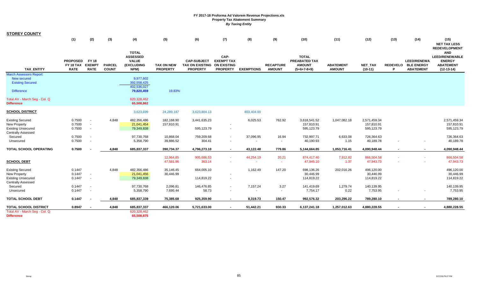| <b>STOREY COUNTY</b>                               |                                             |                                              |                               |                                                                              |                                      |                                                                 |                                                                    |                   |                                   |                                                                        |                                   |                      |        |                                                               |                                                                                          |
|----------------------------------------------------|---------------------------------------------|----------------------------------------------|-------------------------------|------------------------------------------------------------------------------|--------------------------------------|-----------------------------------------------------------------|--------------------------------------------------------------------|-------------------|-----------------------------------|------------------------------------------------------------------------|-----------------------------------|----------------------|--------|---------------------------------------------------------------|------------------------------------------------------------------------------------------|
|                                                    | (1)                                         | (2)                                          | (3)                           | (4)                                                                          | (5)                                  | (6)                                                             | (7)                                                                | (8)               | (9)                               | (10)                                                                   | (11)                              | (12)                 | (13)   | (14)                                                          | (15)<br><b>NET TAX LESS</b><br><b>REDEVELOPMENT</b>                                      |
| <b>TAX ENTITY</b>                                  | <b>PROPOSED</b><br>FY 18 TAX<br><b>RATE</b> | <b>FY 18</b><br><b>EXEMPT</b><br><b>RATE</b> | <b>PARCEL</b><br><b>COUNT</b> | <b>TOTAL</b><br><b>ASSESSED</b><br><b>VALUE</b><br><b>(EXCLUDING</b><br>NPM) | <b>TAX ON NEW</b><br><b>PROPERTY</b> | <b>CAP-SUBJECT</b><br><b>TAX ON EXISTING</b><br><b>PROPERTY</b> | CAP-<br><b>EXEMPT TAX</b><br><b>ON EXISTING</b><br><b>PROPERTY</b> | <b>EXEMPTIONS</b> | <b>RECAPTURE</b><br><b>AMOUNT</b> | <b>TOTAL</b><br><b>PREABATED TAX</b><br><b>AMOUNT</b><br>$(5+6+7-8+9)$ | <b>ABATEMENT</b><br><b>AMOUNT</b> | NET_TAX<br>$(10-11)$ | P      | <b>LEED/RENEWA</b><br>REDEVELO BLE ENERGY<br><b>ABATEMENT</b> | <b>AND</b><br><b>LEED/RENEWABLE</b><br><b>ENERGY</b><br><b>ABATEMENT</b><br>$(12-13-14)$ |
| <b>March Assessors Report:</b>                     |                                             |                                              |                               |                                                                              |                                      |                                                                 |                                                                    |                   |                                   |                                                                        |                                   |                      |        |                                                               |                                                                                          |
| <b>New secured</b><br><b>Existing Secured</b>      |                                             |                                              |                               | 9,977,602<br>392,558,425                                                     |                                      |                                                                 |                                                                    |                   |                                   |                                                                        |                                   |                      |        |                                                               |                                                                                          |
|                                                    |                                             |                                              |                               | 402,536,027                                                                  |                                      |                                                                 |                                                                    |                   |                                   |                                                                        |                                   |                      |        |                                                               |                                                                                          |
| <b>Difference</b>                                  |                                             |                                              |                               | 79,820,459                                                                   | 19.83%                               |                                                                 |                                                                    |                   |                                   |                                                                        |                                   |                      |        |                                                               |                                                                                          |
| Total AV - March Seg - Col. Q<br><b>Difference</b> |                                             |                                              |                               | 620,328,462<br>65,508,862                                                    |                                      |                                                                 |                                                                    |                   |                                   |                                                                        |                                   |                      |        |                                                               |                                                                                          |
| <b>SCHOOL DISTRICT</b>                             |                                             |                                              |                               | 3,623,699                                                                    | 24,289,187                           | 3,623,804.13                                                    |                                                                    | 803,404.00        |                                   |                                                                        |                                   |                      |        |                                                               |                                                                                          |
| <b>Existing Secured</b>                            | 0.7500                                      |                                              | 4,848                         | 482,356,486                                                                  | 182,168.90                           | 3,441,635.23                                                    |                                                                    | 6,025.53          | 762.92                            | 3,618,541.52                                                           | 1,047,082.18                      | 2,571,459.34         |        |                                                               | 2,571,459.34                                                                             |
| New Property                                       | 0.7500                                      |                                              |                               | 21,041,454                                                                   | 157,810.91                           |                                                                 |                                                                    |                   |                                   | 157,810.91                                                             |                                   | 157,810.91           |        |                                                               | 157,810.91                                                                               |
| <b>Existing Unsecured</b>                          | 0.7500                                      | $\sim$                                       |                               | 79,349,838                                                                   |                                      | 595,123.79                                                      |                                                                    |                   |                                   | 595,123.79                                                             |                                   | 595,123.79           |        |                                                               | 595,123.79                                                                               |
| <b>Centrally Assessed</b>                          |                                             |                                              |                               |                                                                              |                                      |                                                                 |                                                                    |                   |                                   |                                                                        |                                   |                      |        |                                                               |                                                                                          |
| Secured                                            | 0.7500                                      |                                              |                               | 97,730,768                                                                   | 10,868.04                            | 759,209.68                                                      |                                                                    | 37,096.95         | 16.94                             | 732,997.71                                                             | 6,633.08                          | 726,364.63           |        |                                                               | 726,364.63                                                                               |
| Unsecured                                          | 0.7500                                      |                                              |                               | 5,358,790                                                                    | 39,886.52                            | 304.41                                                          |                                                                    |                   | $\sim$                            | 40,190.93                                                              | 1.15                              | 40,189.78            |        |                                                               | 40,189.78                                                                                |
| TOTAL SCHOOL OPERATING                             | 0.7500                                      |                                              | 4,848                         | 685,837,337                                                                  | 390,734.37                           | 4,796,273.10                                                    | $\overline{\phantom{a}}$                                           | 43,122.48         | 779.86                            | 5,144,664.85                                                           | 1,053,716.41                      | 4,090,948.44         | $\sim$ | $\sim$                                                        | 4,090,948.44                                                                             |
|                                                    |                                             |                                              |                               |                                                                              | 12,964.85                            | 905,686.53                                                      |                                                                    | 44,254.19         | 20.21                             | 874,417.40                                                             | 7,912.82                          | 866,504.58           |        | $\sim$                                                        | 866,504.58                                                                               |
| <b>SCHOOL DEBT</b>                                 |                                             |                                              |                               |                                                                              | 47,581.96                            | 363.14                                                          |                                                                    |                   | $\sim$                            | 47,945.10                                                              | 1.37                              | 47,943.73            |        |                                                               | 47,943.73                                                                                |
| <b>Existing Secured</b>                            | 0.1447                                      |                                              | 4,848                         | 482,356,486                                                                  | 35,146.45                            | 664,005.10                                                      |                                                                    | 1,162.49          | 147.20                            | 698,136.26                                                             | 202,016.26                        | 496,120.00           |        |                                                               | 496,120.00                                                                               |
| New Property                                       | 0.1447                                      | $\sim$                                       |                               | 21,041,456                                                                   | 30,446.99                            |                                                                 |                                                                    |                   |                                   | 30,446.99                                                              |                                   | 30,446.99            |        |                                                               | 30,446.99                                                                                |
| <b>Existing Unsecured</b>                          | 0.1447                                      | $\sim$                                       |                               | 79,349,838                                                                   |                                      | 114,819.22                                                      |                                                                    |                   |                                   | 114,819.22                                                             |                                   | 114,819.22           |        |                                                               | 114,819.22                                                                               |
| <b>Centrally Assessed</b>                          |                                             |                                              |                               |                                                                              |                                      |                                                                 |                                                                    |                   |                                   |                                                                        |                                   |                      |        |                                                               |                                                                                          |
| Secured                                            | 0.1447                                      |                                              |                               | 97,730,768                                                                   | 2,096.81                             | 146,476.85                                                      | $\overline{\phantom{a}}$                                           | 7,157.24          | 3.27                              | 141,419.69                                                             | 1,279.74                          | 140,139.95           |        |                                                               | 140,139.95                                                                               |
| Unsecured                                          | 0.1447                                      |                                              |                               | 5,358,790                                                                    | 7,695.44                             | 58.73                                                           |                                                                    |                   | $\blacksquare$                    | 7,754.17                                                               | 0.22                              | 7,753.95             |        |                                                               | 7,753.95                                                                                 |
| <b>TOTAL SCHOOL DEBT</b>                           | 0.1447                                      |                                              | 4,848                         | 685,837,339                                                                  | 75,385.68                            | 925,359.90                                                      |                                                                    | 8,319.73          | 150.47                            | 992,576.32                                                             | 203,296.22                        | 789,280.10           |        | $\sim$                                                        | 789,280.10                                                                               |
| <b>TOTAL SCHOOL DISTRICT</b>                       | 0.8947                                      |                                              | 4,848                         | 685,837,337                                                                  | 466,120.06                           | 5,721,633.00                                                    |                                                                    | 51,442.21         | 930.33                            | 6,137,241.18                                                           | 1,257,012.63                      | 4,880,228.55         |        | $\sim$                                                        | 4,880,228.55                                                                             |
| Total AV - March Seg - Col. Q<br><b>Difference</b> |                                             |                                              |                               | 620,328,462<br>65,508,875                                                    |                                      |                                                                 |                                                                    |                   |                                   |                                                                        |                                   |                      |        |                                                               |                                                                                          |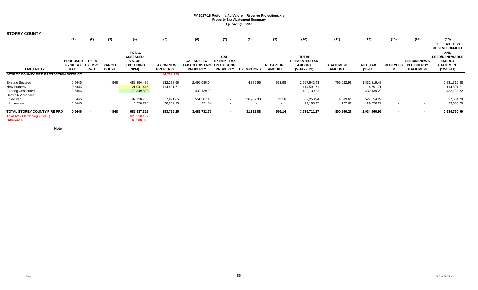| <b>STOREY COUNTY</b>                               |                 |               |               |                           |                 |                             |                   |                   |                  |               |                  |                |                          |                    |                                    |
|----------------------------------------------------|-----------------|---------------|---------------|---------------------------|-----------------|-----------------------------|-------------------|-------------------|------------------|---------------|------------------|----------------|--------------------------|--------------------|------------------------------------|
|                                                    | (1)             | (2)           | (3)           | (4)                       | (5)             | (6)                         | (7)               | (8)               | (9)              | (10)          | (11)             | (12)           | (13)                     | (14)               | (15)                               |
|                                                    |                 |               |               |                           |                 |                             |                   |                   |                  |               |                  |                |                          |                    | <b>NET TAX LESS</b>                |
|                                                    |                 |               |               | <b>TOTAL</b>              |                 |                             |                   |                   |                  |               |                  |                |                          |                    | <b>REDEVELOPMENT</b><br><b>AND</b> |
|                                                    |                 |               |               | <b>ASSESSED</b>           |                 |                             | CAP-              |                   |                  | <b>TOTAL</b>  |                  |                |                          |                    | <b>LEED/RENEWABLE</b>              |
|                                                    | <b>PROPOSED</b> | <b>FY 18</b>  |               | <b>VALUE</b>              |                 | <b>CAP-SUBJECT</b>          | <b>EXEMPT TAX</b> |                   |                  | PREABATED TAX |                  |                |                          | <b>LEED/RENEWA</b> | <b>ENERGY</b>                      |
|                                                    | FY 18 TAX       | <b>EXEMPT</b> | <b>PARCEL</b> | <b>(EXCLUDING</b>         | TAX ON NEW      | TAX ON EXISTING ON EXISTING |                   |                   | <b>RECAPTURE</b> | <b>AMOUNT</b> | <b>ABATEMENT</b> | <b>NET TAX</b> | <b>REDEVELO</b>          | <b>BLE ENERGY</b>  | <b>ABATEMENT</b>                   |
| <b>TAX ENTITY</b>                                  | <b>RATE</b>     | <b>RATE</b>   | <b>COUNT</b>  | NPM)                      | <b>PROPERTY</b> | <b>PROPERTY</b>             | <b>PROPERTY</b>   | <b>EXEMPTIONS</b> | <b>AMOUNT</b>    | $(5+6+7-8+9)$ | <b>AMOUNT</b>    | $(10-11)$      |                          | <b>ABATEMENT</b>   | $(12-13-14)$                       |
| STOREY COUNTY FIRE PROTECTION DISTRICT             |                 |               |               |                           | 24,289,196      |                             |                   |                   |                  |               |                  |                |                          |                    |                                    |
| <b>Existing Secured</b>                            | 0.5446          |               | 4,848         | 482,356,486               | 132,278.96      | 2,499,085.04                |                   | 4,375.55          | 553.98           | 2,627,542.43  | 796,222.95       | 1,831,319.48   |                          |                    | 1,831,319.48                       |
| New Property                                       | 0.5446          |               |               | 21,041,445                | 114,591.71      |                             | $\sim$            |                   |                  | 114,591.71    |                  | 114,591.71     |                          |                    | 114,591.71                         |
| <b>Existing Unsecured</b>                          | 0.5446          |               |               | 79,349,838                |                 | 432,139.22                  | $\sim$            |                   |                  | 432,139.22    |                  | 432,139.22     |                          |                    | 432,139.22                         |
| <b>Centrally Assessed</b>                          |                 |               |               |                           |                 |                             |                   |                   |                  |               |                  |                |                          |                    |                                    |
| Secured                                            | 0.5446          |               |               | 97,730,768                | 7,891.65        | 551,287.46                  | $\sim$            | 26,937.33         | 12.16            | 532,253.94    | 4,599.65         | 527,654.29     |                          |                    | 527,654.29                         |
| Unsecured                                          | 0.5446          |               |               | 5,358,790                 | 28,962.93       | 221.04                      | $\sim$            |                   | $\sim$           | 29,183.97     | 127.68           | 29,056.29      | $\overline{\phantom{a}}$ | $\sim$             | 29,056.29                          |
| TOTAL STOREY COUNTY FIRE PRO                       | 0.5446          |               | 4,848         | 685,837,328               | 283,725.25      | 3,482,732.76                | $\sim$            | 31,312.88         | 566.14           | 3,735,711.27  | 800,950.28       | 2,934,760.99   |                          | $\sim$             | 2,934,760.99                       |
| Total AV - March Seg - Col. Q<br><b>Difference</b> |                 |               |               | 620,328,462<br>65,508,866 |                 |                             |                   |                   |                  |               |                  |                |                          |                    |                                    |

**Note:**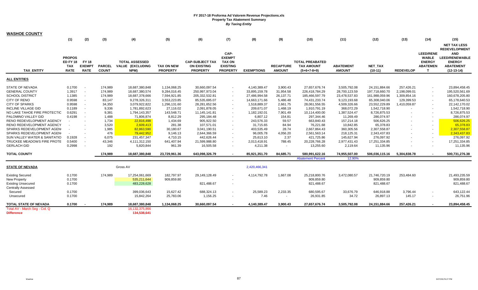| <b>WASHOE COUNTY</b>                               |                               |                               |               |                                           |                   |                                              |                                  |                   |                  |                                             |                  |                |                  |                                  |                                   |
|----------------------------------------------------|-------------------------------|-------------------------------|---------------|-------------------------------------------|-------------------|----------------------------------------------|----------------------------------|-------------------|------------------|---------------------------------------------|------------------|----------------|------------------|----------------------------------|-----------------------------------|
|                                                    | (1)                           | (2)                           | (3)           | (4)                                       | (5)               | (6)                                          | (7)                              | (8)               | (9)              | (10)                                        | (11)             | (12)           | (13)             | (14)                             | (15)                              |
|                                                    |                               |                               |               |                                           |                   |                                              |                                  |                   |                  |                                             |                  |                |                  |                                  | <b>NET TAX LESS</b>               |
|                                                    |                               |                               |               |                                           |                   |                                              |                                  |                   |                  |                                             |                  |                |                  |                                  | <b>REDEVELOPMENT</b>              |
|                                                    |                               |                               |               |                                           |                   |                                              | CAP-                             |                   |                  |                                             |                  |                |                  | <b>LEED/RENE</b>                 | <b>AND</b>                        |
|                                                    | <b>PROPOS</b>                 |                               |               |                                           |                   |                                              | <b>EXEMPT</b>                    |                   |                  |                                             |                  |                |                  | <b>WABLE</b>                     | <b>LEED/RENEWABLE</b>             |
|                                                    | <b>ED FY 18</b><br><b>TAX</b> | <b>FY 18</b><br><b>EXEMPT</b> | <b>PARCEL</b> | <b>TOTAL ASSESSED</b><br>VALUE (EXCLUDING | <b>TAX ON NEW</b> | <b>CAP-SUBJECT TAX</b><br><b>ON EXISTING</b> | <b>TAX ON</b><br><b>EXISTING</b> |                   | <b>RECAPTURE</b> | <b>TOTAL PREABATED</b><br><b>TAX AMOUNT</b> | <b>ABATEMENT</b> | NET_TAX        |                  | <b>ENERGY</b><br><b>ABATEMEN</b> | <b>ENERGY</b><br><b>ABATEMENT</b> |
| <b>TAX ENTITY</b>                                  | <b>RATE</b>                   | <b>RATE</b>                   | <b>COUNT</b>  | NPM)                                      | <b>PROPERTY</b>   | <b>PROPERTY</b>                              | <b>PROPERTY</b>                  | <b>EXEMPTIONS</b> | <b>AMOUNT</b>    | $(5+6+7-8+9)$                               | <b>AMOUNT</b>    | $(10-11)$      | <b>REDEVELOP</b> | $\mathbf{T}$                     | $(12-13-14)$                      |
|                                                    |                               |                               |               |                                           |                   |                                              |                                  |                   |                  |                                             |                  |                |                  |                                  |                                   |
| <b>ALL ENTITIES</b>                                |                               |                               |               |                                           |                   |                                              |                                  |                   |                  |                                             |                  |                |                  |                                  |                                   |
| <b>STATE OF NEVADA</b>                             | 0.1700                        |                               | 174,989       | 18,687,380,848                            | 1,134,068.25      | 30,660,097.54                                | $\blacksquare$                   | 4,140,389.47      | 3,900.43         | 27,657,676.74                               | 3,505,792.08     | 24,151,884.66  | 257,426.21       |                                  | 23,894,458.45                     |
| <b>GENERAL COUNTY</b>                              | 1.3917                        |                               | 174,989       | 18,687,380,574                            | 9,284,016.45      | 250,997,973.04                               | $\sim$                           | 33,895,159.78     | 31,954.58        | 226,418,784.29                              | 28,700,123.59    | 197,718,660.70 | 2,198,099.01     |                                  | 195,520,561.69                    |
| <b>SCHOOL DISTRICT</b>                             | 1.1385                        |                               | 174,989       | 18,687,378,666                            | 7,594,921.85      | 205,332,532.81                               | $\sim$                           | 27,486,994.58     | 26,137.71        | 185,466,597.79                              | 23,478,537.83    | 161,988,059.96 | 1,309,854.16     |                                  | 160,678,205.80                    |
| CITY OF RENO                                       | 0.9598                        |                               | 83,147        | 9,278,326,311                             | 3,553,223.85      | 85,535,695.07                                |                                  | 14,663,171.66     | 5,486.48         | 74,431,233.74                               | 9,123,193.68     | 65,308,040.06  | 129,399.53       |                                  | 65,178,640.53                     |
| <b>CITY OF SPARKS</b>                              | 0.9598                        |                               | 34,350        | 3,079,922,822                             | 1,296,131.60      | 28,281,652.56                                | $\overline{\phantom{a}}$         | 1,518,889.37      | 2,661.75         | 28,061,556.55                               | 4,509,326.66     | 23,552,229.89  | 1,410,059.87     |                                  | 22,142,170.02                     |
| <b>INCLINE VILLAGE GID</b>                         | 0.1189                        |                               | 9,336         | 1,781,892,623                             | 27,116.02         | 2,091,878.05                                 | $\blacksquare$                   | 209,671.07        | 1,468.19         | 1,910,791.19                                | 368,072.29       | 1,542,718.90   |                  |                                  | 1,542,718.90                      |
| NO LAKE TAHOE FIRE PROTECTIC                       | 0.6291                        |                               | 9,381         | 1,794,143,357                             | 143,548.71        | 11,145,141.81                                | $\sim$                           | 1,182,192.01      | 7,901.49         | 10,114,400.00                               | 1,387,524.47     | 8,726,875.53   |                  |                                  | 8,726,875.53                      |
| PALOMINO VALLEY GID                                | 0.4198                        |                               | 1,488         | 71,806,874                                | 8,812.29          | 295,184.48                                   | $\sim$                           | 6,807.12          | 154.81           | 297,344.46                                  | 11,269.49        | 286,074.97     |                  |                                  | 286,074.97                        |
| RENO REDEVELOPMENT AGENCY                          |                               |                               | 1,734         | 22,816,498                                | 1,434.69          | 905,922.50                                   | $\sim$                           | 243,576.33        | 59.57            | 663,840.43                                  | 157,214.18       | 506,626.25     |                  | $\sim$                           | 506,626.25                        |
| RENO REDEVELOPMENT AGENCY                          |                               |                               | 3,520         | 2,609,413                                 | 281.38            | 107,571.01                                   |                                  | 31,715.65         | 84.94            | 76,221.68                                   | 10,842.85        | 65,378.83      |                  |                                  | 65,378.83                         |
| SPARKS REDEVELOPMENT AGEN                          |                               |                               | 1,985         | 82,863,590                                | 30,180.67         | 3,041,190.51                                 | $\sim$                           | 403,535.49        | 28.74            | 2,667,864.43                                | 360,305.56       | 2,307,558.87   |                  | $\sim$                           | 2,307,558.87                      |
| SPARKS REDEVELOPMENT AGEN                          |                               |                               | 476           | 79,442,952                                | 9,146.13          | 2,644,366.59                                 | $\sim$                           | 96,005.78         | 4,056.20         | 2,561,563.14                                | 218,125.31       | 2,343,437.83   |                  | $\sim$                           | 2,343,437.83                      |
| SUN VALLEY WATER & SANITATIO                       | 0.1928                        |                               | 6,075         | 231,457,347                               | 4,710.15          | 442.626.44                                   |                                  | 25,613.10         | 2.37             | 421,725.86                                  | 145,627.94       | 276,097.92     |                  |                                  | 276,097.92                        |
| TRUCKEE MEADOWS FIRE PROTE                         | 0.5400                        |                               | 43,346        | 4,111,312,150                             | 641,407.94        | 21,599,988.80                                | $\sim$                           | 2,013,418.91      | 788.45           | 20,228,766.28                               | 2,977,431.43     | 17,251,334.85  |                  |                                  | 17,251,334.85                     |
| <b>GERLACH GID</b>                                 | 0.2998                        |                               | 192           | 5,820,844                                 | 961.39            | 16,505.58                                    | $\sim$                           | 4,211.38          | $\sim$           | 13,255.60                                   | 2,119.64         | 11,135.96      |                  |                                  | 11,135.96                         |
| <b>TOTAL COUNTY</b>                                |                               |                               | 174,989       | 18,687,380,848                            | 23,729,961.36     | 643,098,326.79                               | $\sim$                           | 85,921,351.70     | 84,685.71        | 580,991,622.16                              | 74,955,507.00    | 506,036,115.16 | 5,304,838.78     |                                  | 500,731,276.38                    |
|                                                    |                               |                               |               |                                           |                   |                                              |                                  |                   |                  | <b>Abatement Percent</b>                    | 12.90%           |                |                  |                                  |                                   |
| <b>STATE OF NEVADA</b>                             |                               |                               |               | Gross AV                                  |                   |                                              |                                  | 2,420,466,341     |                  |                                             |                  |                |                  |                                  |                                   |
| <b>Existing Secured</b>                            | 0.1700                        |                               | 174,989       | 17,254,061,669                            | 182,797.97        | 29,149,128.49                                | $\sim$                           | 4,114,792.78      | 1,667.08         | 25,218,800.76                               | 3,472,080.57     | 21,746,720.19  | 253,484.60       |                                  | 21,493,235.59                     |
| <b>New Property</b>                                | 0.1700                        |                               |               | 535,211,644                               | 909,859.80        |                                              |                                  |                   |                  | 909,859.80                                  |                  | 909,859.80     |                  |                                  | 909,859.80                        |
| <b>Existing Unsecured</b>                          | 0.1700                        |                               |               | 483,228,628                               |                   | 821,488.67                                   | $\sim$                           |                   |                  | 821,488.67                                  |                  | 821,488.67     |                  |                                  | 821,488.67                        |
| <b>Centrally Assessed</b>                          |                               |                               |               |                                           |                   |                                              |                                  |                   |                  |                                             |                  |                |                  |                                  |                                   |
| Secured                                            | 0.1700                        |                               |               | 399,036,643                               | 15,627.42         | 688,324.13                                   | $\blacksquare$                   | 25,589.23         | 2,233.35         | 680,595.67                                  | 33,676.79        | 646,918.88     | 3,796.44         |                                  | 643,122.44                        |
| Unsecured                                          | 0.1700                        |                               |               | 15,842,264                                | 25,783.06         | 1,156.25                                     | $\sim$                           | 7.46              | $\sim$           | 26,931.85                                   | 34.72            | 26,897.13      | 145.17           |                                  | 26,751.96                         |
| TOTAL STATE OF NEVADA                              | 0.1700                        |                               | 174,989       | 18,687,380,848                            | 1,134,068.25      | 30,660,097.54                                | $\overline{a}$                   | 4,140,389.47      | 3,900.43         | 27,657,676.74                               | 3,505,792.08     | 24,151,884.66  | 257,426.21       |                                  | 23,894,458.45                     |
| Total AV - March Seg - Col. Q<br><b>Difference</b> |                               |                               |               | 16,132,375,866<br>134,538,641             |                   |                                              |                                  |                   |                  |                                             |                  |                |                  |                                  |                                   |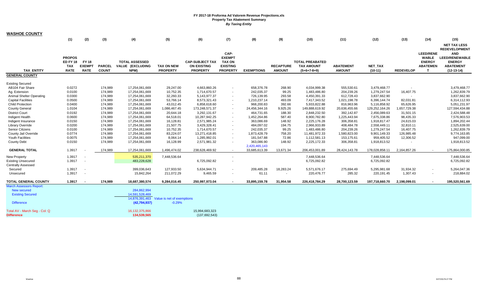| WASHOE COUNTY                   |                 |               |               |                       |                            |                        |                          |                   |                  |                        |                  |                |                  |                  |                       |
|---------------------------------|-----------------|---------------|---------------|-----------------------|----------------------------|------------------------|--------------------------|-------------------|------------------|------------------------|------------------|----------------|------------------|------------------|-----------------------|
|                                 | (1)             | (2)           | (3)           | (4)                   | (5)                        | (6)                    | (7)                      | (8)               | (9)              | (10)                   | (11)             | (12)           | (13)             | (14)             | (15)                  |
|                                 |                 |               |               |                       |                            |                        |                          |                   |                  |                        |                  |                |                  |                  | <b>NET TAX LESS</b>   |
|                                 |                 |               |               |                       |                            |                        |                          |                   |                  |                        |                  |                |                  |                  | <b>REDEVELOPMENT</b>  |
|                                 |                 |               |               |                       |                            |                        | CAP-                     |                   |                  |                        |                  |                |                  | <b>LEED/RENE</b> | <b>AND</b>            |
|                                 | <b>PROPOS</b>   |               |               |                       |                            |                        | <b>EXEMPT</b>            |                   |                  |                        |                  |                |                  | <b>WABLE</b>     | <b>LEED/RENEWABLE</b> |
|                                 | <b>ED FY 18</b> | <b>FY 18</b>  |               | <b>TOTAL ASSESSED</b> |                            | <b>CAP-SUBJECT TAX</b> | <b>TAX ON</b>            |                   |                  | <b>TOTAL PREABATED</b> |                  |                |                  | <b>ENERGY</b>    | <b>ENERGY</b>         |
|                                 | <b>TAX</b>      | <b>EXEMPT</b> | <b>PARCEL</b> | VALUE (EXCLUDING      | <b>TAX ON NEW</b>          | <b>ON EXISTING</b>     | <b>EXISTING</b>          |                   | <b>RECAPTURE</b> | <b>TAX AMOUNT</b>      | <b>ABATEMENT</b> | NET_TAX        |                  | <b>ABATEMEN</b>  | <b>ABATEMENT</b>      |
| <b>TAX ENTITY</b>               | <b>RATE</b>     | <b>RATE</b>   | <b>COUNT</b>  | NPM)                  | <b>PROPERTY</b>            | <b>PROPERTY</b>        | <b>PROPERTY</b>          | <b>EXEMPTIONS</b> | <b>AMOUNT</b>    | $(5+6+7-8+9)$          | <b>AMOUNT</b>    | $(10-11)$      | <b>REDEVELOP</b> | $\mathbf{T}$     | $(12-13-14)$          |
| <b>GENERAL COUNTY</b>           |                 |               |               |                       |                            |                        |                          |                   |                  |                        |                  |                |                  |                  |                       |
|                                 |                 |               |               |                       |                            |                        |                          |                   |                  |                        |                  |                |                  |                  |                       |
| <b>Existing Secured</b>         |                 |               |               |                       |                            |                        |                          |                   |                  |                        |                  |                |                  |                  |                       |
| AB104 Fair Share                | 0.0272          |               | 174,989       | 17,254,061,669        | 29,247.00                  | 4,663,860.26           |                          | 658,376.78        | 268.90           | 4,034,999.38           | 555,530.61       | 3,479,468.77   |                  |                  | 3,479,468.77          |
| Ag. Extension                   | 0.0100          |               | 174,989       | 17,254,061,669        | 10,752.35                  | 1,714,670.57           | $\sim$                   | 242,035.37        | 99.25            | 1,483,486.80           | 204,239.26       | 1,279,247.54   | 16,407.75        |                  | 1,262,839.79          |
| <b>Animal Shelter Operating</b> | 0.0300          |               | 174,989       | 17,254,061,669        | 32,260.33                  | 5,143,977.37           |                          | 726,139.95        | 293.58           | 4,450,391.33           | 612,728.43       | 3,837,662.90   |                  |                  | 3,837,662.90          |
| <b>Capital Facilities</b>       | 0.0500          |               | 174,989       | 17,254,061,669        | 53,766.14                  | 8,573,321.43           |                          | 1,210,237.14      | 493.09           | 7,417,343.52           | 1,021,198.78     | 6,396,144.74   | 82,031.81        |                  | 6,314,112.93          |
| <b>Child Protection</b>         | 0.0400          |               | 174,989       | 17,254,061,669        | 43,012.45                  | 6,858,618.60           | $\overline{\phantom{a}}$ | 968,200.83        | 392.66           | 5,933,822.88           | 816,963.96       | 5,116,858.92   | 65,626.95        |                  | 5,051,231.97          |
| <b>County General</b>           | 1.0104          |               | 174,989       | 17,254,061,669        | 1,086,467.45               | 173,248,571.37         | $\overline{\phantom{a}}$ | 24,456,344.16     | 9,925.26         | 149,888,619.92         | 20,636,455.66    | 129,252,164.26 | 1,657,729.38     |                  | 127,594,434.88        |
| <b>District Court</b>           | 0.0192          |               | 174,989       | 17,254,061,669        | 20,644.18                  | 3,292,131.67           |                          | 464,731.65        | 188.30           | 2,848,232.50           | 392,142.87       | 2,456,089.63   | 31,501.15        |                  | 2,424,588.48          |
| Indigent Health                 | 0.0600          |               | 174,989       | 17,254,061,669        | 64,518.01                  | 10,287,942.25          | $\sim$                   | 1,452,264.86      | 587.40           | 8,900,782.80           | 1,225,443.94     | 7,675,338.86   | 98,435.33        |                  | 7,576,903.53          |
| Indigent Insurance              | 0.0150          |               | 174,989       | 17,254,061,669        | 16,128.81                  | 2,571,985.24           |                          | 363,086.69        | 148.92           | 2,225,176.28           | 306,358.81       | 1,918,817.47   | 24,615.03        |                  | 1,894,202.44          |
| Library Override                | 0.0200          |               | 174,989       | 17,254,061,669        | 21,507.75                  | 3,429,328.41           |                          | 484,097.02        | 194.75           | 2,966,933.89           | 408,484.78       | 2,558,449.11   | 32,810.11        |                  | 2,525,639.00          |
| <b>Senior Citizens</b>          | 0.0100          |               | 174,989       | 17,254,061,669        | 10,752.35                  | 1,714,670.57           | $\sim$                   | 242,035.37        | 99.25            | 1,483,486.80           | 204,239.26       | 1,279,247.54   | 16,407.75        |                  | 1,262,839.79          |
| County Jail Override            | 0.0774          |               | 174,989       | 17,254,061,669        | 83,224.07                  | 13,271,418.85          |                          | 1,873,428.79      | 758.20           | 11,481,972.33          | 1,580,823.00     | 9,901,149.33   | 126,985.48       |                  | 9,774,163.85          |
| Youth Facilities                | 0.0075          |               | 174,989       | 17,254,061,669        | 8,064.14                   | 1,285,992.01           |                          | 181,547.88        | 72.86            | 1,112,581.13           | 153,175.61       | 959,405.52     | 12,306.52        |                  | 947,099.00            |
| <b>County Debt</b>              | 0.0150          |               | 174,989       | 17,254,061,669        | 16,128.99                  | 2,571,981.32           | $\sim$                   | 363,086.90        | 148.92           | 2,225,172.33           | 306,358.81       | 1,918,813.52   |                  |                  | 1,918,813.52          |
|                                 |                 |               |               |                       |                            |                        |                          | 2,420,465,143     |                  |                        |                  |                |                  |                  |                       |
| <b>GENERAL TOTAL</b>            | 1.3917          |               | 174,989       | 17,254,061,669        | 1,496,474.02               | 238,628,469.92         | $\sim$                   | 33,685,613.39     | 13,671.34        | 206,453,001.89         | 28,424,143.78    | 178,028,858.11 | 2,164,857.26     |                  | 175,864,000.85        |
| <b>New Property</b>             | 1.3917          |               |               | 535,211,370           | 7,448,536.64               |                        | $\sim$                   |                   |                  | 7,448,536.64           |                  | 7,448,536.64   |                  |                  | 7,448,536.64          |
| <b>Existing Unsecured</b>       | 1.3917          |               |               | 483,228,628           |                            | 6,725,092.82           |                          |                   |                  | 6,725,092.82           |                  | 6,725,092.82   |                  |                  | 6,725,092.82          |
| <b>Centrally Assessed</b>       |                 |               |               |                       |                            |                        |                          |                   |                  |                        |                  |                |                  |                  |                       |
| Secured                         | 1.3917          | $\sim$        |               | 399,036,643           | 127,933.50                 | 5,634,944.71           |                          | 209,485.28        | 18,283.24        | 5,571,676.17           | 275,694.49       | 5,295,981.68   | 31,934.32        |                  | 5,264,047.36          |
| Unsecured                       | 1.3917          |               |               | 15,842,264            | 211,072.29                 | 9,465.59               |                          | 61.11             |                  | 220,476.77             | 285.32           | 220,191.45     | 1,307.43         |                  | 218,884.02            |
|                                 |                 |               |               |                       |                            |                        |                          |                   |                  |                        |                  |                |                  |                  |                       |
| TOTAL GENERAL COUNTY            | 1.3917          |               | 174,989       | 18,687,380,574        | 9,284,016.45               | 250,997,973.04         |                          | 33,895,159.78     | 31,954.58        | 226,418,784.29         | 28,700,123.59    | 197,718,660.70 | 2,198,099.01     |                  | 195,520,561.69        |
| <b>March Assessors Report:</b>  |                 |               |               |                       |                            |                        |                          |                   |                  |                        |                  |                |                  |                  |                       |
| <b>New secured</b>              |                 |               |               | 284,862,994           |                            |                        |                          |                   |                  |                        |                  |                |                  |                  |                       |
| <b>Existing Secured</b>         |                 |               |               | 14,591,528,469        |                            |                        |                          |                   |                  |                        |                  |                |                  |                  |                       |
|                                 |                 |               |               | 14,876,391,463        | Value is net of exemptions |                        |                          |                   |                  |                        |                  |                |                  |                  |                       |
| <b>Difference</b>               |                 |               |               | (42, 794, 937)        | $-0.29%$                   |                        |                          |                   |                  |                        |                  |                |                  |                  |                       |
| Total AV - March Seg - Col. Q   |                 |               |               | 16, 132, 375, 866     |                            | 15,994,683,323         |                          |                   |                  |                        |                  |                |                  |                  |                       |
| <b>Difference</b>               |                 |               |               | 134,539,565           |                            | (137, 692, 543)        |                          |                   |                  |                        |                  |                |                  |                  |                       |
|                                 |                 |               |               |                       |                            |                        |                          |                   |                  |                        |                  |                |                  |                  |                       |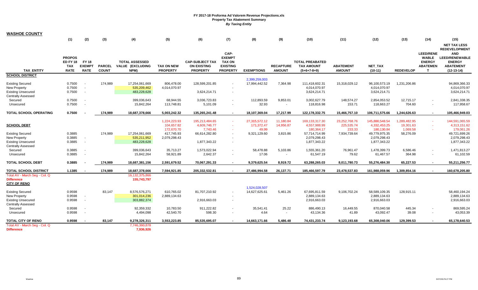| <b>WASHOE COUNTY</b>          |               |               |               |                       |                   |                        |                          |                   |                  |                        |                  |                |                  |                  |                      |
|-------------------------------|---------------|---------------|---------------|-----------------------|-------------------|------------------------|--------------------------|-------------------|------------------|------------------------|------------------|----------------|------------------|------------------|----------------------|
|                               | (1)           | (2)           | (3)           | (4)                   | (5)               | (6)                    | (7)                      | (8)               | (9)              | (10)                   | (11)             | (12)           | (13)             | (14)             | (15)                 |
|                               |               |               |               |                       |                   |                        |                          |                   |                  |                        |                  |                |                  |                  | <b>NET TAX LESS</b>  |
|                               |               |               |               |                       |                   |                        |                          |                   |                  |                        |                  |                |                  |                  | <b>REDEVELOPMENT</b> |
|                               |               |               |               |                       |                   |                        | CAP-                     |                   |                  |                        |                  |                |                  | <b>LEED/RENE</b> | <b>AND</b>           |
|                               | <b>PROPOS</b> |               |               |                       |                   |                        | <b>EXEMPT</b>            |                   |                  |                        |                  |                |                  | <b>WABLE</b>     | LEED/RENEWABLE       |
|                               | ED FY 18      | <b>FY 18</b>  |               | <b>TOTAL ASSESSED</b> |                   | <b>CAP-SUBJECT TAX</b> | <b>TAX ON</b>            |                   |                  | <b>TOTAL PREABATED</b> |                  |                |                  | <b>ENERGY</b>    | <b>ENERGY</b>        |
|                               | TAX           | <b>EXEMPT</b> | <b>PARCEL</b> | VALUE (EXCLUDING      | <b>TAX ON NEW</b> | <b>ON EXISTING</b>     | <b>EXISTING</b>          |                   | <b>RECAPTURE</b> | <b>TAX AMOUNT</b>      | <b>ABATEMENT</b> | NET_TAX        |                  | <b>ABATEMEN</b>  | <b>ABATEMENT</b>     |
| <b>TAX ENTITY</b>             | <b>RATE</b>   | <b>RATE</b>   | <b>COUNT</b>  | NPM)                  | <b>PROPERTY</b>   | <b>PROPERTY</b>        | <b>PROPERTY</b>          | <b>EXEMPTIONS</b> | <b>AMOUNT</b>    | $(5+6+7-8+9)$          | <b>AMOUNT</b>    | $(10-11)$      | <b>REDEVELOP</b> | т                | $(12-13-14)$         |
| <b>SCHOOL DISTRICT</b>        |               |               |               |                       |                   |                        |                          | 2,399,259,003     |                  |                        |                  |                |                  |                  |                      |
| <b>Existing Secured</b>       | 0.7500        |               | 174,989       | 17,254,061,669        | 806,478.00        | 128,599,201.85         |                          | 17,994,442.52     | 7,364.98         | 111,418,602.31         | 15,318,029.12    | 96,100,573.19  | 1,231,206.86     |                  | 94.869.366.33        |
| <b>New Property</b>           | 0.7500        |               |               | 535,209,462           | 4,014,070.97      |                        |                          |                   |                  | 4,014,070.97           |                  | 4,014,070.97   |                  |                  | 4,014,070.97         |
| <b>Existing Unsecured</b>     | 0.7500        | $\sim$        |               | 483,228,628           |                   | 3,624,214.71           | $\blacksquare$           |                   |                  | 3,624,214.71           |                  | 3,624,214.71   |                  |                  | 3,624,214.71         |
| <b>Centrally Assessed</b>     |               |               |               |                       |                   |                        |                          |                   |                  |                        |                  |                |                  |                  |                      |
| Secured                       | 0.7500        |               |               | 399,036,643           | 68,944.55         | 3,036,723.83           | $\blacksquare$           | 112,893.59        | 9,853.01         | 3,002,627.79           | 148,574.27       | 2,854,053.52   | 12,715.17        | $\sim$           | 2,841,338.35         |
| Unsecured                     | 0.7500        |               |               | 15,842,264            | 113,748.81        | 5,101.09               | $\blacksquare$           | 32.93             | $\sim$           | 118,816.98             | 153.71           | 118,663.27     | 704.60           | $\sim$           | 117,958.67           |
| <b>TOTAL SCHOOL OPERATING</b> | 0.7500        |               | 174,989       | 18,687,378,666        | 5,003,242.32      | 135,265,241.48         | $\sim$                   | 18,107,369.04     | 17,217.99        | 122, 178, 332. 75      | 15,466,757.10    | 106,711,575.66 | 1,244,626.63     | $\sim$           | 105,466,949.03       |
|                               |               |               |               |                       | 1,224,223.93      | 195,213,484.65         | $\sim$                   | 27,315,572.12     | 11,180.84        | 169, 133, 317. 30      | 23.252.768.76    | 145.880.548.54 | 1,289,482.95     | $\sim$           | 144.591.065.59       |
| <b>SCHOOL DEBT</b>            |               |               |               |                       | 104,657.82        | 4,609,746.77           | $\sim$                   | 171,372.47        | 14,956.87        | 4,557,988.99           | 225,535.74       | 4,332,453.25   | 19,301.63        |                  | 4,313,151.62         |
|                               |               |               |               |                       | 172,670.70        | 7,743.46               | $\sim$                   | 49.99             |                  | 180,364.17             | 233.33           | 180,130.84     | 1,069.58         |                  | 179,061.26           |
| <b>Existing Secured</b>       | 0.3885        |               | 174,989       | 17,254,061,669        | 417,745.93        | 66,614,282.80          | $\blacksquare$           | 9,321,129.60      | 3,815.86         | 57,714,714.99          | 7,934,739.64     | 49,779,975.35  | 58,276.09        |                  | 49,721,699.26        |
| New Property                  | 0.3885        | $\sim$        |               | 535,211,952           | 2,079,298.43      |                        |                          |                   |                  | 2,079,298.43           |                  | 2,079,298.43   |                  |                  | 2,079,298.43         |
| <b>Existing Unsecured</b>     | 0.3885        | $\sim$        |               | 483,228,628           |                   | 1,877,343.22           | $\overline{\phantom{a}}$ |                   |                  | 1,877,343.22           |                  | 1,877,343.22   |                  |                  | 1,877,343.22         |
| <b>Centrally Assessed</b>     |               |               |               |                       |                   |                        |                          |                   |                  |                        |                  |                |                  |                  |                      |
| Secured                       | 0.3885        |               |               | 399,036,643           | 35,713.27         | 1,573,022.94           |                          | 58,478.88         | 5,103.86         | 1,555,361.20           | 76,961.47        | 1,478,399.73   | 6,586.46         | $\blacksquare$   | 1,471,813.27         |
| Unsecured                     | 0.3885        | $\sim$        |               | 15,842,264            | 58,921.89         | 2,642.37               | $\blacksquare$           | 17.06             | $\sim$           | 61,547.19              | 79.62            | 61,467.57      | 364.98           | $\sim$           | 61,102.59            |
| <b>TOTAL SCHOOL DEBT</b>      | 0.3885        |               | 174,989       | 18,687,381,156        | 2,591,679.52      | 70,067,291.33          | $\overline{\phantom{a}}$ | 9,379,625.54      | 8,919.72         | 63,288,265.03          | 8,011,780.73     | 55,276,484.30  | 65,227.53        | $\sim$           | 55,211,256.77        |
| <b>TOTAL SCHOOL DISTRICT</b>  | 1.1385        |               | 174,989       | 18,687,378,666        | 7,594,921.85      | 205,332,532.81         | $\sim$                   | 27,486,994.58     | 26,137.71        | 185,466,597.79         | 23,478,537.83    | 161,988,059.96 | 1,309,854.16     | $\sim$           | 160,678,205.80       |
| Total AV - March Seg - Col. Q |               |               |               | 16,132,375,866        |                   |                        |                          |                   |                  |                        |                  |                |                  |                  |                      |
| <b>Difference</b>             |               |               |               | 155,743,797           |                   |                        |                          |                   |                  |                        |                  |                |                  |                  |                      |
| <b>CITY OF RENO</b>           |               |               |               |                       |                   |                        |                          |                   |                  |                        |                  |                |                  |                  |                      |
|                               |               |               |               |                       |                   |                        |                          | 1,524,028,507     |                  |                        |                  |                |                  |                  |                      |
| <b>Existing Secured</b>       | 0.9598        |               | 83,147        | 8,576,576,271         | 610,765.02        | 81,707,210.92          | $\blacksquare$           | 14,627,625.61     | 5,461.26         | 67,695,811.59          | 9,106,702.24     | 58,589,109.35  | 128,915.11       |                  | 58,460,194.24        |
| New Property                  | 0.9598        | $\sim$        |               | 301,014,236           | 2,889,134.63      |                        |                          |                   |                  | 2,889,134.63           |                  | 2,889,134.63   |                  |                  | 2,889,134.63         |
| <b>Existing Unsecured</b>     | 0.9598        | $\sim$        |               | 303,882,374           |                   | 2,916,663.03           | $\mathbf{r}$             |                   |                  | 2,916,663.03           |                  | 2,916,663.03   |                  |                  | 2,916,663.03         |
| <b>Centrally Assessed</b>     |               |               |               |                       |                   |                        |                          |                   |                  |                        |                  |                |                  |                  |                      |
| Secured                       | 0.9598        |               |               | 92,359,332            | 10,783.50         | 911,222.82             | $\overline{\phantom{a}}$ | 35,541.41         | 25.22            | 886,490.13             | 16,449.55        | 870,040.58     | 445.34           |                  | 869,595.24           |
| Unsecured                     | 0.9598        |               |               | 4,494,098             | 42,540.70         | 598.30                 | $\sim$                   | 4.64              |                  | 43,134.36              | 41.89            | 43,092.47      | 39.08            | $\sim$           | 43,053.39            |
| <b>TOTAL CITY OF RENO</b>     | 0.9598        |               | 83,147        | 9,278,326,311         | 3,553,223.85      | 85,535,695.07          | $\sim$                   | 14,663,171.66     | 5,486.48         | 74,431,233.74          | 9,123,193.68     | 65,308,040.06  | 129,399.53       | $\sim$           | 65,178,640.53        |
| Total AV - March Seg - Col. Q |               |               |               | 7,746,360,878         |                   |                        |                          |                   |                  |                        |                  |                |                  |                  |                      |
| <b>Difference</b>             |               |               |               | 7,936,926             |                   |                        |                          |                   |                  |                        |                  |                |                  |                  |                      |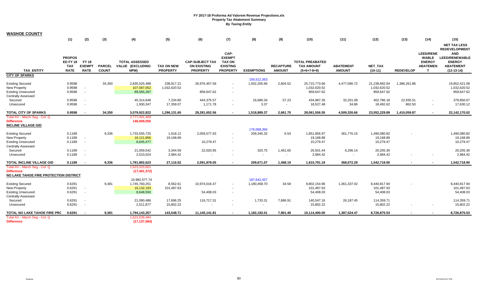| <b>WASHOE COUNTY</b>                                                                                     |                                                               |                                              |                               |                                                           |                                      |                                                                 |                                                                              |                             |                                      |                                                              |                                   |                                             |                  |                                                                           |                                                                                          |
|----------------------------------------------------------------------------------------------------------|---------------------------------------------------------------|----------------------------------------------|-------------------------------|-----------------------------------------------------------|--------------------------------------|-----------------------------------------------------------------|------------------------------------------------------------------------------|-----------------------------|--------------------------------------|--------------------------------------------------------------|-----------------------------------|---------------------------------------------|------------------|---------------------------------------------------------------------------|------------------------------------------------------------------------------------------|
|                                                                                                          | (1)                                                           | (2)                                          | (3)                           | (4)                                                       | (5)                                  | (6)                                                             | (7)                                                                          | (8)                         | (9)                                  | (10)                                                         | (11)                              | (12)                                        | (13)             | (14)                                                                      | (15)<br><b>NET TAX LESS</b><br><b>REDEVELOPMENT</b>                                      |
| <b>TAX ENTITY</b>                                                                                        | <b>PROPOS</b><br><b>ED FY 18</b><br><b>TAX</b><br><b>RATE</b> | <b>FY 18</b><br><b>EXEMPT</b><br><b>RATE</b> | <b>PARCEL</b><br><b>COUNT</b> | <b>TOTAL ASSESSED</b><br>VALUE (EXCLUDING<br>NPM)         | <b>TAX ON NEW</b><br><b>PROPERTY</b> | <b>CAP-SUBJECT TAX</b><br><b>ON EXISTING</b><br><b>PROPERTY</b> | CAP-<br><b>EXEMPT</b><br><b>TAX ON</b><br><b>EXISTING</b><br><b>PROPERTY</b> | <b>EXEMPTIONS</b>           | <b>RECAPTURE</b><br><b>AMOUNT</b>    | <b>TOTAL PREABATED</b><br><b>TAX AMOUNT</b><br>$(5+6+7-8+9)$ | <b>ABATEMENT</b><br><b>AMOUNT</b> | NET_TAX<br>$(10-11)$                        | <b>REDEVELOP</b> | <b>LEED/RENE</b><br><b>WABLE</b><br><b>ENERGY</b><br><b>ABATEMEN</b><br>т | <b>AND</b><br><b>LEED/RENEWABLE</b><br><b>ENERGY</b><br><b>ABATEMENT</b><br>$(12-13-14)$ |
| <b>CITY OF SPARKS</b>                                                                                    |                                                               |                                              |                               |                                                           |                                      |                                                                 |                                                                              |                             |                                      |                                                              |                                   |                                             |                  |                                                                           |                                                                                          |
| <b>Existing Secured</b><br>New Property<br><b>Existing Unsecured</b><br><b>Centrally Assessed</b>        | 0.9598<br>0.9598<br>0.9598                                    | $\sim$                                       | 34,350                        | 2,835,525,488<br>107,587,052<br>89,565,287                | 238,917.21<br>1,032,620.52           | 26,976,457.59<br>859,647.62                                     | $\sim$                                                                       | 156,512,363<br>1,502,205.66 | 2,604.52                             | 25,715,773.66<br>1,032,620.52<br>859,647.62                  | 4,477,090.72                      | 21,238,682.94<br>1,032,620.52<br>859,647.62 | 1,386,261.86     |                                                                           | 19,852,421.08<br>1,032,620.52<br>859,647.62                                              |
| Secured                                                                                                  | 0.9598                                                        | $\sim$                                       |                               | 45,314,648                                                | 7,234.80                             | 444,375.57                                                      | $\sim$                                                                       | 16,680.34                   | 57.23                                | 434,987.26                                                   | 32,201.08                         | 402,786.18                                  | 22,935.51        |                                                                           | 379,850.67                                                                               |
| Unsecured                                                                                                | 0.9598                                                        |                                              |                               | 1,930,347                                                 | 17,359.07                            | 1,171.78                                                        | $\overline{\phantom{a}}$                                                     | 3.37                        | $\sim$                               | 18,527.48                                                    | 34.86                             | 18,492.62                                   | 862.50           | $\sim$                                                                    | 17,630.12                                                                                |
| <b>TOTAL CITY OF SPARKS</b>                                                                              | 0.9598                                                        |                                              | 34,350                        | 3,079,922,822                                             | 1,296,131.60                         | 28,281,652.56                                                   | $\sim$                                                                       | 1,518,889.37                | 2,661.75                             | 28,061,556.55                                                | 4,509,326.66                      | 23,552,229.89                               | 1,410,059.87     | $\sim$                                                                    | 22,142,170.02                                                                            |
| Total AV - March Seq - Col. Q<br><b>Difference</b><br><b>INCLINE VILLAGE GID</b>                         |                                                               |                                              |                               | 2,777,401,409<br>146,009,050                              |                                      |                                                                 |                                                                              |                             |                                      |                                                              |                                   |                                             |                  |                                                                           |                                                                                          |
| <b>Existing Secured</b><br><b>New Property</b><br><b>Existing Unsecured</b><br><b>Centrally Assessed</b> | 0.1189<br>0.1189<br>0.1189                                    | $\sim$<br>$\sim$                             | 9,336                         | 1,733,555,725<br>16,121,856<br>8,645,477                  | 1,618.12<br>19,168.89                | 2,059,577.63<br>10,279.47                                       | $\overline{\phantom{a}}$<br>$\sim$                                           | 176,068,394<br>209,345.32   | 6.54                                 | 1,851,856.97<br>19,168.89<br>10,279.47                       | 361,776.15                        | 1,490,080.82<br>19,168.89<br>10,279.47      |                  |                                                                           | 1,490,080.82<br>19,168.89<br>10,279.47                                                   |
| Secured<br>Unsecured                                                                                     | 0.1189<br>0.1189                                              | $\sim$                                       |                               | 21,059,542<br>2,510,024                                   | 3,344.59<br>2,984.42                 | 22,020.95                                                       | $\blacksquare$                                                               | 325.75                      | 1,461.65                             | 26,501.44<br>2,984.42                                        | 6,296.14<br>$\sim$                | 20,205.30<br>2,984.42                       |                  |                                                                           | 20,205.30<br>2,984.42                                                                    |
| <b>TOTAL INCLINE VILLAGE GID</b>                                                                         | 0.1189                                                        |                                              | 9,336                         | 1,781,892,623                                             | 27,116.02                            | 2,091,878.05                                                    |                                                                              | 209,671.07                  | 1,468.19                             | 1,910,791.19                                                 | 368,072.29                        | 1,542,718.90                                |                  |                                                                           | 1,542,718.90                                                                             |
| Total AV - March Seg - Col. Q<br><b>Difference</b><br>NO LAKE TAHOE FIRE PROTECTION DISTRICT             |                                                               |                                              |                               | 1,623,315,601<br>(17, 491, 372)                           |                                      |                                                                 |                                                                              |                             |                                      |                                                              |                                   |                                             |                  |                                                                           |                                                                                          |
| <b>Existing Secured</b><br>New Property<br><b>Existing Unsecured</b><br><b>Centrally Assessed</b>        | 0.6291<br>0.6291<br>0.6291                                    | $\sim$<br>$\sim$                             | 9,381                         | 10,982,577.74<br>1,745,760,251<br>16,132,193<br>8,648,550 | 8,562.61<br>101,487.63               | 10,974,016.47<br>54,408.03                                      | $\blacksquare$<br>$\blacksquare$                                             | 187,642,457<br>1,180,458.70 | 34.58                                | 9,802,154.96<br>101,487.63<br>54,408.03                      | 1,361,337.02                      | 8,440,817.94<br>101,487.63<br>54,408.03     |                  |                                                                           | 8,440,817.94<br>101,487.63<br>54,408.03                                                  |
| Secured<br>Unsecured                                                                                     | 0.6291<br>0.6291                                              | $\sim$                                       |                               | 21,090,486<br>2,511,877                                   | 17,696.25<br>15,802.22               | 116,717.31                                                      | $\sim$                                                                       | 1,733.31                    | 7,866.91<br>$\overline{\phantom{a}}$ | 140,547.16<br>15,802.22                                      | 26,187.45                         | 114,359.71<br>15,802.22                     |                  |                                                                           | 114,359.71<br>15,802.22                                                                  |
| TOTAL NO LAKE TAHOE FIRE PRC<br>Total AV - March Seg - Col. Q                                            | 0.6291                                                        | $\sim$                                       | 9,381                         | 1,794,143,357<br>1,623,638,484                            | 143,548.71                           | 11,145,141.81                                                   | $\blacksquare$                                                               | 1,182,192.01                | 7,901.49                             | 10,114,400.00                                                | 1,387,524.47                      | 8,726,875.53                                |                  |                                                                           | 8,726,875.53                                                                             |
| <b>Difference</b>                                                                                        |                                                               |                                              |                               | (17, 137, 584)                                            |                                      |                                                                 |                                                                              |                             |                                      |                                                              |                                   |                                             |                  |                                                                           |                                                                                          |

 $\sim$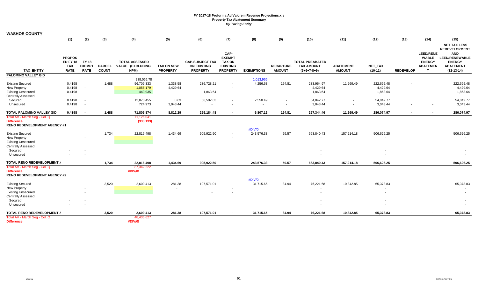| <b>WASHOE COUNTY</b>                                   |                                                               |                                              |                               |                                                   |                                      |                                                                 |                                                                              |                   |                                   |                                                              |                                   |                      |                  |                                                                           |                                                                                          |
|--------------------------------------------------------|---------------------------------------------------------------|----------------------------------------------|-------------------------------|---------------------------------------------------|--------------------------------------|-----------------------------------------------------------------|------------------------------------------------------------------------------|-------------------|-----------------------------------|--------------------------------------------------------------|-----------------------------------|----------------------|------------------|---------------------------------------------------------------------------|------------------------------------------------------------------------------------------|
|                                                        | (1)                                                           | (2)                                          | (3)                           | (4)                                               | (5)                                  | (6)                                                             | (7)                                                                          | (8)               | (9)                               | (10)                                                         | (11)                              | (12)                 | (13)             | (14)                                                                      | (15)<br><b>NET TAX LESS</b><br><b>REDEVELOPMENT</b>                                      |
| <b>TAX ENTITY</b>                                      | <b>PROPOS</b><br><b>ED FY 18</b><br><b>TAX</b><br><b>RATE</b> | <b>FY 18</b><br><b>EXEMPT</b><br><b>RATE</b> | <b>PARCEL</b><br><b>COUNT</b> | <b>TOTAL ASSESSED</b><br>VALUE (EXCLUDING<br>NPM) | <b>TAX ON NEW</b><br><b>PROPERTY</b> | <b>CAP-SUBJECT TAX</b><br><b>ON EXISTING</b><br><b>PROPERTY</b> | CAP-<br><b>EXEMPT</b><br><b>TAX ON</b><br><b>EXISTING</b><br><b>PROPERTY</b> | <b>EXEMPTIONS</b> | <b>RECAPTURE</b><br><b>AMOUNT</b> | <b>TOTAL PREABATED</b><br><b>TAX AMOUNT</b><br>$(5+6+7-8+9)$ | <b>ABATEMENT</b><br><b>AMOUNT</b> | NET_TAX<br>$(10-11)$ | <b>REDEVELOP</b> | <b>LEED/RENE</b><br><b>WABLE</b><br><b>ENERGY</b><br><b>ABATEMEN</b><br>T | <b>AND</b><br><b>LEED/RENEWABLE</b><br><b>ENERGY</b><br><b>ABATEMENT</b><br>$(12-13-14)$ |
| <b>PALOMINO VALLEY GID</b>                             |                                                               |                                              |                               |                                                   |                                      |                                                                 |                                                                              |                   |                                   |                                                              |                                   |                      |                  |                                                                           |                                                                                          |
|                                                        |                                                               |                                              |                               | 238,065.78                                        |                                      |                                                                 |                                                                              | 1,013,966         |                                   |                                                              |                                   |                      |                  |                                                                           |                                                                                          |
| <b>Existing Secured</b>                                | 0.4198                                                        |                                              | 1,488                         | 56,709,333                                        | 1,338.58                             | 236,728.21                                                      |                                                                              | 4,256.63          | 154.81                            | 233,964.97                                                   | 11,269.49                         | 222,695.48           |                  |                                                                           | 222,695.48                                                                               |
| New Property                                           | 0.4198                                                        | $\overline{\phantom{a}}$                     |                               | 1,055,179                                         | 4,429.64                             |                                                                 |                                                                              |                   |                                   | 4,429.64                                                     |                                   | 4,429.64             |                  |                                                                           | 4,429.64                                                                                 |
| <b>Existing Unsecured</b><br><b>Centrally Assessed</b> | 0.4198                                                        | $\sim$                                       |                               | 443,935                                           |                                      | 1,863.64                                                        | $\overline{\phantom{a}}$                                                     |                   |                                   | 1,863.64                                                     |                                   | 1,863.64             |                  |                                                                           | 1,863.64                                                                                 |
| Secured                                                | 0.4198                                                        | $\sim$                                       |                               | 12,873,455                                        | 0.63                                 | 56,592.63                                                       | $\blacksquare$                                                               | 2,550.49          | $\sim$                            | 54,042.77                                                    | $\sim$                            | 54,042.77            |                  |                                                                           | 54,042.77                                                                                |
| Unsecured                                              | 0.4198                                                        | $\sim$                                       |                               | 724,973                                           | 3,043.44                             |                                                                 |                                                                              | $\sim$            |                                   | 3,043.44                                                     | $\sim$                            | 3,043.44             |                  |                                                                           | 3,043.44                                                                                 |
| TOTAL PALOMINO VALLEY GID                              | 0.4198                                                        | $\sim$                                       | 1,488                         | 71,806,874                                        | 8,812.29                             | 295,184.48                                                      | $\blacksquare$                                                               | 6,807.12          | 154.81                            | 297,344.46                                                   | 11,269.49                         | 286,074.97           |                  |                                                                           | 286,074.97                                                                               |
| Total AV - March Seg - Col. Q                          |                                                               |                                              |                               | 71,126,041                                        |                                      |                                                                 |                                                                              |                   |                                   |                                                              |                                   |                      |                  |                                                                           |                                                                                          |
| <b>Difference</b>                                      |                                                               |                                              |                               | (333, 133)                                        |                                      |                                                                 |                                                                              |                   |                                   |                                                              |                                   |                      |                  |                                                                           |                                                                                          |
| <b>RENO REDEVELOPMENT AGENCY #1</b>                    |                                                               |                                              |                               |                                                   |                                      |                                                                 |                                                                              |                   |                                   |                                                              |                                   |                      |                  |                                                                           |                                                                                          |
|                                                        |                                                               |                                              |                               |                                                   |                                      |                                                                 |                                                                              | #DIV/0!           |                                   |                                                              |                                   |                      |                  |                                                                           |                                                                                          |
| <b>Existing Secured</b>                                |                                                               |                                              | 1,734                         | 22,816,498                                        | 1,434.69                             | 905,922.50                                                      |                                                                              | 243,576.33        | 59.57                             | 663,840.43                                                   | 157,214.18                        | 506,626.25           |                  |                                                                           | 506,626.25                                                                               |
| <b>New Property</b>                                    |                                                               |                                              |                               |                                                   |                                      |                                                                 |                                                                              |                   |                                   |                                                              |                                   |                      |                  |                                                                           |                                                                                          |
| <b>Existing Unsecured</b>                              |                                                               |                                              |                               |                                                   |                                      |                                                                 |                                                                              |                   |                                   | $\overline{\phantom{a}}$                                     |                                   |                      |                  |                                                                           |                                                                                          |
| <b>Centrally Assessed</b>                              |                                                               |                                              |                               |                                                   |                                      |                                                                 |                                                                              |                   |                                   |                                                              |                                   |                      |                  |                                                                           |                                                                                          |
| Secured                                                |                                                               | $\overline{\phantom{a}}$                     |                               |                                                   |                                      |                                                                 |                                                                              |                   |                                   |                                                              |                                   |                      |                  |                                                                           |                                                                                          |
| Unsecured                                              |                                                               |                                              |                               |                                                   |                                      |                                                                 |                                                                              |                   |                                   |                                                              |                                   |                      |                  |                                                                           |                                                                                          |
| TOTAL RENO REDEVELOPMENT A                             | $\sim$                                                        | $\sim$                                       | 1,734                         | 22,816,498                                        | 1,434.69                             | 905,922.50                                                      | $\sim$                                                                       | 243,576.33        | 59.57                             | 663,840.43                                                   | 157,214.18                        | 506,626.25           | $\sim$           |                                                                           | 506,626.25                                                                               |
| Total AV - March Seg - Col. Q                          |                                                               |                                              |                               | 87,342,222                                        |                                      |                                                                 |                                                                              |                   |                                   |                                                              |                                   |                      |                  |                                                                           |                                                                                          |
| <b>Difference</b>                                      |                                                               |                                              |                               | #DIV/0!                                           |                                      |                                                                 |                                                                              |                   |                                   |                                                              |                                   |                      |                  |                                                                           |                                                                                          |
| <b>RENO REDEVELOPMENT AGENCY #2</b>                    |                                                               |                                              |                               |                                                   |                                      |                                                                 |                                                                              |                   |                                   |                                                              |                                   |                      |                  |                                                                           |                                                                                          |
|                                                        |                                                               |                                              |                               |                                                   |                                      |                                                                 |                                                                              | #DIV/0!           |                                   |                                                              |                                   |                      |                  |                                                                           |                                                                                          |
| <b>Existing Secured</b>                                |                                                               |                                              | 3,520                         | 2,609,413                                         | 281.38                               | 107,571.01                                                      |                                                                              | 31,715.65         | 84.94                             | 76,221.68                                                    | 10,842.85                         | 65,378.83            |                  |                                                                           | 65,378.83                                                                                |
| <b>New Property</b>                                    |                                                               | $\sim$                                       |                               |                                                   |                                      |                                                                 |                                                                              |                   |                                   | $\sim$                                                       |                                   |                      |                  |                                                                           |                                                                                          |
| <b>Existing Unsecured</b>                              |                                                               |                                              |                               |                                                   |                                      |                                                                 |                                                                              |                   |                                   | $\overline{\phantom{a}}$                                     |                                   |                      |                  |                                                                           |                                                                                          |
| <b>Centrally Assessed</b>                              |                                                               |                                              |                               |                                                   |                                      |                                                                 |                                                                              |                   |                                   |                                                              |                                   |                      |                  |                                                                           |                                                                                          |
| Secured                                                |                                                               |                                              |                               |                                                   |                                      |                                                                 |                                                                              |                   |                                   |                                                              |                                   |                      |                  |                                                                           |                                                                                          |
| Unsecured                                              |                                                               |                                              |                               |                                                   |                                      |                                                                 |                                                                              |                   |                                   |                                                              |                                   |                      |                  |                                                                           |                                                                                          |
| TOTAL RENO REDEVELOPMENT A                             | . .                                                           | $\sim$                                       | 3,520                         | 2,609,413                                         | 281.38                               | 107,571.01                                                      |                                                                              | 31,715.65         | 84.94                             | 76,221.68                                                    | 10,842.85                         | 65,378.83            |                  |                                                                           | 65,378.83                                                                                |
| Total AV - March Seg - Col. Q                          |                                                               |                                              |                               | 48,435,627                                        |                                      |                                                                 |                                                                              |                   |                                   |                                                              |                                   |                      |                  |                                                                           |                                                                                          |
| <b>Difference</b>                                      |                                                               |                                              |                               | #DIV/0!                                           |                                      |                                                                 |                                                                              |                   |                                   |                                                              |                                   |                      |                  |                                                                           |                                                                                          |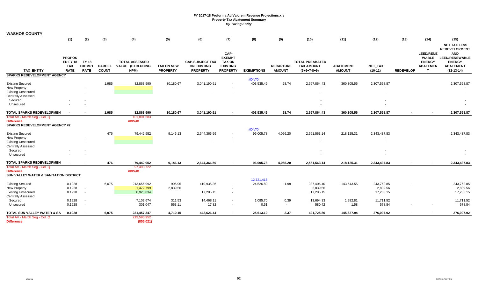| CAP-<br><b>LEED/RENE</b><br><b>AND</b><br><b>EXEMPT</b><br><b>PROPOS</b><br><b>WABLE</b><br><b>ED FY 18</b><br><b>FY 18</b><br><b>ENERGY</b><br><b>ENERGY</b><br><b>TOTAL ASSESSED</b><br><b>CAP-SUBJECT TAX</b><br><b>TAX ON</b><br><b>TOTAL PREABATED</b><br>NET_TAX<br><b>PARCEL</b><br><b>TAX ON NEW</b><br><b>EXISTING</b><br><b>RECAPTURE</b><br><b>ABATEMENT</b><br><b>ABATEMEN</b><br><b>ABATEMENT</b><br><b>TAX</b><br><b>EXEMPT</b><br>VALUE (EXCLUDING<br><b>ON EXISTING</b><br><b>TAX AMOUNT</b><br><b>TAX ENTITY</b><br><b>RATE</b><br><b>RATE</b><br><b>COUNT</b><br>NPM)<br><b>PROPERTY</b><br><b>PROPERTY</b><br><b>PROPERTY</b><br><b>EXEMPTIONS</b><br><b>AMOUNT</b><br><b>AMOUNT</b><br>$(10-11)$<br><b>REDEVELOP</b><br>$(12-13-14)$<br>$(5+6+7-8+9)$<br>$\mathbf{T}$<br><b>SPARKS REDEVELOPMENT AGENCY</b><br>#DIV/0!<br>1,985<br><b>Existing Secured</b><br>82,863,590<br>30,180.67<br>3,041,190.51<br>403,535.49<br>28.74<br>2,667,864.43<br>360,305.56<br>2,307,558.87<br><b>New Property</b><br><b>Existing Unsecured</b><br><b>Centrally Assessed</b><br>Secured<br>Unsecured<br>$\sim$<br>82,863,590<br>TOTAL SPARKS REDEVELOPMEN<br>1,985<br>30,180.67<br>3,041,190.51<br>403,535.49<br>28.74<br>2,667,864.43<br>360,305.56<br>2,307,558.87<br>2,307,558.87<br>Total AV - March Seg - Col. Q<br>101,891,583<br>#DIV/0!<br><b>Difference</b><br><b>SPARKS REDEVELOPMENT AGENCY #2</b><br>#DIV/0!<br>476<br><b>Existing Secured</b><br>79,442,952<br>9,146.13<br>2,644,366.59<br>96,005.78<br>4,056.20<br>2,561,563.14<br>218,125.31<br>2,343,437.83<br>$\overline{\phantom{a}}$<br><b>New Property</b><br><b>Existing Unsecured</b><br>$\sim$<br>$\overline{\phantom{a}}$<br><b>Centrally Assessed</b><br>Secured<br>Unsecured<br>476<br><b>TOTAL SPARKS REDEVELOPMEN</b><br>96,005.78<br>2,561,563.14<br>79,442,952<br>9,146.13<br>2,644,366.59<br>4,056.20<br>218,125.31<br>2,343,437.83<br>Total AV - March Seg - Col. Q<br>97,493,722<br>#DIV/0!<br><b>Difference</b><br><b>SUN VALLEY WATER &amp; SANITATION DISTRICT</b><br>12,721,416<br>0.1928<br>6,075<br>995.95<br>24,526.89<br>1.98<br>243,762.85<br><b>Existing Secured</b><br>213,656,992<br>410,935.36<br>387,406.40<br>143,643.55<br>$\sim$<br>0.1928<br>1,472,799<br>2,839.56<br>2,839.56<br>2,839.56<br>New Property<br>$\sim$<br>$\sim$<br><b>Existing Unsecured</b><br>0.1928<br>8,923,834<br>17,205.15<br>17,205.15<br>17,205.15<br>$\sim$<br><b>Centrally Assessed</b><br>0.1928<br>311.53<br>1,085.70<br>13,694.33<br>1,982.81<br>Secured<br>7,102,674<br>14,468.11<br>0.39<br>11.711.52<br>$\sim$<br>0.1928<br>301,047<br>563.11<br>17.82<br>0.51<br>580.42<br>1.58<br>578.84<br>Unsecured<br>$\sim$<br>$\sim$<br>TOTAL SUN VALLEY WATER & SAI<br>6,075<br>231,457,347<br>25,613.10<br>2.37<br>145,627.94<br>0.1928<br>4,710.15<br>442,626.44<br>421,725.86<br>276,097.92<br>$\sim$<br>Total AV - March Seg - Col. Q<br>219,590,952 | <b>WASHOE COUNTY</b> | (1) |     |     |            |     |     |     |     |     | (10) | (11) | (12) | (13) | (14) | (15)                                          |
|---------------------------------------------------------------------------------------------------------------------------------------------------------------------------------------------------------------------------------------------------------------------------------------------------------------------------------------------------------------------------------------------------------------------------------------------------------------------------------------------------------------------------------------------------------------------------------------------------------------------------------------------------------------------------------------------------------------------------------------------------------------------------------------------------------------------------------------------------------------------------------------------------------------------------------------------------------------------------------------------------------------------------------------------------------------------------------------------------------------------------------------------------------------------------------------------------------------------------------------------------------------------------------------------------------------------------------------------------------------------------------------------------------------------------------------------------------------------------------------------------------------------------------------------------------------------------------------------------------------------------------------------------------------------------------------------------------------------------------------------------------------------------------------------------------------------------------------------------------------------------------------------------------------------------------------------------------------------------------------------------------------------------------------------------------------------------------------------------------------------------------------------------------------------------------------------------------------------------------------------------------------------------------------------------------------------------------------------------------------------------------------------------------------------------------------------------------------------------------------------------------------------------------------------------------------------------------------------------------------------------------------------------------------------------------------------------------------------------------------------------------------------------------------------------------------------------------------------------------------------------------------------------------------------------------------|----------------------|-----|-----|-----|------------|-----|-----|-----|-----|-----|------|------|------|------|------|-----------------------------------------------|
|                                                                                                                                                                                                                                                                                                                                                                                                                                                                                                                                                                                                                                                                                                                                                                                                                                                                                                                                                                                                                                                                                                                                                                                                                                                                                                                                                                                                                                                                                                                                                                                                                                                                                                                                                                                                                                                                                                                                                                                                                                                                                                                                                                                                                                                                                                                                                                                                                                                                                                                                                                                                                                                                                                                                                                                                                                                                                                                                       |                      |     | (2) | (3) | (4)        | (5) | (6) | (7) | (8) | (9) |      |      |      |      |      | <b>NET TAX LESS</b>                           |
|                                                                                                                                                                                                                                                                                                                                                                                                                                                                                                                                                                                                                                                                                                                                                                                                                                                                                                                                                                                                                                                                                                                                                                                                                                                                                                                                                                                                                                                                                                                                                                                                                                                                                                                                                                                                                                                                                                                                                                                                                                                                                                                                                                                                                                                                                                                                                                                                                                                                                                                                                                                                                                                                                                                                                                                                                                                                                                                                       |                      |     |     |     |            |     |     |     |     |     |      |      |      |      |      | <b>REDEVELOPMENT</b><br><b>LEED/RENEWABLE</b> |
|                                                                                                                                                                                                                                                                                                                                                                                                                                                                                                                                                                                                                                                                                                                                                                                                                                                                                                                                                                                                                                                                                                                                                                                                                                                                                                                                                                                                                                                                                                                                                                                                                                                                                                                                                                                                                                                                                                                                                                                                                                                                                                                                                                                                                                                                                                                                                                                                                                                                                                                                                                                                                                                                                                                                                                                                                                                                                                                                       |                      |     |     |     |            |     |     |     |     |     |      |      |      |      |      |                                               |
|                                                                                                                                                                                                                                                                                                                                                                                                                                                                                                                                                                                                                                                                                                                                                                                                                                                                                                                                                                                                                                                                                                                                                                                                                                                                                                                                                                                                                                                                                                                                                                                                                                                                                                                                                                                                                                                                                                                                                                                                                                                                                                                                                                                                                                                                                                                                                                                                                                                                                                                                                                                                                                                                                                                                                                                                                                                                                                                                       |                      |     |     |     |            |     |     |     |     |     |      |      |      |      |      | 2,307,558.87                                  |
|                                                                                                                                                                                                                                                                                                                                                                                                                                                                                                                                                                                                                                                                                                                                                                                                                                                                                                                                                                                                                                                                                                                                                                                                                                                                                                                                                                                                                                                                                                                                                                                                                                                                                                                                                                                                                                                                                                                                                                                                                                                                                                                                                                                                                                                                                                                                                                                                                                                                                                                                                                                                                                                                                                                                                                                                                                                                                                                                       |                      |     |     |     |            |     |     |     |     |     |      |      |      |      |      |                                               |
|                                                                                                                                                                                                                                                                                                                                                                                                                                                                                                                                                                                                                                                                                                                                                                                                                                                                                                                                                                                                                                                                                                                                                                                                                                                                                                                                                                                                                                                                                                                                                                                                                                                                                                                                                                                                                                                                                                                                                                                                                                                                                                                                                                                                                                                                                                                                                                                                                                                                                                                                                                                                                                                                                                                                                                                                                                                                                                                                       |                      |     |     |     |            |     |     |     |     |     |      |      |      |      |      |                                               |
|                                                                                                                                                                                                                                                                                                                                                                                                                                                                                                                                                                                                                                                                                                                                                                                                                                                                                                                                                                                                                                                                                                                                                                                                                                                                                                                                                                                                                                                                                                                                                                                                                                                                                                                                                                                                                                                                                                                                                                                                                                                                                                                                                                                                                                                                                                                                                                                                                                                                                                                                                                                                                                                                                                                                                                                                                                                                                                                                       |                      |     |     |     |            |     |     |     |     |     |      |      |      |      |      | 2,343,437.83                                  |
|                                                                                                                                                                                                                                                                                                                                                                                                                                                                                                                                                                                                                                                                                                                                                                                                                                                                                                                                                                                                                                                                                                                                                                                                                                                                                                                                                                                                                                                                                                                                                                                                                                                                                                                                                                                                                                                                                                                                                                                                                                                                                                                                                                                                                                                                                                                                                                                                                                                                                                                                                                                                                                                                                                                                                                                                                                                                                                                                       |                      |     |     |     |            |     |     |     |     |     |      |      |      |      |      |                                               |
|                                                                                                                                                                                                                                                                                                                                                                                                                                                                                                                                                                                                                                                                                                                                                                                                                                                                                                                                                                                                                                                                                                                                                                                                                                                                                                                                                                                                                                                                                                                                                                                                                                                                                                                                                                                                                                                                                                                                                                                                                                                                                                                                                                                                                                                                                                                                                                                                                                                                                                                                                                                                                                                                                                                                                                                                                                                                                                                                       |                      |     |     |     |            |     |     |     |     |     |      |      |      |      |      | 2,343,437.83                                  |
|                                                                                                                                                                                                                                                                                                                                                                                                                                                                                                                                                                                                                                                                                                                                                                                                                                                                                                                                                                                                                                                                                                                                                                                                                                                                                                                                                                                                                                                                                                                                                                                                                                                                                                                                                                                                                                                                                                                                                                                                                                                                                                                                                                                                                                                                                                                                                                                                                                                                                                                                                                                                                                                                                                                                                                                                                                                                                                                                       |                      |     |     |     |            |     |     |     |     |     |      |      |      |      |      |                                               |
|                                                                                                                                                                                                                                                                                                                                                                                                                                                                                                                                                                                                                                                                                                                                                                                                                                                                                                                                                                                                                                                                                                                                                                                                                                                                                                                                                                                                                                                                                                                                                                                                                                                                                                                                                                                                                                                                                                                                                                                                                                                                                                                                                                                                                                                                                                                                                                                                                                                                                                                                                                                                                                                                                                                                                                                                                                                                                                                                       |                      |     |     |     |            |     |     |     |     |     |      |      |      |      |      | 243,762.85<br>2,839.56<br>17,205.15           |
|                                                                                                                                                                                                                                                                                                                                                                                                                                                                                                                                                                                                                                                                                                                                                                                                                                                                                                                                                                                                                                                                                                                                                                                                                                                                                                                                                                                                                                                                                                                                                                                                                                                                                                                                                                                                                                                                                                                                                                                                                                                                                                                                                                                                                                                                                                                                                                                                                                                                                                                                                                                                                                                                                                                                                                                                                                                                                                                                       |                      |     |     |     |            |     |     |     |     |     |      |      |      |      |      | 11,711.52<br>578.84                           |
|                                                                                                                                                                                                                                                                                                                                                                                                                                                                                                                                                                                                                                                                                                                                                                                                                                                                                                                                                                                                                                                                                                                                                                                                                                                                                                                                                                                                                                                                                                                                                                                                                                                                                                                                                                                                                                                                                                                                                                                                                                                                                                                                                                                                                                                                                                                                                                                                                                                                                                                                                                                                                                                                                                                                                                                                                                                                                                                                       | <b>Difference</b>    |     |     |     | (855, 021) |     |     |     |     |     |      |      |      |      |      | 276,097.92                                    |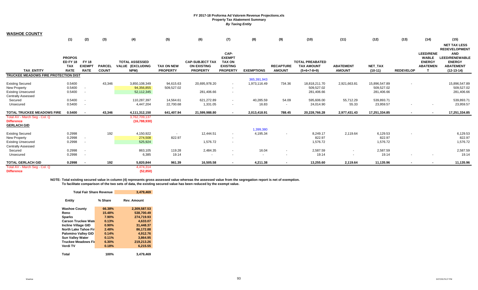| <b>WASHOE COUNTY</b>                                                                                     | (1)                                                           | (2)                                          | (3)                           | (4)                                               | (5)                                  | (6)                                                             | (7)                                                                          | (8)                         | (9)                               | (10)                                                         | (11)                              | (12)                                      | (13)             | (14)                                                                      | (15)                                                                                                                             |
|----------------------------------------------------------------------------------------------------------|---------------------------------------------------------------|----------------------------------------------|-------------------------------|---------------------------------------------------|--------------------------------------|-----------------------------------------------------------------|------------------------------------------------------------------------------|-----------------------------|-----------------------------------|--------------------------------------------------------------|-----------------------------------|-------------------------------------------|------------------|---------------------------------------------------------------------------|----------------------------------------------------------------------------------------------------------------------------------|
| <b>TAX ENTITY</b>                                                                                        | <b>PROPOS</b><br><b>ED FY 18</b><br><b>TAX</b><br><b>RATE</b> | <b>FY 18</b><br><b>EXEMPT</b><br><b>RATE</b> | <b>PARCEL</b><br><b>COUNT</b> | <b>TOTAL ASSESSED</b><br>VALUE (EXCLUDING<br>NPM) | <b>TAX ON NEW</b><br><b>PROPERTY</b> | <b>CAP-SUBJECT TAX</b><br><b>ON EXISTING</b><br><b>PROPERTY</b> | CAP-<br><b>EXEMPT</b><br><b>TAX ON</b><br><b>EXISTING</b><br><b>PROPERTY</b> | <b>EXEMPTIONS</b>           | <b>RECAPTURE</b><br><b>AMOUNT</b> | <b>TOTAL PREABATED</b><br><b>TAX AMOUNT</b><br>$(5+6+7-8+9)$ | <b>ABATEMENT</b><br><b>AMOUNT</b> | NET_TAX<br>$(10-11)$                      | <b>REDEVELOP</b> | <b>LEED/RENE</b><br><b>WABLE</b><br><b>ENERGY</b><br><b>ABATEMEN</b><br>T | <b>NET TAX LESS</b><br><b>REDEVELOPMENT</b><br><b>AND</b><br>LEED/RENEWABLE<br><b>ENERGY</b><br><b>ABATEMENT</b><br>$(12-13-14)$ |
| TRUCKEE MEADOWS FIRE PROTECTION DIST                                                                     |                                                               |                                              |                               |                                                   |                                      |                                                                 |                                                                              |                             |                                   |                                                              |                                   |                                           |                  |                                                                           |                                                                                                                                  |
| <b>Existing Secured</b><br><b>New Property</b><br><b>Existing Unsecured</b><br><b>Centrally Assessed</b> | 0.5400<br>0.5400<br>0.5400                                    |                                              | 43,346                        | 3,850,108,349<br>94,356,855<br>52,112,345         | 94,615.63<br>509,527.02              | 20,695,978.20<br>281,406.66                                     | $\sim$<br>$\blacksquare$<br>$\sim$                                           | 365,391,943<br>1,973,116.49 | 734.36                            | 18,818,211.70<br>509,527.02<br>281,406.66                    | 2,921,663.81                      | 15,896,547.89<br>509,527.02<br>281,406.66 |                  |                                                                           | 15,896,547.89<br>509,527.02<br>281,406.66                                                                                        |
| Secured<br>Unsecured                                                                                     | 0.5400<br>0.5400                                              | $\overline{\phantom{a}}$<br>$\sim$           |                               | 110,287,397<br>4,447,204                          | 14,564.61<br>22,700.68               | 621,272.89<br>1,331.05                                          | $\sim$<br>$\blacksquare$                                                     | 40,285.59<br>16.83          | 54.09<br>$\sim$                   | 595,606.00<br>24,014.90                                      | 55,712.29<br>55.33                | 539,893.71<br>23,959.57                   |                  |                                                                           | 539,893.71<br>23,959.57                                                                                                          |
| TOTAL TRUCKEE MEADOWS FIRE                                                                               | 0.5400                                                        |                                              | 43,346                        | 4,111,312,150                                     | 641,407.94                           | 21,599,988.80                                                   |                                                                              | 2,013,418.91                | 788.45                            | 20,228,766.28                                                | 2,977,431.43                      | 17,251,334.85                             |                  |                                                                           | 17,251,334.85                                                                                                                    |
| Total AV - March Seg - Col. Q<br><b>Difference</b><br><b>GERLACH GID</b>                                 |                                                               |                                              |                               | 3,762,709,137<br>(16,788,930)                     |                                      |                                                                 |                                                                              | 1,399,380                   |                                   |                                                              |                                   |                                           |                  |                                                                           |                                                                                                                                  |
| <b>Existing Secured</b><br><b>New Property</b><br><b>Existing Unsecured</b><br><b>Centrally Assessed</b> | 0.2998<br>0.2998<br>0.2998                                    |                                              | 192                           | 4,150,922<br>274,508<br>525,924                   | $\sim$<br>822.97                     | 12,444.51<br>1,576.72                                           | $\blacksquare$<br>$\overline{\phantom{a}}$<br>$\sim$                         | 4,195.34                    |                                   | 8,249.17<br>822.97<br>1,576.72                               | 2,119.64                          | 6,129.53<br>822.97<br>1,576.72            |                  |                                                                           | 6,129.53<br>822.97<br>1,576.72                                                                                                   |
| Secured<br>Unsecured                                                                                     | 0.2998<br>0.2998                                              | $\sim$<br>$\sim$                             |                               | 863,105<br>6,385                                  | 119.28<br>19.14                      | 2,484.35<br>$\overline{\phantom{a}}$                            | $\blacksquare$<br>$\overline{\phantom{a}}$                                   | 16.04<br>$\sim$             | $\sim$                            | 2,587.59<br>19.14                                            | $\sim$                            | 2,587.59<br>19.14                         |                  |                                                                           | 2,587.59<br>19.14                                                                                                                |
| <b>TOTAL GERLACH GID</b>                                                                                 | 0.2998                                                        | $\sim$                                       | 192                           | 5,820,844                                         | 961.39                               | 16,505.58                                                       | $\sim$                                                                       | 4,211.38                    | $\sim$                            | 13,255.60                                                    | 2,119.64                          | 11,135.96                                 |                  |                                                                           | 11,135.96                                                                                                                        |
| Total AV - March Seg - Col. Q<br><b>Difference</b>                                                       |                                                               |                                              |                               | 4,474,314<br>(52, 850)                            |                                      |                                                                 |                                                                              |                             |                                   |                                                              |                                   |                                           |                  |                                                                           |                                                                                                                                  |

**NOTE: Total existing secured value in column (4) represents gross assessed value whereas the assessed value from the segregation report is net of exemption. To facilitate comparison of the two sets of data, the existing secured value has been reduced by the exempt value.**

| <b>Total Fair Share Revenue</b> |         | 3,479,469          |
|---------------------------------|---------|--------------------|
| Entity                          | % Share | <b>Rev. Amount</b> |
| <b>Washoe County</b>            | 66.38%  | 2,309,587.53       |
| Reno                            | 15.48%  | 538,700.49         |
| <b>Sparks</b>                   | 7.90%   | 274.719.93         |
| <b>Carson Truckee Wate</b>      | 0.13%   | 4,633.07           |
| <b>Incline Village GID</b>      | 0.90%   | 31.448.37          |
| North Lake Tahoe Fir            | 2.48%   | 86,172.88          |
| <b>Palomino Valley GID</b>      | 0.14%   | 4.912.76           |
| <b>Sun Valley Water</b>         | 0.11%   | 3,864.95           |
| <b>Truckee Meadows Fir</b>      | 6.30%   | 219,213.26         |
| Verdi TV                        | 0.18%   | 6.215.55           |
| Total                           | 100%    | 3,479,469          |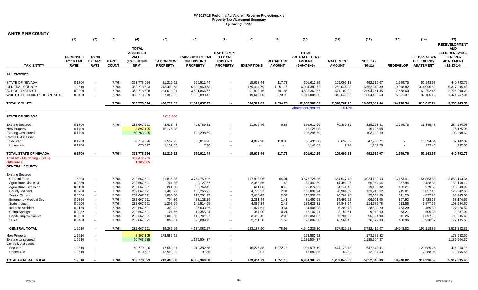| <b>WHITE PINE COUNTY</b>                        |                          |                                            |                               |                            |                                      |                                       |                                    |                         |                                   |                                |                                   |                             |                       |                                       |                                  |
|-------------------------------------------------|--------------------------|--------------------------------------------|-------------------------------|----------------------------|--------------------------------------|---------------------------------------|------------------------------------|-------------------------|-----------------------------------|--------------------------------|-----------------------------------|-----------------------------|-----------------------|---------------------------------------|----------------------------------|
|                                                 | (1)                      | (2)                                        | (3)                           | (4)                        | (5)                                  | (6)                                   | (7)                                | (8)                     | (9)                               | (10)                           | (11)                              | (12)                        | (13)                  | (14)                                  | (15)                             |
|                                                 |                          |                                            |                               |                            |                                      |                                       |                                    |                         |                                   |                                |                                   |                             |                       |                                       | <b>REDEVELOPMENT</b>             |
|                                                 |                          |                                            |                               | <b>TOTAL</b>               |                                      |                                       |                                    |                         |                                   |                                |                                   |                             |                       |                                       | <b>AND</b>                       |
|                                                 |                          |                                            |                               | <b>ASSESSED</b>            |                                      |                                       | <b>CAP-EXEMPT</b>                  |                         |                                   | <b>TOTAL</b>                   |                                   |                             |                       |                                       | <b>LEED/RENEWABL</b>             |
|                                                 | <b>PROPOSED</b>          | <b>FY 18</b><br><b>EXEMPT</b>              |                               | <b>VALUE</b>               |                                      | <b>CAP-SUBJECT TAX</b>                | <b>TAX ON</b>                      |                         |                                   | PREABATED TAX                  |                                   |                             |                       | <b>LEED/RENEWA</b>                    | <b>E ENERGY</b>                  |
| <b>TAX_ENTITY</b>                               | FY 18 TAX<br><b>RATE</b> | <b>RATE</b>                                | <b>PARCEL</b><br><b>COUNT</b> | (EXCLUDING<br>NPM)         | <b>TAX ON NEW</b><br><b>PROPERTY</b> | <b>ON EXISTING</b><br><b>PROPERTY</b> | <b>EXISTING</b><br><b>PROPERTY</b> | <b>EXEMPTIONS</b>       | <b>RECAPTURE</b><br><b>AMOUNT</b> | <b>AMOUNT</b><br>$(5+6+7-8+9)$ | <b>ABATEMENT</b><br><b>AMOUNT</b> | <b>NET TAX</b><br>$(10-11)$ | <b>REDEVELOP</b>      | <b>BLE ENERGY</b><br><b>ABATEMENT</b> | <b>ABATEMENT</b><br>$(12-13-14)$ |
| <b>ALL ENTITIES</b>                             |                          |                                            |                               |                            |                                      |                                       |                                    |                         |                                   |                                |                                   |                             |                       |                                       |                                  |
|                                                 |                          |                                            |                               |                            |                                      |                                       |                                    |                         |                                   |                                |                                   |                             |                       |                                       |                                  |
| <b>STATE OF NEVADA</b><br><b>GENERAL COUNTY</b> | 0.1700<br>1.9510         | $\omega$<br>$\omega$                       | 7,764<br>7,764                | 353,778,624<br>353,778,623 | 21,216.52<br>243,490.68              | 595,911.44<br>6,838,960.68            | $\overline{\phantom{a}}$           | 15,633.44               | 117.73<br>1,351.16                | 601,612.25<br>6,904,387.72     | 109,096.18<br>1,252,046.83        | 492,516.07<br>5,652,340.89  | 1,579.75<br>19,948.82 | 50,143.57<br>314,996.59               | 440,792.75<br>5,317,395.48       |
| <b>SCHOOL DISTRICT</b>                          | 0.9990                   | $\sim$                                     | 7,764                         | 353,778,628                | 124,678.21                           | 3,501,866.67                          | $\overline{\phantom{a}}$           | 179,414.79<br>91,873.16 | 691.85                            | 3,535,363.57                   | 641,102.22                        | 2,894,261.35                | 7,668.60              | 161,292.46                            | 2,725,300.29                     |
| WHITE PINE COUNTY HOSPITAL DI                   | 0.5400                   | $\sim$                                     | 7,764                         | 353,778,639                | 67,393.62                            | 1,892,898.47                          | $\sim$                             | 49,660.50               | 373.96                            | 1,911,005.55                   | 346,542.02                        | 1,564,463.53                | 5,521.37              | 87,185.12                             | 1,471,757.04                     |
| <b>TOTAL COUNTY</b>                             |                          |                                            | 7,764                         | 353,778,624                | 456,779.03                           | 12,829,637.25                         | $\sim$                             | 336,581.89              | 2,534.70                          | 12,952,369.09                  | 2,348,787.25                      | 10,603,581.84               | 34,718.54             | 613,617.74                            | 9,955,245.56                     |
|                                                 |                          |                                            |                               |                            |                                      |                                       |                                    |                         |                                   | <b>Abatement Percent</b>       | 18.13%                            |                             |                       |                                       |                                  |
| <b>STATE OF NEVADA</b>                          |                          |                                            |                               |                            | 2,012,606                            |                                       |                                    |                         |                                   |                                |                                   |                             |                       |                                       |                                  |
| <b>Existing Secured</b>                         | 0.1700                   |                                            | 7,764                         | 232,667,591                | 3,421.43                             | 403,789.81                            |                                    | 11,605.46               | 6.88                              | 395,612.66                     | 70,389.35                         | 325,223.31                  | 1,579.75              | 39,349.48                             | 284,294.08                       |
| New Property                                    | 0.1700                   |                                            |                               | 8,897,105                  | 15,125.08                            |                                       |                                    |                         |                                   | 15,125.08                      |                                   | 15,125.08                   |                       |                                       | 15,125.08                        |
| <b>Existing Unsecured</b>                       | 0.1700                   |                                            |                               | 60,763,935                 |                                      | 103,298.69                            | $\overline{\phantom{a}}$           |                         |                                   | 103,298.69                     |                                   | 103,298.69                  |                       |                                       | 103,298.69                       |
| <b>Centrally Assessed</b>                       |                          |                                            |                               |                            |                                      |                                       |                                    |                         |                                   |                                |                                   |                             |                       |                                       |                                  |
| Secured                                         | 0.1700                   |                                            |                               | 50,779,396                 | 1,537.95                             | 88,814.98                             |                                    | 4,027.98                | 110.85                            | 86,435.80                      | 38,699.09                         | 47,736.71                   |                       | 10,594.64                             | 37,142.07                        |
| Unsecured                                       | 0.1700                   |                                            |                               | 670,597                    | 1,132.06                             | 7.96                                  |                                    | $\sim$                  | $\sim$                            | 1,140.02                       | 7.74                              | 1,132.28                    |                       | 199.45                                | 932.83                           |
| <b>TOTAL STATE OF NEVADA</b>                    | 0.1700                   |                                            | 7,764                         | 353,778,624                | 21,216.52                            | 595,911.44                            | $\overline{\phantom{a}}$           | 15,633.44               | 117.73                            | 601,612.25                     | 109,096.18                        | 492,516.07                  | 1,579.75              | 50,143.57                             | 440,792.75                       |
| Total AV - March Seg - Col. Q                   |                          |                                            |                               | 352,472,759                |                                      |                                       |                                    |                         |                                   |                                |                                   |                             |                       |                                       |                                  |
| <b>Difference</b><br><b>GENERAL COUNTY</b>      |                          |                                            |                               | 1,305,865                  |                                      |                                       |                                    |                         |                                   |                                |                                   |                             |                       |                                       |                                  |
|                                                 |                          |                                            |                               |                            |                                      |                                       |                                    |                         |                                   |                                |                                   |                             |                       |                                       |                                  |
| Existing Secured                                |                          |                                            |                               |                            |                                      |                                       |                                    |                         |                                   |                                |                                   |                             |                       |                                       |                                  |
| <b>General Fund</b>                             | 1.5808                   | $\sim$                                     | 7,764                         | 232,667,591                | 31,815.35                            | 3,754,759.96                          | $\overline{\phantom{a}}$           | 107,910.96              | 64.01                             | 3,678,728.36                   | 654,547.73                        | 3,024,180.63                | 16,163.41             | 154,853.88                            | 2,853,163.34                     |
| Agriculture Dist. #13                           | 0.0350                   | $\sim$                                     | 7,764                         | 232,667,591                | 704.36                               | 83,127.67                             |                                    | 2,385.86                | 1.42                              | 81,447.59                      | 14,492.95                         | 66,954.64                   | 357.94                | 3,428.58                              | 63,168.12                        |
| <b>Agriculture Extension</b>                    | 0.0100                   | $\sim$                                     | 7,764                         | 232,667,591                | 201.28                               | 23,752.42                             | $\overline{\phantom{a}}$           | 681.88                  | 0.40                              | 23,272.22                      | 4,141.40                          | 19,130.82                   | 102.21                | 979.59                                | 18,049.02                        |
| County Indigent                                 | 0.0700                   | $\sim$                                     | 7,764                         | 232,667,591                | 1,408.72                             | 166,266.95                            |                                    | 4,778.57                | 2.84                              | 162,899.94                     | 28,984.32                         | 133,915.62                  | 715.81                | 6,857.15                              | 126,342.66                       |
| Senior Citizen                                  | 0.0500                   | $\omega$                                   | 7.764                         | 232,667,591                | 1.006.30                             | 118,761.97                            |                                    | 3,413.42                | 2.02                              | 116,356.87                     | 20,701.98                         | 95,654.89                   | 511.25                | 4,897.96                              | 90,245.68                        |
| <b>Emergency Medical Svc</b>                    | 0.0350                   | $\sim$                                     | 7,764                         | 232,667,591                | 704.36                               | 83,138.25                             |                                    | 2,391.44                | 1.41                              | 81,452.58                      | 14,491.52                         | 66,961.06                   | 357.93                | 3,428.58                              | 63,174.55                        |
| State Indigent                                  | 0.0600                   | $\blacksquare$                             | 7,764                         | 232,667,591                | 1,207.59                             | 142,514.65                            |                                    | 4,095.34                | 2.42                              | 139,629.32                     | 24,843.54                         | 114,785.78                  | 613.56                | 5,877.55                              | 108,294.67                       |
| <b>Indigent Accident</b>                        | 0.0150                   | $\omega$                                   | 7,764                         | 232,667,591                | 302.02                               | 35,633.96                             |                                    | 1,027.61                | 0.61                              | 34,908.98                      | 6,209.78                          | 28,699.20                   | 153.29                | 1,469.39                              | 27,076.52                        |
| China Springs                                   | 0.0052                   | $\sim$                                     | 7,764                         | 232,667,591                | 104.66                               | 12,355.24                             | $\overline{\phantom{a}}$           | 357.90                  | 0.21                              | 12,102.21                      | 2,152.61                          | 9,949.60                    | 53.21                 | 509.38                                | 9,387.01                         |
| Capital Improvements<br><b>SB74</b>             | 0.0500<br>0.0400         | $\blacksquare$<br>$\overline{\phantom{a}}$ | 7,764<br>7,764                | 232,667,591<br>232,667,591 | 1,006.30<br>805.01                   | 118,761.97<br>95,009.23               |                                    | 3,413.42<br>2,731.50    | 2.02<br>1.62                      | 116,356.87<br>93,084.36        | 20,701.97<br>16,561.43            | 95,654.90<br>76,522.93      | 511.25<br>408.96      | 4,897.96<br>3,918.37                  | 90,245.69<br>72,195.60           |
| <b>GENERAL TOTAL</b>                            | 1.9510                   |                                            | 7,764                         | 232,667,591                | 39,265.95                            | 4,634,082.27                          | $\sim$                             | 133,187.90              | 78.98                             | 4,540,239.30                   | 807,829.23                        | 3,732,410.07                | 19,948.82             | 191,118.39                            | 3,521,342.86                     |
| <b>New Property</b>                             | 1.9510                   | $\overline{\phantom{a}}$                   |                               | 8,897,105                  | 173,582.52                           |                                       |                                    |                         |                                   | 173,582.52                     |                                   | 173,582.52                  |                       |                                       | 173,582.52                       |
| <b>Existing Unsecured</b>                       | 1.9510                   | $\omega$                                   |                               | 60,763,935                 |                                      | 1,185,504.37                          | $\blacksquare$                     |                         |                                   | 1,185,504.37                   |                                   | 1,185,504.37                |                       |                                       | 1,185,504.37                     |
| <b>Centrally Assessed</b>                       |                          |                                            |                               |                            |                                      |                                       |                                    |                         |                                   |                                |                                   |                             |                       |                                       |                                  |
| Secured                                         | 1.9510                   | $\blacksquare$                             |                               | 50,779,396                 | 17,650.21                            | 1,019,282.68                          |                                    | 46,226.88               | 1,272.18                          | 991,978.19                     | 444,128.78                        | 547,849.41                  |                       | 121,589.25                            | 426,260.16                       |
| Unsecured                                       | 1.9510                   | $\blacksquare$                             |                               | 670,597                    | 12,992.00                            | 91.36                                 | $\blacksquare$                     | 0.01                    | $\sim$                            | 13,083.35                      | 88.82                             | 12,994.53                   |                       | 2,288.95                              | 10,705.58                        |
| TOTAL GENERAL TOTAL                             | 1.9510                   |                                            | 7,764                         | 353,778,623                | 243,490.68                           | 6,838,960.68                          |                                    | 179,414.79              | 1,351.16                          | 6,904,387.72                   | 1,252,046.83                      | 5,652,340.89                | 19,948.82             | 314,996.59                            | 5,317,395.48                     |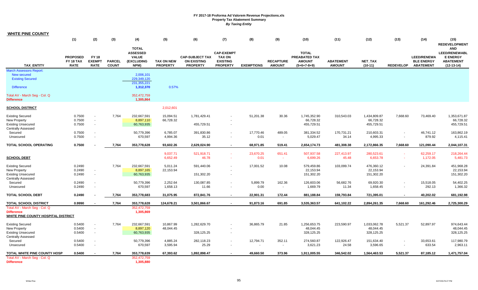| <b>WHITE PINE COUNTY</b>                   |                                                    |                                              |                               |                                                                       |                                      |                                                                 |                                                                          |                   |                                   |                                                                 |                                   |                      |                  |                                                             |                                                                                           |
|--------------------------------------------|----------------------------------------------------|----------------------------------------------|-------------------------------|-----------------------------------------------------------------------|--------------------------------------|-----------------------------------------------------------------|--------------------------------------------------------------------------|-------------------|-----------------------------------|-----------------------------------------------------------------|-----------------------------------|----------------------|------------------|-------------------------------------------------------------|-------------------------------------------------------------------------------------------|
|                                            | (1)                                                | (2)                                          | (3)                           | (4)                                                                   | (5)                                  | (6)                                                             | (7)                                                                      | (8)               | (9)                               | (10)                                                            | (11)                              | (12)                 | (13)             | (14)                                                        | (15)<br><b>REDEVELOPMENT</b>                                                              |
| <b>TAX ENTITY</b>                          | <b>PROPOSED</b><br><b>FY 18 TAX</b><br><b>RATE</b> | <b>FY 18</b><br><b>EXEMPT</b><br><b>RATE</b> | <b>PARCEL</b><br><b>COUNT</b> | <b>TOTAL</b><br><b>ASSESSED</b><br><b>VALUE</b><br>(EXCLUDING<br>NPM) | <b>TAX ON NEW</b><br><b>PROPERTY</b> | <b>CAP-SUBJECT TAX</b><br><b>ON EXISTING</b><br><b>PROPERTY</b> | <b>CAP-EXEMPT</b><br><b>TAX ON</b><br><b>EXISTING</b><br><b>PROPERTY</b> | <b>EXEMPTIONS</b> | <b>RECAPTURE</b><br><b>AMOUNT</b> | <b>TOTAL</b><br>PREABATED TAX<br><b>AMOUNT</b><br>$(5+6+7-8+9)$ | <b>ABATEMENT</b><br><b>AMOUNT</b> | NET_TAX<br>$(10-11)$ | <b>REDEVELOP</b> | <b>LEED/RENEWA</b><br><b>BLE ENERGY</b><br><b>ABATEMENT</b> | <b>AND</b><br><b>LEED/RENEWABL</b><br><b>E ENERGY</b><br><b>ABATEMENT</b><br>$(12-13-14)$ |
| <b>March Assessors Report:</b>             |                                                    |                                              |                               |                                                                       |                                      |                                                                 |                                                                          |                   |                                   |                                                                 |                                   |                      |                  |                                                             |                                                                                           |
| New secured                                |                                                    |                                              |                               | 2,006,101                                                             |                                      |                                                                 |                                                                          |                   |                                   |                                                                 |                                   |                      |                  |                                                             |                                                                                           |
| <b>Existing Secured</b>                    |                                                    |                                              |                               | 229,349,120                                                           |                                      |                                                                 |                                                                          |                   |                                   |                                                                 |                                   |                      |                  |                                                             |                                                                                           |
| <b>Difference</b>                          |                                                    |                                              |                               | 231,355,221<br>1,312,370                                              | 0.57%                                |                                                                 |                                                                          |                   |                                   |                                                                 |                                   |                      |                  |                                                             |                                                                                           |
| Total AV - March Seg - Col. Q              |                                                    |                                              |                               | 352,472,759                                                           |                                      |                                                                 |                                                                          |                   |                                   |                                                                 |                                   |                      |                  |                                                             |                                                                                           |
| <b>Difference</b>                          |                                                    |                                              |                               | 1,305,864                                                             |                                      |                                                                 |                                                                          |                   |                                   |                                                                 |                                   |                      |                  |                                                             |                                                                                           |
|                                            |                                                    |                                              |                               |                                                                       |                                      |                                                                 |                                                                          |                   |                                   |                                                                 |                                   |                      |                  |                                                             |                                                                                           |
| <b>SCHOOL DISTRICT</b>                     |                                                    |                                              |                               |                                                                       | 2,012,601                            |                                                                 |                                                                          |                   |                                   |                                                                 |                                   |                      |                  |                                                             |                                                                                           |
| <b>Existing Secured</b>                    | 0.7500                                             |                                              | 7,764                         | 232,667,591                                                           | 15,094.51                            | 1,781,429.41                                                    |                                                                          | 51,201.38         | 30.36                             | 1,745,352.90                                                    | 310,543.03                        | 1,434,809.87         | 7,668.60         | 73,469.40                                                   | 1,353,671.87                                                                              |
| <b>New Property</b>                        | 0.7500                                             | $\sim$                                       |                               | 8,897,110                                                             | 66,728.32                            |                                                                 |                                                                          |                   |                                   | 66,728.32                                                       |                                   | 66,728.32            |                  |                                                             | 66,728.32                                                                                 |
| <b>Existing Unsecured</b>                  | 0.7500                                             | $\sim$                                       |                               | 60,763,935                                                            |                                      | 455,729.51                                                      | $\blacksquare$                                                           |                   |                                   | 455,729.51                                                      |                                   | 455,729.51           |                  |                                                             | 455,729.51                                                                                |
| <b>Centrally Assessed</b>                  |                                                    |                                              |                               |                                                                       |                                      |                                                                 |                                                                          |                   |                                   |                                                                 |                                   |                      |                  |                                                             |                                                                                           |
| Secured                                    | 0.7500                                             |                                              |                               | 50,779,396                                                            | 6,785.07                             | 391,830.86                                                      | $\sim$                                                                   | 17,770.46         | 489.05                            | 381,334.52                                                      | 170,731.21                        | 210,603.31           | $\sim$           | 46,741.12                                                   | 163,862.19                                                                                |
| Unsecured                                  | 0.7500                                             |                                              |                               | 670,597                                                               | 4,994.36                             | 35.12                                                           | $\blacksquare$                                                           | 0.01              | $\sim$                            | 5,029.47                                                        | 34.14                             | 4,995.33             | $\blacksquare$   | 879.92                                                      | 4,115.41                                                                                  |
| <b>TOTAL SCHOOL OPERATING</b>              | 0.7500                                             |                                              | 7,764                         | 353,778,628                                                           | 93,602.26                            | 2,629,024.90                                                    | $\sim$                                                                   | 68,971.85         | 519.41                            | 2,654,174.73                                                    | 481,308.38                        | 2,172,866.35         | 7,668.60         | 121,090.44                                                  | 2,044,107.31                                                                              |
|                                            |                                                    |                                              |                               |                                                                       |                                      |                                                                 |                                                                          |                   |                                   |                                                                 |                                   |                      |                  |                                                             |                                                                                           |
|                                            |                                                    |                                              |                               |                                                                       | 9,037.71                             | 521,918.71                                                      | $\sim$                                                                   | 23,670.25         | 651.41                            | 507,937.58                                                      | 227,413.97                        | 280,523.61           | $\sim$           | 62,259.17                                                   | 218,264.44                                                                                |
| <b>SCHOOL DEBT</b>                         |                                                    |                                              |                               |                                                                       | 6,652.49                             | 46.78                                                           | $\sim$                                                                   | 0.01              | 14.1                              | 6,699.26                                                        | 45.48                             | 6,653.78             | $\sim$           | 1,172.05                                                    | 5,481.73                                                                                  |
| <b>Existing Secured</b>                    | 0.2490                                             |                                              | 7,764                         | 232,667,591                                                           | 5,011.24                             | 591,440.06                                                      |                                                                          | 17,001.52         | 10.08                             | 579,459.86                                                      | 103,099.74                        | 476,360.12           |                  | 24,391.84                                                   | 451,968.28                                                                                |
| <b>New Property</b>                        | 0.2490                                             | $\blacksquare$                               |                               | 8,897,165                                                             | 22,153.94                            |                                                                 |                                                                          |                   |                                   | 22,153.94                                                       |                                   | 22,153.94            |                  |                                                             | 22,153.94                                                                                 |
| <b>Existing Unsecured</b>                  | 0.2490                                             | $\sim$                                       |                               | 60,763,935                                                            |                                      | 151,302.20                                                      | $\blacksquare$                                                           |                   |                                   | 151,302.20                                                      |                                   | 151,302.20           |                  |                                                             | 151,302.20                                                                                |
| Centrally Assessed                         |                                                    |                                              |                               |                                                                       |                                      |                                                                 |                                                                          |                   |                                   |                                                                 |                                   |                      |                  |                                                             |                                                                                           |
| Secured                                    | 0.2490                                             |                                              |                               | 50,779,396                                                            | 2,252.64                             | 130,087.85                                                      | $\mathbf{r}$                                                             | 5,899.79          | 162.36                            | 126,603.06                                                      | 56,682.76                         | 69,920.30            | $\sim$           | 15,518.05                                                   | 54,402.25                                                                                 |
| Unsecured                                  | 0.2490                                             |                                              |                               | 670,597                                                               | 1,658.13                             | 11.66                                                           | $\sim$                                                                   | 0.00              | $\sim$                            | 1,669.79                                                        | 11.34                             | 1,658.45             | $\sim$           | 292.13                                                      | 1,366.32                                                                                  |
|                                            |                                                    |                                              |                               |                                                                       |                                      |                                                                 |                                                                          |                   |                                   |                                                                 |                                   |                      |                  |                                                             |                                                                                           |
| <b>TOTAL SCHOOL DEBT</b>                   | 0.2490                                             |                                              | 7,764                         | 353,778,683                                                           | 31,075.95                            | 872,841.76                                                      | $\sim$                                                                   | 22.901.31         | 172.44                            | 881,188.84                                                      | 159,793.84                        | 721,395.01           | $\sim$           | 40,202.02                                                   | 681,192.98                                                                                |
| TOTAL SCHOOL DISTRICT                      | 0.9990                                             |                                              | 7,764                         | 353,778,628                                                           | 124,678.21                           | 3,501,866.67                                                    | $\sim$                                                                   | 91,873.16         | 691.85                            | 3,535,363.57                                                    | 641,102.22                        | 2,894,261.35         | 7,668.60         | 161,292.46                                                  | 2,725,300.29                                                                              |
| Total AV - March Seg - Col. Q              |                                                    |                                              |                               | 352,472,759                                                           |                                      |                                                                 |                                                                          |                   |                                   |                                                                 |                                   |                      |                  |                                                             |                                                                                           |
| Difference                                 |                                                    |                                              |                               | 1,305,869                                                             |                                      |                                                                 |                                                                          |                   |                                   |                                                                 |                                   |                      |                  |                                                             |                                                                                           |
| <b>WHITE PINE COUNTY HOSPITAL DISTRICT</b> |                                                    |                                              |                               |                                                                       |                                      |                                                                 |                                                                          |                   |                                   |                                                                 |                                   |                      |                  |                                                             |                                                                                           |
| <b>Existing Secured</b>                    | 0.5400                                             | $\blacksquare$                               | 7,764                         | 232,667,591                                                           | 10,867.99                            | 1,282,629.70                                                    |                                                                          | 36,865.79         | 21.85                             | 1,256,653.75                                                    | 223,590.97                        | 1,033,062.78         | 5,521.37         | 52,897.97                                                   | 974,643.44                                                                                |
| <b>New Property</b>                        | 0.5400                                             | $\sim$                                       |                               | 8,897,120                                                             | 48,044.45                            |                                                                 |                                                                          |                   |                                   | 48,044.45                                                       |                                   | 48,044.45            |                  |                                                             | 48,044.45                                                                                 |
| <b>Existing Unsecured</b>                  | 0.5400                                             | $\sim$                                       |                               | 60,763,935                                                            |                                      | 328,125.25                                                      | $\blacksquare$                                                           |                   |                                   | 328,125.25                                                      |                                   | 328,125.25           |                  |                                                             | 328,125.25                                                                                |
| <b>Centrally Assessed</b>                  |                                                    |                                              |                               |                                                                       |                                      |                                                                 |                                                                          |                   |                                   |                                                                 |                                   |                      |                  |                                                             |                                                                                           |
| Secured                                    | 0.5400                                             |                                              |                               | 50,779,396                                                            | 4,885.24                             | 282,118.23                                                      | $\sim$                                                                   | 12,794.71         | 352.11                            | 274,560.87                                                      | 122,926.47                        | 151,634.40           | $\sim$           | 33,653.61                                                   | 117,980.79                                                                                |
| Unsecured                                  | 0.5400                                             | $\sim$                                       |                               | 670,597                                                               | 3,595.94                             | 25.29                                                           | $\overline{\phantom{a}}$                                                 | $\sim$            | $\sim$                            | 3,621.23                                                        | 24.58                             | 3,596.65             | $\blacksquare$   | 633.54                                                      | 2,963.11                                                                                  |
| <b>TOTAL WHITE PINE COUNTY HOSP</b>        | 0.5400                                             |                                              | 7,764                         | 353,778,639                                                           | 67,393.62                            | 1,892,898.47                                                    | $\sim$                                                                   | 49,660.50         | 373.96                            | 1,911,005.55                                                    | 346,542.02                        | 1,564,463.53         | 5,521.37         | 87,185.12                                                   | 1,471,757.04                                                                              |
| Total AV - March Seg - Col. Q              |                                                    |                                              |                               | 352,472,759                                                           |                                      |                                                                 |                                                                          |                   |                                   |                                                                 |                                   |                      |                  |                                                             |                                                                                           |
| <b>Difference</b>                          |                                                    |                                              |                               | 1,305,880                                                             |                                      |                                                                 |                                                                          |                   |                                   |                                                                 |                                   |                      |                  |                                                             |                                                                                           |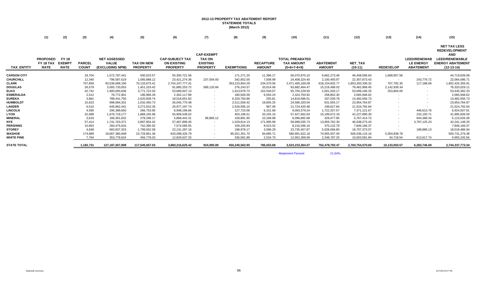### **2012-13 PROPERTY TAX ABATEMENT REPORT STATEWIDE TOTALS (March 2012)**

|                    | (1)                                         | (2)                                          | (3)                           | (4)                                                    | (5)                                  | (6)                                                             | (7)                                                                      | (8)               | (9)                               | (10)                                                         | (11)                              | (12)                        | (13)                     | (14)                                                        | (15)                                                                                                                          |
|--------------------|---------------------------------------------|----------------------------------------------|-------------------------------|--------------------------------------------------------|--------------------------------------|-----------------------------------------------------------------|--------------------------------------------------------------------------|-------------------|-----------------------------------|--------------------------------------------------------------|-----------------------------------|-----------------------------|--------------------------|-------------------------------------------------------------|-------------------------------------------------------------------------------------------------------------------------------|
| <b>TAX_ENTITY</b>  | <b>PROPOSED</b><br>FY 18 TAX<br><b>RATE</b> | <b>FY 18</b><br><b>EXEMPT</b><br><b>RATE</b> | <b>PARCEL</b><br><b>COUNT</b> | <b>NET ASSESSED</b><br><b>VALUE</b><br>(EXCLUDING NPM) | <b>TAX ON NEW</b><br><b>PROPERTY</b> | <b>CAP-SUBJECT TAX</b><br><b>ON EXISTING</b><br><b>PROPERTY</b> | <b>CAP-EXEMPT</b><br><b>TAX ON</b><br><b>EXISTING</b><br><b>PROPERTY</b> | <b>EXEMPTIONS</b> | <b>RECAPTURE</b><br><b>AMOUNT</b> | <b>TOTAL PREABATED</b><br><b>TAX AMOUNT</b><br>$(5+6+7-8+9)$ | <b>ABATEMENT</b><br><b>AMOUNT</b> | <b>NET TAX</b><br>$(10-11)$ | <b>REDEVELOP</b>         | <b>LEED/RENEWAB</b><br><b>LE ENERGY</b><br><b>ABATEMENT</b> | <b>NET TAX LESS</b><br><b>REDEVELOPMENT</b><br><b>AND</b><br><b>LEED/RENEWABLE</b><br><b>ENERGY ABATEMENT</b><br>$(12-13-14)$ |
| <b>CARSON CITY</b> |                                             |                                              | 18,704                        | 1,572,787,441                                          | 930,023.57                           | 55,300,721.56                                                   |                                                                          | 171,271.20        | 11,396.17                         | 56,070,870.10                                                | 9,662,273.46                      | 46,408,596.64               | 1,688,957.56             |                                                             | 44,719,639.08                                                                                                                 |
| <b>CHURCHILL</b>   |                                             |                                              | 12,340                        | 796,587,619                                            | 1,085,888.12                         | 23,421,274.36                                                   | 237,004.93                                                               | 342,852.00        | 7,008.99                          | 24,408,324.40                                                | 2,100,450.97                      | 22,307,873.43               | $\sim$                   | 243,776.72                                                  | 22,064,096.71                                                                                                                 |
| <b>CLARK</b>       |                                             |                                              | 757,859                       | 93,536,668,195                                         | 70,133,675.41                        | 2,754,247,777.41                                                | $\sim$                                                                   | 353,210,854.29    | 234,570.56                        | 2,471,405,169.09                                             | 618, 154, 832. 77                 | 1,853,250,336.32            | 707,792.35               | 117,188.06                                                  | 1,852,425,355.91                                                                                                              |
| <b>DOUGLAS</b>     |                                             |                                              | 26,579                        | 3,005,733,053                                          | 1,451,319.42                         | 91,885,253.72                                                   | 589,120.84                                                               | 276,243.57        | 33,014.06                         | 93,682,464.47                                                | 15,219,496.02                     | 78,462,968.45               | 2,142,939.34             |                                                             | 76,320,029.11                                                                                                                 |
| <b>ELKO</b>        |                                             |                                              | 42,742                        | 1,900,083,636                                          | 3,771,722.03                         | 53,689,947.13                                                   | $\sim$                                                                   | 1,913,979.73      | 152,540.07                        | 55,700,229.50                                                | 2,001,033.17                      | 53,699,196.33               | 253,804.00               |                                                             | 53,445,392.33                                                                                                                 |
| <b>ESMERALDA</b>   |                                             |                                              | 2,512                         | 76,772,901                                             | 196,966.28                           | 2,302,117.99                                                    |                                                                          | 180,926.59        | 6,593.24                          | 2,324,750.92                                                 | 258,802.30                        | 2,065,948.62                |                          |                                                             | 2,065,948.62                                                                                                                  |
| <b>EUREKA</b>      |                                             |                                              | 3,881                         | 788,441,750                                            | 2,620,939.74                         | 18,518,651.82                                                   | $\overline{\phantom{a}}$                                                 | 6,320,750.86      | 255.81                            | 14,819,096.51                                                | 337,039.78                        | 14,482,056.73               |                          |                                                             | 14,482,056.73                                                                                                                 |
| <b>HUMBOLDT</b>    |                                             |                                              | 15,623                        | 998,684,331                                            | 1,032,450.73                         | 26,045,770.48                                                   | $\overline{\phantom{a}}$                                                 | 2,511,556.42      | 19,655.25                         | 24,586,320.04                                                | 631,555.17                        | 23,954,764.87               | $\overline{\phantom{a}}$ |                                                             | 23,954,764.87                                                                                                                 |
| <b>LANDER</b>      |                                             |                                              | 6,515                         | 645,862,441                                            | 3,272,910.35                         | 20,977,197.74                                                   | $\overline{\phantom{a}}$                                                 | 2,526,595.10      | 907.49                            | 21,724,420.48                                                | 199,627.84                        | 21,524,792.64               | $\sim$                   |                                                             | 21,524,792.64                                                                                                                 |
| <b>LINCOLN</b>     |                                             |                                              | 4,590                         | 295,389,650                                            | 266,753.95                           | 8,948,196.66                                                    |                                                                          | 127,723.06        | 6,151.69                          | 9,093,379.24                                                 | 1,722,257.57                      | 7,371,121.67                |                          | 446,613.76                                                  | 6,924,507.91                                                                                                                  |
| <b>LYON</b>        |                                             |                                              | 32,089                        | 1,676,719,177                                          | 1,888,165.96                         | 55,909,538.02                                                   |                                                                          | 403,196.51        | 33,155.16                         | 57,427,662.63                                                | 15,199,672.33                     | 42,227,990.30               | $\overline{\phantom{a}}$ | 232,150.71                                                  | 41,995,839.59                                                                                                                 |
| <b>MINERAL</b>     |                                             |                                              | 3,619                         | 166,301,632                                            | 278.298.17                           | 5,868,442.31                                                    | 98,865.12                                                                | 158,881.90        | 10,168.98                         | 6,096,892.68                                                 | 329.477.95                        | 5,767,414.73                | $\overline{\phantom{a}}$ | 644.388.34                                                  | 5,123,026.39                                                                                                                  |
| <b>NYE</b>         |                                             |                                              | 57,414                        | 1,741,763,371                                          | 3,887,854.42                         | 57,467,899.45                                                   | $\overline{\phantom{a}}$                                                 | 1,529,614.13      | 171,895.99                        | 59,998,035.73                                                | 13,959,762.30                     | 46,038,273.43               | $\overline{\phantom{a}}$ | 3,797,125.23                                                | 42,241,148.20                                                                                                                 |
| <b>PERSHING</b>    |                                             |                                              | 10,663                        | 260,475,816                                            | 742,395.92                           | 7,574,585.55                                                    |                                                                          | 109,205.83        | 8,523.52                          | 8,216,299.16                                                 | 370,132.79                        | 7,846,166.37                |                          |                                                             | 7,846,166.37                                                                                                                  |
| <b>STOREY</b>      |                                             |                                              | 4,848                         | 683,837,323                                            | 1,799,552.58                         | 22,131,287.16                                                   | $\sim$                                                                   | 198,978.17        | 3,596.29                          | 23,735,457.87                                                | 5,028,084.80                      | 18,707,373.07               |                          | 188,886.13                                                  | 18,518,486.94                                                                                                                 |
| <b>WASHOE</b>      |                                             |                                              | 174,989                       | 18,687,380,848                                         | 23,729,961.36                        | 643,098,326.79                                                  |                                                                          | 85,921,351.70     | 84,685.71                         | 580,991,622.16                                               | 74,955,507.00                     | 506,036,115.16              | 5,304,838.78             | $\sim$                                                      | 500,731,276.38                                                                                                                |
| <b>WHITE PINE</b>  |                                             |                                              | 7,764                         | 353,778,624                                            | 456,779.03                           | 12,829,637.25                                                   |                                                                          | 336,581.89        | 2,534.70                          | 12,952,369.09                                                | 2,348,787.25                      | 10,603,581.84               | 34,718.54                | 613,617.74                                                  | 9,955,245.56                                                                                                                  |
| <b>STATE TOTAL</b> |                                             |                                              | 1.182.731                     | 127, 187, 267, 808                                     | 117,545,657.03                       | 3,860,216,625.42                                                | 924,990.89                                                               | 456,240,562.95    | 786,653.68                        | 3,523,233,364.07                                             | 762,478,793.47                    | 2,760,754,570.60            | 10,133,050.57            | 6,283,746.69                                                | 2,744,337,773.34                                                                                                              |

**Abatement Percent** 

21.64%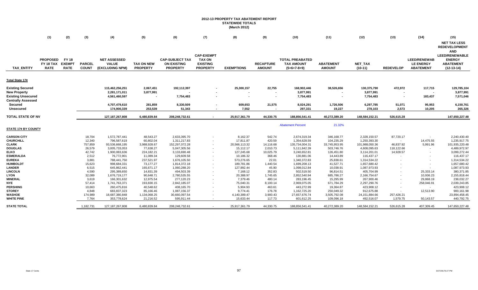# **2012-13 PROPERTY TAX ABATEMENT REPORT STATEWIDE TOTALS (March 2012)**

|                                                                      | (1)                                         | (2)                                   | (3)                           | (4)                                                    | (5)                                  | (6)                                                             | (7)                                                                      | (8)                                  | (9)                               | (10)                                                         | (11)                                | (12)                                       | (13)                    | (14)                                                        | (15)                                                                                                                             |
|----------------------------------------------------------------------|---------------------------------------------|---------------------------------------|-------------------------------|--------------------------------------------------------|--------------------------------------|-----------------------------------------------------------------|--------------------------------------------------------------------------|--------------------------------------|-----------------------------------|--------------------------------------------------------------|-------------------------------------|--------------------------------------------|-------------------------|-------------------------------------------------------------|----------------------------------------------------------------------------------------------------------------------------------|
| <b>TAX ENTITY</b>                                                    | <b>PROPOSED</b><br>FY 18 TAX<br><b>RATE</b> | FY 18<br><b>EXEMPT</b><br><b>RATE</b> | <b>PARCEL</b><br><b>COUNT</b> | <b>NET ASSESSED</b><br><b>VALUE</b><br>(EXCLUDING NPM) | <b>TAX ON NEW</b><br><b>PROPERTY</b> | <b>CAP-SUBJECT TAX</b><br><b>ON EXISTING</b><br><b>PROPERTY</b> | <b>CAP-EXEMPT</b><br><b>TAX ON</b><br><b>EXISTING</b><br><b>PROPERTY</b> | <b>EXEMPTIONS</b>                    | <b>RECAPTURE</b><br><b>AMOUNT</b> | <b>TOTAL PREABATED</b><br><b>TAX AMOUNT</b><br>$(5+6+7-8+9)$ | <b>ABATEMENT</b><br><b>AMOUNT</b>   | NET_TAX<br>$(10-11)$                       | <b>REDEVELOP</b>        | <b>LEED/RENEWAB</b><br><b>LE ENERGY</b><br><b>ABATEMENT</b> | <b>NET TAX LESS</b><br><b>REDEVELOPMENT</b><br><b>AND</b><br>LEED/RENEWABLE<br><b>ENERGY</b><br><b>ABATEMENT</b><br>$(12-13-14)$ |
|                                                                      |                                             |                                       |                               |                                                        |                                      |                                                                 |                                                                          |                                      |                                   |                                                              |                                     |                                            |                         |                                                             |                                                                                                                                  |
| Total State 17¢                                                      |                                             |                                       |                               |                                                        |                                      |                                                                 |                                                                          |                                      |                                   |                                                              |                                     |                                            |                         |                                                             |                                                                                                                                  |
| Existing Secured<br><b>New Property</b><br><b>Existing Unsecured</b> |                                             |                                       |                               | 115,462,256,251<br>2,281,171,011<br>4,561,460,597      | 2,067,451<br>3,877,991               | 192,112,397<br>7,754,483                                        |                                                                          | 25,300,157                           | 22,755                            | 168,902,446<br>3,877,991<br>7,754,483                        | 38,526,656                          | 130,375,790<br>3,877,991<br>7,754,483      | 472,972                 | 117,715<br>183,437                                          | 129,785,104<br>3,877,991<br>7,571,046                                                                                            |
| <b>Centrally Assessed</b><br>Secured<br><b>Unsecured</b>             |                                             |                                       |                               | 4,707,479,610<br>174.900.339                           | 281,859<br>253,539                   | 8,330,509<br>51,343                                             |                                                                          | 609,653<br>7,552                     | 21,575                            | 8,024,291<br>297,331                                         | 1,726,506<br>19,227                 | 6,297,785<br>278,103                       | 51,071<br>2,573         | 95,953<br>10,205                                            | 6,150,761<br>265,326                                                                                                             |
| TOTAL STATE OF NV                                                    |                                             |                                       |                               | 127, 187, 267, 808                                     | 6,480,839.84                         | 208,248,732.61                                                  | $\sim$                                                                   | 25,917,361.79                        | 44,330.75                         | 188,856,541.41                                               | 40,272,389.20                       | 148,584,152.21                             | 526,615.28              |                                                             | 147,650,227.48                                                                                                                   |
| <b>STATE 17¢ BY COUNTY</b>                                           |                                             |                                       |                               |                                                        |                                      |                                                                 |                                                                          |                                      |                                   | <b>Abatement Percent</b>                                     | 21.32%                              |                                            |                         |                                                             |                                                                                                                                  |
| <b>CARSON CITY</b>                                                   |                                             |                                       | 18,704                        | 1,572,787,441                                          | 48,543.27                            | 2,633,395.70                                                    |                                                                          | 8,162.37                             | 542.74                            | 2,674,319.34                                                 | 346,168.77                          | 2,328,150.57                               | 87,720.17               |                                                             | 2,240,430.40                                                                                                                     |
| CHURCHILL<br>CLARK                                                   |                                             |                                       | 12,340<br>757,859             | 796,587,619<br>93,536,668,195                          | 60,802.04<br>3,988,928.67            | 1,311,217.83<br>152,297,072.28                                  | $\sim$<br>$\sim$                                                         | 17,811.87<br>20,566,113.32           | 420.59<br>14,116.68               | 1,354,628.59<br>135,734,004.31                               | 104,235.29<br>33,745,953.95         | 1,250,393.30<br>101,988,050.36             | 46,837.92               | 14,475.55<br>5,991.96                                       | 1,235,917.75<br>101,935,220.48                                                                                                   |
| DOUGLAS<br>ELKO                                                      |                                             |                                       | 26,579<br>42,742              | 3,005,733,053<br>1,900,083,636                         | 77,638.27<br>224,182.21              | 5,047,305.56<br>3,133,690.48                                    | $\sim$                                                                   | 15,112.17<br>127,245.68              | 2,010.73<br>10,025.79             | 5,111,842.39<br>3,240,652.81                                 | 503,746.76<br>126,451.80            | 4,608,095.63<br>3,114,201.01               | 118,122.66<br>14,928.57 |                                                             | 4,489,972.97<br>3,099,272.44                                                                                                     |
| <b>ESMERALDA</b><br><b>EUREKA</b>                                    |                                             |                                       | 2,512<br>3,881                | 76,772,901<br>788,441,750                              | 11,089.34<br>237,521.97              | 129,609.58<br>1,676,105.50                                      |                                                                          | 10,186.32<br>573,276.65              | 368.46<br>22.01                   | 130,881.06<br>1,340,372.83                                   | 14,443.89<br>25,838.61              | 116,437.17<br>1,314,534.22                 |                         |                                                             | 116,437.17<br>1,314,534.22                                                                                                       |
| <b>HUMBOLDT</b><br><b>LANDER</b><br>LINCOLN                          |                                             |                                       | 15,623<br>6,515<br>4,590      | 998,684,331<br>645,862,441<br>295,389,650              | 73,177.27<br>165,671.17<br>14,831.39 | 1,814,372.18<br>1,060,288.20<br>494,503.39                      |                                                                          | 189,781.86<br>127,992.44<br>7,168.12 | 1,440.54<br>45.90<br>352.83       | 1,699,208.13<br>1,098,012.84<br>502,519.50                   | 41,527.71<br>10,038.91<br>96,814.51 | 1,657,680.42<br>1,087,973.93<br>405,704.99 |                         | 25,333.14                                                   | 1,657,680.42<br>1,087,973.93<br>380,371.85                                                                                       |
| LYON<br><b>MINERAL</b>                                               |                                             |                                       | 32,089<br>3,619               | 1,676,719,177<br>166,301,632                           | 90,648.71<br>12,975.54               | 2,780,535.55<br>277,120.23                                      |                                                                          | 20,388.97<br>7,379.46                | 1,745.65<br>480.14                | 2,852,540.94<br>283,196.45                                   | 685,786.27<br>15,295.99             | 2,166,754.67<br>267,900.46                 |                         | 10,936.23<br>29,868.19                                      | 2,155,818.44<br>238,032.27                                                                                                       |
| NYE<br><b>PERSHING</b>                                               |                                             |                                       | 57,414<br>10,663              | 1,741,763,371<br>260,475,816                           | 193,830.15<br>40,548.62              | 2,842,185.07<br>408,165.70                                      |                                                                          | 75,040.31<br>5,904.93                | 8,100.14<br>463.61                | 2,969,075.05<br>443,272.99                                   | 671,784.29<br>19,364.87             | 2,297,290.76<br>423,908.12                 |                         | 258,046.91                                                  | 2,039,243.85<br>423,908.12                                                                                                       |
| <b>STOREY</b><br>WASHOE                                              |                                             |                                       | 4,848<br>174,989              | 683,837,323<br>18,687,380,848                          | 85,166.46<br>1,134,068.25            | 1,087,156.37<br>30,660,097.54                                   |                                                                          | 9,774.41<br>4,140,389.47             | 176.78<br>3,900.43                | 1,162,725.20<br>27,657,676.74                                | 250,049.32<br>3,505,792.08          | 912,675.88<br>24,151,884.66                | 257,426.21              | 12,513.90                                                   | 900,161.98<br>23,894,458.45                                                                                                      |
| WHITE PINE                                                           |                                             |                                       | 7,764                         | 353,778,624                                            | 21,216.52                            | 595,911.44                                                      | $\sim$                                                                   | 15,633.44                            | 117.73                            | 601,612.25                                                   | 109,096.18                          | 492,516.07                                 | 1,579.75                | 50,143.57                                                   | 440,792.75                                                                                                                       |
| STATE TOTAL                                                          |                                             |                                       | 1,182,731                     | 127, 187, 267, 808                                     | 6,480,839.84                         | 208,248,732.61                                                  |                                                                          | 25,917,361.79                        | 44,330.75                         | 188,856,541.41                                               | 40,272,389.20                       | 148,584,152.21                             | 526,615.28              | 407,309.45                                                  | 147,650,227.48                                                                                                                   |

 $\mathbf{r}$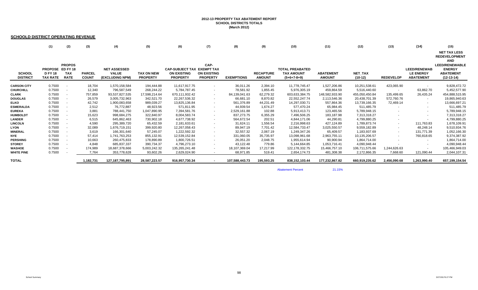#### **2012-13 PROPERTY TAX ABATEMENT REPORT SCHOOL DISTRICTS TOTALS (March 2012)**

#### **SCHOOLD DISTRICT OPERATING REVENUE**

|  |  |  |  |  | (1)   (2)    (3)     (4)      (5)      (6)     (7)     (8)     (9)     (10)     (11)     (12)     (13)    (14)     (15) |  |                     |
|--|--|--|--|--|-------------------------------------------------------------------------------------------------------------------------|--|---------------------|
|  |  |  |  |  |                                                                                                                         |  | <b>NET TAX LESS</b> |

**REDEVELOPMENT** 

**AND LEED/RENEWABLE** 

| <b>SCHOOL</b><br><b>DISTRICT</b> | PROPOSE ED FY 18<br><b>D FY 18</b><br>TAX RATE | <b>PROPOS</b><br><b>TAX</b><br><b>RATE</b> | <b>PARCEL</b><br><b>COUNT</b> | <b>NET ASSESSED</b><br><b>VALUE</b><br>(EXCLUDING NPM) | TAX ON NEW<br><b>PROPERTY</b> | <b>CAP-SUBJECT TAX EXEMPT TAX</b><br><b>ON EXISTING</b><br><b>PROPERTY</b> | CAP-<br><b>ON EXISTING</b><br><b>PROPERTY</b> | <b>EXEMPTIONS</b> | <b>RECAPTURE</b><br><b>AMOUNT</b> | <b>TOTAL PREABATED</b><br><b>TAX AMOUNT</b><br>$(5+6+7-8+9)$ | <b>ABATEMENT</b><br><b>AMOUNT</b> | NET_TAX<br>(10-12) | <b>REDEVELOP</b> | <b>LEED/RENEWAB</b><br><b>LE ENERGY</b><br><b>ABATEMENT</b> | .<br><b>LEED/RENEWABLE</b><br><b>ENERGY</b><br><b>ABATEMENT</b><br>$(12-13-14)$ |
|----------------------------------|------------------------------------------------|--------------------------------------------|-------------------------------|--------------------------------------------------------|-------------------------------|----------------------------------------------------------------------------|-----------------------------------------------|-------------------|-----------------------------------|--------------------------------------------------------------|-----------------------------------|--------------------|------------------|-------------------------------------------------------------|---------------------------------------------------------------------------------|
| <b>CARSON CITY</b>               | 0.7500                                         | $\sim$                                     | 18,704                        | 1,570,158,584                                          | 194,444.88                    | 11,617,917.75                                                              | $\sim$                                        | 36,011.26         | 2,394.10                          | 11,778,745.47                                                | 1,527,206.86                      | 10,251,538.61      | 423,065.90       |                                                             | 9,828,472.72                                                                    |
| <b>CHURCHILL</b>                 | 0.7500                                         | $\sim$                                     | 12,340                        | 796,587,549                                            | 268,244.22                    | 5,784,787.45                                                               | $\sim$                                        | 78,581.92         | 1,855.45                          | 5,976,305.19                                                 | 459,864.59                        | 5,516,440.60       | $\sim$           | 63,862.70                                                   | 5,452,577.90                                                                    |
| <b>CLARK</b>                     | 0.7500                                         | $\sim$ $-$                                 | 757,859                       | 93,537,827,535                                         | 17,598,214.64                 | 670,111,932.42                                                             | $\sim$                                        | 84,139,041.63     | 62,279.32                         | 603,633,384.75                                               | 148,582,933.90                    | 455,050,450.84     | 135,499.65       | 26,435.24                                                   | 454,888,515.95                                                                  |
| <b>DOUGLAS</b>                   | 0.7500                                         | $\sim$                                     | 26,579                        | 3,005,732,963                                          | 342,521.70                    | 22, 267, 536. 32                                                           | $\sim$                                        | 66,681.10         | 8,870.82                          | 22,552,247.74                                                | 2,113,546.36                      | 20,438,701.39      | 572,760.76       | $\sim$                                                      | 19,865,940.63                                                                   |
| <b>ELKO</b>                      | 0.7500                                         | $\sim$                                     | 42,742                        | 1,900,083,658                                          | 989,039.27                    | 13,825,136.84                                                              | $\sim$                                        | 561,376.89        | 44,231.49                         | 14,297,030.71                                                | 557,864.36                        | 13,739,166.35      | 72,469.14        | $\sim$                                                      | 13,666,697.21                                                                   |
| <b>ESMERALDA</b>                 | 0.7500                                         | $\sim$                                     | 2,512                         | 76,772,887                                             | 48,923.56                     | 571,811.95                                                                 | $\sim$                                        | 44,939.54         | 1,674.27                          | 577,470.24                                                   | 65,984.45                         | 511,485.79         | $\sim$           | $\sim$                                                      | 511,485.79                                                                      |
| <b>EUREKA</b>                    | 0.7500                                         | $\sim$                                     | 3,881                         | 788,441,750                                            | 1,047,890.95                  | 7,394,581.76                                                               | $\sim$                                        | 2,529,161.88      | 102.88                            | 5,913,413.71                                                 | 123,465.56                        | 5,789,948.15       | $\sim$           | $\sim$                                                      | 5,789,948.15                                                                    |
| <b>HUMBOLDT</b>                  | 0.7500                                         | $\sim$ $-$                                 | 15,623                        | 998,684,275                                            | 322,840.97                    | 8,004,583.74                                                               | $\sim$                                        | 837,273.75        | 6,355.29                          | 7,496,506.25                                                 | 183,187.98                        | 7,313,318.27       | $\sim$           | $\sim$                                                      | 7,313,318.27                                                                    |
| <b>LANDER</b>                    | 0.7500                                         | $\sim$                                     | 6,515                         | 645,862,463                                            | 730,902.18                    | 4,677,738.92                                                               | $\sim$                                        | 564,672.54        | 202.51                            | 4,844,171.06                                                 | 44,290.81                         | 4,799,880.25       | $\sim$           | $\sim$                                                      | 4,799,880.25                                                                    |
| <b>LINCOLN</b>                   | 0.7500                                         | $\sim$ $-$                                 | 4,590                         | 295,389,720                                            | 65,432.59                     | 2,181,633.61                                                               | $\sim$                                        | 31,624.11         | 1,556.54                          | 2,216,998.63                                                 | 427,124.89                        | 1,789,873.74       | $\sim$           | 111,763.83                                                  | 1,678,109.91                                                                    |
| <b>LYON</b>                      | 0.7500                                         | $\sim$                                     | 32,089                        | 1,676,719,151                                          | 399,920.80                    | 12,267,058.43                                                              | $\sim$                                        | 89,947.19         | 7,701.42                          | 12,584,733.47                                                | 3,025,550.57                      | 9,559,182.89       | $\sim$           | 48,248.14                                                   | 9,510,934.76                                                                    |
| <b>MINERAL</b>                   | 0.7500                                         | $\sim$                                     | 3,619                         | 166,301,640                                            | 57,245.07                     | 1,222,592.32                                                               | $\sim$                                        | 32,557.32         | 2,067.19                          | 1,249,347.26                                                 | 65,409.57                         | 1,183,937.69       | $\sim$           | 131,771.39                                                  | 1,052,166.30                                                                    |
| <b>NYE</b>                       | 0.7500                                         | $\sim$                                     | 57,414                        | 1,741,763,253                                          | 855,132.91                    | 12,539,152.84                                                              | $\sim$                                        | 331,060.05        | 35,735.97                         | 13,098,961.68                                                | 2,963,755.11                      | 10,135,206.57      | $\sim$           | 760,818.65                                                  | 9,374,387.92                                                                    |
| <b>PERSHING</b>                  | 0.7500                                         | $\sim$                                     | 10,663                        | 260,475,833                                            | 178,890.89                    | 1,800,726.51                                                               | $\sim$                                        | 26,051.20         | 2,048.75                          | 1,955,614.94                                                 | 90,900.94                         | 1,864,714.00       | $\sim$           | $\sim$                                                      | 1,864,714.00                                                                    |
| <b>STOREY</b>                    | 0.7500                                         | $\overline{\phantom{a}}$                   | 4,848                         | 685,837,337                                            | 390,734.37                    | 4,796,273.10                                                               | $\sim$                                        | 43,122.48         | 779.86                            | 5,144,664.85                                                 | 1,053,716.41                      | 4,090,948.44       |                  | $\sim$                                                      | 4,090,948.44                                                                    |
| <b>WASHOE</b>                    | 0.7500                                         |                                            | 174,989                       | 18,687,378,666                                         | 5,003,242.32                  | 135,265,241.48                                                             | $\sim$                                        | 18,107,369.04     | 17,217.99                         | 122,178,332.75                                               | 15,466,757.10                     | 106,711,575.66     | 1,244,626.63     | $\sim$                                                      | 105,466,949.03                                                                  |
| <b>WHITE PINE</b>                | 0.7500                                         |                                            | 7.764                         | 353,778,628                                            | 93,602.26                     | 2,629,024.90                                                               | $\sim$                                        | 68,971.85         | 519.41                            | 2,654,174.73                                                 | 481,308.38                        | 2,172,866.35       | 7,668.60         | 121,090.44                                                  | 2,044,107.31                                                                    |
| <b>TOTAL</b>                     |                                                |                                            | 1,182,731                     | 127, 187, 795, 891                                     | 28,587,223.57                 | 916,957,730.34                                                             | $\overline{\phantom{a}}$                      | 107,588,443.73    | 195,593.25                        | 838,152,103.44                                               | 177,232,867.82                    | 660,919,235.62     | 2,456,090.68     | 1,263,990.40                                                | 657,199,154.54                                                                  |

**Abatement Percent** 

21.15%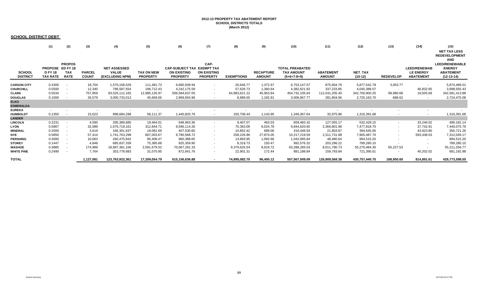#### **2012-13 PROPERTY TAX ABATEMENT REPORT SCHOOL DISTRICTS TOTALS (March 2012)**

#### **SCHOOL DISTRICT DEBT**

| <b>SCHOOL</b><br><b>DISTRICT</b> | (1)<br>PROPOSE ED FY 18<br><b>DFY18</b><br><b>TAX RATE</b> | (2)<br><b>PROPOS</b><br><b>TAX</b><br><b>RATE</b> | (3)<br><b>PARCEL</b><br><b>COUNT</b> | (4)<br><b>NET ASSESSED</b><br><b>VALUE</b><br>(EXCLUDING NPM) | (5)<br><b>TAX ON NEW</b><br><b>PROPERTY</b> | (6)<br><b>CAP-SUBJECT TAX EXEMPT TAX</b><br><b>ON EXISTING</b><br><b>PROPERTY</b> | (7)<br>CAP-<br><b>ON EXISTING</b><br><b>PROPERTY</b> | (8)<br><b>EXEMPTIONS</b> | (9)<br><b>RECAPTURE</b><br><b>AMOUNT</b> | (10)<br><b>TOTAL PREABATED</b><br><b>TAX AMOUNT</b><br>$(5+6+7-8+9)$ | (11)<br><b>ABATEMENT</b><br><b>AMOUNT</b> | (12)<br>NET_TAX<br>$(10-12)$ | (13)<br><b>REDEVELOP</b> | (14)<br><b>LEED/RENEWAB</b><br><b>LE ENERGY</b><br><b>ABATEMENT</b> | (15)<br><b>NET TAX LESS</b><br><b>REDEVELOPMENT</b><br><b>AND</b><br><b>LEED/RENEWABLE</b><br><b>ENERGY</b><br><b>ABATEMENT</b><br>$(12-13-14)$ |
|----------------------------------|------------------------------------------------------------|---------------------------------------------------|--------------------------------------|---------------------------------------------------------------|---------------------------------------------|-----------------------------------------------------------------------------------|------------------------------------------------------|--------------------------|------------------------------------------|----------------------------------------------------------------------|-------------------------------------------|------------------------------|--------------------------|---------------------------------------------------------------------|-------------------------------------------------------------------------------------------------------------------------------------------------|
| <b>CARSON CITY</b>               | 0.4300                                                     | $\sim$                                            | 18,704                               | 1,570,158,529                                                 | 111,481.73                                  | 6,660,939.94                                                                      | $\sim$                                               | 20,646.77                | 1,372.67                                 | 6,753,147.57                                                         | 875,604.79                                | 5,877,542.78                 | 3,053.77                 | $\sim$                                                              | 5,874,489.01                                                                                                                                    |
|                                  | 0.5500                                                     | $\sim$                                            | 12,340                               | 796,587,554                                                   | 196,712.43                                  | 4,242,175.59                                                                      | $\sim$                                               | 57,626.73                | 1,360.64                                 | 4,382,621.92                                                         | 337,233.85                                | 4,045,388.07                 | $\sim$                   | 46,832.65                                                           | 3,998,555.43                                                                                                                                    |
| <b>CHURCHILL</b>                 | 0.5534                                                     | $\sim$                                            | 757,859                              | 93,525,112,165                                                | 12,985,135.97                               | 506,584,637.05                                                                    | $\sim$                                               | 64,883,621.22            | 45,953.84                                | 454,732,105.64                                                       | 112,031,205.40                            | 342,700,900.25               | 99,980.68                | 19,505.69                                                           | 342,581,413.88                                                                                                                                  |
| <b>CLARK</b>                     | 0.1000                                                     |                                                   | 26,579                               | 3,005,733,013                                                 | 45,669.56                                   | 2,969,004.96                                                                      |                                                      | 8,889.55                 | 1,182.81                                 | 3,006,967.77                                                         | 281,804.06                                | 2,725,163.70                 | 688.62                   | $\sim$                                                              | 2,724,475.08                                                                                                                                    |
| <b>DOUGLAS</b><br><b>ELKO</b>    |                                                            |                                                   |                                      |                                                               |                                             |                                                                                   |                                                      |                          |                                          |                                                                      |                                           |                              |                          |                                                                     |                                                                                                                                                 |
| <b>ESMERALDA</b>                 |                                                            |                                                   |                                      |                                                               |                                             |                                                                                   |                                                      |                          |                                          |                                                                      |                                           |                              |                          |                                                                     |                                                                                                                                                 |
| <b>EUREKA</b>                    |                                                            |                                                   |                                      |                                                               |                                             |                                                                                   | $\sim$                                               |                          |                                          |                                                                      |                                           |                              |                          |                                                                     |                                                                                                                                                 |
| <b>HUMBOLDT</b>                  | 0.1350                                                     |                                                   | 15,623                               | 998,684,298                                                   | 58,111.37                                   | 1,440,820.76                                                                      |                                                      | 150,708.44               | 1,143.95                                 | 1,349,367.64                                                         | 32,975.96                                 | 1,316,391.68                 |                          |                                                                     | 1,316,391.68                                                                                                                                    |
| <b>LANDER</b>                    |                                                            |                                                   |                                      |                                                               |                                             |                                                                                   |                                                      |                          |                                          |                                                                      |                                           |                              |                          |                                                                     |                                                                                                                                                 |
| <b>LINCOLN</b>                   | 0.2231                                                     | $\sim$                                            | 4,590                                | 295,389,685                                                   | 19,464.01                                   | 648,963.36                                                                        | $\sim$                                               | 9,407.07                 | 463.03                                   | 659,483.32                                                           | 127,055.17                                | 532,428.15                   | $\sim$                   | 33,246.02                                                           | 499,182.14                                                                                                                                      |
| <b>LYON</b>                      | 0.5867                                                     | $\sim$                                            | 32,089                               | 1,676,719,161                                                 | 312,844.71                                  | 9,596,114.26                                                                      | $\sim$                                               | 70,363.09                | 6,024.78                                 | 9,844,620.65                                                         | 2,366,801.96                              | 7,477,818.70                 | $\sim$                   | 37,742.91                                                           | 7,440,075.79                                                                                                                                    |
| <b>MINERAL</b>                   | 0.2500                                                     | $\sim$                                            | 3,619                                | 166,301,637                                                   | 19,081.69                                   | 407,530.60                                                                        | $\sim$                                               | 10,852.42                | 689.06                                   | 416,448.93                                                           | 21,803.87                                 | 394,645.06                   | $\sim$                   | 43,923.80                                                           | 350,721.26                                                                                                                                      |
| <b>NYE</b>                       | 0.5850                                                     | $\sim$                                            | 57,414                               | 1,741,763,298                                                 | 667,003.67                                  | 9,780,568.72                                                                      | $\sim$                                               | 258,226.86               | 27,874.05                                | 10,217,219.59                                                        | 2,311,731.88                              | 7,905,487.70                 | $\sim$                   | 593,438.53                                                          | 7,312,049.17                                                                                                                                    |
| <b>PERSHING</b>                  | 0.4000                                                     | $\sim$                                            | 10,663                               | 260,475,842                                                   | 95,408.47                                   | 960,388.65                                                                        | $\sim$                                               | 13,893.95                | 1,092.66                                 | 1,042,995.84                                                         | 48,480.64                                 | 994,515.20                   | $\sim$                   | $\sim$                                                              | 994,515.20                                                                                                                                      |
| <b>STOREY</b>                    | 0.1447                                                     |                                                   | 4,848                                | 685,837,339                                                   | 75,385.68                                   | 925,359.90                                                                        |                                                      | 8,319.73                 | 150.47                                   | 992,576.32                                                           | 203,296.22                                | 789,280.10                   |                          |                                                                     | 789,280.10                                                                                                                                      |
| <b>WASHOE</b>                    | 0.3885                                                     |                                                   | 174,989                              | 18,687,381,156                                                | 2,591,679.52                                | 70,067,291.33                                                                     | $\sim$                                               | 9,379,625.54             | 8,919.72                                 | 63,288,265.03                                                        | 8,011,780.73                              | 55,276,484.30                | 65,227.53                | $\sim$                                                              | 55,211,256.77                                                                                                                                   |
| <b>WHITE PINE</b>                | 0.2490                                                     | $\sim$                                            | 7,764                                | 353,778,683                                                   | 31,075.95                                   | 872,841.76                                                                        | $\sim$                                               | 22,901.31                | 172.44                                   | 881,188.84                                                           | 159,793.84                                | 721,395.01                   | $\sim$                   | 40,202.02                                                           | 681,192.98                                                                                                                                      |
| <b>TOTAL</b>                     |                                                            |                                                   | 1,127,081                            | 123,763,922,361                                               | 17,209,054.79                               | 615,156,636.88                                                                    |                                                      | 74.895.082.70            | 96,400.12                                | 557,567,009.09                                                       | 126,809,568.38                            | 430,757,440.70               | 168.950.60               | 814,891.61                                                          | 429,773,598.50                                                                                                                                  |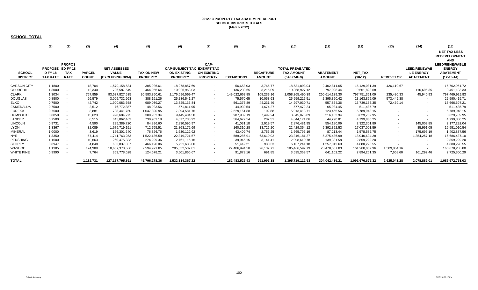#### **2012-13 PROPERTY TAX ABATEMENT REPORT SCHOOL DISTRICTS TOTALS (March 2012)**

#### **SCHOOL TOTAL**

|  |  |  |  |  | (1)   (2)   (3)     (4)      (5)      (6)     (7)     (8)     (9)     (10)     (11)     (12)     (13)    (14)     (15) |  |                     |
|--|--|--|--|--|------------------------------------------------------------------------------------------------------------------------|--|---------------------|
|  |  |  |  |  |                                                                                                                        |  | <b>NET TAX LESS</b> |

**REDEVELOPMENT** 

**AND LEED/RENEWABLE** 

| <b>SCHOOL</b><br><b>DISTRICT</b> | PROPOSE ED FY 18<br><b>DFY18</b><br>TAX RATE | <b>PROPOS</b><br><b>TAX</b><br><b>RATE</b> | <b>PARCEL</b><br><b>COUNT</b> | <b>NET ASSESSED</b><br><b>VALUE</b><br>(EXCLUDING NPM) | <b>TAX ON NEW</b><br><b>PROPERTY</b> | <b>CAP-SUBJECT TAX EXEMPT TAX</b><br><b>ON EXISTING</b><br><b>PROPERTY</b> | CAP-<br><b>ON EXISTING</b><br><b>PROPERTY</b> | <b>EXEMPTIONS</b> | <b>RECAPTURE</b><br><b>AMOUNT</b> | <b>TOTAL PREABATED</b><br><b>TAX AMOUNT</b><br>$(5+6+7-8+9)$ | <b>ABATEMENT</b><br><b>AMOUNT</b> | NET_TAX<br>$(10-12)$ | <b>REDEVELOP</b> | <b>LEED/RENEWAB</b><br><b>LE ENERGY</b><br><b>ABATEMENT</b> | <b>AD</b><br><b>LEED/RENEWABLE</b><br><b>ENERGY</b><br><b>ABATEMENT</b><br>$(12-13-14)$ |
|----------------------------------|----------------------------------------------|--------------------------------------------|-------------------------------|--------------------------------------------------------|--------------------------------------|----------------------------------------------------------------------------|-----------------------------------------------|-------------------|-----------------------------------|--------------------------------------------------------------|-----------------------------------|----------------------|------------------|-------------------------------------------------------------|-----------------------------------------------------------------------------------------|
| <b>CARSON CITY</b>               | 1.1800                                       | $\sim$                                     | 18,704                        | 1,570,158,584                                          | 305,926.61                           | 18,278,857.69                                                              | $\sim$                                        | 56,658.03         | 3,766.77                          | 18,531,893.04                                                | 2,402,811.65                      | 16,129,081.39        | 426,119.67       | $\sim$                                                      | 15,702,961.72                                                                           |
| CHURCHILL                        | 1.3000                                       | $\sim$                                     | 12,340                        | 796,587,549                                            | 464,956.64                           | 10,026,963.03                                                              | $\sim$                                        | 136,208.65        | 3,216.09                          | 10,358,927.12                                                | 797,098.44                        | 9,561,828.68         | $\sim$           | 110,695.35                                                  | 9,451,133.33                                                                            |
| CLARK                            | 1.3034                                       | $\sim$                                     | 757,859                       | 93,537,827,535                                         | 30,583,350.61                        | 176,696,569.47                                                             | $\sim$                                        | 149,022,662.85    | 108,233.16                        | 1,058,365,490.39                                             | 260,614,139.30                    | 797,751,351.09       | 235,480.33       | 45,940.93                                                   | 797,469,929.83                                                                          |
| <b>DOUGLAS</b>                   | 0.8500                                       | $\sim$                                     | 26,579                        | 3,005,732,963                                          | 388,191.26                           | 25,236,541.27                                                              | $\sim$                                        | 75,570.65         | 10,053.63                         | 25,559,215.51                                                | 2,395,350.42                      | 23,163,865.09        | 573,449.38       | $\sim$                                                      | 22,590,415.71                                                                           |
| ELKO                             | 0.7500                                       | $\sim$                                     | 42,742                        | 1,900,083,658                                          | 989,039.27                           | 13,825,136.84                                                              | $\sim$                                        | 561,376.89        | 44,231.49                         | 14,297,030.71                                                | 557,864.36                        | 13,739,166.35        | 72,469.14        | $\sim$                                                      | 13,666,697.21                                                                           |
| ESMERALDA                        | 0.7500                                       | $\sim$                                     | 2,512                         | 76,772,887                                             | 48,923.56                            | 571,811.95                                                                 | $\sim$                                        | 44,939.54         | 1,674.27                          | 577,470.24                                                   | 65,984.45                         | 511,485.79           | $\sim$           | $\sim$                                                      | 511,485.79                                                                              |
| EUREKA                           | 0.7500                                       | $\sim$                                     | 3.881                         | 788,441,750                                            | 1,047,890.95                         | 7,394,581.76                                                               | $\sim$                                        | 2,529,161.88      | 102.88                            | 5,913,413.71                                                 | 123,465.56                        | 5,789,948.15         | $\sim$           | $\sim$                                                      | 5,789,948.15                                                                            |
| <b>HUMBOLDT</b>                  | 0.8850                                       | $\sim$                                     | 15,623                        | 998,684,275                                            | 380,952.34                           | 9,445,404.50                                                               | $\sim$                                        | 987,982.19        | 7,499.24                          | 8,845,873.89                                                 | 216,163.94                        | 8,629,709.95         | $\sim$           | $\sim$                                                      | 8,629,709.95                                                                            |
| LANDER                           | 0.7500                                       | $\sim$                                     | 6,515                         | 645,862,463                                            | 730,902.18                           | 4,677,738.92                                                               | $\sim$                                        | 564,672.54        | 202.51                            | 4,844,171.06                                                 | 44,290.81                         | 4,799,880.25         | $\sim$           |                                                             | 4,799,880.25                                                                            |
| LINCOLN                          | 0.9731                                       | $\sim$                                     | 4,590                         | 295,389,720                                            | 84,896.60                            | 2,830,596.97                                                               | $\sim$                                        | 41,031.18         | 2,019.57                          | 2,876,481.95                                                 | 554,180.06                        | 2,322,301.89         | $\sim$           | 145,009.85                                                  | 2,177,292.04                                                                            |
| LYON                             | 1.3367                                       | $\sim$                                     | 32,089                        | 1,676,719,151                                          | 712,765.51                           | 21,863,172.69                                                              | $\sim$                                        | 160,310.28        | 13,726.20                         | 22,429,354.12                                                | 5,392,352.53                      | 17,037,001.59        | $\sim$           | 85,991.05                                                   | 16,951,010.54                                                                           |
| MINERAL                          | 1.0000                                       | $\sim$                                     | 3,619                         | 166,301,640                                            | 76,326.76                            | 1,630,122.92                                                               | $\sim$                                        | 43,409.74         | 2,756.25                          | 1,665,796.19                                                 | 87,213.44                         | 1,578,582.75         | $\sim$           | 175,695.19                                                  | 1,402,887.56                                                                            |
| NYE                              | 1.3350                                       | $\sim$                                     | 57,414                        | 1,741,763,253                                          | 1,522,136.59                         | 22,319,721.57                                                              | $\sim$                                        | 589,286.91        | 63,610.02                         | 23,316,181.27                                                | 5,275,486.99                      | 18,040,694.28        | $\sim$           | 1,354,257.18                                                | 16,686,437.10                                                                           |
| PERSHING                         | 1.1500                                       | $\sim$                                     | 10,663                        | 260,475,833                                            | 274,299.36                           | 2,761,115.16                                                               | $\sim$                                        | 39,945.15         | 3,141.41                          | 2,998,610.78                                                 | 139,381.58                        | 2,859,229.20         |                  | $\sim$                                                      | 2,859,229.20                                                                            |
| <b>STOREY</b>                    | 0.8947                                       | $\sim$                                     | 4,848                         | 685,837,337                                            | 466,120.06                           | 5,721,633.00                                                               | $\sim$                                        | 51,442.21         | 930.33                            | 6,137,241.18                                                 | 1,257,012.63                      | 4,880,228.55         |                  | $\sim$                                                      | 4,880,228.55                                                                            |
| WASHOE                           | 1.1385                                       | $\sim$                                     | 174,989                       | 18,687,378,666                                         | 7,594,921.85                         | 205, 332, 532.81                                                           | $\sim$                                        | 27,486,994.58     | 26,137.71                         | 185,466,597.79                                               | 23,478,537.83                     | 161,988,059.96       | 1,309,854.16     | $\sim$                                                      | 160,678,205.80                                                                          |
| WHITE PINE                       | 0.9990                                       | $\sim$                                     | 7,764                         | 353,778,628                                            | 124,678.21                           | 3,501,866.67                                                               | $\sim$                                        | 91,873.16         | 691.85                            | 3,535,363.57                                                 | 641,102.22                        | 2,894,261.35         | 7,668.60         | 161,292.46                                                  | 2,725,300.29                                                                            |
| <b>TOTAL</b>                     |                                              |                                            | 1,182,731                     | 127,187,795,891                                        | 45,796,278.36                        | 1,532,114,367.22                                                           | $\sim$                                        | 182,483,526.43    | 291,993.38                        | 1,395,719,112.53                                             | 304,042,436.21                    | 1,091,676,676.32     | 2,625,041.28     | 2,078,882.01                                                | 1,086,972,753.03                                                                        |

100